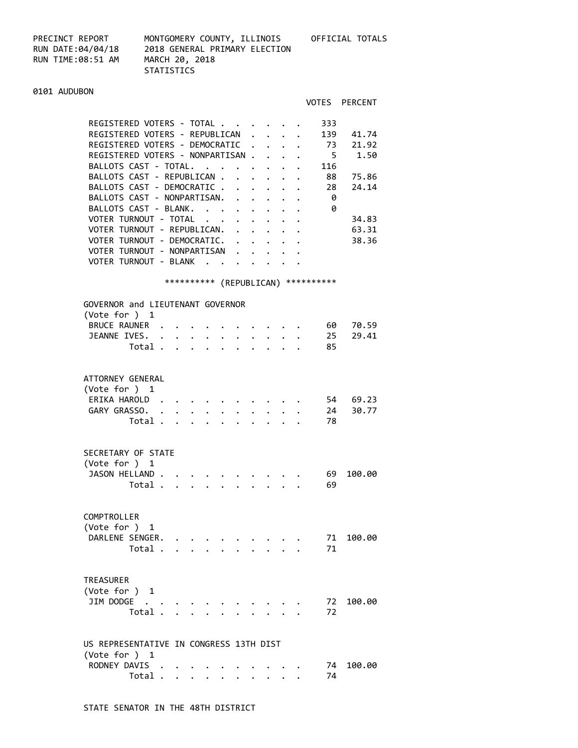PRECINCT REPORT MONTGOMERY COUNTY, ILLINOIS OFFICIAL TOTALS RUN TIME:08:51 AM MARCH 20, 2018

RUN DATE:04/04/18 2018 GENERAL PRIMARY ELECTION **STATISTICS** 

## 0101 AUDUBON

|                                                                                                                                                                                                                                                                                                                                                                                                                                  |                                                                                                        |                                                                                                         |                                                                           | VOTES PERCENT                                                              |
|----------------------------------------------------------------------------------------------------------------------------------------------------------------------------------------------------------------------------------------------------------------------------------------------------------------------------------------------------------------------------------------------------------------------------------|--------------------------------------------------------------------------------------------------------|---------------------------------------------------------------------------------------------------------|---------------------------------------------------------------------------|----------------------------------------------------------------------------|
| REGISTERED VOTERS - TOTAL<br>REGISTERED VOTERS - REPUBLICAN .<br>REGISTERED VOTERS - DEMOCRATIC<br>REGISTERED VOTERS - NONPARTISAN .<br>BALLOTS CAST - TOTAL.<br>BALLOTS CAST - REPUBLICAN .<br>BALLOTS CAST - DEMOCRATIC<br>BALLOTS CAST - NONPARTISAN.<br>BALLOTS CAST - BLANK.<br>VOTER TURNOUT - TOTAL<br>VOTER TURNOUT - REPUBLICAN.<br>VOTER TURNOUT - DEMOCRATIC.<br>VOTER TURNOUT - NONPARTISAN<br>VOTER TURNOUT - BLANK | $\mathbf{L}^{\text{max}}$<br>$\mathbf{r}$<br>$\ddot{\phantom{0}}$<br><b>Contract Contract Contract</b> | $\cdot$ $\cdot$<br>$\mathbf{L} = \mathbf{L} \mathbf{L}$<br>$\ddot{\phantom{0}}$<br>$\ddot{\phantom{a}}$ | 333<br>73<br>$5^{\circ}$<br>116<br>$\ddot{\phantom{0}}$<br>28<br>- 0<br>0 | 139 41.74<br>21.92<br>1.50<br>88 75.86<br>24.14<br>34.83<br>63.31<br>38.36 |
| *********** (REPUBLICAN) ***********                                                                                                                                                                                                                                                                                                                                                                                             |                                                                                                        |                                                                                                         |                                                                           |                                                                            |
| GOVERNOR and LIEUTENANT GOVERNOR<br>(Vote for ) 1<br>BRUCE RAUNER<br>JEANNE IVES. 25 29.41<br>Total $\ldots$ $\ldots$ $\ldots$ $\ldots$                                                                                                                                                                                                                                                                                          |                                                                                                        |                                                                                                         | 85                                                                        | $\cdot$ , , , 60 70.59                                                     |
| ATTORNEY GENERAL<br>(Vote for ) 1<br>ERIKA HAROLD<br>GARY GRASSO.<br>Total $\cdot$                                                                                                                                                                                                                                                                                                                                               |                                                                                                        |                                                                                                         | 78                                                                        | 54 69.23<br>24 30.77                                                       |
| SECRETARY OF STATE<br>$(\text{Vote for }) 1$<br>JASON HELLAND<br>Total                                                                                                                                                                                                                                                                                                                                                           |                                                                                                        |                                                                                                         | 69<br>69                                                                  | 100.00                                                                     |
| COMPTROLLER<br>(Vote for ) 1<br>DARLENE SENGER.<br>Total                                                                                                                                                                                                                                                                                                                                                                         |                                                                                                        |                                                                                                         | 71<br>71                                                                  | 100.00                                                                     |
| <b>TREASURER</b><br>(Vote for ) 1<br>JIM DODGE<br>Total .<br>$\ddot{\phantom{a}}$<br>$\mathbf{r}$ . The set of $\mathbf{r}$                                                                                                                                                                                                                                                                                                      |                                                                                                        |                                                                                                         | 72<br>72                                                                  | 100.00                                                                     |
| US REPRESENTATIVE IN CONGRESS 13TH DIST<br>(Vote for ) 1<br>RODNEY DAVIS<br>Total                                                                                                                                                                                                                                                                                                                                                |                                                                                                        |                                                                                                         | 74<br>74                                                                  | 100.00                                                                     |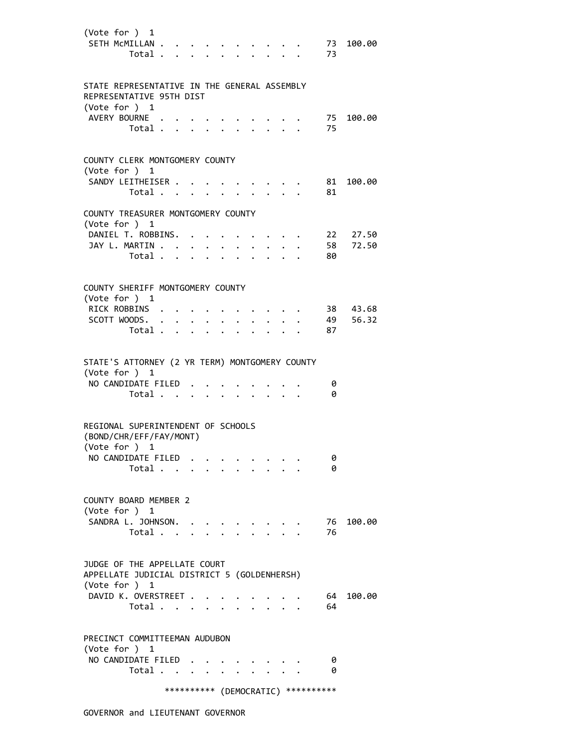| (Vote for ) 1<br>SETH MCMILLAN                                                            | Total                            |             |                                      |                                                                 |                           |              |              |                                                                                                                                                                                                                                 |                      |                                     | 73<br>73 | 100.00   |
|-------------------------------------------------------------------------------------------|----------------------------------|-------------|--------------------------------------|-----------------------------------------------------------------|---------------------------|--------------|--------------|---------------------------------------------------------------------------------------------------------------------------------------------------------------------------------------------------------------------------------|----------------------|-------------------------------------|----------|----------|
| STATE REPRESENTATIVE IN THE GENERAL ASSEMBLY<br>REPRESENTATIVE 95TH DIST<br>(Vote for ) 1 |                                  |             |                                      |                                                                 |                           |              |              |                                                                                                                                                                                                                                 |                      |                                     |          |          |
| AVERY BOURNE .                                                                            | Total                            |             |                                      |                                                                 |                           |              |              | $\cdot$ $\cdot$ $\cdot$ $\cdot$                                                                                                                                                                                                 |                      |                                     | 75<br>75 | 100.00   |
| COUNTY CLERK MONTGOMERY COUNTY<br>(Vote for ) 1                                           |                                  |             |                                      |                                                                 |                           |              |              |                                                                                                                                                                                                                                 |                      |                                     |          |          |
| SANDY LEITHEISER                                                                          | Total                            |             |                                      |                                                                 |                           |              |              | $\cdot$ $\cdot$ $\cdot$ $\cdot$<br>$\cdot$ $\cdot$ $\cdot$ $\cdot$ $\cdot$                                                                                                                                                      |                      |                                     | 81<br>81 | 100.00   |
| COUNTY TREASURER MONTGOMERY COUNTY<br>(Vote for ) 1                                       |                                  |             |                                      |                                                                 |                           |              |              |                                                                                                                                                                                                                                 |                      |                                     |          |          |
| DANIEL T. ROBBINS.                                                                        |                                  |             |                                      |                                                                 |                           |              |              | $\ddotsc$ . The contract of the contract of the contract of the contract of the contract of the contract of the contract of the contract of the contract of the contract of the contract of the contract of the contract of the |                      |                                     |          | 22 27.50 |
| JAY L. MARTIN                                                                             | Total                            |             |                                      | $\mathbf{r} = \mathbf{r} + \mathbf{r}$ .                        | $\mathbf{r} = \mathbf{r}$ | $\mathbf{A}$ | $\mathbf{L}$ | $\mathbf{L}$                                                                                                                                                                                                                    |                      |                                     | 58<br>80 | 72.50    |
| COUNTY SHERIFF MONTGOMERY COUNTY                                                          |                                  |             |                                      |                                                                 |                           |              |              |                                                                                                                                                                                                                                 |                      |                                     |          |          |
| (Vote for ) 1                                                                             |                                  |             |                                      |                                                                 |                           |              |              |                                                                                                                                                                                                                                 |                      |                                     |          |          |
| RICK ROBBINS .                                                                            |                                  |             |                                      |                                                                 |                           |              |              |                                                                                                                                                                                                                                 |                      |                                     |          | 38 43.68 |
| SCOTT WOODS. .                                                                            |                                  | $\bullet$ . |                                      | $\bullet$ .<br><br><br><br><br><br><br><br><br><br><br><br><br> | $\ddot{\phantom{a}}$      |              |              |                                                                                                                                                                                                                                 |                      |                                     | 49       | 56.32    |
|                                                                                           | Total .                          |             | $\mathbf{L} = \mathbf{L} \mathbf{L}$ | $\mathbf{r}$                                                    |                           |              |              |                                                                                                                                                                                                                                 |                      |                                     | 87       |          |
| STATE'S ATTORNEY (2 YR TERM) MONTGOMERY COUNTY                                            |                                  |             |                                      |                                                                 |                           |              |              |                                                                                                                                                                                                                                 |                      |                                     |          |          |
| (Vote for ) 1<br>NO CANDIDATE FILED                                                       |                                  |             |                                      |                                                                 |                           |              |              |                                                                                                                                                                                                                                 |                      |                                     | 0        |          |
|                                                                                           | Total                            |             |                                      |                                                                 |                           |              |              | $\cdots$                                                                                                                                                                                                                        |                      |                                     | 0        |          |
|                                                                                           |                                  |             |                                      |                                                                 |                           |              |              |                                                                                                                                                                                                                                 |                      |                                     |          |          |
| REGIONAL SUPERINTENDENT OF SCHOOLS<br>(BOND/CHR/EFF/FAY/MONT)                             |                                  |             |                                      |                                                                 |                           |              |              |                                                                                                                                                                                                                                 |                      |                                     |          |          |
| (Vote for ) 1                                                                             |                                  |             |                                      |                                                                 |                           |              |              |                                                                                                                                                                                                                                 |                      |                                     |          |          |
| NO CANDIDATE FILED                                                                        | Total $\cdots$ $\cdots$ $\cdots$ |             |                                      |                                                                 |                           |              |              |                                                                                                                                                                                                                                 |                      |                                     | 0<br>0   |          |
| COUNTY BOARD MEMBER 2                                                                     |                                  |             |                                      |                                                                 |                           |              |              |                                                                                                                                                                                                                                 |                      |                                     |          |          |
| (Vote for ) 1<br>SANDRA L. JOHNSON.                                                       |                                  |             |                                      |                                                                 |                           |              |              |                                                                                                                                                                                                                                 |                      |                                     |          | 100.00   |
|                                                                                           | Total $\cdots$ $\cdots$          |             |                                      |                                                                 |                           |              |              |                                                                                                                                                                                                                                 | $\sim$ $\sim$ $\sim$ |                                     | 76<br>76 |          |
| JUDGE OF THE APPELLATE COURT                                                              |                                  |             |                                      |                                                                 |                           |              |              |                                                                                                                                                                                                                                 |                      |                                     |          |          |
| APPELLATE JUDICIAL DISTRICT 5 (GOLDENHERSH)<br>(Vote for ) 1                              |                                  |             |                                      |                                                                 |                           |              |              |                                                                                                                                                                                                                                 |                      |                                     |          |          |
| DAVID K. OVERSTREET                                                                       | Total                            |             |                                      |                                                                 |                           |              |              |                                                                                                                                                                                                                                 |                      |                                     | 64<br>64 | 100.00   |
| PRECINCT COMMITTEEMAN AUDUBON                                                             |                                  |             |                                      |                                                                 |                           |              |              |                                                                                                                                                                                                                                 |                      |                                     |          |          |
| (Vote for $)$ 1<br>NO CANDIDATE FILED.                                                    |                                  |             |                                      |                                                                 |                           |              |              |                                                                                                                                                                                                                                 |                      |                                     | 0        |          |
|                                                                                           | Total                            |             |                                      |                                                                 |                           |              |              |                                                                                                                                                                                                                                 |                      |                                     | 0        |          |
|                                                                                           |                                  |             |                                      |                                                                 |                           |              |              |                                                                                                                                                                                                                                 |                      | *********** (DEMOCRATIC) ********** |          |          |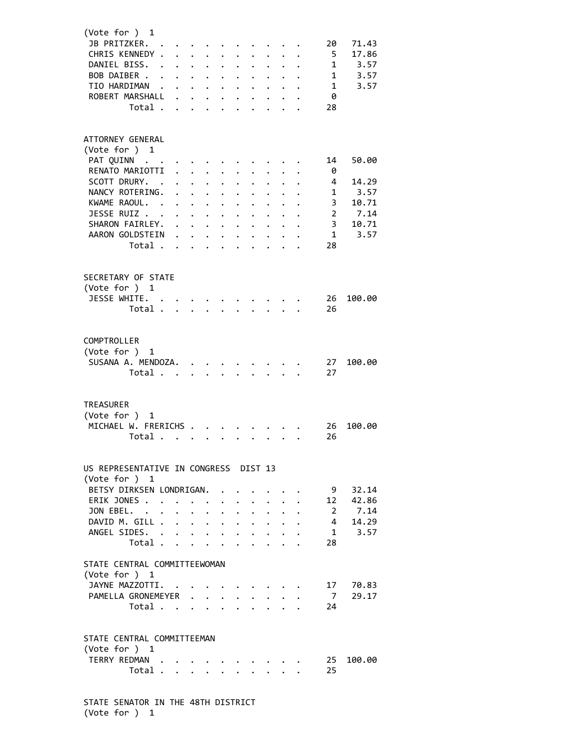| (Vote for ) 1<br>JB PRITZKER.<br>CHRIS KENNEDY .<br>DANIEL BISS. .<br>BOB DAIBER<br>TIO HARDIMAN .<br>ROBERT MARSHALL<br>Total                                                          | $\ddot{\phantom{0}}$ | $\mathbf{r}$ , $\mathbf{r}$ , $\mathbf{r}$ , $\mathbf{r}$<br>$\mathbf{L} = \mathbf{L} \times \mathbf{L}$<br>$\mathbf{r} = \mathbf{r} + \mathbf{r}$ , where $\mathbf{r} = \mathbf{r}$ | $\ddot{\phantom{0}}$           | $\mathbf{L}^{\text{max}}$<br>$\ddot{\phantom{0}}$<br>$\bullet$ .<br>$\ddot{\phantom{0}}$                             | $\ddot{\phantom{a}}$<br>$\ddot{\phantom{a}}$<br>$\ddot{\phantom{0}}$<br>$\ddotsc$ | $\ddot{\phantom{0}}$<br>$\ddot{\phantom{0}}$<br>$\ddot{\phantom{0}}$<br>$\bullet$ . | $\ddot{\phantom{0}}$<br>$\mathbf{L}$<br>$\ddot{\phantom{0}}$                                                                 | $\ddot{\phantom{0}}$<br>$\ddotsc$ . The contract of the contract of the contract of the contract of the contract of the contract of the contract of the contract of the contract of the contract of the contract of the contract of the contract of the | 20<br>5<br>1<br>0<br>28                                                                       | 71.43<br>17.86<br>$1 \t3.57$<br>1 3.57<br>3.57                          |
|-----------------------------------------------------------------------------------------------------------------------------------------------------------------------------------------|----------------------|--------------------------------------------------------------------------------------------------------------------------------------------------------------------------------------|--------------------------------|----------------------------------------------------------------------------------------------------------------------|-----------------------------------------------------------------------------------|-------------------------------------------------------------------------------------|------------------------------------------------------------------------------------------------------------------------------|---------------------------------------------------------------------------------------------------------------------------------------------------------------------------------------------------------------------------------------------------------|-----------------------------------------------------------------------------------------------|-------------------------------------------------------------------------|
| ATTORNEY GENERAL<br>(Vote for ) 1<br>PAT QUINN<br>RENATO MARIOTTI<br>SCOTT DRURY. .<br>NANCY ROTERING.<br>KWAME RAOUL. .<br>JESSE RUIZ<br>SHARON FAIRLEY.<br>AARON GOLDSTEIN<br>Total   | $\ddot{\phantom{a}}$ | $\ddot{\phantom{0}}$<br>$\mathbf{a}$ , and $\mathbf{a}$ , and $\mathbf{a}$                                                                                                           | $\ddotsc$<br>$\sim$ 100 $\sim$ | $\ddot{\phantom{a}}$<br>$\ddot{\phantom{0}}$<br>$\ddot{\phantom{0}}$                                                 | $\ddot{\phantom{0}}$<br>$\bullet$<br>$\ddot{\bullet}$                             | $\ddot{\phantom{a}}$<br>$\ddot{\phantom{0}}$                                        |                                                                                                                              | $\mathbf{r}$ . The set of $\mathbf{r}$<br>$\mathbf{r}$ and $\mathbf{r}$                                                                                                                                                                                 | 14<br>0<br>4<br>$\mathbf{1}$<br>3<br>$\overline{2}$<br>3 <sup>7</sup><br>$\overline{1}$<br>28 | 50.00<br>14.29<br>3.57<br>10.71<br>7.14<br>10.71<br>3.57                |
| SECRETARY OF STATE<br>(Vote for ) 1<br>JESSE WHITE. .<br>Total                                                                                                                          |                      |                                                                                                                                                                                      |                                |                                                                                                                      |                                                                                   | $\mathbf{L} = \mathbf{L}$                                                           |                                                                                                                              | $\mathcal{L}^{\text{max}}$ and $\mathcal{L}^{\text{max}}$                                                                                                                                                                                               | 26<br>26                                                                                      | 100.00                                                                  |
| COMPTROLLER<br>(Vote for ) 1<br>SUSANA A. MENDOZA.<br>Total                                                                                                                             |                      |                                                                                                                                                                                      | $\ddot{\phantom{a}}$           |                                                                                                                      |                                                                                   |                                                                                     |                                                                                                                              |                                                                                                                                                                                                                                                         | 27<br>27                                                                                      | 100.00                                                                  |
| <b>TREASURER</b><br>(Vote for ) $1$<br>MICHAEL W. FRERICHS<br>Total .                                                                                                                   |                      | $\cdots$                                                                                                                                                                             |                                |                                                                                                                      |                                                                                   |                                                                                     |                                                                                                                              |                                                                                                                                                                                                                                                         | 26<br>26                                                                                      | 100.00                                                                  |
| US REPRESENTATIVE IN CONGRESS DIST 13<br>(Vote for ) 1<br>BETSY DIRKSEN LONDRIGAN.<br>ERIK JONES<br>JON EBEL.<br>DAVID M. GILL<br>ANGEL SIDES.<br>Total<br>STATE CENTRAL COMMITTEEWOMAN |                      | $\mathbf{r} = \mathbf{r} + \mathbf{r}$<br>$\cdot$                                                                                                                                    | $\ddot{\phantom{0}}$           | $\ddot{\phantom{0}}$<br>$\ddot{\phantom{0}}$<br>$\ddot{\phantom{0}}$<br>$\ddot{\phantom{0}}$<br>$\ddot{\phantom{a}}$ | $\ddot{\phantom{0}}$<br>$\bullet$<br>$\ddot{\phantom{0}}$<br>$\ddot{\phantom{0}}$ | $\ddot{\phantom{0}}$<br>$\bullet$ .                                                 | $\mathbf{r}$ and $\mathbf{r}$<br>$\cdot$ $\cdot$ $\cdot$<br>$\ddot{\phantom{0}}$<br>$\mathbf{r} = \mathbf{r} + \mathbf{r}$ . |                                                                                                                                                                                                                                                         | - 9<br>12<br>4<br>28                                                                          | 32.14<br>42.86<br>$2 \quad \blacksquare$<br>7.14<br>14.29<br>$1 \t3.57$ |
| (Vote for $)$ 1<br>JAYNE MAZZOTTI.<br>PAMELLA GRONEMEYER<br>Total $\cdots$ $\cdots$ $\cdots$                                                                                            |                      |                                                                                                                                                                                      |                                |                                                                                                                      |                                                                                   |                                                                                     |                                                                                                                              | $\mathbf{r}$ $\mathbf{r}$                                                                                                                                                                                                                               | 17<br>$\overline{7}$<br>24                                                                    | 70.83<br>29.17                                                          |
| STATE CENTRAL COMMITTEEMAN<br>(Vote for ) 1<br>TERRY REDMAN<br>Total                                                                                                                    |                      |                                                                                                                                                                                      |                                |                                                                                                                      |                                                                                   |                                                                                     |                                                                                                                              |                                                                                                                                                                                                                                                         | 25<br>25                                                                                      | 100.00                                                                  |

 STATE SENATOR IN THE 48TH DISTRICT (Vote for ) 1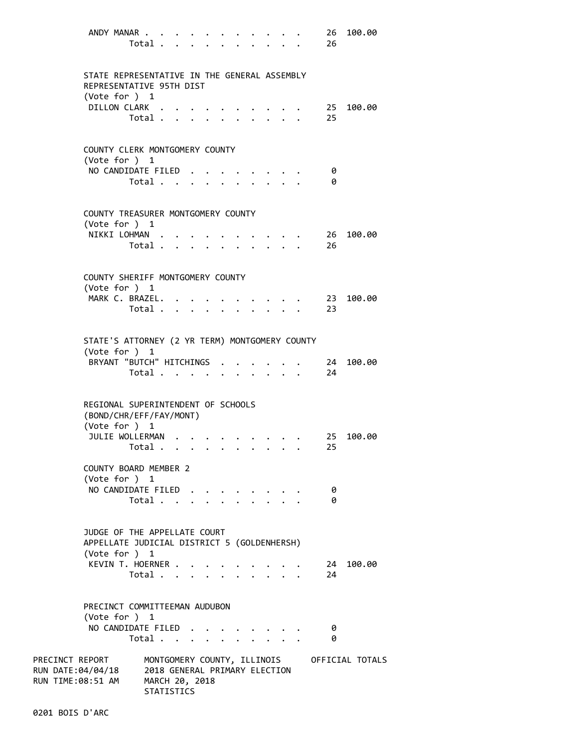| ANDY MANAR                                                                                   | Total .                                     | $\mathbf{L}^{\text{max}}$                      |        |                      |  |                           |                                                           | 26<br>26   | 100.00                                      |
|----------------------------------------------------------------------------------------------|---------------------------------------------|------------------------------------------------|--------|----------------------|--|---------------------------|-----------------------------------------------------------|------------|---------------------------------------------|
| STATE REPRESENTATIVE IN THE GENERAL ASSEMBLY<br>REPRESENTATIVE 95TH DIST<br>(Vote for ) 1    |                                             |                                                |        |                      |  |                           |                                                           |            |                                             |
| DILLON CLARK.                                                                                | Total.                                      |                                                |        |                      |  |                           |                                                           | 25<br>25   | 100.00                                      |
| COUNTY CLERK MONTGOMERY COUNTY<br>(Vote for ) 1                                              |                                             |                                                |        |                      |  |                           |                                                           |            |                                             |
| NO CANDIDATE FILED.                                                                          | Total                                       |                                                |        |                      |  |                           |                                                           | 0<br>0     |                                             |
| COUNTY TREASURER MONTGOMERY COUNTY<br>(Vote for ) 1                                          |                                             |                                                |        |                      |  |                           |                                                           |            |                                             |
| NIKKI LOHMAN.                                                                                | Total                                       |                                                |        |                      |  |                           | $\mathbf{r}$ , $\mathbf{r}$ , $\mathbf{r}$ , $\mathbf{r}$ | 26<br>26   | 100.00                                      |
| COUNTY SHERIFF MONTGOMERY COUNTY<br>(Vote for ) 1                                            |                                             |                                                |        |                      |  |                           |                                                           |            |                                             |
| MARK C. BRAZEL. .                                                                            | Total .                                     | $\mathbf{L}$ and $\mathbf{L}$ and $\mathbf{L}$ |        | $\ddot{\phantom{0}}$ |  | $\mathbf{L} = \mathbf{L}$ |                                                           | - 23<br>23 | 100.00                                      |
| STATE'S ATTORNEY (2 YR TERM) MONTGOMERY COUNTY<br>(Vote for ) 1<br>BRYANT "BUTCH" HITCHINGS  | Total                                       |                                                |        |                      |  | $\sim$                    |                                                           | 24<br>24   | 100.00                                      |
| REGIONAL SUPERINTENDENT OF SCHOOLS<br>(BOND/CHR/EFF/FAY/MONT)<br>(Vote for ) 1               |                                             |                                                |        |                      |  |                           |                                                           |            |                                             |
| JULIE WOLLERMAN                                                                              | Total .                                     |                                                |        |                      |  |                           |                                                           | 25<br>25   | 100.00                                      |
| COUNTY BOARD MEMBER 2<br>(Vote for ) 1                                                       |                                             |                                                |        |                      |  |                           |                                                           |            |                                             |
| NO CANDIDATE FILED                                                                           | Total $\ldots$ $\ldots$ $\ldots$ $\ldots$   |                                                |        |                      |  |                           |                                                           | 0<br>0     |                                             |
| JUDGE OF THE APPELLATE COURT<br>APPELLATE JUDICIAL DISTRICT 5 (GOLDENHERSH)<br>(Vote for ) 1 |                                             |                                                |        |                      |  |                           |                                                           |            |                                             |
| KEVIN T. HOERNER                                                                             | Total                                       |                                                |        |                      |  |                           |                                                           | 24         | $\cdot$ 24 100.00                           |
| PRECINCT COMMITTEEMAN AUDUBON<br>(Vote for $)$ 1                                             |                                             |                                                |        |                      |  |                           |                                                           |            |                                             |
| NO CANDIDATE FILED.                                                                          | Total                                       |                                                | $\sim$ |                      |  |                           |                                                           | 0<br>0     |                                             |
| PRECINCT REPORT<br>RUN DATE:04/04/18<br>RUN TIME:08:51 AM MARCH 20, 2018                     | 2018 GENERAL PRIMARY ELECTION<br>STATISTICS |                                                |        |                      |  |                           |                                                           |            | MONTGOMERY COUNTY, ILLINOIS OFFICIAL TOTALS |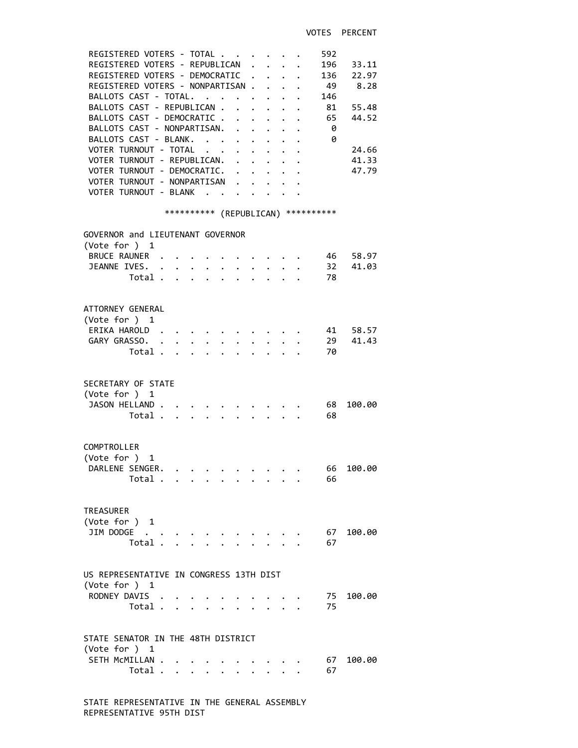| REGISTERED VOTERS - TOTAL<br>REGISTERED VOTERS - REPUBLICAN<br>REGISTERED VOTERS - DEMOCRATIC<br>REGISTERED VOTERS - NONPARTISAN.<br>BALLOTS CAST - TOTAL.<br>$\mathcal{A}^{\mathcal{A}}$ , and $\mathcal{A}^{\mathcal{A}}$ , and $\mathcal{A}^{\mathcal{A}}$<br>BALLOTS CAST - REPUBLICAN .<br>$\sim$<br>BALLOTS CAST - DEMOCRATIC<br>BALLOTS CAST - NONPARTISAN.<br>BALLOTS CAST - BLANK.<br>VOTER TURNOUT - TOTAL<br>$\ddot{\phantom{a}}$<br>VOTER TURNOUT - REPUBLICAN.<br>VOTER TURNOUT - DEMOCRATIC. .<br>VOTER TURNOUT - NONPARTISAN<br>VOTER TURNOUT - BLANK | $\mathbf{L}$<br>$\mathbf{L}$<br>$\ddot{\phantom{0}}$<br>$\ddot{\phantom{0}}$<br>$\ddot{\phantom{0}}$<br>$\mathbf{L}$<br>$\ddot{\phantom{0}}$<br>$\mathbf{r} = \mathbf{r}$ | $\ddot{\phantom{a}}$<br>$\sim$<br>$\mathbf{L}$<br>$\mathbf{L} = \mathbf{L}$ | 592<br>196 33.11<br>136 22.97<br>49 8.28<br>146<br>81<br>55.48<br>44.52<br>65<br>- 0<br>- 0<br>24.66<br>41.33<br>47.79 |
|----------------------------------------------------------------------------------------------------------------------------------------------------------------------------------------------------------------------------------------------------------------------------------------------------------------------------------------------------------------------------------------------------------------------------------------------------------------------------------------------------------------------------------------------------------------------|---------------------------------------------------------------------------------------------------------------------------------------------------------------------------|-----------------------------------------------------------------------------|------------------------------------------------------------------------------------------------------------------------|
| *********** (REPUBLICAN) ***********                                                                                                                                                                                                                                                                                                                                                                                                                                                                                                                                 |                                                                                                                                                                           |                                                                             |                                                                                                                        |
| GOVERNOR and LIEUTENANT GOVERNOR<br>(Vote for ) 1                                                                                                                                                                                                                                                                                                                                                                                                                                                                                                                    |                                                                                                                                                                           |                                                                             |                                                                                                                        |
| BRUCE RAUNER .                                                                                                                                                                                                                                                                                                                                                                                                                                                                                                                                                       |                                                                                                                                                                           |                                                                             | . 46 58.97                                                                                                             |
| JEANNE IVES. .<br>$\mathbf{r} = \mathbf{r} + \mathbf{r}$ , where $\mathbf{r}$                                                                                                                                                                                                                                                                                                                                                                                                                                                                                        |                                                                                                                                                                           |                                                                             | 32 41.03                                                                                                               |
| Total .<br>$\mathbf{r}$ , $\mathbf{r}$ , $\mathbf{r}$ , $\mathbf{r}$ , $\mathbf{r}$                                                                                                                                                                                                                                                                                                                                                                                                                                                                                  |                                                                                                                                                                           |                                                                             | 78                                                                                                                     |
| ATTORNEY GENERAL<br>(Vote for ) 1<br>ERIKA HAROLD.<br>GARY GRASSO. .<br>$\cdot$ $\cdot$ $\cdot$<br>$\ddot{\phantom{0}}$<br>$\ddot{\phantom{0}}$<br>Total                                                                                                                                                                                                                                                                                                                                                                                                             | $\ddot{\phantom{0}}$<br>$\ddot{\phantom{0}}$                                                                                                                              | $\ddot{\phantom{0}}$                                                        | $\cdot$ , , . 41 58.57<br>29 41.43<br>70                                                                               |
| SECRETARY OF STATE<br>(Vote for ) 1<br>JASON HELLAND<br>Total                                                                                                                                                                                                                                                                                                                                                                                                                                                                                                        |                                                                                                                                                                           |                                                                             | 68<br>100.00<br>68                                                                                                     |
| COMPTROLLER<br>(Vote for ) 1<br>DARLENE SENGER.<br>Total                                                                                                                                                                                                                                                                                                                                                                                                                                                                                                             |                                                                                                                                                                           |                                                                             | 66 100.00<br>66                                                                                                        |
| <b>TREASURER</b><br>(Vote for ) 1<br>JIM DODGE<br>Total .                                                                                                                                                                                                                                                                                                                                                                                                                                                                                                            |                                                                                                                                                                           |                                                                             | 100.00<br>67<br>67                                                                                                     |
| US REPRESENTATIVE IN CONGRESS 13TH DIST                                                                                                                                                                                                                                                                                                                                                                                                                                                                                                                              |                                                                                                                                                                           |                                                                             |                                                                                                                        |
| (Vote for ) 1<br>RODNEY DAVIS<br>Total                                                                                                                                                                                                                                                                                                                                                                                                                                                                                                                               | $\cdot$ $\cdot$ $\cdot$ $\cdot$ $\cdot$                                                                                                                                   |                                                                             | 75<br>100.00<br>75                                                                                                     |
| STATE SENATOR IN THE 48TH DISTRICT                                                                                                                                                                                                                                                                                                                                                                                                                                                                                                                                   |                                                                                                                                                                           |                                                                             |                                                                                                                        |
| (Vote for ) 1<br>SETH MCMILLAN<br>Total                                                                                                                                                                                                                                                                                                                                                                                                                                                                                                                              | $\mathbf{r} = \mathbf{r} - \mathbf{r} = \mathbf{r} - \mathbf{r}$                                                                                                          |                                                                             | 100.00<br>67<br>67                                                                                                     |
|                                                                                                                                                                                                                                                                                                                                                                                                                                                                                                                                                                      |                                                                                                                                                                           |                                                                             |                                                                                                                        |

 STATE REPRESENTATIVE IN THE GENERAL ASSEMBLY REPRESENTATIVE 95TH DIST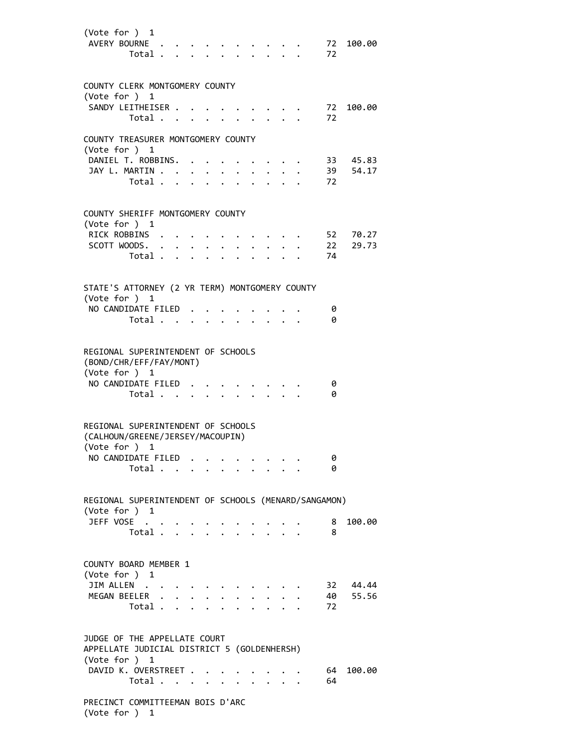| (Vote for ) 1<br>AVERY BOURNE.<br>Total .                                                             |                      | $\mathbf{L} = \mathbf{L}$           |                             |                         |           | $\ddot{\phantom{0}}$                           |                                  | $\cdot$ $\cdot$ | 72<br>72 | 100.00   |
|-------------------------------------------------------------------------------------------------------|----------------------|-------------------------------------|-----------------------------|-------------------------|-----------|------------------------------------------------|----------------------------------|-----------------|----------|----------|
| COUNTY CLERK MONTGOMERY COUNTY                                                                        |                      |                                     |                             |                         |           |                                                |                                  |                 |          |          |
| (Vote for ) 1                                                                                         |                      |                                     |                             |                         |           |                                                |                                  |                 |          |          |
| SANDY LEITHEISER .<br>Total                                                                           |                      |                                     |                             |                         |           |                                                |                                  |                 | 72<br>72 | 100.00   |
|                                                                                                       |                      |                                     |                             |                         |           |                                                |                                  |                 |          |          |
| COUNTY TREASURER MONTGOMERY COUNTY<br>(Vote for ) 1                                                   |                      |                                     |                             |                         |           |                                                |                                  |                 |          |          |
| DANIEL T. ROBBINS.                                                                                    |                      |                                     |                             |                         |           |                                                |                                  |                 |          | 33 45.83 |
| JAY L. MARTIN                                                                                         |                      |                                     |                             |                         |           |                                                |                                  |                 |          | 39 54.17 |
| Total .                                                                                               | $\ddot{\phantom{a}}$ |                                     |                             |                         |           |                                                |                                  |                 | 72       |          |
| COUNTY SHERIFF MONTGOMERY COUNTY<br>(Vote for ) 1                                                     |                      |                                     |                             |                         |           |                                                |                                  |                 |          |          |
| RICK ROBBINS .                                                                                        |                      |                                     |                             |                         |           |                                                |                                  |                 |          | 52 70.27 |
| SCOTT WOODS. .                                                                                        |                      | $\ddot{\phantom{0}}$<br>$\bullet$ . | $\bullet$                   |                         |           |                                                |                                  |                 | 22       | 29.73    |
| Total .                                                                                               |                      |                                     |                             |                         |           |                                                |                                  |                 | 74       |          |
| STATE'S ATTORNEY (2 YR TERM) MONTGOMERY COUNTY                                                        |                      |                                     |                             |                         |           |                                                |                                  |                 |          |          |
| (Vote for ) 1                                                                                         |                      |                                     |                             |                         |           |                                                |                                  |                 |          |          |
| NO CANDIDATE FILED.<br>Total                                                                          |                      |                                     |                             |                         |           |                                                |                                  |                 | 0<br>0   |          |
|                                                                                                       |                      |                                     | $\sim$ $\sim$ $\sim$ $\sim$ |                         | $\bullet$ |                                                | $\bullet$ . The set of $\bullet$ |                 |          |          |
| REGIONAL SUPERINTENDENT OF SCHOOLS<br>(BOND/CHR/EFF/FAY/MONT)<br>(Vote for ) 1<br>NO CANDIDATE FILED. | Total                |                                     |                             |                         |           |                                                |                                  |                 | 0<br>0   |          |
|                                                                                                       |                      |                                     | $\ddot{\phantom{0}}$        |                         |           |                                                |                                  |                 |          |          |
| REGIONAL SUPERINTENDENT OF SCHOOLS<br>(CALHOUN/GREENE/JERSEY/MACOUPIN)<br>(Vote for ) 1               |                      |                                     |                             |                         |           |                                                |                                  |                 |          |          |
| NO CANDIDATE FILED.                                                                                   |                      |                                     | $\mathbf{A}$                | $\cdot$ $\cdot$ $\cdot$ |           |                                                |                                  |                 | ø        |          |
|                                                                                                       | Total                |                                     |                             |                         |           | $\mathbf{r}$ and $\mathbf{r}$ and $\mathbf{r}$ |                                  |                 | 0        |          |
| REGIONAL SUPERINTENDENT OF SCHOOLS (MENARD/SANGAMON)                                                  |                      |                                     |                             |                         |           |                                                |                                  |                 |          |          |
| (Vote for ) 1                                                                                         |                      |                                     |                             |                         |           |                                                |                                  |                 |          |          |
| JEFF VOSE                                                                                             | Total                | $\sim$                              |                             |                         |           |                                                |                                  |                 | 8<br>8   | 100.00   |
|                                                                                                       |                      |                                     |                             |                         |           |                                                |                                  |                 |          |          |
| COUNTY BOARD MEMBER 1<br>(Vote for ) 1<br>JIM ALLEN                                                   |                      |                                     |                             |                         |           |                                                |                                  |                 | 32       | 44.44    |
| MEGAN BEELER .                                                                                        |                      |                                     |                             |                         |           |                                                |                                  |                 |          | 40 55.56 |
| Total .                                                                                               |                      | $\ddot{\phantom{0}}$                |                             |                         |           |                                                |                                  |                 | 72       |          |
| JUDGE OF THE APPELLATE COURT<br>APPELLATE JUDICIAL DISTRICT 5 (GOLDENHERSH)<br>(Vote for ) 1          |                      |                                     |                             |                         |           |                                                |                                  |                 |          |          |
| DAVID K. OVERSTREET                                                                                   |                      |                                     |                             |                         |           |                                                |                                  |                 | 64       | 100.00   |
| Total .                                                                                               |                      |                                     | $\ddot{\phantom{0}}$        |                         |           |                                                |                                  |                 | 64       |          |
| PRECINCT COMMITTEEMAN BOIS D'ARC<br>(Vote for ) 1                                                     |                      |                                     |                             |                         |           |                                                |                                  |                 |          |          |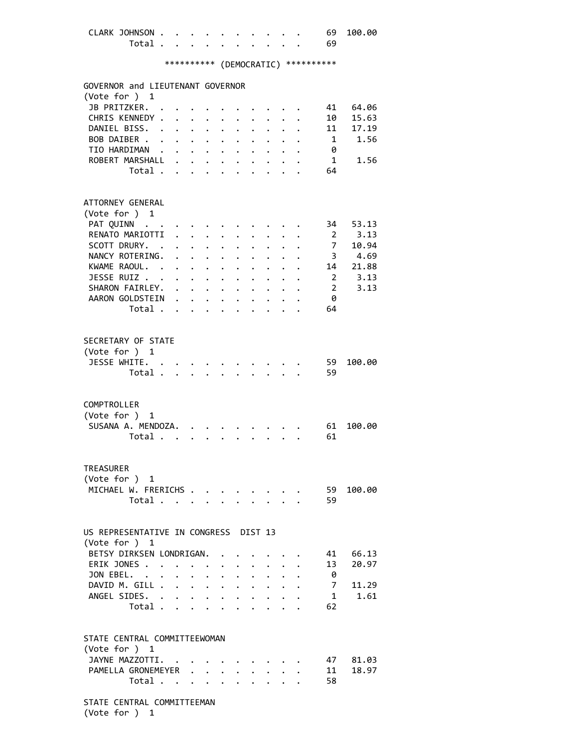| CLARK JOHNSON 69 100.00 |  |  |  |  |  |  |
|-------------------------|--|--|--|--|--|--|
| Total 69                |  |  |  |  |  |  |
|                         |  |  |  |  |  |  |

## \*\*\*\*\*\*\*\*\*\* (DEMOCRATIC) \*\*\*\*\*\*\*\*\*\*

| GOVERNOR and LIEUTENANT GOVERNOR      |                         |                                                                                          |                      |                                        |                           |                                                 |                      |                                          |                      |                         |          |
|---------------------------------------|-------------------------|------------------------------------------------------------------------------------------|----------------------|----------------------------------------|---------------------------|-------------------------------------------------|----------------------|------------------------------------------|----------------------|-------------------------|----------|
| (Vote for ) 1                         |                         |                                                                                          |                      |                                        |                           |                                                 |                      |                                          |                      |                         |          |
| JB PRITZKER.                          |                         |                                                                                          |                      |                                        |                           |                                                 |                      |                                          |                      | 41                      | 64.06    |
| CHRIS KENNEDY.                        |                         | $\mathbf{r}$ , $\mathbf{r}$ , $\mathbf{r}$                                               |                      |                                        |                           | $\ddot{\phantom{0}}$                            |                      |                                          | $\mathbf{L}$         | 10                      | 15.63    |
| DANIEL BISS. .                        |                         | $\ddot{\phantom{0}}$                                                                     | $\ddot{\phantom{0}}$ | $\ddot{\phantom{0}}$                   | $\ddot{\phantom{0}}$      | $\ddot{\phantom{0}}$                            | $\ddot{\phantom{a}}$ | $\ddot{\phantom{0}}$                     | $\ddot{\phantom{0}}$ | 11                      | 17.19    |
| BOB DAIBER                            |                         | $\sim$                                                                                   | $\ddot{\phantom{0}}$ | $\mathbf{z} = \mathbf{z} + \mathbf{z}$ |                           | $\ddot{\phantom{0}}$                            | $\ddot{\phantom{0}}$ | $\ddot{\phantom{0}}$                     |                      | $\mathbf{1}$            | 1.56     |
| TIO HARDIMAN                          |                         |                                                                                          |                      |                                        |                           | $\cdot$ $\cdot$ $\cdot$ $\cdot$ $\cdot$ $\cdot$ |                      | $\ddot{\phantom{a}}$                     |                      | 0                       |          |
| ROBERT MARSHALL .                     |                         |                                                                                          | $\mathbf{r}$         |                                        | $\ddot{\phantom{0}}$      | $\mathbf{L}$                                    |                      |                                          |                      | 1                       | 1.56     |
|                                       | Total                   |                                                                                          | $\mathbf{r}$         | $\ddot{\phantom{0}}$                   | $\mathbf{r}$              |                                                 |                      |                                          |                      | 64                      |          |
|                                       |                         |                                                                                          |                      |                                        |                           |                                                 |                      |                                          |                      |                         |          |
|                                       |                         |                                                                                          |                      |                                        |                           |                                                 |                      |                                          |                      |                         |          |
| ATTORNEY GENERAL                      |                         |                                                                                          |                      |                                        |                           |                                                 |                      |                                          |                      |                         |          |
| (Vote for ) 1                         |                         |                                                                                          |                      |                                        |                           |                                                 |                      |                                          |                      |                         |          |
| PAT QUINN                             |                         |                                                                                          |                      |                                        |                           |                                                 |                      |                                          |                      | 34                      | 53.13    |
| RENATO MARIOTTI                       |                         | $\mathbf{r}$                                                                             |                      | $\mathbf{L}^{\text{max}}$              |                           |                                                 |                      |                                          |                      | $\overline{2}$          | 3.13     |
| SCOTT DRURY. .                        |                         |                                                                                          |                      | $\ddotsc$                              |                           |                                                 |                      |                                          |                      | $7\overline{ }$         | 10.94    |
| NANCY ROTERING. .                     |                         |                                                                                          | $\mathbf{L}$         |                                        | $\mathbf{L} = \mathbf{L}$ | $\ddot{\phantom{a}}$                            |                      |                                          |                      | $\overline{\mathbf{3}}$ | 4.69     |
| KWAME RAOUL. .                        |                         |                                                                                          | $\ddot{\phantom{0}}$ |                                        | $\mathbf{L} = \mathbf{L}$ | $\mathbf{L}$                                    | $\ddot{\phantom{a}}$ |                                          |                      |                         | 14 21.88 |
| JESSE RUIZ                            |                         |                                                                                          |                      | $\cdot$ $\cdot$ $\cdot$                |                           | $\ddot{\phantom{0}}$                            | $\ddot{\phantom{a}}$ | $\mathbf{L}$                             | $\ddot{\phantom{a}}$ | $\overline{2}$          | 3.13     |
| SHARON FAIRLEY.                       |                         |                                                                                          |                      |                                        |                           | $\ddot{\phantom{a}}$                            | $\mathbf{L}$         | $\ddot{\phantom{0}}$                     | $\mathbf{L}$         | $\overline{2}$          | 3.13     |
| AARON GOLDSTEIN                       |                         |                                                                                          |                      |                                        |                           | $\ddot{\phantom{0}}$                            |                      | $\ddot{\phantom{a}}$                     | $\ddot{\phantom{0}}$ | - 0                     |          |
|                                       | Total $\cdots$ $\cdots$ |                                                                                          |                      |                                        |                           |                                                 |                      | $\mathbf{r} = \mathbf{r} + \mathbf{r}$ . | $\ddotsc$            | 64                      |          |
|                                       |                         |                                                                                          |                      |                                        |                           |                                                 |                      |                                          |                      |                         |          |
|                                       |                         |                                                                                          |                      |                                        |                           |                                                 |                      |                                          |                      |                         |          |
| SECRETARY OF STATE                    |                         |                                                                                          |                      |                                        |                           |                                                 |                      |                                          |                      |                         |          |
| (Vote for ) 1                         |                         |                                                                                          |                      |                                        |                           |                                                 |                      |                                          |                      |                         |          |
| JESSE WHITE.                          |                         |                                                                                          |                      |                                        |                           |                                                 |                      |                                          |                      | 59                      | 100.00   |
|                                       | Total                   |                                                                                          |                      |                                        |                           |                                                 |                      |                                          |                      | 59                      |          |
|                                       |                         |                                                                                          |                      |                                        |                           |                                                 |                      |                                          |                      |                         |          |
|                                       |                         |                                                                                          |                      |                                        |                           |                                                 |                      |                                          |                      |                         |          |
| COMPTROLLER                           |                         |                                                                                          |                      |                                        |                           |                                                 |                      |                                          |                      |                         |          |
| (Vote for ) 1                         |                         |                                                                                          |                      |                                        |                           |                                                 |                      |                                          |                      |                         |          |
| SUSANA A. MENDOZA.                    |                         |                                                                                          |                      |                                        |                           |                                                 |                      |                                          |                      | 61                      | 100.00   |
|                                       | Total                   |                                                                                          | $\mathbf{L}$         | $\sim$                                 |                           |                                                 |                      | $\mathcal{L}^{\text{max}}$               |                      | 61                      |          |
|                                       |                         |                                                                                          |                      |                                        |                           |                                                 |                      |                                          |                      |                         |          |
|                                       |                         |                                                                                          |                      |                                        |                           |                                                 |                      |                                          |                      |                         |          |
| <b>TREASURER</b>                      |                         |                                                                                          |                      |                                        |                           |                                                 |                      |                                          |                      |                         |          |
| (Vote for ) 1                         |                         |                                                                                          |                      |                                        |                           |                                                 |                      |                                          |                      |                         |          |
| MICHAEL W. FRERICHS                   |                         |                                                                                          |                      |                                        |                           |                                                 |                      |                                          |                      | 59                      | 100.00   |
|                                       | Total.                  | $\mathcal{L}(\mathcal{A})$ and $\mathcal{A}(\mathcal{A})$ and $\mathcal{A}(\mathcal{A})$ |                      |                                        |                           | $\bullet$ .                                     |                      | $\cdot$ $\cdot$ $\cdot$                  |                      | 59                      |          |
|                                       |                         |                                                                                          |                      |                                        |                           |                                                 |                      |                                          |                      |                         |          |
| US REPRESENTATIVE IN CONGRESS DIST 13 |                         |                                                                                          |                      |                                        |                           |                                                 |                      |                                          |                      |                         |          |
| (Vote for ) 1                         |                         |                                                                                          |                      |                                        |                           |                                                 |                      |                                          |                      |                         |          |
| BETSY DIRKSEN LONDRIGAN.              |                         |                                                                                          |                      |                                        |                           |                                                 |                      |                                          |                      |                         | 41 66.13 |
| ERIK JONES                            |                         |                                                                                          |                      |                                        |                           |                                                 |                      |                                          |                      | 13                      | 20.97    |
| JON EBEL.                             |                         |                                                                                          | $\bullet$            | $\ddot{\phantom{a}}$                   | $\ddot{\phantom{0}}$      |                                                 | $\ddot{\bullet}$     |                                          |                      | 0                       |          |
|                                       |                         | $\ddot{\phantom{a}}$                                                                     | $\ddot{\phantom{0}}$ | $\sim$                                 | $\ddot{\phantom{0}}$      | $\ddot{\phantom{0}}$                            | $\ddot{\phantom{0}}$ |                                          |                      |                         |          |
| DAVID M. GILL .                       |                         | $\mathbf{r}$ , $\mathbf{r}$ , $\mathbf{r}$                                               |                      |                                        |                           | $\ddot{\phantom{0}}$                            |                      |                                          |                      | $7^{\circ}$             | 11.29    |
| ANGEL SIDES. .                        |                         |                                                                                          | $\ddot{\phantom{a}}$ | $\ddot{\phantom{0}}$                   | $\ddot{\phantom{0}}$      |                                                 |                      |                                          |                      | $\mathbf{1}$            | 1.61     |
|                                       | Total .                 | $\mathcal{L}$                                                                            |                      |                                        |                           |                                                 |                      |                                          |                      | 62                      |          |
|                                       |                         |                                                                                          |                      |                                        |                           |                                                 |                      |                                          |                      |                         |          |
| STATE CENTRAL COMMITTEEWOMAN          |                         |                                                                                          |                      |                                        |                           |                                                 |                      |                                          |                      |                         |          |
| (Vote for ) 1                         |                         |                                                                                          |                      |                                        |                           |                                                 |                      |                                          |                      |                         |          |
| JAYNE MAZZOTTI. .                     |                         |                                                                                          |                      |                                        |                           |                                                 |                      |                                          |                      | 47                      | 81.03    |
| PAMELLA GRONEMEYER                    |                         |                                                                                          |                      |                                        |                           |                                                 |                      |                                          |                      | 11                      | 18.97    |
|                                       | Total                   |                                                                                          | $\ddot{\phantom{0}}$ |                                        |                           |                                                 |                      |                                          |                      | 58                      |          |
|                                       |                         |                                                                                          |                      |                                        |                           |                                                 |                      |                                          |                      |                         |          |
| STATE CENTRAL COMMITTEEMAN            |                         |                                                                                          |                      |                                        |                           |                                                 |                      |                                          |                      |                         |          |

(Vote for ) 1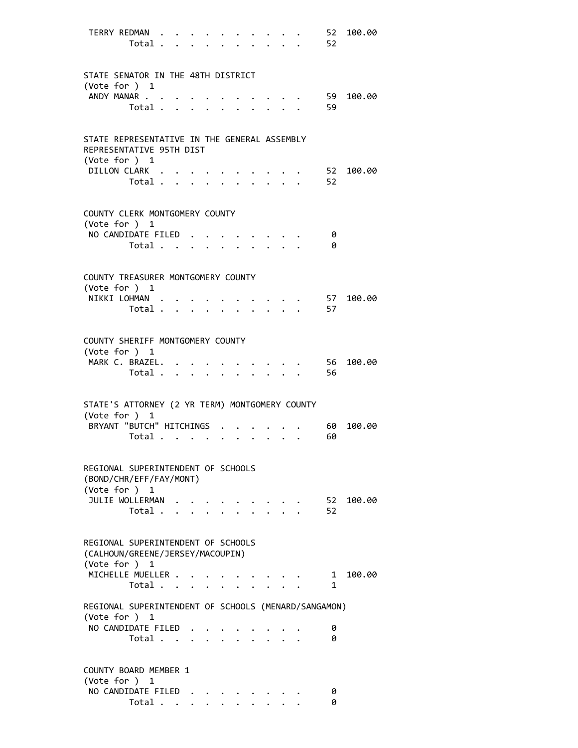| TERRY REDMAN<br>Total                                                                     |                      |  |                                         | 52<br>52          | 100.00 |
|-------------------------------------------------------------------------------------------|----------------------|--|-----------------------------------------|-------------------|--------|
| STATE SENATOR IN THE 48TH DISTRICT<br>(Vote for $)$ 1                                     |                      |  |                                         |                   |        |
| ANDY MANAR<br>Total $\ldots$ $\ldots$ $\ldots$ $\ldots$                                   |                      |  |                                         | 59<br>59          | 100.00 |
| STATE REPRESENTATIVE IN THE GENERAL ASSEMBLY<br>REPRESENTATIVE 95TH DIST<br>(Vote for ) 1 |                      |  |                                         |                   |        |
| DILLON CLARK<br>Total                                                                     |                      |  |                                         | 52<br>52          | 100.00 |
| COUNTY CLERK MONTGOMERY COUNTY<br>(Vote for ) 1                                           |                      |  |                                         |                   |        |
| NO CANDIDATE FILED<br>Total                                                               |                      |  |                                         | 0<br>0            |        |
| COUNTY TREASURER MONTGOMERY COUNTY<br>(Vote for ) 1                                       |                      |  |                                         |                   |        |
| NIKKI LOHMAN.<br>Total .                                                                  | $\ddot{\phantom{a}}$ |  |                                         | 57<br>57          | 100.00 |
| COUNTY SHERIFF MONTGOMERY COUNTY<br>(Vote for $)$ 1                                       |                      |  |                                         |                   |        |
| MARK C. BRAZEL.<br>Total $\cdot$                                                          |                      |  |                                         | 56<br>56          | 100.00 |
| STATE'S ATTORNEY (2 YR TERM) MONTGOMERY COUNTY<br>(Vote for $)$ 1                         |                      |  |                                         |                   |        |
| BRYANT "BUTCH" HITCHINGS<br>Total $\cdots$ $\cdots$                                       |                      |  | $\cdot$ $\cdot$ $\cdot$ $\cdot$ $\cdot$ | 60<br>60          | 100.00 |
| REGIONAL SUPERINTENDENT OF SCHOOLS<br>(BOND/CHR/EFF/FAY/MONT)<br>(Vote for $)$ 1          |                      |  |                                         |                   |        |
| JULIE WOLLERMAN<br>Total                                                                  |                      |  |                                         | 52<br>52          | 100.00 |
| REGIONAL SUPERINTENDENT OF SCHOOLS<br>(CALHOUN/GREENE/JERSEY/MACOUPIN)<br>(Vote for ) 1   |                      |  |                                         |                   |        |
| MICHELLE MUELLER<br>Total                                                                 |                      |  |                                         | $\mathbf{1}$<br>1 | 100.00 |
| REGIONAL SUPERINTENDENT OF SCHOOLS (MENARD/SANGAMON)<br>(Vote for ) 1                     |                      |  |                                         |                   |        |
| NO CANDIDATE FILED<br>Total                                                               |                      |  |                                         | 0<br>0            |        |
| COUNTY BOARD MEMBER 1<br>(Vote for $)$ 1                                                  |                      |  |                                         |                   |        |
| NO CANDIDATE FILED<br>Total                                                               |                      |  |                                         | 0<br>0            |        |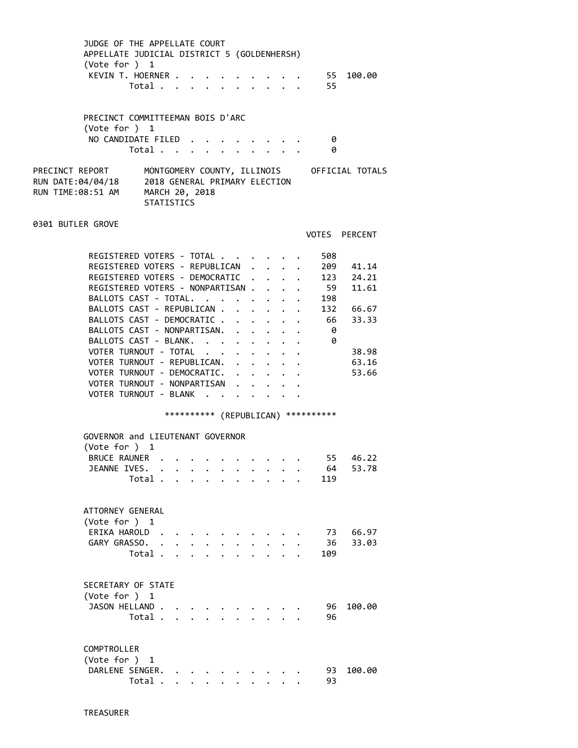| JUDGE OF THE APPELLATE COURT<br>APPELLATE JUDICIAL DISTRICT 5 (GOLDENHERSH)<br>(Vote for ) 1<br>KEVIN T. HOERNER                    | Total                               |                           |                      |                           |  |  |  | $\begin{array}{ccccccc}\n\cdot & \cdot & \cdot & \cdot & \cdot & 55 & 100.00 \\ \cdot & \cdot & \cdot & \cdot & \cdot & 55 & \end{array}$ |               |  |
|-------------------------------------------------------------------------------------------------------------------------------------|-------------------------------------|---------------------------|----------------------|---------------------------|--|--|--|-------------------------------------------------------------------------------------------------------------------------------------------|---------------|--|
| PRECINCT COMMITTEEMAN BOIS D'ARC<br>(Vote for ) 1                                                                                   |                                     |                           |                      |                           |  |  |  |                                                                                                                                           |               |  |
| NO CANDIDATE FILED                                                                                                                  | Total                               |                           |                      |                           |  |  |  | - 0<br>0                                                                                                                                  |               |  |
| PRECINCT REPORT MONTGOMERY COUNTY, ILLINOIS OFFICIAL TOTALS<br>RUN DATE:04/04/18 2018 GENERAL PRIMARY ELECTION<br>RUN TIME:08:51 AM | MARCH 20, 2018<br><b>STATISTICS</b> |                           |                      |                           |  |  |  |                                                                                                                                           |               |  |
| 0301 BUTLER GROVE                                                                                                                   |                                     |                           |                      |                           |  |  |  |                                                                                                                                           | VOTES PERCENT |  |
|                                                                                                                                     |                                     |                           |                      |                           |  |  |  |                                                                                                                                           |               |  |
| REGISTERED VOTERS - TOTAL<br>REGISTERED VOTERS - REPUBLICAN                                                                         |                                     |                           |                      |                           |  |  |  | 508                                                                                                                                       | 209 41.14     |  |
| REGISTERED VOTERS - DEMOCRATIC                                                                                                      |                                     |                           |                      |                           |  |  |  |                                                                                                                                           | 123 24.21     |  |
| REGISTERED VOTERS - NONPARTISAN                                                                                                     |                                     |                           |                      |                           |  |  |  | 59                                                                                                                                        | 11.61         |  |
| BALLOTS CAST - TOTAL.                                                                                                               |                                     |                           |                      |                           |  |  |  | 198                                                                                                                                       |               |  |
| BALLOTS CAST - REPUBLICAN 132 66.67                                                                                                 |                                     |                           |                      |                           |  |  |  |                                                                                                                                           |               |  |
| BALLOTS CAST - DEMOCRATIC                                                                                                           |                                     |                           |                      |                           |  |  |  | 66                                                                                                                                        | 33.33         |  |
| BALLOTS CAST - NONPARTISAN.                                                                                                         |                                     |                           |                      |                           |  |  |  | - 0                                                                                                                                       |               |  |
| BALLOTS CAST - BLANK.                                                                                                               |                                     |                           |                      |                           |  |  |  | $\theta$                                                                                                                                  |               |  |
| VOTER TURNOUT - TOTAL                                                                                                               |                                     |                           |                      |                           |  |  |  |                                                                                                                                           | 38.98         |  |
| VOTER TURNOUT - REPUBLICAN.                                                                                                         |                                     |                           |                      |                           |  |  |  |                                                                                                                                           | 63.16         |  |
| VOTER TURNOUT - DEMOCRATIC.                                                                                                         |                                     |                           |                      |                           |  |  |  |                                                                                                                                           | 53.66         |  |
| VOTER TURNOUT - NONPARTISAN                                                                                                         |                                     |                           |                      |                           |  |  |  |                                                                                                                                           |               |  |
| VOTER TURNOUT - BLANK                                                                                                               |                                     |                           |                      |                           |  |  |  |                                                                                                                                           |               |  |
|                                                                                                                                     |                                     |                           |                      |                           |  |  |  |                                                                                                                                           |               |  |
|                                                                                                                                     |                                     |                           |                      |                           |  |  |  | *********** (REPUBLICAN) ***********                                                                                                      |               |  |
| GOVERNOR and LIEUTENANT GOVERNOR                                                                                                    |                                     |                           |                      |                           |  |  |  |                                                                                                                                           |               |  |
| (Vote for $)$ 1                                                                                                                     |                                     |                           |                      |                           |  |  |  |                                                                                                                                           |               |  |
| BRUCE RAUNER                                                                                                                        |                                     |                           |                      |                           |  |  |  | 55                                                                                                                                        | 46.22         |  |
| JEANNE IVES.                                                                                                                        |                                     |                           |                      |                           |  |  |  | 64                                                                                                                                        | 53.78         |  |
|                                                                                                                                     | Total                               |                           |                      |                           |  |  |  | 119                                                                                                                                       |               |  |
|                                                                                                                                     |                                     |                           |                      |                           |  |  |  |                                                                                                                                           |               |  |
| ATTORNEY GENERAL<br>(Vote for ) 1                                                                                                   |                                     |                           |                      |                           |  |  |  |                                                                                                                                           |               |  |
| ERIKA HAROLD.                                                                                                                       |                                     |                           |                      |                           |  |  |  | 73                                                                                                                                        | 66.97         |  |
| GARY GRASSO.                                                                                                                        | $\ddot{\phantom{a}}$                |                           | $\ddot{\phantom{0}}$ |                           |  |  |  | 36                                                                                                                                        | 33.03         |  |
|                                                                                                                                     | Total .                             |                           |                      |                           |  |  |  | 109                                                                                                                                       |               |  |
|                                                                                                                                     |                                     |                           |                      |                           |  |  |  |                                                                                                                                           |               |  |
| SECRETARY OF STATE<br>(Vote for ) 1                                                                                                 |                                     |                           |                      |                           |  |  |  |                                                                                                                                           |               |  |
| JASON HELLAND                                                                                                                       |                                     |                           |                      |                           |  |  |  | 96                                                                                                                                        | 100.00        |  |
|                                                                                                                                     | Total                               |                           |                      |                           |  |  |  | 96                                                                                                                                        |               |  |
| COMPTROLLER<br>(Vote for ) 1                                                                                                        |                                     |                           |                      |                           |  |  |  |                                                                                                                                           |               |  |
| DARLENE SENGER.                                                                                                                     |                                     |                           |                      |                           |  |  |  | 93                                                                                                                                        | 100.00        |  |
|                                                                                                                                     | Total .                             | $\mathbf{L}^{\text{max}}$ |                      | $\mathbf{L} = \mathbf{L}$ |  |  |  | 93                                                                                                                                        |               |  |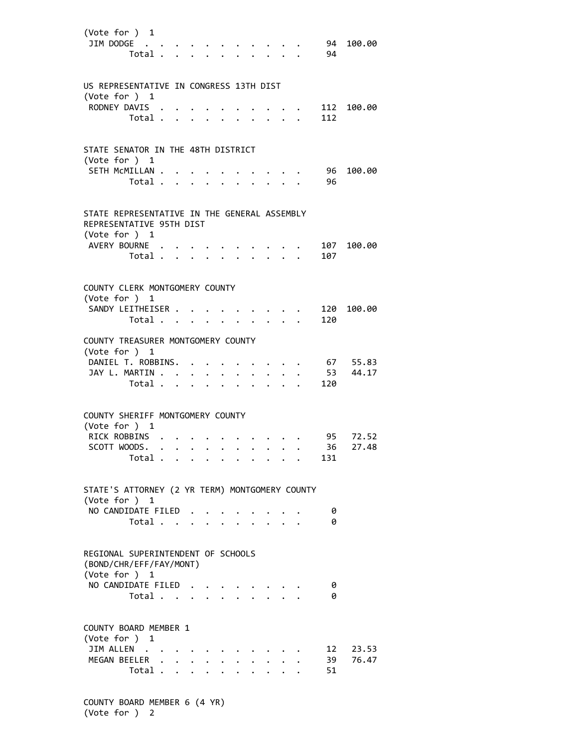| (Vote for ) 1<br>JIM DODGE                                                                | Total                |                                                           |                      |              |                      |                           |              |                                        |                           | 94<br>94 | 100.00            |
|-------------------------------------------------------------------------------------------|----------------------|-----------------------------------------------------------|----------------------|--------------|----------------------|---------------------------|--------------|----------------------------------------|---------------------------|----------|-------------------|
| US REPRESENTATIVE IN CONGRESS 13TH DIST                                                   |                      |                                                           |                      |              |                      |                           |              |                                        |                           |          |                   |
| (Vote for ) $1$                                                                           |                      |                                                           |                      |              |                      |                           |              |                                        |                           |          |                   |
| RODNEY DAVIS .                                                                            |                      |                                                           |                      |              |                      |                           |              |                                        |                           |          | 112 100.00        |
|                                                                                           | Total                |                                                           |                      |              | $\ddot{\phantom{0}}$ |                           |              |                                        |                           | 112      |                   |
|                                                                                           |                      |                                                           |                      |              |                      |                           |              |                                        |                           |          |                   |
| STATE SENATOR IN THE 48TH DISTRICT                                                        |                      |                                                           |                      |              |                      |                           |              |                                        |                           |          |                   |
| (Vote for ) 1                                                                             |                      |                                                           |                      |              |                      |                           |              |                                        |                           |          |                   |
| SETH MCMILLAN                                                                             |                      |                                                           |                      |              |                      |                           |              |                                        |                           | 96       | 100.00            |
|                                                                                           | Total                |                                                           |                      |              |                      | $\mathbf{L}$              |              | $\mathbf{r}$ . The set of $\mathbf{r}$ |                           | 96       |                   |
|                                                                                           |                      |                                                           |                      |              |                      |                           |              |                                        |                           |          |                   |
| STATE REPRESENTATIVE IN THE GENERAL ASSEMBLY<br>REPRESENTATIVE 95TH DIST<br>(Vote for ) 1 |                      |                                                           |                      |              |                      |                           |              |                                        |                           |          |                   |
| AVERY BOURNE                                                                              |                      |                                                           |                      |              |                      |                           |              |                                        |                           |          | 107 100.00        |
|                                                                                           | Total                |                                                           |                      | $\mathbf{L}$ |                      | $\mathbf{r} = \mathbf{r}$ | $\mathbf{L}$ |                                        | $\mathbf{L} = \mathbf{L}$ | 107      |                   |
|                                                                                           |                      |                                                           |                      |              |                      |                           |              |                                        |                           |          |                   |
| COUNTY CLERK MONTGOMERY COUNTY<br>(Vote for ) 1                                           |                      |                                                           |                      |              |                      |                           |              |                                        |                           |          |                   |
| SANDY LEITHEISER                                                                          |                      |                                                           |                      |              |                      |                           |              |                                        |                           | 120      | 100.00            |
|                                                                                           | Total                |                                                           |                      |              |                      |                           |              |                                        |                           | 120      |                   |
| COUNTY TREASURER MONTGOMERY COUNTY<br>(Vote for ) 1                                       |                      |                                                           |                      |              |                      |                           |              |                                        |                           |          |                   |
| DANIEL T. ROBBINS.<br>JAY L. MARTIN                                                       |                      |                                                           |                      |              |                      |                           |              |                                        |                           | 53       | 67 55.83<br>44.17 |
|                                                                                           | Total                |                                                           |                      |              |                      | $\cdot$ $\cdot$ $\cdot$   |              |                                        |                           | 120      |                   |
|                                                                                           |                      |                                                           |                      |              |                      |                           |              |                                        |                           |          |                   |
| COUNTY SHERIFF MONTGOMERY COUNTY<br>(Vote for ) 1                                         |                      |                                                           |                      |              |                      |                           |              |                                        |                           |          |                   |
| RICK ROBBINS                                                                              |                      |                                                           |                      |              |                      |                           |              |                                        |                           | 95 —     | 72.52             |
| SCOTT WOODS.                                                                              |                      |                                                           |                      |              |                      |                           |              |                                        |                           | 36       | 27.48             |
|                                                                                           | Total                |                                                           |                      |              |                      |                           |              |                                        |                           | 131      |                   |
| STATE'S ATTORNEY (2 YR TERM) MONTGOMERY COUNTY<br>(Vote for ) 1                           |                      |                                                           |                      |              |                      |                           |              |                                        |                           |          |                   |
| NO CANDIDATE FILED                                                                        |                      |                                                           |                      |              |                      |                           |              |                                        |                           | 0        |                   |
|                                                                                           | Total                |                                                           |                      |              |                      |                           |              |                                        |                           | 0        |                   |
|                                                                                           |                      |                                                           |                      |              |                      |                           |              |                                        |                           |          |                   |
| REGIONAL SUPERINTENDENT OF SCHOOLS<br>(BOND/CHR/EFF/FAY/MONT)<br>(Vote for ) 1            |                      |                                                           |                      |              |                      |                           |              |                                        |                           |          |                   |
| NO CANDIDATE FILED                                                                        |                      |                                                           |                      |              |                      |                           |              |                                        |                           | 0        |                   |
|                                                                                           | Total                |                                                           |                      |              |                      |                           |              |                                        |                           | 0        |                   |
|                                                                                           |                      |                                                           |                      |              |                      |                           |              |                                        |                           |          |                   |
| COUNTY BOARD MEMBER 1<br>(Vote for ) 1                                                    |                      |                                                           |                      |              |                      |                           |              |                                        |                           |          |                   |
| JIM ALLEN .<br>MEGAN BEELER                                                               | $\ddot{\phantom{a}}$ | $\mathbf{r}$ , $\mathbf{r}$ , $\mathbf{r}$ , $\mathbf{r}$ |                      |              |                      |                           |              |                                        |                           | 12<br>39 | 23.53<br>76.47    |
|                                                                                           | Total                |                                                           | $\ddot{\phantom{0}}$ | $\mathbf{r}$ |                      |                           | $\mathbf{L}$ |                                        |                           | 51       |                   |
|                                                                                           |                      |                                                           |                      |              |                      |                           |              |                                        |                           |          |                   |

 COUNTY BOARD MEMBER 6 (4 YR) (Vote for ) 2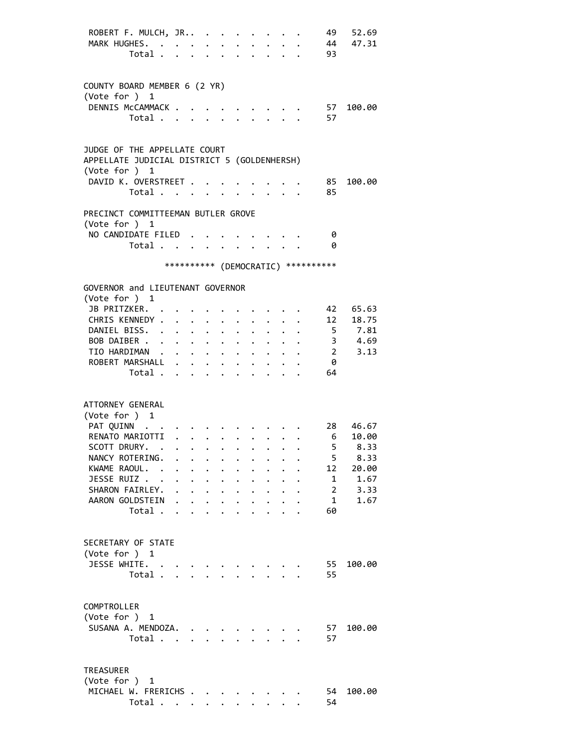| ROBERT F. MULCH, JR<br>MARK HUGHES.<br>Total                                                                                                                                                                                                                                                                                                                                                                           |                                                                                                                                                                                     |                                                                                                        | $\sim 10^{-11}$<br>$\mathbf{L}$                    | $\sim$                                                                   |                                              | $\mathbf{L}$                                 |                                                                         |                                     | 49<br>93                                                                            | 52.69<br>44 47.31                                               |
|------------------------------------------------------------------------------------------------------------------------------------------------------------------------------------------------------------------------------------------------------------------------------------------------------------------------------------------------------------------------------------------------------------------------|-------------------------------------------------------------------------------------------------------------------------------------------------------------------------------------|--------------------------------------------------------------------------------------------------------|----------------------------------------------------|--------------------------------------------------------------------------|----------------------------------------------|----------------------------------------------|-------------------------------------------------------------------------|-------------------------------------|-------------------------------------------------------------------------------------|-----------------------------------------------------------------|
| COUNTY BOARD MEMBER 6 (2 YR)<br>(Vote for ) 1<br>DENNIS McCAMMACK .<br>Total                                                                                                                                                                                                                                                                                                                                           |                                                                                                                                                                                     |                                                                                                        |                                                    |                                                                          |                                              |                                              |                                                                         |                                     | 57<br>57                                                                            | 100.00                                                          |
| JUDGE OF THE APPELLATE COURT<br>APPELLATE JUDICIAL DISTRICT 5 (GOLDENHERSH)<br>(Vote for $)$ 1<br>DAVID K. OVERSTREET .                                                                                                                                                                                                                                                                                                |                                                                                                                                                                                     |                                                                                                        |                                                    |                                                                          |                                              |                                              |                                                                         |                                     | 85                                                                                  | 100.00                                                          |
| Total                                                                                                                                                                                                                                                                                                                                                                                                                  |                                                                                                                                                                                     |                                                                                                        |                                                    |                                                                          |                                              |                                              |                                                                         |                                     | 85                                                                                  |                                                                 |
| PRECINCT COMMITTEEMAN BUTLER GROVE<br>(Vote for $)$ 1<br>NO CANDIDATE FILED.<br>Total                                                                                                                                                                                                                                                                                                                                  |                                                                                                                                                                                     |                                                                                                        |                                                    |                                                                          |                                              |                                              |                                                                         |                                     | - 0<br>- 0                                                                          |                                                                 |
|                                                                                                                                                                                                                                                                                                                                                                                                                        |                                                                                                                                                                                     |                                                                                                        |                                                    |                                                                          |                                              |                                              |                                                                         | *********** (DEMOCRATIC) ********** |                                                                                     |                                                                 |
| GOVERNOR and LIEUTENANT GOVERNOR<br>(Vote for $)$ 1<br>JB PRITZKER. .<br>CHRIS KENNEDY .<br>DANIEL BISS. .<br>$\ddot{\phantom{0}}$<br>BOB DAIBER<br>TIO HARDIMAN<br>ROBERT MARSHALL .<br>Total                                                                                                                                                                                                                         | $\mathbf{r} = \mathbf{r} + \mathbf{r} + \mathbf{r}$ .<br>$\ddot{\phantom{0}}$<br>$\mathbf{r} = \mathbf{r} \mathbf{r}$ , where $\mathbf{r} = \mathbf{r}$                             | $\ddot{\phantom{0}}$<br>$\bullet$ , $\bullet$ , $\bullet$ , $\bullet$<br>$\mathbf{L}$ and $\mathbf{L}$ | $\ddot{\phantom{0}}$<br>$\bullet$ .<br>$\bullet$ . | $\bullet$ .<br>$\ddot{\phantom{0}}$<br>$\bullet$<br>$\ddot{\phantom{0}}$ |                                              |                                              |                                                                         |                                     | 42<br>$\overline{\mathbf{2}}$<br>- 0<br>64                                          | 65.63<br>12 18.75<br>5 7.81<br>3 4.69<br>3.13                   |
| ATTORNEY GENERAL<br>(Vote for ) 1<br>PAT QUINN<br>RENATO MARIOTTI<br>SCOTT DRURY.<br>. The contribution of the contribution of the contribution of the contribution of the contribution of the contribution of the contribution of the contribution of the contribution of the contribution of the contribution of<br>NANCY ROTERING.<br>KWAME RAOUL. .<br>JESSE RUIZ<br>SHARON FAIRLEY.<br>AARON GOLDSTEIN<br>Total . | $\cdot$ $\cdot$ $\cdot$ $\cdot$ $\cdot$ $\cdot$<br>$\cdot$ $\cdot$ $\cdot$ $\cdot$ $\cdot$<br>$\mathbf{r} = \mathbf{r} - \mathbf{r}$ , where $\mathbf{r} = \mathbf{r} - \mathbf{r}$ | $\cdot$ $\cdot$                                                                                        | $\ddot{\phantom{0}}$                               | $\ddot{\phantom{0}}$                                                     | $\ddot{\phantom{0}}$<br>$\ddot{\phantom{0}}$ | $\ddot{\phantom{0}}$<br>$\ddot{\phantom{a}}$ | $\cdot$ $\cdot$ $\cdot$ $\cdot$<br>$\mathbf{L}$<br>$\ddot{\phantom{a}}$ |                                     | 28 —<br>6 <sup>6</sup><br>5<br>5<br>12<br>1<br>$\overline{2}$<br>$\mathbf{1}$<br>60 | 46.67<br>10.00<br>8.33<br>8.33<br>20.00<br>1.67<br>3.33<br>1.67 |
| SECRETARY OF STATE<br>(Vote for ) 1<br>JESSE WHITE.<br>Total                                                                                                                                                                                                                                                                                                                                                           |                                                                                                                                                                                     |                                                                                                        |                                                    | $\mathbf{L} = \mathbf{L}$                                                |                                              |                                              | $\mathbf{r} = \mathbf{r} \mathbf{r}$                                    |                                     | 55<br>55                                                                            | 100.00                                                          |
| COMPTROLLER<br>(Vote for ) 1<br>SUSANA A. MENDOZA.<br>Total                                                                                                                                                                                                                                                                                                                                                            | $\sim$                                                                                                                                                                              | $\mathbf{A}$                                                                                           |                                                    |                                                                          |                                              |                                              |                                                                         |                                     | 57<br>57                                                                            | 100.00                                                          |
| <b>TREASURER</b><br>(Vote for ) 1<br>MICHAEL W. FRERICHS<br>Total                                                                                                                                                                                                                                                                                                                                                      |                                                                                                                                                                                     |                                                                                                        |                                                    |                                                                          |                                              |                                              |                                                                         |                                     | 54<br>54                                                                            | 100.00                                                          |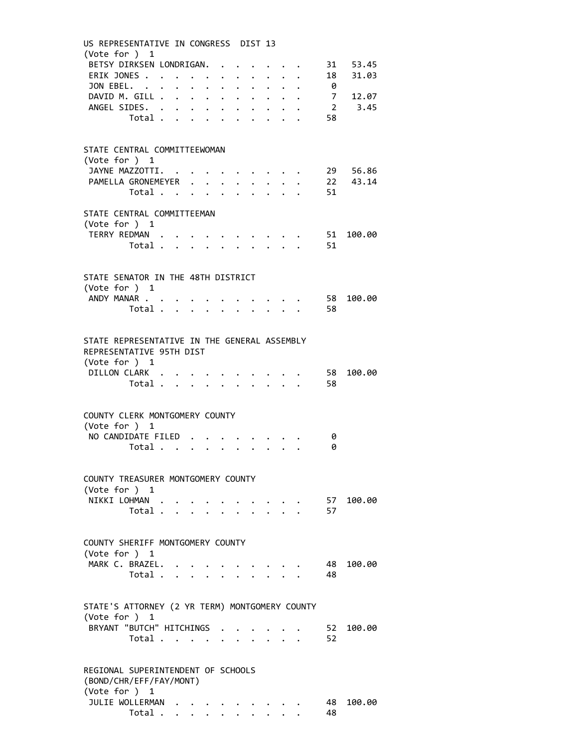| US REPRESENTATIVE IN CONGRESS DIST 13<br>(Vote for ) 1                                    |                         |  |              |                               |                                                                 |                                                                                                                                                                                                                                |               |                           |                                                                       |          |                            |
|-------------------------------------------------------------------------------------------|-------------------------|--|--------------|-------------------------------|-----------------------------------------------------------------|--------------------------------------------------------------------------------------------------------------------------------------------------------------------------------------------------------------------------------|---------------|---------------------------|-----------------------------------------------------------------------|----------|----------------------------|
| BETSY DIRKSEN LONDRIGAN.                                                                  |                         |  |              |                               |                                                                 |                                                                                                                                                                                                                                |               |                           |                                                                       |          | . 31 53.45                 |
| ERIK JONES<br>JON EBEL.                                                                   |                         |  |              |                               |                                                                 |                                                                                                                                                                                                                                |               |                           |                                                                       |          | 18 31.03                   |
| DAVID M. GILL                                                                             |                         |  | $\bullet$ .  | $\ddot{\phantom{0}}$          | $\mathbf{L} = \mathbf{L} \mathbf{L}$<br>$\cdot$ $\cdot$ $\cdot$ |                                                                                                                                                                                                                                |               |                           |                                                                       |          | 0<br>7        12.07        |
| ANGEL SIDES.                                                                              |                         |  | $\mathbf{L}$ |                               | $\cdot$ $\cdot$ $\cdot$                                         | $\ddot{\phantom{0}}$                                                                                                                                                                                                           | $\mathbf{L}$  |                           |                                                                       |          | $2 \t3.45$                 |
|                                                                                           | Total                   |  |              |                               | $\mathbf{L}$                                                    |                                                                                                                                                                                                                                |               | $\mathbf{L} = \mathbf{L}$ |                                                                       | 58       |                            |
|                                                                                           |                         |  |              |                               |                                                                 |                                                                                                                                                                                                                                |               |                           |                                                                       |          |                            |
|                                                                                           |                         |  |              |                               |                                                                 |                                                                                                                                                                                                                                |               |                           |                                                                       |          |                            |
| STATE CENTRAL COMMITTEEWOMAN<br>(Vote for ) 1                                             |                         |  |              |                               |                                                                 |                                                                                                                                                                                                                                |               |                           |                                                                       |          |                            |
| JAYNE MAZZOTTI. .                                                                         |                         |  |              |                               |                                                                 |                                                                                                                                                                                                                                |               |                           |                                                                       |          |                            |
| PAMELLA GRONEMEYER .                                                                      |                         |  |              | $\mathbf{L}$                  | $\bullet$ .                                                     |                                                                                                                                                                                                                                |               |                           |                                                                       |          | 29 56.86<br>22 43.14<br>51 |
|                                                                                           | Total                   |  |              | $\mathbf{L}$ and $\mathbf{L}$ |                                                                 |                                                                                                                                                                                                                                |               |                           |                                                                       |          |                            |
|                                                                                           |                         |  |              |                               |                                                                 |                                                                                                                                                                                                                                |               |                           |                                                                       |          |                            |
| STATE CENTRAL COMMITTEEMAN<br>(Vote for $)$ 1                                             |                         |  |              |                               |                                                                 |                                                                                                                                                                                                                                |               |                           |                                                                       |          |                            |
| TERRY REDMAN .                                                                            |                         |  |              |                               |                                                                 |                                                                                                                                                                                                                                |               |                           |                                                                       |          | . 51 100.00                |
|                                                                                           | Total                   |  |              |                               |                                                                 |                                                                                                                                                                                                                                |               |                           | $\cdot$ 51                                                            |          |                            |
|                                                                                           |                         |  |              |                               |                                                                 |                                                                                                                                                                                                                                |               |                           |                                                                       |          |                            |
|                                                                                           |                         |  |              |                               |                                                                 |                                                                                                                                                                                                                                |               |                           |                                                                       |          |                            |
| STATE SENATOR IN THE 48TH DISTRICT<br>(Vote for ) 1                                       |                         |  |              |                               |                                                                 |                                                                                                                                                                                                                                |               |                           |                                                                       |          |                            |
| ANDY MANAR                                                                                |                         |  |              |                               |                                                                 |                                                                                                                                                                                                                                |               |                           | . 58                                                                  |          | 100.00                     |
|                                                                                           | Total                   |  |              |                               |                                                                 | $\ddot{\phantom{0}}$                                                                                                                                                                                                           |               |                           | $\cdot$ $\cdot$ 58                                                    |          |                            |
|                                                                                           |                         |  |              |                               |                                                                 |                                                                                                                                                                                                                                |               |                           |                                                                       |          |                            |
| STATE REPRESENTATIVE IN THE GENERAL ASSEMBLY<br>REPRESENTATIVE 95TH DIST<br>(Vote for ) 1 |                         |  |              |                               |                                                                 |                                                                                                                                                                                                                                |               |                           |                                                                       |          |                            |
| DILLON CLARK                                                                              |                         |  |              |                               |                                                                 |                                                                                                                                                                                                                                |               |                           |                                                                       | 58       | 100.00                     |
|                                                                                           | Total 58                |  |              |                               |                                                                 |                                                                                                                                                                                                                                |               |                           |                                                                       |          |                            |
|                                                                                           |                         |  |              |                               |                                                                 |                                                                                                                                                                                                                                |               |                           |                                                                       |          |                            |
| COUNTY CLERK MONTGOMERY COUNTY                                                            |                         |  |              |                               |                                                                 |                                                                                                                                                                                                                                |               |                           |                                                                       |          |                            |
| (Vote for ) 1                                                                             |                         |  |              |                               |                                                                 |                                                                                                                                                                                                                                |               |                           |                                                                       |          |                            |
| NO CANDIDATE FILED                                                                        |                         |  |              |                               |                                                                 |                                                                                                                                                                                                                                |               |                           |                                                                       | 0        |                            |
|                                                                                           | Total $\cdots$ $\cdots$ |  |              |                               |                                                                 | $\ddot{\phantom{0}}$                                                                                                                                                                                                           | $\mathbf{L}$  |                           |                                                                       | 0        |                            |
| COUNTY TREASURER MONTGOMERY COUNTY                                                        |                         |  |              |                               |                                                                 |                                                                                                                                                                                                                                |               |                           |                                                                       |          |                            |
| (Vote for ) $1$                                                                           |                         |  |              |                               |                                                                 |                                                                                                                                                                                                                                |               |                           |                                                                       |          |                            |
| NIKKI LOHMAN                                                                              |                         |  |              |                               |                                                                 |                                                                                                                                                                                                                                |               |                           | $\mathbf{r}$ , and $\mathbf{r}$ , and $\mathbf{r}$ , and $\mathbf{r}$ |          | 57 100.00                  |
|                                                                                           | Total                   |  |              |                               |                                                                 |                                                                                                                                                                                                                                | $\sim$ $\sim$ |                           |                                                                       | 57       |                            |
|                                                                                           |                         |  |              |                               |                                                                 |                                                                                                                                                                                                                                |               |                           |                                                                       |          |                            |
| COUNTY SHERIFF MONTGOMERY COUNTY                                                          |                         |  |              |                               |                                                                 |                                                                                                                                                                                                                                |               |                           |                                                                       |          |                            |
| (Vote for ) $1$                                                                           |                         |  |              |                               |                                                                 |                                                                                                                                                                                                                                |               |                           |                                                                       |          |                            |
| MARK C. BRAZEL.                                                                           |                         |  |              |                               |                                                                 | and the contract of the contract of the contract of the contract of the contract of the contract of the contract of the contract of the contract of the contract of the contract of the contract of the contract of the contra |               |                           |                                                                       | - 48     | 100.00                     |
|                                                                                           | Total 48                |  |              |                               |                                                                 |                                                                                                                                                                                                                                |               |                           |                                                                       |          |                            |
|                                                                                           |                         |  |              |                               |                                                                 |                                                                                                                                                                                                                                |               |                           |                                                                       |          |                            |
| STATE'S ATTORNEY (2 YR TERM) MONTGOMERY COUNTY                                            |                         |  |              |                               |                                                                 |                                                                                                                                                                                                                                |               |                           |                                                                       |          |                            |
| (Vote for ) 1                                                                             |                         |  |              |                               |                                                                 |                                                                                                                                                                                                                                |               |                           |                                                                       |          |                            |
| BRYANT "BUTCH" HITCHINGS 52                                                               |                         |  |              |                               |                                                                 |                                                                                                                                                                                                                                |               |                           |                                                                       |          | 100.00                     |
|                                                                                           | Total $\cdots$          |  |              |                               |                                                                 |                                                                                                                                                                                                                                |               |                           |                                                                       | 52       |                            |
|                                                                                           |                         |  |              |                               |                                                                 |                                                                                                                                                                                                                                |               |                           |                                                                       |          |                            |
| REGIONAL SUPERINTENDENT OF SCHOOLS                                                        |                         |  |              |                               |                                                                 |                                                                                                                                                                                                                                |               |                           |                                                                       |          |                            |
| (BOND/CHR/EFF/FAY/MONT)                                                                   |                         |  |              |                               |                                                                 |                                                                                                                                                                                                                                |               |                           |                                                                       |          |                            |
| (Vote for ) 1                                                                             |                         |  |              |                               |                                                                 |                                                                                                                                                                                                                                |               |                           |                                                                       |          |                            |
| JULIE WOLLERMAN                                                                           |                         |  |              |                               |                                                                 |                                                                                                                                                                                                                                |               |                           |                                                                       | 48<br>48 | 100.00                     |
|                                                                                           | Total $\cdots$ $\cdots$ |  |              |                               |                                                                 |                                                                                                                                                                                                                                |               |                           |                                                                       |          |                            |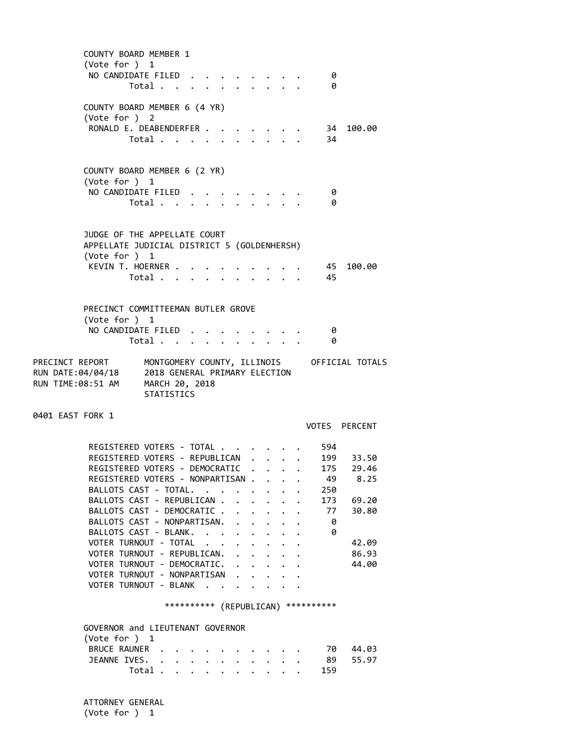| (Vote for ) 1<br>NO CANDIDATE FILED                                                                                                                                                                                                                                                                                                                                                                                                                                                                     | Total      | <b>COUNTY BOARD MEMBER 1</b> |                      |                                              |                                                                      |                                |  | - 0<br>- 0                                                                                   |                                                                                  |
|---------------------------------------------------------------------------------------------------------------------------------------------------------------------------------------------------------------------------------------------------------------------------------------------------------------------------------------------------------------------------------------------------------------------------------------------------------------------------------------------------------|------------|------------------------------|----------------------|----------------------------------------------|----------------------------------------------------------------------|--------------------------------|--|----------------------------------------------------------------------------------------------|----------------------------------------------------------------------------------|
| COUNTY BOARD MEMBER 6 (4 YR)<br>(Vote for ) 2<br>RONALD E. DEABENDERFER                                                                                                                                                                                                                                                                                                                                                                                                                                 | Total      |                              |                      |                                              |                                                                      |                                |  | $\cdot \cdot \cdot$ 34<br>34                                                                 | 100.00                                                                           |
| COUNTY BOARD MEMBER 6 (2 YR)<br>(Vote for $)$ 1<br>NO CANDIDATE FILED                                                                                                                                                                                                                                                                                                                                                                                                                                   | Total      |                              | $\ddot{\phantom{0}}$ |                                              |                                                                      |                                |  | - 0<br>- 0                                                                                   |                                                                                  |
| JUDGE OF THE APPELLATE COURT<br>APPELLATE JUDICIAL DISTRICT 5 (GOLDENHERSH)<br>(Vote for ) 1                                                                                                                                                                                                                                                                                                                                                                                                            |            |                              |                      |                                              |                                                                      |                                |  |                                                                                              |                                                                                  |
| KEVIN T. HOERNER                                                                                                                                                                                                                                                                                                                                                                                                                                                                                        | Total      |                              |                      |                                              |                                                                      |                                |  | $\cdot$ $\cdot$ 45<br>- 45                                                                   | 100.00                                                                           |
| PRECINCT COMMITTEEMAN BUTLER GROVE<br>(Vote for ) 1                                                                                                                                                                                                                                                                                                                                                                                                                                                     |            |                              |                      |                                              |                                                                      |                                |  |                                                                                              |                                                                                  |
| NO CANDIDATE FILED.                                                                                                                                                                                                                                                                                                                                                                                                                                                                                     | Total      |                              |                      |                                              |                                                                      | $\mathbf{L}$                   |  | 0<br>- 0                                                                                     |                                                                                  |
| PRECINCT REPORT<br>RUN DATE:04/04/18 2018 GENERAL PRIMARY ELECTION<br>RUN TIME:08:51 AM MARCH 20, 2018                                                                                                                                                                                                                                                                                                                                                                                                  | STATISTICS |                              |                      |                                              |                                                                      |                                |  |                                                                                              | MONTGOMERY COUNTY, ILLINOIS OFFICIAL TOTALS                                      |
| 0401 EAST FORK 1                                                                                                                                                                                                                                                                                                                                                                                                                                                                                        |            |                              |                      |                                              |                                                                      |                                |  |                                                                                              |                                                                                  |
|                                                                                                                                                                                                                                                                                                                                                                                                                                                                                                         |            |                              |                      |                                              |                                                                      |                                |  |                                                                                              | VOTES PERCENT                                                                    |
| REGISTERED VOTERS - TOTAL<br>REGISTERED VOTERS - REPUBLICAN<br>REGISTERED VOTERS - DEMOCRATIC<br>REGISTERED VOTERS - NONPARTISAN .<br>BALLOTS CAST - TOTAL.<br>BALLOTS CAST - REPUBLICAN .<br>BALLOTS CAST - DEMOCRATIC .<br>BALLOTS CAST - NONPARTISAN.<br>BALLOTS CAST - BLANK.<br>VOTER TURNOUT - TOTAL<br>VOTER TURNOUT - REPUBLICAN. .<br>VOTER TURNOUT - DEMOCRATIC.<br>VOTER TURNOUT - NONPARTISAN<br>VOTER TURNOUT - BLANK<br>GOVERNOR and LIEUTENANT GOVERNOR<br>(Vote for ) 1<br>BRUCE RAUNER |            |                              |                      | $\ddot{\phantom{0}}$<br>$\ddot{\phantom{0}}$ | $\ddot{\phantom{0}}$<br>$\ddot{\phantom{0}}$<br>$\ddot{\phantom{0}}$ | $\sim$<br>$\ddot{\phantom{0}}$ |  | 594<br>175<br>49<br>250<br>173<br>77<br>0<br>0<br>*********** (REPUBLICAN) ***********<br>70 | 199 33.50<br>29.46<br>8.25<br>69.20<br>30.80<br>42.09<br>86.93<br>44.00<br>44.03 |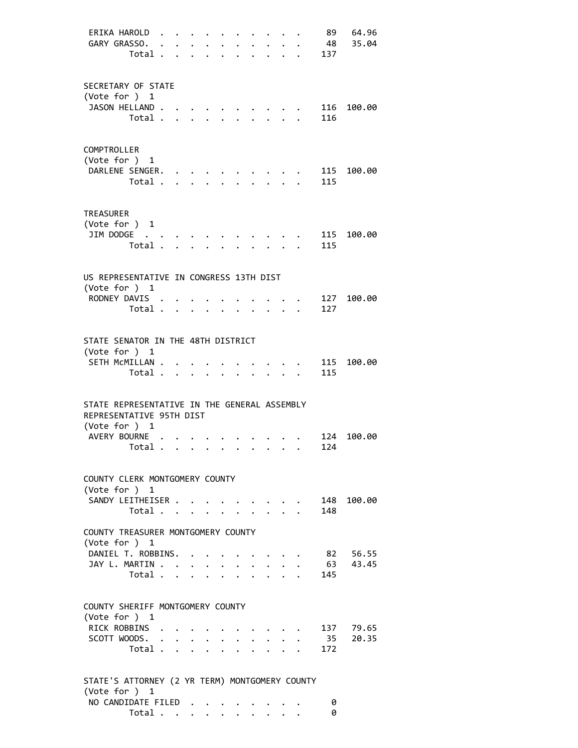| ERIKA HAROLD<br>GARY GRASSO.<br>Total .                                                                   |         | $\mathbf{L}$<br>$\ddot{\phantom{a}}$ | $\ddot{\phantom{a}}$            | $\ddot{\phantom{0}}$<br><b>Contract Contract Contract</b> | $\ddot{\phantom{0}}$<br>$\ddot{\phantom{0}}$ | $\ddot{\phantom{a}}$ | $\bullet$ . The set of $\bullet$<br>$\ddot{\phantom{0}}$ |                                                                | $\cdot$ $\cdot$<br>$\mathbf{r}$ . The set of $\mathbf{r}$ | 137        | 89 64.96<br>48 35.04 |
|-----------------------------------------------------------------------------------------------------------|---------|--------------------------------------|---------------------------------|-----------------------------------------------------------|----------------------------------------------|----------------------|----------------------------------------------------------|----------------------------------------------------------------|-----------------------------------------------------------|------------|----------------------|
| SECRETARY OF STATE                                                                                        |         |                                      |                                 |                                                           |                                              |                      |                                                          |                                                                |                                                           |            |                      |
| (Vote for ) 1<br>JASON HELLAND.                                                                           | Total   |                                      |                                 |                                                           | $\mathcal{L}^{\text{max}}$                   |                      |                                                          |                                                                |                                                           | 116<br>116 | 100.00               |
| COMPTROLLER                                                                                               |         |                                      |                                 |                                                           |                                              |                      |                                                          |                                                                |                                                           |            |                      |
| (Vote for ) 1<br>DARLENE SENGER.                                                                          |         |                                      |                                 |                                                           |                                              |                      |                                                          |                                                                |                                                           |            | 115 100.00           |
| Total.                                                                                                    |         |                                      | $\mathbf{r}$                    |                                                           |                                              |                      |                                                          |                                                                |                                                           | 115        |                      |
| <b>TREASURER</b>                                                                                          |         |                                      |                                 |                                                           |                                              |                      |                                                          |                                                                |                                                           |            |                      |
| (Vote for ) 1<br>JIM DODGE                                                                                |         |                                      |                                 |                                                           |                                              |                      |                                                          |                                                                |                                                           |            | 115 100.00           |
|                                                                                                           | Total   |                                      |                                 |                                                           |                                              |                      |                                                          |                                                                |                                                           | 115        |                      |
| US REPRESENTATIVE IN CONGRESS 13TH DIST                                                                   |         |                                      |                                 |                                                           |                                              |                      |                                                          |                                                                |                                                           |            |                      |
| (Vote for $)$ 1<br>RODNEY DAVIS.                                                                          |         |                                      |                                 |                                                           |                                              |                      |                                                          |                                                                |                                                           | 127        | 100.00               |
|                                                                                                           | Total . |                                      | $\cdot$ $\cdot$ $\cdot$ $\cdot$ |                                                           | $\ddot{\phantom{0}}$                         | $\bullet$            | $\bullet$ . The set of $\bullet$                         |                                                                | $\cdot$ $\cdot$ $\cdot$                                   | 127        |                      |
| STATE SENATOR IN THE 48TH DISTRICT                                                                        |         |                                      |                                 |                                                           |                                              |                      |                                                          |                                                                |                                                           |            |                      |
| (Vote for ) 1                                                                                             |         |                                      |                                 |                                                           |                                              |                      |                                                          |                                                                |                                                           |            |                      |
| SETH MCMILLAN .<br>Total .                                                                                |         | $\mathbf{L}^{\text{max}}$            |                                 | $\cdot$ $\cdot$ $\cdot$                                   | $\overline{a}$                               | $\mathbf{r}$         | $\mathbb{R}^{n}$                                         |                                                                |                                                           | 115<br>115 | 100.00               |
| STATE REPRESENTATIVE IN THE GENERAL ASSEMBLY<br>REPRESENTATIVE 95TH DIST<br>(Vote for ) 1<br>AVERY BOURNE |         |                                      |                                 |                                                           |                                              | $\sim$               |                                                          | $\sim$ $\sim$ $\sim$ $\sim$                                    |                                                           | 124        | 124 100.00           |
| . Total                                                                                                   |         |                                      |                                 |                                                           |                                              |                      |                                                          |                                                                |                                                           |            |                      |
| COUNTY CLERK MONTGOMERY COUNTY<br>(Vote for ) 1                                                           |         |                                      |                                 |                                                           |                                              |                      |                                                          |                                                                |                                                           |            |                      |
| SANDY LEITHEISER                                                                                          |         |                                      |                                 |                                                           |                                              |                      |                                                          |                                                                |                                                           |            | 148 100.00           |
|                                                                                                           | Total   |                                      |                                 |                                                           |                                              |                      |                                                          |                                                                |                                                           | 148        |                      |
| COUNTY TREASURER MONTGOMERY COUNTY<br>(Vote for ) 1                                                       |         |                                      |                                 |                                                           |                                              |                      |                                                          |                                                                |                                                           |            |                      |
| DANIEL T. ROBBINS.                                                                                        |         |                                      |                                 |                                                           |                                              |                      |                                                          |                                                                |                                                           |            | 82 56.55             |
| JAY L. MARTIN                                                                                             | Total   |                                      |                                 |                                                           |                                              |                      | $\ddot{\phantom{0}}$<br>$\ddot{\phantom{0}}$             |                                                                | $\ddot{\phantom{0}}$<br>$\cdot$ $\cdot$ $\cdot$           | 63<br>145  | 43.45                |
| COUNTY SHERIFF MONTGOMERY COUNTY                                                                          |         |                                      |                                 |                                                           |                                              |                      |                                                          |                                                                |                                                           |            |                      |
| (Vote for $)$ 1<br>RICK ROBBINS .                                                                         |         |                                      |                                 |                                                           |                                              |                      |                                                          |                                                                |                                                           |            | 137 79.65            |
| SCOTT WOODS.                                                                                              | Total   |                                      |                                 |                                                           | $\mathbf{L}$                                 | $\ddot{\phantom{0}}$ |                                                          | $\mathbf{r}$ , $\mathbf{r}$<br>$\cdot$ $\cdot$ $\cdot$ $\cdot$ |                                                           | 172        | 35 20.35             |
| STATE'S ATTORNEY (2 YR TERM) MONTGOMERY COUNTY<br>(Vote for ) 1                                           |         |                                      |                                 |                                                           |                                              |                      |                                                          |                                                                |                                                           |            |                      |
| NO CANDIDATE FILED                                                                                        |         |                                      |                                 |                                                           |                                              |                      |                                                          |                                                                |                                                           | 0          |                      |

. . . . . . . . . . . . . . . 0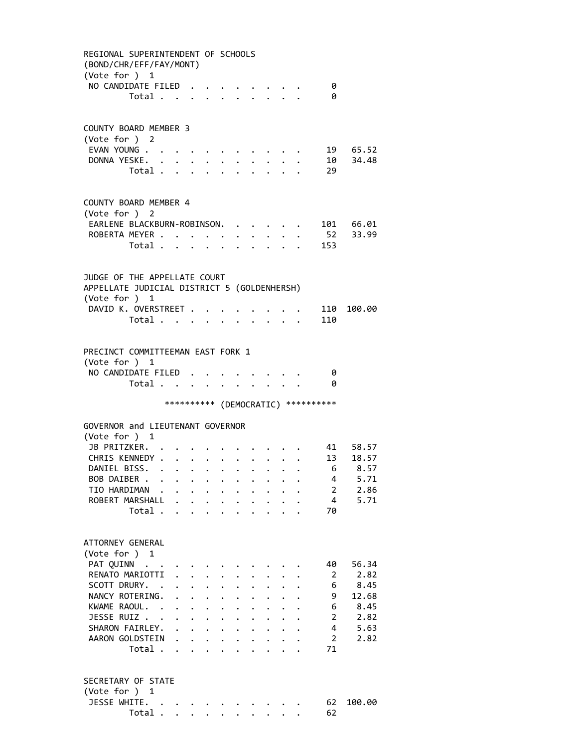REGIONAL SUPERINTENDENT OF SCHOOLS (BOND/CHR/EFF/FAY/MONT) (Vote for ) 1 NO CANDIDATE FILED . . . . . . . . 0 Total . . . . . . . . . . 0 COUNTY BOARD MEMBER 3 (Vote for ) 2 EVAN YOUNG . . . . . . . . . . . . 19 65.52 DONNA YESKE. . . . . . . . . . . 10 34.48 Total . . . . . . . . . . 29 COUNTY BOARD MEMBER 4 (Vote for ) 2 EARLENE BLACKBURN-ROBINSON. . . . . . 101 66.01<br>ROBERTA MEYER . . . . . . . . . . 52 33.99 ROBERTA MEYER . . . . . . . . . . 52 33.99 Total . . . . . . . . . . 153 JUDGE OF THE APPELLATE COURT APPELLATE JUDICIAL DISTRICT 5 (GOLDENHERSH) (Vote for ) 1 DAVID K. OVERSTREET . . . . . . . . 110 100.00 Total . . . . . . . . . . 110 PRECINCT COMMITTEEMAN EAST FORK 1 (Vote for ) 1 NO CANDIDATE FILED . . . . . . . . 0 Total . . . . . . . . . . 0 \*\*\*\*\*\*\*\*\*\* (DEMOCRATIC) \*\*\*\*\*\*\*\*\*\* GOVERNOR and LIEUTENANT GOVERNOR (Vote for ) 1 JB PRITZKER. . . . . . . . . . . 41 58.57 CHRIS KENNEDY . . . . . . . . . . 13 18.57<br>DANIEL BISS. . . . . . . . . . . . 6 8.57 DANIEL BISS. . . . . . . . . . . . 6 8.57<br>BOB DAIBER . . . . . . . . . . . 4 5.71 BOB DAIBER . . . . . . . . . . . TIO HARDIMAN . . . . . . . . . . . 2 2.86 ROBERT MARSHALL . . . . . . . . . . 4 5.71 Total . . . . . . . . . . 70 ATTORNEY GENERAL (Vote for ) 1 PAT QUINN . . . . . . . . . . . . 40 56.34 RENATO MARIOTTI . . . . . . . . . 2 2.82 SCOTT DRURY. . . . . . . . . . . . 6 8.45 NANCY ROTERING. . . . . . . . . . 9 12.68<br>KWAME RAOUL. . . . . . . . . . . 6 8.45 XWAME RAOUL. . . . . . . . . . . . 6 8.45<br>JFSSE RUIZ . . . . . . . . . . . 2 2.82 JESSE RUIZ . . . . . . . . . . . . 2 2.82<br>SHARON FAIRLEY. . . . . . . . . . 4 5.63 SHARON FAIRLEY. . . . . . . . . . . 4 5.63 AARON GOLDSTEIN . . . . . . . . . 2 2.82 Total . . . . . . . . . . 71 SECRETARY OF STATE (Vote for ) 1 JESSE WHITE. . . . . . . . . . . 62 100.00 Total . . . . . . . . . . 62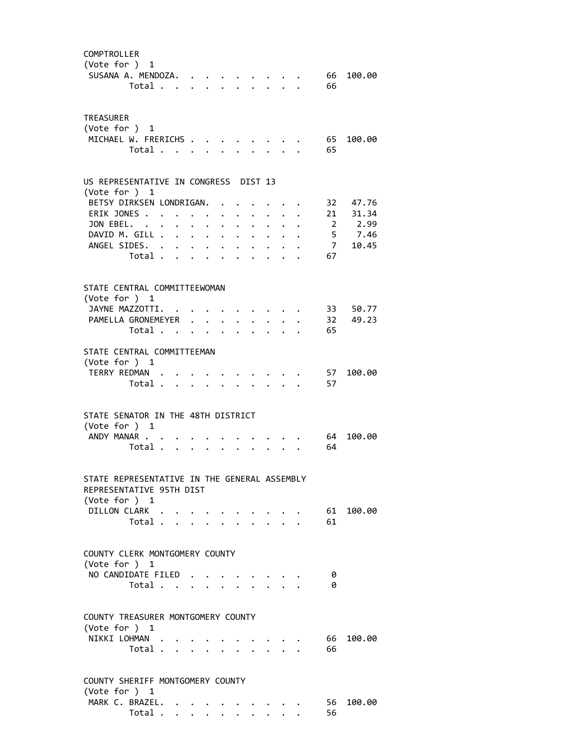| COMPTROLLER<br>(Vote for ) 1<br>SUSANA A. MENDOZA.                                        | Total                   |  |                                                           |  |                           |                                 |    | 66<br>66   | 100.00    |
|-------------------------------------------------------------------------------------------|-------------------------|--|-----------------------------------------------------------|--|---------------------------|---------------------------------|----|------------|-----------|
| <b>TREASURER</b><br>(Vote for $)$ 1<br>MICHAEL W. FRERICHS                                | Total                   |  |                                                           |  |                           |                                 |    | 65<br>65   | 100.00    |
| US REPRESENTATIVE IN CONGRESS DIST 13<br>(Vote for ) 1                                    |                         |  |                                                           |  |                           |                                 |    |            |           |
| BETSY DIRKSEN LONDRIGAN.                                                                  |                         |  |                                                           |  |                           |                                 |    |            | 32 47.76  |
| ERIK JONES                                                                                |                         |  | $\mathbf{A}^{\text{max}}$ , and $\mathbf{A}^{\text{max}}$ |  |                           | $\cdot$ $\cdot$ $\cdot$ $\cdot$ |    |            | 21 31.34  |
| JON EBEL.                                                                                 |                         |  |                                                           |  |                           | $\cdot$ $\cdot$ $\cdot$ $\cdot$ |    |            | 2 2.99    |
| DAVID M. GILL                                                                             |                         |  |                                                           |  |                           | $\cdot$ $\cdot$ $\cdot$ $\cdot$ |    |            | 5 7.46    |
| ANGEL SIDES.                                                                              | Total $\cdots$ $\cdots$ |  |                                                           |  |                           |                                 | 67 |            | 7 10.45   |
|                                                                                           |                         |  |                                                           |  |                           |                                 |    |            |           |
| STATE CENTRAL COMMITTEEWOMAN<br>(Vote for ) 1<br>JAYNE MAZZOTTI.                          |                         |  |                                                           |  |                           |                                 |    |            | 33 50.77  |
| PAMELLA GRONEMEYER 32 49.23                                                               |                         |  |                                                           |  |                           |                                 |    |            |           |
|                                                                                           | Total                   |  |                                                           |  |                           |                                 |    | 65         |           |
| STATE CENTRAL COMMITTEEMAN<br>(Vote for $)$ 1<br>TERRY REDMAN                             |                         |  |                                                           |  |                           |                                 |    | 57         | 100.00    |
|                                                                                           | Total                   |  |                                                           |  |                           |                                 |    | 57         |           |
| STATE SENATOR IN THE 48TH DISTRICT<br>(Vote for ) 1<br>ANDY MANAR                         | Total                   |  |                                                           |  |                           |                                 |    | 64<br>64   | 100.00    |
| STATE REPRESENTATIVE IN THE GENERAL ASSEMBLY<br>REPRESENTATIVE 95TH DIST<br>(Vote for ) 1 |                         |  |                                                           |  |                           |                                 |    |            |           |
| DILLON CLARK                                                                              |                         |  |                                                           |  |                           |                                 |    |            | 61 100.00 |
|                                                                                           | Total                   |  |                                                           |  |                           |                                 |    | 61         |           |
| COUNTY CLERK MONTGOMERY COUNTY<br>(Vote for $)$ 1                                         |                         |  |                                                           |  |                           |                                 |    |            |           |
| NO CANDIDATE FILED                                                                        | Total                   |  |                                                           |  |                           |                                 |    | 0<br>0     |           |
| COUNTY TREASURER MONTGOMERY COUNTY<br>(Vote for ) 1                                       |                         |  |                                                           |  |                           |                                 |    |            |           |
| NIKKI LOHMAN                                                                              | Total                   |  |                                                           |  |                           |                                 |    | 66 -<br>66 | 100.00    |
| COUNTY SHERIFF MONTGOMERY COUNTY<br>(Vote for ) 1                                         |                         |  |                                                           |  |                           |                                 |    |            |           |
| MARK C. BRAZEL.                                                                           |                         |  |                                                           |  |                           |                                 |    | 56         | 100.00    |
|                                                                                           | Total                   |  |                                                           |  | $\mathbf{L}$ $\mathbf{L}$ |                                 |    | 56         |           |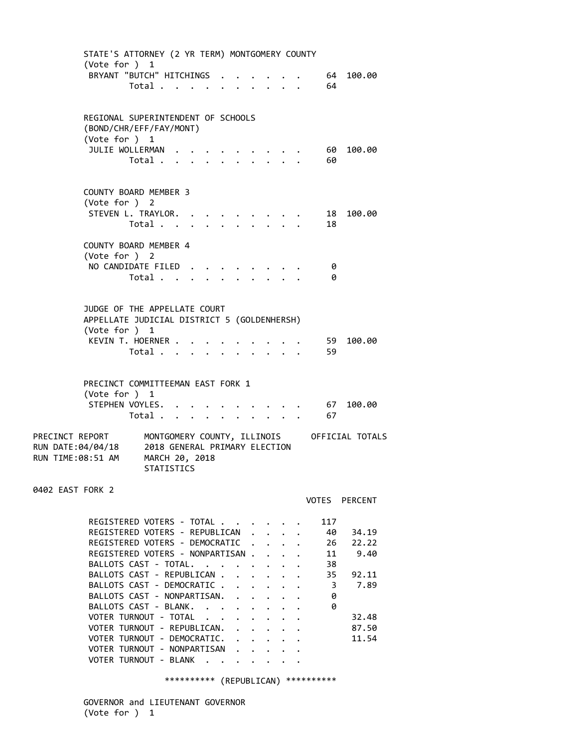| STATE'S ATTORNEY (2 YR TERM) MONTGOMERY COUNTY<br>(Vote for ) 1                                                                                                                                                                                                             |                                                                                              |                         |  |                             |                      |                      |                                                                                                               |                                         |
|-----------------------------------------------------------------------------------------------------------------------------------------------------------------------------------------------------------------------------------------------------------------------------|----------------------------------------------------------------------------------------------|-------------------------|--|-----------------------------|----------------------|----------------------|---------------------------------------------------------------------------------------------------------------|-----------------------------------------|
| BRYANT "BUTCH" HITCHINGS                                                                                                                                                                                                                                                    | Total                                                                                        |                         |  |                             |                      |                      | 64<br>64                                                                                                      | 100.00                                  |
| REGIONAL SUPERINTENDENT OF SCHOOLS<br>(BOND/CHR/EFF/FAY/MONT)<br>(Vote for ) 1                                                                                                                                                                                              |                                                                                              |                         |  |                             |                      |                      |                                                                                                               |                                         |
| JULIE WOLLERMAN                                                                                                                                                                                                                                                             | Total .                                                                                      | $\cdot$ $\cdot$ $\cdot$ |  |                             |                      |                      | 60 -<br>60                                                                                                    | 100.00                                  |
| <b>COUNTY BOARD MEMBER 3</b><br>(Vote for ) 2<br>STEVEN L. TRAYLOR.                                                                                                                                                                                                         |                                                                                              |                         |  |                             |                      |                      | 18                                                                                                            | 100.00                                  |
| COUNTY BOARD MEMBER 4                                                                                                                                                                                                                                                       | Total                                                                                        |                         |  |                             |                      |                      | 18                                                                                                            |                                         |
| (Vote for ) 2<br>NO CANDIDATE FILED                                                                                                                                                                                                                                         | Total                                                                                        |                         |  |                             |                      |                      | 0<br>0                                                                                                        |                                         |
| JUDGE OF THE APPELLATE COURT<br>APPELLATE JUDICIAL DISTRICT 5 (GOLDENHERSH)<br>(Vote for ) 1                                                                                                                                                                                |                                                                                              |                         |  |                             |                      |                      |                                                                                                               |                                         |
| KEVIN T. HOERNER .                                                                                                                                                                                                                                                          | Total                                                                                        |                         |  |                             |                      |                      | 59<br>59                                                                                                      | 100.00                                  |
| PRECINCT COMMITTEEMAN EAST FORK 1<br>(Vote for ) 1<br>STEPHEN VOYLES.                                                                                                                                                                                                       |                                                                                              |                         |  |                             |                      |                      | 67                                                                                                            | 100.00                                  |
|                                                                                                                                                                                                                                                                             | Total                                                                                        |                         |  |                             |                      |                      | 67<br>$\mathbf{r} = \mathbf{r} + \mathbf{r} + \mathbf{r} + \mathbf{r} + \mathbf{r} + \mathbf{r} + \mathbf{r}$ |                                         |
| PRECINCT REPORT<br>RUN DATE:04/04/18<br>RUN TIME:08:51 AM                                                                                                                                                                                                                   | MONTGOMERY COUNTY, ILLINOIS<br>2018 GENERAL PRIMARY ELECTION<br>MARCH 20, 2018<br>STATISTICS |                         |  |                             |                      |                      |                                                                                                               | OFFICIAL TOTALS                         |
| 0402 EAST FORK 2                                                                                                                                                                                                                                                            |                                                                                              |                         |  |                             |                      |                      |                                                                                                               | VOTES PERCENT                           |
| REGISTERED VOTERS - TOTAL<br>REGISTERED VOTERS - REPUBLICAN<br>REGISTERED VOTERS - DEMOCRATIC<br>REGISTERED VOTERS - NONPARTISAN<br>BALLOTS CAST - TOTAL.<br>BALLOTS CAST - REPUBLICAN<br>BALLOTS CAST - DEMOCRATIC<br>BALLOTS CAST - NONPARTISAN.<br>BALLOTS CAST - BLANK. |                                                                                              |                         |  |                             |                      | $\ddot{\phantom{0}}$ | 117<br>40<br>26<br>11<br>$\mathbf{r}$<br>38<br>35<br>3<br>$\ddot{\phantom{0}}$<br>0<br>0                      | 34.19<br>22.22<br>9.40<br>92.11<br>7.89 |
| VOTER TURNOUT - TOTAL<br>VOTER TURNOUT - REPUBLICAN.<br>VOTER TURNOUT - DEMOCRATIC.<br>VOTER TURNOUT - NONPARTISAN<br>VOTER TURNOUT - BLANK                                                                                                                                 |                                                                                              |                         |  | $\mathbf{r}$ , $\mathbf{r}$ | $\ddot{\phantom{a}}$ |                      |                                                                                                               | 32.48<br>87.50<br>11.54                 |

\*\*\*\*\*\*\*\*\*\* (REPUBLICAN) \*\*\*\*\*\*\*\*\*\*

 GOVERNOR and LIEUTENANT GOVERNOR (Vote for ) 1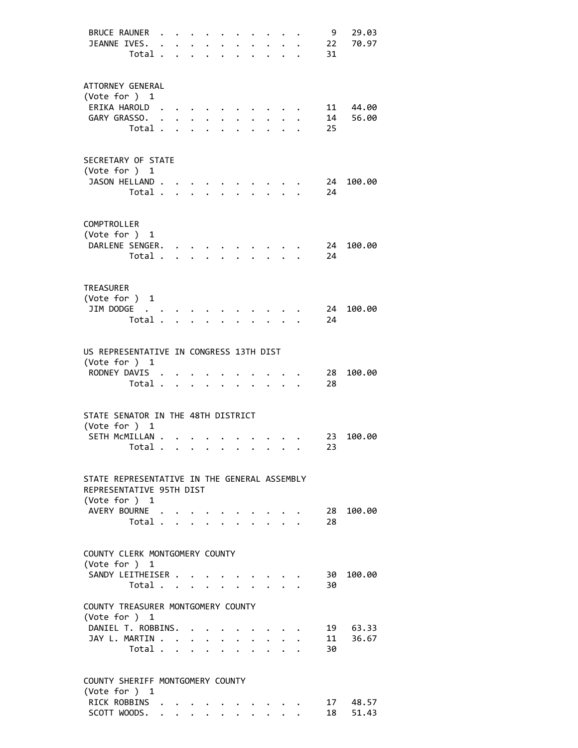| <b>BRUCE RAUNER</b><br>JEANNE IVES.<br>Total .                                                          |                      | $\ddot{\phantom{a}}$           | $\ddot{\phantom{a}}$      | $\ddot{\phantom{a}}$ | $\ddot{\phantom{a}}$                                                                       | $\ddot{\phantom{0}}$ | $\ddot{\phantom{a}}$ | $\ddot{\phantom{a}}$<br>$\ddot{\phantom{a}}$                     | $\ddot{\phantom{a}}$<br>$\bullet$ | 9<br>22<br>31 | 29.03<br>70.97    |
|---------------------------------------------------------------------------------------------------------|----------------------|--------------------------------|---------------------------|----------------------|--------------------------------------------------------------------------------------------|----------------------|----------------------|------------------------------------------------------------------|-----------------------------------|---------------|-------------------|
| ATTORNEY GENERAL<br>(Vote for ) 1<br>ERIKA HAROLD<br>GARY GRASSO.<br>Total .                            | $\ddot{\phantom{a}}$ | $\ddot{\phantom{0}}$<br>$\sim$ | $\mathbf{L}^{\text{max}}$ | $\cdot$ $\cdot$      | $\ddot{\phantom{0}}$                                                                       | $\mathbf{A}$         | $\mathbf{A}$         | $\mathbf{A}$                                                     |                                   | 14<br>25      | 11 44.00<br>56.00 |
| SECRETARY OF STATE<br>(Vote for ) 1<br>JASON HELLAND.<br>Total .                                        |                      | $\mathbf{r}$                   |                           |                      |                                                                                            |                      |                      |                                                                  |                                   | 24<br>24      | 100.00            |
| COMPTROLLER<br>(Vote for ) 1<br>DARLENE SENGER.<br>Total .                                              |                      | $\cdot$ $\cdot$                |                           |                      |                                                                                            |                      |                      |                                                                  |                                   | 24<br>24      | 100.00            |
| <b>TREASURER</b><br>(Vote for $)$ 1<br>JIM DODGE<br>$\sim$ $\sim$<br>Total .                            |                      |                                |                           |                      |                                                                                            |                      |                      |                                                                  |                                   | 24<br>24      | 100.00            |
| US REPRESENTATIVE IN CONGRESS 13TH DIST<br>(Vote for ) 1<br>RODNEY DAVIS .<br>Total .                   |                      | $\sim$                         | $\ddot{\phantom{a}}$      | $\sim$               |                                                                                            |                      |                      | $\cdot$ $\cdot$                                                  |                                   | 28<br>28      | 100.00            |
| STATE SENATOR IN THE 48TH DISTRICT<br>(Vote for ) 1<br>SETH MCMILLAN .<br>. Total .                     |                      |                                |                           |                      |                                                                                            |                      |                      |                                                                  |                                   | 23<br>23      | 100.00            |
| STATE REPRESENTATIVE IN THE GENERAL ASSEMBLY<br>REPRESENTATIVE 95TH DIST<br>(Vote for ) 1               |                      |                                |                           |                      |                                                                                            |                      |                      |                                                                  |                                   |               |                   |
| AVERY BOURNE<br>Total                                                                                   |                      |                                |                           |                      |                                                                                            |                      |                      | $\mathbf{r} = \mathbf{r} + \mathbf{r} + \mathbf{r} + \mathbf{r}$ |                                   | 28<br>28      | 100.00            |
| COUNTY CLERK MONTGOMERY COUNTY<br>(Vote for ) 1<br>SANDY LEITHEISER<br>Total $\cdots$ $\cdots$ $\cdots$ |                      |                                |                           |                      |                                                                                            |                      |                      |                                                                  |                                   | 30<br>30      | 100.00            |
| COUNTY TREASURER MONTGOMERY COUNTY<br>(Vote for ) 1<br>DANIEL T. ROBBINS.<br>JAY L. MARTIN<br>Total     |                      |                                |                           |                      |                                                                                            |                      |                      | $\cdot$ $\cdot$ $\cdot$ $\cdot$ $\cdot$                          |                                   | 11<br>30      | 19 63.33<br>36.67 |
| COUNTY SHERIFF MONTGOMERY COUNTY<br>(Vote for ) 1<br>RICK ROBBINS<br>SCOTT WOODS.                       |                      |                                |                           |                      | $\mathbf{r} = \mathbf{r} + \mathbf{r} + \mathbf{r} + \mathbf{r} + \mathbf{r} + \mathbf{r}$ |                      |                      | $\bullet$ .                                                      |                                   | 18            | 17 48.57<br>51.43 |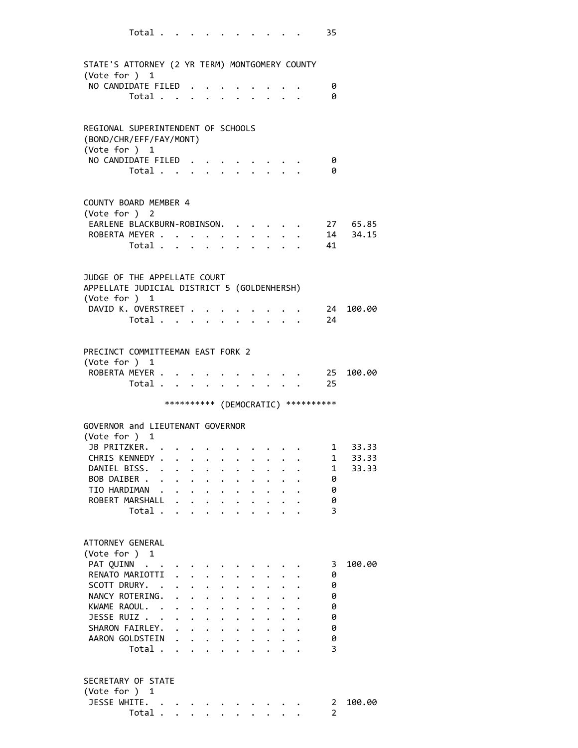| STATE'S ATTORNEY (2 YR TERM) MONTGOMERY COUNTY<br>(Vote for ) 1             |       |                                                                |                                                                    |                      |                      |                                            |              |                                                         |                                     |                      |
|-----------------------------------------------------------------------------|-------|----------------------------------------------------------------|--------------------------------------------------------------------|----------------------|----------------------|--------------------------------------------|--------------|---------------------------------------------------------|-------------------------------------|----------------------|
| NO CANDIDATE FILED.                                                         | Total |                                                                |                                                                    |                      |                      |                                            |              |                                                         | 0<br>0                              |                      |
| REGIONAL SUPERINTENDENT OF SCHOOLS<br>(BOND/CHR/EFF/FAY/MONT)               |       |                                                                |                                                                    |                      |                      |                                            |              |                                                         |                                     |                      |
| (Vote for ) 1                                                               |       |                                                                |                                                                    |                      |                      |                                            |              |                                                         |                                     |                      |
| NO CANDIDATE FILED.                                                         |       |                                                                |                                                                    |                      |                      |                                            |              |                                                         | 0                                   |                      |
|                                                                             | Total |                                                                |                                                                    |                      |                      |                                            |              |                                                         | 0                                   |                      |
| COUNTY BOARD MEMBER 4                                                       |       |                                                                |                                                                    |                      |                      |                                            |              |                                                         |                                     |                      |
| (Vote for ) 2                                                               |       |                                                                |                                                                    |                      |                      |                                            |              |                                                         |                                     |                      |
| EARLENE BLACKBURN-ROBINSON.<br>ROBERTA MEYER                                |       |                                                                |                                                                    |                      |                      | $\cdot$ $\cdot$ $\cdot$ $\cdot$            |              |                                                         |                                     | 27 65.85<br>14 34.15 |
|                                                                             | Total |                                                                |                                                                    |                      |                      | $\mathbf{r}$ , $\mathbf{r}$ , $\mathbf{r}$ |              |                                                         | 41                                  |                      |
|                                                                             |       |                                                                |                                                                    |                      |                      |                                            |              |                                                         |                                     |                      |
| JUDGE OF THE APPELLATE COURT<br>APPELLATE JUDICIAL DISTRICT 5 (GOLDENHERSH) |       |                                                                |                                                                    |                      |                      |                                            |              |                                                         |                                     |                      |
| (Vote for ) 1                                                               |       |                                                                |                                                                    |                      |                      |                                            |              |                                                         |                                     |                      |
| DAVID K. OVERSTREET .                                                       |       |                                                                |                                                                    |                      |                      |                                            |              |                                                         | $\sim$ 24                           | 100.00               |
|                                                                             | Total |                                                                |                                                                    |                      |                      |                                            |              | $\cdot$ $\cdot$ $\cdot$ $\cdot$ $\cdot$ $\cdot$ $\cdot$ | 24                                  |                      |
| PRECINCT COMMITTEEMAN EAST FORK 2                                           |       |                                                                |                                                                    |                      |                      |                                            |              |                                                         |                                     |                      |
| (Vote for ) 1                                                               |       |                                                                |                                                                    |                      |                      |                                            |              |                                                         |                                     |                      |
| ROBERTA MEYER                                                               |       |                                                                |                                                                    |                      |                      |                                            |              |                                                         | 25                                  | 100.00               |
|                                                                             | Total |                                                                |                                                                    |                      |                      |                                            |              |                                                         | 25                                  |                      |
|                                                                             |       |                                                                |                                                                    |                      |                      |                                            |              |                                                         | *********** (DEMOCRATIC) ********** |                      |
| GOVERNOR and LIEUTENANT GOVERNOR                                            |       |                                                                |                                                                    |                      |                      |                                            |              |                                                         |                                     |                      |
| (Vote for ) 1                                                               |       |                                                                |                                                                    |                      |                      |                                            |              |                                                         |                                     |                      |
| JB PRITZKER.                                                                |       |                                                                |                                                                    |                      |                      |                                            |              |                                                         |                                     | $1 \t 33.33$         |
| CHRIS KENNEDY                                                               |       |                                                                |                                                                    |                      | $\ddot{\phantom{0}}$ | $\ddot{\phantom{0}}$                       |              | $\cdot$ $\cdot$ $\cdot$                                 |                                     | 1 33.33              |
| DANIEL BISS.                                                                |       |                                                                |                                                                    |                      |                      |                                            |              |                                                         |                                     | 1 33.33              |
| BOB DAIBER                                                                  |       |                                                                |                                                                    |                      |                      |                                            |              |                                                         | 0                                   |                      |
| TIO HARDIMAN                                                                |       |                                                                |                                                                    |                      |                      |                                            |              |                                                         | 0                                   |                      |
| ROBERT MARSHALL                                                             |       |                                                                |                                                                    |                      |                      |                                            |              |                                                         | 0                                   |                      |
|                                                                             | Total |                                                                |                                                                    |                      |                      |                                            |              |                                                         | 3                                   |                      |
| ATTORNEY GENERAL                                                            |       |                                                                |                                                                    |                      |                      |                                            |              |                                                         |                                     |                      |
| (Vote for ) 1                                                               |       |                                                                |                                                                    |                      |                      |                                            |              |                                                         |                                     |                      |
| PAT QUINN                                                                   |       |                                                                |                                                                    |                      |                      |                                            |              |                                                         | 3                                   | 100.00               |
| RENATO MARIOTTI .                                                           |       |                                                                |                                                                    |                      |                      |                                            |              |                                                         | 0                                   |                      |
| SCOTT DRURY. .                                                              |       | $\mathbf{r} = \mathbf{r} \mathbf{r} + \mathbf{r} \mathbf{r}$ . |                                                                    |                      |                      |                                            |              |                                                         | 0                                   |                      |
| NANCY ROTERING.                                                             |       |                                                                |                                                                    |                      |                      |                                            |              |                                                         | 0                                   |                      |
| KWAME RAOUL.                                                                |       |                                                                |                                                                    | $\ddot{\phantom{0}}$ |                      |                                            |              |                                                         | 0                                   |                      |
| JESSE RUIZ                                                                  |       |                                                                | $\mathbf{1} \times \mathbf{1} \times \mathbf{1} \times \mathbf{1}$ |                      |                      |                                            |              |                                                         | 0                                   |                      |
| SHARON FAIRLEY.                                                             |       |                                                                |                                                                    |                      |                      | $\cdot$ $\cdot$ $\cdot$                    | $\mathbf{L}$ |                                                         | 0                                   |                      |
| AARON GOLDSTEIN                                                             |       |                                                                |                                                                    |                      |                      |                                            |              |                                                         | 0                                   |                      |
|                                                                             | Total |                                                                |                                                                    |                      |                      |                                            |              |                                                         | 3                                   |                      |
| SECRETARY OF STATE                                                          |       |                                                                |                                                                    |                      |                      |                                            |              |                                                         |                                     |                      |
| (Vote for ) 1                                                               |       |                                                                |                                                                    |                      |                      |                                            |              |                                                         |                                     |                      |
| JESSE WHITE.                                                                |       |                                                                |                                                                    |                      |                      |                                            |              |                                                         | 2                                   | 100.00               |
|                                                                             | Total |                                                                |                                                                    |                      |                      |                                            |              |                                                         | $\mathcal{P}$                       |                      |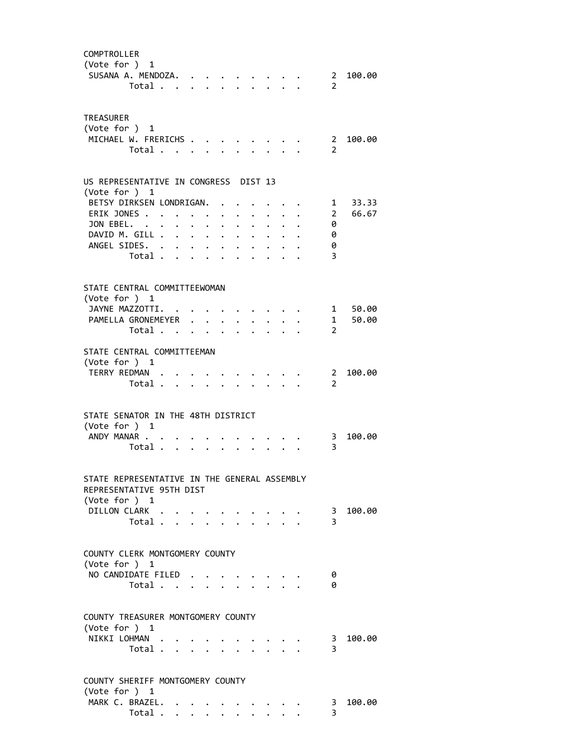| COMPTROLLER<br>(Vote for ) 1<br>SUSANA A. MENDOZA.                                                        | Total                            |               |                      |                      |                                                 |                                 |  | $\mathcal{P}$                | 2 100.00 |
|-----------------------------------------------------------------------------------------------------------|----------------------------------|---------------|----------------------|----------------------|-------------------------------------------------|---------------------------------|--|------------------------------|----------|
| TREASURER<br>(Vote for $)$ 1<br>MICHAEL W. FRERICHS                                                       | Total                            |               |                      |                      |                                                 |                                 |  | $\mathcal{L}$                | 2 100.00 |
| US REPRESENTATIVE IN CONGRESS DIST 13<br>(Vote for $)$ 1                                                  |                                  |               |                      |                      |                                                 |                                 |  |                              |          |
| BETSY DIRKSEN LONDRIGAN.                                                                                  |                                  |               |                      |                      |                                                 | $\cdot$ $\cdot$ $\cdot$ $\cdot$ |  |                              | 1 33.33  |
| ERIK JONES                                                                                                |                                  |               | $\ddot{\phantom{0}}$ | $\ddot{\phantom{0}}$ |                                                 | $\cdot$ $\cdot$ $\cdot$ $\cdot$ |  | $\overline{2}$               | 66.67    |
| JON EBEL.                                                                                                 |                                  |               |                      |                      |                                                 |                                 |  | 0                            |          |
| DAVID M. GILL                                                                                             |                                  |               |                      |                      |                                                 |                                 |  | 0                            |          |
| ANGEL SIDES.                                                                                              |                                  |               |                      |                      |                                                 |                                 |  | 0                            |          |
|                                                                                                           | Total                            | $\sim$ $\sim$ | $\ddot{\phantom{0}}$ |                      |                                                 |                                 |  | 3                            |          |
| STATE CENTRAL COMMITTEEWOMAN<br>(Vote for ) 1<br>JAYNE MAZZOTTI.                                          |                                  |               |                      |                      |                                                 |                                 |  |                              | 1 50.00  |
| PAMELLA GRONEMEYER                                                                                        |                                  |               |                      |                      |                                                 |                                 |  | $\overline{\mathbf{1}}$      | 50.00    |
|                                                                                                           | Total $\cdots$ $\cdots$ $\cdots$ |               |                      |                      |                                                 |                                 |  | $\mathcal{L}$                |          |
| STATE CENTRAL COMMITTEEMAN<br>(Vote for $)$ 1<br>TERRY REDMAN                                             | Total                            |               |                      |                      |                                                 |                                 |  | 2<br>$\overline{2}$          | 100.00   |
| STATE SENATOR IN THE 48TH DISTRICT<br>(Vote for $)$ 1<br>ANDY MANAR                                       |                                  |               |                      |                      |                                                 |                                 |  | 3                            | 100.00   |
|                                                                                                           | Total                            |               |                      |                      | $\mathbf{r} = \mathbf{r} - \mathbf{r}$          |                                 |  | $\overline{3}$               |          |
| STATE REPRESENTATIVE IN THE GENERAL ASSEMBLY<br>REPRESENTATIVE 95TH DIST<br>(Vote for ) 1<br>DILLON CLARK | Total                            |               |                      |                      |                                                 |                                 |  | $\overline{\mathbf{3}}$<br>3 | 100.00   |
| COUNTY CLERK MONTGOMERY COUNTY                                                                            |                                  |               |                      |                      |                                                 |                                 |  |                              |          |
| (Vote for ) 1<br>NO CANDIDATE FILED                                                                       |                                  |               |                      |                      |                                                 |                                 |  | 0                            |          |
|                                                                                                           | Total                            |               |                      |                      |                                                 |                                 |  | 0                            |          |
| COUNTY TREASURER MONTGOMERY COUNTY<br>(Vote for $)$ 1<br>NIKKI LOHMAN                                     | Total                            |               |                      |                      | $\cdot$ $\cdot$ $\cdot$ $\cdot$ $\cdot$ $\cdot$ |                                 |  | $\overline{\mathbf{3}}$<br>3 | 100.00   |
| COUNTY SHERIFF MONTGOMERY COUNTY                                                                          |                                  |               |                      |                      |                                                 |                                 |  |                              |          |
| (Vote for ) 1<br>MARK C. BRAZEL.                                                                          |                                  |               |                      |                      |                                                 |                                 |  |                              | 100.00   |
|                                                                                                           | Total $\cdots$                   |               |                      |                      |                                                 |                                 |  | 3<br>3                       |          |
|                                                                                                           |                                  |               |                      |                      |                                                 |                                 |  |                              |          |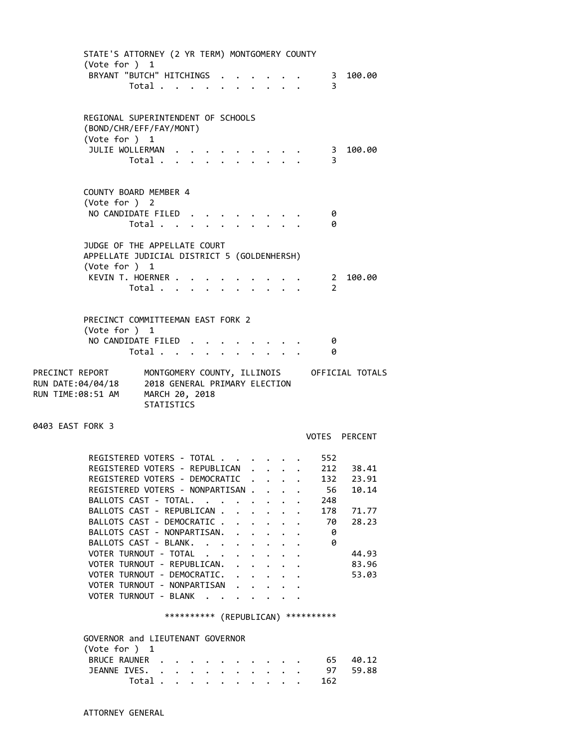STATE'S ATTORNEY (2 YR TERM) MONTGOMERY COUNTY (Vote for ) 1 BRYANT "BUTCH" HITCHINGS . . . . . . 3 100.00 Total . . . . . . . . . . 3 REGIONAL SUPERINTENDENT OF SCHOOLS (BOND/CHR/EFF/FAY/MONT) (Vote for ) 1 JULIE WOLLERMAN . . . . . . . . . . 3 100.00 Total . . . . . . . . . .  $3$  COUNTY BOARD MEMBER 4 (Vote for ) 2 NO CANDIDATE FILED . . . . . . . . 0 Total . . . . . . . . . . 0 JUDGE OF THE APPELLATE COURT APPELLATE JUDICIAL DISTRICT 5 (GOLDENHERSH) (Vote for ) 1 KEVIN T. HOERNER . . . . . . . . . . 2 100.00<br>Total . . . . . . . . . . . 2 Total . . . . PRECINCT COMMITTEEMAN EAST FORK 2 (Vote for ) 1 NO CANDIDATE FILED . . . . . . . . 0 Total . . . . . . . . . . 0 PRECINCT REPORT MONTGOMERY COUNTY, ILLINOIS OFFICIAL TOTALS RUN DATE:04/04/18 2018 GENERAL PRIMARY ELECTION RUN TIME:08:51 AM MARCH 20, 2018 STATISTICS 0403 EAST FORK 3 VOTES PERCENT REGISTERED VOTERS - TOTAL . . . . . . 552 REGISTERED VOTERS - REPUBLICAN . . . . 212 38.41 REGISTERED VOTERS - DEMOCRATIC . . . . 132 23.91 REGISTERED VOTERS - NONPARTISAN . . . . 56 10.14 BALLOTS CAST - TOTAL. . . . . . . . 248 BALLOTS CAST - REPUBLICAN . . . . . . 178 71.77 BALLOTS CAST - DEMOCRATIC . . . . . . 70 28.23<br>BALLOTS CAST - NONPARTISAN. . . . . . 0<br>BALLOTS CAST - BLANK. . . . . . . . 0 BALLOTS CAST - NONPARTISAN. . . . . . BALLOTS CAST - BLANK. . . . . . . . VOTER TURNOUT - TOTAL . . . . . . . . 44.93 VOTER TURNOUT - REPUBLICAN. . . . . . 83.96 VOTER TURNOUT - DEMOCRATIC. . . . . . 53.03 VOTER TURNOUT - NONPARTISAN . . . . . VOTER TURNOUT - BLANK . . . . \*\*\*\*\*\*\*\*\*\* (REPUBLICAN) \*\*\*\*\*\*\*\*\*\* GOVERNOR and LIEUTENANT GOVERNOR (Vote for ) 1 BRUCE RAUNER . . . . . . . . . . . 65 40.12 JEANNE IVES. . . . . . . . . . . 97 59.88 Total . . . . . . . . . . 162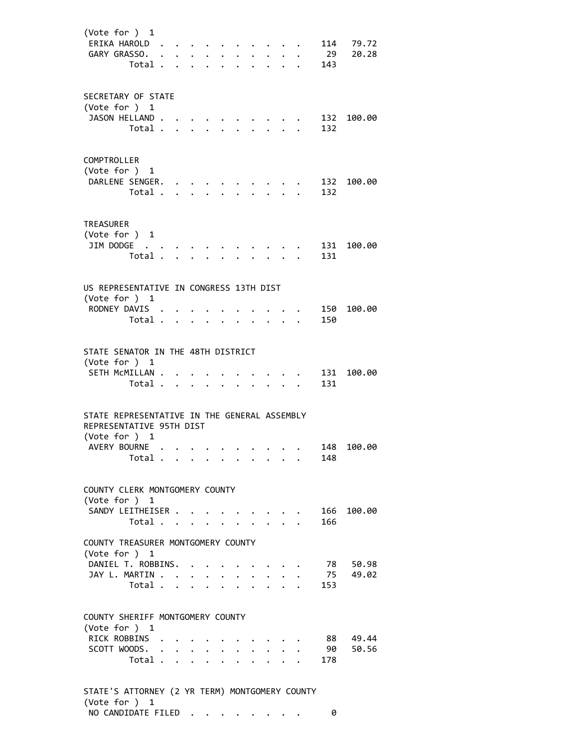(Vote for ) 1 ERIKA HAROLD . . . . . . . . . . 114 79.72 GARY GRASSO. . . . . . . . . . . 29 20.28 Total . . . . . . . . . . 143 SECRETARY OF STATE (Vote for ) 1 1250N HELLAND . . . . . . . . . . . 132 100.00<br>Total . . . . . . . . . . 132 Total . . . . . . . . . . COMPTROLLER (Vote for ) 1 DARLENE SENGER. . . . . . . . . . 132 100.00 Total . . . . . . . . . . 132 TREASURER (Vote for ) 1 JIM DODGE . . . . . . . . . . . 131 100.00 Total . . . . . . . . . . 131 US REPRESENTATIVE IN CONGRESS 13TH DIST (Vote for ) 1 RODNEY DAVIS . . . . . . . . . . 150 100.00 Total . . . . . . . . . . 150 STATE SENATOR IN THE 48TH DISTRICT (Vote for ) 1 SETH MCMILLAN . . . . . . . . . . 131 100.00 Total . . . . . . . . . . 131 STATE REPRESENTATIVE IN THE GENERAL ASSEMBLY REPRESENTATIVE 95TH DIST (Vote for ) 1 AVERY BOURNE . . . . . . . . . . . 148 100.00<br>Total . . . . . . . . . . 148 Total . . . . . . . . . COUNTY CLERK MONTGOMERY COUNTY (Vote for ) 1 SANDY LEITHEISER . . . . . . . . . 166 100.00 Total . . . . . . . . . . 166 COUNTY TREASURER MONTGOMERY COUNTY (Vote for ) 1 DANIEL T. ROBBINS. . . . . . . . . 78 50.98 JAY L. MARTIN . . . . . . . . . . . 75 49.02 Total . . . . . . . . . . 153 COUNTY SHERIFF MONTGOMERY COUNTY (Vote for ) 1 RICK ROBBINS . . . . . . . . . . 88 49.44 SCOTT WOODS. . . . . . . . . . . 90 50.56 Total . . . . . . . . . . 178 STATE'S ATTORNEY (2 YR TERM) MONTGOMERY COUNTY

 (Vote for ) 1 NO CANDIDATE FILED . . . . . . . . 0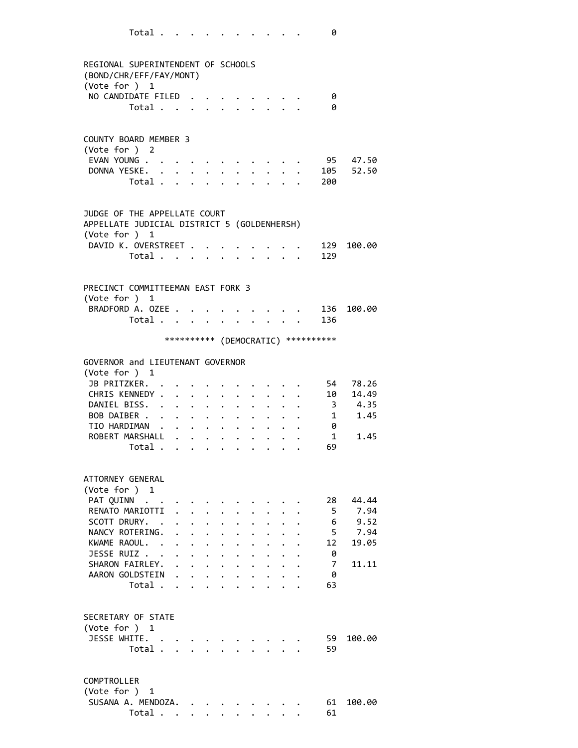| REGIONAL SUPERINTENDENT OF SCHOOLS<br>(BOND/CHR/EFF/FAY/MONT)<br>(Vote for ) 1               |                                  |                                                                          |                      |                                                              |                                              |                      |                                         |                      |                                                                                                                                                                                                                                 |                                     |              |                |
|----------------------------------------------------------------------------------------------|----------------------------------|--------------------------------------------------------------------------|----------------------|--------------------------------------------------------------|----------------------------------------------|----------------------|-----------------------------------------|----------------------|---------------------------------------------------------------------------------------------------------------------------------------------------------------------------------------------------------------------------------|-------------------------------------|--------------|----------------|
| NO CANDIDATE FILED                                                                           |                                  |                                                                          |                      |                                                              |                                              |                      |                                         |                      |                                                                                                                                                                                                                                 |                                     | 0<br>0       |                |
|                                                                                              | Total                            |                                                                          |                      |                                                              |                                              |                      |                                         |                      |                                                                                                                                                                                                                                 |                                     |              |                |
| <b>COUNTY BOARD MEMBER 3</b><br>(Vote for ) 2                                                |                                  |                                                                          |                      |                                                              |                                              |                      |                                         |                      |                                                                                                                                                                                                                                 |                                     |              |                |
| EVAN YOUNG                                                                                   |                                  |                                                                          |                      |                                                              |                                              |                      |                                         |                      |                                                                                                                                                                                                                                 |                                     |              | 95 47.50       |
| DONNA YESKE.                                                                                 | Total                            |                                                                          |                      |                                                              |                                              |                      | $\cdot$ $\cdot$ $\cdot$ $\cdot$ $\cdot$ |                      |                                                                                                                                                                                                                                 | 200                                 |              | 105 52.50      |
|                                                                                              |                                  |                                                                          |                      |                                                              |                                              |                      |                                         |                      |                                                                                                                                                                                                                                 |                                     |              |                |
| JUDGE OF THE APPELLATE COURT<br>APPELLATE JUDICIAL DISTRICT 5 (GOLDENHERSH)<br>(Vote for ) 1 |                                  |                                                                          |                      |                                                              |                                              |                      |                                         |                      |                                                                                                                                                                                                                                 |                                     |              |                |
| DAVID K. OVERSTREET                                                                          |                                  |                                                                          |                      |                                                              |                                              |                      |                                         |                      |                                                                                                                                                                                                                                 |                                     | 129          | 100.00         |
|                                                                                              | Total 129                        |                                                                          |                      |                                                              |                                              |                      |                                         |                      |                                                                                                                                                                                                                                 |                                     |              |                |
| PRECINCT COMMITTEEMAN EAST FORK 3<br>(Vote for ) 1<br>BRADFORD A. OZEE                       |                                  |                                                                          |                      |                                                              |                                              |                      | $\cdot$ $\cdot$ $\cdot$ $\cdot$ $\cdot$ |                      |                                                                                                                                                                                                                                 |                                     |              | 136 100.00     |
|                                                                                              | Total 136                        |                                                                          |                      |                                                              |                                              |                      |                                         |                      |                                                                                                                                                                                                                                 |                                     |              |                |
|                                                                                              |                                  |                                                                          |                      |                                                              |                                              |                      |                                         |                      |                                                                                                                                                                                                                                 | *********** (DEMOCRATIC) ********** |              |                |
| GOVERNOR and LIEUTENANT GOVERNOR<br>(Vote for $)$ 1                                          |                                  |                                                                          |                      |                                                              |                                              |                      |                                         |                      |                                                                                                                                                                                                                                 |                                     |              |                |
| JB PRITZKER.<br>CHRIS KENNEDY .                                                              |                                  | $\mathbf{r} = \mathbf{r} + \mathbf{r} + \mathbf{r} + \mathbf{r}$         |                      |                                                              |                                              |                      | $\mathbf{L}$                            |                      |                                                                                                                                                                                                                                 | $\sim$                              | 54<br>10     | 78.26<br>14.49 |
| DANIEL BISS.                                                                                 |                                  |                                                                          |                      |                                                              |                                              | $\ddot{\phantom{0}}$ | $\ddot{\phantom{0}}$                    |                      |                                                                                                                                                                                                                                 |                                     |              | 3 4.35         |
| BOB DAIBER                                                                                   |                                  | $\mathbf{r} = \mathbf{r} + \mathbf{r}$                                   |                      |                                                              | $\ddot{\phantom{0}}$                         | $\ddot{\phantom{0}}$ |                                         | $\ddot{\phantom{0}}$ |                                                                                                                                                                                                                                 |                                     | $\mathbf{1}$ | 1.45           |
| TIO HARDIMAN                                                                                 |                                  |                                                                          |                      |                                                              |                                              | $\bullet$ .          | $\bullet$ .                             |                      | $\ddotsc$ . The contract of the contract of the contract of the contract of the contract of the contract of the contract of the contract of the contract of the contract of the contract of the contract of the contract of the |                                     | - 0          |                |
| ROBERT MARSHALL                                                                              |                                  |                                                                          |                      |                                                              | $\ddot{\phantom{0}}$                         | $\bullet$ .          |                                         |                      |                                                                                                                                                                                                                                 |                                     | 1            | 1.45           |
|                                                                                              | Total .                          |                                                                          |                      |                                                              |                                              |                      |                                         |                      |                                                                                                                                                                                                                                 |                                     | 69           |                |
| ATTORNEY GENERAL<br>(Vote for ) 1                                                            |                                  |                                                                          |                      |                                                              |                                              |                      |                                         |                      |                                                                                                                                                                                                                                 |                                     |              |                |
| PAT QUINN                                                                                    |                                  |                                                                          |                      |                                                              |                                              |                      |                                         |                      |                                                                                                                                                                                                                                 |                                     | 28           | 44.44          |
| RENATO MARIOTTI<br>SCOTT DRURY.                                                              |                                  | $\ddot{\phantom{a}}$                                                     | $\ddot{\phantom{0}}$ |                                                              | $\ddot{\phantom{0}}$                         | $\ddot{\bullet}$     |                                         |                      |                                                                                                                                                                                                                                 |                                     | 5<br>6       | 7.94<br>9.52   |
| NANCY ROTERING.                                                                              |                                  | $\ddot{\phantom{a}}$                                                     | $\bullet$ .          | $\ddot{\phantom{0}}$<br>$\mathbf{L} = \mathbf{L} \mathbf{L}$ | $\ddot{\phantom{0}}$<br>$\ddot{\phantom{0}}$ | $\ddot{\phantom{0}}$ |                                         |                      |                                                                                                                                                                                                                                 |                                     | 5            | 7.94           |
| KWAME RAOUL. .                                                                               |                                  |                                                                          | $\ddot{\phantom{0}}$ | $\ddot{\phantom{0}}$                                         | $\ddot{\phantom{0}}$                         | $\ddot{\phantom{a}}$ |                                         |                      |                                                                                                                                                                                                                                 |                                     | 12           | 19.05          |
| JESSE RUIZ                                                                                   |                                  | $\bullet$ .                                                              |                      | $\mathbf{r} = \mathbf{r} \cdot \mathbf{r}$                   | $\ddot{\phantom{0}}$                         | $\ddot{\phantom{0}}$ |                                         |                      |                                                                                                                                                                                                                                 |                                     | 0            |                |
| SHARON FAIRLEY.                                                                              |                                  |                                                                          |                      |                                                              |                                              |                      | $\mathbf{L}$                            | $\ddot{\phantom{0}}$ | $\mathbf{L}$                                                                                                                                                                                                                    |                                     | 7            | 11.11          |
| AARON GOLDSTEIN                                                                              |                                  | $\mathbf{r}$ , $\mathbf{r}$ , $\mathbf{r}$ , $\mathbf{r}$ , $\mathbf{r}$ |                      |                                                              |                                              |                      |                                         |                      | $\ddot{\phantom{0}}$                                                                                                                                                                                                            |                                     | 0            |                |
|                                                                                              | Total $\cdots$ $\cdots$ $\cdots$ |                                                                          |                      |                                                              |                                              |                      |                                         |                      | $\cdot$ $\cdot$ $\cdot$                                                                                                                                                                                                         |                                     | 63           |                |
| SECRETARY OF STATE<br>(Vote for $)$ 1                                                        |                                  |                                                                          |                      |                                                              |                                              |                      |                                         |                      |                                                                                                                                                                                                                                 |                                     |              |                |
| JESSE WHITE.                                                                                 |                                  |                                                                          |                      |                                                              |                                              |                      |                                         |                      |                                                                                                                                                                                                                                 |                                     | 59           | 100.00         |
|                                                                                              | Total                            |                                                                          |                      |                                                              |                                              |                      |                                         |                      |                                                                                                                                                                                                                                 |                                     | 59           |                |
| COMPTROLLER<br>(Vote for ) 1                                                                 |                                  |                                                                          |                      |                                                              |                                              |                      |                                         |                      |                                                                                                                                                                                                                                 |                                     |              |                |
|                                                                                              |                                  |                                                                          |                      |                                                              |                                              |                      |                                         |                      |                                                                                                                                                                                                                                 |                                     |              |                |
| SUSANA A. MENDOZA.                                                                           |                                  |                                                                          |                      |                                                              |                                              |                      |                                         |                      |                                                                                                                                                                                                                                 |                                     | 61           | 100.00         |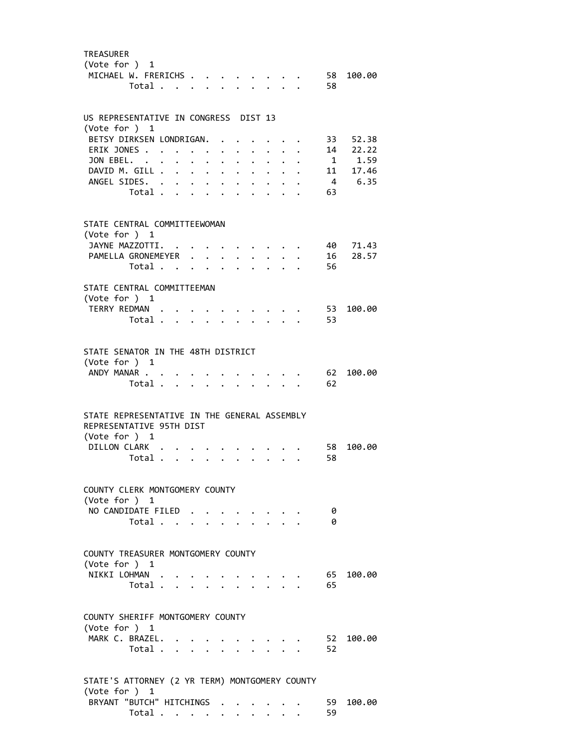| <b>TREASURER</b><br>(Vote for $)$ 1<br>MICHAEL W. FRERICHS                                                | Total                                     |                      |                           |                      |                      | $\cdot$ $\cdot$ $\cdot$ $\cdot$ $\cdot$ |                      |                                                         | 58       | 58 100.00 |
|-----------------------------------------------------------------------------------------------------------|-------------------------------------------|----------------------|---------------------------|----------------------|----------------------|-----------------------------------------|----------------------|---------------------------------------------------------|----------|-----------|
| US REPRESENTATIVE IN CONGRESS DIST 13<br>(Vote for $)$ 1                                                  |                                           |                      |                           |                      |                      |                                         |                      |                                                         |          |           |
| BETSY DIRKSEN LONDRIGAN.                                                                                  |                                           |                      |                           |                      |                      |                                         |                      | $\ddot{\phantom{0}}$                                    |          | 33 52.38  |
| ERIK JONES.                                                                                               |                                           |                      |                           |                      |                      | $\ddot{\phantom{0}}$                    |                      | $\cdot$ $\cdot$ $\cdot$                                 |          | 14 22.22  |
| JON EBEL.                                                                                                 |                                           | $\ddot{\phantom{0}}$ | $\ddot{\phantom{0}}$      | $\ddot{\phantom{a}}$ | $\ddot{\phantom{0}}$ |                                         | $\ddot{\phantom{a}}$ |                                                         |          | 1 1.59    |
| DAVID M. GILL<br>ANGEL SIDES. .                                                                           |                                           |                      |                           |                      | $\ddot{\phantom{0}}$ | $\bullet$ .                             | $\ddot{\phantom{0}}$ |                                                         |          | 11 17.46  |
|                                                                                                           | Total .                                   | $\bullet$ .          | $\mathbf{L} = \mathbf{L}$ | $\ddot{\phantom{0}}$ | $\ddot{\phantom{a}}$ | $\bullet$                               |                      |                                                         | 63       | 4 6.35    |
| STATE CENTRAL COMMITTEEWOMAN<br>(Vote for $)$ 1<br>JAYNE MAZZOTTI.                                        |                                           |                      |                           |                      |                      |                                         |                      |                                                         |          | 40 71.43  |
| PAMELLA GRONEMEYER                                                                                        |                                           |                      |                           |                      | $\ddot{\phantom{a}}$ |                                         |                      |                                                         |          | 16 28.57  |
|                                                                                                           | Total                                     |                      |                           |                      | $\ddot{\phantom{0}}$ |                                         | $\sim$ $\sim$ $\sim$ |                                                         | 56       |           |
| STATE CENTRAL COMMITTEEMAN<br>(Vote for ) 1<br>TERRY REDMAN.                                              | Total                                     |                      |                           |                      |                      |                                         | $\mathbf{r}$         |                                                         | 53<br>53 | 100.00    |
|                                                                                                           |                                           |                      |                           |                      |                      |                                         |                      |                                                         |          |           |
| STATE SENATOR IN THE 48TH DISTRICT<br>(Vote for ) 1                                                       |                                           |                      |                           |                      |                      |                                         |                      |                                                         |          |           |
| ANDY MANAR                                                                                                |                                           |                      |                           |                      |                      |                                         |                      |                                                         | 62       | 100.00    |
|                                                                                                           | Total .                                   | $\mathbf{L}$         | $\cdot$ $\cdot$           |                      |                      |                                         |                      |                                                         | 62       |           |
| STATE REPRESENTATIVE IN THE GENERAL ASSEMBLY<br>REPRESENTATIVE 95TH DIST<br>(Vote for ) 1<br>DILLON CLARK | Total                                     |                      |                           | $\ddot{\phantom{0}}$ | $\ddot{\phantom{0}}$ | $\ddot{\phantom{0}}$                    | $\ddot{\phantom{0}}$ |                                                         | 58<br>58 | 100.00    |
| COUNTY CLERK MONTGOMERY COUNTY                                                                            |                                           |                      |                           |                      |                      |                                         |                      |                                                         |          |           |
| (Vote for $)$ 1                                                                                           |                                           |                      |                           |                      |                      |                                         |                      |                                                         |          |           |
| NO CANDIDATE FILED                                                                                        | Total $\cdots$ $\cdots$ $\cdots$ $\cdots$ |                      |                           |                      |                      |                                         |                      |                                                         | 0<br>ø   |           |
|                                                                                                           |                                           |                      |                           |                      |                      |                                         |                      |                                                         |          |           |
| COUNTY TREASURER MONTGOMERY COUNTY<br>(Vote for $)$ 1<br>NIKKI LOHMAN                                     | Total                                     |                      |                           |                      |                      | $\cdot$ $\cdot$ $\cdot$ $\cdot$ $\cdot$ |                      |                                                         | 65<br>65 | 100.00    |
|                                                                                                           |                                           |                      |                           |                      |                      |                                         |                      |                                                         |          |           |
| COUNTY SHERIFF MONTGOMERY COUNTY<br>(Vote for ) 1                                                         |                                           |                      |                           |                      |                      |                                         |                      |                                                         |          |           |
| MARK C. BRAZEL.                                                                                           |                                           |                      |                           |                      |                      |                                         |                      |                                                         | 52       | 100.00    |
|                                                                                                           | Total                                     |                      |                           |                      |                      |                                         |                      | $\mathbf{r} = \mathbf{r}$ and $\mathbf{r} = \mathbf{r}$ | 52       |           |
| STATE'S ATTORNEY (2 YR TERM) MONTGOMERY COUNTY                                                            |                                           |                      |                           |                      |                      |                                         |                      |                                                         |          |           |
| (Vote for $)$ 1<br>BRYANT "BUTCH" HITCHINGS                                                               |                                           |                      |                           |                      |                      |                                         |                      |                                                         | 59       | 100.00    |
|                                                                                                           | Total                                     |                      |                           |                      | $\ddotsc$            |                                         |                      |                                                         | 59       |           |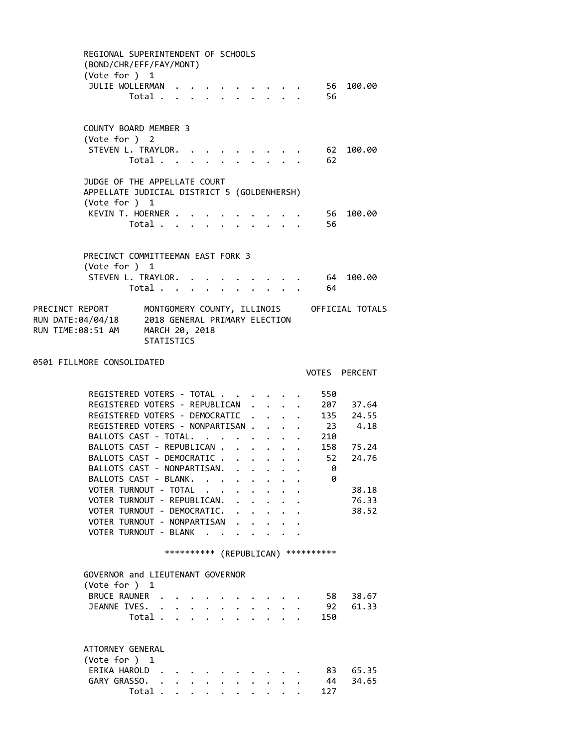| REGIONAL SUPERINTENDENT OF SCHOOLS<br>(BOND/CHR/EFF/FAY/MONT)<br>(Vote for ) 1                                                         |                                           |                                      |                      |                                      |                                                                      |                                                                                         |                                      |                                      |                                             |
|----------------------------------------------------------------------------------------------------------------------------------------|-------------------------------------------|--------------------------------------|----------------------|--------------------------------------|----------------------------------------------------------------------|-----------------------------------------------------------------------------------------|--------------------------------------|--------------------------------------|---------------------------------------------|
| JULIE WOLLERMAN                                                                                                                        | Total $\cdot$                             |                                      |                      |                                      |                                                                      |                                                                                         |                                      | 56<br>56                             | 100.00                                      |
| COUNTY BOARD MEMBER 3<br>(Vote for ) 2                                                                                                 |                                           |                                      |                      |                                      |                                                                      |                                                                                         |                                      |                                      |                                             |
| STEVEN L. TRAYLOR.                                                                                                                     | Total                                     |                                      |                      |                                      |                                                                      | $\mathbf{r} = \mathbf{r} \cdot \mathbf{r}$ , $\mathbf{r} = \mathbf{r} \cdot \mathbf{r}$ |                                      | 62                                   | 62 100.00                                   |
| JUDGE OF THE APPELLATE COURT<br>APPELLATE JUDICIAL DISTRICT 5 (GOLDENHERSH)<br>(Vote for ) 1                                           |                                           |                                      |                      |                                      |                                                                      |                                                                                         |                                      |                                      |                                             |
| KEVIN T. HOERNER .                                                                                                                     | Total $\cdots$ $\cdots$ $\cdots$ $\cdots$ |                                      |                      |                                      |                                                                      |                                                                                         |                                      | 56                                   | 56 100.00                                   |
| PRECINCT COMMITTEEMAN EAST FORK 3<br>(Vote for ) 1                                                                                     |                                           |                                      |                      |                                      |                                                                      |                                                                                         |                                      |                                      |                                             |
| STEVEN L. TRAYLOR.                                                                                                                     |                                           | $\ddot{\phantom{a}}$                 |                      |                                      |                                                                      |                                                                                         |                                      | $\cdot$ 64<br>Total 64               | 100.00                                      |
| PRECINCT REPORT MONTGOMERY COUNTY, ILLINOIS<br>RUN DATE:04/04/18 2018 GENERAL PRIMARY ELECTION<br>RUN TIME:08:51 AM MARCH 20, 2018     | <b>STATISTICS</b>                         |                                      |                      |                                      |                                                                      |                                                                                         |                                      |                                      | MONTGOMERY COUNTY, ILLINOIS OFFICIAL TOTALS |
| 0501 FILLMORE CONSOLIDATED                                                                                                             |                                           |                                      |                      |                                      |                                                                      |                                                                                         |                                      |                                      | VOTES PERCENT                               |
| REGISTERED VOTERS - TOTAL                                                                                                              |                                           |                                      |                      |                                      |                                                                      |                                                                                         |                                      | 550                                  |                                             |
| REGISTERED VOTERS - REPUBLICAN .<br>REGISTERED VOTERS - DEMOCRATIC<br>REGISTERED VOTERS - NONPARTISAN 23 4.18<br>BALLOTS CAST - TOTAL. |                                           |                                      |                      |                                      |                                                                      | $\mathbf{A}$                                                                            | $\mathbf{L}$<br>$\ddot{\phantom{0}}$ | 210                                  | 207 37.64<br>135 24.55                      |
| BALLOTS CAST - REPUBLICAN<br>BALLOTS CAST - DEMOCRATIC 52                                                                              |                                           |                                      |                      |                                      |                                                                      |                                                                                         |                                      |                                      | 158 75.24<br>24.76                          |
| BALLOTS CAST - NONPARTISAN.<br>BALLOTS CAST - BLANK.                                                                                   |                                           |                                      |                      |                                      |                                                                      | $\mathcal{A}=\mathcal{A}=\mathcal{A}=\mathcal{A}=\mathcal{A}=\mathcal{A}$ .             |                                      | 0<br>0                               |                                             |
| VOTER TURNOUT - TOTAL<br>VOTER TURNOUT - REPUBLICAN.                                                                                   |                                           |                                      |                      |                                      | $\ddot{\phantom{0}}$                                                 |                                                                                         |                                      |                                      | 38.18<br>76.33                              |
| VOTER TURNOUT - DEMOCRATIC.<br>VOTER TURNOUT - NONPARTISAN<br>VOTER TURNOUT - BLANK                                                    |                                           | $\sim$                               | $\sim$               | $\ddot{\phantom{0}}$<br>$\mathbf{r}$ | $\ddot{\phantom{0}}$<br>$\ddot{\phantom{1}}$<br>$\ddot{\phantom{1}}$ |                                                                                         |                                      |                                      | 38.52                                       |
|                                                                                                                                        |                                           |                                      |                      |                                      |                                                                      |                                                                                         |                                      | *********** (REPUBLICAN) *********** |                                             |
| GOVERNOR and LIEUTENANT GOVERNOR<br>(Vote for $)$ 1                                                                                    |                                           |                                      |                      |                                      |                                                                      |                                                                                         |                                      |                                      |                                             |
| BRUCE RAUNER .<br>JEANNE IVES. .                                                                                                       | $\ddot{\phantom{0}}$                      | $\mathbf{L}$                         |                      |                                      |                                                                      |                                                                                         |                                      | 58<br>92                             | 38.67<br>61.33                              |
| Total .                                                                                                                                | $\ddot{\phantom{a}}$                      | $\mathbf{L}$<br>$\ddot{\phantom{a}}$ | $\ddot{\phantom{0}}$ | $\ddot{\phantom{a}}$                 |                                                                      |                                                                                         |                                      | 150                                  |                                             |
| ATTORNEY GENERAL<br>(Vote for ) 1                                                                                                      |                                           |                                      |                      |                                      |                                                                      |                                                                                         |                                      |                                      |                                             |
| ERIKA HAROLD<br>GARY GRASSO.<br>Total .                                                                                                | $\ddot{\phantom{0}}$                      |                                      | $\ddot{\phantom{0}}$ |                                      |                                                                      |                                                                                         |                                      | 83 -<br>44<br>127                    | 65.35<br>34.65                              |
|                                                                                                                                        |                                           |                                      |                      |                                      |                                                                      |                                                                                         |                                      |                                      |                                             |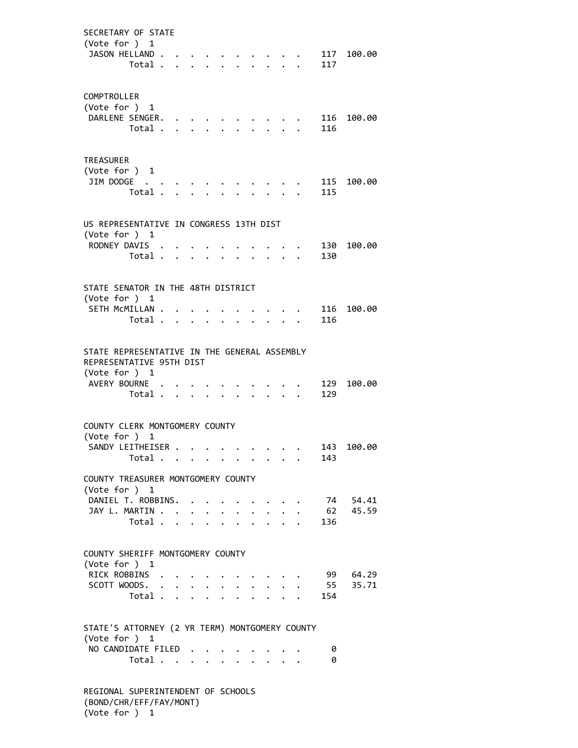SECRETARY OF STATE (Vote for ) 1 JASON HELLAND . . . . . . . . . . 117 100.00 Total . . . . . . . . . . 117 COMPTROLLER (Vote for ) 1 DARLENE SENGER. . . . . . . . . . 116 100.00 Total . . . . . . . . . . 116 TREASURER (Vote for ) 1 JIM DODGE . . . . . . . . . . . 115 100.00 Total . . . . . . . . . . 115 US REPRESENTATIVE IN CONGRESS 13TH DIST (Vote for ) 1 RODNEY DAVIS . . . . . . . . . . 130 100.00 Total . . . . . . . . . . 130 STATE SENATOR IN THE 48TH DISTRICT (Vote for ) 1 SETH MCMILLAN . . . . . . . . . . 116 100.00 Total . . . . . . . . . . 116 STATE REPRESENTATIVE IN THE GENERAL ASSEMBLY REPRESENTATIVE 95TH DIST (Vote for ) 1 AVERY BOURNE . . . . . . . . . . 129 100.00 Total . . . . . . . . . . 129 COUNTY CLERK MONTGOMERY COUNTY (Vote for ) 1 SANDY LEITHEISER . . . . . . . . . 143 100.00 Total . . . . . . . . . . 143 COUNTY TREASURER MONTGOMERY COUNTY (Vote for ) 1 DANIEL T. ROBBINS. . . . . . . . . 74 54.41 JAY L. MARTIN . . . . . . . . . . . 62 45.59 Total . . . . . . . . . . 136 COUNTY SHERIFF MONTGOMERY COUNTY (Vote for ) 1 RICK ROBBINS . . . . . . . . . . 99 64.29 SCOTT WOODS. . . . . . . . . . . 55 35.71 Total . . . . . . . . . . 154 STATE'S ATTORNEY (2 YR TERM) MONTGOMERY COUNTY (Vote for ) 1 NO CANDIDATE FILED . . . . . . . . 0 Total . . . . . . . . . . 0 REGIONAL SUPERINTENDENT OF SCHOOLS (BOND/CHR/EFF/FAY/MONT)

(Vote for ) 1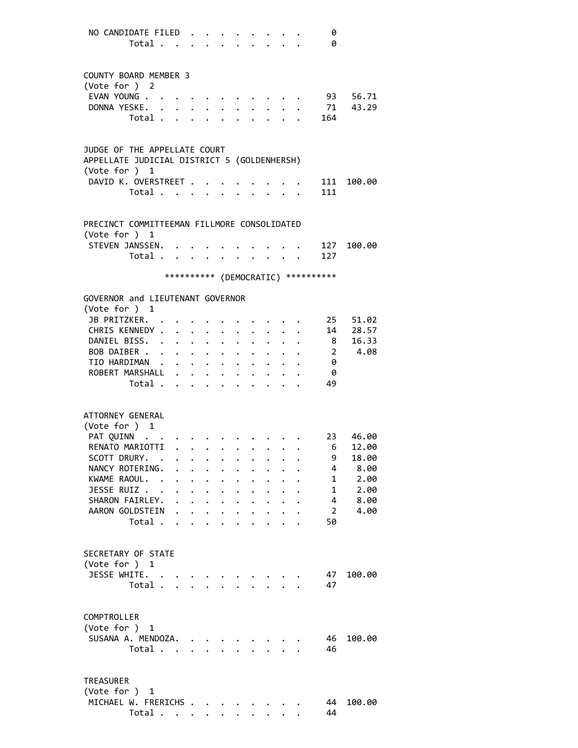| NO CANDIDATE FILED                          |                                                                  |           |                                                                                    |                      |                                                                                      |                                                                  |                               |                                                           | 0                                   |            |
|---------------------------------------------|------------------------------------------------------------------|-----------|------------------------------------------------------------------------------------|----------------------|--------------------------------------------------------------------------------------|------------------------------------------------------------------|-------------------------------|-----------------------------------------------------------|-------------------------------------|------------|
| Total                                       |                                                                  |           | $\bullet$ .                                                                        |                      | $\cdot$ $\cdot$ $\cdot$ $\cdot$ $\cdot$                                              |                                                                  |                               |                                                           | 0                                   |            |
|                                             |                                                                  |           |                                                                                    |                      |                                                                                      |                                                                  |                               |                                                           |                                     |            |
| COUNTY BOARD MEMBER 3                       |                                                                  |           |                                                                                    |                      |                                                                                      |                                                                  |                               |                                                           |                                     |            |
| (Vote for ) 2                               |                                                                  |           |                                                                                    |                      |                                                                                      |                                                                  |                               |                                                           |                                     |            |
| EVAN YOUNG                                  |                                                                  | $\cdots$  |                                                                                    |                      | $\bullet \qquad \bullet \qquad \bullet \qquad \bullet \qquad \bullet \qquad \bullet$ |                                                                  |                               |                                                           | 93                                  | 56.71      |
| DONNA YESKE.                                |                                                                  |           | $\bullet$ .                                                                        | $\ddot{\phantom{0}}$ |                                                                                      | $\mathbf{r} = \mathbf{r} + \mathbf{r} + \mathbf{r} + \mathbf{r}$ |                               |                                                           | 71                                  | 43.29      |
| Total                                       |                                                                  |           |                                                                                    |                      | $\cdot$ $\cdot$ $\cdot$ $\cdot$ $\cdot$                                              |                                                                  |                               |                                                           | . 164                               |            |
|                                             |                                                                  |           |                                                                                    |                      |                                                                                      |                                                                  |                               |                                                           |                                     |            |
| JUDGE OF THE APPELLATE COURT                |                                                                  |           |                                                                                    |                      |                                                                                      |                                                                  |                               |                                                           |                                     |            |
| APPELLATE JUDICIAL DISTRICT 5 (GOLDENHERSH) |                                                                  |           |                                                                                    |                      |                                                                                      |                                                                  |                               |                                                           |                                     |            |
| (Vote for ) 1                               |                                                                  |           |                                                                                    |                      |                                                                                      |                                                                  |                               |                                                           |                                     |            |
| DAVID K. OVERSTREET                         |                                                                  |           |                                                                                    |                      |                                                                                      |                                                                  |                               |                                                           |                                     | 111 100.00 |
| Total                                       |                                                                  |           |                                                                                    |                      |                                                                                      |                                                                  |                               |                                                           | 111                                 |            |
|                                             |                                                                  |           |                                                                                    |                      |                                                                                      |                                                                  |                               |                                                           |                                     |            |
| PRECINCT COMMITTEEMAN FILLMORE CONSOLIDATED |                                                                  |           |                                                                                    |                      |                                                                                      |                                                                  |                               |                                                           |                                     |            |
| (Vote for $)$ 1                             |                                                                  |           |                                                                                    |                      |                                                                                      |                                                                  |                               |                                                           |                                     |            |
| STEVEN JANSSEN.                             |                                                                  |           |                                                                                    |                      |                                                                                      |                                                                  |                               |                                                           | 127                                 | 100.00     |
| Total                                       |                                                                  |           |                                                                                    |                      |                                                                                      |                                                                  |                               | $\mathbf{r}$ , $\mathbf{r}$ , $\mathbf{r}$ , $\mathbf{r}$ | 127                                 |            |
|                                             |                                                                  |           |                                                                                    |                      |                                                                                      |                                                                  |                               |                                                           | *********** (DEMOCRATIC) ********** |            |
|                                             |                                                                  |           |                                                                                    |                      |                                                                                      |                                                                  |                               |                                                           |                                     |            |
| GOVERNOR and LIEUTENANT GOVERNOR            |                                                                  |           |                                                                                    |                      |                                                                                      |                                                                  |                               |                                                           |                                     |            |
| (Vote for ) 1                               |                                                                  |           |                                                                                    |                      |                                                                                      |                                                                  |                               |                                                           |                                     |            |
| JB PRITZKER. .                              |                                                                  |           |                                                                                    |                      |                                                                                      |                                                                  |                               |                                                           | 25                                  | 51.02      |
| CHRIS KENNEDY .                             | $\mathbf{r} = \mathbf{r} + \mathbf{r} + \mathbf{r} + \mathbf{r}$ |           |                                                                                    | $\ddot{\phantom{0}}$ | $\ddot{\phantom{0}}$                                                                 | $\ddot{\phantom{0}}$                                             |                               |                                                           | 14                                  | 28.57      |
| DANIEL BISS.                                |                                                                  |           | $\ddot{\phantom{0}}$                                                               | $\ddot{\phantom{0}}$ | $\ddot{\phantom{0}}$                                                                 | $\ddot{\phantom{0}}$                                             |                               |                                                           | 8 <sup>1</sup>                      | 16.33      |
| BOB DAIBER<br>TIO HARDIMAN                  |                                                                  |           | $\ddot{\phantom{0}}$                                                               |                      |                                                                                      |                                                                  | $\cdot$ $\cdot$ $\cdot$       |                                                           | $\overline{2}$<br>0                 | 4.08       |
| ROBERT MARSHALL                             |                                                                  |           | $\bullet$ .<br><br><br><br><br><br><br><br><br><br><br><br><br><br><br>$\bullet$ . | $\bullet$ .          | $\bullet$                                                                            |                                                                  | $\bullet$ $\bullet$ $\bullet$ |                                                           | 0                                   |            |
| Total                                       |                                                                  |           |                                                                                    |                      |                                                                                      |                                                                  |                               |                                                           | 49                                  |            |
|                                             |                                                                  |           |                                                                                    |                      |                                                                                      |                                                                  |                               |                                                           |                                     |            |
|                                             |                                                                  |           |                                                                                    |                      |                                                                                      |                                                                  |                               |                                                           |                                     |            |
| ATTORNEY GENERAL                            |                                                                  |           |                                                                                    |                      |                                                                                      |                                                                  |                               |                                                           |                                     |            |
| (Vote for $)$ 1<br>PAT QUINN                |                                                                  |           |                                                                                    |                      |                                                                                      |                                                                  |                               |                                                           | 23                                  | 46.00      |
| RENATO MARIOTTI 6                           |                                                                  |           |                                                                                    |                      |                                                                                      |                                                                  |                               |                                                           |                                     | 12.00      |
| SCOTT DRURY. .                              |                                                                  |           |                                                                                    |                      |                                                                                      |                                                                  |                               |                                                           | 9                                   | 18.00      |
| NANCY ROTERING.<br>$\ddot{\phantom{a}}$     | $\ddot{\phantom{0}}$                                             |           |                                                                                    |                      |                                                                                      |                                                                  |                               |                                                           | 4                                   | 8.00       |
| KWAME RAOUL. .                              | $\ddot{\phantom{0}}$                                             |           |                                                                                    |                      |                                                                                      |                                                                  |                               |                                                           | $\mathbf{1}$                        | 2.00       |
| JESSE RUIZ                                  |                                                                  | $\ddotsc$ | $\ddot{\phantom{0}}$                                                               | $\bullet$            |                                                                                      |                                                                  |                               |                                                           | $\mathbf{1}$                        | 2.00       |
| SHARON FAIRLEY.                             |                                                                  |           |                                                                                    | $\ddot{\phantom{0}}$ |                                                                                      | $\cdot$ $\cdot$                                                  |                               |                                                           | 4                                   | 8.00       |
| AARON GOLDSTEIN                             |                                                                  |           |                                                                                    |                      |                                                                                      | $\mathbf{r}$                                                     | $\sim$                        |                                                           | $\overline{2}$                      | 4.00       |
| Total                                       |                                                                  |           |                                                                                    |                      | $\mathbf{L}$                                                                         |                                                                  | $\mathbf{L}$ $\mathbf{L}$     |                                                           | 50                                  |            |
|                                             |                                                                  |           |                                                                                    |                      |                                                                                      |                                                                  |                               |                                                           |                                     |            |
| SECRETARY OF STATE                          |                                                                  |           |                                                                                    |                      |                                                                                      |                                                                  |                               |                                                           |                                     |            |
| (Vote for ) 1                               |                                                                  |           |                                                                                    |                      |                                                                                      |                                                                  |                               |                                                           |                                     |            |
| JESSE WHITE. .                              |                                                                  |           |                                                                                    |                      |                                                                                      |                                                                  |                               |                                                           | 47                                  | 100.00     |
| Total                                       |                                                                  |           |                                                                                    |                      | and the state of the state                                                           |                                                                  |                               |                                                           | 47                                  |            |
|                                             |                                                                  |           |                                                                                    |                      |                                                                                      |                                                                  |                               |                                                           |                                     |            |
| COMPTROLLER                                 |                                                                  |           |                                                                                    |                      |                                                                                      |                                                                  |                               |                                                           |                                     |            |
| (Vote for ) 1                               |                                                                  |           |                                                                                    |                      |                                                                                      |                                                                  |                               |                                                           |                                     |            |
| SUSANA A. MENDOZA.                          |                                                                  |           |                                                                                    |                      |                                                                                      |                                                                  |                               |                                                           | 46                                  | 100.00     |
| Total                                       |                                                                  |           |                                                                                    |                      |                                                                                      |                                                                  |                               |                                                           | 46                                  |            |
|                                             |                                                                  |           |                                                                                    |                      |                                                                                      |                                                                  |                               |                                                           |                                     |            |
| <b>TREASURER</b>                            |                                                                  |           |                                                                                    |                      |                                                                                      |                                                                  |                               |                                                           |                                     |            |
| (Vote for ) 1                               |                                                                  |           |                                                                                    |                      |                                                                                      |                                                                  |                               |                                                           |                                     |            |
| MICHAEL W. FRERICHS                         |                                                                  |           |                                                                                    |                      |                                                                                      |                                                                  |                               |                                                           | 44                                  | 100.00     |
| Total                                       |                                                                  |           |                                                                                    |                      |                                                                                      |                                                                  |                               |                                                           | 44                                  |            |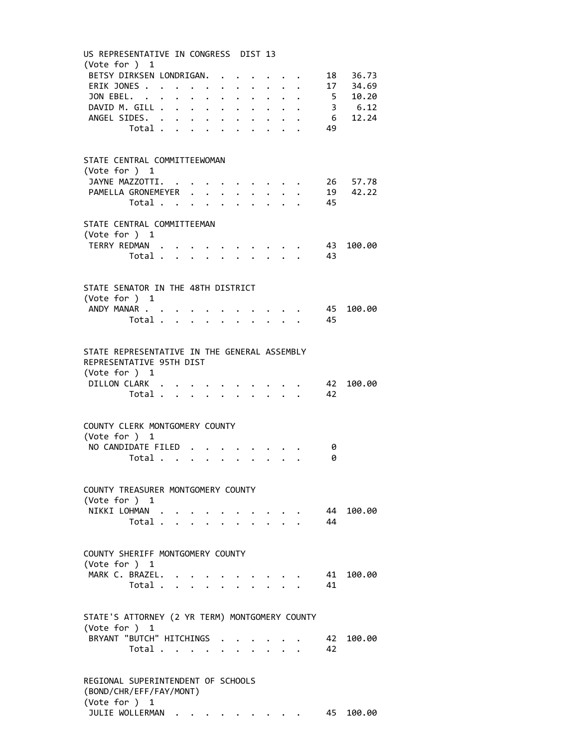| (Vote for ) 1<br>BETSY DIRKSEN LONDRIGAN. 18 36.73<br>ERIK JONES 17 34.69<br>JON EBEL. 5 10.20<br>DAVID M. GILL 3 6.12<br>6 12.24<br>ANGEL SIDES.<br>49<br>Total<br>STATE CENTRAL COMMITTEEWOMAN<br>(Vote for $)$ 1<br>JAYNE MAZZOTTI. 26 57.78<br>PAMELLA GRONEMEYER 19 42.22<br>Total 45<br>STATE CENTRAL COMMITTEEMAN<br>(Vote for ) 1<br>TERRY REDMAN 43 100.00<br>Total 43<br>STATE SENATOR IN THE 48TH DISTRICT<br>(Vote for ) 1<br>ANDY MANAR<br>45<br>45<br>Total<br>$\mathbf{r} = \mathbf{r} \times \mathbf{r}$<br>STATE REPRESENTATIVE IN THE GENERAL ASSEMBLY<br>REPRESENTATIVE 95TH DIST<br>(Vote for $)$ 1<br>DILLON CLARK<br>$\cdot$ $\cdot$ $\cdot$ 42<br>42<br>Total $\ldots$<br>COUNTY CLERK MONTGOMERY COUNTY<br>(Vote for ) 1<br>NO CANDIDATE FILED<br>0<br>0<br>Total $\cdots$ $\cdots$ $\cdots$ $\cdots$<br>COUNTY TREASURER MONTGOMERY COUNTY<br>(Vote for ) 1<br>NIKKI LOHMAN<br>44 100.00<br>$\cdot$ $\cdot$ $\cdot$ $\cdot$ $\cdot$ $\cdot$ $\cdot$<br>44<br>Total<br>COUNTY SHERIFF MONTGOMERY COUNTY | US REPRESENTATIVE IN CONGRESS DIST 13                                          |  |  |  |  |     |        |
|---------------------------------------------------------------------------------------------------------------------------------------------------------------------------------------------------------------------------------------------------------------------------------------------------------------------------------------------------------------------------------------------------------------------------------------------------------------------------------------------------------------------------------------------------------------------------------------------------------------------------------------------------------------------------------------------------------------------------------------------------------------------------------------------------------------------------------------------------------------------------------------------------------------------------------------------------------------------------------------------------------------------------------|--------------------------------------------------------------------------------|--|--|--|--|-----|--------|
|                                                                                                                                                                                                                                                                                                                                                                                                                                                                                                                                                                                                                                                                                                                                                                                                                                                                                                                                                                                                                                 |                                                                                |  |  |  |  |     |        |
|                                                                                                                                                                                                                                                                                                                                                                                                                                                                                                                                                                                                                                                                                                                                                                                                                                                                                                                                                                                                                                 |                                                                                |  |  |  |  |     |        |
|                                                                                                                                                                                                                                                                                                                                                                                                                                                                                                                                                                                                                                                                                                                                                                                                                                                                                                                                                                                                                                 |                                                                                |  |  |  |  |     |        |
|                                                                                                                                                                                                                                                                                                                                                                                                                                                                                                                                                                                                                                                                                                                                                                                                                                                                                                                                                                                                                                 |                                                                                |  |  |  |  |     |        |
|                                                                                                                                                                                                                                                                                                                                                                                                                                                                                                                                                                                                                                                                                                                                                                                                                                                                                                                                                                                                                                 |                                                                                |  |  |  |  |     |        |
|                                                                                                                                                                                                                                                                                                                                                                                                                                                                                                                                                                                                                                                                                                                                                                                                                                                                                                                                                                                                                                 |                                                                                |  |  |  |  |     |        |
|                                                                                                                                                                                                                                                                                                                                                                                                                                                                                                                                                                                                                                                                                                                                                                                                                                                                                                                                                                                                                                 |                                                                                |  |  |  |  |     |        |
|                                                                                                                                                                                                                                                                                                                                                                                                                                                                                                                                                                                                                                                                                                                                                                                                                                                                                                                                                                                                                                 |                                                                                |  |  |  |  |     |        |
|                                                                                                                                                                                                                                                                                                                                                                                                                                                                                                                                                                                                                                                                                                                                                                                                                                                                                                                                                                                                                                 |                                                                                |  |  |  |  |     |        |
|                                                                                                                                                                                                                                                                                                                                                                                                                                                                                                                                                                                                                                                                                                                                                                                                                                                                                                                                                                                                                                 |                                                                                |  |  |  |  |     |        |
|                                                                                                                                                                                                                                                                                                                                                                                                                                                                                                                                                                                                                                                                                                                                                                                                                                                                                                                                                                                                                                 |                                                                                |  |  |  |  |     |        |
|                                                                                                                                                                                                                                                                                                                                                                                                                                                                                                                                                                                                                                                                                                                                                                                                                                                                                                                                                                                                                                 |                                                                                |  |  |  |  |     |        |
|                                                                                                                                                                                                                                                                                                                                                                                                                                                                                                                                                                                                                                                                                                                                                                                                                                                                                                                                                                                                                                 |                                                                                |  |  |  |  |     |        |
|                                                                                                                                                                                                                                                                                                                                                                                                                                                                                                                                                                                                                                                                                                                                                                                                                                                                                                                                                                                                                                 |                                                                                |  |  |  |  |     |        |
|                                                                                                                                                                                                                                                                                                                                                                                                                                                                                                                                                                                                                                                                                                                                                                                                                                                                                                                                                                                                                                 |                                                                                |  |  |  |  |     |        |
|                                                                                                                                                                                                                                                                                                                                                                                                                                                                                                                                                                                                                                                                                                                                                                                                                                                                                                                                                                                                                                 |                                                                                |  |  |  |  |     |        |
|                                                                                                                                                                                                                                                                                                                                                                                                                                                                                                                                                                                                                                                                                                                                                                                                                                                                                                                                                                                                                                 |                                                                                |  |  |  |  |     |        |
|                                                                                                                                                                                                                                                                                                                                                                                                                                                                                                                                                                                                                                                                                                                                                                                                                                                                                                                                                                                                                                 |                                                                                |  |  |  |  |     |        |
|                                                                                                                                                                                                                                                                                                                                                                                                                                                                                                                                                                                                                                                                                                                                                                                                                                                                                                                                                                                                                                 |                                                                                |  |  |  |  |     |        |
|                                                                                                                                                                                                                                                                                                                                                                                                                                                                                                                                                                                                                                                                                                                                                                                                                                                                                                                                                                                                                                 |                                                                                |  |  |  |  |     |        |
|                                                                                                                                                                                                                                                                                                                                                                                                                                                                                                                                                                                                                                                                                                                                                                                                                                                                                                                                                                                                                                 |                                                                                |  |  |  |  |     |        |
|                                                                                                                                                                                                                                                                                                                                                                                                                                                                                                                                                                                                                                                                                                                                                                                                                                                                                                                                                                                                                                 |                                                                                |  |  |  |  |     | 100.00 |
|                                                                                                                                                                                                                                                                                                                                                                                                                                                                                                                                                                                                                                                                                                                                                                                                                                                                                                                                                                                                                                 |                                                                                |  |  |  |  |     |        |
|                                                                                                                                                                                                                                                                                                                                                                                                                                                                                                                                                                                                                                                                                                                                                                                                                                                                                                                                                                                                                                 |                                                                                |  |  |  |  |     |        |
|                                                                                                                                                                                                                                                                                                                                                                                                                                                                                                                                                                                                                                                                                                                                                                                                                                                                                                                                                                                                                                 |                                                                                |  |  |  |  |     |        |
|                                                                                                                                                                                                                                                                                                                                                                                                                                                                                                                                                                                                                                                                                                                                                                                                                                                                                                                                                                                                                                 |                                                                                |  |  |  |  |     | 100.00 |
|                                                                                                                                                                                                                                                                                                                                                                                                                                                                                                                                                                                                                                                                                                                                                                                                                                                                                                                                                                                                                                 |                                                                                |  |  |  |  |     |        |
|                                                                                                                                                                                                                                                                                                                                                                                                                                                                                                                                                                                                                                                                                                                                                                                                                                                                                                                                                                                                                                 |                                                                                |  |  |  |  |     |        |
|                                                                                                                                                                                                                                                                                                                                                                                                                                                                                                                                                                                                                                                                                                                                                                                                                                                                                                                                                                                                                                 |                                                                                |  |  |  |  |     |        |
|                                                                                                                                                                                                                                                                                                                                                                                                                                                                                                                                                                                                                                                                                                                                                                                                                                                                                                                                                                                                                                 |                                                                                |  |  |  |  |     |        |
|                                                                                                                                                                                                                                                                                                                                                                                                                                                                                                                                                                                                                                                                                                                                                                                                                                                                                                                                                                                                                                 |                                                                                |  |  |  |  |     |        |
|                                                                                                                                                                                                                                                                                                                                                                                                                                                                                                                                                                                                                                                                                                                                                                                                                                                                                                                                                                                                                                 |                                                                                |  |  |  |  |     |        |
|                                                                                                                                                                                                                                                                                                                                                                                                                                                                                                                                                                                                                                                                                                                                                                                                                                                                                                                                                                                                                                 |                                                                                |  |  |  |  |     |        |
|                                                                                                                                                                                                                                                                                                                                                                                                                                                                                                                                                                                                                                                                                                                                                                                                                                                                                                                                                                                                                                 |                                                                                |  |  |  |  |     |        |
|                                                                                                                                                                                                                                                                                                                                                                                                                                                                                                                                                                                                                                                                                                                                                                                                                                                                                                                                                                                                                                 |                                                                                |  |  |  |  |     | 100.00 |
| MARK C. BRAZEL.<br>41                                                                                                                                                                                                                                                                                                                                                                                                                                                                                                                                                                                                                                                                                                                                                                                                                                                                                                                                                                                                           |                                                                                |  |  |  |  | -41 |        |
| (Vote for ) 1                                                                                                                                                                                                                                                                                                                                                                                                                                                                                                                                                                                                                                                                                                                                                                                                                                                                                                                                                                                                                   |                                                                                |  |  |  |  |     |        |
|                                                                                                                                                                                                                                                                                                                                                                                                                                                                                                                                                                                                                                                                                                                                                                                                                                                                                                                                                                                                                                 |                                                                                |  |  |  |  |     |        |
| $\sim$ $\sim$ $\sim$ $\sim$<br>$\mathcal{L}^{\text{max}}$                                                                                                                                                                                                                                                                                                                                                                                                                                                                                                                                                                                                                                                                                                                                                                                                                                                                                                                                                                       |                                                                                |  |  |  |  |     |        |
| Total                                                                                                                                                                                                                                                                                                                                                                                                                                                                                                                                                                                                                                                                                                                                                                                                                                                                                                                                                                                                                           | (Vote for ) 1                                                                  |  |  |  |  |     |        |
| STATE'S ATTORNEY (2 YR TERM) MONTGOMERY COUNTY                                                                                                                                                                                                                                                                                                                                                                                                                                                                                                                                                                                                                                                                                                                                                                                                                                                                                                                                                                                  |                                                                                |  |  |  |  |     | 100.00 |
| BRYANT "BUTCH" HITCHINGS<br>42                                                                                                                                                                                                                                                                                                                                                                                                                                                                                                                                                                                                                                                                                                                                                                                                                                                                                                                                                                                                  |                                                                                |  |  |  |  | 42  |        |
|                                                                                                                                                                                                                                                                                                                                                                                                                                                                                                                                                                                                                                                                                                                                                                                                                                                                                                                                                                                                                                 |                                                                                |  |  |  |  |     |        |
| Total                                                                                                                                                                                                                                                                                                                                                                                                                                                                                                                                                                                                                                                                                                                                                                                                                                                                                                                                                                                                                           | REGIONAL SUPERINTENDENT OF SCHOOLS<br>(BOND/CHR/EFF/FAY/MONT)<br>(Vote for ) 1 |  |  |  |  |     |        |

JULIE WOLLERMAN . . . . . . . . . 45 100.00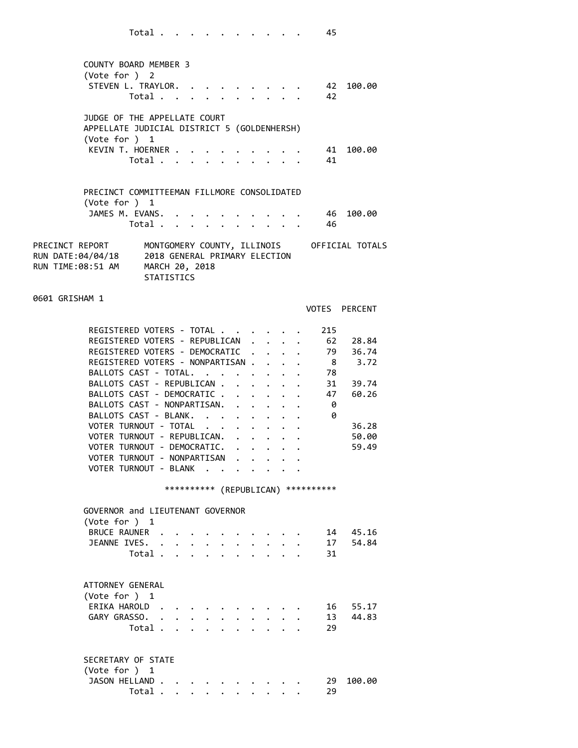| COUNTY BOARD MEMBER 3<br>(Vote for ) $2$                       |                              |  |  |  |  |      |        |
|----------------------------------------------------------------|------------------------------|--|--|--|--|------|--------|
|                                                                | STEVEN L. TRAYLOR. 42 100.00 |  |  |  |  |      |        |
|                                                                | Total                        |  |  |  |  | - 42 |        |
| JUDGE OF THE APPELLATE COURT                                   |                              |  |  |  |  |      |        |
| APPELLATE JUDICIAL DISTRICT 5 (GOLDENHERSH)<br>(Vote for ) $1$ |                              |  |  |  |  |      |        |
|                                                                | KEVIN T. HOERNER 41          |  |  |  |  |      | 100.00 |
|                                                                | Total                        |  |  |  |  | -41  |        |
|                                                                |                              |  |  |  |  |      |        |
| PRECINCT COMMITTEEMAN FILLMORE CONSOLIDATED                    |                              |  |  |  |  |      |        |

| (Vote for $)$ 1                                           | JAMES M. EVANS. 46 100.00<br>Total 46                                |  |  |  |  |  |                                             |
|-----------------------------------------------------------|----------------------------------------------------------------------|--|--|--|--|--|---------------------------------------------|
| PRECINCT REPORT<br>RUN DATE:04/04/18<br>RUN TIME:08:51 AM | 2018 GENERAL PRIMARY ELECTION<br>MARCH 20, 2018<br><b>STATISTICS</b> |  |  |  |  |  | MONTGOMERY COUNTY, ILLINOIS OFFICIAL TOTALS |

## 0601 GRISHAM 1

VOTES PERCENT

| REGISTERED VOTERS - TOTAL                             |  |  | 215 |       |
|-------------------------------------------------------|--|--|-----|-------|
| REGISTERED VOTERS - REPUBLICAN                        |  |  | 62  | 28.84 |
| REGISTERED VOTERS - DEMOCRATIC                        |  |  | 79  | 36.74 |
| REGISTERED VOTERS - NONPARTISAN.                      |  |  | 8   | 3.72  |
| BALLOTS CAST - TOTAL.<br>and the contract of the con- |  |  | 78  |       |
| BALLOTS CAST - REPUBLICAN.                            |  |  | 31  | 39.74 |
| BALLOTS CAST - DEMOCRATIC.                            |  |  | 47  | 60.26 |
| BALLOTS CAST - NONPARTISAN.                           |  |  | 0   |       |
| BALLOTS CAST - BLANK.                                 |  |  | 0   |       |
| VOTER TURNOUT - TOTAL                                 |  |  |     | 36.28 |
| VOTER TURNOUT - REPUBLICAN.                           |  |  |     | 50.00 |
| VOTER TURNOUT - DEMOCRATIC.                           |  |  |     | 59.49 |
| VOTER TURNOUT - NONPARTISAN                           |  |  |     |       |
| VOTER TURNOUT<br>- BLANK                              |  |  |     |       |

## \*\*\*\*\*\*\*\*\*\* (REPUBLICAN) \*\*\*\*\*\*\*\*\*\*

| GOVERNOR and LIEUTENANT GOVERNOR<br>(Vote for ) $1$ |  |                   |                      |           |                          |                      |                      |        |    |          |
|-----------------------------------------------------|--|-------------------|----------------------|-----------|--------------------------|----------------------|----------------------|--------|----|----------|
| BRUCE RAUNER                                        |  |                   |                      |           | $\bullet$                |                      | $\sim$ $\sim$ $\sim$ |        | 14 | 45.16    |
| JEANNE IVES.                                        |  |                   | $\sim$ $\sim$ $\sim$ |           | $\sim$                   | $\ddot{\phantom{a}}$ | $\cdot$              | $\sim$ | 17 | 54.84    |
| Total                                               |  |                   |                      |           |                          |                      |                      |        | 31 |          |
| ATTORNEY GENERAL<br>(Vote for ) $1$                 |  |                   |                      |           |                          |                      |                      |        |    |          |
| ERIKA HAROLD                                        |  |                   |                      |           | $\overline{\phantom{a}}$ |                      |                      |        | 16 | 55.17    |
| GARY GRASSO.                                        |  |                   |                      |           |                          |                      |                      |        |    | 13 44.83 |
| Total .                                             |  | $\cdots$ $\cdots$ |                      |           |                          |                      |                      |        | 29 |          |
| SECRETARY OF STATE<br>(Vote for $)$ 1               |  |                   |                      |           |                          |                      |                      |        |    |          |
| JASON HELLAND.                                      |  |                   |                      |           |                          |                      |                      |        | 29 | 100.00   |
| Total.                                              |  | $\bullet$         | $\bullet$            | $\bullet$ | $\bullet$                | $\bullet$            | $\bullet$            |        | 29 |          |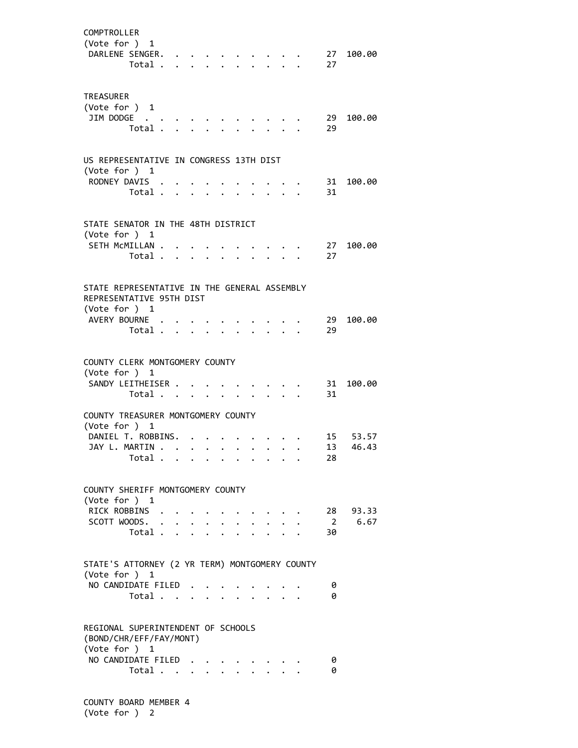| COMPTROLLER<br>(Vote for ) 1<br>DARLENE SENGER.                                                             | Total                   |                           |           |                      |              |                           |  | 27<br>27             | 100.00               |
|-------------------------------------------------------------------------------------------------------------|-------------------------|---------------------------|-----------|----------------------|--------------|---------------------------|--|----------------------|----------------------|
| <b>TREASURER</b><br>(Vote for ) 1<br>JIM DODGE                                                              | Total .                 | $\mathbf{L} = \mathbf{L}$ |           |                      |              |                           |  | 29<br>29             | 100.00               |
| US REPRESENTATIVE IN CONGRESS 13TH DIST<br>(Vote for ) 1<br>RODNEY DAVIS .                                  | Total                   |                           |           |                      | $\mathbf{r}$ |                           |  | 31<br>31             | 100.00               |
| STATE SENATOR IN THE 48TH DISTRICT<br>(Vote for ) 1<br>SETH MCMILLAN .                                      | Total .                 | $\mathbf{r} = \mathbf{r}$ |           |                      |              |                           |  | 27<br>27             | 100.00               |
| STATE REPRESENTATIVE IN THE GENERAL ASSEMBLY<br>REPRESENTATIVE 95TH DIST<br>(Vote for ) 1<br>AVERY BOURNE . | Total .                 |                           |           |                      |              |                           |  | 29<br>29             | 100.00               |
| COUNTY CLERK MONTGOMERY COUNTY<br>(Vote for ) 1<br>SANDY LEITHEISER<br>COUNTY TREASURER MONTGOMERY COUNTY   | Total                   |                           |           | $\ddot{\phantom{0}}$ | $\bullet$ .  | $\ddot{\phantom{0}}$      |  | 31<br>31             | 100.00               |
| (Vote for ) 1<br>DANIEL T. ROBBINS.<br>JAY L. MARTIN                                                        | Total                   |                           |           |                      |              | $\sim$ $\sim$             |  | 28                   | 15 53.57<br>13 46.43 |
| COUNTY SHERIFF MONTGOMERY COUNTY<br>(Vote for ) 1<br>RICK ROBBINS<br>SCOTT WOODS.                           | Total                   |                           | $\bullet$ |                      |              | $\mathbf{L}^{\text{max}}$ |  | $\overline{2}$<br>30 | 28 93.33<br>6.67     |
| STATE'S ATTORNEY (2 YR TERM) MONTGOMERY COUNTY<br>(Vote for ) 1<br>NO CANDIDATE FILED.                      | Total                   | $\ddot{\phantom{a}}$      |           |                      |              |                           |  | 0<br>0               |                      |
| REGIONAL SUPERINTENDENT OF SCHOOLS<br>(BOND/CHR/EFF/FAY/MONT)<br>(Vote for ) 1<br>NO CANDIDATE FILED        | Total $\cdots$ $\cdots$ |                           |           |                      |              |                           |  | 0<br>0               |                      |

 COUNTY BOARD MEMBER 4 (Vote for ) 2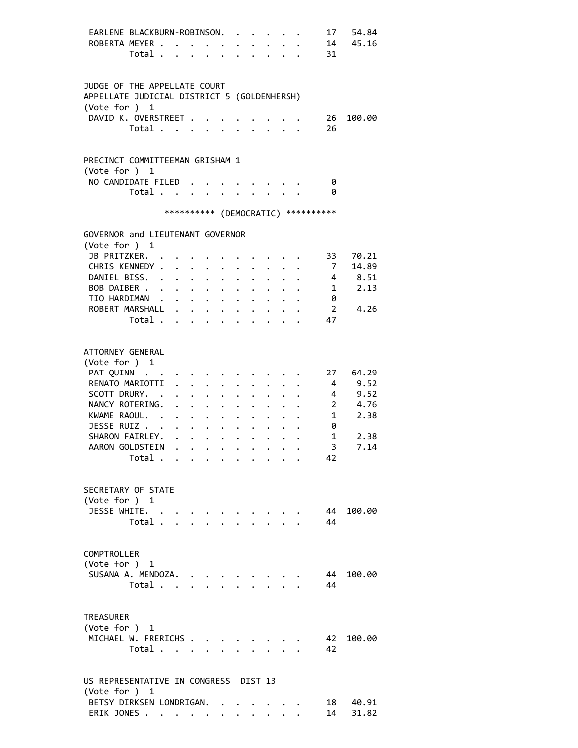| EARLENE BLACKBURN-ROBINSON.<br>ROBERTA MEYER                                                                         | Total |                           |                                                       |                      |                      | $\cdot$ $\cdot$ $\cdot$ $\cdot$ $\cdot$ | $\ddot{\phantom{1}}$ |                           |                                          | 31                      | 17 54.84<br>14 45.16 |
|----------------------------------------------------------------------------------------------------------------------|-------|---------------------------|-------------------------------------------------------|----------------------|----------------------|-----------------------------------------|----------------------|---------------------------|------------------------------------------|-------------------------|----------------------|
| JUDGE OF THE APPELLATE COURT<br>APPELLATE JUDICIAL DISTRICT 5 (GOLDENHERSH)<br>(Vote for ) 1<br>DAVID K. OVERSTREET. |       |                           |                                                       |                      |                      |                                         |                      |                           |                                          | 26                      | 100.00               |
|                                                                                                                      | Total |                           |                                                       |                      |                      |                                         |                      |                           |                                          | 26                      |                      |
| PRECINCT COMMITTEEMAN GRISHAM 1<br>(Vote for ) 1                                                                     |       |                           |                                                       |                      |                      |                                         |                      |                           |                                          |                         |                      |
| NO CANDIDATE FILED.                                                                                                  | Total |                           |                                                       | $\ddot{\phantom{0}}$ |                      |                                         | $\sim$ $\sim$        |                           |                                          | 0<br>0                  |                      |
|                                                                                                                      |       |                           |                                                       |                      |                      |                                         |                      |                           | *********** (DEMOCRATIC) **********      |                         |                      |
| GOVERNOR and LIEUTENANT GOVERNOR<br>(Vote for ) 1                                                                    |       |                           |                                                       |                      |                      |                                         |                      |                           |                                          |                         |                      |
| JB PRITZKER. .                                                                                                       |       |                           |                                                       |                      |                      |                                         |                      |                           |                                          | 33                      | 70.21                |
|                                                                                                                      |       |                           |                                                       |                      |                      |                                         |                      |                           |                                          |                         |                      |
| CHRIS KENNEDY                                                                                                        |       |                           |                                                       |                      |                      |                                         |                      |                           |                                          | $7\overline{ }$         | 14.89                |
| DANIEL BISS.                                                                                                         |       |                           |                                                       | $\sim$ $-$           | $\ddot{\phantom{0}}$ |                                         |                      |                           |                                          |                         | $4 \t 8.51$          |
| BOB DAIBER .                                                                                                         |       |                           | $\cdot$ $\cdot$ $\cdot$ $\cdot$ $\cdot$               |                      |                      |                                         |                      |                           |                                          |                         | $1 \t 2.13$          |
| TIO HARDIMAN                                                                                                         |       |                           |                                                       | $\sim$               |                      |                                         |                      |                           |                                          | 0                       |                      |
| ROBERT MARSHALL                                                                                                      |       |                           |                                                       |                      |                      | $\ddot{\phantom{0}}$                    | $\mathbf{L}$         | $\mathbf{L} = \mathbf{L}$ |                                          |                         | 2 4.26               |
|                                                                                                                      | Total |                           |                                                       |                      |                      |                                         |                      |                           |                                          | 47                      |                      |
|                                                                                                                      |       |                           |                                                       |                      |                      |                                         |                      |                           |                                          |                         |                      |
| ATTORNEY GENERAL<br>(Vote for ) 1                                                                                    |       |                           |                                                       |                      |                      |                                         |                      |                           |                                          |                         |                      |
| PAT QUINN                                                                                                            |       |                           |                                                       |                      |                      |                                         |                      |                           |                                          |                         | 27 64.29             |
| RENATO MARIOTTI                                                                                                      |       | $\mathbf{L} = \mathbf{L}$ | $\ddot{\phantom{0}}$                                  |                      | $\ddot{\phantom{0}}$ |                                         |                      |                           |                                          | $\overline{4}$          | 9.52                 |
| SCOTT DRURY. .                                                                                                       |       |                           |                                                       |                      | $\ddot{\phantom{0}}$ | $\ddot{\phantom{0}}$                    | $\mathbf{L}$         |                           |                                          |                         | 4 9.52               |
| NANCY ROTERING.                                                                                                      |       |                           | $\mathbf{r} = \mathbf{r} + \mathbf{r} + \mathbf{r}$ . |                      | $\ddot{\phantom{0}}$ | $\ddot{\phantom{0}}$                    |                      |                           | $\mathbf{r} = \mathbf{r} + \mathbf{r}$ . |                         | 2 4.76               |
| KWAME RAOUL.                                                                                                         |       |                           |                                                       |                      |                      |                                         |                      |                           |                                          | $1 \quad \Box$          | 2.38                 |
|                                                                                                                      |       |                           |                                                       |                      | $\ddot{\phantom{0}}$ | $\bullet$ .                             | $\ddot{\phantom{0}}$ |                           |                                          |                         |                      |
| JESSE RUIZ                                                                                                           |       |                           |                                                       |                      |                      |                                         | $\bullet$ .          |                           |                                          | 0                       |                      |
| SHARON FAIRLEY.                                                                                                      |       |                           |                                                       |                      |                      |                                         |                      |                           |                                          | $\mathbf{1}$            | 2.38                 |
| AARON GOLDSTEIN .                                                                                                    |       |                           |                                                       |                      |                      |                                         |                      |                           |                                          | $\overline{\mathbf{3}}$ | 7.14                 |
|                                                                                                                      | Total |                           |                                                       |                      |                      |                                         |                      |                           |                                          | 42                      |                      |
|                                                                                                                      |       |                           |                                                       |                      |                      |                                         |                      |                           |                                          |                         |                      |
| SECRETARY OF STATE<br>(Vote for ) 1                                                                                  |       |                           |                                                       |                      |                      |                                         |                      |                           |                                          |                         |                      |
| JESSE WHITE.                                                                                                         |       |                           |                                                       |                      |                      |                                         |                      |                           |                                          | 44                      | 100.00               |
|                                                                                                                      | Total |                           |                                                       |                      |                      |                                         |                      |                           |                                          | 44                      |                      |
|                                                                                                                      |       |                           |                                                       |                      |                      |                                         |                      |                           |                                          |                         |                      |
| COMPTROLLER                                                                                                          |       |                           |                                                       |                      |                      |                                         |                      |                           |                                          |                         |                      |
| (Vote for ) 1                                                                                                        |       |                           |                                                       |                      |                      |                                         |                      |                           |                                          |                         |                      |
| SUSANA A. MENDOZA.                                                                                                   |       |                           |                                                       |                      |                      |                                         |                      |                           |                                          | 44                      | 100.00               |
|                                                                                                                      | Total |                           |                                                       |                      |                      |                                         | $\ddot{\phantom{a}}$ |                           |                                          | 44                      |                      |
|                                                                                                                      |       |                           |                                                       |                      |                      |                                         |                      |                           |                                          |                         |                      |
| TREASURER                                                                                                            |       |                           |                                                       |                      |                      |                                         |                      |                           |                                          |                         |                      |
|                                                                                                                      |       |                           |                                                       |                      |                      |                                         |                      |                           |                                          |                         |                      |
| (Vote for ) 1                                                                                                        |       |                           |                                                       |                      |                      |                                         |                      |                           |                                          |                         |                      |
| MICHAEL W. FRERICHS                                                                                                  |       |                           |                                                       |                      |                      |                                         |                      |                           |                                          | 42                      | 100.00               |
|                                                                                                                      | Total |                           | $\mathcal{L}^{\text{max}}$                            |                      |                      |                                         |                      | $\mathbf{r} = \mathbf{r}$ |                                          | 42                      |                      |
|                                                                                                                      |       |                           |                                                       |                      |                      |                                         |                      |                           |                                          |                         |                      |
| US REPRESENTATIVE IN CONGRESS DIST 13<br>(Vote for ) 1                                                               |       |                           |                                                       |                      |                      |                                         |                      |                           |                                          |                         |                      |
| BETSY DIRKSEN LONDRIGAN.                                                                                             |       |                           |                                                       |                      |                      |                                         |                      |                           |                                          | 18                      | 40.91                |
| ERIK JONES                                                                                                           |       |                           |                                                       |                      |                      |                                         |                      |                           |                                          | 14                      | 31.82                |
|                                                                                                                      |       |                           |                                                       |                      |                      |                                         |                      |                           |                                          |                         |                      |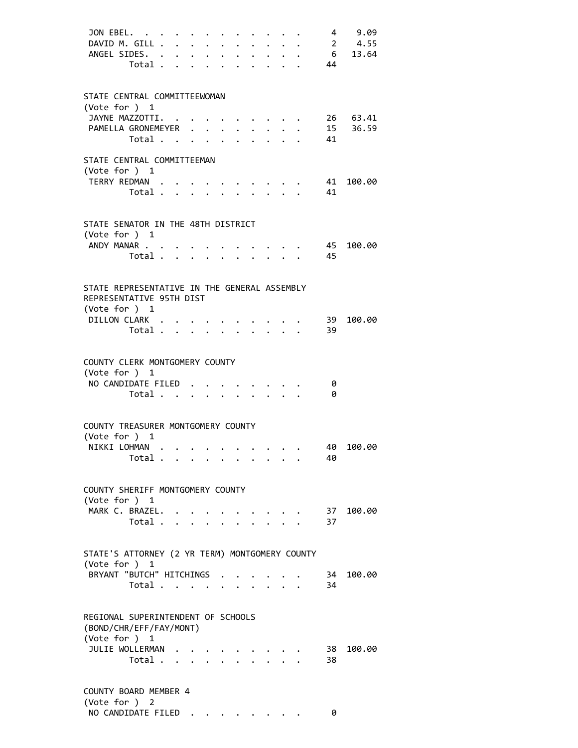| JON EBEL.<br>DAVID M. GILL<br>ANGEL SIDES.                                                | Total                                     |                                 |  | $\ddot{\phantom{0}}$<br>$\ddot{\phantom{0}}$ | $\bullet$ | $\mathbf{r}$ , and $\mathbf{r}$ , and $\mathbf{r}$ |                                         |                                                                                                                                                    | 44       | 4 9.09<br>$\cdot \quad \cdot \quad \quad 2 \quad 4.55$<br>6 13.64 |
|-------------------------------------------------------------------------------------------|-------------------------------------------|---------------------------------|--|----------------------------------------------|-----------|----------------------------------------------------|-----------------------------------------|----------------------------------------------------------------------------------------------------------------------------------------------------|----------|-------------------------------------------------------------------|
| STATE CENTRAL COMMITTEEWOMAN<br>(Vote for ) 1                                             |                                           |                                 |  |                                              |           |                                                    |                                         |                                                                                                                                                    |          |                                                                   |
| JAYNE MAZZOTTI.<br>PAMELLA GRONEMEYER                                                     | Total .                                   | $\cdot$ $\cdot$ $\cdot$ $\cdot$ |  |                                              |           |                                                    | $\cdot$ $\cdot$ $\cdot$ $\cdot$ $\cdot$ | $\cdot$ $\cdot$ $\cdot$ $\cdot$ $\cdot$ $\cdot$ $\cdot$<br>$\mathbf{r}$ , $\mathbf{r}$ , $\mathbf{r}$ , $\mathbf{r}$ , $\mathbf{r}$ , $\mathbf{r}$ | 15<br>41 | 26 63.41<br>36.59                                                 |
| STATE CENTRAL COMMITTEEMAN<br>(Vote for $)$ 1                                             |                                           |                                 |  |                                              |           |                                                    |                                         |                                                                                                                                                    |          |                                                                   |
| TERRY REDMAN                                                                              | Total                                     |                                 |  |                                              |           |                                                    |                                         |                                                                                                                                                    | 41<br>41 | 100.00                                                            |
| STATE SENATOR IN THE 48TH DISTRICT<br>(Vote for $)$ 1                                     |                                           |                                 |  |                                              |           |                                                    |                                         |                                                                                                                                                    |          |                                                                   |
| ANDY MANAR                                                                                | Total                                     |                                 |  |                                              |           |                                                    |                                         |                                                                                                                                                    | 45<br>45 | 100.00                                                            |
| STATE REPRESENTATIVE IN THE GENERAL ASSEMBLY<br>REPRESENTATIVE 95TH DIST<br>(Vote for ) 1 |                                           |                                 |  |                                              |           |                                                    |                                         |                                                                                                                                                    |          |                                                                   |
| DILLON CLARK                                                                              | Total                                     |                                 |  |                                              |           |                                                    | $\sim$ $\sim$                           |                                                                                                                                                    | 39<br>39 | 100.00                                                            |
| COUNTY CLERK MONTGOMERY COUNTY<br>(Vote for ) 1                                           |                                           |                                 |  |                                              |           |                                                    |                                         |                                                                                                                                                    |          |                                                                   |
| NO CANDIDATE FILED                                                                        | Total                                     |                                 |  |                                              |           |                                                    |                                         |                                                                                                                                                    | 0<br>0   |                                                                   |
| COUNTY TREASURER MONTGOMERY COUNTY<br>(Vote for ) 1                                       |                                           |                                 |  |                                              |           |                                                    |                                         |                                                                                                                                                    |          |                                                                   |
| NTKKT LOHMAN                                                                              | Total $\ldots$ $\ldots$ $\ldots$ $\ldots$ |                                 |  |                                              |           |                                                    |                                         |                                                                                                                                                    | 40       | 40 100.00                                                         |
| COUNTY SHERIFF MONTGOMERY COUNTY<br>(Vote for $)$ 1                                       |                                           |                                 |  |                                              |           |                                                    |                                         |                                                                                                                                                    |          |                                                                   |
| MARK C. BRAZEL.                                                                           | Total                                     |                                 |  |                                              |           | $\mathbf{L} = \mathbf{L}$                          |                                         |                                                                                                                                                    | 37       | 37 100.00                                                         |
| STATE'S ATTORNEY (2 YR TERM) MONTGOMERY COUNTY<br>(Vote for ) 1                           |                                           |                                 |  |                                              |           |                                                    |                                         |                                                                                                                                                    |          |                                                                   |
| BRYANT "BUTCH" HITCHINGS                                                                  | Total                                     |                                 |  |                                              |           |                                                    |                                         |                                                                                                                                                    | 34       | 34 100.00                                                         |
| REGIONAL SUPERINTENDENT OF SCHOOLS<br>(BOND/CHR/EFF/FAY/MONT)<br>(Vote for ) 1            |                                           |                                 |  |                                              |           |                                                    |                                         |                                                                                                                                                    |          |                                                                   |
| JULIE WOLLERMAN                                                                           | Total                                     |                                 |  |                                              |           |                                                    |                                         |                                                                                                                                                    | 38<br>38 | 100.00                                                            |
| COUNTY BOARD MEMBER 4<br>(Vote for ) 2                                                    |                                           |                                 |  |                                              |           |                                                    |                                         |                                                                                                                                                    |          |                                                                   |
| NO CANDIDATE FILED                                                                        |                                           |                                 |  |                                              |           |                                                    |                                         |                                                                                                                                                    | 0        |                                                                   |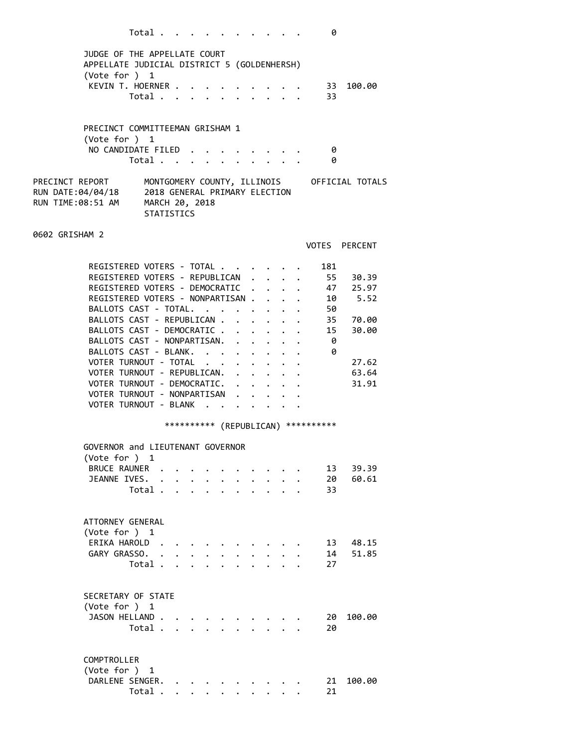|                 |                                                                   | Total             |                      |                                        |                      |        |                      |                                         |                                  |                      | 0                                                                           |                                             |
|-----------------|-------------------------------------------------------------------|-------------------|----------------------|----------------------------------------|----------------------|--------|----------------------|-----------------------------------------|----------------------------------|----------------------|-----------------------------------------------------------------------------|---------------------------------------------|
|                 | JUDGE OF THE APPELLATE COURT                                      |                   |                      |                                        |                      |        |                      |                                         |                                  |                      |                                                                             |                                             |
|                 | APPELLATE JUDICIAL DISTRICT 5 (GOLDENHERSH)                       |                   |                      |                                        |                      |        |                      |                                         |                                  |                      |                                                                             |                                             |
|                 | (Vote for ) 1                                                     |                   |                      |                                        |                      |        |                      |                                         |                                  |                      |                                                                             |                                             |
|                 | KEVIN T. HOERNER                                                  |                   |                      |                                        |                      |        |                      |                                         |                                  |                      |                                                                             | 33 100.00                                   |
|                 |                                                                   | Total             |                      | $\mathbf{r}$ and $\mathbf{r}$          |                      |        |                      |                                         |                                  |                      | 33                                                                          |                                             |
|                 |                                                                   |                   |                      |                                        |                      |        |                      |                                         |                                  |                      |                                                                             |                                             |
|                 | PRECINCT COMMITTEEMAN GRISHAM 1                                   |                   |                      |                                        |                      |        |                      |                                         |                                  |                      |                                                                             |                                             |
|                 | (Vote for ) 1                                                     |                   |                      |                                        |                      |        |                      |                                         |                                  |                      |                                                                             |                                             |
|                 | NO CANDIDATE FILED 0                                              |                   |                      |                                        |                      |        |                      |                                         |                                  |                      |                                                                             |                                             |
|                 |                                                                   | Total             |                      |                                        |                      |        |                      |                                         |                                  |                      | 0                                                                           |                                             |
| PRECINCT REPORT |                                                                   |                   |                      |                                        |                      |        |                      |                                         |                                  |                      |                                                                             | MONTGOMERY COUNTY, ILLINOIS OFFICIAL TOTALS |
|                 | RUN DATE:04/04/18 2018 GENERAL PRIMARY ELECTION                   |                   |                      |                                        |                      |        |                      |                                         |                                  |                      |                                                                             |                                             |
|                 | RUN TIME:08:51 AM MARCH 20, 2018                                  |                   |                      |                                        |                      |        |                      |                                         |                                  |                      |                                                                             |                                             |
|                 |                                                                   | <b>STATISTICS</b> |                      |                                        |                      |        |                      |                                         |                                  |                      |                                                                             |                                             |
| 0602 GRISHAM 2  |                                                                   |                   |                      |                                        |                      |        |                      |                                         |                                  |                      |                                                                             |                                             |
|                 |                                                                   |                   |                      |                                        |                      |        |                      |                                         |                                  |                      |                                                                             | VOTES PERCENT                               |
|                 |                                                                   |                   |                      |                                        |                      |        |                      |                                         |                                  |                      |                                                                             |                                             |
|                 | REGISTERED VOTERS - TOTAL                                         |                   |                      |                                        |                      |        |                      |                                         |                                  |                      | 181                                                                         |                                             |
|                 | REGISTERED VOTERS - REPUBLICAN                                    |                   |                      |                                        |                      |        |                      |                                         |                                  | $\mathbf{r}$         |                                                                             | 55 30.39<br>47 25.97                        |
|                 | REGISTERED VOTERS - DEMOCRATIC<br>REGISTERED VOTERS - NONPARTISAN |                   |                      |                                        |                      |        |                      |                                         |                                  |                      |                                                                             | 10 5.52                                     |
|                 | BALLOTS CAST - TOTAL.                                             |                   |                      |                                        |                      |        |                      |                                         |                                  |                      | $\mathbf{r}$ , and $\mathbf{r}$ , and $\mathbf{r}$ , and $\mathbf{r}$<br>50 |                                             |
|                 | BALLOTS CAST - REPUBLICAN                                         |                   |                      |                                        |                      |        |                      |                                         |                                  |                      |                                                                             | 35 70.00                                    |
|                 | BALLOTS CAST - DEMOCRATIC                                         |                   |                      |                                        |                      |        |                      |                                         |                                  | $\ddot{\phantom{0}}$ | $\bullet$ . The set of $\mathcal{O}(\mathbb{R}^d)$<br>15                    | 30.00                                       |
|                 | BALLOTS CAST - NONPARTISAN.                                       |                   |                      |                                        |                      |        |                      |                                         |                                  |                      | -0                                                                          |                                             |
|                 | BALLOTS CAST - BLANK.                                             |                   |                      |                                        |                      |        |                      | $\cdot$ $\cdot$ $\cdot$ $\cdot$ $\cdot$ |                                  |                      | 0                                                                           |                                             |
|                 | VOTER TURNOUT - TOTAL                                             |                   |                      |                                        |                      | $\sim$ | $\ddot{\phantom{0}}$ |                                         |                                  |                      |                                                                             | 27.62                                       |
|                 | VOTER TURNOUT - REPUBLICAN.                                       |                   |                      |                                        |                      |        |                      |                                         |                                  |                      |                                                                             | 63.64                                       |
|                 | VOTER TURNOUT - DEMOCRATIC.                                       |                   |                      |                                        |                      |        |                      |                                         | $\cdot$ $\cdot$ $\cdot$          |                      |                                                                             | 31.91                                       |
|                 | VOTER TURNOUT - NONPARTISAN                                       |                   |                      |                                        |                      |        |                      |                                         | $\ddot{\phantom{a}}$             |                      |                                                                             |                                             |
|                 | VOTER TURNOUT - BLANK                                             |                   |                      |                                        |                      |        |                      |                                         |                                  |                      |                                                                             |                                             |
|                 |                                                                   |                   |                      |                                        |                      |        |                      |                                         |                                  |                      | *********** (REPUBLICAN) ***********                                        |                                             |
|                 |                                                                   |                   |                      |                                        |                      |        |                      |                                         |                                  |                      |                                                                             |                                             |
|                 | GOVERNOR and LIEUTENANT GOVERNOR<br>(Vote for ) 1                 |                   |                      |                                        |                      |        |                      |                                         |                                  |                      |                                                                             |                                             |
|                 | BRUCE RAUNER .                                                    |                   |                      | $\mathbf{r}$ . The set of $\mathbf{r}$ |                      |        |                      |                                         |                                  |                      | 13                                                                          | 39.39                                       |
|                 | JEANNE IVES.                                                      | $\mathbf{L}$      |                      | $\cdot$ $\cdot$ $\cdot$ $\cdot$        | $\ddot{\phantom{0}}$ |        | $\ddot{\phantom{0}}$ | $\ddot{\phantom{0}}$                    | $\ddot{\phantom{0}}$             |                      | 20                                                                          | 60.61                                       |
|                 |                                                                   | Total             |                      | $\cdot$ $\cdot$ $\cdot$                | $\ddot{\phantom{0}}$ |        | $\ddot{\phantom{0}}$ | $\ddot{\phantom{0}}$                    | $\bullet$ . The set of $\bullet$ |                      | 33                                                                          |                                             |
|                 |                                                                   |                   |                      |                                        |                      |        |                      |                                         |                                  |                      |                                                                             |                                             |
|                 |                                                                   |                   |                      |                                        |                      |        |                      |                                         |                                  |                      |                                                                             |                                             |
|                 | ATTORNEY GENERAL<br>(Vote for ) 1                                 |                   |                      |                                        |                      |        |                      |                                         |                                  |                      |                                                                             |                                             |
|                 | ERIKA HAROLD.                                                     |                   |                      |                                        |                      |        |                      |                                         |                                  |                      | 13                                                                          | 48.15                                       |
|                 | GARY GRASSO. .                                                    |                   |                      | $\sim$ $\sim$ $\sim$ $\sim$            |                      |        |                      |                                         |                                  |                      | 14                                                                          | 51.85                                       |
|                 |                                                                   | Total.            | $\ddot{\phantom{a}}$ | $\cdots$                               | $\mathbf{L}$         |        | $\ddot{\phantom{0}}$ | $\sim$                                  | $\ddot{\phantom{a}}$             |                      | 27                                                                          |                                             |
|                 |                                                                   |                   |                      |                                        |                      |        |                      |                                         |                                  |                      |                                                                             |                                             |
|                 |                                                                   |                   |                      |                                        |                      |        |                      |                                         |                                  |                      |                                                                             |                                             |
|                 | SECRETARY OF STATE                                                |                   |                      |                                        |                      |        |                      |                                         |                                  |                      |                                                                             |                                             |
|                 | (Vote for ) 1<br>JASON HELLAND.                                   |                   |                      |                                        |                      |        |                      |                                         |                                  |                      |                                                                             | 100.00                                      |
|                 |                                                                   | Total             |                      |                                        |                      |        |                      |                                         |                                  |                      | 20<br>20                                                                    |                                             |
|                 |                                                                   |                   |                      |                                        |                      |        |                      |                                         |                                  |                      |                                                                             |                                             |
|                 |                                                                   |                   |                      |                                        |                      |        |                      |                                         |                                  |                      |                                                                             |                                             |
|                 | COMPTROLLER                                                       |                   |                      |                                        |                      |        |                      |                                         |                                  |                      |                                                                             |                                             |
|                 | (Vote for ) 1                                                     |                   |                      |                                        |                      |        |                      |                                         |                                  |                      |                                                                             |                                             |
|                 | DARLENE SENGER.                                                   |                   |                      |                                        |                      |        |                      |                                         |                                  |                      | 21                                                                          | 100.00                                      |
|                 |                                                                   | Total .           |                      |                                        |                      |        |                      |                                         |                                  |                      | 21                                                                          |                                             |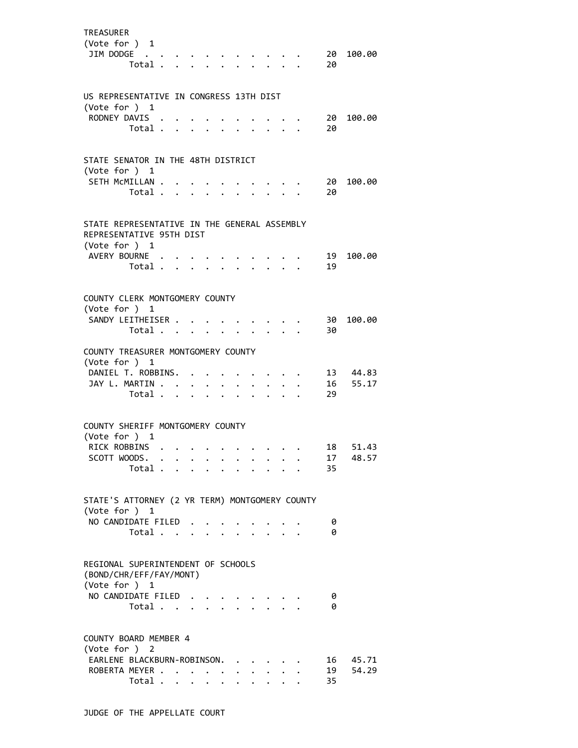| <b>TREASURER</b><br>(Vote for ) 1<br>JIM DODGE                                                             | Total . |  |                                                                             |                      |                      |                      |                         |                                                           | 20       | 20 100.00 |
|------------------------------------------------------------------------------------------------------------|---------|--|-----------------------------------------------------------------------------|----------------------|----------------------|----------------------|-------------------------|-----------------------------------------------------------|----------|-----------|
| US REPRESENTATIVE IN CONGRESS 13TH DIST                                                                    |         |  |                                                                             |                      |                      |                      |                         |                                                           |          |           |
| (Vote for ) 1<br>RODNEY DAVIS                                                                              |         |  |                                                                             |                      |                      |                      |                         |                                                           | 20       | 100.00    |
|                                                                                                            | Total   |  |                                                                             |                      |                      |                      |                         |                                                           | 20       |           |
| STATE SENATOR IN THE 48TH DISTRICT                                                                         |         |  |                                                                             |                      |                      |                      |                         |                                                           |          |           |
| (Vote for ) 1<br>SETH MCMILLAN .                                                                           |         |  |                                                                             |                      |                      |                      |                         |                                                           | 20       | 100.00    |
|                                                                                                            | Total   |  |                                                                             | $\ddot{\phantom{0}}$ |                      | $\ddot{\phantom{a}}$ | $\cdot$ $\cdot$ $\cdot$ |                                                           | 20       |           |
| STATE REPRESENTATIVE IN THE GENERAL ASSEMBLY<br>REPRESENTATIVE 95TH DIST<br>(Vote for ) 1<br>AVERY BOURNE. |         |  |                                                                             |                      |                      |                      |                         |                                                           | - 19     | 100.00    |
|                                                                                                            | Total   |  |                                                                             |                      |                      |                      |                         | $\mathbf{r}$ , $\mathbf{r}$ , $\mathbf{r}$ , $\mathbf{r}$ | 19       |           |
| COUNTY CLERK MONTGOMERY COUNTY<br>(Vote for ) 1                                                            |         |  |                                                                             |                      |                      |                      |                         |                                                           |          |           |
| SANDY LEITHEISER                                                                                           |         |  |                                                                             |                      |                      |                      |                         |                                                           | 30       | 100.00    |
|                                                                                                            | Total   |  |                                                                             | $\sim$               |                      | $\mathbf{L}$         | $\mathcal{L}^{(1)}$     |                                                           | 30       |           |
| COUNTY TREASURER MONTGOMERY COUNTY<br>(Vote for ) 1<br>DANIEL T. ROBBINS. .                                |         |  |                                                                             |                      |                      |                      |                         |                                                           |          | 13 44.83  |
| JAY L. MARTIN                                                                                              |         |  | $\bullet$ .<br><br><br><br><br><br><br><br><br><br><br><br><br><br><br><br> |                      |                      |                      |                         |                                                           |          | 16 55.17  |
|                                                                                                            | Total   |  | $\ddot{\phantom{0}}$                                                        |                      |                      |                      |                         |                                                           | 29       |           |
| COUNTY SHERIFF MONTGOMERY COUNTY<br>(Vote for ) 1                                                          |         |  |                                                                             |                      |                      |                      |                         |                                                           |          |           |
| RICK ROBBINS                                                                                               |         |  |                                                                             |                      |                      |                      |                         |                                                           | 18       | 51.43     |
| SCOTT WOODS.                                                                                               | Total   |  |                                                                             |                      |                      |                      |                         |                                                           | 17<br>35 | 48.57     |
|                                                                                                            |         |  |                                                                             |                      |                      |                      |                         |                                                           |          |           |
| STATE'S ATTORNEY (2 YR TERM) MONTGOMERY COUNTY                                                             |         |  |                                                                             |                      |                      |                      |                         |                                                           |          |           |
| (Vote for ) 1<br>NO CANDIDATE FILED                                                                        |         |  |                                                                             |                      |                      |                      |                         |                                                           | 0        |           |
|                                                                                                            | Total   |  |                                                                             |                      |                      |                      |                         |                                                           | 0        |           |
| REGIONAL SUPERINTENDENT OF SCHOOLS<br>(BOND/CHR/EFF/FAY/MONT)<br>(Vote for ) 1                             |         |  |                                                                             |                      |                      |                      |                         |                                                           |          |           |
| NO CANDIDATE FILED                                                                                         |         |  |                                                                             |                      |                      |                      |                         |                                                           | 0        |           |
|                                                                                                            | Total   |  |                                                                             |                      | $\sim$               | $\sim$               | $\cdot$ $\cdot$ $\cdot$ |                                                           | ø        |           |
| COUNTY BOARD MEMBER 4                                                                                      |         |  |                                                                             |                      |                      |                      |                         |                                                           |          |           |
| (Vote for ) 2<br>EARLENE BLACKBURN-ROBINSON.                                                               |         |  |                                                                             |                      |                      |                      |                         |                                                           | 16       | 45.71     |
| ROBERTA MEYER                                                                                              |         |  |                                                                             | $\ddot{\phantom{0}}$ | $\ddot{\phantom{0}}$ | $\ddot{\phantom{0}}$ |                         |                                                           | 19       | 54.29     |
|                                                                                                            | Total   |  |                                                                             | $\ddot{\phantom{a}}$ |                      | $\ddot{\phantom{0}}$ |                         |                                                           | 35       |           |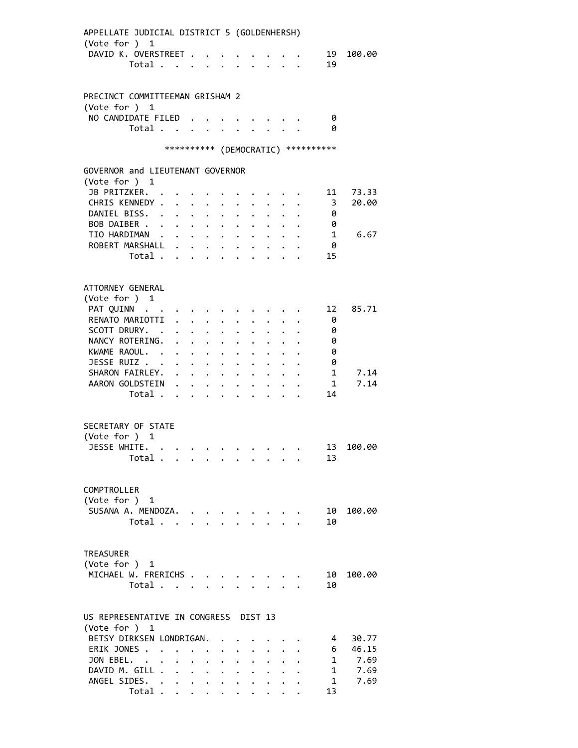| APPELLATE JUDICIAL DISTRICT 5 (GOLDENHERSH) |                      |                      |                           |                                                           |              |                                                                    |                      |                                                                                                                       |                                     |        |
|---------------------------------------------|----------------------|----------------------|---------------------------|-----------------------------------------------------------|--------------|--------------------------------------------------------------------|----------------------|-----------------------------------------------------------------------------------------------------------------------|-------------------------------------|--------|
| (Vote for ) 1                               |                      |                      |                           |                                                           |              |                                                                    |                      |                                                                                                                       |                                     |        |
| DAVID K. OVERSTREET<br>Total                |                      |                      |                           |                                                           |              | $\mathbf{r} = \mathbf{r} + \mathbf{r} + \mathbf{r} + \mathbf{r}$ . |                      |                                                                                                                       | 19<br>19                            | 100.00 |
|                                             |                      |                      |                           | $\cdot$ $\cdot$                                           |              | $\ddot{\phantom{0}}$                                               |                      |                                                                                                                       |                                     |        |
|                                             |                      |                      |                           |                                                           |              |                                                                    |                      |                                                                                                                       |                                     |        |
| PRECINCT COMMITTEEMAN GRISHAM 2             |                      |                      |                           |                                                           |              |                                                                    |                      |                                                                                                                       |                                     |        |
| (Vote for $)$ 1                             |                      |                      |                           |                                                           |              |                                                                    |                      |                                                                                                                       |                                     |        |
| NO CANDIDATE FILED.                         |                      |                      |                           |                                                           |              |                                                                    |                      |                                                                                                                       | - 0                                 |        |
| Total $\cdots$ $\cdots$ $\cdots$ $\cdots$ 0 |                      |                      |                           |                                                           |              |                                                                    |                      |                                                                                                                       |                                     |        |
|                                             |                      |                      |                           |                                                           |              |                                                                    |                      |                                                                                                                       | *********** (DEMOCRATIC) ********** |        |
|                                             |                      |                      |                           |                                                           |              |                                                                    |                      |                                                                                                                       |                                     |        |
| GOVERNOR and LIEUTENANT GOVERNOR            |                      |                      |                           |                                                           |              |                                                                    |                      |                                                                                                                       |                                     |        |
| (Vote for ) 1                               |                      |                      |                           |                                                           |              |                                                                    |                      |                                                                                                                       |                                     |        |
| JB PRITZKER. .                              |                      |                      |                           |                                                           |              |                                                                    |                      |                                                                                                                       | 11                                  | 73.33  |
| CHRIS KENNEDY                               |                      |                      |                           |                                                           |              |                                                                    |                      |                                                                                                                       | - 3                                 | 20.00  |
| DANIEL BISS.                                |                      |                      |                           |                                                           |              |                                                                    |                      |                                                                                                                       | 0                                   |        |
| BOB DAIBER<br>TIO HARDIMAN                  |                      |                      |                           |                                                           |              |                                                                    |                      |                                                                                                                       | 0<br>$\mathbf{1}$                   | 6.67   |
| ROBERT MARSHALL                             |                      |                      |                           |                                                           |              |                                                                    |                      |                                                                                                                       |                                     |        |
| Total $\cdots$ $\cdots$ $\cdots$            |                      |                      |                           |                                                           |              | $\cdot$ $\cdot$                                                    |                      | $\mathbf{r} = \mathbf{r} + \mathbf{r}$                                                                                | 0<br>15                             |        |
|                                             |                      |                      |                           |                                                           |              |                                                                    |                      |                                                                                                                       |                                     |        |
|                                             |                      |                      |                           |                                                           |              |                                                                    |                      |                                                                                                                       |                                     |        |
| ATTORNEY GENERAL                            |                      |                      |                           |                                                           |              |                                                                    |                      |                                                                                                                       |                                     |        |
| (Vote for ) 1                               |                      |                      |                           |                                                           |              |                                                                    |                      |                                                                                                                       |                                     |        |
| PAT QUINN                                   |                      |                      |                           |                                                           |              |                                                                    |                      |                                                                                                                       | 12                                  | 85.71  |
| RENATO MARIOTTI                             |                      |                      |                           |                                                           |              |                                                                    |                      |                                                                                                                       | 0                                   |        |
| SCOTT DRURY. .                              |                      |                      |                           | $\mathbf{L}^{\text{max}}$ , and $\mathbf{L}^{\text{max}}$ |              | $\mathbf{z} = \mathbf{z}$ . The set of $\mathbf{z}$                |                      |                                                                                                                       | 0                                   |        |
| NANCY ROTERING.                             |                      |                      |                           |                                                           |              |                                                                    |                      | $\mathbf{r}$ , $\mathbf{r}$ , $\mathbf{r}$ , $\mathbf{r}$ , $\mathbf{r}$ , $\mathbf{r}$ , $\mathbf{r}$ , $\mathbf{r}$ | 0                                   |        |
| KWAME RAOUL.                                |                      |                      |                           |                                                           |              |                                                                    |                      | $\mathbb{R}^{n}$ . $\mathbb{R}^{n}$                                                                                   | 0                                   |        |
| JESSE RUIZ                                  |                      |                      |                           |                                                           |              |                                                                    |                      |                                                                                                                       | 0                                   |        |
| SHARON FAIRLEY.                             |                      |                      |                           |                                                           |              |                                                                    |                      |                                                                                                                       | 1                                   | 7.14   |
| AARON GOLDSTEIN                             |                      |                      |                           |                                                           |              |                                                                    |                      |                                                                                                                       | 1                                   | 7.14   |
| Total                                       |                      |                      |                           |                                                           |              |                                                                    |                      |                                                                                                                       | 14                                  |        |
|                                             |                      |                      |                           |                                                           |              |                                                                    |                      |                                                                                                                       |                                     |        |
| SECRETARY OF STATE                          |                      |                      |                           |                                                           |              |                                                                    |                      |                                                                                                                       |                                     |        |
| (Vote for ) 1                               |                      |                      |                           |                                                           |              |                                                                    |                      |                                                                                                                       |                                     |        |
| JESSE WHITE.                                |                      |                      |                           |                                                           |              |                                                                    |                      |                                                                                                                       | 13                                  | 100.00 |
| Total                                       |                      |                      |                           |                                                           |              |                                                                    |                      |                                                                                                                       | 13                                  |        |
|                                             |                      |                      |                           |                                                           |              |                                                                    |                      |                                                                                                                       |                                     |        |
|                                             |                      |                      |                           |                                                           |              |                                                                    |                      |                                                                                                                       |                                     |        |
| <b>COMPTROLLER</b>                          |                      |                      |                           |                                                           |              |                                                                    |                      |                                                                                                                       |                                     |        |
| (Vote for ) 1                               |                      |                      |                           |                                                           |              |                                                                    |                      |                                                                                                                       |                                     |        |
| SUSANA A. MENDOZA.                          |                      |                      |                           |                                                           |              |                                                                    |                      |                                                                                                                       | 10                                  | 100.00 |
| Total                                       |                      |                      |                           |                                                           |              |                                                                    |                      |                                                                                                                       | 10                                  |        |
|                                             |                      |                      |                           |                                                           |              |                                                                    |                      |                                                                                                                       |                                     |        |
| <b>TREASURER</b>                            |                      |                      |                           |                                                           |              |                                                                    |                      |                                                                                                                       |                                     |        |
| (Vote for ) 1                               |                      |                      |                           |                                                           |              |                                                                    |                      |                                                                                                                       |                                     |        |
| MICHAEL W. FRERICHS                         |                      |                      |                           |                                                           |              |                                                                    |                      |                                                                                                                       | 10                                  | 100.00 |
| Total                                       |                      |                      | $\mathbf{L}$              |                                                           |              |                                                                    |                      |                                                                                                                       | 10                                  |        |
|                                             |                      |                      |                           |                                                           |              |                                                                    |                      |                                                                                                                       |                                     |        |
|                                             |                      |                      |                           |                                                           |              |                                                                    |                      |                                                                                                                       |                                     |        |
| US REPRESENTATIVE IN CONGRESS DIST 13       |                      |                      |                           |                                                           |              |                                                                    |                      |                                                                                                                       |                                     |        |
| (Vote for ) 1                               |                      |                      |                           |                                                           |              |                                                                    |                      |                                                                                                                       |                                     |        |
| BETSY DIRKSEN LONDRIGAN.                    |                      |                      |                           |                                                           |              |                                                                    |                      |                                                                                                                       | 4                                   | 30.77  |
| ERIK JONES                                  | $\ddot{\phantom{a}}$ |                      |                           |                                                           |              |                                                                    |                      |                                                                                                                       | 6                                   | 46.15  |
| JON EBEL. .                                 |                      | $\cdot$              | $\ddot{\phantom{a}}$      |                                                           |              |                                                                    |                      |                                                                                                                       | $\mathbf{1}$                        | 7.69   |
| DAVID M. GILL .                             | $\mathbf{A}$         | $\ddot{\phantom{0}}$ | $\ddot{\phantom{0}}$      | $\ddot{\phantom{0}}$                                      |              |                                                                    |                      |                                                                                                                       | $\mathbf{1}$                        | 7.69   |
| ANGEL SIDES. .                              | $\ddot{\phantom{0}}$ |                      | $\cdot$ $\cdot$           | $\ddot{\phantom{0}}$                                      | $\mathbf{L}$ | $\ddot{\phantom{0}}$                                               | $\ddot{\phantom{0}}$ |                                                                                                                       | $\mathbf{1}$                        | 7.69   |
| Total .                                     | $\ddot{\phantom{0}}$ |                      | $\mathbf{L} = \mathbf{L}$ | $\mathbf{L}$                                              |              |                                                                    |                      |                                                                                                                       | 13                                  |        |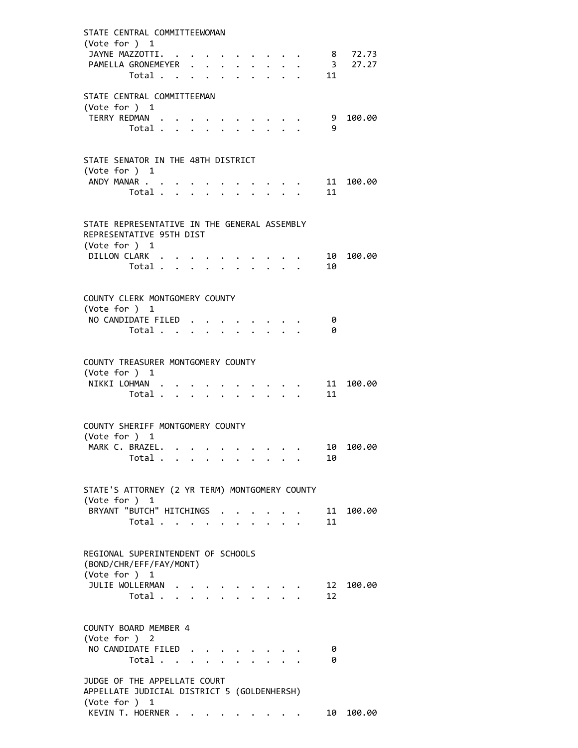| STATE CENTRAL COMMITTEEWOMAN<br>(Vote for ) 1<br>JAYNE MAZZOTTI.                             |                           |                      |                      |                                                        |                           |                                                |            | $\cdot$ $\cdot$ 8 72.73 |
|----------------------------------------------------------------------------------------------|---------------------------|----------------------|----------------------|--------------------------------------------------------|---------------------------|------------------------------------------------|------------|-------------------------|
| PAMELLA GRONEMEYER<br>Total                                                                  |                           |                      | $\ddot{\phantom{0}}$ |                                                        |                           |                                                | 11         | 3 27.27                 |
| STATE CENTRAL COMMITTEEMAN<br>(Vote for $)$ 1                                                |                           |                      |                      |                                                        |                           |                                                |            |                         |
| TERRY REDMAN<br>Total                                                                        |                           |                      |                      | $\cdots$<br>$\mathbf{r}$ , $\mathbf{r}$ , $\mathbf{r}$ | $\mathbf{L} = \mathbf{L}$ |                                                | - 9<br>- 9 | 100.00                  |
| STATE SENATOR IN THE 48TH DISTRICT<br>(Vote for $)$ 1                                        |                           |                      |                      |                                                        |                           |                                                |            |                         |
| ANDY MANAR<br>Total                                                                          |                           | $\mathbf{A}$         | $\sim$               |                                                        |                           | $\mathbf{r}$ and $\mathbf{r}$ and $\mathbf{r}$ | 11<br>11   | 100.00                  |
| STATE REPRESENTATIVE IN THE GENERAL ASSEMBLY<br>REPRESENTATIVE 95TH DIST                     |                           |                      |                      |                                                        |                           |                                                |            |                         |
| (Vote for ) 1<br>DILLON CLARK<br>Total                                                       |                           |                      |                      |                                                        |                           |                                                | 10<br>10   | 100.00                  |
| COUNTY CLERK MONTGOMERY COUNTY<br>(Vote for ) 1                                              |                           |                      |                      |                                                        |                           |                                                |            |                         |
| NO CANDIDATE FILED.<br>Total                                                                 |                           | $\ddot{\phantom{0}}$ |                      |                                                        |                           |                                                | 0<br>ø     |                         |
| COUNTY TREASURER MONTGOMERY COUNTY<br>(Vote for ) 1                                          |                           |                      |                      |                                                        |                           |                                                |            |                         |
| NIKKI LOHMAN<br>Total $\ldots$ $\ldots$ $\ldots$ $\ldots$                                    |                           |                      |                      |                                                        |                           |                                                | 11<br>11   | 100.00                  |
| COUNTY SHERIFF MONTGOMERY COUNTY<br>(Vote for ) 1                                            |                           |                      |                      |                                                        |                           |                                                |            |                         |
| MARK C. BRAZEL<br>Total $\ldots$ $\ldots$ $\ldots$ $\ldots$                                  |                           |                      |                      |                                                        |                           |                                                | 10         | 10 100.00               |
| STATE'S ATTORNEY (2 YR TERM) MONTGOMERY COUNTY<br>(Vote for ) 1                              |                           |                      |                      |                                                        |                           |                                                |            |                         |
| BRYANT "BUTCH" HITCHINGS<br>Total                                                            |                           |                      |                      |                                                        |                           |                                                | 11<br>11   | 100.00                  |
| REGIONAL SUPERINTENDENT OF SCHOOLS<br>(BOND/CHR/EFF/FAY/MONT)<br>(Vote for ) 1               |                           |                      |                      |                                                        |                           |                                                |            |                         |
| JULIE WOLLERMAN<br>Total                                                                     | $\mathbf{r}$ $\mathbf{r}$ |                      |                      |                                                        |                           |                                                | 12<br>12   | 100.00                  |
| COUNTY BOARD MEMBER 4<br>(Vote for ) 2                                                       |                           |                      |                      |                                                        |                           |                                                |            |                         |
| NO CANDIDATE FILED<br>Total $\cdots$ $\cdots$                                                |                           |                      |                      |                                                        |                           |                                                | 0<br>0     |                         |
| JUDGE OF THE APPELLATE COURT<br>APPELLATE JUDICIAL DISTRICT 5 (GOLDENHERSH)<br>(Vote for ) 1 |                           |                      |                      |                                                        |                           |                                                |            |                         |
| KEVIN T. HOERNER                                                                             |                           |                      |                      | $\sim$ 100 $\sim$ 100 $\sim$ 100 $\sim$                |                           |                                                | 10         | 100.00                  |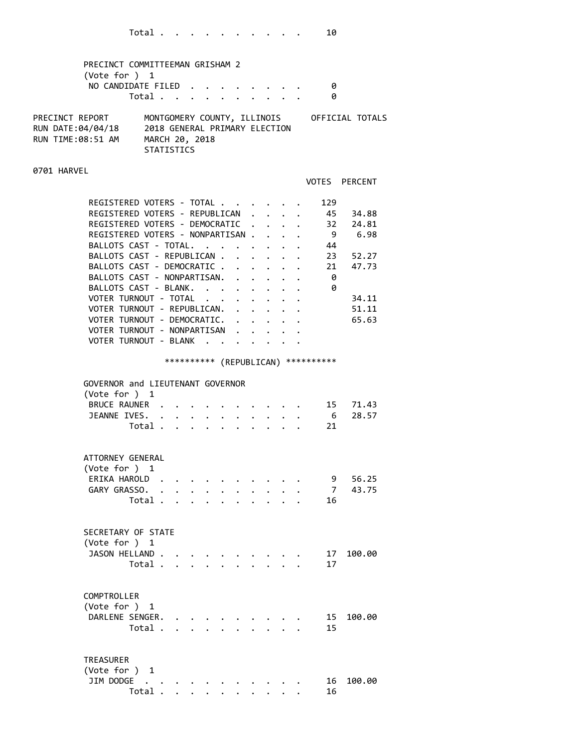| PRECINCT COMMITTEEMAN GRISHAM 2<br>(Vote for $)$ 1<br>NO CANDIDATE FILED                                                                                                                                                                                                                                                                                                                                                     | Total             |              |                               |                                               |             |                                                            |                         |                                      | - 0<br>0                |                                                                                |
|------------------------------------------------------------------------------------------------------------------------------------------------------------------------------------------------------------------------------------------------------------------------------------------------------------------------------------------------------------------------------------------------------------------------------|-------------------|--------------|-------------------------------|-----------------------------------------------|-------------|------------------------------------------------------------|-------------------------|--------------------------------------|-------------------------|--------------------------------------------------------------------------------|
| PRECINCT REPORT<br>RUN DATE:04/04/18 2018 GENERAL PRIMARY ELECTION<br>RUN TIME:08:51 AM MARCH 20, 2018                                                                                                                                                                                                                                                                                                                       | <b>STATISTICS</b> |              |                               |                                               |             |                                                            |                         |                                      |                         | MONTGOMERY COUNTY, ILLINOIS OFFICIAL TOTALS                                    |
| 0701 HARVEL                                                                                                                                                                                                                                                                                                                                                                                                                  |                   |              |                               |                                               |             |                                                            |                         |                                      |                         | <b>VOTES PERCENT</b>                                                           |
| REGISTERED VOTERS - TOTAL<br>REGISTERED VOTERS - REPUBLICAN .<br>REGISTERED VOTERS - DEMOCRATIC<br>REGISTERED VOTERS - NONPARTISAN<br>BALLOTS CAST - TOTAL.<br>BALLOTS CAST - REPUBLICAN<br>BALLOTS CAST - DEMOCRATIC<br>BALLOTS CAST - NONPARTISAN.<br>BALLOTS CAST - BLANK.<br>VOTER TURNOUT - TOTAL<br>VOTER TURNOUT - REPUBLICAN.<br>VOTER TURNOUT - DEMOCRATIC.<br>VOTER TURNOUT - NONPARTISAN<br>VOTER TURNOUT - BLANK |                   |              |                               | $\bullet$ , $\bullet$ , $\bullet$ , $\bullet$ | $\bullet$ . | $\mathbf{L}$<br>$\mathbf{1}$ , $\mathbf{1}$ , $\mathbf{1}$ |                         | . 45<br>$\ddot{\phantom{0}}$         | 129<br>44<br>- 0<br>- 0 | 34.88<br>32 24.81<br>9 6.98<br>23 52.27<br>21 47.73<br>34.11<br>51.11<br>65.63 |
| GOVERNOR and LIEUTENANT GOVERNOR<br>(Vote for ) 1<br>BRUCE RAUNER<br>JEANNE IVES.                                                                                                                                                                                                                                                                                                                                            | Total             |              | a shekara ta 1990 a ƙafa ta ƙ |                                               |             |                                                            |                         | *********** (REPUBLICAN) *********** | 21                      | 15 71.43<br>$-28.57$                                                           |
| ATTORNEY GENERAL<br>(Vote for ) 1<br>ERIKA HAROLD<br>GARY GRASSO. .                                                                                                                                                                                                                                                                                                                                                          | Total             | $\mathbf{A}$ |                               |                                               |             |                                                            |                         |                                      | 7<br>16                 | 9 56.25<br>43.75                                                               |
| SECRETARY OF STATE<br>(Vote for ) 1<br>JASON HELLAND                                                                                                                                                                                                                                                                                                                                                                         | Total             |              |                               |                                               |             |                                                            |                         |                                      | 17<br>17                | 100.00                                                                         |
| COMPTROLLER<br>(Vote for $)$ 1<br>DARLENE SENGER.                                                                                                                                                                                                                                                                                                                                                                            | Total             |              |                               |                                               |             |                                                            | $\cdot$ $\cdot$ $\cdot$ |                                      | 15<br>15                | 100.00                                                                         |
| <b>TREASURER</b>                                                                                                                                                                                                                                                                                                                                                                                                             |                   |              |                               |                                               |             |                                                            |                         |                                      |                         |                                                                                |

| (Vote for ) 1       |  |  |  |  |  |  |
|---------------------|--|--|--|--|--|--|
| JIM DODGE 16 100.00 |  |  |  |  |  |  |
| Total               |  |  |  |  |  |  |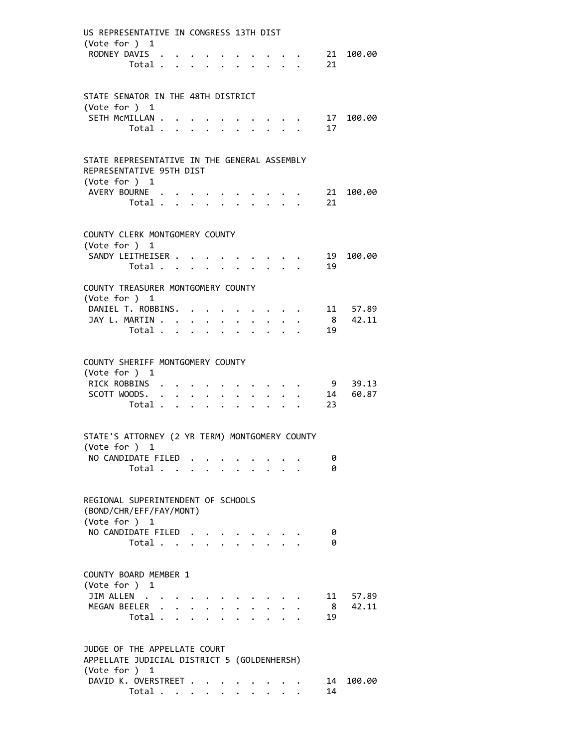| US REPRESENTATIVE IN CONGRESS 13TH DIST             |                                           |  |                  |                      |                      |                           |                                        |                                         |                                                                                         |                                                    |           |
|-----------------------------------------------------|-------------------------------------------|--|------------------|----------------------|----------------------|---------------------------|----------------------------------------|-----------------------------------------|-----------------------------------------------------------------------------------------|----------------------------------------------------|-----------|
| (Vote for ) 1                                       |                                           |  |                  |                      |                      |                           |                                        |                                         |                                                                                         |                                                    |           |
| RODNEY DAVIS                                        |                                           |  |                  |                      |                      |                           |                                        |                                         |                                                                                         |                                                    | 21 100.00 |
|                                                     | Total $\ldots$ $\ldots$ $\ldots$ $\ldots$ |  |                  |                      |                      |                           |                                        |                                         |                                                                                         | 21                                                 |           |
|                                                     |                                           |  |                  |                      |                      |                           |                                        |                                         |                                                                                         |                                                    |           |
| STATE SENATOR IN THE 48TH DISTRICT                  |                                           |  |                  |                      |                      |                           |                                        |                                         |                                                                                         |                                                    |           |
| (Vote for ) 1                                       |                                           |  |                  |                      |                      |                           |                                        |                                         |                                                                                         |                                                    |           |
| SETH MCMILLAN                                       |                                           |  |                  |                      |                      |                           |                                        |                                         |                                                                                         |                                                    | 17 100.00 |
|                                                     | Total                                     |  |                  |                      |                      | $\mathbf{r} = \mathbf{r}$ |                                        | $\mathbf{L} = \mathbf{L}$               |                                                                                         | 17                                                 |           |
|                                                     |                                           |  |                  |                      |                      |                           |                                        |                                         |                                                                                         |                                                    |           |
|                                                     |                                           |  |                  |                      |                      |                           |                                        |                                         |                                                                                         |                                                    |           |
| STATE REPRESENTATIVE IN THE GENERAL ASSEMBLY        |                                           |  |                  |                      |                      |                           |                                        |                                         |                                                                                         |                                                    |           |
| REPRESENTATIVE 95TH DIST<br>(Vote for $)$ 1         |                                           |  |                  |                      |                      |                           |                                        |                                         |                                                                                         |                                                    |           |
| AVERY BOURNE                                        |                                           |  |                  |                      |                      |                           | $\mathbf{r} = \mathbf{r} + \mathbf{r}$ |                                         |                                                                                         |                                                    | 21 100.00 |
|                                                     | Total                                     |  |                  |                      |                      | $\sim$ $\sim$             | $\sim$                                 |                                         |                                                                                         | 21                                                 |           |
|                                                     |                                           |  |                  |                      |                      |                           |                                        |                                         |                                                                                         |                                                    |           |
|                                                     |                                           |  |                  |                      |                      |                           |                                        |                                         |                                                                                         |                                                    |           |
| COUNTY CLERK MONTGOMERY COUNTY                      |                                           |  |                  |                      |                      |                           |                                        |                                         |                                                                                         |                                                    |           |
| (Vote for ) 1                                       |                                           |  |                  |                      |                      |                           |                                        |                                         |                                                                                         |                                                    |           |
| SANDY LEITHEISER                                    |                                           |  |                  |                      |                      |                           |                                        |                                         |                                                                                         |                                                    | 19 100.00 |
|                                                     | Total                                     |  |                  |                      |                      |                           |                                        |                                         |                                                                                         | 19                                                 |           |
|                                                     |                                           |  |                  |                      |                      |                           |                                        |                                         |                                                                                         |                                                    |           |
| COUNTY TREASURER MONTGOMERY COUNTY<br>(Vote for ) 1 |                                           |  |                  |                      |                      |                           |                                        |                                         |                                                                                         |                                                    |           |
| DANIEL T. ROBBINS.                                  |                                           |  |                  |                      |                      |                           |                                        |                                         | $\mathbf{r}$ , $\mathbf{r}$ , $\mathbf{r}$ , $\mathbf{r}$ , $\mathbf{r}$ , $\mathbf{r}$ |                                                    | 11 57.89  |
| JAY L. MARTIN                                       |                                           |  |                  |                      |                      |                           |                                        |                                         |                                                                                         |                                                    | 8 42.11   |
|                                                     | Total $\cdot$                             |  |                  |                      |                      |                           |                                        |                                         |                                                                                         | 19                                                 |           |
|                                                     |                                           |  |                  |                      |                      |                           |                                        |                                         |                                                                                         |                                                    |           |
|                                                     |                                           |  |                  |                      |                      |                           |                                        |                                         |                                                                                         |                                                    |           |
| COUNTY SHERIFF MONTGOMERY COUNTY                    |                                           |  |                  |                      |                      |                           |                                        |                                         |                                                                                         |                                                    |           |
| (Vote for $)$ 1                                     |                                           |  |                  |                      |                      |                           |                                        |                                         |                                                                                         |                                                    |           |
| RICK ROBBINS                                        |                                           |  |                  |                      |                      |                           |                                        | $\cdot$ $\cdot$ $\cdot$ $\cdot$ $\cdot$ |                                                                                         |                                                    | 9 39.13   |
| SCOTT WOODS.                                        |                                           |  |                  |                      |                      |                           |                                        |                                         |                                                                                         | $\cdot$ $\cdot$ $\cdot$ $\cdot$ $\cdot$ $\cdot$ 14 | 60.87     |
|                                                     | Total                                     |  |                  | $\ddot{\phantom{0}}$ | $\ddot{\phantom{a}}$ |                           |                                        | $\cdot$                                 |                                                                                         | 23                                                 |           |
|                                                     |                                           |  |                  |                      |                      |                           |                                        |                                         |                                                                                         |                                                    |           |
| STATE'S ATTORNEY (2 YR TERM) MONTGOMERY COUNTY      |                                           |  |                  |                      |                      |                           |                                        |                                         |                                                                                         |                                                    |           |
| (Vote for ) 1                                       |                                           |  |                  |                      |                      |                           |                                        |                                         |                                                                                         |                                                    |           |
| NO CANDIDATE FILED.                                 |                                           |  |                  |                      |                      |                           |                                        |                                         |                                                                                         | 0                                                  |           |
|                                                     | Total                                     |  |                  |                      |                      |                           |                                        |                                         |                                                                                         | 0                                                  |           |
|                                                     |                                           |  |                  |                      |                      |                           |                                        |                                         |                                                                                         |                                                    |           |
|                                                     |                                           |  |                  |                      |                      |                           |                                        |                                         |                                                                                         |                                                    |           |
| REGIONAL SUPERINTENDENT OF SCHOOLS                  |                                           |  |                  |                      |                      |                           |                                        |                                         |                                                                                         |                                                    |           |
| (BOND/CHR/EFF/FAY/MONT)                             |                                           |  |                  |                      |                      |                           |                                        |                                         |                                                                                         |                                                    |           |
| (Vote for ) 1                                       |                                           |  |                  |                      |                      |                           |                                        |                                         |                                                                                         |                                                    |           |
| NO CANDIDATE FILED.                                 |                                           |  |                  |                      |                      |                           |                                        |                                         |                                                                                         | 0                                                  |           |
|                                                     | Total                                     |  | $\Delta \sim 10$ |                      |                      |                           |                                        |                                         |                                                                                         | 0                                                  |           |
|                                                     |                                           |  |                  |                      |                      |                           |                                        |                                         |                                                                                         |                                                    |           |
| COUNTY BOARD MEMBER 1                               |                                           |  |                  |                      |                      |                           |                                        |                                         |                                                                                         |                                                    |           |
| (Vote for ) 1                                       |                                           |  |                  |                      |                      |                           |                                        |                                         |                                                                                         |                                                    |           |
| JIM ALLEN                                           |                                           |  |                  |                      |                      |                           |                                        |                                         |                                                                                         | 11                                                 | 57.89     |
| MEGAN BEELER .                                      |                                           |  |                  |                      |                      |                           |                                        |                                         |                                                                                         | 8                                                  | 42.11     |
|                                                     | Total                                     |  |                  |                      |                      |                           |                                        |                                         |                                                                                         | 19                                                 |           |
|                                                     |                                           |  |                  |                      |                      |                           |                                        |                                         |                                                                                         |                                                    |           |
|                                                     |                                           |  |                  |                      |                      |                           |                                        |                                         |                                                                                         |                                                    |           |
| JUDGE OF THE APPELLATE COURT                        |                                           |  |                  |                      |                      |                           |                                        |                                         |                                                                                         |                                                    |           |
| APPELLATE JUDICIAL DISTRICT 5 (GOLDENHERSH)         |                                           |  |                  |                      |                      |                           |                                        |                                         |                                                                                         |                                                    |           |
| (Vote for ) 1                                       |                                           |  |                  |                      |                      |                           |                                        |                                         |                                                                                         |                                                    |           |
| DAVID K. OVERSTREET                                 |                                           |  |                  |                      |                      |                           |                                        |                                         |                                                                                         | 14                                                 | 100.00    |
|                                                     | Total                                     |  |                  |                      |                      |                           |                                        |                                         |                                                                                         | 14                                                 |           |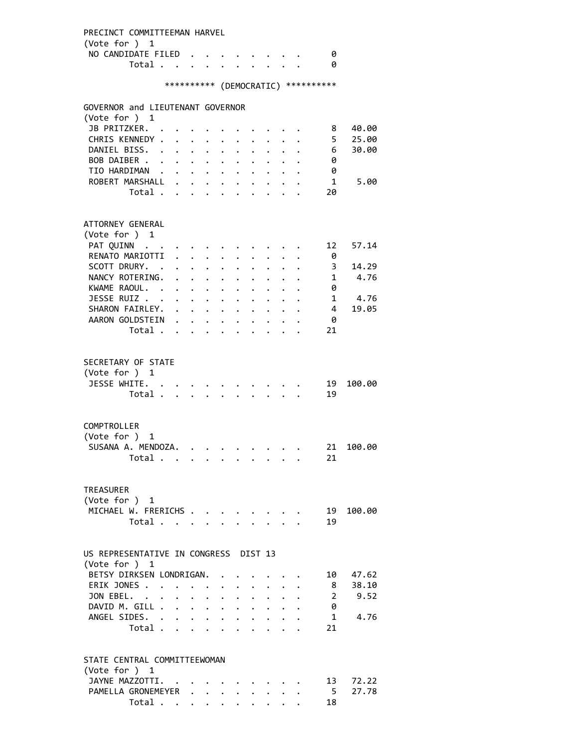PRECINCT COMMITTEEMAN HARVEL (Vote for ) 1 NO CANDIDATE FILED . . . . . . . . 0 Total . . . . . . . . . . 0 \*\*\*\*\*\*\*\*\*\* (DEMOCRATIC) \*\*\*\*\*\*\*\*\*\* GOVERNOR and LIEUTENANT GOVERNOR (Vote for ) 1 JB PRITZKER. . . . . . . . . . . 8 40.00 CHRIS KENNEDY . . . . . . . . . . 5 25.00 DANIEL BISS. . . . . . . . . . . . 6 30.00<br>BOB DAIBER . . . . . . . . . . . 0 BOB DAIBER . . . . . . . . . . . TIO HARDIMAN . . . . . . . . . . . 0 ROBERT MARSHALL . . . . . . . . . . 1 5.00 Total . . . . . . . . . . 20 ATTORNEY GENERAL (Vote for ) 1 PAT QUINN . . . . . . . . . . . . 12 57.14 RENATO MARIOTTI . . . . . . . . . . 0 SCOTT DRURY. . . . . . . . . . . . 3 14.29 NANCY ROTERING. . . . . . . . . . 1 4.76 KWAME RAOUL. . . . . . . . . . . 0 JESSE RUIZ . . . . . . . . . . . . 1 4.76<br>SHARON FAIRLEY. . . . . . . . . . 4 19.05 SHARON FAIRLEY. . . . . . . . . . AARON GOLDSTEIN . . . . . . . . . . 0 Total . . . . . . . . . . 21 SECRETARY OF STATE (Vote for ) 1 JESSE WHITE. . . . . . . . . . . 19 100.00 Total . . . . . . . . . . 19 COMPTROLLER (Vote for ) 1 SUSANA A. MENDOZA. . . . . . . . . 21 100.00 Total . . . . . . . . . . 21 TREASURER (Vote for ) 1 MICHAEL W. FRERICHS . . . . . . . . 19 100.00 Total . . . . . . . . . . 19 US REPRESENTATIVE IN CONGRESS DIST 13 (Vote for ) 1 BETSY DIRKSEN LONDRIGAN. . . . . . . 10 47.62 ERIK JONES . . . . . . . . . . . . 8 38.10 JON EBEL. . . . . . . . . . . . 2 9.52 DAVID M. GILL . . . . . . . . . . . 0<br>ANGEL SIDES. . . . . . . . . . . . 1 ANGEL SIDES. . . . . . . . . . . . 1 4.76 Total . . . . . . . . . . 21 STATE CENTRAL COMMITTEEWOMAN (Vote for ) 1 JAYNE MAZZOTTI. . . . . . . . . . 13 72.22 PAMELLA GRONEMEYER . . . . . . . . 5 27.78 Total . . . . . . . . . . 18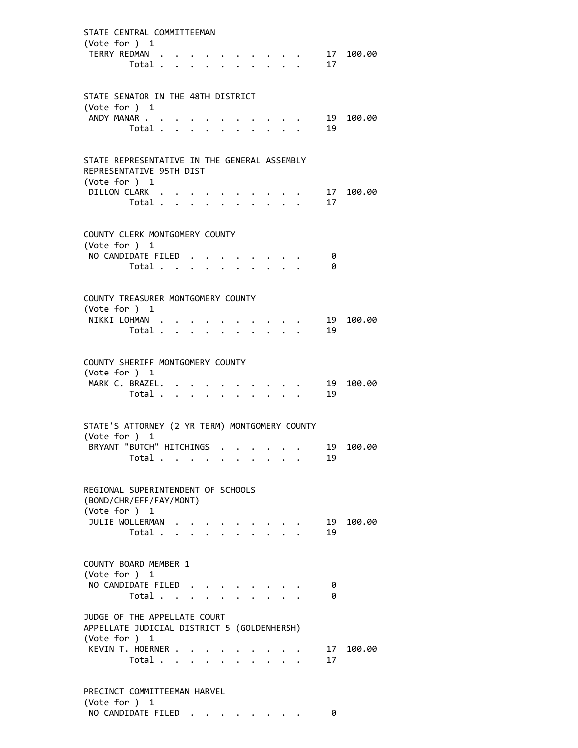| STATE CENTRAL COMMITTEEMAN                                                                   |  |                      |  |                                            |                                            |          |             |
|----------------------------------------------------------------------------------------------|--|----------------------|--|--------------------------------------------|--------------------------------------------|----------|-------------|
| (Vote for ) 1<br>TERRY REDMAN .<br>Total                                                     |  |                      |  |                                            |                                            | 17       | $17$ 100.00 |
| STATE SENATOR IN THE 48TH DISTRICT                                                           |  |                      |  |                                            |                                            |          |             |
| (Vote for ) 1<br>ANDY MANAR                                                                  |  |                      |  |                                            |                                            | 19       | 100.00      |
| Total                                                                                        |  | $\ddot{\phantom{a}}$ |  |                                            |                                            | 19       |             |
| STATE REPRESENTATIVE IN THE GENERAL ASSEMBLY<br>REPRESENTATIVE 95TH DIST<br>(Vote for $)$ 1  |  |                      |  |                                            |                                            |          |             |
| DILLON CLARK                                                                                 |  |                      |  |                                            |                                            | 17       | 100.00      |
| Total                                                                                        |  |                      |  | $\mathbf{r}$ , $\mathbf{r}$ , $\mathbf{r}$ |                                            | 17       |             |
| COUNTY CLERK MONTGOMERY COUNTY<br>(Vote for ) 1                                              |  |                      |  |                                            |                                            |          |             |
| NO CANDIDATE FILED                                                                           |  |                      |  |                                            |                                            | - 0      |             |
| Total                                                                                        |  |                      |  |                                            | $\mathbf{r}$ , $\mathbf{r}$ , $\mathbf{r}$ | 0        |             |
| COUNTY TREASURER MONTGOMERY COUNTY                                                           |  |                      |  |                                            |                                            |          |             |
| (Vote for ) 1<br>NIKKI LOHMAN                                                                |  |                      |  |                                            |                                            | 19       | 100.00      |
| Total $\cdots$ $\cdots$ $\cdots$                                                             |  |                      |  | $\Delta \sim 10^{-11}$                     |                                            | 19       |             |
| COUNTY SHERIFF MONTGOMERY COUNTY<br>(Vote for $)$ 1                                          |  |                      |  |                                            |                                            |          |             |
| MARK C. BRAZEL.<br>Total                                                                     |  |                      |  |                                            |                                            | 19<br>19 | 100.00      |
| STATE'S ATTORNEY (2 YR TERM) MONTGOMERY COUNTY<br>(Vote for ) 1                              |  |                      |  |                                            |                                            |          |             |
| BRYANT "BUTCH" HITCHINGS                                                                     |  |                      |  |                                            |                                            | 19       | 100.00      |
| Total                                                                                        |  |                      |  |                                            |                                            | 19       |             |
| REGIONAL SUPERINTENDENT OF SCHOOLS<br>(BOND/CHR/EFF/FAY/MONT)<br>(Vote for ) 1               |  |                      |  |                                            |                                            |          |             |
| JULIE WOLLERMAN                                                                              |  |                      |  |                                            |                                            | 19       | 100.00      |
| Total                                                                                        |  |                      |  |                                            |                                            | 19       |             |
| COUNTY BOARD MEMBER 1                                                                        |  |                      |  |                                            |                                            |          |             |
| (Vote for ) 1<br>NO CANDIDATE FILED                                                          |  |                      |  |                                            |                                            | 0        |             |
| Total                                                                                        |  |                      |  |                                            |                                            | 0        |             |
| JUDGE OF THE APPELLATE COURT<br>APPELLATE JUDICIAL DISTRICT 5 (GOLDENHERSH)<br>(Vote for ) 1 |  |                      |  |                                            |                                            |          |             |
| KEVIN T. HOERNER<br>Total                                                                    |  |                      |  |                                            |                                            | 17<br>17 | 100.00      |
| PRECINCT COMMITTEEMAN HARVEL                                                                 |  |                      |  |                                            |                                            |          |             |
|                                                                                              |  |                      |  |                                            |                                            |          |             |

 (Vote for ) 1 NO CANDIDATE FILED . . . . . . . . 0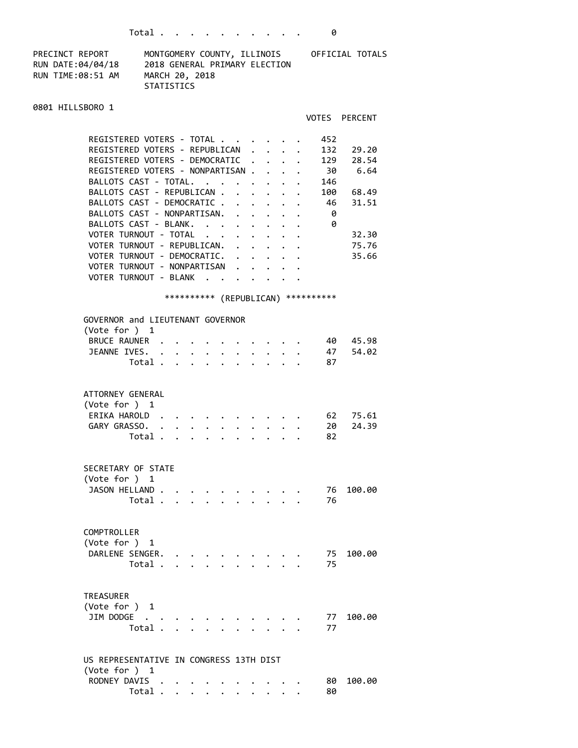| PRECINCT REPORT   | MONTGOMERY COUNTY, ILLINOIS   | OFFICIAL TOTALS |
|-------------------|-------------------------------|-----------------|
| RUN DATE:04/04/18 | 2018 GENERAL PRIMARY ELECTION |                 |
| RUN TIME:08:51 AM | MARCH 20, 2018                |                 |
|                   | STATISTICS                    |                 |

## 0801 HILLSBORO 1

## VOTES PERCENT

| REGISTERED VOTERS - TOTAL        |  |  | 452 |       |
|----------------------------------|--|--|-----|-------|
| REGISTERED VOTERS - REPUBLICAN.  |  |  | 132 | 29.20 |
| REGISTERED VOTERS - DEMOCRATIC   |  |  | 129 | 28.54 |
| REGISTERED VOTERS - NONPARTISAN. |  |  | 30  | 6.64  |
| BALLOTS CAST - TOTAL.            |  |  | 146 |       |
| BALLOTS CAST - REPUBLICAN        |  |  | 100 | 68.49 |
| BALLOTS CAST - DEMOCRATIC .      |  |  | 46  | 31.51 |
| BALLOTS CAST - NONPARTISAN.      |  |  | 0   |       |
| BALLOTS CAST - BLANK.            |  |  | 0   |       |
| VOTER TURNOUT - TOTAL<br>$\sim$  |  |  |     | 32.30 |
| VOTER TURNOUT - REPUBLICAN.      |  |  |     | 75.76 |
| VOTER TURNOUT - DEMOCRATIC.      |  |  |     | 35.66 |
| VOTER TURNOUT - NONPARTISAN      |  |  |     |       |
| VOTER TURNOUT - BLANK            |  |  |     |       |

## \*\*\*\*\*\*\*\*\*\* (REPUBLICAN) \*\*\*\*\*\*\*\*\*\*

| GOVERNOR and LIEUTENANT GOVERNOR<br>(Vote for ) 1                               |                      |                            |                      |  |  |  |                |                |
|---------------------------------------------------------------------------------|----------------------|----------------------------|----------------------|--|--|--|----------------|----------------|
| BRUCE RAUNER .<br>JEANNE IVES.<br>Total .                                       |                      |                            | $\ddot{\phantom{0}}$ |  |  |  | 40<br>47<br>87 | 45.98<br>54.02 |
| ATTORNEY GENERAL<br>(Vote for ) 1<br>ERIKA HAROLD.<br>GARY GRASSO. .<br>Total . | $\ddot{\phantom{0}}$ |                            |                      |  |  |  | 62<br>20<br>82 | 75.61<br>24.39 |
| SECRETARY OF STATE<br>(Vote for ) 1<br>JASON HELLAND.<br>Total.                 | $\mathbf{A}$         |                            |                      |  |  |  | 76<br>76       | 100.00         |
| COMPTROLLER<br>(Vote for ) 1<br>DARLENE SENGER.<br>Total .                      |                      |                            |                      |  |  |  | 75<br>75       | 100.00         |
| <b>TREASURER</b><br>(Vote for ) 1<br>JIM DODGE<br>Total.                        | $\overline{a}$       |                            |                      |  |  |  | 77<br>77       | 100.00         |
| US REPRESENTATIVE IN CONGRESS 13TH DIST<br>(Vote for ) 1<br>RODNEY DAVIS        |                      |                            |                      |  |  |  | 80             | 100.00         |
| Total                                                                           |                      | $\bullet$<br>$\sim$ $\sim$ |                      |  |  |  | 80             |                |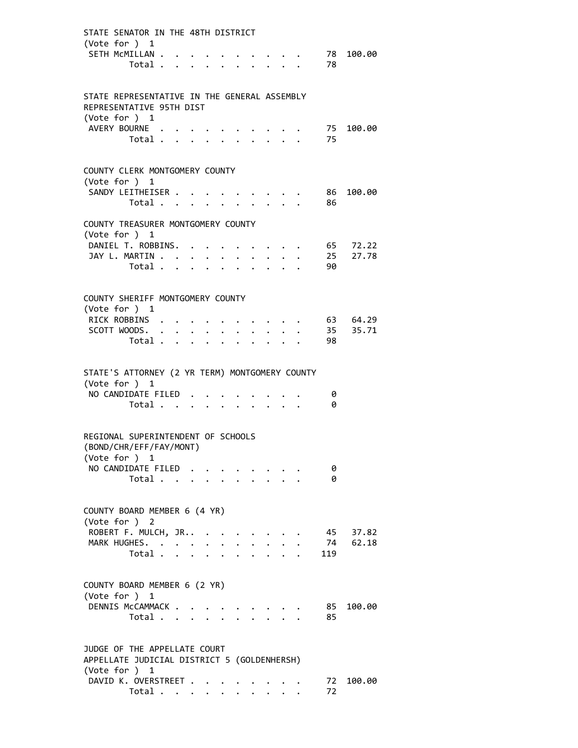| STATE SENATOR IN THE 48TH DISTRICT                              |                                           |  |                                        |                      |                                               |                      |                                                                    |        |                  |                                 |     |                      |
|-----------------------------------------------------------------|-------------------------------------------|--|----------------------------------------|----------------------|-----------------------------------------------|----------------------|--------------------------------------------------------------------|--------|------------------|---------------------------------|-----|----------------------|
| (Vote for ) 1                                                   |                                           |  |                                        |                      |                                               |                      |                                                                    |        |                  |                                 |     |                      |
| SETH MCMILLAN                                                   |                                           |  |                                        |                      |                                               |                      | $\cdot$ $\cdot$ $\cdot$ $\cdot$ $\cdot$                            |        |                  |                                 |     | 78 100.00            |
|                                                                 | Total                                     |  |                                        |                      |                                               |                      |                                                                    |        |                  |                                 | 78  |                      |
|                                                                 |                                           |  |                                        |                      |                                               |                      |                                                                    |        |                  |                                 |     |                      |
| STATE REPRESENTATIVE IN THE GENERAL ASSEMBLY                    |                                           |  |                                        |                      |                                               |                      |                                                                    |        |                  |                                 |     |                      |
| REPRESENTATIVE 95TH DIST                                        |                                           |  |                                        |                      |                                               |                      |                                                                    |        |                  |                                 |     |                      |
| (Vote for $)$ 1<br>AVERY BOURNE                                 |                                           |  |                                        |                      |                                               |                      |                                                                    |        |                  |                                 |     | 75 100.00            |
|                                                                 | Total                                     |  |                                        | $\sim$               |                                               |                      | $\mathbf{L}$                                                       | $\sim$ | $\Delta \sim 10$ |                                 | 75  |                      |
|                                                                 |                                           |  |                                        |                      |                                               |                      |                                                                    |        |                  |                                 |     |                      |
|                                                                 |                                           |  |                                        |                      |                                               |                      |                                                                    |        |                  |                                 |     |                      |
| COUNTY CLERK MONTGOMERY COUNTY<br>(Vote for ) 1                 |                                           |  |                                        |                      |                                               |                      |                                                                    |        |                  |                                 |     |                      |
| SANDY LEITHEISER                                                |                                           |  |                                        |                      |                                               |                      | <b>Contract Contract Contract Contract</b>                         |        |                  |                                 | 86  | 100.00               |
|                                                                 | Total $\cdots$ $\cdots$ $\cdots$          |  |                                        |                      |                                               |                      |                                                                    |        |                  |                                 | 86  |                      |
|                                                                 |                                           |  |                                        |                      |                                               |                      |                                                                    |        |                  |                                 |     |                      |
| COUNTY TREASURER MONTGOMERY COUNTY                              |                                           |  |                                        |                      |                                               |                      |                                                                    |        |                  |                                 |     |                      |
| (Vote for ) 1<br>DANIEL T. ROBBINS.                             |                                           |  |                                        |                      |                                               |                      |                                                                    |        |                  |                                 |     | 65 72.22             |
| JAY L. MARTIN                                                   |                                           |  |                                        |                      |                                               |                      | $\cdot$ $\cdot$ $\cdot$ $\cdot$ $\cdot$                            |        |                  |                                 |     | $\cdot$ 25 27.78     |
|                                                                 | Total $\ldots$ $\ldots$ $\ldots$ $\ldots$ |  |                                        |                      |                                               |                      |                                                                    |        |                  |                                 | 90  |                      |
|                                                                 |                                           |  |                                        |                      |                                               |                      |                                                                    |        |                  |                                 |     |                      |
|                                                                 |                                           |  |                                        |                      |                                               |                      |                                                                    |        |                  |                                 |     |                      |
| COUNTY SHERIFF MONTGOMERY COUNTY                                |                                           |  |                                        |                      |                                               |                      |                                                                    |        |                  |                                 |     |                      |
| (Vote for ) 1                                                   |                                           |  |                                        |                      |                                               |                      |                                                                    |        |                  |                                 |     |                      |
| RICK ROBBINS<br>SCOTT WOODS.                                    |                                           |  |                                        |                      |                                               |                      | $\mathbf{r} = \mathbf{r} + \mathbf{r} + \mathbf{r} + \mathbf{r}$ . |        |                  |                                 |     | 63 64.29<br>35 35.71 |
|                                                                 | Total $\cdots$ $\cdots$ $\cdots$ $\cdots$ |  |                                        |                      |                                               | $\ddot{\phantom{0}}$ |                                                                    |        |                  | $\cdot$ $\cdot$ $\cdot$ $\cdot$ | 98  |                      |
|                                                                 |                                           |  |                                        |                      |                                               |                      |                                                                    |        |                  |                                 |     |                      |
| STATE'S ATTORNEY (2 YR TERM) MONTGOMERY COUNTY<br>(Vote for ) 1 |                                           |  |                                        |                      |                                               |                      |                                                                    |        |                  |                                 |     |                      |
| NO CANDIDATE FILED                                              |                                           |  |                                        |                      |                                               |                      |                                                                    |        |                  |                                 | 0   |                      |
|                                                                 | Total                                     |  |                                        |                      |                                               |                      |                                                                    |        |                  |                                 | 0   |                      |
|                                                                 |                                           |  |                                        |                      |                                               |                      |                                                                    |        |                  |                                 |     |                      |
| REGIONAL SUPERINTENDENT OF SCHOOLS<br>(BOND/CHR/EFF/FAY/MONT)   |                                           |  |                                        |                      |                                               |                      |                                                                    |        |                  |                                 |     |                      |
| (Vote for ) 1                                                   |                                           |  |                                        |                      |                                               |                      |                                                                    |        |                  |                                 |     |                      |
| NO CANDIDATE FILED                                              |                                           |  |                                        |                      |                                               |                      |                                                                    |        |                  |                                 | 0   |                      |
|                                                                 | Total                                     |  |                                        |                      |                                               |                      |                                                                    |        |                  |                                 | 0   |                      |
|                                                                 |                                           |  |                                        |                      |                                               |                      |                                                                    |        |                  |                                 |     |                      |
| COUNTY BOARD MEMBER 6 (4 YR)                                    |                                           |  |                                        |                      |                                               |                      |                                                                    |        |                  |                                 |     |                      |
| (Vote for ) 2                                                   |                                           |  |                                        |                      |                                               |                      |                                                                    |        |                  |                                 |     |                      |
| ROBERT F. MULCH, JR                                             |                                           |  |                                        | $\ddot{\phantom{a}}$ |                                               |                      |                                                                    |        |                  |                                 | 45  | 37.82                |
| MARK HUGHES. .                                                  |                                           |  | $\mathbf{z} = \mathbf{z} + \mathbf{z}$ |                      | $\bullet$ , $\bullet$ , $\bullet$ , $\bullet$ |                      |                                                                    |        |                  |                                 | 74  | 62.18                |
|                                                                 | Total .                                   |  |                                        |                      |                                               |                      |                                                                    |        |                  |                                 | 119 |                      |
|                                                                 |                                           |  |                                        |                      |                                               |                      |                                                                    |        |                  |                                 |     |                      |
| COUNTY BOARD MEMBER 6 (2 YR)                                    |                                           |  |                                        |                      |                                               |                      |                                                                    |        |                  |                                 |     |                      |
| (Vote for ) 1                                                   |                                           |  |                                        |                      |                                               |                      |                                                                    |        |                  |                                 |     |                      |
| DENNIS McCAMMACK .                                              |                                           |  |                                        |                      |                                               |                      |                                                                    |        |                  |                                 | 85  | 100.00               |
|                                                                 | Total                                     |  |                                        |                      |                                               |                      |                                                                    |        |                  |                                 | 85  |                      |
|                                                                 |                                           |  |                                        |                      |                                               |                      |                                                                    |        |                  |                                 |     |                      |
| JUDGE OF THE APPELLATE COURT                                    |                                           |  |                                        |                      |                                               |                      |                                                                    |        |                  |                                 |     |                      |
| APPELLATE JUDICIAL DISTRICT 5 (GOLDENHERSH)                     |                                           |  |                                        |                      |                                               |                      |                                                                    |        |                  |                                 |     |                      |
| (Vote for ) 1                                                   |                                           |  |                                        |                      |                                               |                      |                                                                    |        |                  |                                 |     |                      |
| DAVID K. OVERSTREET                                             |                                           |  |                                        |                      |                                               |                      |                                                                    |        |                  |                                 | 72  | 100.00               |
|                                                                 | Total $\cdots$ $\cdots$ $\cdots$          |  |                                        |                      |                                               |                      |                                                                    |        |                  |                                 | 72  |                      |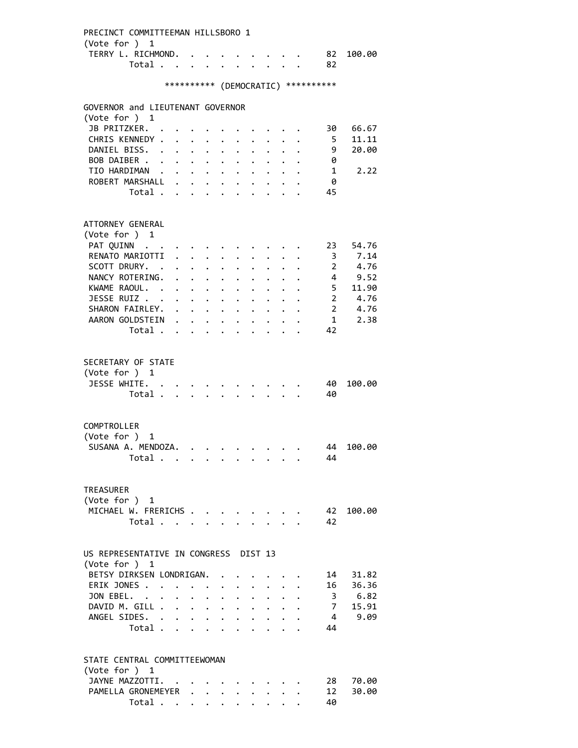PRECINCT COMMITTEEMAN HILLSBORO 1 (Vote for ) 1 TERRY L. RICHMOND. . . . . . . . . 82 100.00 Total . . . . . . . . . . 82 \*\*\*\*\*\*\*\*\*\* (DEMOCRATIC) \*\*\*\*\*\*\*\*\*\* GOVERNOR and LIEUTENANT GOVERNOR (Vote for ) 1 JB PRITZKER. . . . . . . . . . . . 30 66.67 CHRIS KENNEDY . . . . . . . . . . . 5 11.11<br>DANIEL BISS. . . . . . . . . . . 9 20.00 DANIEL BISS. . . . . . . . . . . 9 20.00<br>BOB DAIBER . . . . . . . . . . . . 0 BOB DAIBER . . . . . . . . . . . TIO HARDIMAN . . . . . . . . . . . 1 2.22 ROBERT MARSHALL . . . . . . . . . 0 Total . . . . . . . . . . 45 ATTORNEY GENERAL (Vote for ) 1 PAT QUINN . . . . . . . . . . . . 23 54.76 RENATO MARIOTTI . . . . . . . . . . 3 7.14 SCOTT DRURY. . . . . . . . . . . . 2 4.76 NANCY ROTERING. . . . . . . . . . . 4 9.52 XWAME RAOUL. . . . . . . . . . . . 5 11.90<br>JESSE RUIZ . . . . . . . . . . . 2 4.76<br>SHARON FAIRLEY. . . . . . . . . . 2 4.76 JESSE RUIZ . . . . . . . . . . . 2 4.76<br>SHARON FAIRLEY. . . . . . . . . . 2 4.76 SHARON FAIRLEY. . . . . . . . . . AARON GOLDSTEIN . . . . . . . . . 1 2.38 Total . . . . . . . . . . 42 SECRETARY OF STATE (Vote for ) 1 JESSE WHITE. . . . . . . . . . . 40 100.00 Total . . . . . . . . . . 40 COMPTROLLER (Vote for ) 1 SUSANA A. MENDOZA. . . . . . . . . 44 100.00 Total . . . . . . . . . . 44 TREASURER (Vote for ) 1 MICHAEL W. FRERICHS . . . . . . . . 42 100.00 Total . . . . . . . . . . 42 US REPRESENTATIVE IN CONGRESS DIST 13 (Vote for ) 1 BETSY DIRKSEN LONDRIGAN. . . . . . . 14 31.82 ERIK JONES . . . . . . . . . . . . 16 36.36 JON EBEL. . . . . . . . . . . . 3 6.82 DAVID M. GILL . . . . . . . . . . . 7 15.91<br>ANGEL SIDES. . . . . . . . . . . 4 9.09 ANGEL SIDES. . . . . . . . . . . . 4 9.09 Total . . . . . . . . . . 44 STATE CENTRAL COMMITTEEWOMAN (Vote for ) 1 JAYNE MAZZOTTI. . . . . . . . . . 28 70.00 PAMELLA GRONEMEYER . . . . . . . . 12 30.00 Total . . . . . . . . . . 40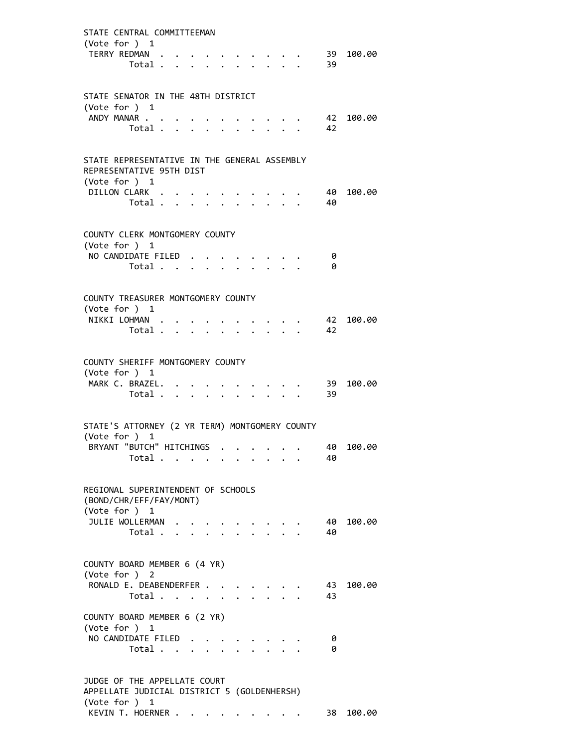| STATE CENTRAL COMMITTEEMAN                                   |                         |  |        |  |                                                           |  |           |           |
|--------------------------------------------------------------|-------------------------|--|--------|--|-----------------------------------------------------------|--|-----------|-----------|
| (Vote for ) 1                                                |                         |  |        |  |                                                           |  |           |           |
| TERRY REDMAN .                                               |                         |  |        |  |                                                           |  |           | 39 100.00 |
|                                                              | Total                   |  |        |  | $\mathbf{A}$                                              |  | 39        |           |
|                                                              |                         |  |        |  |                                                           |  |           |           |
| STATE SENATOR IN THE 48TH DISTRICT                           |                         |  |        |  |                                                           |  |           |           |
| (Vote for ) $1$<br>ANDY MANAR                                |                         |  |        |  |                                                           |  |           | 42 100.00 |
|                                                              | Total                   |  |        |  |                                                           |  | 42        |           |
|                                                              |                         |  |        |  |                                                           |  |           |           |
| STATE REPRESENTATIVE IN THE GENERAL ASSEMBLY                 |                         |  |        |  |                                                           |  |           |           |
| REPRESENTATIVE 95TH DIST                                     |                         |  |        |  |                                                           |  |           |           |
| (Vote for $)$ 1                                              |                         |  |        |  |                                                           |  |           |           |
| DILLON CLARK                                                 |                         |  |        |  |                                                           |  | - 40      | 100.00    |
|                                                              | Total $\cdots$ $\cdots$ |  |        |  |                                                           |  | 40        |           |
|                                                              |                         |  |        |  |                                                           |  |           |           |
| COUNTY CLERK MONTGOMERY COUNTY<br>(Vote for ) 1              |                         |  |        |  |                                                           |  |           |           |
| NO CANDIDATE FILED                                           |                         |  |        |  | $\cdot$ $\cdot$ $\cdot$                                   |  | 0         |           |
|                                                              | Total                   |  |        |  | $\mathbf{r}$ , $\mathbf{r}$ , $\mathbf{r}$ , $\mathbf{r}$ |  | 0         |           |
|                                                              |                         |  |        |  |                                                           |  |           |           |
| COUNTY TREASURER MONTGOMERY COUNTY                           |                         |  |        |  |                                                           |  |           |           |
| (Vote for $)$ 1                                              |                         |  |        |  |                                                           |  |           |           |
| NIKKI LOHMAN                                                 |                         |  |        |  |                                                           |  |           | 42 100.00 |
|                                                              | Total                   |  | $\sim$ |  | $\Delta \sim 10^{-11}$                                    |  | 42        |           |
|                                                              |                         |  |        |  |                                                           |  |           |           |
| COUNTY SHERIFF MONTGOMERY COUNTY                             |                         |  |        |  |                                                           |  |           |           |
| (Vote for $)$ 1                                              |                         |  |        |  |                                                           |  |           |           |
| MARK C. BRAZEL.                                              | Total                   |  |        |  |                                                           |  | 39<br>39  | 100.00    |
|                                                              |                         |  |        |  |                                                           |  |           |           |
| STATE'S ATTORNEY (2 YR TERM) MONTGOMERY COUNTY               |                         |  |        |  |                                                           |  |           |           |
| (Vote for ) 1                                                |                         |  |        |  |                                                           |  |           |           |
| BRYANT "BUTCH" HITCHINGS                                     |                         |  |        |  |                                                           |  | 40        | 100.00    |
|                                                              | Total                   |  |        |  |                                                           |  | 40        |           |
|                                                              |                         |  |        |  |                                                           |  |           |           |
| REGIONAL SUPERINTENDENT OF SCHOOLS                           |                         |  |        |  |                                                           |  |           |           |
| (BOND/CHR/EFF/FAY/MONT)                                      |                         |  |        |  |                                                           |  |           |           |
| (Vote for ) 1                                                |                         |  |        |  |                                                           |  |           |           |
| JULIE WOLLERMAN                                              | Total                   |  |        |  |                                                           |  | 40.<br>40 | 100.00    |
|                                                              |                         |  |        |  |                                                           |  |           |           |
| COUNTY BOARD MEMBER 6 (4 YR)                                 |                         |  |        |  |                                                           |  |           |           |
| (Vote for ) 2                                                |                         |  |        |  |                                                           |  |           |           |
| RONALD E. DEABENDERFER                                       |                         |  |        |  |                                                           |  | 43        | 100.00    |
|                                                              | Total                   |  |        |  |                                                           |  | 43        |           |
| COUNTY BOARD MEMBER 6 (2 YR)                                 |                         |  |        |  |                                                           |  |           |           |
| (Vote for ) 1                                                |                         |  |        |  |                                                           |  |           |           |
| NO CANDIDATE FILED                                           |                         |  |        |  |                                                           |  | 0         |           |
|                                                              | Total                   |  |        |  |                                                           |  | 0         |           |
|                                                              |                         |  |        |  |                                                           |  |           |           |
| JUDGE OF THE APPELLATE COURT                                 |                         |  |        |  |                                                           |  |           |           |
| APPELLATE JUDICIAL DISTRICT 5 (GOLDENHERSH)<br>(Vote for ) 1 |                         |  |        |  |                                                           |  |           |           |
| KEVIN T. HOERNER                                             |                         |  |        |  |                                                           |  | 38        | 100.00    |
|                                                              |                         |  |        |  |                                                           |  |           |           |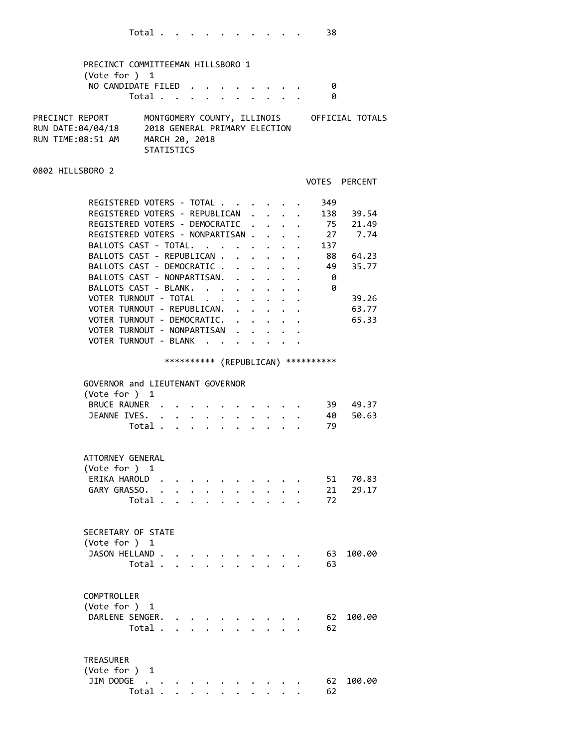| PRECINCT COMMITTEEMAN HILLSBORO 1<br>(Vote for ) 1<br>NO CANDIDATE FILED.                                                                                                                                                                                                                                                                                                                                                            | Total                                                         |                                                                 | $\mathbf{r}$ $\mathbf{r}$ | $\mathbf{1}$ , $\mathbf{1}$ , $\mathbf{1}$ , $\mathbf{1}$    |                                                                                                                                |                                                                                                         |                                                                                                                                      | 0<br>0                                                                       |                                                 |
|--------------------------------------------------------------------------------------------------------------------------------------------------------------------------------------------------------------------------------------------------------------------------------------------------------------------------------------------------------------------------------------------------------------------------------------|---------------------------------------------------------------|-----------------------------------------------------------------|---------------------------|--------------------------------------------------------------|--------------------------------------------------------------------------------------------------------------------------------|---------------------------------------------------------------------------------------------------------|--------------------------------------------------------------------------------------------------------------------------------------|------------------------------------------------------------------------------|-------------------------------------------------|
| PRECINCT REPORT<br>RUN DATE:04/04/18<br>RUN TIME:08:51 AM                                                                                                                                                                                                                                                                                                                                                                            | 2018 GENERAL PRIMARY ELECTION<br>MARCH 20, 2018<br>STATISTICS |                                                                 |                           |                                                              |                                                                                                                                |                                                                                                         |                                                                                                                                      |                                                                              | MONTGOMERY COUNTY, ILLINOIS OFFICIAL TOTALS     |
| 0802 HILLSBORO 2                                                                                                                                                                                                                                                                                                                                                                                                                     |                                                               |                                                                 |                           |                                                              |                                                                                                                                |                                                                                                         |                                                                                                                                      | VOTES PERCENT                                                                |                                                 |
| REGISTERED VOTERS - TOTAL<br>REGISTERED VOTERS - REPUBLICAN .<br>REGISTERED VOTERS - DEMOCRATIC .<br>REGISTERED VOTERS - NONPARTISAN .<br>BALLOTS CAST - TOTAL.<br>BALLOTS CAST - REPUBLICAN .<br>BALLOTS CAST - DEMOCRATIC .<br>BALLOTS CAST - NONPARTISAN.<br>BALLOTS CAST - BLANK.<br>VOTER TURNOUT - TOTAL<br>VOTER TURNOUT - REPUBLICAN.<br>VOTER TURNOUT - DEMOCRATIC.<br>VOTER TURNOUT - NONPARTISAN<br>VOTER TURNOUT - BLANK |                                                               |                                                                 |                           | $\mathbf{r}$<br>$\ddot{\phantom{0}}$<br>$\ddot{\phantom{0}}$ | $\ddot{\phantom{0}}$<br>$\mathbf{L}$<br>$1 - 1 - 1 - 1 = 1$<br>$\cdot$ $\cdot$ $\cdot$ $\cdot$ $\cdot$<br>$\ddot{\phantom{0}}$ | $\ddot{\phantom{0}}$<br>$\mathbf{L}$<br>$\bullet$ .<br><br><br><br><br><br><br><br><br><br><br><br><br> | $\mathbf{L}$<br>$\mathbf{r} = \mathbf{r} \mathbf{r}$ , where $\mathbf{r} = \mathbf{r} \mathbf{r}$<br>$\cdot$ $\cdot$ $\cdot$ $\cdot$ | 349<br>$\cdot$ , . 138 39.54<br>. 75 21.49<br>. 27 7.74<br>137<br>- 0<br>- 0 | 88 64.23<br>49 35.77<br>39.26<br>63.77<br>65.33 |
|                                                                                                                                                                                                                                                                                                                                                                                                                                      |                                                               |                                                                 |                           |                                                              |                                                                                                                                |                                                                                                         |                                                                                                                                      | *********** (REPUBLICAN) ***********                                         |                                                 |
| GOVERNOR and LIEUTENANT GOVERNOR<br>(Vote for ) 1<br>BRUCE RAUNER .<br>JEANNE IVES.                                                                                                                                                                                                                                                                                                                                                  | Total .                                                       | $\mathbf{r}$ and $\mathbf{r}$ and $\mathbf{r}$ and $\mathbf{r}$ |                           |                                                              |                                                                                                                                |                                                                                                         |                                                                                                                                      | 40 —<br>79                                                                   | 39 49.37<br>50.63                               |
| ATTORNEY GENERAL<br>(Vote for ) 1<br>ERIKA HAROLD<br>GARY GRASSO.                                                                                                                                                                                                                                                                                                                                                                    | Total .                                                       |                                                                 |                           |                                                              |                                                                                                                                |                                                                                                         |                                                                                                                                      | 51<br>21<br>72                                                               | 70.83<br>29.17                                  |
| SECRETARY OF STATE<br>(Vote for ) 1<br>JASON HELLAND.                                                                                                                                                                                                                                                                                                                                                                                | Total                                                         |                                                                 |                           |                                                              |                                                                                                                                |                                                                                                         |                                                                                                                                      | 63<br>63                                                                     | 100.00                                          |
| COMPTROLLER<br>(Vote for ) 1<br>DARLENE SENGER.                                                                                                                                                                                                                                                                                                                                                                                      | Total .                                                       | 2.121                                                           |                           |                                                              |                                                                                                                                |                                                                                                         |                                                                                                                                      | 62<br>62                                                                     | 100.00                                          |
| <b>TREASURER</b><br>(Vote for ) 1<br>JIM DODGE                                                                                                                                                                                                                                                                                                                                                                                       |                                                               |                                                                 |                           |                                                              |                                                                                                                                |                                                                                                         |                                                                                                                                      | 62                                                                           | 100.00                                          |

Total . . . . . . . . . . 62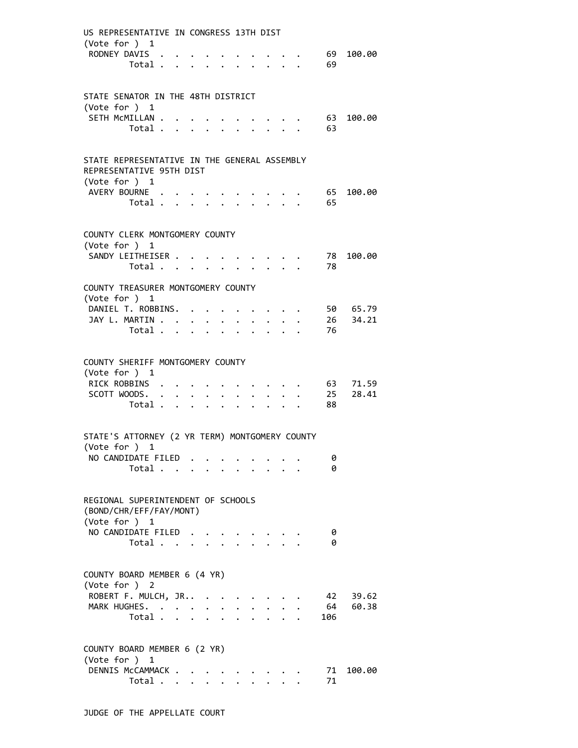| US REPRESENTATIVE IN CONGRESS 13TH DIST                                        |                                                                 |                                      |                           |  |               |                      |                                         |                 |                                    |
|--------------------------------------------------------------------------------|-----------------------------------------------------------------|--------------------------------------|---------------------------|--|---------------|----------------------|-----------------------------------------|-----------------|------------------------------------|
| (Vote for ) 1                                                                  | RODNEY DAVIS<br>Total 69                                        |                                      |                           |  |               |                      |                                         | 69              | 100.00                             |
|                                                                                |                                                                 |                                      |                           |  |               |                      |                                         |                 |                                    |
| STATE SENATOR IN THE 48TH DISTRICT<br>(Vote for $)$ 1                          |                                                                 |                                      |                           |  |               |                      |                                         |                 |                                    |
|                                                                                | SETH MCMILLAN<br>Total                                          |                                      |                           |  |               |                      | $\cdot$ $\cdot$ $\cdot$ $\cdot$ $\cdot$ | 63<br>63        | 100.00                             |
| STATE REPRESENTATIVE IN THE GENERAL ASSEMBLY<br>REPRESENTATIVE 95TH DIST       |                                                                 |                                      |                           |  |               |                      |                                         |                 |                                    |
| (Vote for $)$ 1                                                                | AVERY BOURNE<br>Total                                           |                                      |                           |  |               | $\ddot{\phantom{1}}$ |                                         | 65<br>65        | 100.00                             |
| COUNTY CLERK MONTGOMERY COUNTY<br>(Vote for ) 1                                |                                                                 |                                      |                           |  |               |                      |                                         |                 |                                    |
|                                                                                | SANDY LEITHEISER<br>Total                                       |                                      |                           |  |               |                      |                                         | 78<br>78        | 100.00                             |
| COUNTY TREASURER MONTGOMERY COUNTY<br>(Vote for ) 1                            |                                                                 |                                      |                           |  |               |                      |                                         |                 |                                    |
|                                                                                | DANIEL T. ROBBINS.<br>Total $\ldots$ $\ldots$ $\ldots$ $\ldots$ |                                      |                           |  |               |                      | $\cdot$ $\cdot$ $\cdot$ $\cdot$ $\cdot$ | 76              | 50 65.79<br>JAY L. MARTIN 26 34.21 |
|                                                                                |                                                                 |                                      |                           |  |               |                      |                                         |                 |                                    |
| COUNTY SHERIFF MONTGOMERY COUNTY<br>(Vote for $)$ 1                            |                                                                 |                                      |                           |  |               |                      |                                         |                 |                                    |
|                                                                                | RICK ROBBINS<br>SCOTT WOODS. 25                                 |                                      |                           |  |               |                      |                                         |                 | $\cdot$ 63 71.59<br>28.41          |
|                                                                                | Total                                                           |                                      |                           |  | $\sim$ $\sim$ |                      |                                         | 88              |                                    |
| STATE'S ATTORNEY (2 YR TERM) MONTGOMERY COUNTY<br>(Vote for ) 1                |                                                                 |                                      |                           |  |               |                      |                                         |                 |                                    |
|                                                                                | NO CANDIDATE FILED<br>Total                                     | $\ddot{\phantom{a}}$                 | $\mathbf{L}^{\text{max}}$ |  |               |                      |                                         | 0<br>0          |                                    |
| REGIONAL SUPERINTENDENT OF SCHOOLS<br>(BOND/CHR/EFF/FAY/MONT)<br>(Vote for ) 1 |                                                                 |                                      |                           |  |               |                      |                                         |                 |                                    |
|                                                                                | NO CANDIDATE FILED.<br>Total                                    |                                      |                           |  |               |                      |                                         | 0<br>0          |                                    |
| COUNTY BOARD MEMBER 6 (4 YR)<br>(Vote for ) 2                                  |                                                                 |                                      |                           |  |               |                      |                                         |                 |                                    |
|                                                                                | ROBERT F. MULCH, JR<br>MARK HUGHES.<br>Total .                  | $\mathbf{A}$<br>$\ddot{\phantom{a}}$ | $\bullet$                 |  |               |                      |                                         | 42<br>64<br>106 | 39.62<br>60.38                     |
| COUNTY BOARD MEMBER 6 (2 YR)                                                   |                                                                 |                                      |                           |  |               |                      |                                         |                 |                                    |
| (Vote for ) 1                                                                  | DENNIS McCAMMACK .                                              |                                      |                           |  |               |                      |                                         | 71              | 100.00                             |
|                                                                                | Total                                                           |                                      |                           |  |               |                      |                                         | 71              |                                    |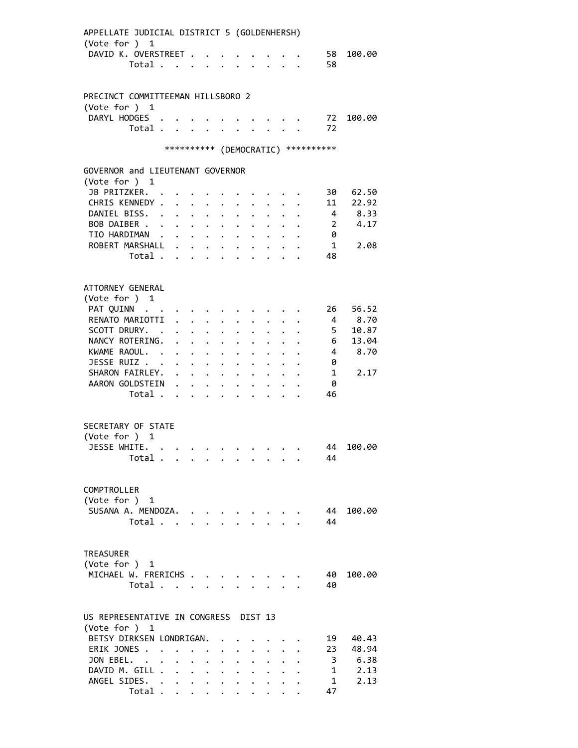| APPELLATE JUDICIAL DISTRICT 5 (GOLDENHERSH) |                                  |                             |                           |                                 |                                                                                   |                      |                                                           |                             |                           |                                    |                                     |        |
|---------------------------------------------|----------------------------------|-----------------------------|---------------------------|---------------------------------|-----------------------------------------------------------------------------------|----------------------|-----------------------------------------------------------|-----------------------------|---------------------------|------------------------------------|-------------------------------------|--------|
| (Vote for ) 1                               |                                  |                             |                           |                                 |                                                                                   |                      |                                                           |                             |                           |                                    |                                     |        |
| DAVID K. OVERSTREET                         |                                  |                             |                           |                                 |                                                                                   |                      | $\ddotsc$                                                 |                             |                           | $\sim$ $\sim$ $\sim$ $\sim$ $\sim$ | 58                                  | 100.00 |
|                                             | Total .                          | $\cdots$                    |                           |                                 |                                                                                   |                      |                                                           | $\mathbf{r}$ . $\mathbf{r}$ |                           |                                    | 58                                  |        |
|                                             |                                  |                             |                           |                                 |                                                                                   |                      |                                                           |                             |                           |                                    |                                     |        |
|                                             |                                  |                             |                           |                                 |                                                                                   |                      |                                                           |                             |                           |                                    |                                     |        |
| PRECINCT COMMITTEEMAN HILLSBORO 2           |                                  |                             |                           |                                 |                                                                                   |                      |                                                           |                             |                           |                                    |                                     |        |
| (Vote for ) 1                               |                                  |                             |                           |                                 |                                                                                   |                      |                                                           |                             |                           |                                    |                                     |        |
| DARYL HODGES .                              |                                  |                             |                           |                                 |                                                                                   |                      |                                                           |                             |                           |                                    | 72                                  | 100.00 |
|                                             | Total                            |                             |                           | $\mathbf{r}$                    |                                                                                   |                      |                                                           |                             | $\mathbf{L} = \mathbf{L}$ |                                    | 72                                  |        |
|                                             |                                  |                             |                           |                                 |                                                                                   |                      |                                                           |                             |                           |                                    |                                     |        |
|                                             |                                  |                             |                           |                                 |                                                                                   |                      |                                                           |                             |                           |                                    | *********** (DEMOCRATIC) ********** |        |
| GOVERNOR and LIEUTENANT GOVERNOR            |                                  |                             |                           |                                 |                                                                                   |                      |                                                           |                             |                           |                                    |                                     |        |
| (Vote for ) 1                               |                                  |                             |                           |                                 |                                                                                   |                      |                                                           |                             |                           |                                    |                                     |        |
| JB PRITZKER.                                |                                  |                             |                           |                                 |                                                                                   |                      |                                                           |                             |                           |                                    | 30 -                                | 62.50  |
| CHRIS KENNEDY .                             |                                  | $\ddot{\phantom{a}}$        |                           |                                 |                                                                                   |                      |                                                           |                             |                           |                                    | 11                                  | 22.92  |
| DANIEL BISS. .                              |                                  | $\ddot{\phantom{0}}$        | $\ddot{\phantom{0}}$      | $\ddot{\phantom{0}}$            | $\sim$                                                                            | $\ddot{\phantom{0}}$ | $\ddot{\bullet}$                                          |                             |                           |                                    |                                     | 4 8.33 |
| BOB DAIBER                                  |                                  |                             |                           |                                 |                                                                                   |                      | $\ddot{\phantom{1}}$                                      | $\mathbf{L}$                |                           |                                    | $\overline{2}$                      | 4.17   |
| TIO HARDIMAN                                |                                  |                             |                           |                                 |                                                                                   | $\ddot{\phantom{0}}$ | $\ddot{\phantom{0}}$                                      |                             |                           |                                    | - 0                                 |        |
| ROBERT MARSHALL .                           |                                  |                             |                           |                                 |                                                                                   | $\ddot{\phantom{0}}$ | $\ddot{\phantom{0}}$                                      | $\ddot{\phantom{0}}$        | $\ddot{\phantom{0}}$      |                                    | 1                                   | 2.08   |
|                                             | Total $\cdots$ $\cdots$ $\cdots$ |                             |                           |                                 |                                                                                   |                      |                                                           |                             | $\bullet$                 |                                    | 48                                  |        |
|                                             |                                  |                             |                           |                                 |                                                                                   |                      |                                                           |                             |                           |                                    |                                     |        |
|                                             |                                  |                             |                           |                                 |                                                                                   |                      |                                                           |                             |                           |                                    |                                     |        |
| ATTORNEY GENERAL                            |                                  |                             |                           |                                 |                                                                                   |                      |                                                           |                             |                           |                                    |                                     |        |
| (Vote for ) 1                               |                                  |                             |                           |                                 |                                                                                   |                      |                                                           |                             |                           |                                    |                                     |        |
| PAT QUINN                                   |                                  |                             |                           |                                 |                                                                                   |                      |                                                           |                             |                           |                                    | 26                                  | 56.52  |
| RENATO MARIOTTI                             |                                  |                             |                           |                                 |                                                                                   |                      | $\ddot{\phantom{a}}$                                      |                             |                           |                                    | 4                                   | 8.70   |
| SCOTT DRURY. .                              |                                  |                             |                           |                                 | $\cdot$ $\cdot$ $\cdot$                                                           | $\ddot{\phantom{0}}$ | $\ddot{\phantom{0}}$                                      |                             |                           |                                    | 5                                   | 10.87  |
| NANCY ROTERING.                             |                                  | $\ddot{\phantom{a}}$        |                           |                                 | $\mathbf{r} = \mathbf{r} + \mathbf{r}$ , where $\mathbf{r}$                       | $\bullet$            | $\bullet$                                                 |                             |                           |                                    | 6                                   | 13.04  |
| KWAME RAOUL.                                |                                  | $\sim$ $\sim$ $\sim$ $\sim$ |                           |                                 | $\mathbf{r} = \mathbf{r} \mathbf{r}$ , where $\mathbf{r} = \mathbf{r} \mathbf{r}$ | $\ddot{\phantom{0}}$ |                                                           |                             |                           |                                    | 4                                   | 8.70   |
| JESSE RUIZ                                  |                                  |                             |                           |                                 | $\mathbf{r} = \mathbf{r} + \mathbf{r}$ , where $\mathbf{r}$                       |                      |                                                           |                             |                           |                                    | 0                                   |        |
| SHARON FAIRLEY.                             |                                  |                             |                           | $\ddot{\phantom{0}}$            | $\sim$ $-$                                                                        | $\ddot{\phantom{0}}$ |                                                           |                             |                           |                                    | 1                                   | 2.17   |
| AARON GOLDSTEIN                             |                                  |                             | $\mathbf{L}^{\text{max}}$ |                                 | $\mathbf{L}^{\text{max}}$ , and $\mathbf{L}^{\text{max}}$                         | $\ddot{\phantom{0}}$ |                                                           |                             |                           |                                    | 0                                   |        |
|                                             | Total                            |                             |                           |                                 |                                                                                   | $\mathbf{L}$         | $\ddot{\phantom{a}}$                                      | $\mathbf{L}$                |                           |                                    | 46                                  |        |
|                                             |                                  |                             |                           |                                 |                                                                                   |                      |                                                           |                             |                           |                                    |                                     |        |
|                                             |                                  |                             |                           |                                 |                                                                                   |                      |                                                           |                             |                           |                                    |                                     |        |
| SECRETARY OF STATE                          |                                  |                             |                           |                                 |                                                                                   |                      |                                                           |                             |                           |                                    |                                     |        |
| (Vote for ) 1                               |                                  |                             |                           |                                 |                                                                                   |                      |                                                           |                             |                           |                                    |                                     |        |
| JESSE WHITE.                                |                                  |                             |                           |                                 |                                                                                   |                      |                                                           |                             |                           |                                    | 44                                  | 100.00 |
|                                             | Total                            |                             |                           |                                 |                                                                                   |                      |                                                           |                             |                           |                                    | 44                                  |        |
|                                             |                                  |                             |                           |                                 |                                                                                   |                      |                                                           |                             |                           |                                    |                                     |        |
|                                             |                                  |                             |                           |                                 |                                                                                   |                      |                                                           |                             |                           |                                    |                                     |        |
| COMPTROLLER                                 |                                  |                             |                           |                                 |                                                                                   |                      |                                                           |                             |                           |                                    |                                     |        |
| (Vote for ) 1                               |                                  |                             |                           |                                 |                                                                                   |                      |                                                           |                             |                           |                                    |                                     |        |
| SUSANA A. MENDOZA. .                        |                                  |                             |                           |                                 |                                                                                   |                      |                                                           |                             |                           |                                    | 44                                  | 100.00 |
|                                             | Total                            |                             |                           |                                 |                                                                                   |                      |                                                           |                             |                           |                                    | 44                                  |        |
|                                             |                                  |                             |                           |                                 |                                                                                   |                      |                                                           |                             |                           |                                    |                                     |        |
|                                             |                                  |                             |                           |                                 |                                                                                   |                      |                                                           |                             |                           |                                    |                                     |        |
| <b>TREASURER</b>                            |                                  |                             |                           |                                 |                                                                                   |                      |                                                           |                             |                           |                                    |                                     |        |
| (Vote for ) 1                               |                                  |                             |                           |                                 |                                                                                   |                      |                                                           |                             |                           |                                    |                                     |        |
| MICHAEL W. FRERICHS                         |                                  |                             |                           |                                 |                                                                                   |                      |                                                           |                             |                           |                                    | 40                                  | 100.00 |
|                                             | Total                            |                             |                           |                                 |                                                                                   |                      | $\mathbf{r}$ , $\mathbf{r}$ , $\mathbf{r}$ , $\mathbf{r}$ |                             |                           |                                    | 40                                  |        |
|                                             |                                  |                             |                           |                                 |                                                                                   |                      |                                                           |                             |                           |                                    |                                     |        |
|                                             |                                  |                             |                           |                                 |                                                                                   |                      |                                                           |                             |                           |                                    |                                     |        |
| US REPRESENTATIVE IN CONGRESS DIST 13       |                                  |                             |                           |                                 |                                                                                   |                      |                                                           |                             |                           |                                    |                                     |        |
| (Vote for ) 1                               |                                  |                             |                           |                                 |                                                                                   |                      |                                                           |                             |                           |                                    |                                     |        |
| BETSY DIRKSEN LONDRIGAN.                    |                                  |                             |                           |                                 |                                                                                   |                      |                                                           |                             |                           |                                    | 19                                  | 40.43  |
| ERIK JONES                                  |                                  |                             |                           | $\ddot{\phantom{0}}$            | $\ddot{\phantom{0}}$                                                              | $\ddot{\phantom{a}}$ | $\ddot{\phantom{0}}$                                      |                             |                           |                                    | 23                                  | 48.94  |
| JON EBEL.                                   |                                  |                             |                           |                                 | $\ddot{\phantom{0}}$                                                              | $\ddot{\phantom{0}}$ | $\ddot{\phantom{0}}$                                      |                             |                           |                                    | $\overline{\mathbf{3}}$             | 6.38   |
| DAVID M. GILL .                             |                                  |                             |                           | $\cdot$ $\cdot$ $\cdot$ $\cdot$ | $\ddot{\phantom{0}}$                                                              | $\ddot{\phantom{0}}$ | $\ddot{\phantom{0}}$                                      |                             |                           |                                    | $\mathbf{1}$                        | 2.13   |
| ANGEL SIDES. .                              |                                  | $\bullet$                   | $\bullet$ .               | $\bullet$ .                     | $\bullet$ .                                                                       |                      |                                                           | $\bullet$                   |                           |                                    | $1 \quad$                           | 2.13   |
|                                             | Total .                          | $\mathbf{r}$                | $\ddot{\phantom{0}}$      | $\ddot{\phantom{0}}$            | $\ddot{\phantom{0}}$                                                              |                      |                                                           |                             |                           |                                    | 47                                  |        |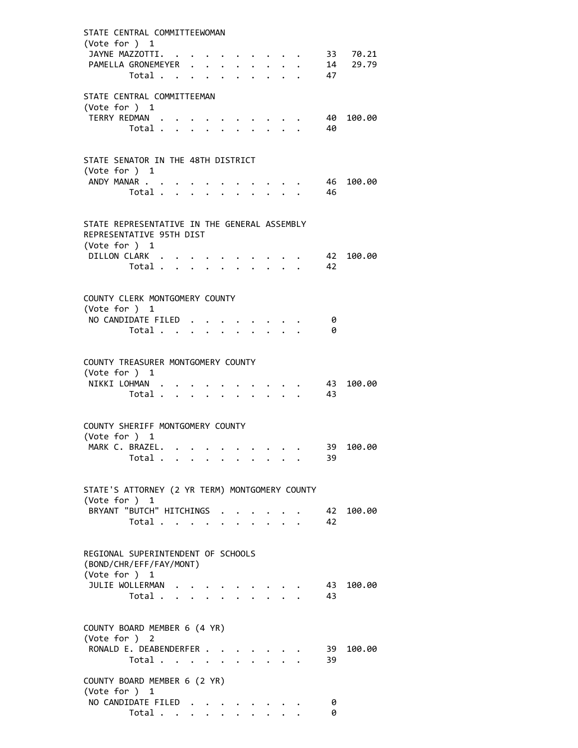| STATE CENTRAL COMMITTEEWOMAN<br>(Vote for $)$ 1<br>JAYNE MAZZOTTI.<br>PAMELLA GRONEMEYER |                                           |              |  |                      |                |                 |                      |                      |      |            | . 33 70.21<br>14 29.79 |
|------------------------------------------------------------------------------------------|-------------------------------------------|--------------|--|----------------------|----------------|-----------------|----------------------|----------------------|------|------------|------------------------|
|                                                                                          | Total                                     |              |  |                      |                |                 |                      |                      |      | 47         |                        |
| STATE CENTRAL COMMITTEEMAN<br>(Vote for ) 1                                              |                                           |              |  |                      |                |                 |                      |                      |      |            |                        |
| TERRY REDMAN .                                                                           |                                           |              |  |                      |                |                 |                      |                      |      | 40         | 100.00                 |
|                                                                                          | Total                                     |              |  | $\ddot{\phantom{0}}$ |                | $\cdot$ $\cdot$ | $\ddot{\phantom{0}}$ | $\ddot{\phantom{0}}$ |      | - 40       |                        |
| STATE SENATOR IN THE 48TH DISTRICT                                                       |                                           |              |  |                      |                |                 |                      |                      |      |            |                        |
| (Vote for ) 1                                                                            |                                           |              |  |                      |                |                 |                      |                      |      |            |                        |
| ANDY MANAR                                                                               | Total                                     |              |  | $\ddot{\phantom{a}}$ | $\overline{a}$ | $\mathbf{L}$    | $\mathbf{L}$         |                      |      | - 46<br>46 | 100.00                 |
|                                                                                          |                                           |              |  |                      |                |                 |                      |                      |      |            |                        |
| STATE REPRESENTATIVE IN THE GENERAL ASSEMBLY<br>REPRESENTATIVE 95TH DIST                 |                                           |              |  |                      |                |                 |                      |                      |      |            |                        |
| (Vote for $)$ 1<br>DILLON CLARK                                                          |                                           |              |  |                      |                |                 |                      |                      |      | 42         | 100.00                 |
|                                                                                          | Total                                     |              |  |                      |                |                 |                      |                      |      | - 42       |                        |
| COUNTY CLERK MONTGOMERY COUNTY<br>(Vote for ) 1                                          |                                           |              |  |                      |                |                 |                      |                      |      |            |                        |
| NO CANDIDATE FILED.                                                                      |                                           |              |  |                      |                |                 |                      |                      |      | 0          |                        |
|                                                                                          | Total                                     |              |  |                      |                |                 |                      |                      |      | 0          |                        |
| COUNTY TREASURER MONTGOMERY COUNTY<br>(Vote for $)$ 1                                    |                                           |              |  |                      |                |                 |                      |                      |      |            |                        |
| NIKKI LOHMAN                                                                             | Total $\cdots$ $\cdots$ $\cdots$          |              |  |                      |                |                 |                      |                      | . 43 | 43         | 100.00                 |
|                                                                                          |                                           |              |  |                      |                |                 |                      |                      |      |            |                        |
| COUNTY SHERIFF MONTGOMERY COUNTY                                                         |                                           |              |  |                      |                |                 |                      |                      |      |            |                        |
| (Vote for ) 1<br>MARK C. BRAZEL                                                          |                                           |              |  |                      |                |                 |                      |                      |      |            | 39 100.00              |
|                                                                                          | Total $\cdots$ $\cdots$ $\cdots$ $\cdots$ |              |  |                      |                |                 |                      |                      |      | 39         |                        |
|                                                                                          |                                           |              |  |                      |                |                 |                      |                      |      |            |                        |
| STATE'S ATTORNEY (2 YR TERM) MONTGOMERY COUNTY<br>(Vote for ) 1                          |                                           |              |  |                      |                |                 |                      |                      |      |            |                        |
| BRYANT "BUTCH" HITCHINGS                                                                 |                                           |              |  |                      |                |                 |                      |                      |      | 42         | 100.00                 |
|                                                                                          | Total                                     |              |  |                      |                |                 |                      |                      |      | 42         |                        |
| REGIONAL SUPERINTENDENT OF SCHOOLS<br>(BOND/CHR/EFF/FAY/MONT)                            |                                           |              |  |                      |                |                 |                      |                      |      |            |                        |
| (Vote for ) 1<br>JULIE WOLLERMAN                                                         |                                           |              |  |                      |                |                 |                      |                      |      | 43         | 100.00                 |
|                                                                                          | Total .                                   | $\mathbf{A}$ |  |                      |                |                 |                      |                      |      | 43         |                        |
| COUNTY BOARD MEMBER 6 (4 YR)<br>(Vote for ) 2                                            |                                           |              |  |                      |                |                 |                      |                      |      |            |                        |
| RONALD E. DEABENDERFER                                                                   |                                           |              |  |                      |                |                 |                      |                      |      | 39         | 100.00                 |
|                                                                                          | Total $\cdots$ $\cdots$                   |              |  |                      |                |                 |                      |                      |      | 39         |                        |
| COUNTY BOARD MEMBER 6 (2 YR)                                                             |                                           |              |  |                      |                |                 |                      |                      |      |            |                        |
| (Vote for ) 1<br>NO CANDIDATE FILED                                                      |                                           |              |  |                      |                |                 |                      |                      |      | 0          |                        |
|                                                                                          | Total                                     |              |  |                      |                |                 |                      |                      |      | 0          |                        |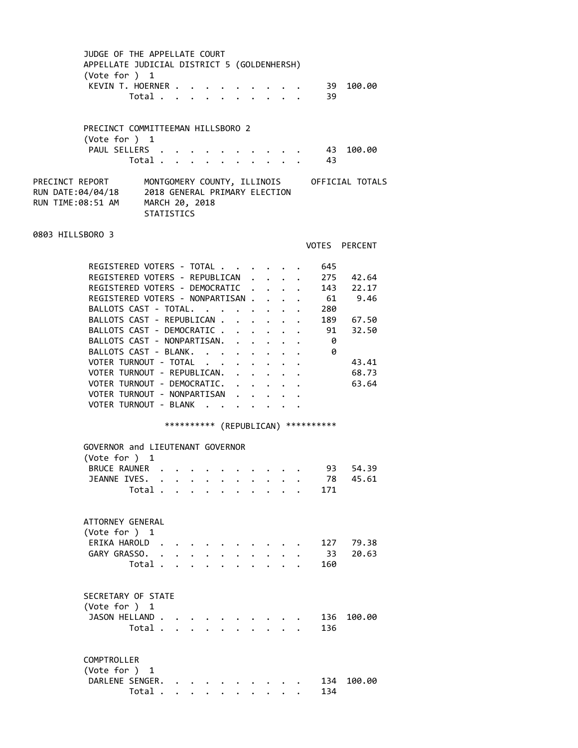| JUDGE OF THE APPELLATE COURT<br>APPELLATE JUDICIAL DISTRICT 5 (GOLDENHERSH)<br>(Vote for ) 1 |                                                               |                                                                                                                                                                                                                               |  |  |                      |                                                                       |                         |                                      |                                             |  |
|----------------------------------------------------------------------------------------------|---------------------------------------------------------------|-------------------------------------------------------------------------------------------------------------------------------------------------------------------------------------------------------------------------------|--|--|----------------------|-----------------------------------------------------------------------|-------------------------|--------------------------------------|---------------------------------------------|--|
| KEVIN T. HOERNER                                                                             | Total                                                         |                                                                                                                                                                                                                               |  |  | $\ddot{\phantom{a}}$ |                                                                       | $\cdot$ $\cdot$ $\cdot$ | 39<br>39                             | 100.00                                      |  |
| PRECINCT COMMITTEEMAN HILLSBORO 2<br>(Vote for $)$ 1                                         |                                                               |                                                                                                                                                                                                                               |  |  |                      |                                                                       |                         |                                      |                                             |  |
| PAUL SELLERS .                                                                               | Total                                                         |                                                                                                                                                                                                                               |  |  |                      |                                                                       |                         | 43<br>- 43                           | 100.00                                      |  |
| PRECINCT REPORT<br>RUN DATE:04/04/18<br>RUN TIME:08:51 AM                                    | 2018 GENERAL PRIMARY ELECTION<br>MARCH 20, 2018<br>STATISTICS |                                                                                                                                                                                                                               |  |  |                      |                                                                       |                         |                                      | MONTGOMERY COUNTY, ILLINOIS OFFICIAL TOTALS |  |
| 0803 HILLSBORO 3                                                                             |                                                               |                                                                                                                                                                                                                               |  |  |                      |                                                                       |                         |                                      | VOTES PERCENT                               |  |
| REGISTERED VOTERS - TOTAL                                                                    |                                                               |                                                                                                                                                                                                                               |  |  |                      |                                                                       |                         | 645                                  |                                             |  |
| REGISTERED VOTERS - REPUBLICAN .                                                             |                                                               |                                                                                                                                                                                                                               |  |  |                      |                                                                       | $\ddot{\phantom{0}}$    |                                      | 275 42.64                                   |  |
| REGISTERED VOTERS - DEMOCRATIC                                                               |                                                               |                                                                                                                                                                                                                               |  |  |                      |                                                                       |                         |                                      | 143 22.17                                   |  |
| REGISTERED VOTERS - NONPARTISAN                                                              |                                                               |                                                                                                                                                                                                                               |  |  |                      |                                                                       |                         | 61                                   | 9.46                                        |  |
| BALLOTS CAST - TOTAL.                                                                        |                                                               |                                                                                                                                                                                                                               |  |  |                      | $\bullet$ , $\bullet$ , $\bullet$ , $\bullet$ , $\bullet$ , $\bullet$ |                         | 280                                  |                                             |  |
| BALLOTS CAST - REPUBLICAN                                                                    |                                                               |                                                                                                                                                                                                                               |  |  |                      |                                                                       |                         |                                      | 189 67.50                                   |  |
| BALLOTS CAST - DEMOCRATIC                                                                    |                                                               |                                                                                                                                                                                                                               |  |  |                      |                                                                       |                         | 91                                   | 32.50                                       |  |
| BALLOTS CAST - NONPARTISAN.                                                                  |                                                               |                                                                                                                                                                                                                               |  |  |                      |                                                                       |                         | - 0                                  |                                             |  |
| BALLOTS CAST - BLANK.                                                                        |                                                               |                                                                                                                                                                                                                               |  |  |                      |                                                                       |                         | - 0                                  |                                             |  |
| VOTER TURNOUT - TOTAL                                                                        |                                                               |                                                                                                                                                                                                                               |  |  |                      |                                                                       |                         |                                      | 43.41                                       |  |
| VOTER TURNOUT - REPUBLICAN.                                                                  |                                                               |                                                                                                                                                                                                                               |  |  |                      |                                                                       |                         |                                      | 68.73                                       |  |
| VOTER TURNOUT - DEMOCRATIC.                                                                  |                                                               |                                                                                                                                                                                                                               |  |  |                      |                                                                       |                         |                                      | 63.64                                       |  |
| VOTER TURNOUT - NONPARTISAN .                                                                |                                                               |                                                                                                                                                                                                                               |  |  |                      |                                                                       |                         |                                      |                                             |  |
| VOTER TURNOUT - BLANK                                                                        |                                                               |                                                                                                                                                                                                                               |  |  | $\bullet$ .          |                                                                       |                         |                                      |                                             |  |
|                                                                                              |                                                               |                                                                                                                                                                                                                               |  |  |                      |                                                                       |                         | *********** (REPUBLICAN) *********** |                                             |  |
| GOVERNOR and LIEUTENANT GOVERNOR                                                             |                                                               |                                                                                                                                                                                                                               |  |  |                      |                                                                       |                         |                                      |                                             |  |
| (Vote for ) 1                                                                                |                                                               |                                                                                                                                                                                                                               |  |  |                      |                                                                       |                         |                                      |                                             |  |
| <b>BRUCE RAUNER</b>                                                                          |                                                               |                                                                                                                                                                                                                               |  |  |                      |                                                                       |                         | 93                                   | 54.39                                       |  |
| JEANNE IVES. .                                                                               |                                                               | . The contract of the contract of the contract of the contract of the contract of the contract of the contract of the contract of the contract of the contract of the contract of the contract of the contract of the contrac |  |  |                      |                                                                       |                         | 78                                   | 45.61                                       |  |
|                                                                                              | Total .                                                       |                                                                                                                                                                                                                               |  |  |                      |                                                                       |                         | 171                                  |                                             |  |
|                                                                                              |                                                               |                                                                                                                                                                                                                               |  |  |                      |                                                                       |                         |                                      |                                             |  |
| ATTORNEY GENERAL                                                                             |                                                               |                                                                                                                                                                                                                               |  |  |                      |                                                                       |                         |                                      |                                             |  |
| (Vote for ) $1$                                                                              |                                                               |                                                                                                                                                                                                                               |  |  |                      |                                                                       |                         |                                      |                                             |  |
| ERIKA HAROLD.                                                                                |                                                               |                                                                                                                                                                                                                               |  |  |                      |                                                                       |                         | 127                                  | 79.38                                       |  |
| GARY GRASSO.                                                                                 | $\ddot{\phantom{a}}$                                          |                                                                                                                                                                                                                               |  |  |                      |                                                                       |                         | 33                                   | 20.63                                       |  |
|                                                                                              | Total .                                                       |                                                                                                                                                                                                                               |  |  |                      |                                                                       |                         | 160                                  |                                             |  |
|                                                                                              |                                                               |                                                                                                                                                                                                                               |  |  |                      |                                                                       |                         |                                      |                                             |  |
| SECRETARY OF STATE                                                                           |                                                               |                                                                                                                                                                                                                               |  |  |                      |                                                                       |                         |                                      |                                             |  |
| (Vote for ) 1                                                                                |                                                               |                                                                                                                                                                                                                               |  |  |                      |                                                                       |                         |                                      |                                             |  |
| JASON HELLAND                                                                                | Total                                                         |                                                                                                                                                                                                                               |  |  |                      |                                                                       |                         | 136<br>136                           | 100.00                                      |  |
|                                                                                              |                                                               |                                                                                                                                                                                                                               |  |  |                      |                                                                       |                         |                                      |                                             |  |
| COMPTROLLER                                                                                  |                                                               |                                                                                                                                                                                                                               |  |  |                      |                                                                       |                         |                                      |                                             |  |
| (Vote for ) 1                                                                                |                                                               |                                                                                                                                                                                                                               |  |  |                      |                                                                       |                         |                                      |                                             |  |
| DARLENE SENGER.                                                                              |                                                               |                                                                                                                                                                                                                               |  |  |                      |                                                                       |                         | 134                                  | 100.00                                      |  |
|                                                                                              | Total                                                         |                                                                                                                                                                                                                               |  |  |                      |                                                                       |                         | 134                                  |                                             |  |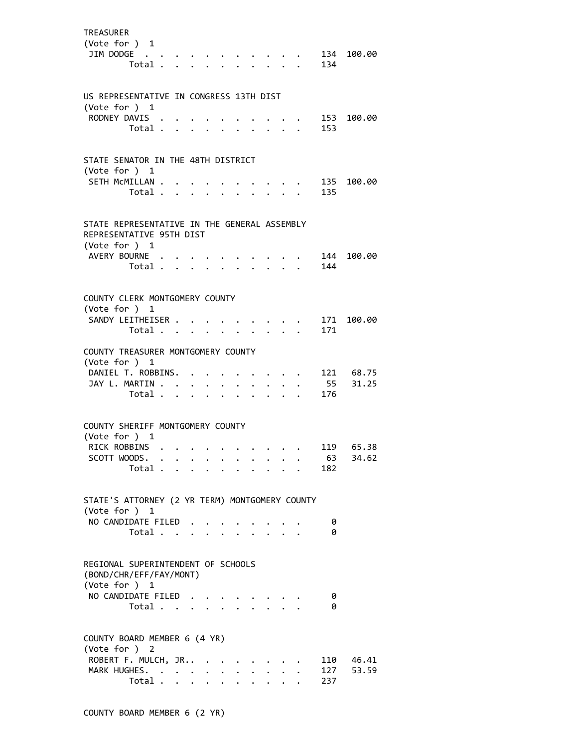| <b>TREASURER</b><br>(Vote for ) 1<br>JIM DODGE                                            | Total . |                           |                      |                         |                      |                      |                                        |                      |                   | 134       | 134 100.00            |
|-------------------------------------------------------------------------------------------|---------|---------------------------|----------------------|-------------------------|----------------------|----------------------|----------------------------------------|----------------------|-------------------|-----------|-----------------------|
| US REPRESENTATIVE IN CONGRESS 13TH DIST                                                   |         |                           |                      |                         |                      |                      |                                        |                      |                   |           |                       |
| (Vote for ) $1$<br>RODNEY DAVIS                                                           |         |                           |                      |                         |                      |                      |                                        |                      |                   |           | 153 100.00            |
|                                                                                           | Total   |                           |                      |                         | $\ddot{\phantom{a}}$ |                      | $\mathbf{r}$ . The set of $\mathbf{r}$ |                      |                   | 153       |                       |
| STATE SENATOR IN THE 48TH DISTRICT                                                        |         |                           |                      |                         |                      |                      |                                        |                      |                   |           |                       |
| (Vote for ) 1<br>SETH MCMILLAN                                                            |         |                           |                      |                         |                      |                      | $\sim$ $\sim$ $\sim$                   |                      |                   |           | 135 100.00            |
|                                                                                           | Total   |                           |                      | $\ddot{\phantom{0}}$    |                      | $\ddot{\phantom{a}}$ |                                        | $\ddot{\phantom{a}}$ |                   | 135       |                       |
| STATE REPRESENTATIVE IN THE GENERAL ASSEMBLY<br>REPRESENTATIVE 95TH DIST<br>(Vote for ) 1 |         |                           |                      |                         |                      |                      |                                        |                      |                   |           |                       |
| AVERY BOURNE .                                                                            |         |                           |                      |                         |                      |                      |                                        |                      |                   |           | 144 100.00            |
|                                                                                           | Total   |                           |                      |                         |                      |                      |                                        |                      | $\cdots$ $\cdots$ | 144       |                       |
|                                                                                           |         |                           |                      |                         |                      |                      |                                        |                      |                   |           |                       |
| COUNTY CLERK MONTGOMERY COUNTY<br>(Vote for ) 1                                           |         |                           |                      |                         |                      |                      |                                        |                      |                   |           |                       |
| SANDY LEITHEISER                                                                          |         |                           |                      |                         |                      |                      |                                        |                      |                   |           | 171 100.00            |
|                                                                                           | Total   |                           |                      |                         |                      | $\mathbf{r}$         |                                        |                      |                   | 171       |                       |
| COUNTY TREASURER MONTGOMERY COUNTY                                                        |         |                           |                      |                         |                      |                      |                                        |                      |                   |           |                       |
| (Vote for ) 1                                                                             |         |                           |                      |                         |                      |                      |                                        |                      |                   |           |                       |
| DANIEL T. ROBBINS. .<br>JAY L. MARTIN                                                     |         |                           |                      |                         |                      |                      |                                        |                      |                   |           | 121 68.75<br>55 31.25 |
|                                                                                           | Total   |                           |                      | $\cdot$ $\cdot$ $\cdot$ | $\ddot{\phantom{a}}$ |                      |                                        |                      |                   | 176       |                       |
|                                                                                           |         |                           |                      |                         |                      |                      |                                        |                      |                   |           |                       |
| COUNTY SHERIFF MONTGOMERY COUNTY                                                          |         |                           |                      |                         |                      |                      |                                        |                      |                   |           |                       |
| (Vote for ) 1                                                                             |         |                           |                      |                         |                      |                      |                                        |                      |                   |           |                       |
| RICK ROBBINS                                                                              |         |                           |                      |                         |                      |                      |                                        |                      |                   |           | 119 65.38             |
| SCOTT WOODS.                                                                              | Total   |                           |                      |                         |                      |                      |                                        |                      |                   | 63<br>182 | 34.62                 |
|                                                                                           |         |                           |                      |                         |                      |                      |                                        |                      |                   |           |                       |
| STATE'S ATTORNEY (2 YR TERM) MONTGOMERY COUNTY<br>(Vote for ) 1                           |         |                           |                      |                         |                      |                      |                                        |                      |                   |           |                       |
| NO CANDIDATE FILED                                                                        |         |                           |                      |                         |                      |                      |                                        |                      |                   | 0         |                       |
|                                                                                           | Total   |                           |                      |                         |                      |                      |                                        |                      |                   | 0         |                       |
| REGIONAL SUPERINTENDENT OF SCHOOLS<br>(BOND/CHR/EFF/FAY/MONT)<br>(Vote for ) 1            |         |                           |                      |                         |                      |                      |                                        |                      |                   |           |                       |
| NO CANDIDATE FILED                                                                        |         |                           |                      |                         |                      |                      |                                        |                      |                   | 0         |                       |
|                                                                                           | Total   |                           |                      |                         |                      |                      |                                        | $\sim$ $\sim$        |                   | 0         |                       |
|                                                                                           |         |                           |                      |                         |                      |                      |                                        |                      |                   |           |                       |
| COUNTY BOARD MEMBER 6 (4 YR)                                                              |         |                           |                      |                         |                      |                      |                                        |                      |                   |           |                       |
| (Vote for ) 2<br>ROBERT F. MULCH, JR                                                      |         |                           |                      |                         |                      |                      |                                        |                      |                   | 110       | 46.41                 |
| MARK HUGHES.                                                                              |         |                           | $\bullet$            |                         |                      |                      |                                        |                      |                   | 127       | 53.59                 |
|                                                                                           | Total . | $\mathbf{L}$ $\mathbf{L}$ | $\ddot{\phantom{0}}$ | $\ddot{\phantom{0}}$    |                      |                      |                                        |                      |                   | 237       |                       |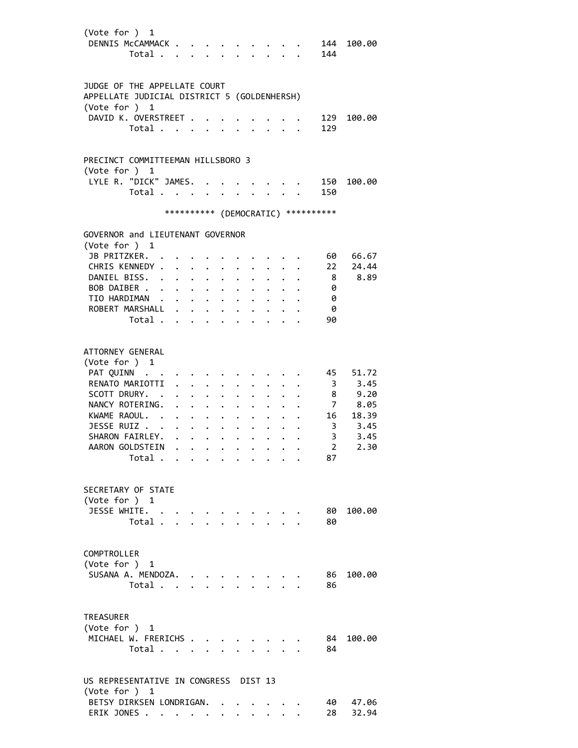| (Vote for ) 1<br>DENNIS MCCAMMACK                                           | Total                |                                             |                      |                      | $\mathbf{r}$ and $\mathbf{r}$ and $\mathbf{r}$ |                                  |                                                     |                      | 144                                 | 144 100.00 |
|-----------------------------------------------------------------------------|----------------------|---------------------------------------------|----------------------|----------------------|------------------------------------------------|----------------------------------|-----------------------------------------------------|----------------------|-------------------------------------|------------|
| JUDGE OF THE APPELLATE COURT<br>APPELLATE JUDICIAL DISTRICT 5 (GOLDENHERSH) |                      |                                             |                      |                      |                                                |                                  |                                                     |                      |                                     |            |
| (Vote for ) 1                                                               |                      |                                             |                      |                      |                                                |                                  |                                                     |                      |                                     |            |
| DAVID K. OVERSTREET .                                                       | Total                |                                             |                      | $\mathbf{L}$         | $\mathbf{L}$                                   |                                  | $\mathbf{1}$ $\mathbf{1}$ $\mathbf{1}$ $\mathbf{1}$ |                      | 129<br>129                          | 100.00     |
| PRECINCT COMMITTEEMAN HILLSBORO 3                                           |                      |                                             |                      |                      |                                                |                                  |                                                     |                      |                                     |            |
| (Vote for ) 1<br>LYLE R. "DICK" JAMES.                                      |                      |                                             |                      |                      |                                                |                                  |                                                     |                      |                                     | 150 100.00 |
|                                                                             | Total                |                                             |                      |                      |                                                |                                  |                                                     |                      | 150                                 |            |
|                                                                             |                      |                                             |                      |                      |                                                |                                  |                                                     |                      | *********** (DEMOCRATIC) ********** |            |
| GOVERNOR and LIEUTENANT GOVERNOR                                            |                      |                                             |                      |                      |                                                |                                  |                                                     |                      |                                     |            |
| (Vote for ) 1<br>JB PRITZKER.                                               |                      |                                             |                      |                      |                                                |                                  |                                                     |                      | 60                                  | 66.67      |
| CHRIS KENNEDY .                                                             |                      |                                             |                      |                      |                                                |                                  |                                                     |                      | 22                                  | 24.44      |
| DANIEL BISS.                                                                | $\cdot$              | $\mathbf{L} = \mathbf{L} \times \mathbf{L}$ | $\ddot{\phantom{0}}$ |                      |                                                |                                  |                                                     |                      | 8 <sup>8</sup>                      | 8.89       |
| BOB DAIBER                                                                  |                      |                                             | $\ddot{\phantom{0}}$ | $\ddot{\phantom{a}}$ |                                                |                                  |                                                     |                      | 0                                   |            |
| TIO HARDIMAN                                                                |                      |                                             |                      | $\ddot{\phantom{a}}$ | $\ddot{\phantom{a}}$                           | $\ddot{\phantom{0}}$             |                                                     |                      | 0                                   |            |
| ROBERT MARSHALL .                                                           |                      | $\cdot$ $\cdot$ $\cdot$                     |                      | $\ddot{\phantom{a}}$ | $\ddot{\phantom{0}}$                           |                                  |                                                     |                      | - 0                                 |            |
|                                                                             | Total                |                                             |                      |                      | $\sim 100$ km s $^{-1}$                        | $\bullet$ . The set of $\bullet$ |                                                     | $\ddot{\phantom{0}}$ | 90                                  |            |
| ATTORNEY GENERAL<br>(Vote for ) 1<br>PAT QUINN                              |                      |                                             |                      |                      |                                                |                                  |                                                     |                      | 45                                  | 51.72      |
| RENATO MARIOTTI                                                             |                      | $\ddot{\phantom{0}}$                        |                      |                      |                                                |                                  |                                                     |                      | $\overline{\mathbf{3}}$             | 3.45       |
| SCOTT DRURY. .                                                              |                      | $\ddotsc$                                   |                      |                      |                                                |                                  |                                                     |                      |                                     | 8 9.20     |
| NANCY ROTERING.                                                             | $\ddot{\phantom{0}}$ | $\ddotsc$ $\ddotsc$                         | $\ddot{\phantom{0}}$ |                      |                                                |                                  |                                                     |                      |                                     | 7 8.05     |
| KWAME RAOUL.                                                                |                      |                                             | $\bullet$ .          | $\bullet$ .          |                                                |                                  |                                                     |                      |                                     | 16 18.39   |
| JESSE RUIZ                                                                  |                      | $\mathbf{r} = \mathbf{r} + \mathbf{r}$      |                      |                      |                                                |                                  |                                                     |                      |                                     | 3, 3.45    |
| SHARON FAIRLEY. .                                                           |                      | $\mathbf{L} = \mathbf{L} \mathbf{L}$        |                      |                      |                                                |                                  |                                                     |                      | 3                                   | 3.45       |
| AARON GOLDSTEIN                                                             |                      |                                             |                      |                      |                                                |                                  |                                                     |                      | $\overline{2}$                      | 2.30       |
|                                                                             | Total                |                                             |                      |                      |                                                |                                  |                                                     |                      | 87                                  |            |
| SECRETARY OF STATE<br>(Vote for ) 1                                         |                      |                                             |                      |                      |                                                |                                  |                                                     |                      |                                     |            |
| JESSE WHITE.                                                                |                      |                                             |                      |                      |                                                |                                  |                                                     |                      | 80                                  | 100.00     |
|                                                                             | Total                |                                             |                      |                      |                                                |                                  |                                                     |                      | 80                                  |            |
| COMPTROLLER<br>(Vote for ) 1                                                |                      |                                             |                      |                      |                                                |                                  |                                                     |                      |                                     |            |
| SUSANA A. MENDOZA.                                                          |                      |                                             |                      |                      |                                                |                                  |                                                     |                      | 86                                  | 100.00     |
|                                                                             | Total                |                                             |                      |                      |                                                |                                  |                                                     |                      | 86                                  |            |
| <b>TREASURER</b><br>(Vote for ) 1                                           |                      |                                             |                      |                      |                                                |                                  |                                                     |                      |                                     |            |
| MICHAEL W. FRERICHS                                                         |                      |                                             |                      |                      |                                                |                                  |                                                     |                      | 84                                  | 100.00     |
|                                                                             | Total                |                                             |                      |                      |                                                |                                  | $\mathbf{r}$ $\mathbf{r}$ $\mathbf{r}$              |                      | 84                                  |            |
| US REPRESENTATIVE IN CONGRESS DIST 13<br>(Vote for ) 1                      |                      |                                             |                      |                      |                                                |                                  |                                                     |                      |                                     |            |
| BETSY DIRKSEN LONDRIGAN.                                                    |                      |                                             |                      |                      |                                                |                                  |                                                     |                      | 40                                  | 47.06      |
| ERIK JONES                                                                  |                      |                                             |                      |                      |                                                |                                  |                                                     |                      | 28                                  | 32.94      |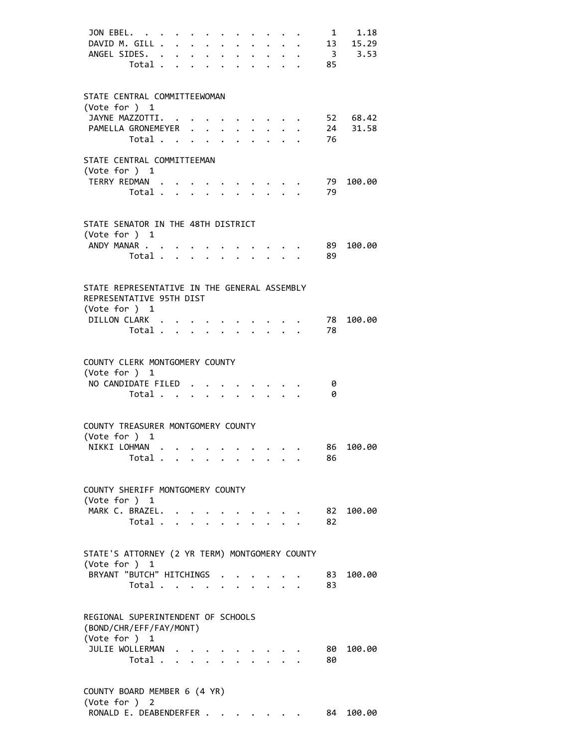| JON EBEL.<br>DAVID M. GILL<br>ANGEL SIDES.                                                                                                         | Total                                     |  |                                                                                          | $\ddot{\phantom{0}}$<br>$\ddot{\phantom{0}}$ | $\bullet$<br>$\bullet$ | $\ddot{\bullet}$<br>$\cdot$ $\cdot$ $\cdot$ $\cdot$ $\cdot$ |                                        | $\ddotsc$ $\ddotsc$ |                                                 | $\mathbf{1}$<br>85 | 1.18<br>13 15.29<br>3, 3.53 |
|----------------------------------------------------------------------------------------------------------------------------------------------------|-------------------------------------------|--|------------------------------------------------------------------------------------------|----------------------------------------------|------------------------|-------------------------------------------------------------|----------------------------------------|---------------------|-------------------------------------------------|--------------------|-----------------------------|
| STATE CENTRAL COMMITTEEWOMAN<br>(Vote for $)$ 1<br>JAYNE MAZZOTTI.<br>PAMELLA GRONEMEYER                                                           | Total .                                   |  | $\mathbf{r}$ , and $\mathbf{r}$ , and $\mathbf{r}$ , and $\mathbf{r}$ , and $\mathbf{r}$ |                                              |                        | $\cdot$ $\cdot$ $\cdot$ $\cdot$ $\cdot$                     |                                        |                     | $\cdot$ $\cdot$ $\cdot$ $\cdot$ $\cdot$ $\cdot$ | 24<br>76           | 52 68.42<br>31.58           |
| STATE CENTRAL COMMITTEEMAN<br>(Vote for $)$ 1<br>TERRY REDMAN                                                                                      | Total                                     |  |                                                                                          |                                              |                        | $\mathbf{r} = \mathbf{r}$                                   | $\mathbf{L}$                           |                     |                                                 | 79.<br>79          | 100.00                      |
| STATE SENATOR IN THE 48TH DISTRICT<br>(Vote for ) 1<br>ANDY MANAR                                                                                  | Total                                     |  |                                                                                          |                                              |                        |                                                             | $\ddot{\phantom{0}}$                   |                     |                                                 | 89<br>89           | 100.00                      |
| STATE REPRESENTATIVE IN THE GENERAL ASSEMBLY<br>REPRESENTATIVE 95TH DIST<br>(Vote for ) 1<br>DILLON CLARK                                          | Total                                     |  |                                                                                          |                                              |                        |                                                             |                                        |                     |                                                 | 78<br>78           | 100.00                      |
| COUNTY CLERK MONTGOMERY COUNTY<br>(Vote for $)$ 1<br>NO CANDIDATE FILED                                                                            | Total                                     |  |                                                                                          |                                              |                        |                                                             |                                        |                     |                                                 | 0<br>0             |                             |
| COUNTY TREASURER MONTGOMERY COUNTY<br>(Vote for ) 1<br>NIKKI LOHMAN                                                                                | Total $\ldots$ $\ldots$ $\ldots$ $\ldots$ |  |                                                                                          |                                              |                        |                                                             |                                        |                     |                                                 | 86                 | 86 100.00                   |
| COUNTY SHERIFF MONTGOMERY COUNTY<br>(Vote for ) 1<br>MARK C. BRAZEL.                                                                               | Total                                     |  |                                                                                          |                                              |                        | $\ddot{\phantom{0}}$                                        |                                        |                     |                                                 | 82                 | 82 100.00                   |
| STATE'S ATTORNEY (2 YR TERM) MONTGOMERY COUNTY<br>(Vote for )<br>BRYANT "BUTCH" HITCHINGS .                                                        | 1<br>Total                                |  |                                                                                          |                                              |                        |                                                             | $\mathbf{r} = \mathbf{r} + \mathbf{r}$ |                     |                                                 | 83<br>83           | 100.00                      |
| REGIONAL SUPERINTENDENT OF SCHOOLS<br>(BOND/CHR/EFF/FAY/MONT)<br>(Vote for ) 1<br>JULIE WOLLERMAN<br>COUNTY BOARD MEMBER 6 (4 YR)<br>(Vote for ) 2 | Total                                     |  |                                                                                          |                                              |                        |                                                             |                                        |                     |                                                 | 80<br>80           | 100.00                      |

RONALD E. DEABENDERFER . . . . . . . 84 100.00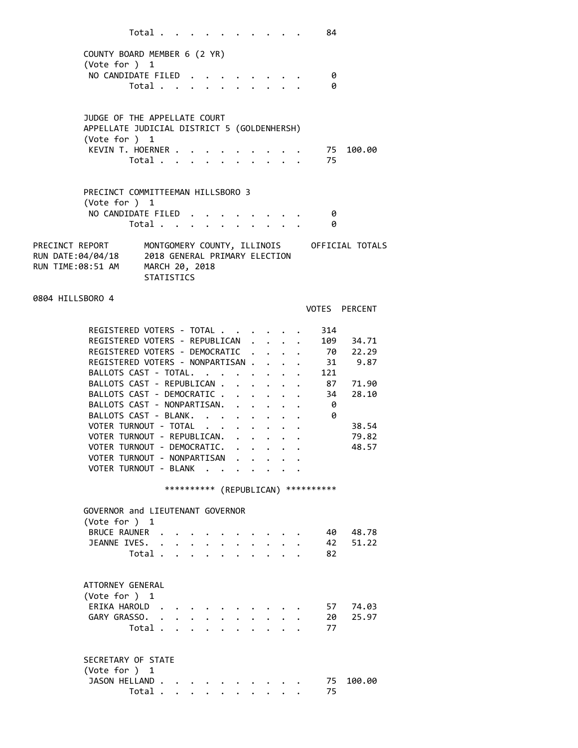|                                                                    | Total $\cdots$ $\cdots$ $\cdots$ $\cdots$ |  |              |                      |                      |                                                                                                                                     |              | 84                                   |                                             |  |
|--------------------------------------------------------------------|-------------------------------------------|--|--------------|----------------------|----------------------|-------------------------------------------------------------------------------------------------------------------------------------|--------------|--------------------------------------|---------------------------------------------|--|
| COUNTY BOARD MEMBER 6 (2 YR)                                       |                                           |  |              |                      |                      |                                                                                                                                     |              |                                      |                                             |  |
| (Vote for ) 1                                                      |                                           |  |              |                      |                      |                                                                                                                                     |              |                                      |                                             |  |
| NO CANDIDATE FILED                                                 |                                           |  |              |                      |                      |                                                                                                                                     |              | 0                                    |                                             |  |
|                                                                    | Total                                     |  |              |                      |                      |                                                                                                                                     |              | 0                                    |                                             |  |
|                                                                    |                                           |  |              |                      |                      |                                                                                                                                     |              |                                      |                                             |  |
| JUDGE OF THE APPELLATE COURT                                       |                                           |  |              |                      |                      |                                                                                                                                     |              |                                      |                                             |  |
| APPELLATE JUDICIAL DISTRICT 5 (GOLDENHERSH)                        |                                           |  |              |                      |                      |                                                                                                                                     |              |                                      |                                             |  |
| (Vote for $)$ 1                                                    |                                           |  |              |                      |                      |                                                                                                                                     |              |                                      |                                             |  |
| KEVIN T. HOERNER                                                   | Total 75                                  |  |              |                      |                      |                                                                                                                                     |              | . 75                                 | 100.00                                      |  |
|                                                                    |                                           |  |              |                      |                      |                                                                                                                                     |              |                                      |                                             |  |
|                                                                    |                                           |  |              |                      |                      |                                                                                                                                     |              |                                      |                                             |  |
| PRECINCT COMMITTEEMAN HILLSBORO 3<br>(Vote for $)$ 1               |                                           |  |              |                      |                      |                                                                                                                                     |              |                                      |                                             |  |
| NO CANDIDATE FILED                                                 |                                           |  |              |                      |                      | $\label{eq:reduced} \begin{array}{lllllllllllllll} \bullet & \bullet & \bullet & \bullet & \bullet & \bullet & \bullet \end{array}$ |              | 0                                    |                                             |  |
|                                                                    | Total                                     |  | $\mathbf{L}$ |                      |                      | $\mathbf{1}$ , $\mathbf{1}$ , $\mathbf{1}$ , $\mathbf{1}$                                                                           |              | 0                                    |                                             |  |
|                                                                    |                                           |  |              |                      |                      |                                                                                                                                     |              |                                      |                                             |  |
| PRECINCT REPORT<br>RUN DATE:04/04/18 2018 GENERAL PRIMARY ELECTION |                                           |  |              |                      |                      |                                                                                                                                     |              |                                      | MONTGOMERY COUNTY, ILLINOIS OFFICIAL TOTALS |  |
| RUN TIME:08:51 AM MARCH 20, 2018                                   |                                           |  |              |                      |                      |                                                                                                                                     |              |                                      |                                             |  |
|                                                                    | <b>STATISTICS</b>                         |  |              |                      |                      |                                                                                                                                     |              |                                      |                                             |  |
|                                                                    |                                           |  |              |                      |                      |                                                                                                                                     |              |                                      |                                             |  |
| 0804 HILLSBORO 4                                                   |                                           |  |              |                      |                      |                                                                                                                                     |              |                                      | VOTES PERCENT                               |  |
|                                                                    |                                           |  |              |                      |                      |                                                                                                                                     |              |                                      |                                             |  |
| REGISTERED VOTERS - TOTAL                                          |                                           |  |              |                      |                      |                                                                                                                                     |              | 314                                  |                                             |  |
| REGISTERED VOTERS - REPUBLICAN .                                   |                                           |  |              |                      | $\ddot{\phantom{0}}$ |                                                                                                                                     |              | 109                                  | 34.71                                       |  |
| REGISTERED VOTERS - DEMOCRATIC                                     |                                           |  |              | $\ddot{\phantom{0}}$ |                      |                                                                                                                                     |              |                                      | . 70 22.29                                  |  |
| REGISTERED VOTERS - NONPARTISAN<br>BALLOTS CAST - TOTAL.           |                                           |  |              |                      |                      |                                                                                                                                     |              | 121                                  | 31 9.87                                     |  |
| BALLOTS CAST - REPUBLICAN                                          |                                           |  |              |                      |                      |                                                                                                                                     | $\mathbf{L}$ | 87                                   | 71.90                                       |  |
| BALLOTS CAST - DEMOCRATIC                                          |                                           |  |              |                      |                      |                                                                                                                                     |              | 34                                   | 28.10                                       |  |
| BALLOTS CAST - NONPARTISAN.                                        |                                           |  |              |                      |                      |                                                                                                                                     |              | 0                                    |                                             |  |
| BALLOTS CAST - BLANK.                                              |                                           |  |              |                      |                      |                                                                                                                                     |              | 0                                    |                                             |  |
| VOTER TURNOUT - TOTAL<br>VOTER TURNOUT - REPUBLICAN.               |                                           |  |              |                      |                      |                                                                                                                                     |              |                                      | 38.54<br>79.82                              |  |
| VOTER TURNOUT - DEMOCRATIC.                                        |                                           |  |              |                      |                      |                                                                                                                                     |              |                                      | 48.57                                       |  |
| VOTER TURNOUT - NONPARTISAN                                        |                                           |  |              |                      |                      |                                                                                                                                     |              |                                      |                                             |  |
| VOTER TURNOUT - BLANK                                              |                                           |  |              |                      |                      |                                                                                                                                     |              |                                      |                                             |  |
|                                                                    |                                           |  |              |                      |                      |                                                                                                                                     |              | *********** (REPUBLICAN) *********** |                                             |  |
|                                                                    |                                           |  |              |                      |                      |                                                                                                                                     |              |                                      |                                             |  |
| GOVERNOR and LIEUTENANT GOVERNOR                                   |                                           |  |              |                      |                      |                                                                                                                                     |              |                                      |                                             |  |
| (Vote for ) $1$                                                    |                                           |  |              |                      |                      |                                                                                                                                     |              |                                      |                                             |  |
| BRUCE RAUNER .<br>JEANNE IVES.                                     | $\ddot{\phantom{a}}$                      |  |              |                      |                      |                                                                                                                                     |              | 40 -<br>42                           | 48.78<br>51.22                              |  |
|                                                                    | Total .                                   |  |              |                      |                      |                                                                                                                                     |              | 82                                   |                                             |  |
|                                                                    |                                           |  |              |                      |                      |                                                                                                                                     |              |                                      |                                             |  |
| ATTORNEY GENERAL                                                   |                                           |  |              |                      |                      |                                                                                                                                     |              |                                      |                                             |  |
| (Vote for ) 1                                                      |                                           |  |              |                      |                      |                                                                                                                                     |              |                                      |                                             |  |
| ERIKA HAROLD                                                       |                                           |  |              |                      |                      |                                                                                                                                     |              | 57                                   | 74.03                                       |  |
| GARY GRASSO.                                                       |                                           |  |              |                      |                      |                                                                                                                                     |              | 20                                   | 25.97                                       |  |
|                                                                    | Total .                                   |  |              |                      |                      |                                                                                                                                     |              | 77                                   |                                             |  |
|                                                                    |                                           |  |              |                      |                      |                                                                                                                                     |              |                                      |                                             |  |
| SECRETARY OF STATE                                                 |                                           |  |              |                      |                      |                                                                                                                                     |              |                                      |                                             |  |
| (Vote for ) $1$                                                    |                                           |  |              |                      |                      |                                                                                                                                     |              |                                      |                                             |  |
| JASON HELLAND.                                                     |                                           |  |              |                      |                      |                                                                                                                                     |              | 75                                   | 100.00                                      |  |
|                                                                    | Total .                                   |  |              |                      |                      |                                                                                                                                     |              | 75                                   |                                             |  |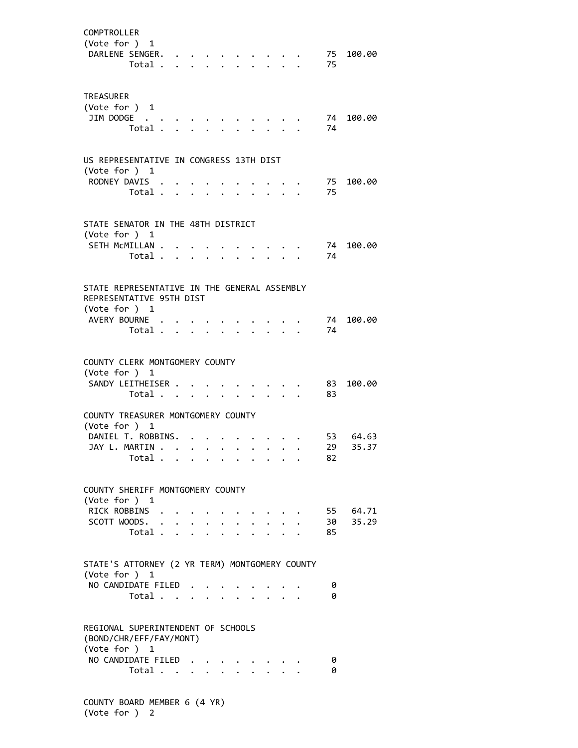| COMPTROLLER<br>(Vote for ) 1                                                                                | DARLENE SENGER.<br>Total                                |                         |                      |                      |                                           |                           |  | 75         | 75 100.00         |
|-------------------------------------------------------------------------------------------------------------|---------------------------------------------------------|-------------------------|----------------------|----------------------|-------------------------------------------|---------------------------|--|------------|-------------------|
| <b>TREASURER</b><br>(Vote for ) 1                                                                           | JIM DODGE<br>Total .                                    | $\sim 100$ km s $^{-1}$ | $\ddot{\phantom{0}}$ | $\ddot{\phantom{0}}$ |                                           |                           |  | 74<br>74   | 100.00            |
| US REPRESENTATIVE IN CONGRESS 13TH DIST<br>(Vote for ) 1                                                    | RODNEY DAVIS<br>Total                                   |                         |                      | $\ddot{\phantom{a}}$ |                                           |                           |  | 75<br>75   | 100.00            |
| STATE SENATOR IN THE 48TH DISTRICT<br>(Vote for ) 1                                                         | SETH MCMILLAN .<br>Total                                |                         |                      |                      |                                           |                           |  | - 74<br>74 | 100.00            |
| STATE REPRESENTATIVE IN THE GENERAL ASSEMBLY<br>REPRESENTATIVE 95TH DIST<br>(Vote for ) 1<br>AVERY BOURNE . | Total .                                                 | $\ddot{\phantom{a}}$    |                      |                      |                                           |                           |  | 74<br>74   | 100.00            |
| COUNTY CLERK MONTGOMERY COUNTY<br>(Vote for ) 1                                                             | SANDY LEITHEISER<br>Total                               |                         |                      |                      |                                           |                           |  | 83<br>83   | 100.00            |
| COUNTY TREASURER MONTGOMERY COUNTY<br>(Vote for ) 1<br>JAY L. MARTIN.                                       | DANIEL T. ROBBINS.<br>Total $\cdots$ $\cdots$ $\cdots$  |                         |                      |                      |                                           |                           |  | 29.<br>82  | 53 64.63<br>35.37 |
| COUNTY SHERIFF MONTGOMERY COUNTY<br>(Vote for ) 1<br>RICK ROBBINS                                           | SCOTT WOODS.                                            |                         |                      |                      |                                           |                           |  | 30         | 55 64.71<br>35.29 |
| STATE'S ATTORNEY (2 YR TERM) MONTGOMERY COUNTY<br>(Vote for ) 1                                             | Total                                                   |                         |                      |                      | $\mathbf{L}^{\text{max}}$<br>$\mathbf{L}$ | $\mathbf{L}^{\text{max}}$ |  | 85         |                   |
| REGIONAL SUPERINTENDENT OF SCHOOLS                                                                          | NO CANDIDATE FILED.<br>Total<br>(BOND/CHR/EFF/FAY/MONT) | $\ddot{\phantom{0}}$    |                      |                      |                                           |                           |  | 0<br>0     |                   |
| (Vote for ) 1                                                                                               | NO CANDIDATE FILED<br>Total                             |                         |                      |                      |                                           |                           |  | 0<br>0     |                   |

 COUNTY BOARD MEMBER 6 (4 YR) (Vote for ) 2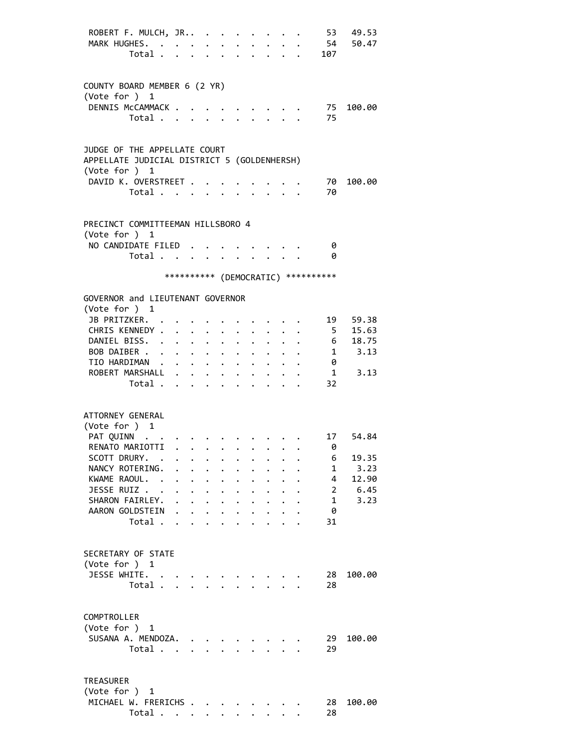| ROBERT F. MULCH, JR<br>MARK HUGHES.<br>Total                                                                                   |                                                         |                                                                                            | $\mathbf{L}$         | $\mathbf{r}$                                 |                                              | $\mathbf{r}$                                 |                                                     |                                                                                                                                                                                                                                    | 53<br>107                           | 49.53<br>54 50.47 |
|--------------------------------------------------------------------------------------------------------------------------------|---------------------------------------------------------|--------------------------------------------------------------------------------------------|----------------------|----------------------------------------------|----------------------------------------------|----------------------------------------------|-----------------------------------------------------|------------------------------------------------------------------------------------------------------------------------------------------------------------------------------------------------------------------------------------|-------------------------------------|-------------------|
| COUNTY BOARD MEMBER 6 (2 YR)                                                                                                   |                                                         |                                                                                            |                      |                                              |                                              |                                              |                                                     |                                                                                                                                                                                                                                    |                                     |                   |
| (Vote for ) 1<br>DENNIS McCAMMACK<br>Total                                                                                     |                                                         |                                                                                            |                      |                                              |                                              |                                              |                                                     |                                                                                                                                                                                                                                    | 75<br>75                            | 100.00            |
| JUDGE OF THE APPELLATE COURT<br>APPELLATE JUDICIAL DISTRICT 5 (GOLDENHERSH)<br>(Vote for $)$ 1<br>DAVID K. OVERSTREET<br>Total |                                                         |                                                                                            |                      |                                              |                                              |                                              |                                                     |                                                                                                                                                                                                                                    | 70<br>70                            | 100.00            |
| PRECINCT COMMITTEEMAN HILLSBORO 4<br>(Vote for ) 1                                                                             |                                                         |                                                                                            |                      |                                              |                                              |                                              |                                                     |                                                                                                                                                                                                                                    |                                     |                   |
| NO CANDIDATE FILED.<br>Total                                                                                                   |                                                         |                                                                                            | $\ddot{\phantom{0}}$ |                                              | $\ddotsc$ $\ddotsc$                          |                                              | $\cdot$ $\cdot$ $\cdot$                             |                                                                                                                                                                                                                                    | - 0<br>- 0                          |                   |
|                                                                                                                                |                                                         |                                                                                            |                      |                                              |                                              |                                              |                                                     |                                                                                                                                                                                                                                    | *********** (DEMOCRATIC) ********** |                   |
| GOVERNOR and LIEUTENANT GOVERNOR<br>(Vote for ) 1                                                                              |                                                         |                                                                                            |                      |                                              |                                              |                                              |                                                     |                                                                                                                                                                                                                                    |                                     |                   |
| JB PRITZKER.                                                                                                                   |                                                         |                                                                                            |                      |                                              |                                              |                                              |                                                     |                                                                                                                                                                                                                                    | 19                                  | 59.38             |
| CHRIS KENNEDY .<br>DANIEL BISS. .                                                                                              | $\ddot{\phantom{0}}$<br>$\ddot{\phantom{0}}$            | $\cdot$ $\cdot$ $\cdot$<br>$\bullet$ .<br><br><br><br><br><br><br><br><br><br><br><br><br> |                      | $\ddot{\phantom{a}}$                         |                                              |                                              |                                                     |                                                                                                                                                                                                                                    | 5 <sub>5</sub><br>$6\overline{6}$   | 15.63<br>18.75    |
| BOB DAIBER                                                                                                                     |                                                         |                                                                                            | $\ddot{\phantom{0}}$ |                                              |                                              |                                              |                                                     |                                                                                                                                                                                                                                    |                                     | 1 3.13            |
| TIO HARDIMAN                                                                                                                   |                                                         |                                                                                            |                      |                                              |                                              |                                              |                                                     |                                                                                                                                                                                                                                    | 0                                   |                   |
| ROBERT MARSHALL                                                                                                                |                                                         |                                                                                            | $\bullet$ .          |                                              |                                              |                                              |                                                     |                                                                                                                                                                                                                                    | $\mathbf{1}$                        | 3.13              |
| Total                                                                                                                          |                                                         |                                                                                            |                      |                                              |                                              |                                              |                                                     |                                                                                                                                                                                                                                    | 32                                  |                   |
| ATTORNEY GENERAL                                                                                                               |                                                         |                                                                                            |                      |                                              |                                              |                                              |                                                     |                                                                                                                                                                                                                                    |                                     |                   |
| (Vote for ) 1<br>PAT QUINN                                                                                                     |                                                         |                                                                                            |                      |                                              |                                              |                                              |                                                     |                                                                                                                                                                                                                                    | 17                                  | 54.84             |
| RENATO MARIOTTI                                                                                                                |                                                         |                                                                                            |                      |                                              |                                              |                                              |                                                     | $\bullet$ . The second contribution of the second contribution of the second contribution of the second contribution of the second contribution of the second contribution of the second contribution of the second contribution o | 0                                   |                   |
| SCOTT DRURY. .                                                                                                                 |                                                         |                                                                                            |                      |                                              |                                              |                                              |                                                     |                                                                                                                                                                                                                                    | 6                                   | 19.35             |
| NANCY ROTERING.                                                                                                                |                                                         |                                                                                            |                      |                                              |                                              |                                              |                                                     |                                                                                                                                                                                                                                    | 1                                   | 3.23              |
| KWAME RAOUL. .                                                                                                                 | $\ddot{\phantom{0}}$                                    | $\ddot{\phantom{0}}$<br>$\bullet$ . The set of $\bullet$                                   | $\ddot{\phantom{0}}$ | $\ddot{\phantom{0}}$                         |                                              | $\mathbf{L}$                                 |                                                     |                                                                                                                                                                                                                                    | 4                                   | 12.90             |
| JESSE RUIZ<br>SHARON FAIRLEY.                                                                                                  | $\cdot$ $\cdot$ $\cdot$ $\cdot$<br>$\ddot{\phantom{0}}$ | $\cdot$ $\cdot$ $\cdot$                                                                    |                      | $\ddot{\phantom{0}}$<br>$\ddot{\phantom{0}}$ | $\ddot{\phantom{0}}$                         | $\ddot{\phantom{a}}$<br>$\ddot{\phantom{0}}$ |                                                     |                                                                                                                                                                                                                                    | $\overline{2}$<br>1                 | 6.45<br>3.23      |
| AARON GOLDSTEIN                                                                                                                | $\cdot$ $\cdot$ $\cdot$ $\cdot$                         |                                                                                            |                      | $\bullet$ .                                  | $\ddot{\phantom{0}}$<br>$\ddot{\phantom{0}}$ | $\ddot{\phantom{0}}$                         |                                                     |                                                                                                                                                                                                                                    | -0                                  |                   |
| Total                                                                                                                          |                                                         |                                                                                            |                      | $\ddot{\phantom{0}}$                         | $\ddot{\phantom{0}}$                         |                                              | $\cdot$ $\cdot$ $\cdot$                             |                                                                                                                                                                                                                                    | 31                                  |                   |
| SECRETARY OF STATE<br>(Vote for ) 1                                                                                            |                                                         |                                                                                            |                      |                                              |                                              |                                              |                                                     |                                                                                                                                                                                                                                    |                                     |                   |
| JESSE WHITE.                                                                                                                   |                                                         |                                                                                            |                      |                                              |                                              |                                              |                                                     |                                                                                                                                                                                                                                    | 28                                  | 100.00            |
| Total                                                                                                                          |                                                         |                                                                                            |                      | $\mathbf{r}$                                 | $\mathbf{r}$                                 |                                              | $\mathbf{1}$ $\mathbf{1}$ $\mathbf{1}$ $\mathbf{1}$ |                                                                                                                                                                                                                                    | 28                                  |                   |
| COMPTROLLER<br>(Vote for ) 1                                                                                                   |                                                         |                                                                                            |                      |                                              |                                              |                                              |                                                     |                                                                                                                                                                                                                                    |                                     |                   |
| SUSANA A. MENDOZA.<br>Total                                                                                                    |                                                         |                                                                                            |                      |                                              |                                              | an dan s                                     |                                                     |                                                                                                                                                                                                                                    | 29<br>29                            | 100.00            |
| <b>TREASURER</b><br>(Vote for ) 1                                                                                              |                                                         |                                                                                            |                      |                                              |                                              |                                              |                                                     |                                                                                                                                                                                                                                    |                                     |                   |
| MICHAEL W. FRERICHS                                                                                                            |                                                         |                                                                                            |                      |                                              |                                              |                                              |                                                     |                                                                                                                                                                                                                                    | 28                                  | 100.00            |
| Total $\cdots$ $\cdots$                                                                                                        |                                                         |                                                                                            |                      |                                              |                                              |                                              |                                                     |                                                                                                                                                                                                                                    | 28                                  |                   |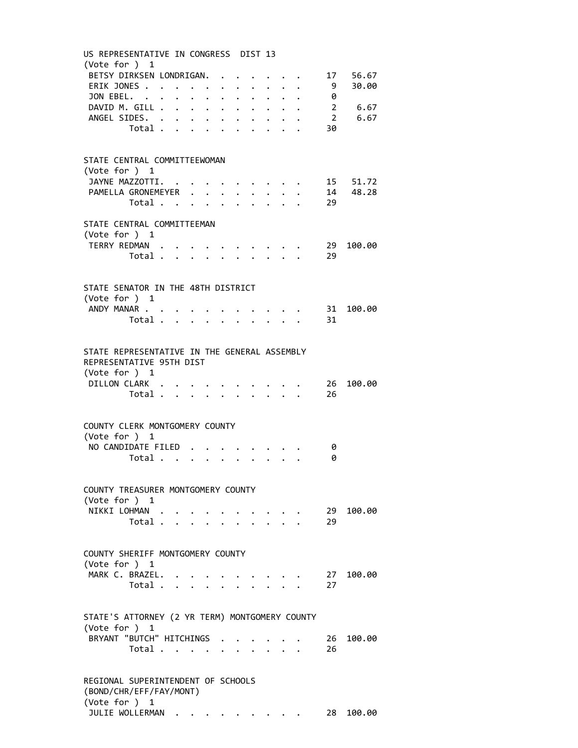| (Vote for ) 1<br>ERIK JONES<br>JON EBEL.<br>DAVID M. GILL 2 6.67<br>ANGEL SIDES.            |                                  |  |  |              |          |                           |  |                           | BETSY DIRKSEN LONDRIGAN. 17 56.67<br>9 30.00 |
|---------------------------------------------------------------------------------------------|----------------------------------|--|--|--------------|----------|---------------------------|--|---------------------------|----------------------------------------------|
|                                                                                             |                                  |  |  |              |          |                           |  |                           |                                              |
|                                                                                             |                                  |  |  |              |          |                           |  |                           |                                              |
|                                                                                             |                                  |  |  |              |          |                           |  |                           |                                              |
|                                                                                             |                                  |  |  |              |          |                           |  | $\cdot$ $\cdot$ $\cdot$ 0 |                                              |
|                                                                                             |                                  |  |  |              |          |                           |  |                           |                                              |
|                                                                                             |                                  |  |  |              |          |                           |  | 30                        | 2 6.67                                       |
|                                                                                             | Total $\cdots$ $\cdots$          |  |  |              |          |                           |  |                           |                                              |
|                                                                                             |                                  |  |  |              |          |                           |  |                           |                                              |
| STATE CENTRAL COMMITTEEWOMAN<br>(Vote for ) 1                                               |                                  |  |  |              |          |                           |  |                           |                                              |
| JAYNE MAZZOTTI.                                                                             |                                  |  |  |              |          |                           |  |                           | $\cdot$ $\cdot$ 15 51.72                     |
| PAMELLA GRONEMEYER                                                                          |                                  |  |  |              |          |                           |  |                           | . 14 48.28                                   |
|                                                                                             | Total $\cdots$ $\cdots$          |  |  |              |          |                           |  | 29                        |                                              |
|                                                                                             |                                  |  |  |              |          |                           |  |                           |                                              |
| STATE CENTRAL COMMITTEEMAN<br>(Vote for ) 1                                                 |                                  |  |  |              |          |                           |  |                           |                                              |
|                                                                                             |                                  |  |  |              |          |                           |  | TERRY REDMAN 29           | 100.00                                       |
|                                                                                             | Total                            |  |  |              |          |                           |  | 29                        |                                              |
|                                                                                             |                                  |  |  |              |          |                           |  |                           |                                              |
|                                                                                             |                                  |  |  |              |          |                           |  |                           |                                              |
| STATE SENATOR IN THE 48TH DISTRICT<br>(Vote for ) 1                                         |                                  |  |  |              |          |                           |  |                           |                                              |
| ANDY MANAR                                                                                  |                                  |  |  |              |          |                           |  |                           | 31 100.00                                    |
|                                                                                             | Total $\cdots$ $\cdots$          |  |  |              |          |                           |  | 31                        |                                              |
|                                                                                             |                                  |  |  |              |          |                           |  |                           |                                              |
| STATE REPRESENTATIVE IN THE GENERAL ASSEMBLY<br>REPRESENTATIVE 95TH DIST<br>(Vote for $)$ 1 |                                  |  |  |              |          |                           |  |                           |                                              |
| DILLON CLARK                                                                                |                                  |  |  |              |          |                           |  | 26                        | 100.00                                       |
|                                                                                             | Total                            |  |  | $\mathbf{r}$ |          | $\mathbf{L} = \mathbf{L}$ |  | 26                        |                                              |
| COUNTY CLERK MONTGOMERY COUNTY                                                              |                                  |  |  |              |          |                           |  |                           |                                              |
| (Vote for ) 1                                                                               |                                  |  |  |              |          |                           |  |                           |                                              |
| NO CANDIDATE FILED.                                                                         |                                  |  |  |              |          |                           |  | 0                         |                                              |
|                                                                                             | Total $\cdots$ $\cdots$ $\cdots$ |  |  |              |          |                           |  | 0                         |                                              |
|                                                                                             |                                  |  |  |              |          |                           |  |                           |                                              |
| COUNTY TREASURER MONTGOMERY COUNTY<br>(Vote for ) 1                                         |                                  |  |  |              |          |                           |  |                           |                                              |
| NIKKI LOHMAN                                                                                |                                  |  |  |              | $\cdots$ |                           |  | 29                        | 100.00                                       |
|                                                                                             | Total $\cdot$                    |  |  |              |          |                           |  | 29                        |                                              |
|                                                                                             |                                  |  |  |              |          |                           |  |                           |                                              |
| COUNTY SHERIFF MONTGOMERY COUNTY<br>(Vote for ) 1                                           |                                  |  |  |              |          |                           |  |                           |                                              |
| MARK C. BRAZEL.                                                                             |                                  |  |  |              |          |                           |  | 27                        | 100.00                                       |
|                                                                                             | Total                            |  |  |              |          |                           |  | 27                        |                                              |
|                                                                                             |                                  |  |  |              |          |                           |  |                           |                                              |
| STATE'S ATTORNEY (2 YR TERM) MONTGOMERY COUNTY<br>(Vote for ) 1                             |                                  |  |  |              |          |                           |  |                           |                                              |
| BRYANT "BUTCH" HITCHINGS                                                                    |                                  |  |  |              |          |                           |  | - 26                      | 100.00                                       |
|                                                                                             | Total                            |  |  |              |          |                           |  | 26                        |                                              |

JULIE WOLLERMAN . . . . . . . . . 28 100.00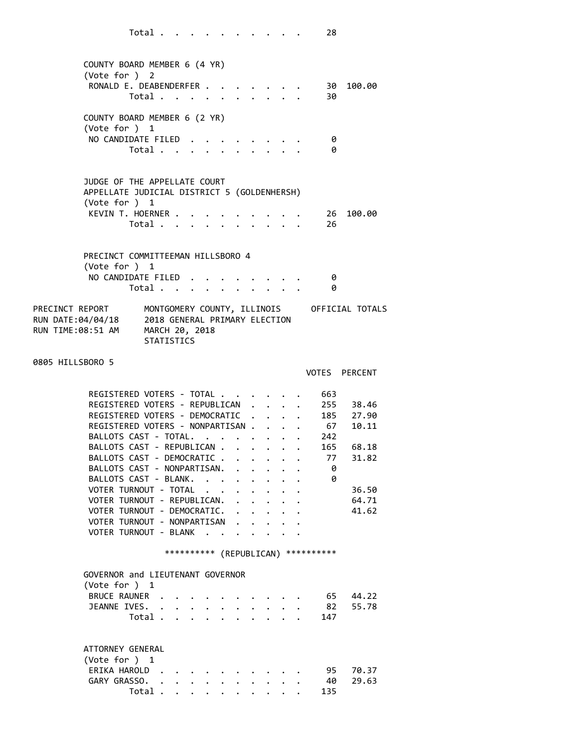|                  | COUNTY BOARD MEMBER 6 (4 YR)<br>(Vote for ) 2              |                   |                           |                                                           |              |                      |                                             |  |                                      |                                             |
|------------------|------------------------------------------------------------|-------------------|---------------------------|-----------------------------------------------------------|--------------|----------------------|---------------------------------------------|--|--------------------------------------|---------------------------------------------|
|                  | RONALD E. DEABENDERFER.                                    |                   |                           |                                                           |              |                      |                                             |  |                                      | 30 100.00                                   |
|                  |                                                            | Total             |                           |                                                           |              |                      |                                             |  | 30                                   |                                             |
|                  |                                                            |                   |                           |                                                           |              |                      |                                             |  |                                      |                                             |
|                  | COUNTY BOARD MEMBER 6 (2 YR)                               |                   |                           |                                                           |              |                      |                                             |  |                                      |                                             |
|                  | (Vote for $)$ 1                                            |                   |                           |                                                           |              |                      |                                             |  |                                      |                                             |
|                  | NO CANDIDATE FILED                                         |                   |                           |                                                           |              |                      |                                             |  | 0                                    |                                             |
|                  |                                                            | Total             |                           |                                                           |              |                      |                                             |  | ø                                    |                                             |
|                  |                                                            |                   |                           |                                                           |              |                      |                                             |  |                                      |                                             |
|                  |                                                            |                   |                           |                                                           |              |                      |                                             |  |                                      |                                             |
|                  | JUDGE OF THE APPELLATE COURT                               |                   |                           |                                                           |              |                      |                                             |  |                                      |                                             |
|                  | APPELLATE JUDICIAL DISTRICT 5 (GOLDENHERSH)                |                   |                           |                                                           |              |                      |                                             |  |                                      |                                             |
|                  | (Vote for ) 1<br>KEVIN T. HOERNER .                        |                   |                           |                                                           |              |                      |                                             |  |                                      | 100.00                                      |
|                  |                                                            | Total             |                           |                                                           |              |                      |                                             |  | 26<br>26                             |                                             |
|                  |                                                            |                   |                           |                                                           |              |                      |                                             |  |                                      |                                             |
|                  |                                                            |                   |                           |                                                           |              |                      |                                             |  |                                      |                                             |
|                  | PRECINCT COMMITTEEMAN HILLSBORO 4                          |                   |                           |                                                           |              |                      |                                             |  |                                      |                                             |
|                  | (Vote for ) 1                                              |                   |                           |                                                           |              |                      |                                             |  |                                      |                                             |
|                  | NO CANDIDATE FILED.                                        |                   |                           |                                                           |              |                      |                                             |  | 0                                    |                                             |
|                  |                                                            | Total             |                           |                                                           |              |                      |                                             |  | 0                                    |                                             |
|                  |                                                            |                   |                           |                                                           |              |                      |                                             |  |                                      |                                             |
|                  | PRECINCT REPORT                                            |                   |                           |                                                           |              |                      |                                             |  |                                      | MONTGOMERY COUNTY, ILLINOIS OFFICIAL TOTALS |
|                  | RUN DATE:04/04/18 2018 GENERAL PRIMARY ELECTION            |                   |                           |                                                           |              |                      |                                             |  |                                      |                                             |
|                  | RUN TIME:08:51 AM MARCH 20, 2018                           | <b>STATISTICS</b> |                           |                                                           |              |                      |                                             |  |                                      |                                             |
|                  |                                                            |                   |                           |                                                           |              |                      |                                             |  |                                      |                                             |
| 0805 HILLSBORO 5 |                                                            |                   |                           |                                                           |              |                      |                                             |  |                                      |                                             |
|                  |                                                            |                   |                           |                                                           |              |                      |                                             |  | VOTES PERCENT                        |                                             |
|                  |                                                            |                   |                           |                                                           |              |                      |                                             |  |                                      |                                             |
|                  |                                                            |                   |                           |                                                           |              |                      |                                             |  |                                      |                                             |
|                  | REGISTERED VOTERS - TOTAL                                  |                   |                           |                                                           |              |                      |                                             |  | 663                                  |                                             |
|                  | REGISTERED VOTERS - REPUBLICAN                             |                   |                           |                                                           |              | $\ddot{\phantom{a}}$ |                                             |  | 255                                  | 38.46                                       |
|                  | REGISTERED VOTERS - DEMOCRATIC                             |                   |                           |                                                           |              |                      |                                             |  |                                      | 185 27.90                                   |
|                  | REGISTERED VOTERS - NONPARTISAN                            |                   |                           |                                                           |              |                      |                                             |  | 67                                   | 10.11                                       |
|                  | BALLOTS CAST - TOTAL.                                      |                   |                           |                                                           |              |                      |                                             |  | 242                                  |                                             |
|                  | BALLOTS CAST - REPUBLICAN .                                |                   |                           |                                                           |              |                      | $\mathbf{r} = \mathbf{r} \times \mathbf{r}$ |  | . 165 68.18                          |                                             |
|                  | BALLOTS CAST - DEMOCRATIC.                                 |                   |                           |                                                           | $\mathbf{L}$ | $\mathbf{L}$         |                                             |  | 77                                   | 31.82                                       |
|                  | BALLOTS CAST - NONPARTISAN.                                |                   |                           |                                                           |              |                      |                                             |  | ø                                    |                                             |
|                  | BALLOTS CAST - BLANK.                                      |                   | $\sim$                    |                                                           |              |                      |                                             |  | 0                                    |                                             |
|                  | VOTER TURNOUT - TOTAL                                      |                   |                           |                                                           |              |                      |                                             |  |                                      | 36.50                                       |
|                  | VOTER TURNOUT - REPUBLICAN.                                |                   |                           |                                                           |              |                      |                                             |  |                                      | 64.71                                       |
|                  | VOTER TURNOUT - DEMOCRATIC.<br>VOTER TURNOUT - NONPARTISAN |                   |                           |                                                           |              |                      |                                             |  |                                      | 41.62                                       |
|                  | VOTER TURNOUT - BLANK                                      |                   |                           |                                                           |              |                      |                                             |  |                                      |                                             |
|                  |                                                            |                   |                           |                                                           |              |                      |                                             |  |                                      |                                             |
|                  |                                                            |                   |                           |                                                           |              |                      |                                             |  | *********** (REPUBLICAN) *********** |                                             |
|                  |                                                            |                   |                           |                                                           |              |                      |                                             |  |                                      |                                             |
|                  | GOVERNOR and LIEUTENANT GOVERNOR                           |                   |                           |                                                           |              |                      |                                             |  |                                      |                                             |
|                  | (Vote for ) 1                                              |                   |                           |                                                           |              |                      |                                             |  |                                      |                                             |
|                  | BRUCE RAUNER                                               |                   |                           |                                                           |              |                      |                                             |  | 65                                   | 44.22                                       |
|                  | JEANNE IVES. .<br>Total .                                  |                   | $\mathbb{R}^{n \times n}$ | $\mathcal{L}^{\text{max}}$<br>$\mathbb{R}^{\mathbb{Z}^2}$ | in 19        |                      |                                             |  | 82<br>147                            | 55.78                                       |
|                  |                                                            |                   |                           |                                                           |              |                      |                                             |  |                                      |                                             |
|                  |                                                            |                   |                           |                                                           |              |                      |                                             |  |                                      |                                             |
|                  | ATTORNEY GENERAL                                           |                   |                           |                                                           |              |                      |                                             |  |                                      |                                             |
|                  | (Vote for ) 1                                              |                   |                           |                                                           |              |                      |                                             |  |                                      |                                             |
|                  | ERIKA HAROLD.                                              |                   |                           |                                                           |              |                      |                                             |  | 95                                   | 70.37                                       |
|                  | GARY GRASSO.<br>Total .                                    |                   | $\cdot$ $\cdot$ $\cdot$   |                                                           |              |                      |                                             |  | 40<br>135                            | 29.63                                       |

Total . . . . . . . . . . 28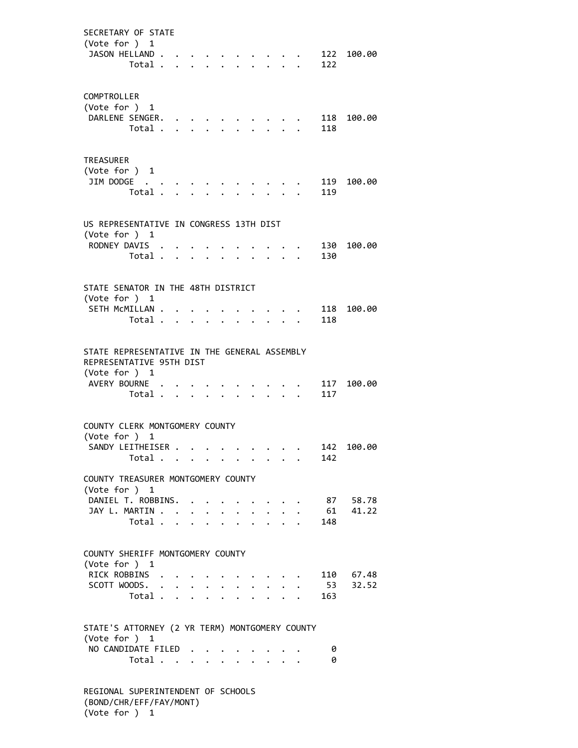SECRETARY OF STATE (Vote for ) 1 JASON HELLAND . . . . . . . . . . 122 100.00 Total . . . . . . . . . . 122 COMPTROLLER (Vote for ) 1 DARLENE SENGER. . . . . . . . . . 118 100.00<br>Total . . . . . . . . . . 118 Total . . . . . . . . TREASURER (Vote for ) 1 JIM DODGE . . . . . . . . . . . 119 100.00 Total . . . . . . . . . . 119 US REPRESENTATIVE IN CONGRESS 13TH DIST (Vote for ) 1 RODNEY DAVIS . . . . . . . . . . 130 100.00 Total . . . . . . . . . . 130 STATE SENATOR IN THE 48TH DISTRICT (Vote for ) 1 SETH MCMILLAN . . . . . . . . . . 118 100.00 Total . . . . . . . . . . 118 STATE REPRESENTATIVE IN THE GENERAL ASSEMBLY REPRESENTATIVE 95TH DIST (Vote for ) 1 AVERY BOURNE . . . . . . . . . . 117 100.00 Total . . . . . . . . . . 117 COUNTY CLERK MONTGOMERY COUNTY (Vote for ) 1 SANDY LEITHEISER . . . . . . . . . 142 100.00 Total . . . . . . . . . . 142 COUNTY TREASURER MONTGOMERY COUNTY (Vote for ) 1 DANIEL T. ROBBINS. . . . . . . . . 87 58.78 JAY L. MARTIN . . . . . . . . . . . 61 41.22 Total . . . . . . . . . . 148 COUNTY SHERIFF MONTGOMERY COUNTY (Vote for ) 1 RICK ROBBINS . . . . . . . . . . 110 67.48 SCOTT WOODS. . . . . . . . . . . 53 32.52 Total . . . . . . . . . . 163 STATE'S ATTORNEY (2 YR TERM) MONTGOMERY COUNTY (Vote for ) 1 NO CANDIDATE FILED . . . . . . . . 0 Total . . . . . . . . . . 0 REGIONAL SUPERINTENDENT OF SCHOOLS (BOND/CHR/EFF/FAY/MONT)

(Vote for ) 1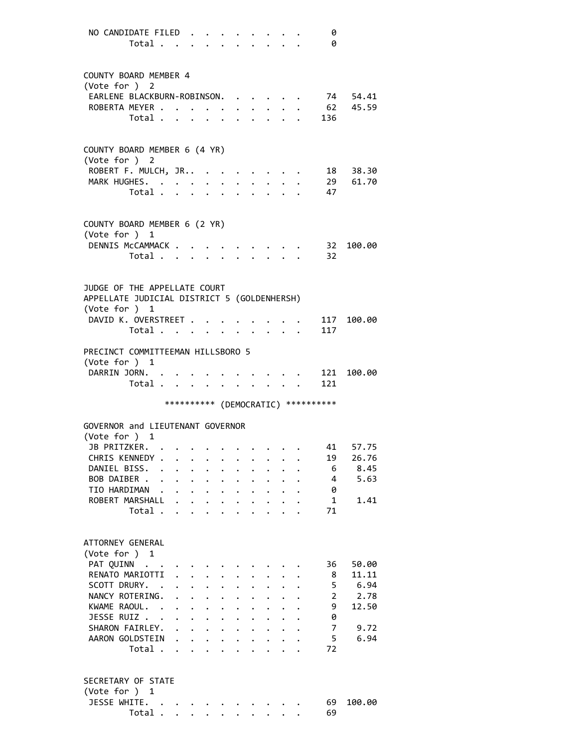NO CANDIDATE FILED . . . . . . . . 0 Total . . . . . . . . . . 0 COUNTY BOARD MEMBER 4 (Vote for ) 2 EARLENE BLACKBURN-ROBINSON. . . . . 74 54.41 ROBERTA MEYER . . . . . . . . . . . 62 45.59 Total . . . . . . . . . . 136 COUNTY BOARD MEMBER 6 (4 YR) (Vote for ) 2 ROBERT F. MULCH, JR.. . . . . . . . . 18 38.30 MARK HUGHES. . . . . . . . . . . 29 61.70 Total . . . . . . . . . . 47 COUNTY BOARD MEMBER 6 (2 YR) (Vote for ) 1 DENNIS McCAMMACK . . . . . . . . . 32 100.00 Total . . . . . . . . . . 32 JUDGE OF THE APPELLATE COURT APPELLATE JUDICIAL DISTRICT 5 (GOLDENHERSH) (Vote for ) 1 DAVID K. OVERSTREET . . . . . . . . 117 100.00 Total . . . . . . . . . . 117 PRECINCT COMMITTEEMAN HILLSBORO 5 (Vote for ) 1 DARRIN JORN. . . . . . . . . . . 121 100.00 Total . . . . . . . . . . 121 \*\*\*\*\*\*\*\*\*\* (DEMOCRATIC) \*\*\*\*\*\*\*\*\*\* GOVERNOR and LIEUTENANT GOVERNOR (Vote for ) 1 JB PRITZKER. . . . . . . . . . . 41 57.75 CHRIS KENNEDY . . . . . . . . . . 19 26.76<br>DANIEL BISS. . . . . . . . . . . . 6 8.45 DANIEL BISS. . . . . . . . . . . . 6 8.45 BOB DAIBER . . . . . . . . . . . . 4 5.63<br>TIO HARDIMAN . . . . . . . . . . . 0 TIO HARDIMAN . . . . . . . . . . . ROBERT MARSHALL . . . . . . . . . . 1 1.41 Total . . . . . . . . . . 71 ATTORNEY GENERAL (Vote for ) 1 PAT QUINN . . . . . . . . . . . . 36 50.00 RENATO MARIOTTI . . . . . . . . . 8 11.11 SCOTT DRURY. . . . . . . . . . . . 5 6.94 NANCY ROTERING. . . . . . . . . . 2 2.78 KWAME RAOUL. . . . . . . . . . . 9 12.50 JESSE RUIZ . . . . . . . . . . . 0 SHARON FAIRLEY. . . . . . . . . . . 7 9.72 AARON GOLDSTEIN . . . . . . . . . . 5 6.94 Total . . . . . . . . . . 72 SECRETARY OF STATE (Vote for ) 1 JESSE WHITE. . . . . . . . . . . 69 100.00 Total . . . . . . . . . . 69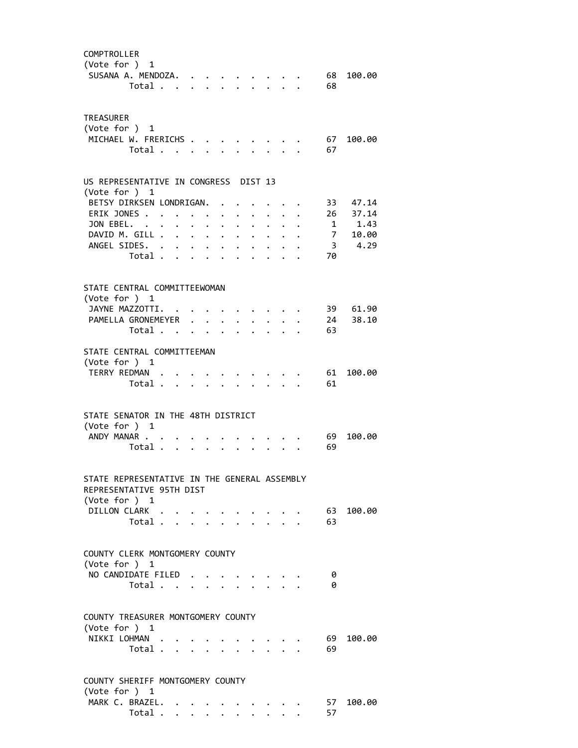| COMPTROLLER<br>(Vote for ) 1<br>SUSANA A. MENDOZA.                                        | Total $\cdots$ $\cdots$ $\cdots$ |  |                                                           |                                        |  | 68<br>68 | 100.00               |
|-------------------------------------------------------------------------------------------|----------------------------------|--|-----------------------------------------------------------|----------------------------------------|--|----------|----------------------|
| <b>TREASURER</b><br>(Vote for $)$ 1<br>MICHAEL W. FRERICHS                                | Total                            |  |                                                           |                                        |  | 67<br>67 | 100.00               |
| US REPRESENTATIVE IN CONGRESS DIST 13<br>(Vote for ) 1                                    |                                  |  |                                                           |                                        |  |          |                      |
| BETSY DIRKSEN LONDRIGAN.                                                                  |                                  |  |                                                           |                                        |  |          | 33 47.14             |
| ERIK JONES                                                                                |                                  |  | $\mathbf{A}^{\text{max}}$ , and $\mathbf{A}^{\text{max}}$ | $\cdot$ $\cdot$ $\cdot$ $\cdot$        |  |          | 26 37.14             |
| JON EBEL.                                                                                 |                                  |  |                                                           | $\cdot$ $\cdot$ $\cdot$ $\cdot$        |  |          | $1 \t 1.43$          |
| DAVID M. GILL                                                                             |                                  |  |                                                           | $\mathbf{r} = \mathbf{r} + \mathbf{r}$ |  |          | 7 10.00              |
| ANGEL SIDES.                                                                              |                                  |  |                                                           |                                        |  |          | 3, 4.29              |
|                                                                                           | Total $\cdots$ $\cdots$          |  |                                                           |                                        |  | 70       |                      |
| STATE CENTRAL COMMITTEEWOMAN<br>(Vote for ) 1<br>JAYNE MAZZOTTI.<br>PAMELLA GRONEMEYER    |                                  |  |                                                           |                                        |  |          | 39 61.90<br>24 38.10 |
|                                                                                           | Total                            |  |                                                           |                                        |  | 63       |                      |
|                                                                                           |                                  |  |                                                           |                                        |  |          |                      |
| STATE CENTRAL COMMITTEEMAN<br>(Vote for ) 1<br>TERRY REDMAN                               |                                  |  |                                                           |                                        |  | 61       | 100.00               |
|                                                                                           | Total                            |  |                                                           |                                        |  | 61       |                      |
| STATE SENATOR IN THE 48TH DISTRICT<br>(Vote for ) 1<br>ANDY MANAR                         | Total                            |  |                                                           |                                        |  | 69<br>69 | 100.00               |
| STATE REPRESENTATIVE IN THE GENERAL ASSEMBLY<br>REPRESENTATIVE 95TH DIST<br>(Vote for ) 1 |                                  |  |                                                           |                                        |  |          |                      |
| DILLON CLARK                                                                              |                                  |  |                                                           |                                        |  |          | 63 100.00            |
|                                                                                           | Total                            |  |                                                           |                                        |  | 63       |                      |
| COUNTY CLERK MONTGOMERY COUNTY<br>(Vote for $)$ 1<br>NO CANDIDATE FILED                   | Total                            |  |                                                           |                                        |  | 0<br>0   |                      |
|                                                                                           |                                  |  |                                                           |                                        |  |          |                      |
| COUNTY TREASURER MONTGOMERY COUNTY<br>(Vote for ) 1                                       |                                  |  |                                                           |                                        |  |          |                      |
| NIKKI LOHMAN                                                                              | Total                            |  |                                                           |                                        |  | 69<br>69 | 100.00               |
| COUNTY SHERIFF MONTGOMERY COUNTY<br>(Vote for ) 1                                         |                                  |  |                                                           |                                        |  |          |                      |
| MARK C. BRAZEL.                                                                           |                                  |  |                                                           |                                        |  |          | 57 100.00            |
|                                                                                           | Total                            |  |                                                           |                                        |  | 57       |                      |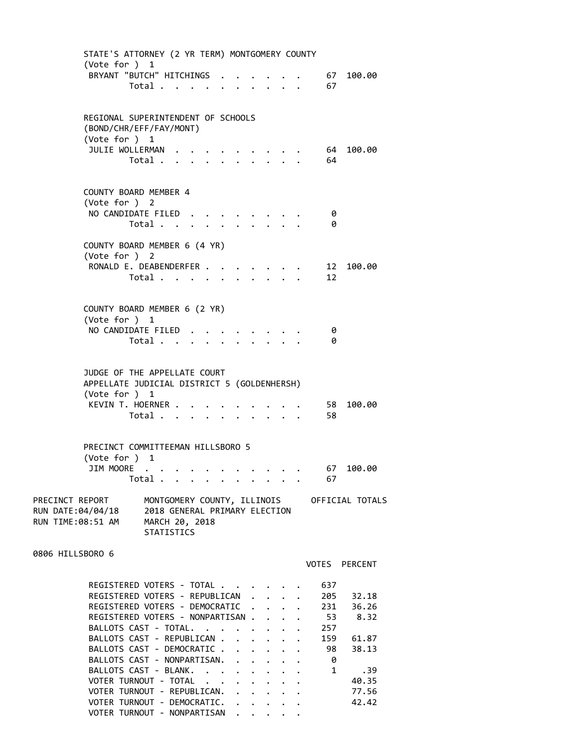| STATE'S ATTORNEY (2 YR TERM) MONTGOMERY COUNTY<br>(Vote for ) 1                |                                                               |  |  |                                 |              |                                             |
|--------------------------------------------------------------------------------|---------------------------------------------------------------|--|--|---------------------------------|--------------|---------------------------------------------|
| BRYANT "BUTCH" HITCHINGS                                                       | Total                                                         |  |  |                                 | 67<br>67     | 100.00                                      |
|                                                                                |                                                               |  |  |                                 |              |                                             |
| REGIONAL SUPERINTENDENT OF SCHOOLS<br>(BOND/CHR/EFF/FAY/MONT)<br>(Vote for ) 1 |                                                               |  |  |                                 |              |                                             |
| JULIE WOLLERMAN                                                                |                                                               |  |  |                                 | 64           | 100.00                                      |
|                                                                                | Total                                                         |  |  |                                 | 64           |                                             |
| COUNTY BOARD MEMBER 4<br>(Vote for ) 2                                         |                                                               |  |  |                                 |              |                                             |
| NO CANDIDATE FILED                                                             | Total                                                         |  |  | $\cdot$ $\cdot$ $\cdot$ $\cdot$ | 0<br>0       |                                             |
| COUNTY BOARD MEMBER 6 (4 YR)<br>(Vote for ) 2                                  |                                                               |  |  |                                 |              |                                             |
| RONALD E. DEABENDERFER                                                         | Total                                                         |  |  |                                 | 12<br>12     | 100.00                                      |
| COUNTY BOARD MEMBER 6 (2 YR)                                                   |                                                               |  |  |                                 |              |                                             |
| (Vote for ) 1                                                                  |                                                               |  |  |                                 |              |                                             |
| NO CANDIDATE FILED.                                                            |                                                               |  |  |                                 | 0            |                                             |
|                                                                                | Total                                                         |  |  |                                 | 0            |                                             |
| JUDGE OF THE APPELLATE COURT<br>APPELLATE JUDICIAL DISTRICT 5 (GOLDENHERSH)    |                                                               |  |  |                                 |              |                                             |
| (Vote for ) 1<br>KEVIN T. HOERNER                                              |                                                               |  |  |                                 | 58           | 100.00                                      |
|                                                                                | Total                                                         |  |  |                                 | 58           |                                             |
| PRECINCT COMMITTEEMAN HILLSBORO 5<br>(Vote for ) 1                             |                                                               |  |  |                                 |              |                                             |
| JIM MOORE .                                                                    | Total $\ldots$ $\ldots$ $\ldots$ $\ldots$                     |  |  |                                 | 67<br>67     | 100.00                                      |
| PRECINCT REPORT<br>RUN DATE:04/04/18<br>RUN TIME:08:51 AM                      | 2018 GENERAL PRIMARY ELECTION<br>MARCH 20, 2018<br>STATISTICS |  |  |                                 |              | MONTGOMERY COUNTY, ILLINOIS OFFICIAL TOTALS |
| 0806 HILLSBORO 6                                                               |                                                               |  |  |                                 |              | VOTES PERCENT                               |
| REGISTERED VOTERS - TOTAL                                                      |                                                               |  |  |                                 | 637          |                                             |
| REGISTERED VOTERS - REPUBLICAN                                                 |                                                               |  |  |                                 | 205          | 32.18                                       |
| REGISTERED VOTERS - DEMOCRATIC                                                 |                                                               |  |  |                                 | 231          | 36.26                                       |
| REGISTERED VOTERS - NONPARTISAN<br>BALLOTS CAST - TOTAL.                       |                                                               |  |  |                                 | - 53<br>257  | 8.32                                        |
| BALLOTS CAST - REPUBLICAN                                                      |                                                               |  |  |                                 | 159          | 61.87                                       |
| BALLOTS CAST - DEMOCRATIC                                                      |                                                               |  |  |                                 | 98           | 38.13                                       |
| BALLOTS CAST - NONPARTISAN.                                                    |                                                               |  |  |                                 | 0            |                                             |
| BALLOTS CAST - BLANK.                                                          |                                                               |  |  |                                 | $\mathbf{1}$ | .39                                         |
| VOTER TURNOUT - TOTAL<br>VOTER TURNOUT - REPUBLICAN. .                         |                                                               |  |  |                                 |              | 40.35<br>77.56                              |
| VOTER TURNOUT - DEMOCRATIC.                                                    |                                                               |  |  |                                 |              | 42.42                                       |

VOTER TURNOUT - NONPARTISAN . . . . .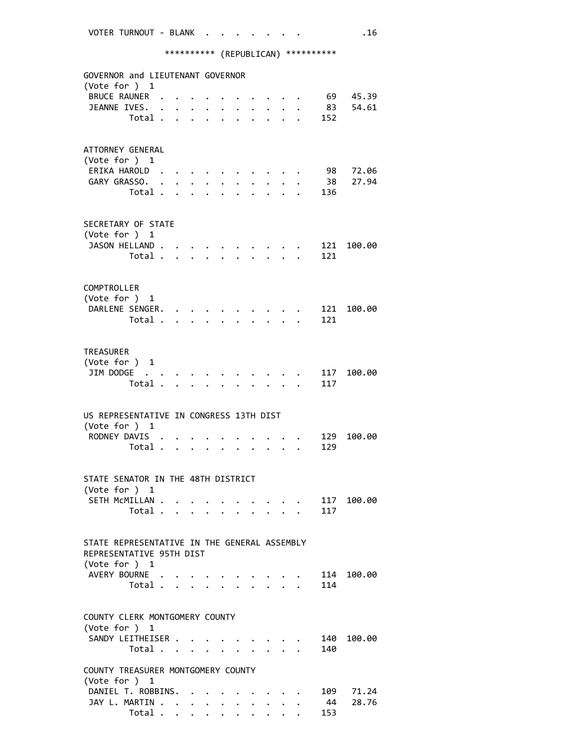\*\*\*\*\*\*\*\*\*\* (REPUBLICAN) \*\*\*\*\*\*\*\*\*\*

|               | GOVERNOR and LIEUTENANT GOVERNOR<br>(Vote for ) 1 |                      |                          |                                 |                      |                      |                      |                                                                          |                                             |                                                 |           |            |
|---------------|---------------------------------------------------|----------------------|--------------------------|---------------------------------|----------------------|----------------------|----------------------|--------------------------------------------------------------------------|---------------------------------------------|-------------------------------------------------|-----------|------------|
|               | <b>BRUCE RAUNER</b>                               |                      |                          |                                 |                      |                      |                      |                                                                          |                                             |                                                 |           | 69 45.39   |
|               | JEANNE IVES.                                      | $\ddot{\phantom{a}}$ |                          | $\ddot{\phantom{0}}$            |                      |                      |                      | $\ddot{\phantom{0}}$                                                     |                                             |                                                 | 83        | 54.61      |
|               | Total                                             |                      |                          | $\mathbf{L}^{\text{max}}$       | $\mathbf{r}$         | $\mathbf{r}$         |                      |                                                                          |                                             |                                                 | 152       |            |
|               |                                                   |                      |                          |                                 |                      |                      |                      |                                                                          |                                             |                                                 |           |            |
|               |                                                   |                      |                          |                                 |                      |                      |                      |                                                                          |                                             |                                                 |           |            |
|               | ATTORNEY GENERAL                                  |                      |                          |                                 |                      |                      |                      |                                                                          |                                             |                                                 |           |            |
| (Vote for ) 1 |                                                   |                      |                          |                                 |                      |                      |                      |                                                                          |                                             |                                                 |           |            |
|               | ERIKA HAROLD.                                     |                      |                          |                                 |                      |                      |                      |                                                                          |                                             |                                                 | 98        | 72.06      |
|               | GARY GRASSO.                                      | $\ddot{\phantom{a}}$ |                          |                                 |                      |                      |                      |                                                                          |                                             |                                                 | 38        | 27.94      |
|               | Total .                                           |                      |                          |                                 |                      |                      |                      |                                                                          |                                             |                                                 | 136       |            |
|               |                                                   |                      |                          |                                 |                      |                      |                      |                                                                          |                                             |                                                 |           |            |
|               |                                                   |                      |                          |                                 |                      |                      |                      |                                                                          |                                             |                                                 |           |            |
|               | SECRETARY OF STATE                                |                      |                          |                                 |                      |                      |                      |                                                                          |                                             |                                                 |           |            |
| (Vote for ) 1 |                                                   |                      |                          |                                 |                      |                      |                      |                                                                          |                                             |                                                 |           |            |
|               | JASON HELLAND.                                    |                      |                          |                                 |                      |                      |                      |                                                                          |                                             |                                                 |           | 121 100.00 |
|               | Total .                                           |                      | $\sim$ $\sim$            |                                 |                      |                      |                      |                                                                          |                                             |                                                 | 121       |            |
|               |                                                   |                      |                          |                                 |                      |                      |                      |                                                                          |                                             |                                                 |           |            |
|               |                                                   |                      |                          |                                 |                      |                      |                      |                                                                          |                                             |                                                 |           |            |
| COMPTROLLER   |                                                   |                      |                          |                                 |                      |                      |                      |                                                                          |                                             |                                                 |           |            |
|               | (Vote for ) 1                                     |                      |                          |                                 |                      |                      |                      |                                                                          |                                             |                                                 |           |            |
|               | DARLENE SENGER.                                   |                      |                          |                                 |                      |                      |                      |                                                                          |                                             |                                                 | 121       | 100.00     |
|               | Total .                                           |                      |                          | $\cdot$ $\cdot$ $\cdot$ $\cdot$ |                      | $\ddot{\phantom{0}}$ | $\ddot{\phantom{0}}$ | $\mathbf{L}$                                                             |                                             |                                                 | 121       |            |
|               |                                                   |                      |                          |                                 |                      |                      |                      |                                                                          |                                             |                                                 |           |            |
|               |                                                   |                      |                          |                                 |                      |                      |                      |                                                                          |                                             |                                                 |           |            |
| TREASURER     |                                                   |                      |                          |                                 |                      |                      |                      |                                                                          |                                             |                                                 |           |            |
|               | (Vote for ) 1                                     |                      |                          |                                 |                      |                      |                      |                                                                          |                                             |                                                 |           |            |
|               | JIM DODGE                                         |                      |                          |                                 |                      |                      |                      |                                                                          |                                             |                                                 | 117       | 100.00     |
|               | Total .                                           |                      | <b>Contract Contract</b> | $\mathbf{r}$                    |                      |                      |                      |                                                                          | $\mathbf{L} = \mathbf{L} \times \mathbf{L}$ |                                                 | 117       |            |
|               |                                                   |                      |                          |                                 |                      |                      |                      |                                                                          |                                             |                                                 |           |            |
|               |                                                   |                      |                          |                                 |                      |                      |                      |                                                                          |                                             |                                                 |           |            |
|               | US REPRESENTATIVE IN CONGRESS 13TH DIST           |                      |                          |                                 |                      |                      |                      |                                                                          |                                             |                                                 |           |            |
|               | (Vote for ) 1                                     |                      |                          |                                 |                      |                      |                      |                                                                          |                                             |                                                 |           |            |
|               | RODNEY DAVIS .                                    |                      |                          |                                 |                      |                      |                      |                                                                          |                                             |                                                 | 129       | 100.00     |
|               | Total                                             |                      |                          |                                 |                      |                      |                      |                                                                          |                                             |                                                 | 129       |            |
|               |                                                   |                      |                          |                                 |                      |                      |                      |                                                                          |                                             |                                                 |           |            |
|               |                                                   |                      |                          |                                 |                      |                      |                      |                                                                          |                                             |                                                 |           |            |
|               | STATE SENATOR IN THE 48TH DISTRICT                |                      |                          |                                 |                      |                      |                      |                                                                          |                                             |                                                 |           |            |
| (Vote for ) 1 |                                                   |                      |                          |                                 |                      |                      |                      |                                                                          |                                             |                                                 |           |            |
|               | SETH MCMILLAN                                     |                      |                          |                                 | $\ddot{\phantom{a}}$ |                      |                      |                                                                          |                                             |                                                 |           | 117 100.00 |
|               | Total                                             |                      |                          |                                 |                      |                      |                      |                                                                          |                                             | $\cdot$ $\cdot$ $\cdot$ $\cdot$ $\cdot$ $\cdot$ | 117       |            |
|               |                                                   |                      |                          |                                 |                      |                      |                      |                                                                          |                                             |                                                 |           |            |
|               |                                                   |                      |                          |                                 |                      |                      |                      |                                                                          |                                             |                                                 |           |            |
|               | STATE REPRESENTATIVE IN THE GENERAL ASSEMBLY      |                      |                          |                                 |                      |                      |                      |                                                                          |                                             |                                                 |           |            |
|               | REPRESENTATIVE 95TH DIST                          |                      |                          |                                 |                      |                      |                      |                                                                          |                                             |                                                 |           |            |
|               | (Vote for ) 1                                     |                      |                          |                                 |                      |                      |                      |                                                                          |                                             |                                                 |           |            |
|               | AVERY BOURNE                                      |                      |                          |                                 |                      |                      |                      |                                                                          |                                             |                                                 |           | 114 100.00 |
|               | Total $\cdots$ $\cdots$                           |                      |                          |                                 |                      |                      |                      | $\mathbf{r}$ , $\mathbf{r}$ , $\mathbf{r}$ , $\mathbf{r}$ , $\mathbf{r}$ |                                             |                                                 | 114       |            |
|               |                                                   |                      |                          |                                 |                      |                      |                      |                                                                          |                                             |                                                 |           |            |
|               |                                                   |                      |                          |                                 |                      |                      |                      |                                                                          |                                             |                                                 |           |            |
|               | COUNTY CLERK MONTGOMERY COUNTY                    |                      |                          |                                 |                      |                      |                      |                                                                          |                                             |                                                 |           |            |
|               | (Vote for ) 1                                     |                      |                          |                                 |                      |                      |                      |                                                                          |                                             |                                                 |           |            |
|               | SANDY LEITHEISER                                  |                      |                          |                                 |                      |                      |                      | $\cdot$ $\cdot$ $\cdot$ $\cdot$ $\cdot$                                  |                                             |                                                 | 140       | 100.00     |
|               | Total                                             |                      |                          |                                 |                      |                      |                      |                                                                          |                                             |                                                 | 140       |            |
|               |                                                   |                      |                          |                                 |                      |                      |                      |                                                                          |                                             |                                                 |           |            |
|               |                                                   |                      |                          |                                 |                      |                      |                      |                                                                          |                                             |                                                 |           |            |
|               | COUNTY TREASURER MONTGOMERY COUNTY                |                      |                          |                                 |                      |                      |                      |                                                                          |                                             |                                                 |           |            |
|               | (Vote for $)$ 1                                   |                      |                          |                                 |                      |                      |                      |                                                                          |                                             |                                                 |           |            |
|               | DANIEL T. ROBBINS. .                              |                      |                          |                                 |                      |                      |                      |                                                                          |                                             |                                                 | 109       | 71.24      |
|               | JAY L. MARTIN<br>Total                            |                      |                          |                                 |                      |                      |                      |                                                                          |                                             |                                                 | 44<br>153 | 28.76      |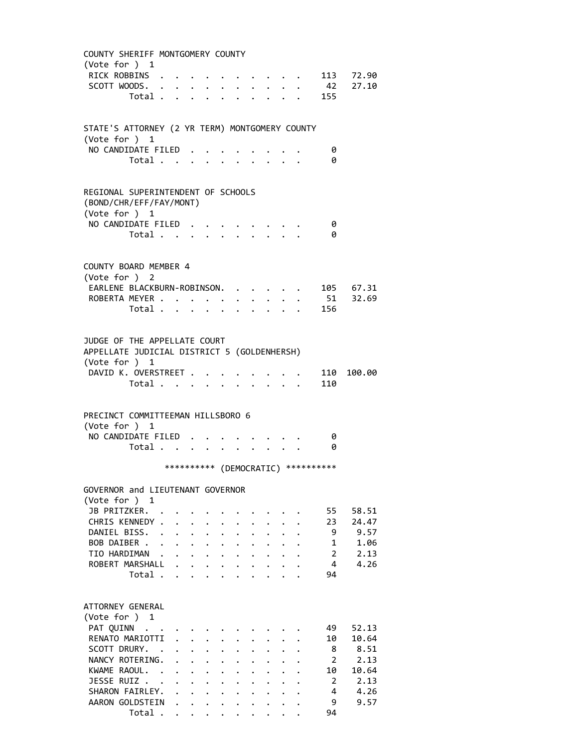| COUNTY SHERIFF MONTGOMERY COUNTY<br>(Vote for $)$ 1                                                                                                     |                                                                 |                                                           |                                                       |                                                                             |  |                                      |                                                          |
|---------------------------------------------------------------------------------------------------------------------------------------------------------|-----------------------------------------------------------------|-----------------------------------------------------------|-------------------------------------------------------|-----------------------------------------------------------------------------|--|--------------------------------------|----------------------------------------------------------|
| RICK ROBBINS                                                                                                                                            |                                                                 |                                                           |                                                       |                                                                             |  |                                      | $\cdot$ $\cdot$ $\cdot$ $\cdot$ $\cdot$ 113 72.90        |
| SCOTT WOODS.                                                                                                                                            |                                                                 |                                                           |                                                       |                                                                             |  |                                      | $\cdot$ $\cdot$ $\cdot$ $\cdot$ $\cdot$ $\cdot$ 42 27.10 |
|                                                                                                                                                         |                                                                 |                                                           |                                                       |                                                                             |  | Total 155                            |                                                          |
|                                                                                                                                                         |                                                                 |                                                           |                                                       |                                                                             |  |                                      |                                                          |
| STATE'S ATTORNEY (2 YR TERM) MONTGOMERY COUNTY<br>(Vote for $)$ 1                                                                                       |                                                                 |                                                           |                                                       |                                                                             |  |                                      |                                                          |
| NO CANDIDATE FILED                                                                                                                                      |                                                                 |                                                           |                                                       |                                                                             |  | 0                                    |                                                          |
| Total                                                                                                                                                   |                                                                 |                                                           |                                                       |                                                                             |  | 0                                    |                                                          |
|                                                                                                                                                         |                                                                 |                                                           |                                                       |                                                                             |  |                                      |                                                          |
| REGIONAL SUPERINTENDENT OF SCHOOLS<br>(BOND/CHR/EFF/FAY/MONT)<br>(Vote for ) 1                                                                          |                                                                 |                                                           |                                                       |                                                                             |  |                                      |                                                          |
| NO CANDIDATE FILED                                                                                                                                      |                                                                 |                                                           |                                                       |                                                                             |  | 0                                    |                                                          |
| Total                                                                                                                                                   |                                                                 |                                                           |                                                       |                                                                             |  | 0                                    |                                                          |
| COUNTY BOARD MEMBER 4<br>(Vote for ) 2<br>EARLENE BLACKBURN-ROBINSON.                                                                                   |                                                                 |                                                           |                                                       |                                                                             |  |                                      | 105 67.31<br>51 32.69                                    |
| ROBERTA MEYER                                                                                                                                           |                                                                 |                                                           |                                                       |                                                                             |  |                                      |                                                          |
| Total                                                                                                                                                   |                                                                 |                                                           |                                                       |                                                                             |  | 156                                  |                                                          |
|                                                                                                                                                         |                                                                 |                                                           |                                                       |                                                                             |  |                                      |                                                          |
| JUDGE OF THE APPELLATE COURT<br>APPELLATE JUDICIAL DISTRICT 5 (GOLDENHERSH)<br>(Vote for ) 1<br>DAVID K. OVERSTREET<br>Total $\cdots$ $\cdots$ $\cdots$ |                                                                 |                                                           |                                                       |                                                                             |  | 110<br>110                           | 100.00                                                   |
|                                                                                                                                                         |                                                                 |                                                           |                                                       |                                                                             |  |                                      |                                                          |
| PRECINCT COMMITTEEMAN HILLSBORO 6<br>(Vote for ) 1<br>NO CANDIDATE FILED.                                                                               |                                                                 |                                                           |                                                       |                                                                             |  |                                      |                                                          |
|                                                                                                                                                         |                                                                 |                                                           |                                                       |                                                                             |  | - 0                                  |                                                          |
| Total 0                                                                                                                                                 |                                                                 |                                                           |                                                       |                                                                             |  |                                      |                                                          |
|                                                                                                                                                         |                                                                 |                                                           |                                                       |                                                                             |  |                                      |                                                          |
|                                                                                                                                                         |                                                                 |                                                           |                                                       |                                                                             |  | *********** (DEMOCRATIC) *********** |                                                          |
|                                                                                                                                                         |                                                                 |                                                           |                                                       |                                                                             |  |                                      |                                                          |
| GOVERNOR and LIEUTENANT GOVERNOR<br>(Vote for ) 1<br>JB PRITZKER. .                                                                                     |                                                                 |                                                           |                                                       |                                                                             |  | 55                                   | 58.51                                                    |
| CHRIS KENNEDY                                                                                                                                           |                                                                 |                                                           |                                                       |                                                                             |  | 23                                   | 24.47                                                    |
| DANIEL BISS. .                                                                                                                                          | $\mathbf{r}$ and $\mathbf{r}$ and $\mathbf{r}$ and $\mathbf{r}$ |                                                           |                                                       |                                                                             |  | -9                                   | 9.57                                                     |
|                                                                                                                                                         |                                                                 |                                                           |                                                       |                                                                             |  | $\mathbf{1}$                         | 1.06                                                     |
|                                                                                                                                                         |                                                                 |                                                           |                                                       |                                                                             |  | $\overline{2}$                       | 2.13                                                     |
| BOB DAIBER<br>TIO HARDIMAN<br>ROBERT MARSHALL                                                                                                           |                                                                 |                                                           |                                                       |                                                                             |  | $\overline{4}$                       | 4.26                                                     |
| Total $\cdots$                                                                                                                                          |                                                                 |                                                           |                                                       |                                                                             |  | 94                                   |                                                          |
|                                                                                                                                                         |                                                                 |                                                           |                                                       |                                                                             |  |                                      |                                                          |
|                                                                                                                                                         |                                                                 |                                                           |                                                       |                                                                             |  |                                      |                                                          |
| ATTORNEY GENERAL<br>(Vote for ) 1<br>PAT QUINN                                                                                                          |                                                                 |                                                           |                                                       |                                                                             |  | 49                                   | 52.13                                                    |
|                                                                                                                                                         |                                                                 |                                                           |                                                       |                                                                             |  | 10                                   | 10.64                                                    |
| RENATO MARIOTTI .<br>SCOTT DRURY. .                                                                                                                     |                                                                 | $\mathbf{L}^{\text{max}}$ , and $\mathbf{L}^{\text{max}}$ |                                                       |                                                                             |  |                                      | 8.51                                                     |
| NANCY ROTERING.                                                                                                                                         |                                                                 |                                                           | $\mathbf{r} = \mathbf{r} + \mathbf{r} + \mathbf{r}$ . |                                                                             |  | 8                                    |                                                          |
|                                                                                                                                                         |                                                                 |                                                           |                                                       |                                                                             |  | $\overline{2}$                       | 2.13                                                     |
| KWAME RAOUL.                                                                                                                                            |                                                                 |                                                           |                                                       |                                                                             |  | 10                                   | 10.64                                                    |
| JESSE RUIZ                                                                                                                                              |                                                                 |                                                           |                                                       | $\cdot$ $\cdot$ $\cdot$ $\cdot$ $\cdot$                                     |  | $\overline{2}$                       | 2.13                                                     |
| SHARON FAIRLEY.                                                                                                                                         |                                                                 |                                                           |                                                       |                                                                             |  | $\overline{4}$                       | 4.26                                                     |
| AARON GOLDSTEIN                                                                                                                                         |                                                                 |                                                           |                                                       | $\bullet$ .<br><br><br><br><br><br><br><br><br><br><br><br><br><br><br><br> |  | 9                                    | 9.57                                                     |
| Total $\cdots$ $\cdots$ $\cdots$                                                                                                                        |                                                                 |                                                           |                                                       |                                                                             |  | 94                                   |                                                          |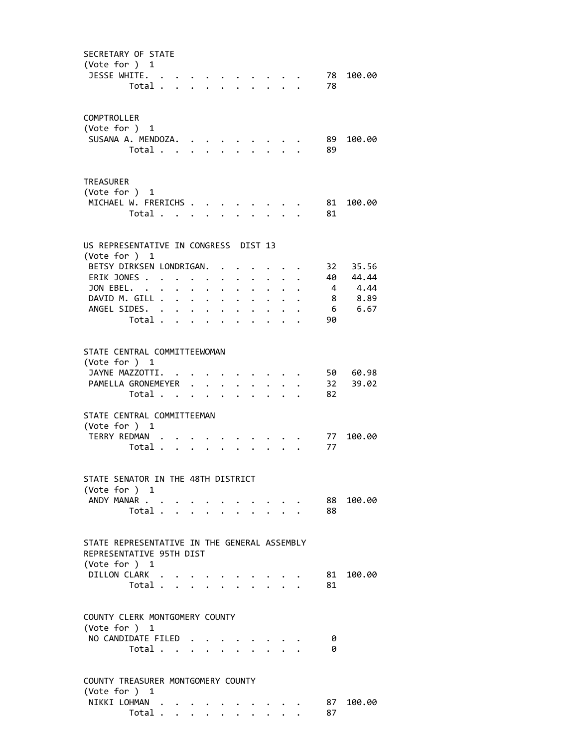| SECRETARY OF STATE<br>(Vote for ) 1<br>JESSE WHITE.                                       | Total                   |                      |                      | $\sim$                  |                      |                      |                                       | $\sim$ $\sim$ $\sim$ $\sim$<br>$\mathcal{L}^{\text{max}}$                                                                                                                                                                              |                                  |                      | 78        | 78 100.00         |
|-------------------------------------------------------------------------------------------|-------------------------|----------------------|----------------------|-------------------------|----------------------|----------------------|---------------------------------------|----------------------------------------------------------------------------------------------------------------------------------------------------------------------------------------------------------------------------------------|----------------------------------|----------------------|-----------|-------------------|
| COMPTROLLER<br>(Vote for ) 1<br>SUSANA A. MENDOZA.                                        | Total                   |                      |                      |                         |                      |                      | $\mathbf{r} = \mathbf{r}$             |                                                                                                                                                                                                                                        |                                  |                      | 89.<br>89 | 100.00            |
| TREASURER<br>(Vote for ) 1<br>MICHAEL W. FRERICHS                                         | Total                   |                      |                      |                         |                      | $\ddot{\phantom{0}}$ | $\ddot{\phantom{0}}$                  |                                                                                                                                                                                                                                        | $\cdot$ $\cdot$ $\cdot$          |                      | 81<br>81  | 100.00            |
| US REPRESENTATIVE IN CONGRESS DIST 13                                                     |                         |                      |                      |                         |                      |                      |                                       |                                                                                                                                                                                                                                        |                                  |                      |           |                   |
| (Vote for ) 1                                                                             |                         |                      |                      |                         |                      |                      |                                       |                                                                                                                                                                                                                                        |                                  |                      |           |                   |
| BETSY DIRKSEN LONDRIGAN.<br>ERIK JONES                                                    |                         |                      |                      |                         | $\ddot{\phantom{0}}$ | $\ddot{\phantom{a}}$ | $\ddot{\phantom{0}}$                  | $\cdot$ $\cdot$ $\cdot$                                                                                                                                                                                                                | $\cdot$ $\cdot$ $\cdot$          |                      | 32        | 35.56<br>40 44.44 |
| JON EBEL.                                                                                 |                         | $\ddot{\phantom{0}}$ |                      | $\cdot$ $\cdot$ $\cdot$ | $\ddot{\phantom{0}}$ | $\ddot{\phantom{a}}$ | $\ddot{\phantom{0}}$                  | $\ddot{\phantom{0}}$                                                                                                                                                                                                                   | $\bullet$ . The set of $\bullet$ | $\ddot{\phantom{a}}$ |           | 4 4.44            |
| DAVID M. GILL                                                                             |                         |                      |                      |                         | $\ddot{\phantom{0}}$ | $\bullet$            | $\bullet$ .                           |                                                                                                                                                                                                                                        | $\ddot{\phantom{a}}$             |                      |           | 8 8.89            |
| ANGEL SIDES.                                                                              |                         |                      | $\ddot{\phantom{0}}$ | $\sim$                  | $\ddot{\phantom{0}}$ |                      | $\ddot{\bullet}$ and $\ddot{\bullet}$ |                                                                                                                                                                                                                                        |                                  |                      |           | 6 6.67            |
|                                                                                           | Total                   |                      |                      | $\sim$                  |                      |                      |                                       |                                                                                                                                                                                                                                        |                                  |                      | 90        |                   |
| STATE CENTRAL COMMITTEEWOMAN<br>(Vote for ) 1<br>JAYNE MAZZOTTI.                          |                         |                      |                      |                         |                      |                      |                                       |                                                                                                                                                                                                                                        |                                  |                      |           | 50 60.98          |
| PAMELLA GRONEMEYER                                                                        |                         |                      |                      |                         |                      | $\bullet$ .          |                                       |                                                                                                                                                                                                                                        |                                  |                      | 32<br>82  | 39.02             |
|                                                                                           | Total                   |                      |                      |                         |                      |                      | $\cdot$ $\cdot$                       |                                                                                                                                                                                                                                        |                                  |                      |           |                   |
| STATE CENTRAL COMMITTEEMAN<br>(Vote for ) 1<br>TERRY REDMAN                               |                         |                      |                      |                         |                      |                      |                                       |                                                                                                                                                                                                                                        |                                  |                      | 77        | 100.00            |
|                                                                                           | Total                   |                      |                      |                         |                      |                      |                                       |                                                                                                                                                                                                                                        |                                  |                      | 77        |                   |
| STATE SENATOR IN THE 48TH DISTRICT<br>(Vote for ) 1<br>ANDY MANAR                         | Total                   |                      |                      |                         |                      |                      |                                       | $\ddot{\phantom{a}}$ . The contract of the contract of the contract of the contract of the contract of the contract of the contract of the contract of the contract of the contract of the contract of the contract of the contract of |                                  |                      | 88        | 88 100.00         |
|                                                                                           |                         |                      |                      |                         |                      |                      |                                       |                                                                                                                                                                                                                                        |                                  |                      |           |                   |
| STATE REPRESENTATIVE IN THE GENERAL ASSEMBLY<br>REPRESENTATIVE 95TH DIST<br>(Vote for ) 1 |                         |                      |                      |                         |                      |                      |                                       |                                                                                                                                                                                                                                        |                                  |                      |           |                   |
| DILLON CLARK                                                                              |                         |                      |                      |                         |                      |                      |                                       |                                                                                                                                                                                                                                        |                                  |                      | 81 -      | 100.00            |
|                                                                                           | Total                   |                      |                      |                         |                      |                      |                                       |                                                                                                                                                                                                                                        |                                  |                      | 81        |                   |
| COUNTY CLERK MONTGOMERY COUNTY<br>(Vote for ) 1                                           |                         |                      |                      |                         |                      |                      |                                       |                                                                                                                                                                                                                                        |                                  |                      |           |                   |
| NO CANDIDATE FILED                                                                        | Total                   |                      |                      |                         |                      |                      |                                       |                                                                                                                                                                                                                                        |                                  |                      | 0<br>0    |                   |
|                                                                                           |                         |                      |                      |                         |                      |                      |                                       |                                                                                                                                                                                                                                        |                                  |                      |           |                   |
| COUNTY TREASURER MONTGOMERY COUNTY<br>(Vote for ) 1                                       |                         |                      |                      |                         |                      |                      |                                       |                                                                                                                                                                                                                                        |                                  |                      |           |                   |
| NIKKI LOHMAN                                                                              |                         |                      |                      |                         |                      |                      |                                       |                                                                                                                                                                                                                                        |                                  |                      |           | 87 100.00         |
|                                                                                           | Total $\cdots$ $\cdots$ |                      |                      |                         |                      |                      | $\ddot{\phantom{0}}$                  |                                                                                                                                                                                                                                        |                                  |                      | 87        |                   |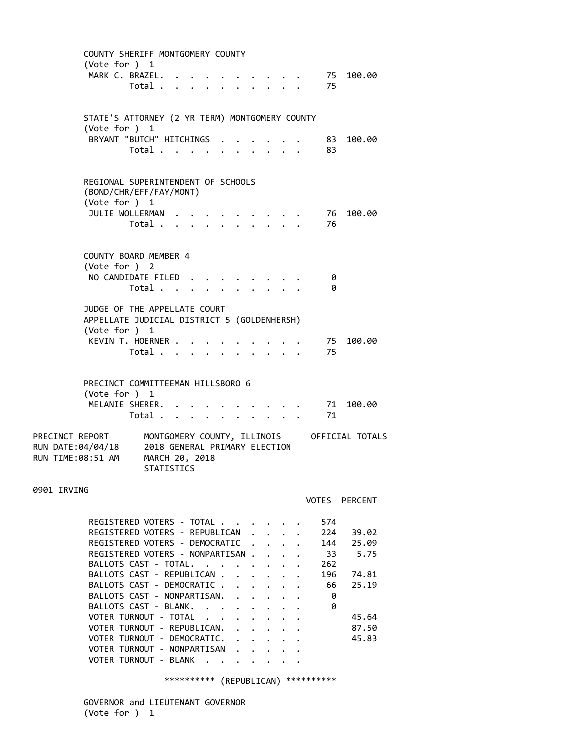|                                                           | COUNTY SHERIFF MONTGOMERY COUNTY<br>(Vote for ) 1<br>MARK C. BRAZEL.                         | Total                                                                                                                                                                                                                                                                                                                                                                  |  |                                            |                              |                               | $\cdot$ $\cdot$ $\cdot$ $\cdot$<br>$\ddot{\phantom{0}}$ |                      | 75<br>75                                               | 100.00                                                              |
|-----------------------------------------------------------|----------------------------------------------------------------------------------------------|------------------------------------------------------------------------------------------------------------------------------------------------------------------------------------------------------------------------------------------------------------------------------------------------------------------------------------------------------------------------|--|--------------------------------------------|------------------------------|-------------------------------|---------------------------------------------------------|----------------------|--------------------------------------------------------|---------------------------------------------------------------------|
|                                                           | STATE'S ATTORNEY (2 YR TERM) MONTGOMERY COUNTY<br>(Vote for ) 1                              | BRYANT "BUTCH" HITCHINGS<br>Total                                                                                                                                                                                                                                                                                                                                      |  |                                            |                              |                               |                                                         |                      | 83<br>83                                               | 100.00                                                              |
|                                                           | REGIONAL SUPERINTENDENT OF SCHOOLS<br>(BOND/CHR/EFF/FAY/MONT)<br>(Vote for ) 1               | JULIE WOLLERMAN<br>Total .                                                                                                                                                                                                                                                                                                                                             |  |                                            |                              |                               |                                                         |                      | 76<br>76                                               | 100.00                                                              |
|                                                           | COUNTY BOARD MEMBER 4<br>(Vote for ) 2<br>NO CANDIDATE FILED                                 | Total                                                                                                                                                                                                                                                                                                                                                                  |  |                                            |                              |                               |                                                         |                      | 0<br>0                                                 |                                                                     |
|                                                           | JUDGE OF THE APPELLATE COURT<br>APPELLATE JUDICIAL DISTRICT 5 (GOLDENHERSH)<br>(Vote for ) 1 | KEVIN T. HOERNER .<br>Total                                                                                                                                                                                                                                                                                                                                            |  | $\bullet$                                  |                              | $\ddot{\phantom{0}}$          |                                                         | $\ddotsc$ $\ddotsc$  | 75<br>75                                               | 100.00                                                              |
|                                                           | PRECINCT COMMITTEEMAN HILLSBORO 6<br>(Vote for ) 1<br>MELANIE SHERER.                        | Total                                                                                                                                                                                                                                                                                                                                                                  |  |                                            | $\overline{\phantom{a}}$     |                               | $\mathbf{r}$ , $\mathbf{r}$                             |                      | 71<br>71                                               | 100.00                                                              |
| PRECINCT REPORT<br>RUN DATE:04/04/18<br>RUN TIME:08:51 AM |                                                                                              | MONTGOMERY COUNTY, ILLINOIS<br>2018 GENERAL PRIMARY ELECTION<br>MARCH 20, 2018<br>STATISTICS                                                                                                                                                                                                                                                                           |  |                                            |                              |                               |                                                         |                      |                                                        | OFFICIAL TOTALS                                                     |
| 0901 IRVING                                               |                                                                                              |                                                                                                                                                                                                                                                                                                                                                                        |  |                                            |                              |                               |                                                         |                      |                                                        | VOTES PERCENT                                                       |
|                                                           | VOTER TURNOUT - NONPARTISAN<br>VOTER TURNOUT - BLANK                                         | REGISTERED VOTERS - TOTAL<br>REGISTERED VOTERS - REPUBLICAN<br>REGISTERED VOTERS - DEMOCRATIC<br>REGISTERED VOTERS - NONPARTISAN.<br>BALLOTS CAST - TOTAL.<br>BALLOTS CAST - REPUBLICAN .<br>BALLOTS CAST - DEMOCRATIC.<br>BALLOTS CAST - NONPARTISAN.<br>BALLOTS CAST - BLANK.<br>VOTER TURNOUT - TOTAL<br>VOTER TURNOUT - REPUBLICAN.<br>VOTER TURNOUT - DEMOCRATIC. |  | $\mathbf{r} = \mathbf{r} \cdot \mathbf{r}$ | $\mathbf{A}$<br>$\mathbf{r}$ | $\cdot$ $\cdot$<br>$\sim$ $-$ | $\mathbf{L}$<br>$\ddot{\phantom{0}}$                    | $\ddot{\phantom{0}}$ | 574<br>224<br>144<br>-33<br>262<br>196<br>66<br>0<br>0 | 39.02<br>25.09<br>5.75<br>74.81<br>25.19<br>45.64<br>87.50<br>45.83 |

\*\*\*\*\*\*\*\*\*\* (REPUBLICAN) \*\*\*\*\*\*\*\*\*\*

 GOVERNOR and LIEUTENANT GOVERNOR (Vote for ) 1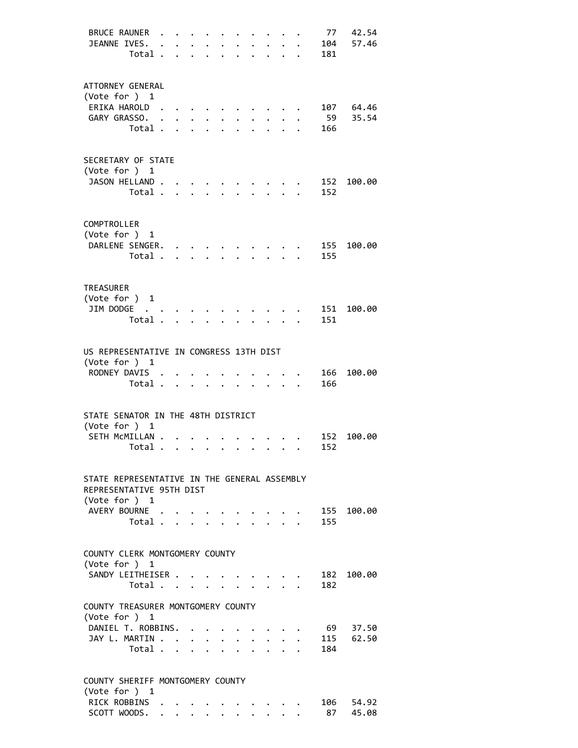| <b>BRUCE RAUNER</b><br>JEANNE IVES.<br>Total .                                                                         | $\ddot{\phantom{a}}$ | $\ddot{\phantom{a}}$       | $\mathbf{r}$                                                             |                                     | $\ddot{\phantom{0}}$ | $\ddot{\phantom{a}}$ | $\ddotsc$ $\ddotsc$                                              |                           | 104<br>181 | 77 42.54<br>57.46  |
|------------------------------------------------------------------------------------------------------------------------|----------------------|----------------------------|--------------------------------------------------------------------------|-------------------------------------|----------------------|----------------------|------------------------------------------------------------------|---------------------------|------------|--------------------|
| ATTORNEY GENERAL<br>(Vote for ) 1<br>ERIKA HAROLD<br>GARY GRASSO.<br>Total.                                            | $\ddot{\phantom{a}}$ | $\mathbf{r}$               | $\bullet$ .                                                              |                                     |                      |                      |                                                                  |                           | 59<br>166  | 107 64.46<br>35.54 |
| SECRETARY OF STATE<br>(Vote for ) 1<br>JASON HELLAND.<br>Total .                                                       |                      | $\mathbf{r}$               |                                                                          |                                     |                      |                      |                                                                  |                           | 152        | 152 100.00         |
| COMPTROLLER<br>(Vote for ) 1<br>DARLENE SENGER.<br>Total .                                                             |                      | $\ddotsc$<br>$\sim$ $\sim$ |                                                                          |                                     |                      |                      |                                                                  |                           | 155        | 155 100.00         |
| <b>TREASURER</b><br>(Vote for ) 1<br>JIM DODGE<br>Total .                                                              |                      |                            |                                                                          |                                     |                      |                      |                                                                  |                           | 151        | 151 100.00         |
| US REPRESENTATIVE IN CONGRESS 13TH DIST<br>(Vote for ) 1<br>RODNEY DAVIS .<br>Total .                                  |                      | $\ddot{\phantom{a}}$       | $\overline{a}$                                                           |                                     |                      |                      |                                                                  |                           | 166        | 166 100.00         |
| STATE SENATOR IN THE 48TH DISTRICT<br>(Vote for ) 1<br>SETH MCMILLAN<br>Total                                          |                      |                            |                                                                          |                                     |                      | $\bullet$            | $\sim$                                                           |                           | 152        | 152 100.00         |
| STATE REPRESENTATIVE IN THE GENERAL ASSEMBLY<br>REPRESENTATIVE 95TH DIST<br>(Vote for ) 1                              |                      |                            |                                                                          |                                     |                      |                      |                                                                  |                           |            |                    |
| AVERY BOURNE<br>Total $\cdots$ $\cdots$ $\cdots$                                                                       |                      |                            |                                                                          |                                     |                      |                      |                                                                  |                           | 155        | 155 100.00         |
| COUNTY CLERK MONTGOMERY COUNTY<br>(Vote for ) $1$<br>SANDY LEITHEISER .<br>Total<br>COUNTY TREASURER MONTGOMERY COUNTY |                      |                            |                                                                          | $\bullet$ .<br><br><br><br><br><br> |                      | $\mathbf{L}$         | $\mathbf{r} = \mathbf{r} + \mathbf{r} + \mathbf{r} + \mathbf{r}$ | $\mathbf{r}$ $\mathbf{r}$ | 182        | 182 100.00         |
| (Vote for ) 1<br>DANIEL T. ROBBINS. .<br>JAY L. MARTIN<br>Total $\cdot$                                                |                      |                            |                                                                          |                                     |                      |                      | $\cdot$ $\cdot$ $\cdot$ $\cdot$ $\cdot$                          |                           | 69<br>184  | 37.50<br>115 62.50 |
| COUNTY SHERIFF MONTGOMERY COUNTY<br>(Vote for ) 1<br>RICK ROBBINS<br>SCOTT WOODS.                                      |                      |                            | $\mathbf{r} = \mathbf{r} + \mathbf{r} + \mathbf{r}$ , where $\mathbf{r}$ |                                     |                      |                      |                                                                  |                           | 87         | 106 54.92<br>45.08 |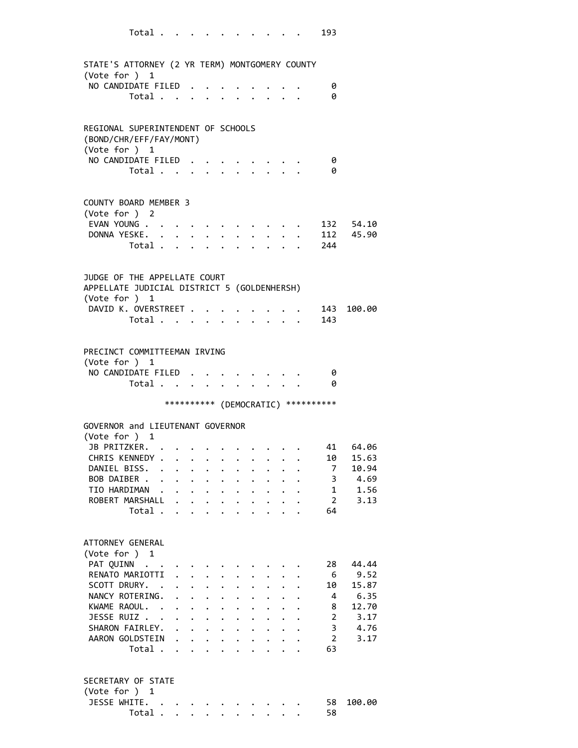| Total                                                         |                      |                           |                                                                                      |                      |                      |                                                             |                         |                      |                      | 193                                 |           |
|---------------------------------------------------------------|----------------------|---------------------------|--------------------------------------------------------------------------------------|----------------------|----------------------|-------------------------------------------------------------|-------------------------|----------------------|----------------------|-------------------------------------|-----------|
| STATE'S ATTORNEY (2 YR TERM) MONTGOMERY COUNTY                |                      |                           |                                                                                      |                      |                      |                                                             |                         |                      |                      |                                     |           |
| (Vote for ) 1                                                 |                      |                           |                                                                                      |                      |                      |                                                             |                         |                      |                      |                                     |           |
| NO CANDIDATE FILED                                            |                      |                           |                                                                                      |                      |                      |                                                             |                         |                      |                      | 0                                   |           |
| Total                                                         |                      |                           |                                                                                      |                      |                      |                                                             |                         |                      |                      | 0                                   |           |
| REGIONAL SUPERINTENDENT OF SCHOOLS<br>(BOND/CHR/EFF/FAY/MONT) |                      |                           |                                                                                      |                      |                      |                                                             |                         |                      |                      |                                     |           |
| (Vote for ) 1                                                 |                      |                           |                                                                                      |                      |                      |                                                             |                         |                      |                      |                                     |           |
| NO CANDIDATE FILED                                            |                      |                           |                                                                                      |                      |                      |                                                             |                         |                      |                      | 0                                   |           |
| Total                                                         |                      |                           |                                                                                      |                      |                      |                                                             |                         |                      |                      | 0                                   |           |
| COUNTY BOARD MEMBER 3<br>(Vote for ) 2                        |                      |                           |                                                                                      |                      |                      |                                                             |                         |                      |                      |                                     |           |
| EVAN YOUNG                                                    |                      |                           |                                                                                      |                      |                      |                                                             |                         |                      |                      |                                     | 132 54.10 |
| DONNA YESKE. .                                                | $\ddot{\phantom{0}}$ | $\bullet$                 |                                                                                      |                      |                      |                                                             |                         |                      |                      |                                     | 112 45.90 |
| Total .                                                       | $\ddot{\phantom{a}}$ | $\sim$                    |                                                                                      |                      |                      |                                                             |                         |                      |                      | 244                                 |           |
|                                                               |                      |                           |                                                                                      |                      |                      |                                                             |                         |                      |                      |                                     |           |
| JUDGE OF THE APPELLATE COURT                                  |                      |                           |                                                                                      |                      |                      |                                                             |                         |                      |                      |                                     |           |
| APPELLATE JUDICIAL DISTRICT 5 (GOLDENHERSH)                   |                      |                           |                                                                                      |                      |                      |                                                             |                         |                      |                      |                                     |           |
| (Vote for ) 1<br>DAVID K. OVERSTREET .                        |                      |                           |                                                                                      |                      |                      |                                                             |                         |                      |                      | 143                                 | 100.00    |
| Total                                                         |                      |                           |                                                                                      | $\bullet$            | $\ddot{\phantom{0}}$ |                                                             | $\cdot$ $\cdot$ $\cdot$ |                      |                      | -143                                |           |
|                                                               |                      |                           |                                                                                      |                      |                      |                                                             |                         |                      |                      |                                     |           |
| PRECINCT COMMITTEEMAN IRVING                                  |                      |                           |                                                                                      |                      |                      |                                                             |                         |                      |                      |                                     |           |
| (Vote for ) 1                                                 |                      |                           |                                                                                      |                      |                      |                                                             |                         |                      |                      |                                     |           |
| NO CANDIDATE FILED                                            |                      |                           |                                                                                      |                      |                      |                                                             |                         |                      |                      | - 0                                 |           |
| Total                                                         |                      |                           |                                                                                      |                      |                      |                                                             |                         |                      |                      | 0                                   |           |
|                                                               |                      |                           |                                                                                      |                      |                      |                                                             |                         |                      |                      | *********** (DEMOCRATIC) ********** |           |
| GOVERNOR and LIEUTENANT GOVERNOR                              |                      |                           |                                                                                      |                      |                      |                                                             |                         |                      |                      |                                     |           |
| (Vote for ) 1<br>JB PRITZKER.                                 |                      |                           |                                                                                      |                      |                      |                                                             |                         |                      |                      | 41                                  | 64.06     |
| CHRIS KENNEDY .                                               |                      |                           | $\mathbf{L} = \mathbf{L} \mathbf{L} + \mathbf{L} \mathbf{L} + \mathbf{L} \mathbf{L}$ |                      |                      |                                                             |                         |                      |                      | 10                                  | 15.63     |
| DANIEL BISS. .                                                |                      | $\mathbf{L}$ $\mathbf{L}$ | $\ddot{\phantom{0}}$                                                                 | $\ddot{\phantom{0}}$ |                      | $\ddot{\phantom{0}}$                                        | $\ddot{\phantom{0}}$    |                      |                      | 7                                   | 10.94     |
| BOB DAIBER                                                    |                      | $\mathbf{L} = \mathbf{L}$ | $\ddot{\phantom{0}}$                                                                 | $\ddot{\phantom{0}}$ | $\ddot{\phantom{0}}$ |                                                             | $\ddotsc$ $\ddotsc$     | $\ddot{\phantom{0}}$ | $\ddot{\phantom{0}}$ | 3                                   | 4.69      |
| TIO HARDIMAN .                                                |                      |                           | $\mathbf{r}$ , $\mathbf{r}$ , $\mathbf{r}$ , $\mathbf{r}$                            |                      |                      | $\mathbf{r} = \mathbf{r} + \mathbf{r}$ , where $\mathbf{r}$ |                         |                      | $\ddot{\phantom{0}}$ | 1                                   | 1.56      |
| ROBERT MARSHALL .                                             |                      | $\mathbf{L}$              | $\ddot{\phantom{0}}$                                                                 | $\ddot{\phantom{0}}$ | $\bullet$            |                                                             |                         |                      |                      | $\overline{2}$                      | 3.13      |
| Total                                                         |                      |                           |                                                                                      | $\ddot{\phantom{a}}$ |                      |                                                             |                         |                      |                      | 64                                  |           |
|                                                               |                      |                           |                                                                                      |                      |                      |                                                             |                         |                      |                      |                                     |           |
| ATTORNEY GENERAL                                              |                      |                           |                                                                                      |                      |                      |                                                             |                         |                      |                      |                                     |           |
| (Vote for ) 1                                                 |                      |                           |                                                                                      |                      |                      |                                                             |                         |                      |                      |                                     |           |
| PAT QUINN                                                     |                      |                           |                                                                                      |                      |                      |                                                             |                         |                      |                      | 28                                  | 44.44     |
| RENATO MARIOTTI                                               | $\ddot{\phantom{a}}$ |                           |                                                                                      |                      |                      |                                                             |                         |                      |                      | -6                                  | 9.52      |
| SCOTT DRURY. .                                                |                      | $\ddot{\phantom{0}}$      | $\ddot{\phantom{0}}$                                                                 | $\ddot{\phantom{0}}$ |                      |                                                             |                         |                      |                      | 10                                  | 15.87     |
| NANCY ROTERING.                                               | $\ddot{\phantom{a}}$ |                           | $\ddot{\phantom{0}}$                                                                 | $\ddot{\phantom{0}}$ |                      |                                                             |                         |                      |                      | 4                                   | 6.35      |
| KWAME RAOUL. .                                                | $\ddot{\phantom{0}}$ | $\ddot{\phantom{0}}$      | $\ddot{\phantom{0}}$                                                                 | $\ddot{\phantom{0}}$ |                      |                                                             |                         |                      |                      | 8                                   | 12.70     |
| JESSE RUIZ                                                    | $\ddot{\phantom{0}}$ |                           | $\ddot{\phantom{a}}$                                                                 | $\ddot{\phantom{0}}$ | $\ddot{\phantom{a}}$ | $\ddot{\phantom{0}}$                                        |                         |                      |                      | $\overline{2}$                      | 3.17      |
| SHARON FAIRLEY.                                               |                      |                           |                                                                                      |                      |                      | $\mathbf{r}$ , $\mathbf{r}$ , $\mathbf{r}$                  |                         |                      | $\ddot{\phantom{1}}$ | $\overline{3}$                      | 4.76      |
| AARON GOLDSTEIN                                               |                      |                           |                                                                                      |                      |                      |                                                             |                         |                      |                      | 2<br>63                             | 3.17      |
| Total                                                         |                      |                           |                                                                                      |                      |                      |                                                             |                         |                      |                      |                                     |           |
| SECRETARY OF STATE                                            |                      |                           |                                                                                      |                      |                      |                                                             |                         |                      |                      |                                     |           |
|                                                               |                      |                           |                                                                                      |                      |                      |                                                             |                         |                      |                      |                                     |           |
| (Vote for ) 1                                                 |                      |                           |                                                                                      |                      |                      |                                                             |                         |                      |                      |                                     |           |
| JESSE WHITE.<br>Total $\ldots$ $\ldots$ $\ldots$ $\ldots$     |                      |                           |                                                                                      |                      |                      |                                                             |                         |                      |                      | 58<br>58                            | 100.00    |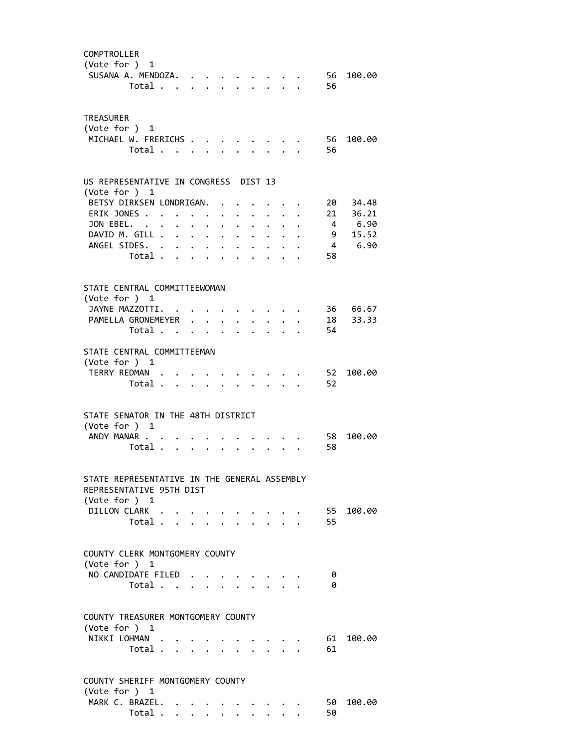| COMPTROLLER<br>(Vote for ) 1<br>SUSANA A. MENDOZA.                                                        | Total   |  |                                                                                          |                      |                      |                                                              |                         | 56<br>56 | 100.00               |
|-----------------------------------------------------------------------------------------------------------|---------|--|------------------------------------------------------------------------------------------|----------------------|----------------------|--------------------------------------------------------------|-------------------------|----------|----------------------|
| <b>TREASURER</b><br>(Vote for $)$ 1<br>MICHAEL W. FRERICHS                                                | Total   |  |                                                                                          |                      |                      |                                                              |                         | 56<br>56 | 100.00               |
| US REPRESENTATIVE IN CONGRESS DIST 13<br>(Vote for ) 1                                                    |         |  |                                                                                          |                      |                      |                                                              |                         |          |                      |
| BETSY DIRKSEN LONDRIGAN.<br>ERIK JONES                                                                    |         |  |                                                                                          |                      |                      |                                                              |                         |          | 20 34.48<br>21 36.21 |
| JON EBEL.                                                                                                 |         |  |                                                                                          | $\ddot{\phantom{a}}$ | $\ddot{\phantom{a}}$ | $\mathbf{L} = \mathbf{L}$<br>$\cdot$ $\cdot$ $\cdot$ $\cdot$ |                         |          | 4 6.90               |
| DAVID M. GILL                                                                                             |         |  |                                                                                          |                      |                      |                                                              | $\cdot$ $\cdot$ $\cdot$ |          | 9 15.52              |
| ANGEL SIDES.                                                                                              |         |  |                                                                                          |                      | $\bullet$ .          |                                                              |                         |          | 4 6.90               |
|                                                                                                           | Total   |  |                                                                                          |                      |                      |                                                              |                         | 58       |                      |
| STATE CENTRAL COMMITTEEWOMAN                                                                              |         |  |                                                                                          |                      |                      |                                                              |                         |          |                      |
| (Vote for ) 1                                                                                             |         |  |                                                                                          |                      |                      |                                                              |                         |          |                      |
| JAYNE MAZZOTTI.                                                                                           |         |  |                                                                                          |                      |                      |                                                              |                         |          | 36 66.67             |
| PAMELLA GRONEMEYER                                                                                        |         |  |                                                                                          |                      |                      |                                                              |                         |          | 18 33.33             |
|                                                                                                           | Total . |  | $\mathbf{r}$ , and $\mathbf{r}$ , and $\mathbf{r}$ , and $\mathbf{r}$ , and $\mathbf{r}$ |                      |                      |                                                              |                         | 54       |                      |
|                                                                                                           |         |  |                                                                                          |                      |                      |                                                              |                         |          |                      |
| STATE CENTRAL COMMITTEEMAN                                                                                |         |  |                                                                                          |                      |                      |                                                              |                         |          |                      |
| (Vote for $)$ 1<br>TERRY REDMAN                                                                           |         |  |                                                                                          |                      |                      |                                                              |                         | 52       | 100.00               |
|                                                                                                           | Total   |  |                                                                                          |                      |                      |                                                              |                         | 52       |                      |
|                                                                                                           |         |  |                                                                                          |                      |                      |                                                              |                         |          |                      |
| STATE SENATOR IN THE 48TH DISTRICT<br>(Vote for ) 1<br>ANDY MANAR                                         |         |  |                                                                                          |                      |                      |                                                              |                         | 58       | 100.00               |
|                                                                                                           | Total   |  |                                                                                          |                      |                      |                                                              |                         | 58       |                      |
| STATE REPRESENTATIVE IN THE GENERAL ASSEMBLY<br>REPRESENTATIVE 95TH DIST<br>(Vote for ) 1<br>DILLON CLARK | Total   |  |                                                                                          |                      |                      |                                                              |                         | 55<br>55 | 100.00               |
| COUNTY CLERK MONTGOMERY COUNTY                                                                            |         |  |                                                                                          |                      |                      |                                                              |                         |          |                      |
| (Vote for $)$ 1<br>NO CANDIDATE FILED                                                                     |         |  |                                                                                          |                      |                      |                                                              |                         | 0        |                      |
|                                                                                                           | Total   |  |                                                                                          |                      |                      |                                                              |                         | 0        |                      |
|                                                                                                           |         |  |                                                                                          |                      |                      |                                                              |                         |          |                      |
| COUNTY TREASURER MONTGOMERY COUNTY<br>(Vote for ) 1                                                       |         |  |                                                                                          |                      |                      |                                                              |                         |          |                      |
| NIKKI LOHMAN                                                                                              | Total   |  |                                                                                          |                      |                      |                                                              |                         | 61<br>61 | 100.00               |
|                                                                                                           |         |  |                                                                                          |                      |                      |                                                              |                         |          |                      |
| COUNTY SHERIFF MONTGOMERY COUNTY<br>(Vote for ) 1                                                         |         |  |                                                                                          |                      |                      |                                                              |                         |          |                      |
| MARK C. BRAZEL.                                                                                           |         |  |                                                                                          |                      |                      |                                                              |                         | 50       | 100.00               |
|                                                                                                           | Total   |  |                                                                                          |                      |                      |                                                              |                         | 50       |                      |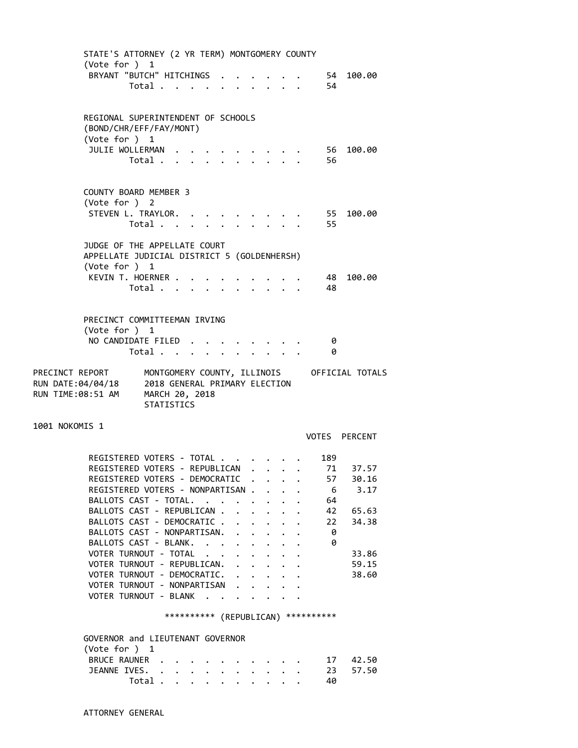STATE'S ATTORNEY (2 YR TERM) MONTGOMERY COUNTY (Vote for ) 1 BRYANT "BUTCH" HITCHINGS . . . . . . 54 100.00 Total . . . . . . . . . . 54 REGIONAL SUPERINTENDENT OF SCHOOLS (BOND/CHR/EFF/FAY/MONT) (Vote for ) 1 JULIE WOLLERMAN . . . . . . . . . 56 100.00 Total . . . . . . . . . . 56 COUNTY BOARD MEMBER 3 (Vote for ) 2 STEVEN L. TRAYLOR. . . . . . . . . . 55 100.00 Total . . . . . . . . . . 55 JUDGE OF THE APPELLATE COURT APPELLATE JUDICIAL DISTRICT 5 (GOLDENHERSH) (Vote for ) 1 KEVIN T. HOERNER . . . . . . . . . 48 100.00 Total . . . . . . . . . . 48 PRECINCT COMMITTEEMAN IRVING (Vote for ) 1 NO CANDIDATE FILED . . . . . . . . 0 Total . . . . . . . . . . 0 PRECINCT REPORT MONTGOMERY COUNTY, ILLINOIS OFFICIAL TOTALS RUN DATE:04/04/18 2018 GENERAL PRIMARY ELECTION RUN TIME:08:51 AM MARCH 20, 2018 STATISTICS 1001 NOKOMIS 1 VOTES PERCENT REGISTERED VOTERS - TOTAL . . . . . . 189<br>REGISTERED VOTERS - REPUBLICAN . . . . 71 37.57<br>FILERED VOTERS - DEMOCRATIC . . . . 57 30.16<br>6 3.17 REGISTERED VOTERS - REPUBLICAN REGISTERED VOTERS - DEMOCRATIC . . . . REGISTERED VOTERS - NONPARTISAN . . . . 6 3.17 BALLOTS CAST - TOTAL. . . . . . . . 64 BALLOTS CAST - REPUBLICAN . . . . . . 42 65.63 BALLOTS CAST - DEMOCRATIC . . . . . . 22 34.38<br>BALLOTS CAST - NONPARTISAN. . . . . . 0<br>BALLOTS CAST - BLANK. . . . . . . . 0 BALLOTS CAST - NONPARTISAN. . . . . . BALLOTS CAST - BLANK. . . . . . . . VOTER TURNOUT - TOTAL . . . . . . . . 33.86 VOTER TURNOUT - REPUBLICAN. . . . . . 59.15 VOTER TURNOUT - DEMOCRATIC. . . . . . 38.60 VOTER TURNOUT - NONPARTISAN . . . . . VOTER TURNOUT - BLANK . . . . \*\*\*\*\*\*\*\*\*\* (REPUBLICAN) \*\*\*\*\*\*\*\*\*\* GOVERNOR and LIEUTENANT GOVERNOR (Vote for ) 1 BRUCE RAUNER . . . . . . . . . . 17 42.50 JEANNE IVES. . . . . . . . . . . 23 57.50 Total . . . . . . . . . . 40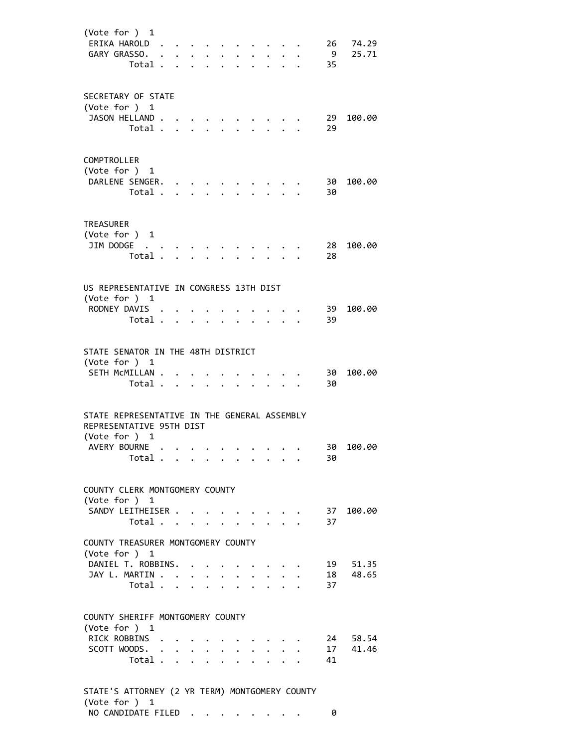| (Vote for $)$ 1<br>ERIKA HAROLD.<br>GARY GRASSO.                                                            | Total                            |                 |                      |              | $\mathcal{A}=\mathcal{A}=\mathcal{A}=\mathcal{A}=\mathcal{A}$ . | $\ddot{\phantom{0}}$ | $\ddot{\phantom{0}}$ |                      | $\cdot$ $\cdot$ $\cdot$ | 9<br>35        | 26 74.29<br>25.71 |
|-------------------------------------------------------------------------------------------------------------|----------------------------------|-----------------|----------------------|--------------|-----------------------------------------------------------------|----------------------|----------------------|----------------------|-------------------------|----------------|-------------------|
| SECRETARY OF STATE<br>(Vote for ) 1<br>JASON HELLAND.                                                       | Total                            |                 |                      |              |                                                                 |                      |                      |                      |                         | 29<br>29       | 100.00            |
| COMPTROLLER<br>(Vote for ) 1<br>DARLENE SENGER.                                                             | Total .                          | $\cdot$ $\cdot$ |                      |              |                                                                 |                      |                      |                      |                         | 30 -<br>30     | 100.00            |
| <b>TREASURER</b><br>(Vote for ) 1<br>JIM DODGE                                                              | Total                            |                 |                      |              |                                                                 |                      |                      |                      |                         | 28<br>28       | 100.00            |
| US REPRESENTATIVE IN CONGRESS 13TH DIST<br>(Vote for ) 1<br>RODNEY DAVIS .                                  | Total                            |                 |                      |              |                                                                 |                      | $\ddot{\phantom{a}}$ |                      | $\ddot{\phantom{1}}$    | 39<br>39       | 100.00            |
| STATE SENATOR IN THE 48TH DISTRICT<br>(Vote for ) 1<br>SETH MCMILLAN .                                      | Total .                          | $\mathbf{r}$    | $\ddot{\phantom{a}}$ | $\sim$       |                                                                 |                      |                      |                      |                         | 30<br>30       | 100.00            |
| STATE REPRESENTATIVE IN THE GENERAL ASSEMBLY<br>REPRESENTATIVE 95TH DIST<br>(Vote for ) 1<br>AVERY BOURNE . | Total $\cdots$ $\cdots$          |                 |                      |              |                                                                 |                      |                      |                      |                         | 30             | 30 100.00         |
| COUNTY CLERK MONTGOMERY COUNTY<br>(Vote for ) 1<br>SANDY LEITHEISER                                         | Total $\cdots$ $\cdots$ $\cdots$ |                 |                      |              |                                                                 |                      |                      |                      |                         | 37             | 37 100.00         |
| COUNTY TREASURER MONTGOMERY COUNTY<br>(Vote for ) 1<br>DANIEL T. ROBBINS.<br>JAY L. MARTIN                  | Total                            |                 |                      |              |                                                                 |                      |                      | $\ddot{\phantom{a}}$ |                         | 19<br>18<br>37 | 51.35<br>48.65    |
| COUNTY SHERIFF MONTGOMERY COUNTY<br>(Vote for ) 1                                                           | RICK ROBBINS                     |                 |                      | SCOTT WOODS. |                                                                 |                      |                      |                      |                         | 24<br>17       | 58.54<br>41.46    |

NO CANDIDATE FILED . . . . . . . . 0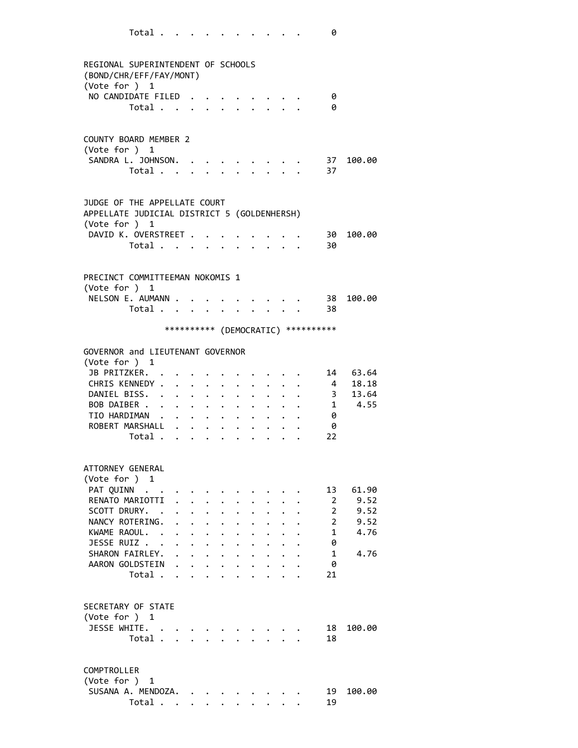|                                                                                              | Total    |                      |                                                                          |                                      |                      |                      |                      |                                        |                         | 0                                   |              |
|----------------------------------------------------------------------------------------------|----------|----------------------|--------------------------------------------------------------------------|--------------------------------------|----------------------|----------------------|----------------------|----------------------------------------|-------------------------|-------------------------------------|--------------|
|                                                                                              |          |                      |                                                                          |                                      |                      |                      |                      |                                        |                         |                                     |              |
| REGIONAL SUPERINTENDENT OF SCHOOLS<br>(BOND/CHR/EFF/FAY/MONT)                                |          |                      |                                                                          |                                      |                      |                      |                      |                                        |                         |                                     |              |
| (Vote for ) 1<br>NO CANDIDATE FILED                                                          |          |                      |                                                                          |                                      |                      |                      |                      |                                        |                         |                                     |              |
|                                                                                              | Total    |                      |                                                                          |                                      |                      | $\mathbf{L}$         |                      | $\mathbf{r} = \mathbf{r} - \mathbf{r}$ |                         | 0<br>0                              |              |
|                                                                                              |          |                      |                                                                          |                                      |                      |                      |                      |                                        |                         |                                     |              |
| <b>COUNTY BOARD MEMBER 2</b><br>(Vote for ) 1                                                |          |                      |                                                                          |                                      |                      |                      |                      |                                        |                         |                                     |              |
| SANDRA L. JOHNSON.                                                                           |          |                      |                                                                          |                                      |                      |                      |                      |                                        |                         | 37                                  | 100.00       |
|                                                                                              | Total    |                      |                                                                          |                                      |                      |                      |                      |                                        |                         | 37                                  |              |
| JUDGE OF THE APPELLATE COURT<br>APPELLATE JUDICIAL DISTRICT 5 (GOLDENHERSH)<br>(Vote for ) 1 |          |                      |                                                                          |                                      |                      |                      |                      |                                        |                         |                                     |              |
| DAVID K. OVERSTREET                                                                          |          |                      |                                                                          |                                      |                      |                      |                      |                                        |                         | - 30                                | 100.00       |
|                                                                                              | Total    |                      |                                                                          |                                      |                      |                      |                      |                                        |                         | 30                                  |              |
| PRECINCT COMMITTEEMAN NOKOMIS 1                                                              |          |                      |                                                                          |                                      |                      |                      |                      |                                        |                         |                                     |              |
| (Vote for ) 1                                                                                |          |                      |                                                                          |                                      |                      |                      |                      |                                        |                         |                                     |              |
| NELSON E. AUMANN                                                                             |          |                      |                                                                          |                                      |                      |                      |                      |                                        |                         | 38                                  | 100.00       |
|                                                                                              | Total 38 |                      |                                                                          |                                      |                      |                      |                      |                                        |                         |                                     |              |
|                                                                                              |          |                      |                                                                          |                                      |                      |                      |                      |                                        |                         | *********** (DEMOCRATIC) ********** |              |
| GOVERNOR and LIEUTENANT GOVERNOR                                                             |          |                      |                                                                          |                                      |                      |                      |                      |                                        |                         |                                     |              |
| (Vote for $)$ 1<br>JB PRITZKER. .                                                            |          |                      |                                                                          |                                      |                      |                      |                      |                                        |                         |                                     | 14 63.64     |
| CHRIS KENNEDY .                                                                              |          |                      | $\cdot$ $\cdot$ $\cdot$ $\cdot$ $\cdot$                                  |                                      |                      |                      |                      |                                        |                         | $\overline{4}$                      | 18.18        |
| DANIEL BISS. .                                                                               |          | $\ddot{\phantom{0}}$ |                                                                          | $\cdot$ $\cdot$ $\cdot$              | $\ddot{\phantom{0}}$ | $\ddot{\phantom{0}}$ |                      |                                        |                         | $\overline{\mathbf{3}}$             | 13.64        |
| BOB DAIBER                                                                                   |          |                      | $\mathbf{r} = \mathbf{r} + \mathbf{r}$ , where $\mathbf{r} = \mathbf{r}$ |                                      |                      | $\bullet$            |                      |                                        |                         |                                     | $1 \t 4.55$  |
| TIO HARDIMAN                                                                                 |          |                      |                                                                          |                                      | $\ddot{\phantom{0}}$ | $\ddot{\phantom{0}}$ |                      |                                        |                         | 0                                   |              |
| ROBERT MARSHALL .                                                                            |          |                      |                                                                          |                                      |                      |                      |                      |                                        |                         | 0                                   |              |
|                                                                                              | Total .  |                      |                                                                          |                                      |                      |                      |                      |                                        |                         | 22                                  |              |
| ATTORNEY GENERAL                                                                             |          |                      |                                                                          |                                      |                      |                      |                      |                                        |                         |                                     |              |
| (Vote for ) 1                                                                                |          |                      |                                                                          |                                      |                      |                      |                      |                                        |                         |                                     |              |
| PAT QUINN                                                                                    |          |                      |                                                                          |                                      |                      |                      |                      |                                        |                         | 13                                  | 61.90        |
| RENATO MARIOTTI<br>SCOTT DRURY. .                                                            |          | $\ddot{\phantom{a}}$ | $\ddot{\phantom{0}}$                                                     |                                      |                      |                      |                      |                                        |                         | 2<br>$\overline{2}$                 | 9.52<br>9.52 |
| NANCY ROTERING.                                                                              |          |                      | $\ddot{\phantom{0}}$                                                     | $\ddot{\phantom{0}}$                 | $\ddot{\phantom{0}}$ |                      |                      |                                        |                         | $\overline{2}$                      | 9.52         |
| KWAME RAOUL. .                                                                               |          |                      |                                                                          | $\mathbf{L} = \mathbf{L} \mathbf{L}$ | $\ddot{\phantom{0}}$ | $\ddot{\phantom{a}}$ |                      |                                        |                         | $\mathbf{1}$                        | 4.76         |
| JESSE RUIZ                                                                                   |          |                      | $\cdot$ $\cdot$ $\cdot$                                                  |                                      | $\ddot{\phantom{0}}$ | $\ddot{\phantom{0}}$ | $\ddot{\phantom{0}}$ | $\mathbf{L}$                           |                         | 0                                   |              |
| SHARON FAIRLEY.                                                                              |          |                      | $\mathbf{r}$ and $\mathbf{r}$ and $\mathbf{r}$                           |                                      |                      |                      | $\ddot{\phantom{0}}$ | $\ddot{\phantom{0}}$                   |                         | $\mathbf{1}$                        | 4.76         |
| AARON GOLDSTEIN                                                                              |          | $\ddot{\phantom{0}}$ |                                                                          | $\ddot{\phantom{0}}$                 |                      | $\ddot{\phantom{0}}$ | $\ddot{\phantom{0}}$ |                                        | $\cdot$ $\cdot$ $\cdot$ | 0                                   |              |
|                                                                                              | Total    |                      |                                                                          | $\ddot{\phantom{0}}$                 |                      | $\ddot{\phantom{0}}$ | $\ddot{\phantom{0}}$ |                                        | $\ddot{\phantom{0}}$    | 21                                  |              |
| SECRETARY OF STATE                                                                           |          |                      |                                                                          |                                      |                      |                      |                      |                                        |                         |                                     |              |
| (Vote for ) 1                                                                                |          |                      |                                                                          |                                      |                      |                      |                      |                                        |                         |                                     |              |
| JESSE WHITE.                                                                                 |          |                      |                                                                          |                                      |                      |                      |                      |                                        |                         | 18                                  | 100.00       |
|                                                                                              | Total    |                      |                                                                          |                                      |                      |                      |                      |                                        |                         | 18                                  |              |
| COMPTROLLER                                                                                  |          |                      |                                                                          |                                      |                      |                      |                      |                                        |                         |                                     |              |
| (Vote for ) 1                                                                                |          |                      |                                                                          |                                      |                      |                      |                      |                                        |                         |                                     |              |
| SUSANA A. MENDOZA.                                                                           |          |                      |                                                                          |                                      |                      |                      |                      |                                        |                         | 19                                  | 100.00       |
|                                                                                              | Total    |                      |                                                                          |                                      |                      |                      |                      | $\cdot$ $\cdot$                        |                         | 19                                  |              |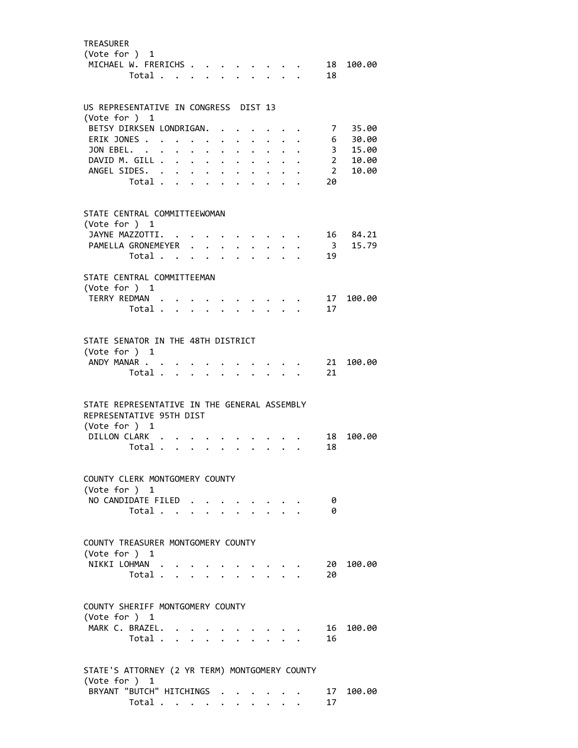| <b>TREASURER</b><br>(Vote for ) 1<br>MICHAEL W. FRERICHS                                                    | Total                            |                                  |                      |                                                   |                                              |                                              |                                                                          |                         |  | 18                      | 18 100.00 |
|-------------------------------------------------------------------------------------------------------------|----------------------------------|----------------------------------|----------------------|---------------------------------------------------|----------------------------------------------|----------------------------------------------|--------------------------------------------------------------------------|-------------------------|--|-------------------------|-----------|
| US REPRESENTATIVE IN CONGRESS DIST 13                                                                       |                                  |                                  |                      |                                                   |                                              |                                              |                                                                          |                         |  |                         |           |
| (Vote for $)$ 1<br>BETSY DIRKSEN LONDRIGAN.                                                                 |                                  |                                  |                      |                                                   |                                              |                                              |                                                                          |                         |  |                         | 7 35.00   |
| ERIK JONES                                                                                                  |                                  |                                  |                      |                                                   |                                              | $\ddot{\phantom{0}}$                         | $\sim$                                                                   | $\mathbf{L}$            |  |                         | 6 30.00   |
| JON EBEL.                                                                                                   |                                  |                                  | $\ddot{\phantom{a}}$ | $\sim$ $\sim$                                     | $\ddot{\phantom{a}}$                         | $\ddot{\phantom{a}}$                         | $\ddot{\phantom{a}}$                                                     | $\ddot{\phantom{0}}$    |  |                         | 3 15.00   |
| DAVID M. GILL .                                                                                             |                                  |                                  |                      |                                                   |                                              | $\ddot{\phantom{a}}$                         | $\ddot{\phantom{a}}$                                                     | $\ddot{\phantom{0}}$    |  | $\sim$ 2                | 10.00     |
| ANGEL SIDES. .                                                                                              | Total                            | $\bullet$ . The set of $\bullet$ |                      | $\mathbf{L} = \mathbf{L}$<br>$\ddot{\phantom{a}}$ | $\ddot{\phantom{0}}$<br>$\ddot{\phantom{a}}$ | $\ddot{\phantom{0}}$<br>$\ddot{\phantom{a}}$ | $\bullet$                                                                |                         |  | $\overline{2}$<br>20    | 10.00     |
|                                                                                                             |                                  |                                  |                      |                                                   |                                              |                                              |                                                                          |                         |  |                         |           |
| STATE CENTRAL COMMITTEEWOMAN<br>(Vote for ) 1                                                               |                                  |                                  |                      |                                                   |                                              |                                              |                                                                          |                         |  |                         |           |
| JAYNE MAZZOTTI. .                                                                                           |                                  |                                  |                      |                                                   |                                              |                                              |                                                                          |                         |  |                         | 16 84.21  |
| PAMELLA GRONEMEYER                                                                                          |                                  |                                  |                      |                                                   |                                              | $\ddot{\phantom{a}}$                         |                                                                          | $\ddot{\phantom{0}}$    |  | $\overline{\mathbf{3}}$ | 15.79     |
|                                                                                                             | Total                            |                                  |                      |                                                   |                                              | $\ddot{\phantom{0}}$                         |                                                                          | $\cdot$ $\cdot$ $\cdot$ |  | 19                      |           |
| STATE CENTRAL COMMITTEEMAN<br>(Vote for ) 1                                                                 |                                  |                                  |                      |                                                   |                                              |                                              |                                                                          |                         |  |                         |           |
| TERRY REDMAN                                                                                                |                                  |                                  |                      |                                                   |                                              |                                              |                                                                          |                         |  | 17                      | 100.00    |
|                                                                                                             | Total                            |                                  |                      |                                                   |                                              |                                              |                                                                          |                         |  | 17                      |           |
| STATE SENATOR IN THE 48TH DISTRICT<br>(Vote for ) 1<br>ANDY MANAR                                           | Total .                          |                                  |                      | $\ddot{\phantom{a}}$                              |                                              |                                              |                                                                          |                         |  | 21<br>21                | 100.00    |
| STATE REPRESENTATIVE IN THE GENERAL ASSEMBLY<br>REPRESENTATIVE 95TH DIST<br>(Vote for ) 1<br>DILLON CLARK . | Total                            |                                  |                      |                                                   |                                              |                                              | $\mathbf{r} = \mathbf{r} + \mathbf{r}$ , where $\mathbf{r} = \mathbf{r}$ | $\ddot{\phantom{0}}$    |  | 18<br>18                | 100.00    |
| COUNTY CLERK MONTGOMERY COUNTY                                                                              |                                  |                                  |                      |                                                   |                                              |                                              |                                                                          |                         |  |                         |           |
| (Vote for $)$ 1                                                                                             |                                  |                                  |                      |                                                   |                                              |                                              |                                                                          |                         |  |                         |           |
| NO CANDIDATE FILED                                                                                          |                                  |                                  |                      |                                                   |                                              |                                              |                                                                          |                         |  | - 0                     |           |
|                                                                                                             | Total $\cdots$ $\cdots$ $\cdots$ |                                  |                      |                                                   |                                              |                                              |                                                                          |                         |  | - 0                     |           |
| COUNTY TREASURER MONTGOMERY COUNTY<br>(Vote for ) 1<br>NIKKI LOHMAN                                         | Total                            |                                  |                      |                                                   |                                              |                                              | $\cdot$ $\cdot$ $\cdot$ $\cdot$ $\cdot$                                  |                         |  | 20<br>20                | 100.00    |
|                                                                                                             |                                  |                                  |                      |                                                   |                                              |                                              |                                                                          |                         |  |                         |           |
| COUNTY SHERIFF MONTGOMERY COUNTY<br>(Vote for ) 1<br>MARK C. BRAZEL.                                        |                                  |                                  |                      |                                                   |                                              |                                              |                                                                          |                         |  | 16                      | 100.00    |
|                                                                                                             | Total                            |                                  |                      |                                                   |                                              |                                              |                                                                          |                         |  | 16                      |           |
| STATE'S ATTORNEY (2 YR TERM) MONTGOMERY COUNTY<br>(Vote for ) 1<br>BRYANT "BUTCH" HITCHINGS                 |                                  |                                  |                      |                                                   |                                              |                                              |                                                                          |                         |  | 17                      | 100.00    |
|                                                                                                             | Total $\cdots$ $\cdots$          |                                  |                      |                                                   |                                              |                                              |                                                                          |                         |  | 17                      |           |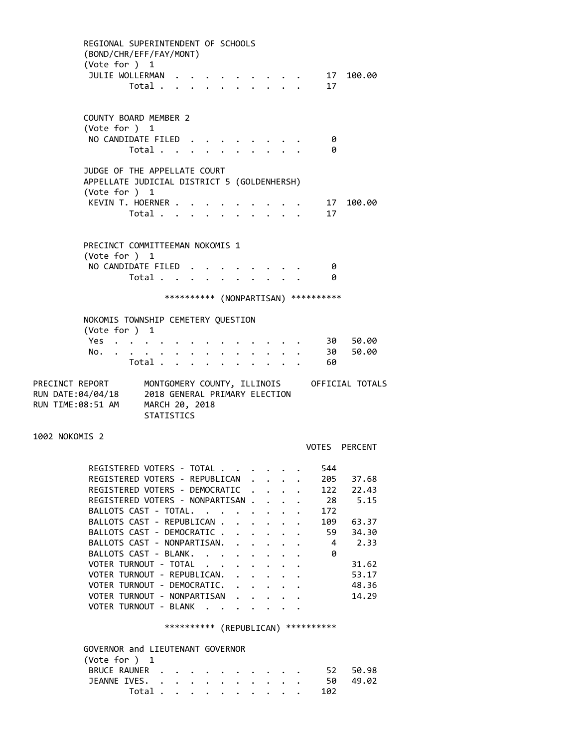REGIONAL SUPERINTENDENT OF SCHOOLS (BOND/CHR/EFF/FAY/MONT) (Vote for ) 1 JULIE WOLLERMAN . . . . . . . . . 17 100.00 Total . . . . . . . . . . 17 COUNTY BOARD MEMBER 2 (Vote for ) 1 NO CANDIDATE FILED . . . . . . . . 0 Total . . . . . . . . . . 0 JUDGE OF THE APPELLATE COURT APPELLATE JUDICIAL DISTRICT 5 (GOLDENHERSH) (Vote for ) 1 KEVIN T. HOERNER . . . . . . . . . . 17 100.00 Total . . . . . . . . . . 17 PRECINCT COMMITTEEMAN NOKOMIS 1 (Vote for ) 1 NO CANDIDATE FILED . . . . . . . . 0 Total . . . . . . . . . . 0 \*\*\*\*\*\*\*\*\*\* (NONPARTISAN) \*\*\*\*\*\*\*\*\*\* NOKOMIS TOWNSHIP CEMETERY QUESTION (Vote for ) 1 Yes . . . . . . . . . . . . . . 30 50.00 No. . . . . . . . . . . . . . 30 50.00 Total . . . . . . . . . . 60 PRECINCT REPORT MONTGOMERY COUNTY, ILLINOIS OFFICIAL TOTALS RUN DATE:04/04/18 2018 GENERAL PRIMARY ELECTION RUN TIME:08:51 AM MARCH 20, 2018 STATISTICS 1002 NOKOMIS 2 VOTES PERCENT REGISTERED VOTERS - TOTAL . . . . . . 544 REGISTERED VOTERS - REPUBLICAN . . . . 205 37.68 REGISTERED VOTERS - DEMOCRATIC . . . . 122 22.43 REGISTERED VOTERS - NONPARTISAN . . . . 28 5.15 BALLOTS CAST - TOTAL. . . . . . . . 172 BALLOTS CAST - REPUBLICAN . . . . . . 109 63.37 BALLOTS CAST - DEMOCRATIC . . . . . . 59 34.30 BALLOTS CAST - NONPARTISAN. . . . . . 4 2.33 BALLOTS CAST - BLANK. . . . . . . . 0 VOTER TURNOUT - TOTAL  $\cdot \cdot \cdot \cdot \cdot \cdot \cdot$  31.62 VOTER TURNOUT - REPUBLICAN. . . . . . 53.17 VOTER TURNOUT - DEMOCRATIC. . . . . . 48.36 VOTER TURNOUT - NONPARTISAN . . . . . 14.29 VOTER TURNOUT - BLANK . . . \*\*\*\*\*\*\*\*\*\* (REPUBLICAN) \*\*\*\*\*\*\*\*\*\* GOVERNOR and LIEUTENANT GOVERNOR (Vote for ) 1 BRUCE RAUNER . . . . . . . . . . 52 50.98 JEANNE IVES. . . . . . . . . . . . 50 49.02 Total . . . . . . . . . . 102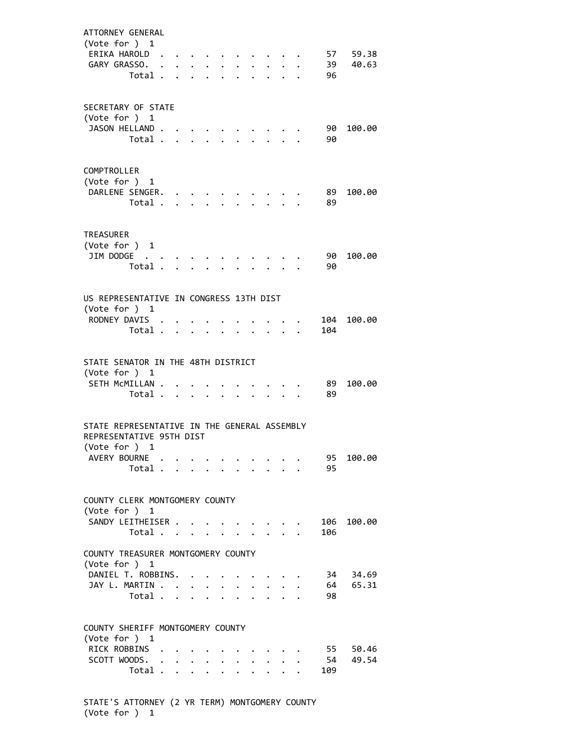| ATTORNEY GENERAL<br>(Vote for ) 1<br>ERIKA HAROLD.<br>GARY GRASSO.                                        | Total .                       | <b>Contract Contract Contract</b> |                        |                                      |                      |                      |                      |                                        | 39<br>96        | 57 59.38<br>40.63 |
|-----------------------------------------------------------------------------------------------------------|-------------------------------|-----------------------------------|------------------------|--------------------------------------|----------------------|----------------------|----------------------|----------------------------------------|-----------------|-------------------|
| SECRETARY OF STATE<br>(Vote for ) 1<br>JASON HELLAND                                                      | Total                         |                                   |                        |                                      |                      |                      |                      |                                        | 90<br>90        | 100.00            |
| COMPTROLLER<br>(Vote for ) 1<br>DARLENE SENGER.                                                           | Total                         |                                   |                        |                                      |                      | $\ddot{\phantom{0}}$ |                      | $\mathbf{r} = \mathbf{r} - \mathbf{r}$ | 89<br>89        | 100.00            |
| <b>TREASURER</b><br>(Vote for ) 1<br>JIM DODGE                                                            | Total .                       |                                   |                        |                                      |                      |                      |                      |                                        | 90<br>90        | 100.00            |
| US REPRESENTATIVE IN CONGRESS 13TH DIST<br>(Vote for ) 1<br>RODNEY DAVIS .                                | Total.                        | $\ddot{\phantom{a}}$              |                        |                                      |                      |                      |                      |                                        | 104             | 104 100.00        |
| STATE SENATOR IN THE 48TH DISTRICT<br>(Vote for $)$ 1<br>SETH MCMILLAN .                                  | Total                         |                                   |                        |                                      | $\ddot{\phantom{0}}$ | $\ddot{\phantom{0}}$ | $\ddotsc$            |                                        | 89<br>89        | 100.00            |
| STATE REPRESENTATIVE IN THE GENERAL ASSEMBLY<br>REPRESENTATIVE 95TH DIST<br>(Vote for ) 1<br>AVERY BOURNE | Total                         |                                   |                        |                                      |                      |                      |                      |                                        | 95<br>95        | 100.00            |
| COUNTY CLERK MONTGOMERY COUNTY<br>(Vote for ) 1<br>SANDY LEITHEISER                                       | Total                         |                                   |                        |                                      |                      | $\cdot$ $\cdot$      |                      |                                        | 106<br>106      | 100.00            |
| COUNTY TREASURER MONTGOMERY COUNTY<br>(Vote for ) 1<br>DANIEL T. ROBBINS.<br>JAY L. MARTIN                | Total .                       | $\sim$                            | $\sim$<br>$\mathbf{L}$ | $\sim$                               | $\mathbf{r}$         | $\mathbf{r}$         |                      |                                        | 34<br>64<br>98  | 34.69<br>65.31    |
| COUNTY SHERIFF MONTGOMERY COUNTY<br>(Vote for ) 1<br>RICK ROBBINS<br>SCOTT WOODS.                         | $\ddot{\phantom{1}}$<br>Total |                                   |                        | $\mathbf{L} = \mathbf{L} \mathbf{L}$ | $\ddot{\phantom{0}}$ |                      | $\ddot{\phantom{0}}$ |                                        | 55<br>54<br>109 | 50.46<br>49.54    |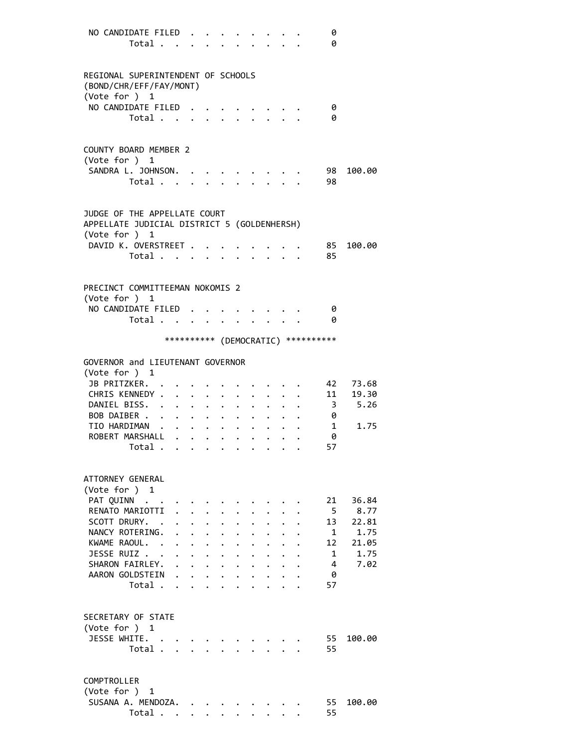|                                   | NO CANDIDATE FILED<br>Total                                                                                                                                 |                                                                                  |                                                                                                                                                      |                                                                                              |                                                                                         |                                                                               |                      |                           |                                     | 0<br>0                                                   |                                                         |
|-----------------------------------|-------------------------------------------------------------------------------------------------------------------------------------------------------------|----------------------------------------------------------------------------------|------------------------------------------------------------------------------------------------------------------------------------------------------|----------------------------------------------------------------------------------------------|-----------------------------------------------------------------------------------------|-------------------------------------------------------------------------------|----------------------|---------------------------|-------------------------------------|----------------------------------------------------------|---------------------------------------------------------|
|                                   | REGIONAL SUPERINTENDENT OF SCHOOLS<br>(BOND/CHR/EFF/FAY/MONT)                                                                                               |                                                                                  |                                                                                                                                                      |                                                                                              |                                                                                         |                                                                               |                      |                           |                                     |                                                          |                                                         |
| (Vote for ) 1                     | NO CANDIDATE FILED<br>Total $\cdots$ $\cdots$ $\cdots$                                                                                                      |                                                                                  |                                                                                                                                                      |                                                                                              |                                                                                         |                                                                               |                      |                           |                                     | 0<br>0                                                   |                                                         |
| (Vote for ) 1                     | COUNTY BOARD MEMBER 2<br>SANDRA L. JOHNSON.<br>Total                                                                                                        |                                                                                  |                                                                                                                                                      |                                                                                              |                                                                                         |                                                                               |                      |                           |                                     | 98<br>98                                                 | 100.00                                                  |
| (Vote for $)$ 1                   | JUDGE OF THE APPELLATE COURT<br>APPELLATE JUDICIAL DISTRICT 5 (GOLDENHERSH)                                                                                 |                                                                                  |                                                                                                                                                      |                                                                                              |                                                                                         |                                                                               |                      |                           |                                     |                                                          |                                                         |
|                                   | DAVID K. OVERSTREET .<br>Total                                                                                                                              |                                                                                  |                                                                                                                                                      |                                                                                              | $\mathbf{A}$                                                                            | $\mathbf{A}$                                                                  |                      | $\mathbf{r} = \mathbf{r}$ |                                     | 85<br>85                                                 | 100.00                                                  |
| (Vote for ) 1                     | PRECINCT COMMITTEEMAN NOKOMIS 2                                                                                                                             |                                                                                  |                                                                                                                                                      |                                                                                              |                                                                                         |                                                                               |                      |                           |                                     |                                                          |                                                         |
|                                   | NO CANDIDATE FILED.<br>Total                                                                                                                                | $\ddot{\phantom{a}}$                                                             | $\cdot$ $\cdot$                                                                                                                                      |                                                                                              |                                                                                         |                                                                               |                      |                           |                                     | 0<br>0                                                   |                                                         |
|                                   |                                                                                                                                                             |                                                                                  |                                                                                                                                                      |                                                                                              |                                                                                         |                                                                               |                      |                           | *********** (DEMOCRATIC) ********** |                                                          |                                                         |
| (Vote for ) 1                     | GOVERNOR and LIEUTENANT GOVERNOR<br>JB PRITZKER. .<br>CHRIS KENNEDY<br>DANIEL BISS.                                                                         |                                                                                  |                                                                                                                                                      |                                                                                              |                                                                                         |                                                                               |                      |                           |                                     | 11                                                       | 42 73.68<br>19.30<br>3, 5.26                            |
|                                   | BOB DAIBER<br>TIO HARDIMAN<br>ROBERT MARSHALL<br>Total                                                                                                      |                                                                                  |                                                                                                                                                      | $\mathbf{L}$                                                                                 | $\ddot{\phantom{a}}$                                                                    | $\ddot{\phantom{a}}$                                                          |                      |                           |                                     | - 0<br>1<br>0<br>57                                      | 1.75                                                    |
| ATTORNEY GENERAL<br>(Vote for ) 1 |                                                                                                                                                             |                                                                                  |                                                                                                                                                      |                                                                                              |                                                                                         |                                                                               |                      |                           |                                     |                                                          |                                                         |
| KWAME RAOUL.                      | PAT QUINN<br>RENATO MARIOTTI<br>SCOTT DRURY. .<br>NANCY ROTERING.<br>$\sim$ $\sim$<br>JESSE RUIZ<br>SHARON FAIRLEY.<br>AARON GOLDSTEIN<br>Total .<br>$\sim$ | $\ddot{\phantom{0}}$<br>$\ddot{\phantom{0}}$<br>$\bullet$ . The set of $\bullet$ | $\ddot{\phantom{0}}$<br>$\ddot{\phantom{0}}$<br>$\ddot{\phantom{a}}$<br>$\mathbf{r} = \mathbf{r} + \mathbf{r} + \mathbf{r} + \mathbf{r}$ .<br>$\sim$ | $\ddot{\phantom{0}}$<br>$\ddot{\phantom{0}}$<br>$\ddot{\phantom{0}}$<br>$\ddot{\phantom{0}}$ | $\cdot$ $\cdot$ $\cdot$ $\cdot$ $\cdot$<br>$\ddot{\phantom{a}}$<br>$\ddot{\phantom{0}}$ | $\ddot{\phantom{0}}$<br>$\ddot{\phantom{0}}$<br>$\bullet$ $\bullet$ $\bullet$ | $\ddot{\phantom{0}}$ | $\mathbf{L}$              |                                     | 21<br>5<br>13<br>1<br>12<br>$\mathbf{1}$<br>4<br>0<br>57 | 36.84<br>8.77<br>22.81<br>1.75<br>21.05<br>1.75<br>7.02 |
| (Vote for ) 1                     | SECRETARY OF STATE<br>JESSE WHITE.<br>Total                                                                                                                 |                                                                                  |                                                                                                                                                      |                                                                                              |                                                                                         |                                                                               |                      |                           |                                     | 55<br>55                                                 | 100.00                                                  |
| COMPTROLLER<br>(Vote for ) $1$    | SUSANA A. MENDOZA.<br>Total                                                                                                                                 |                                                                                  |                                                                                                                                                      |                                                                                              |                                                                                         |                                                                               |                      |                           |                                     | 55<br>55                                                 | 100.00                                                  |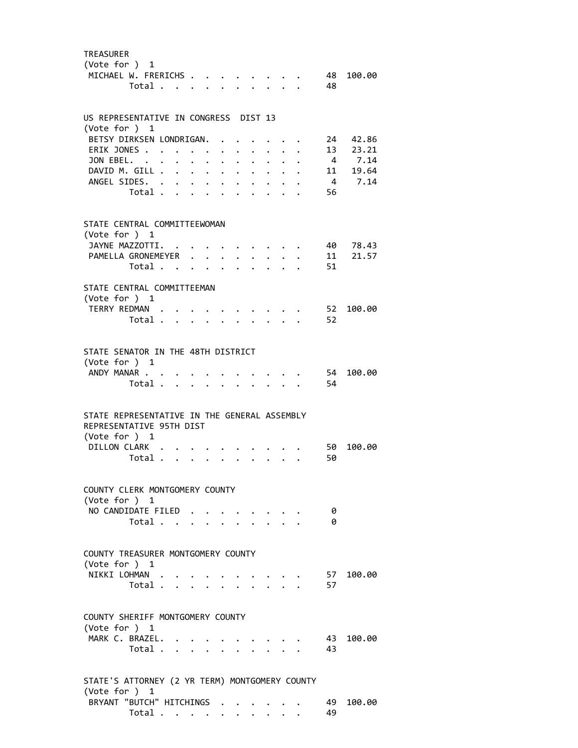| <b>TREASURER</b><br>(Vote for $)$ 1<br>MICHAEL W. FRERICHS                                                | Total                                     |                           |                      |                           |                      |                                              | $\cdot$ $\cdot$ $\cdot$ $\cdot$ $\cdot$ $\cdot$ |                      |                         | 48       | 48 100.00            |
|-----------------------------------------------------------------------------------------------------------|-------------------------------------------|---------------------------|----------------------|---------------------------|----------------------|----------------------------------------------|-------------------------------------------------|----------------------|-------------------------|----------|----------------------|
| US REPRESENTATIVE IN CONGRESS DIST 13<br>(Vote for $)$ 1                                                  |                                           |                           |                      |                           |                      |                                              |                                                 |                      |                         |          |                      |
| BETSY DIRKSEN LONDRIGAN.                                                                                  |                                           |                           |                      |                           |                      |                                              |                                                 |                      | $\cdot$ $\cdot$         |          | 24 42.86             |
| ERIK JONES.                                                                                               |                                           |                           |                      |                           |                      |                                              | $\ddot{\phantom{0}}$                            |                      | $\cdot$ $\cdot$ $\cdot$ |          | 13 23.21             |
| JON EBEL.                                                                                                 |                                           |                           | $\ddot{\phantom{0}}$ | $\ddot{\phantom{0}}$      | $\ddot{\phantom{a}}$ | $\ddot{\phantom{a}}$                         |                                                 | $\ddot{\phantom{a}}$ |                         |          | 4 7.14               |
| DAVID M. GILL                                                                                             |                                           |                           |                      |                           |                      | $\ddot{\phantom{0}}$                         | $\bullet$ .                                     | $\ddot{\phantom{0}}$ |                         |          | 11 19.64             |
| ANGEL SIDES. .                                                                                            | Total .                                   | $\bullet$<br>$\mathbf{r}$ |                      | $\mathbf{L} = \mathbf{L}$ | $\ddot{\phantom{0}}$ | $\ddot{\phantom{a}}$                         | $\bullet$                                       |                      |                         | 56       | 4 7.14               |
| STATE CENTRAL COMMITTEEWOMAN<br>(Vote for ) 1                                                             |                                           |                           |                      |                           |                      |                                              |                                                 |                      |                         |          |                      |
| JAYNE MAZZOTTI.<br>PAMELLA GRONEMEYER                                                                     |                                           |                           |                      |                           |                      |                                              |                                                 |                      |                         |          | 40 78.43<br>11 21.57 |
|                                                                                                           | Total                                     |                           |                      |                           |                      | $\ddot{\phantom{a}}$<br>$\ddot{\phantom{0}}$ |                                                 | $\sim$ $\sim$ $\sim$ |                         | 51       |                      |
| STATE CENTRAL COMMITTEEMAN                                                                                |                                           |                           |                      |                           |                      |                                              |                                                 |                      |                         |          |                      |
| (Vote for ) 1                                                                                             |                                           |                           |                      |                           |                      |                                              |                                                 |                      |                         |          |                      |
| TERRY REDMAN.                                                                                             |                                           |                           |                      |                           |                      |                                              |                                                 |                      |                         | 52       | 100.00               |
|                                                                                                           | Total                                     |                           |                      |                           |                      |                                              |                                                 | $\mathbf{r}$         |                         | 52       |                      |
| STATE SENATOR IN THE 48TH DISTRICT<br>(Vote for ) 1<br>ANDY MANAR                                         |                                           |                           |                      |                           |                      |                                              |                                                 |                      |                         | 54       | 100.00               |
|                                                                                                           | Total .                                   | $\mathbf{L}$              |                      | $\cdot$ $\cdot$           |                      |                                              |                                                 |                      |                         | 54       |                      |
| STATE REPRESENTATIVE IN THE GENERAL ASSEMBLY<br>REPRESENTATIVE 95TH DIST<br>(Vote for ) 1<br>DILLON CLARK | Total                                     |                           |                      |                           | $\ddot{\phantom{0}}$ | $\ddot{\phantom{0}}$                         | $\ddot{\phantom{0}}$                            | $\ddot{\phantom{0}}$ |                         | 50<br>50 | 100.00               |
| COUNTY CLERK MONTGOMERY COUNTY                                                                            |                                           |                           |                      |                           |                      |                                              |                                                 |                      |                         |          |                      |
| (Vote for $)$ 1                                                                                           |                                           |                           |                      |                           |                      |                                              |                                                 |                      |                         |          |                      |
| NO CANDIDATE FILED                                                                                        | Total $\cdots$ $\cdots$ $\cdots$ $\cdots$ |                           |                      |                           |                      |                                              |                                                 |                      |                         | 0<br>ø   |                      |
| COUNTY TREASURER MONTGOMERY COUNTY<br>(Vote for $)$ 1<br>NIKKI LOHMAN                                     |                                           |                           |                      |                           |                      |                                              | $\cdot$ $\cdot$ $\cdot$ $\cdot$ $\cdot$         |                      |                         | 57       | 100.00               |
|                                                                                                           | Total                                     |                           |                      |                           |                      |                                              |                                                 |                      |                         | 57       |                      |
| COUNTY SHERIFF MONTGOMERY COUNTY<br>(Vote for ) 1                                                         |                                           |                           |                      |                           |                      |                                              |                                                 |                      |                         |          |                      |
| MARK C. BRAZEL.                                                                                           | Total                                     |                           |                      |                           |                      |                                              |                                                 |                      |                         | 43<br>43 | 100.00               |
| STATE'S ATTORNEY (2 YR TERM) MONTGOMERY COUNTY<br>(Vote for $)$ 1                                         |                                           |                           |                      |                           |                      |                                              |                                                 |                      |                         |          |                      |
| BRYANT "BUTCH" HITCHINGS                                                                                  |                                           |                           |                      |                           |                      |                                              |                                                 |                      |                         | 49       | 100.00               |
|                                                                                                           | Total                                     |                           |                      |                           |                      | $\ddotsc$                                    |                                                 |                      |                         | 49       |                      |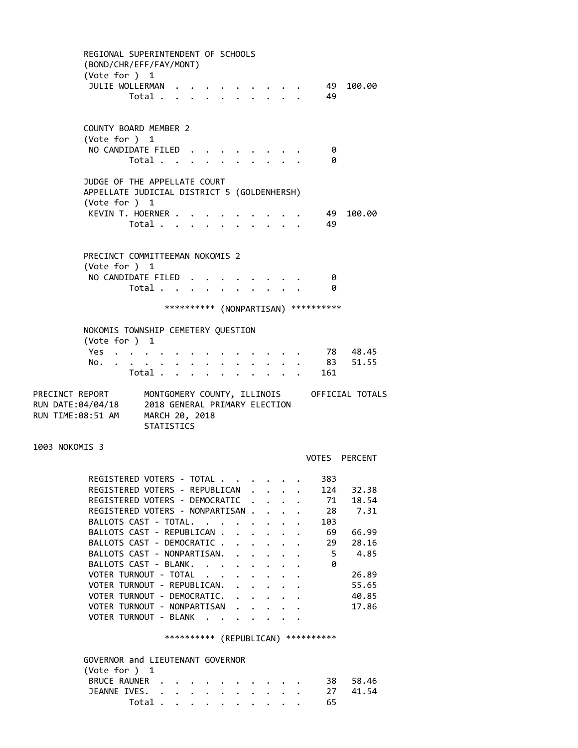REGIONAL SUPERINTENDENT OF SCHOOLS (BOND/CHR/EFF/FAY/MONT) (Vote for ) 1 JULIE WOLLERMAN . . . . . . . . . . 49 100.00 Total . . . . . . . . . . 49 COUNTY BOARD MEMBER 2 (Vote for ) 1 NO CANDIDATE FILED . . . . . . . . 0 Total . . . . . . . . . . 0 JUDGE OF THE APPELLATE COURT APPELLATE JUDICIAL DISTRICT 5 (GOLDENHERSH) (Vote for ) 1 KEVIN T. HOERNER . . . . . . . . . . 49 100.00 Total . . . . . . . . . . 49 PRECINCT COMMITTEEMAN NOKOMIS 2 (Vote for ) 1 NO CANDIDATE FILED . . . . . . . . 0 Total . . . . . . . . . . 0 \*\*\*\*\*\*\*\*\*\* (NONPARTISAN) \*\*\*\*\*\*\*\*\*\* NOKOMIS TOWNSHIP CEMETERY QUESTION (Vote for ) 1 Yes . . . . . . . . . . . . . . 78 48.45 No. . . . . . . . . . . . . . 83 51.55 Total . . . . . . . . . . 161 PRECINCT REPORT MONTGOMERY COUNTY, ILLINOIS OFFICIAL TOTALS RUN DATE:04/04/18 2018 GENERAL PRIMARY ELECTION RUN TIME:08:51 AM MARCH 20, 2018 STATISTICS 1003 NOKOMIS 3 VOTES PERCENT REGISTERED VOTERS - TOTAL . . . . . . 383 REGISTERED VOTERS - REPUBLICAN . . . . 124 32.38 REGISTERED VOTERS - DEMOCRATIC . . . . 71 18.54 REGISTERED VOTERS - NONPARTISAN . . . . 28 7.31 BALLOTS CAST - TOTAL. . . . . . . . . 103 BALLOTS CAST - REPUBLICAN . . . . . . 69 66.99<br>BALLOTS CAST - DEMOCRATIC . . . . . . 29 28.16 BALLOTS CAST - DEMOCRATIC . . . . . . BALLOTS CAST - NONPARTISAN. . . . . . 5 4.85<br>BALLOTS CAST - BLANK. . . . . . . . . 0 BALLOTS CAST - BLANK. . . . . . . . VOTER TURNOUT - TOTAL . . . . . . . . 26.89 VOTER TURNOUT - REPUBLICAN. . . . . . 55.65 VOTER TURNOUT - DEMOCRATIC. . . . . . 40.85 VOTER TURNOUT - NONPARTISAN . . . . . 17.86 VOTER TURNOUT - BLANK . . . . . \*\*\*\*\*\*\*\*\*\* (REPUBLICAN) \*\*\*\*\*\*\*\*\*\* GOVERNOR and LIEUTENANT GOVERNOR (Vote for ) 1 BRUCE RAUNER . . . . . . . . . . 38 58.46 JEANNE IVES. . . . . . . . . . . . 27 41.54 Total . . . . . . . . . . 65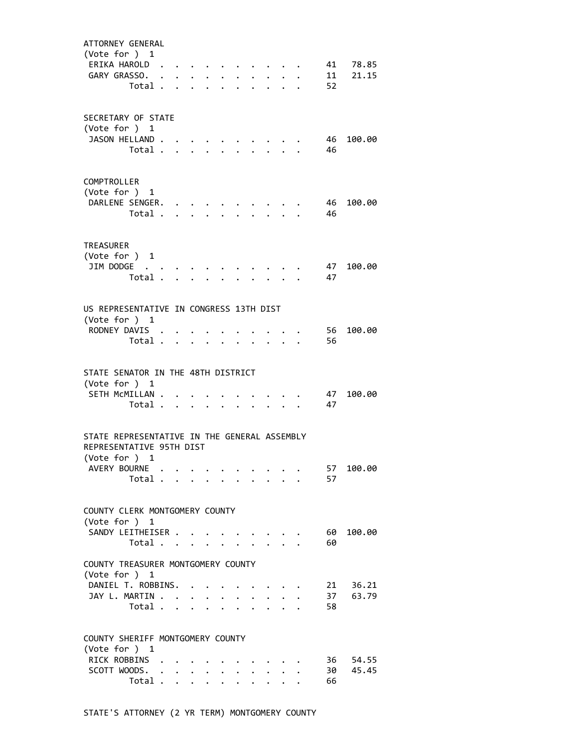| ATTORNEY GENERAL<br>(Vote for $)$ 1<br>ERIKA HAROLD.<br>GARY GRASSO. .<br>Total .                         |                      | $\mathbf{r} = \mathbf{r}$            | $\mathbf{r} = \mathbf{r} + \mathbf{r}$ , where $\mathbf{r} = \mathbf{r}$<br>$\mathbf{r}$ | $\mathbf{L}$         | $\sim$<br>$\mathbf{L}$    | $\ddot{\phantom{0}}$ |                             |                           | 52         | 41 78.85<br>11 21.15 |
|-----------------------------------------------------------------------------------------------------------|----------------------|--------------------------------------|------------------------------------------------------------------------------------------|----------------------|---------------------------|----------------------|-----------------------------|---------------------------|------------|----------------------|
| SECRETARY OF STATE<br>(Vote for ) 1<br>JASON HELLAND.<br>Total.                                           | $\mathbf{A}$         | $\mathbf{A}$                         | $\mathbf{r}$                                                                             |                      |                           |                      |                             |                           | 46<br>46   | 100.00               |
| COMPTROLLER<br>(Vote for $)$ 1<br>DARLENE SENGER.<br>Total                                                |                      |                                      | $\bullet$ , $\bullet$ , $\bullet$ , $\bullet$ , $\bullet$ , $\bullet$                    | $\ddot{\phantom{a}}$ |                           |                      |                             |                           | - 46<br>46 | 100.00               |
| <b>TREASURER</b><br>(Vote for $)$ 1<br>JIM DODGE<br>Total .                                               |                      | $\mathbf{L} = \mathbf{L} \mathbf{L}$ | $\ddot{\phantom{0}}$                                                                     |                      | $\mathbf{r}$              | $\ddot{\phantom{0}}$ |                             | $\ddot{\phantom{0}}$      | 47<br>47   | 100.00               |
| US REPRESENTATIVE IN CONGRESS 13TH DIST<br>(Vote for ) 1<br>RODNEY DAVIS .<br>Total                       |                      |                                      |                                                                                          | $\mathbf{r}$         | $\overline{a}$            | $\mathbf{L}$         | $\mathbf{L}$                |                           | 56<br>56   | 100.00               |
| STATE SENATOR IN THE 48TH DISTRICT<br>(Vote for ) 1<br>SETH MCMILLAN.<br>Total                            |                      | $\ddot{\phantom{0}}$                 |                                                                                          |                      |                           |                      |                             |                           | - 47<br>47 | 100.00               |
| STATE REPRESENTATIVE IN THE GENERAL ASSEMBLY<br>REPRESENTATIVE 95TH DIST<br>(Vote for ) 1<br>AVERY BOURNE |                      |                                      |                                                                                          |                      |                           |                      |                             |                           | 57         | 100.00               |
| Total<br>COUNTY CLERK MONTGOMERY COUNTY                                                                   |                      |                                      |                                                                                          |                      |                           |                      |                             |                           | 57         |                      |
| (Vote for ) 1<br>SANDY LEITHEISER<br>Total $\cdots$ $\cdots$ $\cdots$                                     |                      |                                      |                                                                                          |                      |                           |                      | $\sim$ $\sim$ $\sim$ $\sim$ | $\mathbf{r} = \mathbf{r}$ | 60<br>60   | 100.00               |
| COUNTY TREASURER MONTGOMERY COUNTY<br>(Vote for ) 1<br>DANIEL T. ROBBINS. .<br>JAY L. MARTIN<br>Total     |                      |                                      |                                                                                          |                      |                           | $\ddot{\phantom{0}}$ | $\sim$                      | $\ddot{\phantom{0}}$      | 58         | 21 36.21<br>37 63.79 |
| COUNTY SHERIFF MONTGOMERY COUNTY<br>(Vote for ) 1<br>RICK ROBBINS<br>SCOTT WOODS. .<br>Total .            | $\ddot{\phantom{0}}$ | $\ddot{\phantom{0}}$                 | $\cdot$ $\cdot$ $\cdot$                                                                  |                      | $\mathbf{L} = \mathbf{L}$ | $\mathbf{A}$         | $\mathbf{L}$                | $\mathbf{L}$              | 66         | 36 54.55<br>30 45.45 |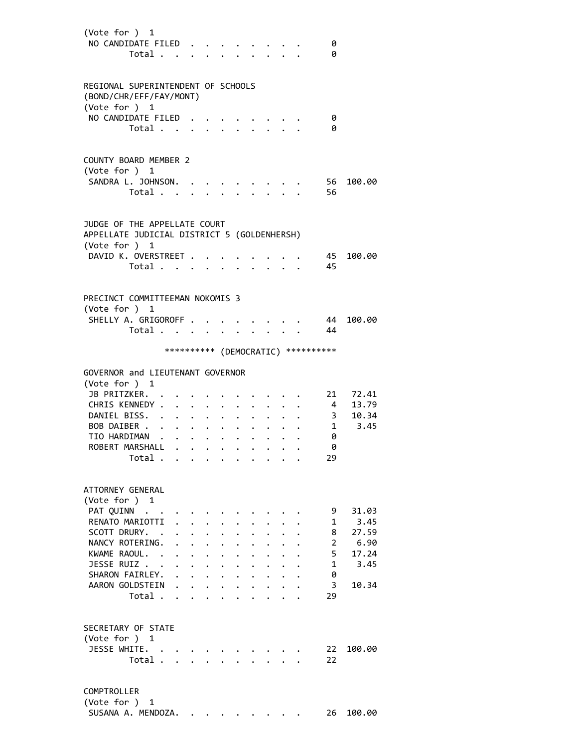| (Vote for ) 1<br>NO CANDIDATE FILED<br>Total                                                   |                              |                                              |                                                                                                                             |                      |                                              |                                                           |                                 |           | 0<br>0                                       |                            |
|------------------------------------------------------------------------------------------------|------------------------------|----------------------------------------------|-----------------------------------------------------------------------------------------------------------------------------|----------------------|----------------------------------------------|-----------------------------------------------------------|---------------------------------|-----------|----------------------------------------------|----------------------------|
| REGIONAL SUPERINTENDENT OF SCHOOLS<br>(BOND/CHR/EFF/FAY/MONT)<br>(Vote for ) 1                 |                              |                                              |                                                                                                                             |                      |                                              |                                                           |                                 |           |                                              |                            |
| NO CANDIDATE FILED<br>Total                                                                    |                              |                                              |                                                                                                                             |                      |                                              |                                                           |                                 |           | 0<br>0                                       |                            |
| <b>COUNTY BOARD MEMBER 2</b><br>(Vote for ) 1                                                  |                              |                                              |                                                                                                                             |                      |                                              |                                                           |                                 |           |                                              |                            |
| SANDRA L. JOHNSON. .<br>Total                                                                  |                              |                                              |                                                                                                                             |                      |                                              |                                                           |                                 |           | 56<br>56                                     | 100.00                     |
| JUDGE OF THE APPELLATE COURT<br>APPELLATE JUDICIAL DISTRICT 5 (GOLDENHERSH)<br>(Vote for $)$ 1 |                              |                                              |                                                                                                                             |                      |                                              |                                                           |                                 |           |                                              |                            |
| DAVID K. OVERSTREET .<br>Total                                                                 |                              |                                              |                                                                                                                             |                      | $\bullet$                                    | $\mathbf{r}$ , $\mathbf{r}$ , $\mathbf{r}$ , $\mathbf{r}$ |                                 |           | 45<br>- 45                                   | 100.00                     |
| PRECINCT COMMITTEEMAN NOKOMIS 3<br>(Vote for ) 1<br>SHELLY A. GRIGOROFF<br>Total               |                              |                                              |                                                                                                                             |                      |                                              |                                                           | $\cdot$ $\cdot$ $\cdot$ $\cdot$ |           | 44<br>- 44                                   | 100.00                     |
|                                                                                                |                              |                                              |                                                                                                                             |                      |                                              |                                                           |                                 |           | *********** (DEMOCRATIC) **********          |                            |
| GOVERNOR and LIEUTENANT GOVERNOR<br>(Vote for $)$ 1                                            |                              |                                              |                                                                                                                             |                      |                                              |                                                           |                                 |           |                                              |                            |
| JB PRITZKER.<br>CHRIS KENNEDY .<br>DANIEL BISS. .                                              | $\mathbf{r}$                 | $\mathbf{L}$                                 | $\cdot$ $\cdot$                                                                                                             |                      |                                              |                                                           |                                 |           | $\overline{4}$<br>$\overline{\phantom{a}}$ 3 | 21 72.41<br>13.79<br>10.34 |
| BOB DAIBER<br>TIO HARDIMAN<br>ROBERT MARSHALL                                                  |                              |                                              | $\mathbf{r} = \mathbf{r} + \mathbf{r}$ , where $\mathbf{r}$                                                                 |                      | $\bullet$                                    | $\bullet$ .                                               | $\bullet$ .                     |           | 0<br>ø                                       | $\cdot$ 1 3.45             |
| Total                                                                                          |                              |                                              |                                                                                                                             |                      |                                              |                                                           |                                 |           | 29                                           |                            |
| ATTORNEY GENERAL<br>(Vote for ) 1<br>PAT QUINN                                                 |                              |                                              |                                                                                                                             |                      |                                              |                                                           |                                 |           | 9                                            | 31.03                      |
| RENATO MARIOTTI<br>SCOTT DRURY.                                                                |                              |                                              |                                                                                                                             |                      |                                              |                                                           |                                 |           | 1<br>8                                       | 3.45<br>27.59              |
| NANCY ROTERING.<br>KWAME RAOUL. .<br>JESSE RUIZ                                                |                              | $\ddot{\phantom{0}}$<br>$\ddot{\phantom{a}}$ | $\ddot{\phantom{a}}$<br>$\ddot{\phantom{0}}$                                                                                |                      |                                              |                                                           |                                 |           | $\overline{2}$<br>5<br>$\mathbf{1}$          | 6.90<br>17.24<br>3.45      |
| SHARON FAIRLEY.<br>AARON GOLDSTEIN<br>Total                                                    | $\mathbf{L}$<br>$\mathbf{r}$ |                                              | $\ddot{\phantom{a}}$<br>$\mathbf{1}$ $\mathbf{1}$ $\mathbf{1}$ $\mathbf{1}$ $\mathbf{1}$<br>$\cdot$ $\cdot$ $\cdot$ $\cdot$ | $\ddot{\phantom{0}}$ | $\ddot{\phantom{0}}$<br>$\ddot{\phantom{0}}$ | $\cdot$<br>$\ddot{\phantom{0}}$<br>$\ddot{\phantom{0}}$   | $\ddot{\phantom{0}}$            | $\ddotsc$ | 0<br>3<br>29                                 | 10.34                      |
| SECRETARY OF STATE                                                                             |                              |                                              |                                                                                                                             |                      |                                              |                                                           |                                 |           |                                              |                            |
| (Vote for ) 1<br>JESSE WHITE.<br>Total                                                         |                              |                                              |                                                                                                                             |                      |                                              |                                                           |                                 |           | 22<br>22                                     | 100.00                     |
| COMPTROLLER<br>(Vote for $)$ 1                                                                 |                              |                                              |                                                                                                                             |                      |                                              |                                                           |                                 |           |                                              |                            |

SUSANA A. MENDOZA. . . . . . . . . 26 100.00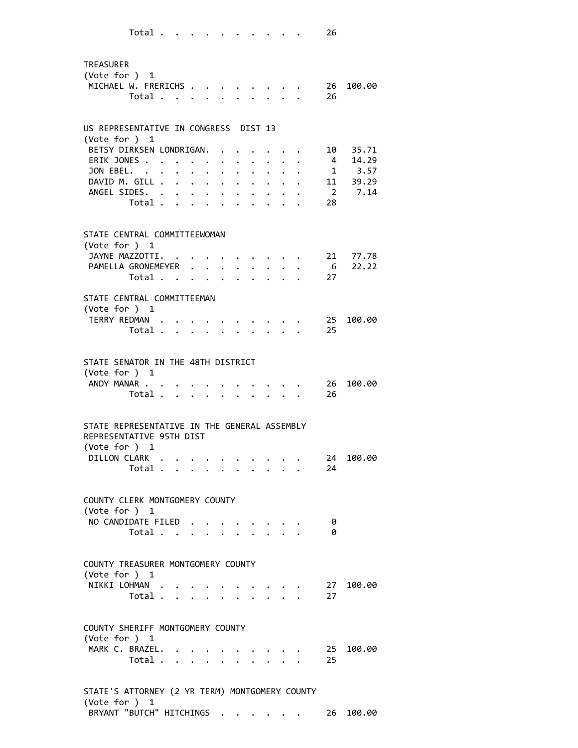| <b>TREASURER</b><br>(Vote for ) 1 | MICHAEL W. FRERICHS<br>Total                                                      |                                               | $\mathbf{A}$<br>$\mathbf{L}$                                      |                                      | $\mathbf{r} = \mathbf{r} \cdot \mathbf{r}$                                                                                                                                                                                         |                                                             |                      | 26              | 26 100.00                                  |
|-----------------------------------|-----------------------------------------------------------------------------------|-----------------------------------------------|-------------------------------------------------------------------|--------------------------------------|------------------------------------------------------------------------------------------------------------------------------------------------------------------------------------------------------------------------------------|-------------------------------------------------------------|----------------------|-----------------|--------------------------------------------|
|                                   | US REPRESENTATIVE IN CONGRESS DIST 13                                             |                                               |                                                                   |                                      |                                                                                                                                                                                                                                    |                                                             |                      |                 |                                            |
| (Vote for ) 1                     | BETSY DIRKSEN LONDRIGAN.                                                          |                                               |                                                                   |                                      |                                                                                                                                                                                                                                    |                                                             |                      |                 | 10 35.71                                   |
|                                   | ERIK JONES                                                                        |                                               |                                                                   |                                      |                                                                                                                                                                                                                                    |                                                             |                      | $\overline{4}$  | 14.29                                      |
| JON EBEL. .                       |                                                                                   | $\ddot{\phantom{0}}$                          | $\ddot{\phantom{0}}$                                              |                                      |                                                                                                                                                                                                                                    |                                                             |                      |                 | $\begin{array}{cc}\n1 & 3.57\n\end{array}$ |
|                                   | DAVID M. GILL .<br>$\ddot{\phantom{0}}$<br>ANGEL SIDES. .<br>$\ddot{\phantom{0}}$ |                                               | $\mathbf{r} = \mathbf{r} + \mathbf{r}$<br>$\cdot$ $\cdot$ $\cdot$ | $\mathbf{L}$<br>$\ddot{\phantom{0}}$ | $\ddot{\phantom{0}}$<br>$\ddot{\phantom{a}}$                                                                                                                                                                                       | $\mathbf{L}$<br>$\ddot{\phantom{0}}$                        |                      |                 | 11 39.29<br>2 7.14                         |
|                                   | Total                                                                             | $\mathbf{L}$ $\mathbf{L}$                     | $\ddot{\phantom{a}}$                                              |                                      |                                                                                                                                                                                                                                    |                                                             |                      | 28              |                                            |
|                                   |                                                                                   |                                               |                                                                   |                                      |                                                                                                                                                                                                                                    |                                                             |                      |                 |                                            |
| (Vote for ) 1                     | STATE CENTRAL COMMITTEEWOMAN                                                      |                                               |                                                                   |                                      |                                                                                                                                                                                                                                    |                                                             |                      |                 |                                            |
|                                   | JAYNE MAZZOTTI.                                                                   |                                               |                                                                   |                                      |                                                                                                                                                                                                                                    |                                                             |                      | 21              | 77.78                                      |
|                                   | PAMELLA GRONEMEYER                                                                |                                               | $\mathbf{L}$                                                      | $\mathbf{L}$                         | $\mathbf{L}$                                                                                                                                                                                                                       | $\ddot{\phantom{0}}$                                        |                      | $6\overline{6}$ | 22.22                                      |
|                                   | Total                                                                             | $\mathbf{r} = \mathbf{r}$                     | $\mathbf{A}$                                                      | $\mathbf{L}$                         |                                                                                                                                                                                                                                    | $\mathbf{r}$                                                |                      | 27              |                                            |
|                                   | STATE CENTRAL COMMITTEEMAN                                                        |                                               |                                                                   |                                      |                                                                                                                                                                                                                                    |                                                             |                      |                 |                                            |
| (Vote for ) 1                     |                                                                                   |                                               |                                                                   |                                      |                                                                                                                                                                                                                                    |                                                             |                      |                 |                                            |
|                                   | TERRY REDMAN .<br>Total                                                           |                                               |                                                                   |                                      |                                                                                                                                                                                                                                    |                                                             |                      | 25<br>25        | 100.00                                     |
|                                   |                                                                                   |                                               |                                                                   |                                      |                                                                                                                                                                                                                                    |                                                             |                      |                 |                                            |
|                                   | STATE SENATOR IN THE 48TH DISTRICT                                                |                                               |                                                                   |                                      |                                                                                                                                                                                                                                    |                                                             |                      |                 |                                            |
| (Vote for $)$ 1                   |                                                                                   |                                               |                                                                   |                                      |                                                                                                                                                                                                                                    |                                                             |                      |                 |                                            |
|                                   | ANDY MANAR<br>Total                                                               | <b><i>Command Command Command Command</i></b> |                                                                   |                                      |                                                                                                                                                                                                                                    |                                                             |                      | 26<br>26        | 100.00                                     |
|                                   |                                                                                   |                                               |                                                                   |                                      |                                                                                                                                                                                                                                    |                                                             |                      |                 |                                            |
|                                   | STATE REPRESENTATIVE IN THE GENERAL ASSEMBLY<br>REPRESENTATIVE 95TH DIST          |                                               |                                                                   |                                      |                                                                                                                                                                                                                                    |                                                             |                      |                 |                                            |
| (Vote for ) 1                     | DILLON CLARK.                                                                     |                                               |                                                                   |                                      |                                                                                                                                                                                                                                    |                                                             |                      | 24              | 100.00                                     |
|                                   | Total                                                                             |                                               | $\cdot$ $\cdot$ $\cdot$ $\cdot$                                   | $\bullet$ .                          | $\bullet$ .                                                                                                                                                                                                                        | $\bullet$ .<br><br><br><br><br><br><br><br><br><br><br><br> | $\ddot{\phantom{0}}$ | 24              |                                            |
|                                   |                                                                                   |                                               |                                                                   |                                      |                                                                                                                                                                                                                                    |                                                             |                      |                 |                                            |
| (Vote for $)$ 1                   | COUNTY CLERK MONTGOMERY COUNTY                                                    |                                               |                                                                   |                                      |                                                                                                                                                                                                                                    |                                                             |                      |                 |                                            |
|                                   | NO CANDIDATE FILED                                                                |                                               |                                                                   |                                      | $\cdot$ $\cdot$ $\cdot$ $\cdot$                                                                                                                                                                                                    |                                                             |                      | - 0             |                                            |
|                                   | Total                                                                             |                                               |                                                                   |                                      |                                                                                                                                                                                                                                    |                                                             |                      | 0               |                                            |
|                                   | COUNTY TREASURER MONTGOMERY COUNTY                                                |                                               |                                                                   |                                      |                                                                                                                                                                                                                                    |                                                             |                      |                 |                                            |
| (Vote for ) 1                     |                                                                                   |                                               |                                                                   |                                      |                                                                                                                                                                                                                                    |                                                             |                      |                 |                                            |
|                                   | NIKKI LOHMAN                                                                      |                                               |                                                                   |                                      | $\bullet$ . The contract of the contract of the contract of the contract of the contract of the contract of the contract of the contract of the contract of the contract of the contract of the contract of the contract of the co |                                                             |                      | 27              | 27 100.00                                  |
|                                   | Total                                                                             |                                               |                                                                   |                                      |                                                                                                                                                                                                                                    |                                                             |                      |                 |                                            |
|                                   | COUNTY SHERIFF MONTGOMERY COUNTY                                                  |                                               |                                                                   |                                      |                                                                                                                                                                                                                                    |                                                             |                      |                 |                                            |
| (Vote for ) 1                     | MARK C. BRAZEL.                                                                   |                                               |                                                                   |                                      |                                                                                                                                                                                                                                    |                                                             |                      |                 | 25 100.00                                  |
|                                   | Total                                                                             |                                               |                                                                   |                                      |                                                                                                                                                                                                                                    |                                                             |                      | 25              |                                            |
|                                   |                                                                                   |                                               |                                                                   |                                      |                                                                                                                                                                                                                                    |                                                             |                      |                 |                                            |
|                                   | STATE'S ATTORNEY (2 YR TERM) MONTGOMERY COUNTY                                    |                                               |                                                                   |                                      |                                                                                                                                                                                                                                    |                                                             |                      |                 |                                            |

 (Vote for ) 1 BRYANT "BUTCH" HITCHINGS . . . . . . 26 100.00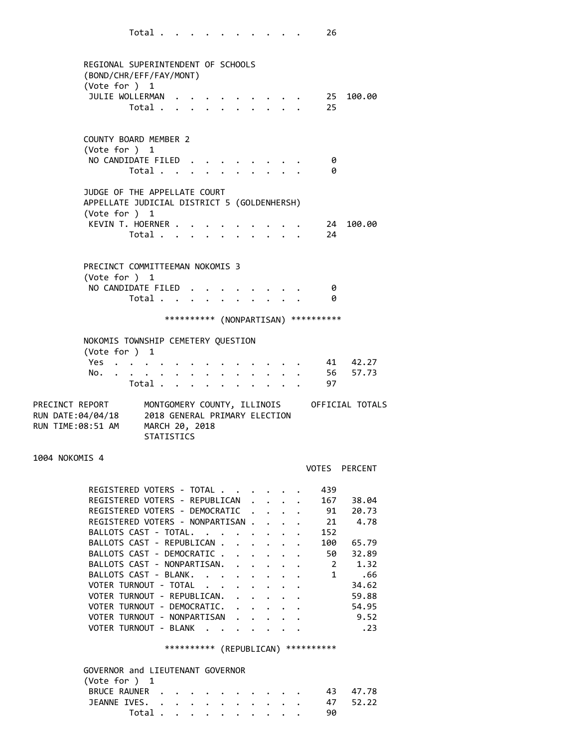| (BOND/CHR/EFF/FAY/MONT)<br>(Vote for ) 1                                                               | REGIONAL SUPERINTENDENT OF SCHOOLS |  |                         |                      |                                                                  |                      |                                      |                                             |
|--------------------------------------------------------------------------------------------------------|------------------------------------|--|-------------------------|----------------------|------------------------------------------------------------------|----------------------|--------------------------------------|---------------------------------------------|
| JULIE WOLLERMAN 25                                                                                     | Total                              |  | $\cdot$ $\cdot$ $\cdot$ |                      | $\mathbf{r} = \mathbf{r} + \mathbf{r} + \mathbf{r} + \mathbf{r}$ |                      | 25                                   | 100.00                                      |
| COUNTY BOARD MEMBER 2<br>(Vote for $)$ 1                                                               |                                    |  |                         |                      |                                                                  |                      |                                      |                                             |
| NO CANDIDATE FILED                                                                                     | Total                              |  |                         |                      |                                                                  |                      | - 0<br>0                             |                                             |
| JUDGE OF THE APPELLATE COURT<br>APPELLATE JUDICIAL DISTRICT 5 (GOLDENHERSH)                            |                                    |  |                         |                      |                                                                  |                      |                                      |                                             |
| (Vote for ) 1<br>KEVIN T. HOERNER                                                                      | Total                              |  |                         |                      |                                                                  |                      | 24<br>24                             | 100.00                                      |
| PRECINCT COMMITTEEMAN NOKOMIS 3<br>(Vote for $)$ 1                                                     |                                    |  |                         |                      |                                                                  |                      |                                      |                                             |
| NO CANDIDATE FILED                                                                                     | Total $\cdots$ $\cdots$ $\cdots$   |  |                         |                      |                                                                  |                      | - 0<br>- 0                           |                                             |
|                                                                                                        |                                    |  |                         |                      |                                                                  |                      | *********** (NONPARTISAN) ********** |                                             |
| NOKOMIS TOWNSHIP CEMETERY QUESTION<br>(Vote for ) 1                                                    |                                    |  |                         |                      |                                                                  |                      |                                      |                                             |
| Yes<br>No.                                                                                             | Total .                            |  |                         |                      |                                                                  |                      | 97                                   | 41 42.27<br>56 57.73                        |
|                                                                                                        |                                    |  |                         |                      |                                                                  |                      |                                      |                                             |
| PRECINCT REPORT<br>RUN DATE:04/04/18 2018 GENERAL PRIMARY ELECTION<br>RUN TIME:08:51 AM MARCH 20, 2018 | <b>STATISTICS</b>                  |  |                         |                      |                                                                  |                      |                                      | MONTGOMERY COUNTY, ILLINOIS OFFICIAL TOTALS |
| 1004 NOKOMIS 4                                                                                         |                                    |  |                         |                      |                                                                  |                      |                                      | VOTES PERCENT                               |
|                                                                                                        |                                    |  |                         |                      |                                                                  |                      |                                      |                                             |
| REGISTERED VOTERS - TOTAL<br>REGISTERED VOTERS - REPUBLICAN                                            |                                    |  |                         |                      |                                                                  |                      | 439<br>167                           | 38.04                                       |
| REGISTERED VOTERS - DEMOCRATIC                                                                         |                                    |  |                         |                      |                                                                  | $\ddot{\phantom{0}}$ | 91                                   | 20.73                                       |
| REGISTERED VOTERS - NONPARTISAN.                                                                       |                                    |  |                         |                      |                                                                  |                      | 21                                   | 4.78                                        |
| BALLOTS CAST - TOTAL.                                                                                  |                                    |  |                         |                      |                                                                  |                      | 152                                  |                                             |
| BALLOTS CAST - REPUBLICAN .                                                                            |                                    |  |                         |                      |                                                                  |                      | 100                                  | 65.79                                       |
| BALLOTS CAST - DEMOCRATIC .<br>BALLOTS CAST - NONPARTISAN.                                             |                                    |  |                         |                      |                                                                  |                      | 50<br>2                              | 32.89<br>1.32                               |
| BALLOTS CAST - BLANK.                                                                                  |                                    |  |                         |                      |                                                                  |                      | $\mathbf{1}$                         | .66                                         |
| VOTER TURNOUT - TOTAL                                                                                  |                                    |  |                         |                      |                                                                  |                      |                                      | 34.62                                       |
| VOTER TURNOUT - REPUBLICAN.                                                                            |                                    |  |                         |                      |                                                                  |                      |                                      | 59.88                                       |
| VOTER TURNOUT - DEMOCRATIC.                                                                            |                                    |  |                         | $\ddot{\phantom{0}}$ |                                                                  |                      |                                      | 54.95                                       |
| VOTER TURNOUT - NONPARTISAN<br>VOTER TURNOUT - BLANK                                                   |                                    |  |                         | $\mathbf{L}$         |                                                                  |                      |                                      | 9.52<br>.23                                 |
|                                                                                                        |                                    |  |                         |                      |                                                                  |                      | *********** (REPUBLICAN) *********** |                                             |
| GOVERNOR and LIEUTENANT GOVERNOR<br>(Vote for ) 1                                                      |                                    |  |                         |                      |                                                                  |                      |                                      |                                             |

| BRUCE RAUNER 43 47.78 |  |  |  |  |  |      |  |
|-----------------------|--|--|--|--|--|------|--|
| JEANNE IVES. 47 52.22 |  |  |  |  |  |      |  |
| Total                 |  |  |  |  |  | - 90 |  |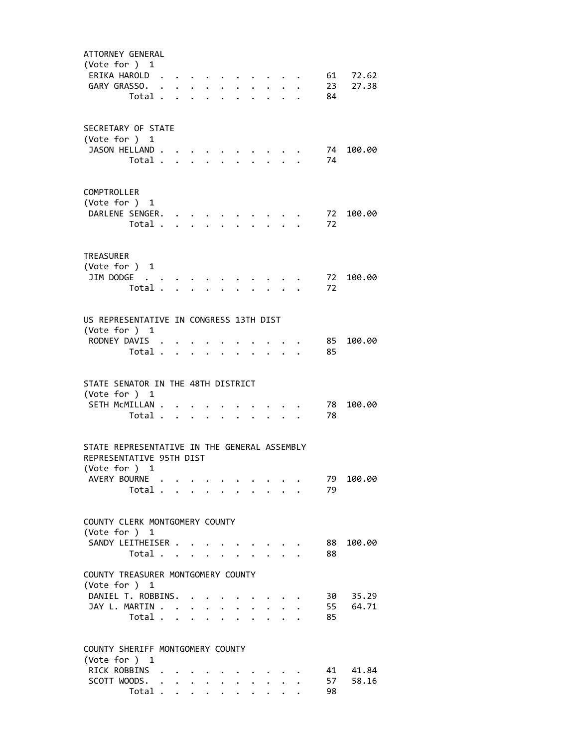| ATTORNEY GENERAL                                |         |                      |                                                                  |                         |                      |                           |                      |                                 |                         |      |           |
|-------------------------------------------------|---------|----------------------|------------------------------------------------------------------|-------------------------|----------------------|---------------------------|----------------------|---------------------------------|-------------------------|------|-----------|
| (Vote for ) 1                                   |         |                      |                                                                  |                         |                      |                           |                      |                                 |                         |      |           |
| ERIKA HAROLD.                                   |         |                      | $\mathbf{z} = \mathbf{z} + \mathbf{z} + \mathbf{z} + \mathbf{z}$ |                         |                      |                           |                      | $\cdot$ $\cdot$ $\cdot$ $\cdot$ |                         |      | 61 72.62  |
| GARY GRASSO. .                                  |         |                      | $\cdot$ $\cdot$ $\cdot$ $\cdot$ $\cdot$                          |                         |                      |                           |                      |                                 | $\cdot$ $\cdot$ $\cdot$ | 23   | 27.38     |
|                                                 | Total . | $\ddot{\phantom{a}}$ |                                                                  | $\cdot$ $\cdot$ $\cdot$ | $\ddot{\phantom{0}}$ |                           |                      |                                 | $\cdot$ $\cdot$ $\cdot$ | 84   |           |
|                                                 |         |                      |                                                                  |                         |                      |                           |                      |                                 |                         |      |           |
| SECRETARY OF STATE                              |         |                      |                                                                  |                         |                      |                           |                      |                                 |                         |      |           |
| (Vote for ) 1                                   |         |                      |                                                                  |                         |                      |                           |                      |                                 |                         |      |           |
| JASON HELLAND.                                  |         |                      |                                                                  |                         |                      |                           |                      |                                 |                         | 74   | 100.00    |
|                                                 | Total   |                      |                                                                  |                         | $\mathbf{r}$         | $\mathbf{L}^{\text{max}}$ |                      | and a state                     |                         | 74   |           |
|                                                 |         |                      |                                                                  |                         |                      |                           |                      |                                 |                         |      |           |
|                                                 |         |                      |                                                                  |                         |                      |                           |                      |                                 |                         |      |           |
| COMPTROLLER                                     |         |                      |                                                                  |                         |                      |                           |                      |                                 |                         |      |           |
| (Vote for ) 1                                   |         |                      |                                                                  |                         |                      |                           |                      |                                 |                         |      |           |
| DARLENE SENGER.                                 | Total . |                      |                                                                  |                         |                      |                           |                      |                                 |                         | 72   | 72 100.00 |
|                                                 |         | $\mathbf{A}$         | $\ddot{\phantom{a}}$                                             |                         |                      |                           |                      |                                 |                         |      |           |
|                                                 |         |                      |                                                                  |                         |                      |                           |                      |                                 |                         |      |           |
| <b>TREASURER</b>                                |         |                      |                                                                  |                         |                      |                           |                      |                                 |                         |      |           |
| (Vote for ) 1                                   |         |                      |                                                                  |                         |                      |                           |                      |                                 |                         |      |           |
| JIM DODGE                                       |         |                      |                                                                  |                         |                      |                           |                      |                                 |                         | 72   | 100.00    |
|                                                 | Total . |                      | $\ddot{\phantom{a}}$                                             |                         |                      |                           |                      |                                 |                         | 72   |           |
|                                                 |         |                      |                                                                  |                         |                      |                           |                      |                                 |                         |      |           |
| US REPRESENTATIVE IN CONGRESS 13TH DIST         |         |                      |                                                                  |                         |                      |                           |                      |                                 |                         |      |           |
| (Vote for ) 1                                   |         |                      |                                                                  |                         |                      |                           |                      |                                 |                         |      |           |
| RODNEY DAVIS                                    |         |                      |                                                                  |                         |                      |                           |                      |                                 |                         | 85   | 100.00    |
|                                                 | Total   |                      |                                                                  |                         | $\ddot{\phantom{a}}$ |                           | $\sim$               |                                 | $\ddot{\phantom{1}}$    | 85   |           |
|                                                 |         |                      |                                                                  |                         |                      |                           |                      |                                 |                         |      |           |
|                                                 |         |                      |                                                                  |                         |                      |                           |                      |                                 |                         |      |           |
| STATE SENATOR IN THE 48TH DISTRICT              |         |                      |                                                                  |                         |                      |                           |                      |                                 |                         |      |           |
| (Vote for ) 1                                   |         |                      |                                                                  |                         |                      |                           |                      |                                 |                         |      |           |
| SETH MCMILLAN                                   |         |                      |                                                                  |                         |                      |                           |                      |                                 |                         | 78   | 100.00    |
|                                                 | Total   |                      |                                                                  |                         | $\ddot{\phantom{a}}$ |                           |                      |                                 |                         | 78   |           |
|                                                 |         |                      |                                                                  |                         |                      |                           |                      |                                 |                         |      |           |
| STATE REPRESENTATIVE IN THE GENERAL ASSEMBLY    |         |                      |                                                                  |                         |                      |                           |                      |                                 |                         |      |           |
| REPRESENTATIVE 95TH DIST                        |         |                      |                                                                  |                         |                      |                           |                      |                                 |                         |      |           |
| (Vote for )                                     | 1       |                      |                                                                  |                         |                      |                           |                      |                                 |                         |      |           |
| AVERY BOURNE                                    |         |                      |                                                                  |                         |                      |                           |                      |                                 |                         | 79   | 100.00    |
|                                                 | Total   |                      | $\mathbf{A}$                                                     |                         |                      |                           |                      |                                 |                         | 79   |           |
|                                                 |         |                      |                                                                  |                         |                      |                           |                      |                                 |                         |      |           |
|                                                 |         |                      |                                                                  |                         |                      |                           |                      |                                 |                         |      |           |
| COUNTY CLERK MONTGOMERY COUNTY<br>(Vote for ) 1 |         |                      |                                                                  |                         |                      |                           |                      |                                 |                         |      |           |
| SANDY LEITHEISER                                |         |                      |                                                                  |                         |                      |                           |                      |                                 |                         | 88   | 100.00    |
|                                                 | Total   |                      |                                                                  |                         |                      |                           |                      |                                 |                         | 88   |           |
|                                                 |         |                      |                                                                  |                         |                      |                           |                      |                                 |                         |      |           |
| COUNTY TREASURER MONTGOMERY COUNTY              |         |                      |                                                                  |                         |                      |                           |                      |                                 |                         |      |           |
| (Vote for ) 1                                   |         |                      |                                                                  |                         |                      |                           |                      |                                 |                         |      |           |
| DANIEL T. ROBBINS.                              |         |                      |                                                                  |                         |                      |                           |                      |                                 |                         | 30 — | 35.29     |
| JAY L. MARTIN                                   |         |                      |                                                                  |                         |                      |                           | $\ddot{\phantom{0}}$ |                                 | $\cdot$ $\cdot$         | 55   | 64.71     |
|                                                 | Total   |                      |                                                                  |                         |                      |                           |                      |                                 |                         | 85   |           |
|                                                 |         |                      |                                                                  |                         |                      |                           |                      |                                 |                         |      |           |
| COUNTY SHERIFF MONTGOMERY COUNTY                |         |                      |                                                                  |                         |                      |                           |                      |                                 |                         |      |           |
| (Vote for ) 1                                   |         |                      |                                                                  |                         |                      |                           |                      |                                 |                         |      |           |
| RICK ROBBINS .                                  |         |                      |                                                                  |                         |                      |                           |                      |                                 |                         | 41   | 41.84     |
| SCOTT WOODS.                                    |         |                      |                                                                  |                         |                      |                           | $\sim$               | $\ddot{\phantom{0}}$            |                         | 57   | 58.16     |
|                                                 | Total . |                      | $\mathbf{L}$                                                     | $\ddotsc$               | $\ddot{\phantom{0}}$ | $\ddot{\phantom{a}}$      | $\ddot{\phantom{a}}$ | $\ddot{\phantom{0}}$            |                         | 98   |           |
|                                                 |         |                      |                                                                  |                         |                      |                           |                      |                                 |                         |      |           |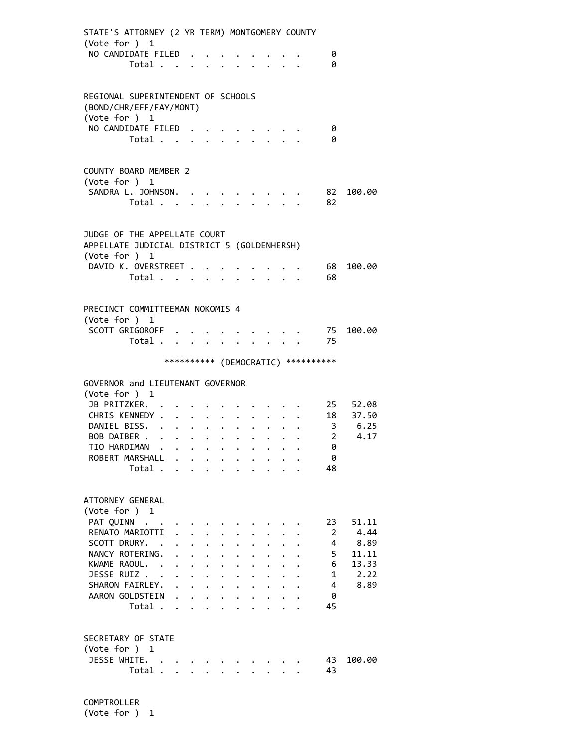| STATE'S ATTORNEY (2 YR TERM) MONTGOMERY COUNTY<br>(Vote for ) 1                              |                           |                      |                                                           |                       |                      |                      |                      |                      |                                 |                                     |          |
|----------------------------------------------------------------------------------------------|---------------------------|----------------------|-----------------------------------------------------------|-----------------------|----------------------|----------------------|----------------------|----------------------|---------------------------------|-------------------------------------|----------|
| NO CANDIDATE FILED.                                                                          |                           |                      |                                                           |                       |                      |                      |                      |                      |                                 | 0                                   |          |
| Total                                                                                        |                           |                      |                                                           |                       |                      |                      |                      |                      |                                 | 0                                   |          |
| REGIONAL SUPERINTENDENT OF SCHOOLS<br>(BOND/CHR/EFF/FAY/MONT)<br>(Vote for ) 1               |                           |                      |                                                           |                       |                      |                      |                      |                      |                                 |                                     |          |
| NO CANDIDATE FILED                                                                           |                           |                      |                                                           |                       |                      |                      |                      |                      |                                 | 0                                   |          |
| Total                                                                                        |                           |                      |                                                           |                       |                      |                      |                      |                      |                                 | 0                                   |          |
| COUNTY BOARD MEMBER 2<br>(Vote for ) 1<br>SANDRA L. JOHNSON.<br>Total                        |                           |                      |                                                           |                       |                      |                      |                      |                      |                                 | 82<br>82                            | 100.00   |
| JUDGE OF THE APPELLATE COURT<br>APPELLATE JUDICIAL DISTRICT 5 (GOLDENHERSH)<br>(Vote for ) 1 |                           |                      |                                                           |                       |                      |                      |                      |                      |                                 |                                     |          |
| DAVID K. OVERSTREET                                                                          |                           |                      |                                                           |                       |                      |                      |                      |                      |                                 | 68                                  | 100.00   |
| Total                                                                                        |                           |                      |                                                           |                       | $\ddot{\phantom{0}}$ |                      |                      |                      | $\cdot$ $\cdot$ $\cdot$ $\cdot$ | 68                                  |          |
|                                                                                              |                           |                      |                                                           |                       |                      |                      |                      |                      |                                 |                                     |          |
| PRECINCT COMMITTEEMAN NOKOMIS 4<br>(Vote for ) 1<br>SCOTT GRIGOROFF<br>Total                 |                           |                      |                                                           |                       |                      |                      |                      |                      |                                 | 75<br>75                            | 100.00   |
|                                                                                              |                           |                      |                                                           |                       |                      |                      |                      |                      |                                 |                                     |          |
|                                                                                              |                           |                      |                                                           |                       |                      |                      |                      |                      |                                 | *********** (DEMOCRATIC) ********** |          |
| GOVERNOR and LIEUTENANT GOVERNOR<br>(Vote for ) 1                                            |                           |                      |                                                           |                       |                      |                      |                      |                      |                                 |                                     |          |
| JB PRITZKER.                                                                                 |                           |                      |                                                           |                       |                      |                      |                      |                      |                                 |                                     | 25 52.08 |
| CHRIS KENNEDY                                                                                |                           |                      | $\ddot{\phantom{0}}$                                      |                       |                      |                      |                      |                      |                                 |                                     | 18 37.50 |
| DANIEL BISS.                                                                                 |                           |                      |                                                           |                       |                      |                      |                      |                      |                                 | $\overline{2}$                      | 3 6.25   |
| BOB DAIBER<br>TIO HARDIMAN                                                                   |                           |                      |                                                           |                       | $\ddot{\bullet}$     | $\ddot{\phantom{a}}$ |                      |                      |                                 | 0                                   | 4.17     |
| ROBERT MARSHALL                                                                              |                           |                      |                                                           |                       |                      |                      |                      |                      |                                 | 0                                   |          |
| Total                                                                                        |                           |                      |                                                           |                       |                      |                      |                      |                      |                                 | 48                                  |          |
|                                                                                              |                           |                      |                                                           |                       |                      |                      |                      |                      |                                 |                                     |          |
| ATTORNEY GENERAL<br>(Vote for ) 1<br>PAT QUINN                                               |                           |                      |                                                           |                       |                      |                      |                      |                      |                                 | 23                                  | 51.11    |
| RENATO MARIOTTI                                                                              |                           |                      |                                                           |                       |                      |                      |                      |                      |                                 | $\mathbf{2}$                        | 4.44     |
| SCOTT DRURY. .                                                                               |                           | $\bullet$            | $\ddot{\phantom{0}}$                                      | $\ddot{\phantom{0}}$  |                      |                      |                      |                      |                                 | 4                                   | 8.89     |
| NANCY ROTERING.                                                                              | $\ddot{\phantom{0}}$      | $\ddot{\phantom{0}}$ | $\ddot{\phantom{0}}$                                      | $\bullet$ . $\bullet$ |                      |                      |                      |                      |                                 | 5                                   | 11.11    |
| KWAME RAOUL.                                                                                 |                           |                      | $\mathbf{L}^{\text{max}}$ , and $\mathbf{L}^{\text{max}}$ | $\ddot{\phantom{0}}$  |                      |                      |                      |                      |                                 | 6                                   | 13.33    |
| JESSE RUIZ                                                                                   | $\ddot{\phantom{0}}$      |                      | $\mathbf{L} = \mathbf{L} \mathbf{L}$                      | $\ddot{\phantom{0}}$  | $\ddot{\phantom{0}}$ |                      |                      |                      |                                 | $\mathbf{1}$                        | 2.22     |
| SHARON FAIRLEY.                                                                              | $\mathbf{L} = \mathbf{L}$ |                      |                                                           | $\ddot{\phantom{1}}$  | $\ddot{\phantom{0}}$ | $\ddot{\phantom{0}}$ | $\ddot{\phantom{0}}$ |                      |                                 | 4                                   | 8.89     |
| AARON GOLDSTEIN                                                                              |                           |                      |                                                           |                       | $\ddot{\phantom{0}}$ | $\ddot{\phantom{0}}$ | $\ddot{\phantom{0}}$ |                      |                                 | 0                                   |          |
| Total                                                                                        |                           |                      |                                                           |                       |                      | $\ddot{\phantom{1}}$ | $\ddot{\phantom{0}}$ | $\ddot{\phantom{a}}$ |                                 | 45                                  |          |
| SECRETARY OF STATE<br>(Vote for ) 1                                                          |                           |                      |                                                           |                       |                      |                      |                      |                      |                                 |                                     |          |
| JESSE WHITE.                                                                                 |                           |                      |                                                           |                       |                      |                      |                      |                      |                                 | 43                                  | 100.00   |
| Total                                                                                        |                           |                      |                                                           |                       |                      |                      |                      |                      |                                 | 43                                  |          |

 COMPTROLLER (Vote for ) 1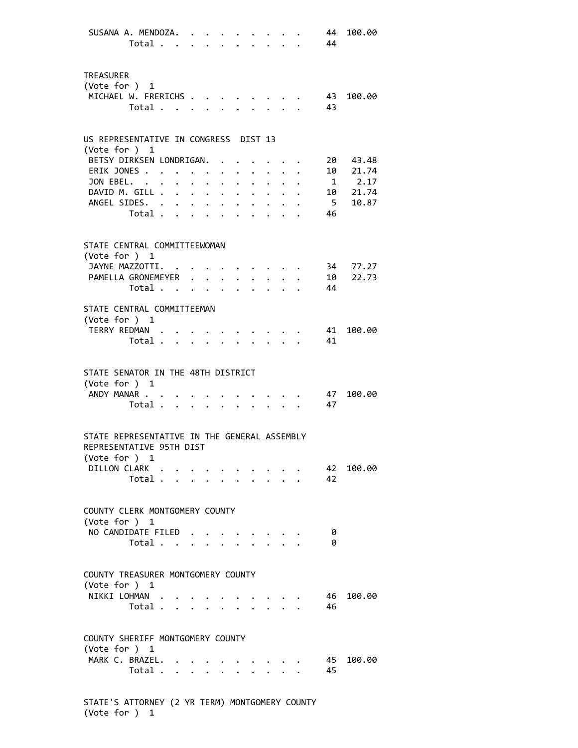| SUSANA A. MENDOZA.                                                                        | Total 44                         |                                                                                                                                                                                                                               |                                  |             |                                                                                           |                                                           |        | 44             | 100.00                 |
|-------------------------------------------------------------------------------------------|----------------------------------|-------------------------------------------------------------------------------------------------------------------------------------------------------------------------------------------------------------------------------|----------------------------------|-------------|-------------------------------------------------------------------------------------------|-----------------------------------------------------------|--------|----------------|------------------------|
| <b>TREASURER</b><br>(Vote for $)$ 1<br>MICHAEL W. FRERICHS                                |                                  |                                                                                                                                                                                                                               |                                  |             |                                                                                           |                                                           |        | 43             | 100.00                 |
|                                                                                           | Total                            |                                                                                                                                                                                                                               |                                  |             |                                                                                           |                                                           |        | 43             |                        |
| US REPRESENTATIVE IN CONGRESS DIST 13<br>(Vote for ) 1                                    |                                  |                                                                                                                                                                                                                               |                                  |             |                                                                                           |                                                           |        |                |                        |
| BETSY DIRKSEN LONDRIGAN.                                                                  |                                  |                                                                                                                                                                                                                               |                                  |             |                                                                                           |                                                           |        |                | 20 43.48               |
| ERIK JONES                                                                                |                                  |                                                                                                                                                                                                                               | $\bullet$ . The set of $\bullet$ | $\bullet$ . | $\ddot{\phantom{0}}$                                                                      | $\mathbf{L}^{\text{max}}$ , and $\mathbf{L}^{\text{max}}$ |        |                | 10 21.74               |
| JON EBEL.<br>DAVID M. GILL                                                                |                                  |                                                                                                                                                                                                                               |                                  |             |                                                                                           |                                                           |        |                | $1 \t2.17$<br>10 21.74 |
| ANGEL SIDES.                                                                              |                                  |                                                                                                                                                                                                                               |                                  |             |                                                                                           |                                                           |        | 5 <sub>5</sub> | 10.87                  |
|                                                                                           | Total                            |                                                                                                                                                                                                                               |                                  |             |                                                                                           |                                                           |        | 46             |                        |
| STATE CENTRAL COMMITTEEWOMAN                                                              |                                  |                                                                                                                                                                                                                               |                                  |             |                                                                                           |                                                           |        |                |                        |
| (Vote for ) 1<br>JAYNE MAZZOTTI. 34 77.27                                                 |                                  |                                                                                                                                                                                                                               |                                  |             |                                                                                           |                                                           |        |                |                        |
| PAMELLA GRONEMEYER                                                                        |                                  |                                                                                                                                                                                                                               |                                  |             |                                                                                           |                                                           |        | 10             | 22.73                  |
|                                                                                           | Total .                          | . The contract of the contract of the contract of the contract of the contract of the contract of the contract of the contract of the contract of the contract of the contract of the contract of the contract of the contrac |                                  |             |                                                                                           |                                                           |        | 44             |                        |
|                                                                                           |                                  |                                                                                                                                                                                                                               |                                  |             |                                                                                           |                                                           |        |                |                        |
| STATE CENTRAL COMMITTEEMAN<br>(Vote for $)$ 1                                             |                                  |                                                                                                                                                                                                                               |                                  |             |                                                                                           |                                                           |        |                |                        |
| TERRY REDMAN                                                                              |                                  |                                                                                                                                                                                                                               |                                  |             |                                                                                           |                                                           |        | 41             | 100.00                 |
|                                                                                           | Total.                           |                                                                                                                                                                                                                               |                                  |             |                                                                                           |                                                           | $\sim$ | 41             |                        |
| STATE SENATOR IN THE 48TH DISTRICT<br>(Vote for ) 1                                       |                                  |                                                                                                                                                                                                                               |                                  |             |                                                                                           |                                                           |        |                |                        |
| ANDY MANAR                                                                                |                                  |                                                                                                                                                                                                                               |                                  |             |                                                                                           |                                                           |        | 47             | 100.00                 |
|                                                                                           | Total                            |                                                                                                                                                                                                                               |                                  |             |                                                                                           |                                                           |        | 47             |                        |
| STATE REPRESENTATIVE IN THE GENERAL ASSEMBLY<br>REPRESENTATIVE 95TH DIST<br>(Vote for ) 1 |                                  |                                                                                                                                                                                                                               |                                  |             |                                                                                           |                                                           |        |                |                        |
| DILLON CLARK                                                                              |                                  |                                                                                                                                                                                                                               |                                  |             | $\mathcal{L}(\mathbf{r})$ , and $\mathcal{L}(\mathbf{r})$ , and $\mathcal{L}(\mathbf{r})$ |                                                           |        |                | 42 100.00              |
|                                                                                           | Total $\cdots$ $\cdots$ $\cdots$ |                                                                                                                                                                                                                               |                                  |             |                                                                                           |                                                           |        | 42             |                        |
| COUNTY CLERK MONTGOMERY COUNTY<br>(Vote for $)$ 1                                         |                                  |                                                                                                                                                                                                                               |                                  |             |                                                                                           |                                                           |        |                |                        |
| NO CANDIDATE FILED                                                                        |                                  |                                                                                                                                                                                                                               |                                  |             |                                                                                           |                                                           |        | 0              |                        |
|                                                                                           | Total                            |                                                                                                                                                                                                                               |                                  |             |                                                                                           |                                                           |        | 0              |                        |
| COUNTY TREASURER MONTGOMERY COUNTY<br>(Vote for ) 1                                       |                                  |                                                                                                                                                                                                                               |                                  |             |                                                                                           |                                                           |        |                |                        |
| NIKKI LOHMAN                                                                              |                                  |                                                                                                                                                                                                                               |                                  |             |                                                                                           |                                                           |        | 46             | 100.00                 |
|                                                                                           | Total                            |                                                                                                                                                                                                                               |                                  |             |                                                                                           |                                                           |        | 46             |                        |
| COUNTY SHERIFF MONTGOMERY COUNTY                                                          |                                  |                                                                                                                                                                                                                               |                                  |             |                                                                                           |                                                           |        |                |                        |
| (Vote for ) 1                                                                             |                                  |                                                                                                                                                                                                                               |                                  |             |                                                                                           |                                                           |        |                |                        |
| MARK C. BRAZEL.                                                                           | Total                            |                                                                                                                                                                                                                               |                                  |             |                                                                                           |                                                           |        | 45<br>45       | 100.00                 |
|                                                                                           |                                  |                                                                                                                                                                                                                               |                                  |             |                                                                                           |                                                           |        |                |                        |
|                                                                                           |                                  |                                                                                                                                                                                                                               |                                  |             |                                                                                           |                                                           |        |                |                        |

 STATE'S ATTORNEY (2 YR TERM) MONTGOMERY COUNTY (Vote for ) 1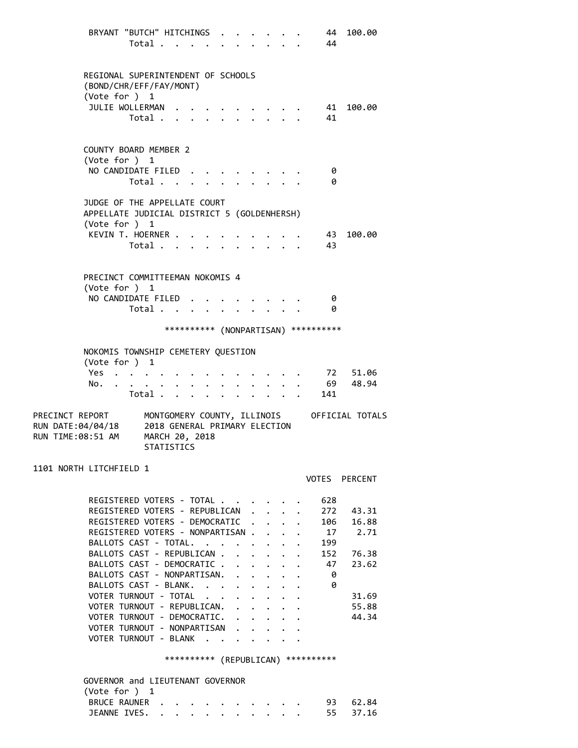BRYANT "BUTCH" HITCHINGS . . . . . . 44 100.00 Total . . . . . . . . . . 44 REGIONAL SUPERINTENDENT OF SCHOOLS (BOND/CHR/EFF/FAY/MONT) (Vote for ) 1 JULIE WOLLERMAN . . . . . . . . . 41 100.00 Total . . . . . . . . . . 41 COUNTY BOARD MEMBER 2 (Vote for ) 1 NO CANDIDATE FILED . . . . . . . . 0 Total . . . . . . . . . . 0 JUDGE OF THE APPELLATE COURT APPELLATE JUDICIAL DISTRICT 5 (GOLDENHERSH) (Vote for ) 1 KEVIN T. HOERNER . . . . . . . . . . 43 100.00 Total . . . . . . . . . . 43 PRECINCT COMMITTEEMAN NOKOMIS 4 (Vote for ) 1 NO CANDIDATE FILED . . . . . . . . 0 Total . . . . . . . . . . 0 \*\*\*\*\*\*\*\*\*\* (NONPARTISAN) \*\*\*\*\*\*\*\*\*\* NOKOMIS TOWNSHIP CEMETERY QUESTION (Vote for ) 1 Yes . . . . . . . . . . . . . 72 51.06 No. . . . . . . . . . . . . . . 69 48.94 Total . . . . . . . . . . 141 PRECINCT REPORT MONTGOMERY COUNTY, ILLINOIS OFFICIAL TOTALS RUN DATE:04/04/18 2018 GENERAL PRIMARY ELECTION RUN TIME:08:51 AM MARCH 20, 2018 STATISTICS 1101 NORTH LITCHFIELD 1 VOTES PERCENT REGISTERED VOTERS - TOTAL . . . . . . 628 REGISTERED VOTERS - REPUBLICAN . . . . 272 43.31 REGISTERED VOTERS - DEMOCRATIC . . . . 106 16.88 REGISTERED VOTERS - NONPARTISAN . . . . 17 2.71 BALLOTS CAST - TOTAL. . . . . . . . 199 BALLOTS CAST - REPUBLICAN . . . . . . 152 76.38 BALLOTS CAST - DEMOCRATIC . . . . . . 47 23.62 BALLOTS CAST - NONPARTISAN. . . . . . 0 BALLOTS CAST - BLANK. . . . . . . . 0 VOTER TURNOUT - TOTAL . . . . . . . . 31.69 VOTER TURNOUT - REPUBLICAN. . . . . . 55.88 VOTER TURNOUT - DEMOCRATIC. . . . . . 44.34 VOTER TURNOUT - NONPARTISAN . . . . VOTER TURNOUT - BLANK . . . . . \*\*\*\*\*\*\*\*\*\* (REPUBLICAN) \*\*\*\*\*\*\*\*\*\* GOVERNOR and LIEUTENANT GOVERNOR (Vote for ) 1 BRUCE RAUNER . . . . . . . . . . 93 62.84 JEANNE IVES. . . . . . . . . . . . 55 37.16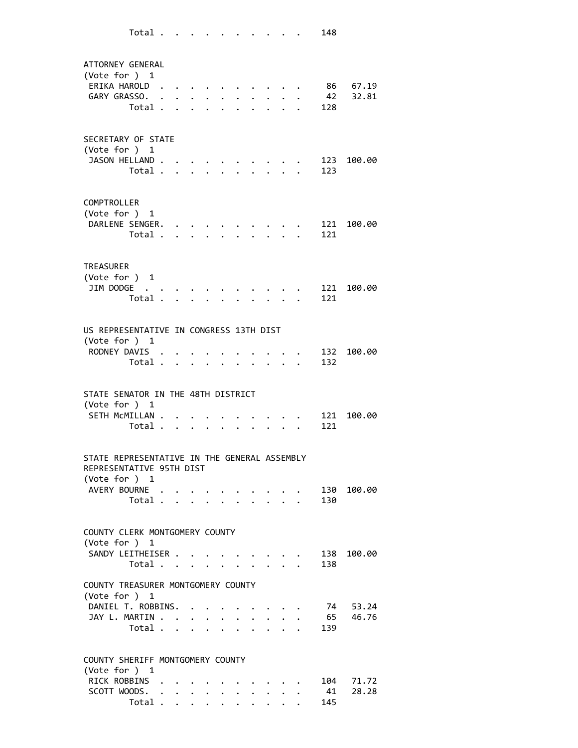ATTORNEY GENERAL (Vote for ) 1 ERIKA HAROLD . . . . . . . . . . 86 67.19 GARY GRASSO. . . . . . . . . . . 42 32.81 Total . . . . . . . . . . 128 SECRETARY OF STATE (Vote for ) 1 JASON HELLAND . . . . . . . . . . 123 100.00 Total . . . . . . . . . . 123 COMPTROLLER (Vote for ) 1 DARLENE SENGER. . . . . . . . . . 121 100.00 Total . . . . . . . . . . 121 TREASURER (Vote for ) 1 JIM DODGE . . . . . . . . . . . 121 100.00 Total . . . . . . . . . . 121 US REPRESENTATIVE IN CONGRESS 13TH DIST (Vote for ) 1 RODNEY DAVIS . . . . . . . . . . 132 100.00 Total . . . . . . . . . . 132 STATE SENATOR IN THE 48TH DISTRICT (Vote for ) 1 SETH MCMILLAN . . . . . . . . . . 121 100.00 Total . . . . . . . . . . 121 STATE REPRESENTATIVE IN THE GENERAL ASSEMBLY REPRESENTATIVE 95TH DIST (Vote for ) 1 AVERY BOURNE . . . . . . . . . . 130 100.00 Total . . . . . . . . . . 130 COUNTY CLERK MONTGOMERY COUNTY (Vote for ) 1 SANDY LEITHEISER . . . . . . . . . 138 100.00 Total . . . . . . . . . . 138 COUNTY TREASURER MONTGOMERY COUNTY (Vote for ) 1 DANIEL T. ROBBINS. . . . . . . . . 74 53.24 JAY L. MARTIN . . . . . . . . . . . 65 46.76 Total . . . . . . . . . . 139 COUNTY SHERIFF MONTGOMERY COUNTY (Vote for ) 1 RICK ROBBINS . . . . . . . . . . 104 71.72 SCOTT WOODS. . . . . . . . . . . 41 28.28 Total . . . . . . . . . . 145

Total . . . . . . . . . . 148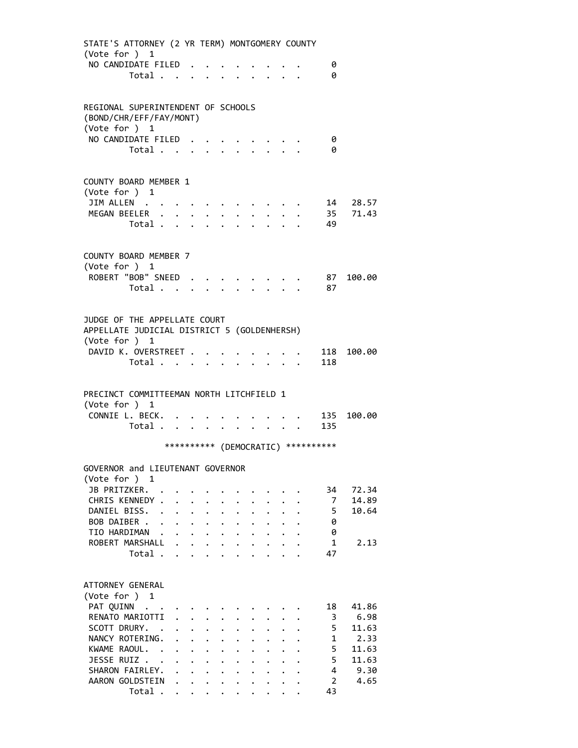| STATE'S ATTORNEY (2 YR TERM) MONTGOMERY COUNTY                              |                                      |                                                                                |                           |                                                                           |                                              |              |                      |                                     |               |
|-----------------------------------------------------------------------------|--------------------------------------|--------------------------------------------------------------------------------|---------------------------|---------------------------------------------------------------------------|----------------------------------------------|--------------|----------------------|-------------------------------------|---------------|
| (Vote for ) 1<br>NO CANDIDATE FILED                                         |                                      |                                                                                |                           |                                                                           |                                              |              |                      | 0                                   |               |
| Total                                                                       |                                      |                                                                                |                           |                                                                           |                                              |              |                      | 0                                   |               |
|                                                                             |                                      |                                                                                |                           |                                                                           |                                              |              |                      |                                     |               |
|                                                                             |                                      |                                                                                |                           |                                                                           |                                              |              |                      |                                     |               |
| REGIONAL SUPERINTENDENT OF SCHOOLS<br>(BOND/CHR/EFF/FAY/MONT)               |                                      |                                                                                |                           |                                                                           |                                              |              |                      |                                     |               |
| (Vote for ) 1                                                               |                                      |                                                                                |                           |                                                                           |                                              |              |                      |                                     |               |
| NO CANDIDATE FILED                                                          |                                      |                                                                                |                           |                                                                           |                                              |              |                      | - 0                                 |               |
| Total                                                                       |                                      |                                                                                |                           |                                                                           |                                              |              |                      | 0                                   |               |
|                                                                             |                                      |                                                                                |                           |                                                                           |                                              |              |                      |                                     |               |
| <b>COUNTY BOARD MEMBER 1</b>                                                |                                      |                                                                                |                           |                                                                           |                                              |              |                      |                                     |               |
| (Vote for ) 1                                                               |                                      |                                                                                |                           |                                                                           |                                              |              |                      |                                     |               |
| JIM ALLEN                                                                   |                                      |                                                                                |                           |                                                                           |                                              |              |                      |                                     | 14 28.57      |
| MEGAN BEELER<br>Total                                                       |                                      |                                                                                |                           |                                                                           |                                              |              |                      | 49                                  | 35 71.43      |
|                                                                             |                                      |                                                                                |                           |                                                                           |                                              |              |                      |                                     |               |
|                                                                             |                                      |                                                                                |                           |                                                                           |                                              |              |                      |                                     |               |
| COUNTY BOARD MEMBER 7                                                       |                                      |                                                                                |                           |                                                                           |                                              |              |                      |                                     |               |
| (Vote for ) 1<br>ROBERT "BOB" SNEED                                         |                                      |                                                                                |                           |                                                                           |                                              |              |                      |                                     | 87 100.00     |
| Total                                                                       |                                      |                                                                                | $\mathbf{L}^{\text{max}}$ |                                                                           |                                              |              |                      | 87                                  |               |
|                                                                             |                                      |                                                                                |                           |                                                                           |                                              |              |                      |                                     |               |
|                                                                             |                                      |                                                                                |                           |                                                                           |                                              |              |                      |                                     |               |
| JUDGE OF THE APPELLATE COURT<br>APPELLATE JUDICIAL DISTRICT 5 (GOLDENHERSH) |                                      |                                                                                |                           |                                                                           |                                              |              |                      |                                     |               |
| (Vote for ) 1                                                               |                                      |                                                                                |                           |                                                                           |                                              |              |                      |                                     |               |
| DAVID K. OVERSTREET                                                         |                                      |                                                                                |                           |                                                                           |                                              |              |                      |                                     | 118 100.00    |
| Total                                                                       |                                      | $\mathbf{L}$                                                                   |                           |                                                                           |                                              |              |                      | 118                                 |               |
|                                                                             |                                      |                                                                                |                           |                                                                           |                                              |              |                      |                                     |               |
| PRECINCT COMMITTEEMAN NORTH LITCHFIELD 1                                    |                                      |                                                                                |                           |                                                                           |                                              |              |                      |                                     |               |
| (Vote for ) 1                                                               |                                      |                                                                                |                           |                                                                           |                                              |              |                      |                                     |               |
| CONNIE L. BECK.                                                             |                                      |                                                                                |                           |                                                                           |                                              |              |                      |                                     | . 135 100.00  |
| Total 135                                                                   |                                      |                                                                                |                           |                                                                           |                                              |              |                      |                                     |               |
|                                                                             |                                      |                                                                                |                           |                                                                           |                                              |              |                      | *********** (DEMOCRATIC) ********** |               |
|                                                                             |                                      |                                                                                |                           |                                                                           |                                              |              |                      |                                     |               |
| GOVERNOR and LIEUTENANT GOVERNOR<br>(Vote for ) 1                           |                                      |                                                                                |                           |                                                                           |                                              |              |                      |                                     |               |
| JB PRITZKER.                                                                |                                      |                                                                                |                           |                                                                           |                                              |              |                      | 34                                  | 72.34         |
| CHRIS KENNEDY .                                                             |                                      |                                                                                |                           |                                                                           |                                              |              |                      | 7                                   | 14.89         |
| DANIEL BISS.                                                                |                                      | $\ddot{\phantom{0}}$                                                           |                           |                                                                           |                                              |              |                      | 5                                   | 10.64         |
| BOB DAIBER .                                                                | $\ddot{\phantom{0}}$                 | $\ddot{\phantom{1}}$                                                           |                           |                                                                           |                                              |              |                      | 0                                   |               |
| TIO HARDIMAN<br>ROBERT MARSHALL                                             |                                      | $\cdot$ $\cdot$ $\cdot$<br>$\mathbf{1}$ $\mathbf{1}$ $\mathbf{1}$ $\mathbf{1}$ | $\mathbf{r}$              | $\mathbf{L}$<br>$\mathbf{r}$ , $\mathbf{r}$ , $\mathbf{r}$ , $\mathbf{r}$ | $\ddot{\phantom{0}}$                         |              | $\ddot{\phantom{0}}$ | 0<br>$\mathbf{1}$                   | 2.13          |
| Total                                                                       |                                      |                                                                                |                           |                                                                           |                                              |              |                      | 47                                  |               |
|                                                                             |                                      |                                                                                |                           |                                                                           |                                              |              |                      |                                     |               |
|                                                                             |                                      |                                                                                |                           |                                                                           |                                              |              |                      |                                     |               |
| ATTORNEY GENERAL<br>(Vote for ) 1                                           |                                      |                                                                                |                           |                                                                           |                                              |              |                      |                                     |               |
| PAT QUINN .                                                                 |                                      |                                                                                |                           |                                                                           |                                              |              |                      | 18                                  | 41.86         |
| RENATO MARIOTTI                                                             | $\mathbf{L} = \mathbf{L}$            | $\mathbf{r}$                                                                   |                           |                                                                           |                                              |              |                      | 3                                   | 6.98          |
| SCOTT DRURY. .                                                              |                                      | $\mathbf{L}$ $\mathbf{L}$                                                      | $\mathbf{L}$              | $\mathbf{r}$                                                              | $\mathbf{r}$                                 | $\mathbf{L}$ | $\mathbf{L}$         | 5                                   | 11.63         |
| NANCY ROTERING.<br>KWAME RAOUL. .                                           | $\mathbf{L}$<br>$\ddot{\phantom{0}}$ | $\mathbf{1}$ $\mathbf{1}$ $\mathbf{1}$ $\mathbf{1}$<br>$\ddot{\phantom{0}}$    |                           | $\ddot{\phantom{a}}$<br>$\ddot{\phantom{a}}$                              | $\ddot{\phantom{0}}$<br>$\ddot{\phantom{0}}$ |              | $\ddot{\phantom{0}}$ | 1<br>5                              | 2.33<br>11.63 |
| JESSE RUIZ                                                                  | $\ddot{\phantom{a}}$                 | $\ddot{\phantom{0}}$                                                           |                           |                                                                           | $\ddot{\phantom{0}}$                         |              |                      | 5                                   | 11.63         |
| SHARON FAIRLEY.                                                             | $\ddot{\phantom{0}}$                 | $\cdot$ $\cdot$                                                                | $\ddot{\phantom{0}}$      | $\bullet$                                                                 | $\ddot{\phantom{0}}$                         |              |                      | 4                                   | 9.30          |
| AARON GOLDSTEIN                                                             |                                      |                                                                                |                           |                                                                           |                                              |              |                      | $\overline{2}$                      | 4.65          |
| Total .                                                                     |                                      | $\ddot{\phantom{0}}$                                                           |                           |                                                                           |                                              |              |                      | 43                                  |               |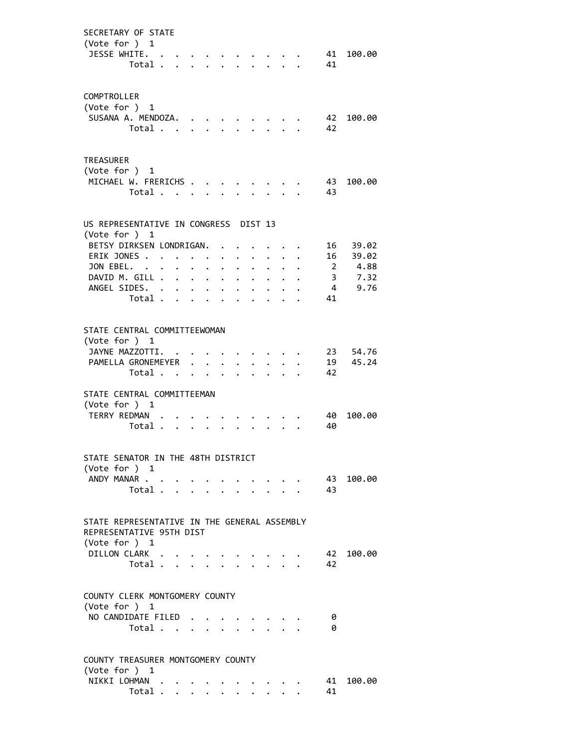| SECRETARY OF STATE<br>(Vote for ) 1<br>JESSE WHITE.                                                                                                       | Total                                     |                      |                                                                 |             |                     |                 |                                                                                      |                           | 41<br>41             | 100.00                         |
|-----------------------------------------------------------------------------------------------------------------------------------------------------------|-------------------------------------------|----------------------|-----------------------------------------------------------------|-------------|---------------------|-----------------|--------------------------------------------------------------------------------------|---------------------------|----------------------|--------------------------------|
| COMPTROLLER<br>(Vote for ) 1<br>SUSANA A. MENDOZA.                                                                                                        | Total                                     |                      |                                                                 |             |                     |                 | $\mathbf{r}$ and $\mathbf{r}$ and $\mathbf{r}$                                       |                           | 42<br>42             | 100.00                         |
| TREASURER<br>(Vote for ) 1<br>MICHAEL W. FRERICHS                                                                                                         | Total                                     |                      | $\mathcal{L}^{\text{max}}$                                      |             |                     |                 | $\mathbf{r}$                                                                         |                           | 43<br>43             | 100.00                         |
| US REPRESENTATIVE IN CONGRESS DIST 13                                                                                                                     |                                           |                      |                                                                 |             |                     |                 |                                                                                      |                           |                      |                                |
| (Vote for ) 1                                                                                                                                             |                                           |                      |                                                                 |             |                     |                 |                                                                                      |                           |                      |                                |
| BETSY DIRKSEN LONDRIGAN.<br>ERIK JONES                                                                                                                    |                                           |                      |                                                                 |             |                     |                 |                                                                                      |                           |                      | 16 39.02                       |
| JON EBEL. .                                                                                                                                               |                                           |                      |                                                                 |             |                     |                 |                                                                                      |                           | 16<br>$\overline{2}$ | 39.02                          |
| DAVID M. GILL .                                                                                                                                           |                                           | $\ddot{\phantom{0}}$ | $\bullet$ .<br><br><br><br><br><br><br><br><br><br><br><br><br> | $\bullet$ . | $\ddotsc$ $\ddotsc$ |                 |                                                                                      |                           |                      | 4.88<br>3, 7.32                |
| ANGEL SIDES.                                                                                                                                              |                                           |                      |                                                                 |             |                     |                 |                                                                                      |                           |                      | 4 9.76                         |
|                                                                                                                                                           | Total                                     |                      |                                                                 |             |                     |                 | $\ddot{\phantom{0}}$                                                                 | $\mathbf{L} = \mathbf{L}$ | 41                   |                                |
|                                                                                                                                                           |                                           |                      |                                                                 |             |                     | $\cdot$ $\cdot$ | $\sim$                                                                               | $\mathbf{A}$              |                      |                                |
| STATE CENTRAL COMMITTEEWOMAN<br>(Vote for ) 1<br>JAYNE MAZZOTTI. .<br>PAMELLA GRONEMEYER<br>STATE CENTRAL COMMITTEEMAN<br>(Vote for ) 1<br>TERRY REDMAN . | Total                                     |                      |                                                                 |             | $\mathbf{r}$        |                 |                                                                                      | $\mathbf{1}$ $\mathbf{1}$ | 42<br>40             | 23 54.76<br>19 45.24<br>100.00 |
|                                                                                                                                                           | Total                                     |                      |                                                                 |             |                     |                 |                                                                                      |                           | 40                   |                                |
| STATE SENATOR IN THE 48TH DISTRICT<br>(Vote for ) 1<br>ANDY MANAR                                                                                         | Total $\ldots$ $\ldots$ $\ldots$ $\ldots$ |                      |                                                                 |             |                     |                 | $\cdot$ $\cdot$ $\cdot$ $\cdot$                                                      |                           | 43<br>43             | 100.00                         |
| STATE REPRESENTATIVE IN THE GENERAL ASSEMBLY<br>REPRESENTATIVE 95TH DIST                                                                                  |                                           |                      |                                                                 |             |                     |                 |                                                                                      |                           |                      |                                |
| (Vote for ) 1<br>DILLON CLARK                                                                                                                             |                                           |                      |                                                                 |             |                     |                 |                                                                                      |                           |                      | 100.00                         |
|                                                                                                                                                           |                                           |                      |                                                                 |             |                     |                 | $\bullet \qquad \bullet \qquad \bullet \qquad \bullet \qquad \bullet \qquad \bullet$ |                           | 42                   |                                |
|                                                                                                                                                           | Total                                     |                      |                                                                 |             |                     |                 |                                                                                      |                           | 42                   |                                |
| COUNTY CLERK MONTGOMERY COUNTY<br>(Vote for $)$ 1<br>NO CANDIDATE FILED                                                                                   | Total                                     |                      |                                                                 |             |                     |                 |                                                                                      |                           | 0<br>0               |                                |
| COUNTY TREASURER MONTGOMERY COUNTY                                                                                                                        |                                           |                      |                                                                 |             |                     |                 |                                                                                      |                           |                      |                                |
| (Vote for ) 1                                                                                                                                             |                                           |                      |                                                                 |             |                     |                 |                                                                                      |                           |                      |                                |
| NIKKI LOHMAN                                                                                                                                              |                                           |                      |                                                                 |             |                     |                 |                                                                                      |                           | 41                   | 100.00                         |
|                                                                                                                                                           | Total                                     |                      |                                                                 |             |                     |                 |                                                                                      |                           | 41                   |                                |
|                                                                                                                                                           |                                           |                      |                                                                 |             |                     |                 |                                                                                      |                           |                      |                                |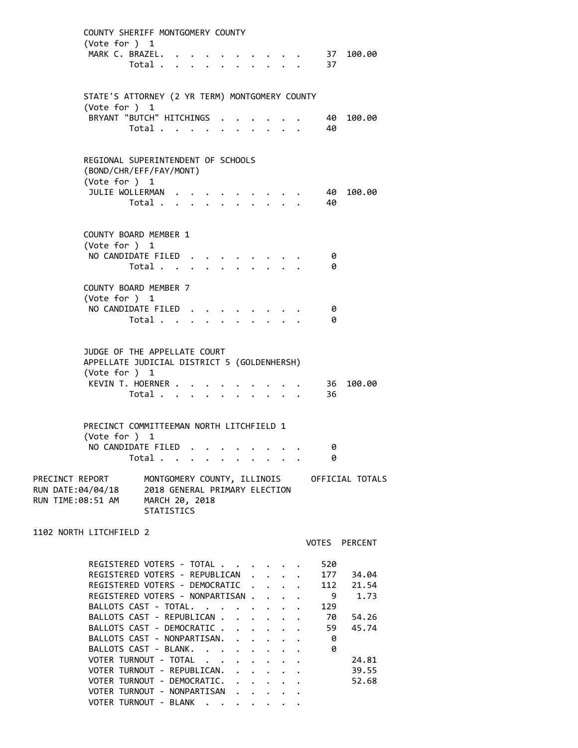| COUNTY SHERIFF MONTGOMERY COUNTY<br>(Vote for $)$ 1<br>MARK C. BRAZEL.                                                                                                                   | Total                                                                |  |  |                                    |  | 37                                    | $\cdot$ 37 100.00                           |
|------------------------------------------------------------------------------------------------------------------------------------------------------------------------------------------|----------------------------------------------------------------------|--|--|------------------------------------|--|---------------------------------------|---------------------------------------------|
| STATE'S ATTORNEY (2 YR TERM) MONTGOMERY COUNTY<br>(Vote for ) 1                                                                                                                          |                                                                      |  |  |                                    |  |                                       |                                             |
| BRYANT "BUTCH" HITCHINGS                                                                                                                                                                 | Total                                                                |  |  |                                    |  | 40<br>40                              | 100.00                                      |
| REGIONAL SUPERINTENDENT OF SCHOOLS<br>(BOND/CHR/EFF/FAY/MONT)<br>(Vote for ) 1                                                                                                           |                                                                      |  |  |                                    |  |                                       |                                             |
| JULIE WOLLERMAN                                                                                                                                                                          | Total                                                                |  |  |                                    |  | 40<br>40                              | 100.00                                      |
| <b>COUNTY BOARD MEMBER 1</b><br>(Vote for ) 1                                                                                                                                            |                                                                      |  |  |                                    |  |                                       |                                             |
| NO CANDIDATE FILED                                                                                                                                                                       | Total $\cdots$ $\cdots$ $\cdots$                                     |  |  |                                    |  | 0<br>0                                |                                             |
| COUNTY BOARD MEMBER 7<br>(Vote for ) 1<br>NO CANDIDATE FILED                                                                                                                             |                                                                      |  |  |                                    |  | 0                                     |                                             |
|                                                                                                                                                                                          | Total                                                                |  |  |                                    |  | 0                                     |                                             |
| JUDGE OF THE APPELLATE COURT<br>APPELLATE JUDICIAL DISTRICT 5 (GOLDENHERSH)<br>(Vote for $)$ 1                                                                                           |                                                                      |  |  |                                    |  |                                       |                                             |
| KEVIN T. HOERNER                                                                                                                                                                         | Total                                                                |  |  |                                    |  | 36<br>36                              | 100.00                                      |
| PRECINCT COMMITTEEMAN NORTH LITCHFIELD 1<br>(Vote for ) 1                                                                                                                                |                                                                      |  |  |                                    |  |                                       |                                             |
| NO CANDIDATE FILED.                                                                                                                                                                      | Total                                                                |  |  |                                    |  | 0<br>0                                |                                             |
| PRECINCT REPORT<br>RUN DATE:04/04/18<br>RUN TIME:08:51 AM                                                                                                                                | 2018 GENERAL PRIMARY ELECTION<br>MARCH 20, 2018<br><b>STATISTICS</b> |  |  |                                    |  |                                       | MONTGOMERY COUNTY, ILLINOIS OFFICIAL TOTALS |
| 1102 NORTH LITCHFIELD 2                                                                                                                                                                  |                                                                      |  |  |                                    |  |                                       | VOTES PERCENT                               |
| REGISTERED VOTERS - TOTAL<br>REGISTERED VOTERS - REPUBLICAN<br>REGISTERED VOTERS - DEMOCRATIC .<br>REGISTERED VOTERS - NONPARTISAN<br>BALLOTS CAST - TOTAL.<br>BALLOTS CAST - REPUBLICAN |                                                                      |  |  | $\mathbb{Z}^{\mathbb{Z}^{\times}}$ |  | 520<br>177<br>112<br>9<br>129<br>70 - | 34.04<br>21.54<br>1.73<br>54.26             |
| BALLOTS CAST - DEMOCRATIC<br>BALLOTS CAST - NONPARTISAN.<br>BALLOTS CAST - BLANK.<br>VOTER TURNOUT - TOTAL                                                                               |                                                                      |  |  |                                    |  | 59<br>0<br>0                          | 45.74<br>24.81                              |
| VOTER TURNOUT - REPUBLICAN.<br>VOTER TURNOUT - DEMOCRATIC.<br>VOTER TURNOUT - NONPARTISAN<br>VOTER TURNOUT - BLANK                                                                       |                                                                      |  |  |                                    |  |                                       | 39.55<br>52.68                              |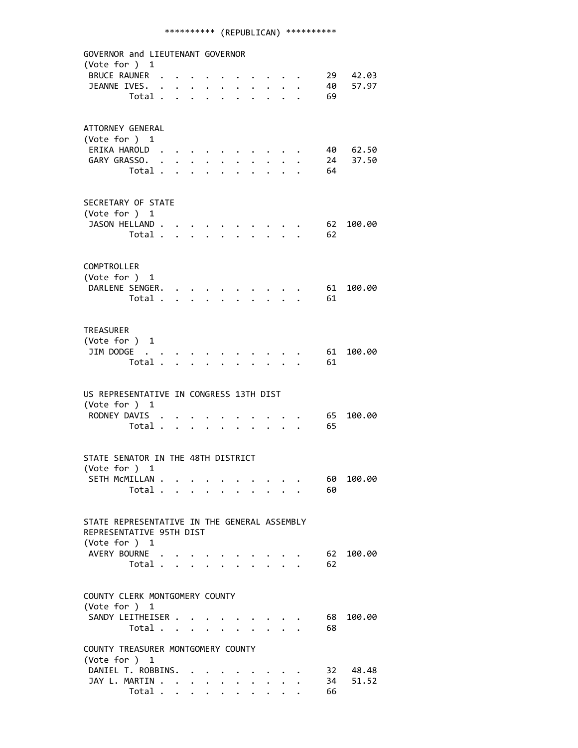## \*\*\*\*\*\*\*\*\*\* (REPUBLICAN) \*\*\*\*\*\*\*\*\*\*

 GOVERNOR and LIEUTENANT GOVERNOR (Vote for ) 1 BRUCE RAUNER . . . . . . . . . . 29 42.03 JEANNE IVES. . . . . . . . . . . 40 57.97 Total . . . . . . . . . . 69 ATTORNEY GENERAL (Vote for ) 1 ERIKA HAROLD . . . . . . . . . . 40 62.50 GARY GRASSO. . . . . . . . . . . 24 37.50 Total . . . . . . . . . . 64 SECRETARY OF STATE (Vote for ) 1 JASON HELLAND . . . . . . . . . . . 62 100.00 Total . . . . . . . . . . 62 COMPTROLLER (Vote for ) 1 DARLENE SENGER. . . . . . . . . . 61 100.00 Total . . . . . . . . . . 61 TREASURER (Vote for ) 1 JIM DODGE . . . . . . . . . . . . 61 100.00 Total . . . . . . . . . . 61 US REPRESENTATIVE IN CONGRESS 13TH DIST (Vote for ) 1 RODNEY DAVIS . . . . . . . . . . . 65 100.00 Total . . . . . . . . . . 65 STATE SENATOR IN THE 48TH DISTRICT (Vote for ) 1 SETH MCMILLAN . . . . . . . . . . . 60 100.00 Total . . . . . . . . . . 60 STATE REPRESENTATIVE IN THE GENERAL ASSEMBLY REPRESENTATIVE 95TH DIST (Vote for ) 1 AVERY BOURNE . . . . . . . . . . 62 100.00 Total . . . . . . . . . . 62 COUNTY CLERK MONTGOMERY COUNTY (Vote for ) 1 SANDY LEITHEISER . . . . . . . . . 68 100.00 Total . . . . . . . . . . 68 COUNTY TREASURER MONTGOMERY COUNTY (Vote for ) 1 DANIEL T. ROBBINS. . . . . . . . . 32 48.48 JAY L. MARTIN . . . . . . . . . . . 34 51.52 Total . . . . . . . . . . 66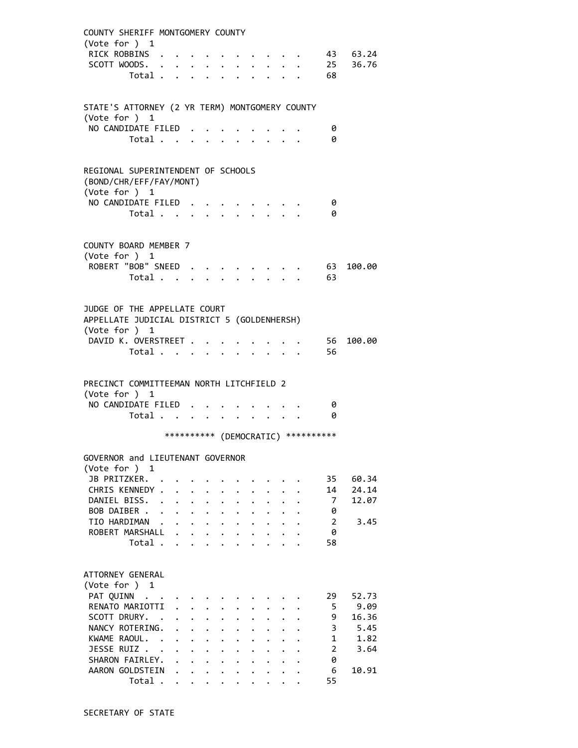| COUNTY SHERIFF MONTGOMERY COUNTY                                                             | (Vote for ) 1                            |                                                |                                 |                      |                                              |                                              |                           |                                              |                                     |              |
|----------------------------------------------------------------------------------------------|------------------------------------------|------------------------------------------------|---------------------------------|----------------------|----------------------------------------------|----------------------------------------------|---------------------------|----------------------------------------------|-------------------------------------|--------------|
|                                                                                              | RICK ROBBINS .                           |                                                |                                 |                      |                                              |                                              |                           |                                              |                                     | 43 63.24     |
|                                                                                              | SCOTT WOODS.                             |                                                |                                 |                      |                                              |                                              |                           |                                              |                                     | 25 36.76     |
|                                                                                              | Total                                    |                                                |                                 |                      |                                              |                                              |                           |                                              | 68                                  |              |
|                                                                                              |                                          |                                                |                                 |                      |                                              |                                              |                           |                                              |                                     |              |
|                                                                                              |                                          |                                                |                                 |                      |                                              |                                              |                           |                                              |                                     |              |
| STATE'S ATTORNEY (2 YR TERM) MONTGOMERY COUNTY                                               |                                          |                                                |                                 |                      |                                              |                                              |                           |                                              |                                     |              |
| (Vote for ) 1                                                                                | NO CANDIDATE FILED                       |                                                |                                 |                      |                                              |                                              |                           |                                              |                                     |              |
|                                                                                              | Total                                    |                                                |                                 |                      |                                              |                                              |                           |                                              | 0<br>0                              |              |
|                                                                                              |                                          |                                                |                                 |                      |                                              |                                              |                           |                                              |                                     |              |
| REGIONAL SUPERINTENDENT OF SCHOOLS                                                           | (BOND/CHR/EFF/FAY/MONT)<br>(Vote for ) 1 |                                                |                                 |                      |                                              |                                              |                           |                                              |                                     |              |
|                                                                                              | NO CANDIDATE FILED                       |                                                |                                 |                      |                                              |                                              |                           |                                              | 0                                   |              |
|                                                                                              | Total $\cdots$ $\cdots$ $\cdots$         |                                                |                                 |                      |                                              |                                              |                           |                                              | 0                                   |              |
| COUNTY BOARD MEMBER 7                                                                        | (Vote for ) 1<br>ROBERT "BOB" SNEED      |                                                |                                 |                      |                                              |                                              |                           |                                              |                                     | 63 100.00    |
|                                                                                              | Total                                    |                                                |                                 |                      |                                              |                                              |                           |                                              | 63                                  |              |
|                                                                                              |                                          |                                                |                                 |                      |                                              |                                              |                           |                                              |                                     |              |
| JUDGE OF THE APPELLATE COURT<br>APPELLATE JUDICIAL DISTRICT 5 (GOLDENHERSH)<br>(Vote for ) 1 | DAVID K. OVERSTREET<br>Total             |                                                |                                 |                      |                                              |                                              |                           |                                              | 56<br>56                            | 100.00       |
| PRECINCT COMMITTEEMAN NORTH LITCHFIELD 2                                                     |                                          |                                                |                                 |                      |                                              |                                              |                           |                                              |                                     |              |
|                                                                                              | (Vote for ) 1                            |                                                |                                 |                      |                                              |                                              |                           |                                              |                                     |              |
|                                                                                              | NO CANDIDATE FILED                       |                                                |                                 |                      |                                              |                                              |                           |                                              | 0                                   |              |
|                                                                                              | Total                                    |                                                | $\cdot$ $\cdot$ $\cdot$ $\cdot$ |                      |                                              |                                              | $\mathbf{L} = \mathbf{L}$ |                                              | 0                                   |              |
|                                                                                              |                                          |                                                |                                 |                      |                                              |                                              |                           |                                              | *********** (DEMOCRATIC) ********** |              |
|                                                                                              |                                          |                                                |                                 |                      |                                              |                                              |                           |                                              |                                     |              |
| GOVERNOR and LIEUTENANT GOVERNOR                                                             |                                          |                                                |                                 |                      |                                              |                                              |                           |                                              |                                     |              |
| (Vote for ) 1                                                                                |                                          |                                                |                                 |                      |                                              |                                              |                           |                                              |                                     |              |
|                                                                                              | JB PRITZKER.                             |                                                |                                 |                      |                                              |                                              |                           |                                              | 35                                  | 60.34        |
|                                                                                              | CHRIS KENNEDY .                          |                                                |                                 |                      |                                              |                                              |                           |                                              | 14                                  | 24.14        |
|                                                                                              | DANIEL BISS.                             | $\mathbf{L} = \mathbf{L} \times \mathbf{L}$    |                                 | $\ddot{\phantom{a}}$ | $\ddot{\phantom{a}}$                         |                                              |                           |                                              | $\overline{7}$                      | 12.07        |
|                                                                                              | BOB DAIBER                               |                                                |                                 |                      | $\ddot{\phantom{0}}$                         | $\ddot{\phantom{0}}$                         | $\ddot{\phantom{0}}$      |                                              | 0                                   |              |
|                                                                                              | TIO HARDIMAN .<br>ROBERT MARSHALL .      | $\cdots$ $\cdots$                              | $\cdot$ $\cdot$ $\cdot$         |                      | $\ddot{\phantom{0}}$                         | $\ddot{\phantom{0}}$                         |                           | $\ddot{\phantom{a}}$                         | $\overline{2}$<br>0                 | 3.45         |
|                                                                                              | Total                                    |                                                |                                 |                      | $\ddot{\phantom{0}}$<br>$\ddot{\phantom{0}}$ | $\ddot{\phantom{0}}$<br>$\ddot{\phantom{0}}$ |                           | $\ddot{\phantom{0}}$<br>$\ddot{\phantom{a}}$ | 58                                  |              |
|                                                                                              |                                          |                                                |                                 |                      |                                              |                                              |                           |                                              |                                     |              |
| ATTORNEY GENERAL<br>(Vote for ) 1                                                            |                                          |                                                |                                 |                      |                                              |                                              |                           |                                              |                                     |              |
|                                                                                              | PAT QUINN                                |                                                |                                 |                      |                                              |                                              |                           |                                              | 29                                  | 52.73        |
|                                                                                              | RENATO MARIOTTI                          | $\mathbf{r}$                                   | $\mathbf{L}$                    |                      |                                              |                                              |                           |                                              | 5                                   | 9.09         |
|                                                                                              | SCOTT DRURY. .                           | . L                                            | $\mathbf{L}$                    | $\ddot{\phantom{a}}$ |                                              |                                              |                           |                                              | 9                                   | 16.36        |
|                                                                                              | NANCY ROTERING.<br>KWAME RAOUL. .        | $\ddot{\phantom{0}}$                           | $\ddot{\phantom{0}}$            |                      |                                              |                                              |                           |                                              | 3<br>$\mathbf{1}$                   | 5.45<br>1.82 |
|                                                                                              |                                          | $\ddot{\phantom{0}}$<br>$\ddot{\phantom{0}}$   | $\ddot{\phantom{0}}$            | $\ddot{\phantom{0}}$ | $\ddot{\phantom{0}}$                         |                                              |                           |                                              |                                     |              |
|                                                                                              |                                          |                                                |                                 |                      |                                              |                                              |                           |                                              |                                     |              |
|                                                                                              | JESSE RUIZ                               | $\sim$<br>$\ddot{\phantom{0}}$<br>$\mathbf{L}$ | $\ddotsc$                       | $\ddot{\phantom{0}}$ |                                              |                                              |                           |                                              | $\overline{2}$                      | 3.64         |
|                                                                                              | SHARON FAIRLEY.<br>AARON GOLDSTEIN       |                                                |                                 | $\ddot{\phantom{a}}$ |                                              |                                              |                           |                                              | 0<br>6                              | 10.91        |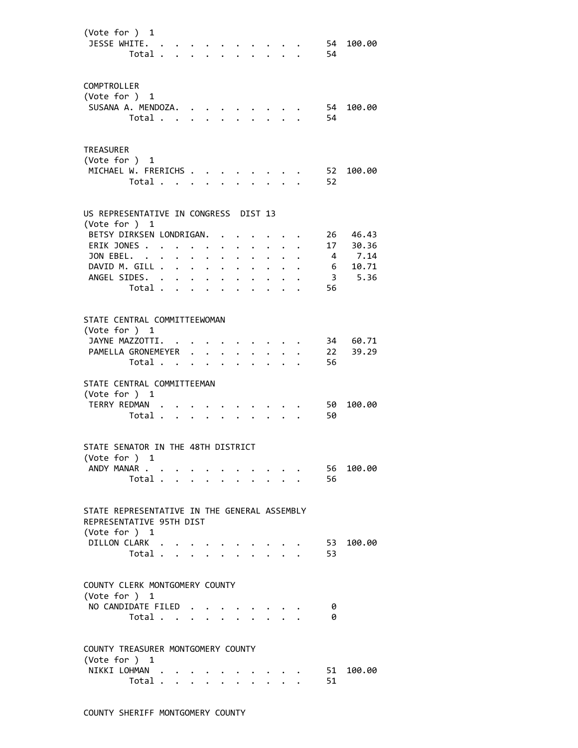| (Vote for ) 1<br>JESSE WHITE.                          | Total          |                                              |                                                                                               |                                                           |                      |                                                           |                      |                                             |                                        | 54<br>54                              | 100.00   |
|--------------------------------------------------------|----------------|----------------------------------------------|-----------------------------------------------------------------------------------------------|-----------------------------------------------------------|----------------------|-----------------------------------------------------------|----------------------|---------------------------------------------|----------------------------------------|---------------------------------------|----------|
| COMPTROLLER<br>(Vote for ) 1<br>SUSANA A. MENDOZA.     |                |                                              |                                                                                               |                                                           |                      |                                                           |                      |                                             |                                        | 54                                    | 100.00   |
|                                                        | Total          |                                              |                                                                                               |                                                           |                      |                                                           |                      |                                             |                                        | 54                                    |          |
| <b>TREASURER</b><br>(Vote for ) 1                      |                |                                              |                                                                                               |                                                           |                      |                                                           |                      |                                             |                                        |                                       |          |
| MICHAEL W. FRERICHS                                    | Total          |                                              |                                                                                               | $\mathbf{L}^{\text{max}}$                                 |                      |                                                           |                      | 2.727                                       |                                        | 52<br>52                              | 100.00   |
| US REPRESENTATIVE IN CONGRESS DIST 13<br>(Vote for ) 1 |                |                                              |                                                                                               |                                                           |                      |                                                           |                      |                                             |                                        |                                       |          |
| BETSY DIRKSEN LONDRIGAN.                               |                |                                              |                                                                                               |                                                           |                      |                                                           |                      |                                             |                                        |                                       | 26 46.43 |
| ERIK JONES                                             |                |                                              |                                                                                               | $\sim 100$ km s $^{-1}$                                   |                      |                                                           |                      |                                             |                                        | 17                                    | 30.36    |
| JON EBEL. .                                            |                | $\ddot{\phantom{a}}$<br>$\ddot{\phantom{0}}$ |                                                                                               | $\mathbf{L}^{\text{max}}$ , and $\mathbf{L}^{\text{max}}$ | $\ddot{\phantom{0}}$ | $\ddot{\phantom{a}}$                                      |                      |                                             |                                        |                                       | 7.14     |
| DAVID M. GILL .                                        |                |                                              | $\mathbf{1}^{\prime}$ , $\mathbf{1}^{\prime}$ , $\mathbf{1}^{\prime}$ , $\mathbf{1}^{\prime}$ |                                                           |                      | $\mathbf{L}^{\text{max}}$ , and $\mathbf{L}^{\text{max}}$ | $\ddot{\phantom{0}}$ |                                             |                                        | $\begin{array}{c} 4 \\ 6 \end{array}$ | 10.71    |
| ANGEL SIDES.                                           |                |                                              |                                                                                               |                                                           |                      |                                                           | $\sim$               | $\ddot{\phantom{0}}$                        | $\ddot{\phantom{0}}$                   |                                       | 3 5.36   |
|                                                        | Total          |                                              |                                                                                               |                                                           |                      |                                                           | $\ddot{\phantom{a}}$ |                                             | $\mathbf{1}$ $\mathbf{1}$ $\mathbf{1}$ | 56                                    |          |
|                                                        |                |                                              |                                                                                               |                                                           |                      |                                                           |                      |                                             |                                        |                                       |          |
| STATE CENTRAL COMMITTEEWOMAN                           |                |                                              |                                                                                               |                                                           |                      |                                                           |                      |                                             |                                        |                                       |          |
| (Vote for ) 1                                          |                |                                              |                                                                                               |                                                           |                      |                                                           |                      |                                             |                                        |                                       |          |
| JAYNE MAZZOTTI.                                        |                | $\sim$ $\sim$                                |                                                                                               |                                                           |                      |                                                           |                      |                                             |                                        | 34<br>22                              | 60.71    |
| PAMELLA GRONEMEYER                                     |                |                                              |                                                                                               |                                                           |                      | $\ddot{\phantom{a}}$                                      |                      | $\cdot$ $\cdot$ $\cdot$                     |                                        |                                       | 39.29    |
|                                                        | Total          |                                              |                                                                                               |                                                           |                      |                                                           |                      | $\mathbf{r} = \mathbf{r} \times \mathbf{r}$ |                                        | 56                                    |          |
| STATE CENTRAL COMMITTEEMAN                             |                |                                              |                                                                                               |                                                           |                      |                                                           |                      |                                             |                                        |                                       |          |
| (Vote for ) 1                                          |                |                                              |                                                                                               |                                                           |                      |                                                           |                      |                                             |                                        |                                       |          |
| TERRY REDMAN .                                         |                |                                              |                                                                                               |                                                           |                      |                                                           |                      |                                             |                                        | 50                                    | 100.00   |
|                                                        | Total          |                                              |                                                                                               |                                                           |                      |                                                           |                      |                                             |                                        | 50                                    |          |
|                                                        |                |                                              |                                                                                               |                                                           |                      |                                                           |                      |                                             |                                        |                                       |          |
| STATE SENATOR IN THE 48TH DISTRICT<br>(Vote for ) 1    |                |                                              |                                                                                               |                                                           |                      |                                                           |                      |                                             |                                        |                                       |          |
| ANDY MANAR                                             |                |                                              |                                                                                               |                                                           |                      |                                                           |                      |                                             |                                        | 56                                    | 100.00   |
|                                                        | Total          |                                              |                                                                                               |                                                           |                      |                                                           |                      |                                             |                                        | 56                                    |          |
| STATE REPRESENTATIVE IN THE GENERAL ASSEMBLY           |                |                                              |                                                                                               |                                                           |                      |                                                           |                      |                                             |                                        |                                       |          |
| REPRESENTATIVE 95TH DIST<br>(Vote for ) 1              |                |                                              |                                                                                               |                                                           |                      |                                                           |                      |                                             |                                        |                                       |          |
| DILLON CLARK                                           |                |                                              |                                                                                               |                                                           |                      |                                                           |                      |                                             |                                        | 53                                    | 100.00   |
|                                                        | Total          |                                              |                                                                                               |                                                           |                      |                                                           |                      |                                             |                                        | 53                                    |          |
| COUNTY CLERK MONTGOMERY COUNTY<br>(Vote for $)$ 1      |                |                                              |                                                                                               |                                                           |                      |                                                           |                      |                                             |                                        |                                       |          |
| NO CANDIDATE FILED                                     |                |                                              |                                                                                               |                                                           |                      |                                                           |                      |                                             |                                        | 0                                     |          |
|                                                        | Total          |                                              |                                                                                               |                                                           |                      |                                                           |                      | $\mathbf{r} = \mathbf{r}$                   |                                        | 0                                     |          |
| COUNTY TREASURER MONTGOMERY COUNTY                     |                |                                              |                                                                                               |                                                           |                      |                                                           |                      |                                             |                                        |                                       |          |
| (Vote for ) 1                                          |                |                                              |                                                                                               |                                                           |                      |                                                           |                      |                                             |                                        |                                       |          |
| NIKKI LOHMAN                                           |                |                                              |                                                                                               |                                                           |                      |                                                           |                      |                                             |                                        | 51                                    | 100.00   |
|                                                        | Total $\cdots$ |                                              |                                                                                               |                                                           |                      |                                                           |                      |                                             |                                        | 51                                    |          |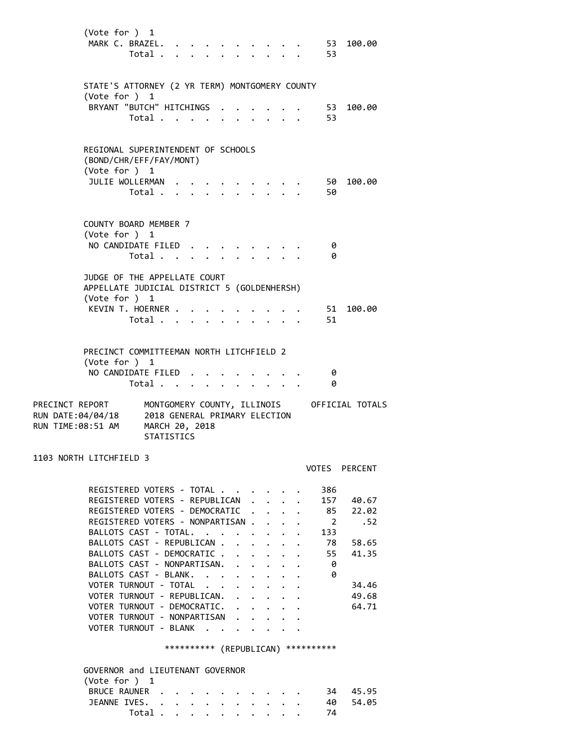| (Vote for ) 1<br>MARK C. BRAZEL.                                                                                                                                                                                                                                                                                                                                                                                                 | Total                                                                |                                             |  |                                                                                                              |                                                                                                                                 |                                                                                                                                      |        | 53<br>53                                                          | 100.00                                                             |
|----------------------------------------------------------------------------------------------------------------------------------------------------------------------------------------------------------------------------------------------------------------------------------------------------------------------------------------------------------------------------------------------------------------------------------|----------------------------------------------------------------------|---------------------------------------------|--|--------------------------------------------------------------------------------------------------------------|---------------------------------------------------------------------------------------------------------------------------------|--------------------------------------------------------------------------------------------------------------------------------------|--------|-------------------------------------------------------------------|--------------------------------------------------------------------|
| STATE'S ATTORNEY (2 YR TERM) MONTGOMERY COUNTY<br>(Vote for ) 1<br>BRYANT "BUTCH" HITCHINGS                                                                                                                                                                                                                                                                                                                                      | Total                                                                |                                             |  |                                                                                                              |                                                                                                                                 |                                                                                                                                      |        | . 53<br>-53                                                       | 100.00                                                             |
| REGIONAL SUPERINTENDENT OF SCHOOLS<br>(BOND/CHR/EFF/FAY/MONT)<br>(Vote for ) 1<br>JULIE WOLLERMAN                                                                                                                                                                                                                                                                                                                                | Total .                                                              |                                             |  |                                                                                                              |                                                                                                                                 |                                                                                                                                      |        | 50                                                                | 50 100.00                                                          |
| COUNTY BOARD MEMBER 7<br>(Vote for ) 1<br>NO CANDIDATE FILED                                                                                                                                                                                                                                                                                                                                                                     | Total                                                                |                                             |  |                                                                                                              |                                                                                                                                 |                                                                                                                                      |        | 0<br>0                                                            |                                                                    |
| JUDGE OF THE APPELLATE COURT<br>APPELLATE JUDICIAL DISTRICT 5 (GOLDENHERSH)<br>(Vote for ) 1<br>KEVIN T. HOERNER                                                                                                                                                                                                                                                                                                                 | Total                                                                |                                             |  |                                                                                                              |                                                                                                                                 | $\cdot$ $\cdot$ $\cdot$ $\cdot$ $\cdot$                                                                                              |        | 51<br>51                                                          | 100.00                                                             |
| PRECINCT COMMITTEEMAN NORTH LITCHFIELD 2<br>(Vote for ) 1<br>NO CANDIDATE FILED.<br>PRECINCT REPORT                                                                                                                                                                                                                                                                                                                              | Total                                                                |                                             |  |                                                                                                              |                                                                                                                                 | $\mathbf{r}$ , $\mathbf{r}$ , $\mathbf{r}$                                                                                           |        | 0<br>0                                                            | MONTGOMERY COUNTY, ILLINOIS OFFICIAL TOTALS                        |
| RUN DATE: 04/04/18<br>RUN TIME:08:51 AM                                                                                                                                                                                                                                                                                                                                                                                          | 2018 GENERAL PRIMARY ELECTION<br>MARCH 20, 2018<br><b>STATISTICS</b> |                                             |  |                                                                                                              |                                                                                                                                 |                                                                                                                                      |        |                                                                   |                                                                    |
| 1103 NORTH LITCHFIELD 3                                                                                                                                                                                                                                                                                                                                                                                                          |                                                                      |                                             |  |                                                                                                              |                                                                                                                                 |                                                                                                                                      |        | VOTES PERCENT                                                     |                                                                    |
| REGISTERED VOTERS - TOTAL<br>REGISTERED VOTERS - REPUBLICAN<br>REGISTERED VOTERS - DEMOCRATIC<br>REGISTERED VOTERS - NONPARTISAN .<br>BALLOTS CAST - TOTAL.<br>BALLOTS CAST - REPUBLICAN .<br>BALLOTS CAST - DEMOCRATIC .<br>BALLOTS CAST - NONPARTISAN.<br>BALLOTS CAST - BLANK.<br>VOTER TURNOUT - TOTAL<br>VOTER TURNOUT - REPUBLICAN.<br>VOTER TURNOUT - DEMOCRATIC.<br>VOTER TURNOUT - NONPARTISAN<br>VOTER TURNOUT - BLANK |                                                                      |                                             |  | $\ddot{\phantom{0}}$<br>$\ddot{\phantom{0}}$<br>$\ddot{\phantom{0}}$<br>$\ddot{\phantom{0}}$<br>$\mathbf{r}$ | $\mathbf{r}$ $\mathbf{r}$<br>$\bullet$ .<br>$\ddot{\phantom{0}}$<br>$\mathbf{L}$<br>$\mathbf{L} = \mathbf{L} \times \mathbf{L}$ | $\mathbf{r}$<br>$\mathbf{A}$<br>$\cdot$ $\cdot$ $\cdot$ $\cdot$<br>$\ddot{\phantom{0}}$<br>$\mathbf{L}$<br>$\mathbf{L} = \mathbf{L}$ | $\sim$ | 386<br>157<br>85<br>$\overline{2}$<br>133<br>- 78<br>55<br>0<br>0 | 40.67<br>22.02<br>.52<br>58.65<br>41.35<br>34.46<br>49.68<br>64.71 |
| GOVERNOR and LIEUTENANT GOVERNOR                                                                                                                                                                                                                                                                                                                                                                                                 |                                                                      |                                             |  |                                                                                                              |                                                                                                                                 |                                                                                                                                      |        | *********** (REPUBLICAN) ***********                              |                                                                    |
| (Vote for ) 1<br>BRUCE RAUNER .<br>JEANNE IVES.                                                                                                                                                                                                                                                                                                                                                                                  | Total .                                                              | $\mathbf{L} = \mathbf{L} \times \mathbf{L}$ |  |                                                                                                              |                                                                                                                                 |                                                                                                                                      |        | 34<br>40<br>74                                                    | 45.95<br>54.05                                                     |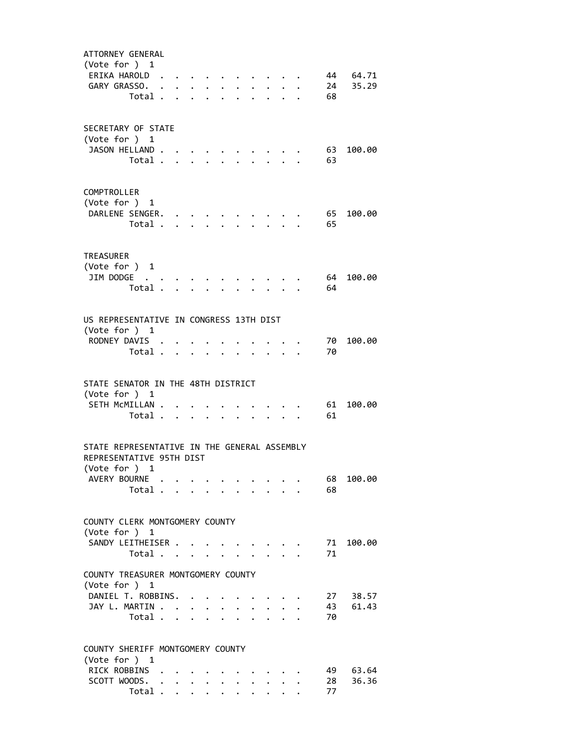| ATTORNEY GENERAL                                    |   |                                                                   |                                               |                                            |                      |                           |                      |                                 |                         |      |          |
|-----------------------------------------------------|---|-------------------------------------------------------------------|-----------------------------------------------|--------------------------------------------|----------------------|---------------------------|----------------------|---------------------------------|-------------------------|------|----------|
| (Vote for $)$ 1                                     |   |                                                                   |                                               |                                            |                      |                           |                      |                                 |                         |      |          |
| ERIKA HAROLD.                                       |   | $\mathcal{A}(\mathcal{A})$ , and $\mathcal{A}(\mathcal{A})$ , and |                                               |                                            |                      |                           |                      |                                 |                         |      | 44 64.71 |
| GARY GRASSO.<br>Total .                             |   |                                                                   |                                               |                                            |                      |                           |                      |                                 |                         | 68   | 24 35.29 |
|                                                     |   | $\sim$                                                            |                                               | $\mathbf{r}$ , $\mathbf{r}$ , $\mathbf{r}$ |                      | $\ddot{\phantom{a}}$      |                      |                                 | $\sim$ $\sim$ $\sim$    |      |          |
|                                                     |   |                                                                   |                                               |                                            |                      |                           |                      |                                 |                         |      |          |
| SECRETARY OF STATE                                  |   |                                                                   |                                               |                                            |                      |                           |                      |                                 |                         |      |          |
| (Vote for ) 1                                       |   |                                                                   |                                               |                                            |                      |                           |                      |                                 |                         |      |          |
| JASON HELLAND.                                      |   |                                                                   |                                               |                                            |                      |                           |                      |                                 |                         | 63   | 100.00   |
| Total .                                             |   |                                                                   | $\mathbf{L} = \mathbf{L}$                     | $\mathbf{r}$                               |                      | $\mathbf{L}^{\text{max}}$ | $\mathbf{L}$         | $\mathbf{L}^{\text{max}}$       |                         | 63   |          |
|                                                     |   |                                                                   |                                               |                                            |                      |                           |                      |                                 |                         |      |          |
| COMPTROLLER                                         |   |                                                                   |                                               |                                            |                      |                           |                      |                                 |                         |      |          |
| (Vote for ) 1                                       |   |                                                                   |                                               |                                            |                      |                           |                      |                                 |                         |      |          |
| DARLENE SENGER.                                     |   |                                                                   | $\bullet$ , $\bullet$ , $\bullet$ , $\bullet$ |                                            |                      |                           |                      |                                 |                         | - 65 | 100.00   |
| Total                                               |   |                                                                   |                                               |                                            |                      |                           |                      |                                 |                         | 65   |          |
|                                                     |   |                                                                   |                                               |                                            |                      |                           |                      |                                 |                         |      |          |
| <b>TREASURER</b>                                    |   |                                                                   |                                               |                                            |                      |                           |                      |                                 |                         |      |          |
| (Vote for $)$ 1                                     |   |                                                                   |                                               |                                            |                      |                           |                      |                                 |                         |      |          |
| JIM DODGE                                           |   |                                                                   |                                               |                                            |                      |                           |                      |                                 |                         | - 64 | 100.00   |
| Total                                               |   |                                                                   |                                               |                                            |                      |                           |                      |                                 | $\cdot$ $\cdot$ $\cdot$ | 64   |          |
|                                                     |   |                                                                   |                                               |                                            |                      |                           |                      |                                 |                         |      |          |
| US REPRESENTATIVE IN CONGRESS 13TH DIST             |   |                                                                   |                                               |                                            |                      |                           |                      |                                 |                         |      |          |
| (Vote for ) 1                                       |   |                                                                   |                                               |                                            |                      |                           |                      |                                 |                         |      |          |
| RODNEY DAVIS                                        |   |                                                                   |                                               |                                            |                      |                           |                      |                                 |                         | 70 - | 100.00   |
| Total                                               |   |                                                                   |                                               |                                            |                      |                           | $\ddot{\phantom{a}}$ |                                 | $\cdot$ $\cdot$ $\cdot$ | 70   |          |
|                                                     |   |                                                                   |                                               |                                            |                      |                           |                      |                                 |                         |      |          |
| STATE SENATOR IN THE 48TH DISTRICT                  |   |                                                                   |                                               |                                            |                      |                           |                      |                                 |                         |      |          |
| (Vote for $)$ 1                                     |   |                                                                   |                                               |                                            |                      |                           |                      |                                 |                         |      |          |
| SETH MCMILLAN .                                     |   |                                                                   |                                               |                                            |                      |                           |                      |                                 |                         | 61   | 100.00   |
| Total                                               |   |                                                                   |                                               |                                            |                      |                           |                      |                                 |                         | 61   |          |
|                                                     |   |                                                                   |                                               |                                            |                      |                           |                      |                                 |                         |      |          |
| STATE REPRESENTATIVE IN THE GENERAL ASSEMBLY        |   |                                                                   |                                               |                                            |                      |                           |                      |                                 |                         |      |          |
| REPRESENTATIVE 95TH DIST                            |   |                                                                   |                                               |                                            |                      |                           |                      |                                 |                         |      |          |
| (Vote for )                                         | 1 |                                                                   |                                               |                                            |                      |                           |                      |                                 |                         |      |          |
| AVERY BOURNE                                        |   |                                                                   |                                               |                                            |                      |                           |                      |                                 |                         | 68   | 100.00   |
| Total                                               |   |                                                                   |                                               |                                            |                      |                           |                      |                                 |                         | 68   |          |
|                                                     |   |                                                                   |                                               |                                            |                      |                           |                      |                                 |                         |      |          |
| COUNTY CLERK MONTGOMERY COUNTY                      |   |                                                                   |                                               |                                            |                      |                           |                      |                                 |                         |      |          |
| (Vote for ) 1                                       |   |                                                                   |                                               |                                            |                      |                           |                      |                                 |                         |      |          |
| SANDY LEITHEISER                                    |   |                                                                   |                                               |                                            |                      |                           |                      |                                 |                         | 71   | 100.00   |
| Total $\cdots$ $\cdots$ $\cdots$                    |   |                                                                   |                                               |                                            |                      |                           |                      |                                 |                         | 71   |          |
|                                                     |   |                                                                   |                                               |                                            |                      |                           |                      |                                 |                         |      |          |
| COUNTY TREASURER MONTGOMERY COUNTY<br>(Vote for ) 1 |   |                                                                   |                                               |                                            |                      |                           |                      |                                 |                         |      |          |
| DANIEL T. ROBBINS.                                  |   |                                                                   |                                               |                                            |                      |                           |                      |                                 |                         |      | 27 38.57 |
| JAY L. MARTIN                                       |   |                                                                   |                                               |                                            |                      |                           |                      | $\cdot$ $\cdot$ $\cdot$ $\cdot$ |                         | 43   | 61.43    |
| Total                                               |   |                                                                   |                                               |                                            |                      |                           |                      |                                 |                         | 70   |          |
|                                                     |   |                                                                   |                                               |                                            |                      |                           |                      |                                 |                         |      |          |
|                                                     |   |                                                                   |                                               |                                            |                      |                           |                      |                                 |                         |      |          |
| COUNTY SHERIFF MONTGOMERY COUNTY<br>(Vote for ) 1   |   |                                                                   |                                               |                                            |                      |                           |                      |                                 |                         |      |          |
| RICK ROBBINS .                                      |   |                                                                   |                                               |                                            |                      |                           |                      |                                 |                         | 49   | 63.64    |
| SCOTT WOODS.                                        |   |                                                                   |                                               |                                            |                      |                           |                      | $\ddot{\phantom{0}}$            |                         | 28   | 36.36    |
| Total                                               |   |                                                                   |                                               | $\ddotsc$ $\ddotsc$                        | $\ddot{\phantom{0}}$ | $\ddot{\phantom{0}}$      |                      |                                 |                         | 77   |          |
|                                                     |   |                                                                   |                                               |                                            |                      |                           |                      |                                 |                         |      |          |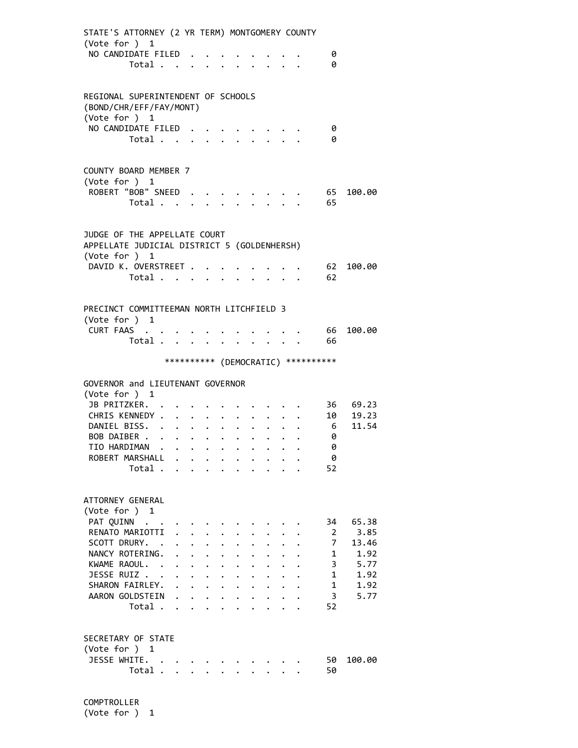| STATE'S ATTORNEY (2 YR TERM) MONTGOMERY COUNTY<br>(Vote for ) 1<br>NO CANDIDATE FILED.<br>Total         |                                                                                                                 |                                                                                                                                |                                                                                      |                                              |                                              |                                                              |                                              |             |                                                                 | 0<br>0                              |                               |
|---------------------------------------------------------------------------------------------------------|-----------------------------------------------------------------------------------------------------------------|--------------------------------------------------------------------------------------------------------------------------------|--------------------------------------------------------------------------------------|----------------------------------------------|----------------------------------------------|--------------------------------------------------------------|----------------------------------------------|-------------|-----------------------------------------------------------------|-------------------------------------|-------------------------------|
| REGIONAL SUPERINTENDENT OF SCHOOLS<br>(BOND/CHR/EFF/FAY/MONT)<br>(Vote for ) 1                          |                                                                                                                 |                                                                                                                                |                                                                                      |                                              |                                              |                                                              |                                              |             |                                                                 |                                     |                               |
| NO CANDIDATE FILED.<br>Total                                                                            |                                                                                                                 |                                                                                                                                |                                                                                      |                                              |                                              |                                                              |                                              |             |                                                                 | 0<br>0                              |                               |
| COUNTY BOARD MEMBER 7<br>(Vote for ) 1<br>ROBERT "BOB" SNEED<br>Total                                   |                                                                                                                 |                                                                                                                                |                                                                                      |                                              |                                              |                                                              |                                              |             |                                                                 | 65<br>65                            | 100.00                        |
| JUDGE OF THE APPELLATE COURT<br>APPELLATE JUDICIAL DISTRICT 5 (GOLDENHERSH)<br>(Vote for ) 1            |                                                                                                                 |                                                                                                                                |                                                                                      |                                              |                                              |                                                              |                                              |             |                                                                 |                                     |                               |
| DAVID K. OVERSTREET<br>Total $\cdots$ $\cdots$                                                          |                                                                                                                 |                                                                                                                                |                                                                                      |                                              |                                              |                                                              |                                              |             | $\cdot$ $\cdot$ $\cdot$ $\cdot$ $\cdot$ $\cdot$ $\cdot$ $\cdot$ | 62<br>62                            | 100.00                        |
| PRECINCT COMMITTEEMAN NORTH LITCHFIELD 3<br>(Vote for ) 1<br>CURT FAAS<br>Total                         |                                                                                                                 |                                                                                                                                |                                                                                      |                                              |                                              |                                                              |                                              |             |                                                                 | 66<br>- 66                          | 100.00                        |
|                                                                                                         |                                                                                                                 |                                                                                                                                |                                                                                      |                                              |                                              |                                                              |                                              |             |                                                                 | *********** (DEMOCRATIC) ********** |                               |
| GOVERNOR and LIEUTENANT GOVERNOR<br>(Vote for ) 1                                                       |                                                                                                                 |                                                                                                                                |                                                                                      |                                              |                                              |                                                              |                                              |             |                                                                 |                                     |                               |
| JB PRITZKER.<br>CHRIS KENNEDY<br>DANIEL BISS.<br>BOB DAIBER<br>TIO HARDIMAN<br>ROBERT MARSHALL<br>Total | the contract of the contract of the contract of the contract of the contract of the contract of the contract of |                                                                                                                                | $\sim$ $\sim$ $\sim$                                                                 | $\ddot{\phantom{0}}$                         | $\ddot{\phantom{0}}$                         | $\bullet$ . The set of $\bullet$<br><b>Contract Contract</b> | $\ddot{\phantom{0}}$<br>$\ddot{\phantom{0}}$ | $\bullet$ . |                                                                 | 6 <sup>6</sup><br>0<br>0<br>0<br>52 | 36 69.23<br>10 19.23<br>11.54 |
| ATTORNEY GENERAL<br>(Vote for ) 1<br>PAT QUINN                                                          |                                                                                                                 |                                                                                                                                |                                                                                      |                                              |                                              |                                                              |                                              |             |                                                                 | 34                                  | 65.38                         |
| RENATO MARIOTTI<br>SCOTT DRURY. .<br>NANCY ROTERING.<br>KWAME RAOUL. .                                  | $\ddot{\phantom{0}}$                                                                                            | $\ddot{\phantom{0}}$                                                                                                           | $\ddot{\phantom{0}}$<br>$\ddot{\phantom{0}}$<br>$\mathbf{L}$<br>$\ddot{\phantom{0}}$ | $\ddot{\phantom{0}}$<br>$\ddot{\phantom{a}}$ | $\ddot{\phantom{0}}$                         |                                                              |                                              |             |                                                                 | 2<br>$\overline{7}$<br>1<br>3       | 3.85<br>13.46<br>1.92<br>5.77 |
| JESSE RUIZ<br>SHARON FAIRLEY.<br>AARON GOLDSTEIN<br>Total                                               |                                                                                                                 | $\ddot{\phantom{a}}$<br>$\mathbf{r}$ , $\mathbf{r}$ , $\mathbf{r}$ , $\mathbf{r}$ , $\mathbf{r}$ , $\mathbf{r}$ , $\mathbf{r}$ | $\ddotsc$ $\ddotsc$                                                                  | $\mathbf{L}$                                 | $\ddot{\phantom{a}}$<br>$\ddot{\phantom{0}}$ | $\sim$                                                       | $\mathbf{L}$                                 | $\sim$      |                                                                 | 1<br>1<br>3<br>52                   | 1.92<br>1.92<br>5.77          |
| SECRETARY OF STATE<br>(Vote for ) 1<br>JESSE WHITE.<br>Total                                            |                                                                                                                 |                                                                                                                                | $\sim$ $\sim$ $\sim$                                                                 |                                              |                                              |                                                              |                                              |             |                                                                 | 50<br>50                            | 100.00                        |
|                                                                                                         |                                                                                                                 |                                                                                                                                |                                                                                      |                                              |                                              |                                                              |                                              |             |                                                                 |                                     |                               |

 COMPTROLLER (Vote for ) 1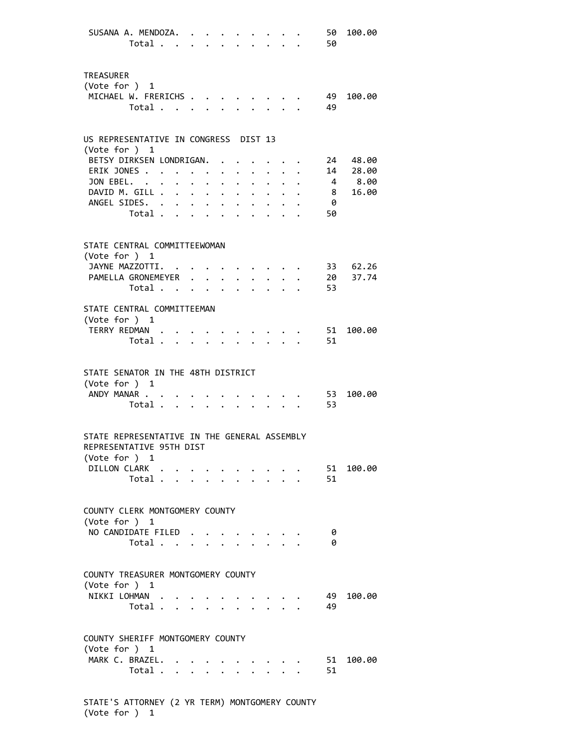| SUSANA A. MENDOZA.                                                                                      | Total $\cdot$                    |                                                                                                                                                                                                                               |                                  |                            |                                                     |                           |                                          | 50<br>50              | 100.00                                  |
|---------------------------------------------------------------------------------------------------------|----------------------------------|-------------------------------------------------------------------------------------------------------------------------------------------------------------------------------------------------------------------------------|----------------------------------|----------------------------|-----------------------------------------------------|---------------------------|------------------------------------------|-----------------------|-----------------------------------------|
| TREASURER<br>(Vote for $)$ 1<br>MICHAEL W. FRERICHS                                                     | Total                            |                                                                                                                                                                                                                               |                                  |                            |                                                     |                           |                                          | - 49<br>49            | 100.00                                  |
| US REPRESENTATIVE IN CONGRESS DIST 13                                                                   |                                  |                                                                                                                                                                                                                               |                                  |                            |                                                     |                           |                                          |                       |                                         |
| (Vote for $)$ 1<br>BETSY DIRKSEN LONDRIGAN.<br>ERIK JONES<br>JON EBEL.<br>DAVID M. GILL<br>ANGEL SIDES. |                                  |                                                                                                                                                                                                                               | $\bullet$ . The set of $\bullet$ | $\bullet$ .                | $\ddot{\phantom{0}}$                                |                           | $\sim$ $\sim$<br>$\cdot$ $\cdot$ $\cdot$ | 8 <sup>8</sup><br>- 0 | 24 48.00<br>14 28.00<br>4 8.00<br>16.00 |
| STATE CENTRAL COMMITTEEWOMAN<br>(Vote for $)$ 1                                                         | Total                            |                                                                                                                                                                                                                               |                                  |                            |                                                     |                           |                                          | 50                    |                                         |
| JAYNE MAZZOTTI.<br>PAMELLA GRONEMEYER 20 37.74                                                          | Total.                           | . The contract of the contract of the contract of the contract of the contract of the contract of the contract of the contract of the contract of the contract of the contract of the contract of the contract of the contrac |                                  |                            |                                                     |                           |                                          | 53                    | 33 62.26                                |
| STATE CENTRAL COMMITTEEMAN<br>(Vote for ) 1<br>TERRY REDMAN                                             | Total                            |                                                                                                                                                                                                                               |                                  | $\mathcal{L}^{\text{max}}$ |                                                     | $\mathbf{r} = \mathbf{r}$ |                                          | 51<br>51              | 100.00                                  |
| STATE SENATOR IN THE 48TH DISTRICT<br>(Vote for ) 1<br>ANDY MANAR                                       | Total                            |                                                                                                                                                                                                                               |                                  |                            |                                                     |                           |                                          | 53<br>53              | 100.00                                  |
| STATE REPRESENTATIVE IN THE GENERAL ASSEMBLY<br>REPRESENTATIVE 95TH DIST<br>(Vote for ) 1               |                                  |                                                                                                                                                                                                                               |                                  |                            |                                                     |                           |                                          |                       |                                         |
| DILLON CLARK                                                                                            | Total $\cdots$ $\cdots$ $\cdots$ |                                                                                                                                                                                                                               |                                  |                            | $\sim$ 100 $\sim$ 100 $\sim$ 100 $\sim$ 100 $\sim$  |                           |                                          | 51                    | 51 100.00                               |
| COUNTY CLERK MONTGOMERY COUNTY<br>(Vote for $)$ 1<br>NO CANDIDATE FILED                                 | Total                            |                                                                                                                                                                                                                               |                                  |                            |                                                     |                           |                                          | - 0<br>- 0            |                                         |
| COUNTY TREASURER MONTGOMERY COUNTY<br>(Vote for ) 1<br>NIKKI LOHMAN                                     | Total                            |                                                                                                                                                                                                                               |                                  |                            |                                                     |                           |                                          | 49<br>49              | 100.00                                  |
| COUNTY SHERIFF MONTGOMERY COUNTY<br>(Vote for $)$ 1<br>MARK C. BRAZEL.                                  | Total                            |                                                                                                                                                                                                                               |                                  |                            | $\mathbf{r} = \mathbf{r} + \mathbf{r} + \mathbf{r}$ |                           |                                          | 51<br>51              | 100.00                                  |

 STATE'S ATTORNEY (2 YR TERM) MONTGOMERY COUNTY (Vote for ) 1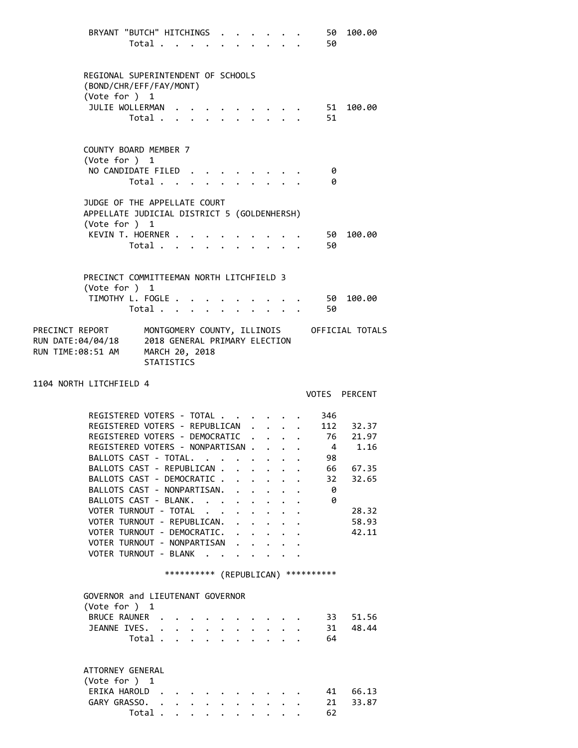|                                                 | BRYANT "BUTCH" HITCHINGS . |                      |             |                      |                      |                           |                                                           |                      |              | 50                                   | 100.00                                      |
|-------------------------------------------------|----------------------------|----------------------|-------------|----------------------|----------------------|---------------------------|-----------------------------------------------------------|----------------------|--------------|--------------------------------------|---------------------------------------------|
|                                                 | Total                      |                      |             |                      |                      |                           |                                                           |                      |              | 50                                   |                                             |
|                                                 |                            |                      |             |                      |                      |                           |                                                           |                      |              |                                      |                                             |
|                                                 |                            |                      |             |                      |                      |                           |                                                           |                      |              |                                      |                                             |
| REGIONAL SUPERINTENDENT OF SCHOOLS              |                            |                      |             |                      |                      |                           |                                                           |                      |              |                                      |                                             |
| (BOND/CHR/EFF/FAY/MONT)                         |                            |                      |             |                      |                      |                           |                                                           |                      |              |                                      |                                             |
| (Vote for ) 1                                   |                            |                      |             |                      |                      |                           |                                                           |                      |              |                                      |                                             |
| JULIE WOLLERMAN                                 |                            |                      |             |                      |                      |                           |                                                           |                      |              | 51                                   | 100.00                                      |
|                                                 | Total .                    |                      |             |                      |                      |                           |                                                           |                      |              | 51                                   |                                             |
|                                                 |                            |                      |             |                      |                      |                           |                                                           |                      |              |                                      |                                             |
|                                                 |                            |                      |             |                      |                      |                           |                                                           |                      |              |                                      |                                             |
| COUNTY BOARD MEMBER 7                           |                            |                      |             |                      |                      |                           |                                                           |                      |              |                                      |                                             |
|                                                 |                            |                      |             |                      |                      |                           |                                                           |                      |              |                                      |                                             |
| (Vote for ) 1                                   |                            |                      |             |                      |                      |                           |                                                           |                      |              |                                      |                                             |
| NO CANDIDATE FILED                              |                            |                      |             |                      |                      |                           |                                                           |                      |              | - 0                                  |                                             |
|                                                 | Total                      |                      |             |                      |                      |                           |                                                           |                      |              | 0                                    |                                             |
|                                                 |                            |                      |             |                      |                      |                           |                                                           |                      |              |                                      |                                             |
| JUDGE OF THE APPELLATE COURT                    |                            |                      |             |                      |                      |                           |                                                           |                      |              |                                      |                                             |
| APPELLATE JUDICIAL DISTRICT 5 (GOLDENHERSH)     |                            |                      |             |                      |                      |                           |                                                           |                      |              |                                      |                                             |
| (Vote for ) 1                                   |                            |                      |             |                      |                      |                           |                                                           |                      |              |                                      |                                             |
| KEVIN T. HOERNER                                |                            |                      |             |                      |                      |                           |                                                           |                      |              | . 50                                 | 100.00                                      |
|                                                 | Total                      |                      |             | $\ddot{\phantom{0}}$ |                      |                           |                                                           |                      |              | 50                                   |                                             |
|                                                 |                            |                      |             |                      |                      |                           |                                                           |                      |              |                                      |                                             |
|                                                 |                            |                      |             |                      |                      |                           |                                                           |                      |              |                                      |                                             |
| PRECINCT COMMITTEEMAN NORTH LITCHFIELD 3        |                            |                      |             |                      |                      |                           |                                                           |                      |              |                                      |                                             |
| (Vote for ) 1                                   |                            |                      |             |                      |                      |                           |                                                           |                      |              |                                      |                                             |
| TIMOTHY L. FOGLE                                |                            |                      |             |                      |                      |                           |                                                           |                      |              | - 50                                 | 100.00                                      |
|                                                 | Total                      |                      |             | $\ddot{\phantom{a}}$ |                      |                           | $\mathbf{r}$ , $\mathbf{r}$ , $\mathbf{r}$ , $\mathbf{r}$ |                      |              | 50                                   |                                             |
|                                                 |                            |                      |             |                      |                      |                           |                                                           |                      |              |                                      |                                             |
| PRECINCT REPORT                                 |                            |                      |             |                      |                      |                           |                                                           |                      |              |                                      | MONTGOMERY COUNTY, ILLINOIS OFFICIAL TOTALS |
|                                                 |                            |                      |             |                      |                      |                           |                                                           |                      |              |                                      |                                             |
| RUN DATE:04/04/18 2018 GENERAL PRIMARY ELECTION |                            |                      |             |                      |                      |                           |                                                           |                      |              |                                      |                                             |
| RUN TIME:08:51 AM                               |                            | MARCH 20, 2018       |             |                      |                      |                           |                                                           |                      |              |                                      |                                             |
|                                                 |                            |                      |             |                      |                      |                           |                                                           |                      |              |                                      |                                             |
|                                                 |                            | <b>STATISTICS</b>    |             |                      |                      |                           |                                                           |                      |              |                                      |                                             |
|                                                 |                            |                      |             |                      |                      |                           |                                                           |                      |              |                                      |                                             |
| 1104 NORTH LITCHFIELD 4                         |                            |                      |             |                      |                      |                           |                                                           |                      |              |                                      |                                             |
|                                                 |                            |                      |             |                      |                      |                           |                                                           |                      |              |                                      | VOTES PERCENT                               |
|                                                 |                            |                      |             |                      |                      |                           |                                                           |                      |              |                                      |                                             |
| REGISTERED VOTERS - TOTAL                       |                            |                      |             |                      |                      |                           |                                                           |                      |              | 346                                  |                                             |
| REGISTERED VOTERS - REPUBLICAN                  |                            |                      |             |                      |                      |                           | $\ddot{\phantom{0}}$                                      | $\ddot{\phantom{0}}$ |              |                                      |                                             |
|                                                 |                            |                      |             |                      |                      |                           |                                                           |                      |              |                                      | . 112 32.37                                 |
| REGISTERED VOTERS - DEMOCRATIC                  |                            |                      |             |                      |                      |                           |                                                           |                      |              | 4                                    | 76 21.97<br>1.16                            |
| REGISTERED VOTERS - NONPARTISAN .               |                            |                      |             |                      |                      |                           | $\mathcal{A}=\mathcal{A}$ , and $\mathcal{A}=\mathcal{A}$ |                      |              |                                      |                                             |
| BALLOTS CAST - TOTAL.                           |                            |                      |             |                      |                      |                           |                                                           |                      |              | 98                                   |                                             |
| BALLOTS CAST - REPUBLICAN .                     |                            |                      |             |                      | $\mathbf{r}$         |                           |                                                           |                      |              | 66                                   | 67.35                                       |
| BALLOTS CAST - DEMOCRATIC .                     |                            |                      |             |                      | $\mathbf{r}$         | $\mathbf{L} = \mathbf{L}$ |                                                           | $\sim$               | $\mathbf{r}$ | 32                                   | 32.65                                       |
| BALLOTS CAST - NONPARTISAN.                     |                            |                      |             |                      | $\mathbf{r}$         |                           | $\ddot{\phantom{a}}$                                      |                      |              | 0                                    |                                             |
| BALLOTS CAST - BLANK.                           |                            |                      |             |                      | $\mathbf{L}$         | $\ddot{\phantom{0}}$      | $\ddot{\phantom{0}}$                                      |                      |              | 0                                    |                                             |
| VOTER TURNOUT - TOTAL                           |                            |                      |             |                      |                      |                           |                                                           |                      |              |                                      | 28.32                                       |
| VOTER TURNOUT - REPUBLICAN.                     |                            |                      |             |                      | $\ddot{\phantom{0}}$ | $\ddot{\phantom{0}}$      | $\ddot{\phantom{0}}$                                      |                      |              |                                      | 58.93                                       |
| VOTER TURNOUT - DEMOCRATIC.                     |                            |                      |             |                      |                      |                           |                                                           |                      |              |                                      | 42.11                                       |
| VOTER TURNOUT - NONPARTISAN                     |                            |                      |             |                      |                      |                           |                                                           |                      |              |                                      |                                             |
| VOTER TURNOUT - BLANK                           |                            |                      |             |                      |                      |                           |                                                           |                      |              |                                      |                                             |
|                                                 |                            |                      |             |                      |                      |                           |                                                           |                      |              |                                      |                                             |
|                                                 |                            |                      |             |                      |                      |                           |                                                           |                      |              | *********** (REPUBLICAN) *********** |                                             |
|                                                 |                            |                      |             |                      |                      |                           |                                                           |                      |              |                                      |                                             |
| GOVERNOR and LIEUTENANT GOVERNOR                |                            |                      |             |                      |                      |                           |                                                           |                      |              |                                      |                                             |
| (Vote for ) 1                                   |                            |                      |             |                      |                      |                           |                                                           |                      |              |                                      |                                             |
| <b>BRUCE RAUNER</b>                             |                            |                      |             |                      |                      |                           |                                                           |                      |              | 33                                   | 51.56                                       |
|                                                 |                            | $\mathbf{A}$         |             |                      |                      |                           |                                                           |                      |              |                                      |                                             |
| JEANNE IVES.                                    |                            | $\mathbf{r}$         |             |                      |                      |                           |                                                           |                      |              | 31                                   | 48.44                                       |
|                                                 | Total .                    |                      |             |                      |                      |                           |                                                           |                      |              | 64                                   |                                             |
|                                                 |                            |                      |             |                      |                      |                           |                                                           |                      |              |                                      |                                             |
|                                                 |                            |                      |             |                      |                      |                           |                                                           |                      |              |                                      |                                             |
| ATTORNEY GENERAL                                |                            |                      |             |                      |                      |                           |                                                           |                      |              |                                      |                                             |
| (Vote for ) 1                                   |                            |                      |             |                      |                      |                           |                                                           |                      |              |                                      |                                             |
| ERIKA HAROLD.                                   |                            |                      |             |                      |                      |                           |                                                           |                      |              | 41                                   | 66.13                                       |
| GARY GRASSO.                                    | Total .                    | $\ddot{\phantom{1}}$ | $\bullet$ . |                      |                      |                           |                                                           |                      |              | 21<br>62                             | 33.87                                       |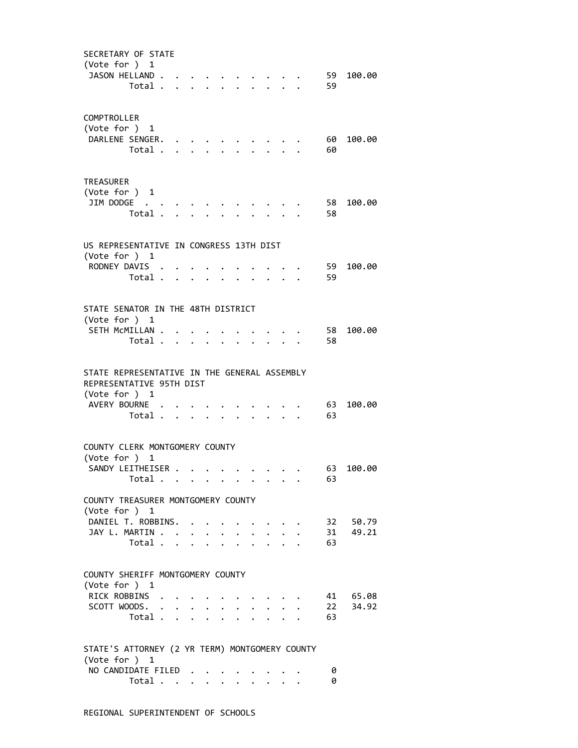| SECRETARY OF STATE<br>(Vote for ) 1<br>JASON HELLAND                                      | Total .                                   |                           |                                            |                            |                  |              |                           |                                   |                           | 59<br>59 | 100.00            |
|-------------------------------------------------------------------------------------------|-------------------------------------------|---------------------------|--------------------------------------------|----------------------------|------------------|--------------|---------------------------|-----------------------------------|---------------------------|----------|-------------------|
| COMPTROLLER<br>(Vote for ) 1<br>DARLENE SENGER.                                           | Total .                                   |                           | $\mathbf{r}$ , $\mathbf{r}$ , $\mathbf{r}$ | $\ddot{\phantom{a}}$       |                  |              | $\ddot{\phantom{a}}$      |                                   |                           | 60<br>60 | 100.00            |
| <b>TREASURER</b><br>(Vote for ) 1<br>JIM DODGE                                            | Total                                     |                           |                                            |                            |                  |              |                           |                                   | $\mathbf{r} = \mathbf{r}$ | 58<br>58 | 100.00            |
| US REPRESENTATIVE IN CONGRESS 13TH DIST                                                   |                                           |                           |                                            |                            |                  |              |                           |                                   |                           |          |                   |
| (Vote for ) 1<br>RODNEY DAVIS .                                                           | Total                                     |                           |                                            |                            |                  |              |                           |                                   |                           | 59<br>59 | 100.00            |
| STATE SENATOR IN THE 48TH DISTRICT                                                        |                                           |                           |                                            |                            |                  |              |                           |                                   |                           |          |                   |
| (Vote for ) 1<br>SETH MCMILLAN .                                                          | Total .                                   |                           | $\ddot{\phantom{a}}$                       | $\bullet$                  |                  |              |                           |                                   |                           | 58<br>58 | 100.00            |
| STATE REPRESENTATIVE IN THE GENERAL ASSEMBLY<br>REPRESENTATIVE 95TH DIST<br>(Vote for ) 1 |                                           |                           |                                            |                            |                  |              |                           |                                   |                           |          |                   |
| AVERY BOURNE                                                                              | Total                                     |                           |                                            |                            |                  |              | $\sim$ $\sim$             |                                   |                           | 63<br>63 | 100.00            |
| COUNTY CLERK MONTGOMERY COUNTY                                                            |                                           |                           |                                            |                            |                  |              |                           |                                   |                           |          |                   |
| (Vote for ) 1                                                                             |                                           |                           |                                            |                            |                  |              |                           |                                   |                           |          |                   |
| SANDY LEITHEISER .                                                                        | Total $\ldots$ $\ldots$ $\ldots$ $\ldots$ |                           |                                            |                            |                  |              |                           |                                   |                           | 63       | 63 100.00         |
| COUNTY TREASURER MONTGOMERY COUNTY                                                        |                                           |                           |                                            |                            |                  |              |                           |                                   |                           |          |                   |
| (Vote for ) 1<br>DANIEL T. ROBBINS. .                                                     |                                           |                           |                                            |                            |                  |              |                           |                                   |                           | 32       | 50.79             |
| JAY L. MARTIN                                                                             |                                           |                           |                                            |                            |                  |              |                           | $\cdot$ $\cdot$ $\cdot$<br>$\sim$ |                           | 31       | 49.21             |
|                                                                                           | Total                                     |                           |                                            | $\mathbf{L} = \mathbf{L}$  | $\mathbb{R}^{n}$ | $\mathbf{L}$ | $\mathbf{L}^{\text{max}}$ | $\mathbf{L}^{\text{max}}$         |                           | 63       |                   |
| COUNTY SHERIFF MONTGOMERY COUNTY<br>(Vote for ) 1                                         |                                           |                           |                                            |                            |                  |              |                           |                                   |                           |          |                   |
| RICK ROBBINS .<br>SCOTT WOODS. .                                                          |                                           |                           |                                            |                            |                  |              |                           |                                   |                           | 22       | 41 65.08<br>34.92 |
|                                                                                           | Total                                     | $\mathbf{L}^{\text{max}}$ | $\bullet$ .<br>$\mathbf{A}$                | $\ddot{\bullet}$<br>$\sim$ |                  |              |                           |                                   |                           | 63       |                   |
| STATE'S ATTORNEY (2 YR TERM) MONTGOMERY COUNTY<br>(Vote for ) 1                           |                                           |                           |                                            |                            |                  |              |                           |                                   |                           |          |                   |
| NO CANDIDATE FILED.                                                                       |                                           |                           |                                            |                            |                  |              |                           |                                   |                           | 0        |                   |
|                                                                                           | Total                                     |                           |                                            |                            |                  |              |                           |                                   |                           | 0        |                   |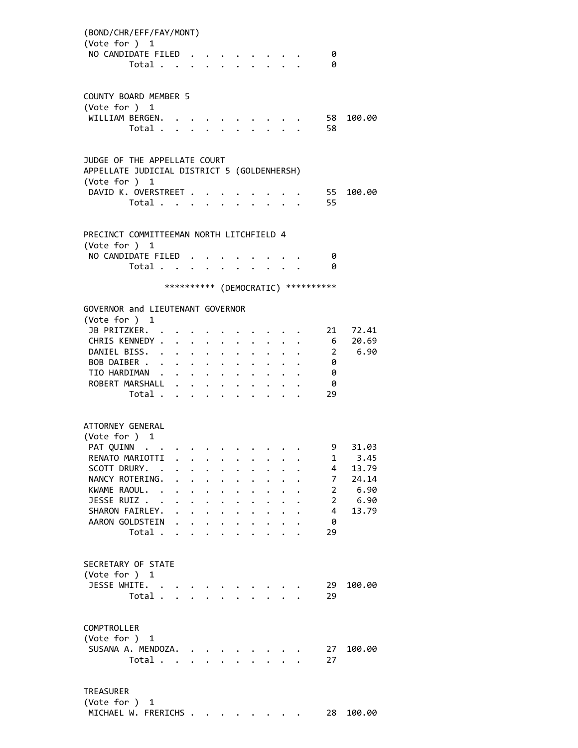| (BOND/CHR/EFF/FAY/MONT)<br>(Vote for ) 1<br>NO CANDIDATE FILED.<br>Total                                                                                                              |                      |                                              |                                                                                                                                                                                                                                                         |                                                                        |                                                                      | $\cdot$ $\cdot$ $\cdot$ $\cdot$ $\cdot$ $\cdot$ $\cdot$ $\cdot$                   |                      |                                      | 0<br>0                                                                                   |                                                          |
|---------------------------------------------------------------------------------------------------------------------------------------------------------------------------------------|----------------------|----------------------------------------------|---------------------------------------------------------------------------------------------------------------------------------------------------------------------------------------------------------------------------------------------------------|------------------------------------------------------------------------|----------------------------------------------------------------------|-----------------------------------------------------------------------------------|----------------------|--------------------------------------|------------------------------------------------------------------------------------------|----------------------------------------------------------|
| <b>COUNTY BOARD MEMBER 5</b><br>(Vote for ) 1<br>WILLIAM BERGEN.<br>Total .                                                                                                           | $\ddot{\phantom{0}}$ | $\ddot{\phantom{a}}$                         |                                                                                                                                                                                                                                                         |                                                                        |                                                                      |                                                                                   |                      |                                      | 58<br>58                                                                                 | 100.00                                                   |
| JUDGE OF THE APPELLATE COURT<br>APPELLATE JUDICIAL DISTRICT 5 (GOLDENHERSH)<br>(Vote for ) 1                                                                                          |                      |                                              |                                                                                                                                                                                                                                                         |                                                                        |                                                                      |                                                                                   |                      |                                      |                                                                                          |                                                          |
| DAVID K. OVERSTREET .<br>Total                                                                                                                                                        |                      |                                              |                                                                                                                                                                                                                                                         |                                                                        |                                                                      |                                                                                   |                      |                                      | 55<br>55                                                                                 | 100.00                                                   |
| PRECINCT COMMITTEEMAN NORTH LITCHFIELD 4<br>(Vote for ) 1<br>NO CANDIDATE FILED.<br>Total                                                                                             |                      |                                              | $\ddot{\phantom{0}}$                                                                                                                                                                                                                                    | $\ddot{\phantom{0}}$                                                   |                                                                      |                                                                                   | $\ddot{\phantom{0}}$ |                                      | - 0<br>- 0                                                                               |                                                          |
|                                                                                                                                                                                       |                      |                                              |                                                                                                                                                                                                                                                         |                                                                        |                                                                      |                                                                                   |                      |                                      | *********** (DEMOCRATIC) **********                                                      |                                                          |
| GOVERNOR and LIEUTENANT GOVERNOR<br>(Vote for ) 1<br>JB PRITZKER.<br>CHRIS KENNEDY<br>DANIEL BISS.<br>BOB DAIBER<br>TIO HARDIMAN<br>ROBERT MARSHALL .<br>Total                        |                      | $\ddot{\phantom{0}}$<br>$\ddot{\phantom{0}}$ | $\ddot{\phantom{0}}$<br>$\ddot{\phantom{a}}$<br>$\bullet$ .<br><br><br><br><br><br><br><br><br><br><br><br><br><br><br>$\mathbf{r} = \mathbf{r} \mathbf{r}$ , where $\mathbf{r} = \mathbf{r} \mathbf{r}$<br>$\mathbf{r} = \mathbf{r} \times \mathbf{r}$ | $\ddot{\phantom{a}}$<br>$\ddot{\phantom{0}}$<br>$\bullet$<br>$\bullet$ |                                                                      | $\ddot{\phantom{a}}$                                                              |                      |                                      | 21<br>0<br>0<br>- 0<br>29                                                                | 72.41<br>6 20.69<br>2 6.90                               |
| ATTORNEY GENERAL<br>(Vote for ) 1<br>PAT QUINN<br>RENATO MARIOTTI<br>SCOTT DRURY. .<br>NANCY ROTERING.<br>KWAME RAOUL. .<br>JESSE RUIZ<br>SHARON FAIRLEY.<br>AARON GOLDSTEIN<br>Total |                      | $\ddot{\phantom{0}}$<br>$\ddot{\phantom{0}}$ | $\ddot{\phantom{0}}$<br>$\ddot{\phantom{0}}$<br>$\mathbf{L}$                                                                                                                                                                                            | $\mathbf{L}$                                                           | $\ddot{\phantom{0}}$<br>$\ddot{\phantom{0}}$<br>$\ddot{\phantom{0}}$ | $\ddot{\phantom{0}}$<br>$\ddot{\phantom{0}}$<br><b>Contract Contract Contract</b> | $\ddot{\phantom{1}}$ | $\mathbf{L}$<br>$\ddot{\phantom{0}}$ | 9<br>1<br>4<br>7 <sup>7</sup><br>$2^{\circ}$<br>$2^{\circ}$<br>$\overline{4}$<br>0<br>29 | 31.03<br>3.45<br>13.79<br>24.14<br>6.90<br>6.90<br>13.79 |
| SECRETARY OF STATE<br>(Vote for ) 1<br>JESSE WHITE.<br>Total                                                                                                                          |                      |                                              |                                                                                                                                                                                                                                                         |                                                                        |                                                                      | <b><i>Contract Contract</i></b>                                                   |                      |                                      | 29<br>29                                                                                 | 100.00                                                   |
| COMPTROLLER<br>(Vote for ) 1<br>SUSANA A. MENDOZA. .<br>Total                                                                                                                         |                      |                                              |                                                                                                                                                                                                                                                         |                                                                        |                                                                      |                                                                                   |                      |                                      | 27<br>27                                                                                 | 100.00                                                   |
| TREASURER<br>(Vote for ) 1                                                                                                                                                            |                      |                                              |                                                                                                                                                                                                                                                         |                                                                        |                                                                      |                                                                                   |                      |                                      |                                                                                          |                                                          |

MICHAEL W. FRERICHS . . . . . . . . 28 100.00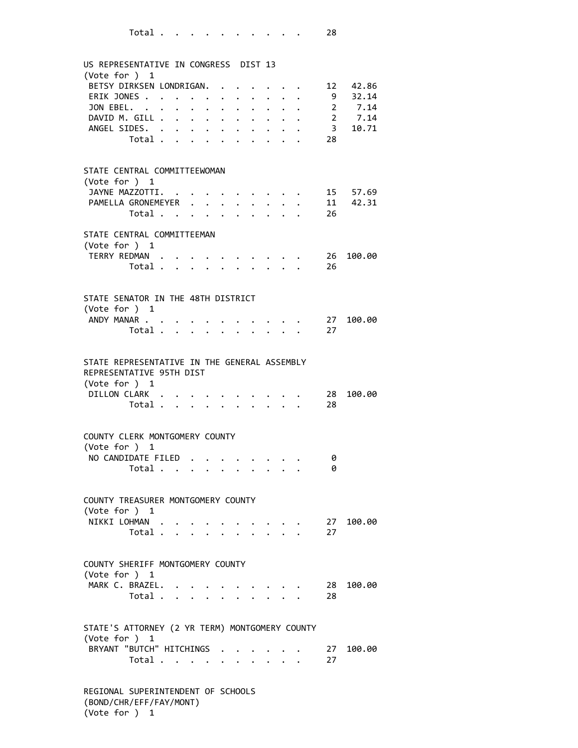| US REPRESENTATIVE IN CONGRESS DIST 13<br>(Vote for ) 1          |                           |                      |                                                           |                      |                                                                       |  |          |                             |
|-----------------------------------------------------------------|---------------------------|----------------------|-----------------------------------------------------------|----------------------|-----------------------------------------------------------------------|--|----------|-----------------------------|
| BETSY DIRKSEN LONDRIGAN.                                        |                           |                      |                                                           |                      |                                                                       |  |          | 12 42.86                    |
| ERIK JONES                                                      |                           |                      |                                                           |                      |                                                                       |  |          | 9 32.14                     |
| JON EBEL.                                                       |                           | $\bullet$            | $\bullet$ .                                               |                      |                                                                       |  |          |                             |
| DAVID M. GILL .                                                 | $\ddot{\phantom{a}}$      | $\bullet$            | $\mathcal{L}(\mathbf{z})$ , and $\mathcal{L}(\mathbf{z})$ |                      |                                                                       |  |          |                             |
| ANGEL SIDES. .                                                  |                           | $\ddot{\phantom{a}}$ | $\ddot{\phantom{0}}$                                      | $\bullet$ .          |                                                                       |  |          | 2 7.14<br>2 7.14<br>3 10.71 |
| Total .                                                         | $\mathbf{L}^{\text{max}}$ |                      |                                                           |                      |                                                                       |  | 28       |                             |
|                                                                 |                           |                      |                                                           |                      |                                                                       |  |          |                             |
| STATE CENTRAL COMMITTEEWOMAN                                    |                           |                      |                                                           |                      |                                                                       |  |          |                             |
| (Vote for ) 1                                                   |                           |                      |                                                           |                      |                                                                       |  |          |                             |
| JAYNE MAZZOTTI. .                                               |                           |                      |                                                           |                      |                                                                       |  |          | 15 57.69                    |
| PAMELLA GRONEMEYER                                              |                           | $\ddot{\phantom{a}}$ | $\ddot{\phantom{a}}$                                      |                      |                                                                       |  |          | 11 42.31                    |
| Total                                                           |                           |                      | $\ddot{\phantom{0}}$                                      |                      |                                                                       |  | 26       |                             |
| STATE CENTRAL COMMITTEEMAN<br>(Vote for ) $1$                   |                           |                      |                                                           |                      |                                                                       |  |          |                             |
| TERRY REDMAN .                                                  |                           |                      |                                                           |                      |                                                                       |  | 26       | 100.00                      |
| Total $\cdots$                                                  |                           |                      |                                                           |                      |                                                                       |  | 26       |                             |
|                                                                 |                           |                      |                                                           |                      |                                                                       |  |          |                             |
| STATE SENATOR IN THE 48TH DISTRICT                              |                           |                      |                                                           |                      |                                                                       |  |          |                             |
| (Vote for $)$ 1                                                 |                           |                      |                                                           |                      |                                                                       |  |          |                             |
| ANDY MANAR                                                      |                           |                      |                                                           |                      |                                                                       |  | 27       | 100.00                      |
| Total                                                           |                           |                      |                                                           | $\ddot{\phantom{0}}$ |                                                                       |  | 27       |                             |
|                                                                 |                           |                      |                                                           |                      |                                                                       |  |          |                             |
| (Vote for ) 1<br>DILLON CLARK .<br>Total                        |                           |                      |                                                           |                      |                                                                       |  | 28<br>28 | 100.00                      |
| COUNTY CLERK MONTGOMERY COUNTY                                  |                           |                      |                                                           |                      |                                                                       |  |          |                             |
| (Vote for $)$ 1                                                 |                           |                      |                                                           |                      |                                                                       |  |          |                             |
| NO CANDIDATE FILED.<br>Total                                    |                           |                      |                                                           |                      |                                                                       |  | 0<br>0   |                             |
|                                                                 |                           |                      | $\mathbf{L}^{\text{max}}$ , and $\mathbf{L}^{\text{max}}$ |                      |                                                                       |  |          |                             |
| COUNTY TREASURER MONTGOMERY COUNTY                              |                           |                      |                                                           |                      |                                                                       |  |          |                             |
| (Vote for $)$ 1<br>NIKKI LOHMAN                                 |                           |                      |                                                           |                      |                                                                       |  |          | 27 100.00                   |
| Total $\cdots$ $\cdots$ $\cdots$                                |                           |                      |                                                           |                      | $\bullet \qquad \bullet \qquad \bullet \qquad \bullet \qquad \bullet$ |  | 27       |                             |
|                                                                 |                           |                      |                                                           |                      |                                                                       |  |          |                             |
| COUNTY SHERIFF MONTGOMERY COUNTY                                |                           |                      |                                                           |                      |                                                                       |  |          |                             |
| (Vote for ) 1                                                   |                           |                      |                                                           |                      |                                                                       |  |          |                             |
| MARK C. BRAZEL.                                                 |                           |                      |                                                           |                      | $\cdots$                                                              |  | 28       | 100.00                      |
| Total $\ldots$ $\ldots$ $\ldots$ $\ldots$                       |                           |                      |                                                           |                      |                                                                       |  | 28       |                             |
| STATE'S ATTORNEY (2 YR TERM) MONTGOMERY COUNTY<br>(Vote for ) 1 |                           |                      |                                                           |                      |                                                                       |  |          |                             |
| BRYANT "BUTCH" HITCHINGS                                        |                           |                      |                                                           |                      |                                                                       |  | 27       | 100.00                      |
| Total                                                           |                           |                      |                                                           |                      |                                                                       |  | 27       |                             |
|                                                                 |                           |                      |                                                           |                      |                                                                       |  |          |                             |
| REGIONAL SUPERINTENDENT OF SCHOOLS<br>(BOND/CHR/EFF/FAY/MONT)   |                           |                      |                                                           |                      |                                                                       |  |          |                             |

(Vote for ) 1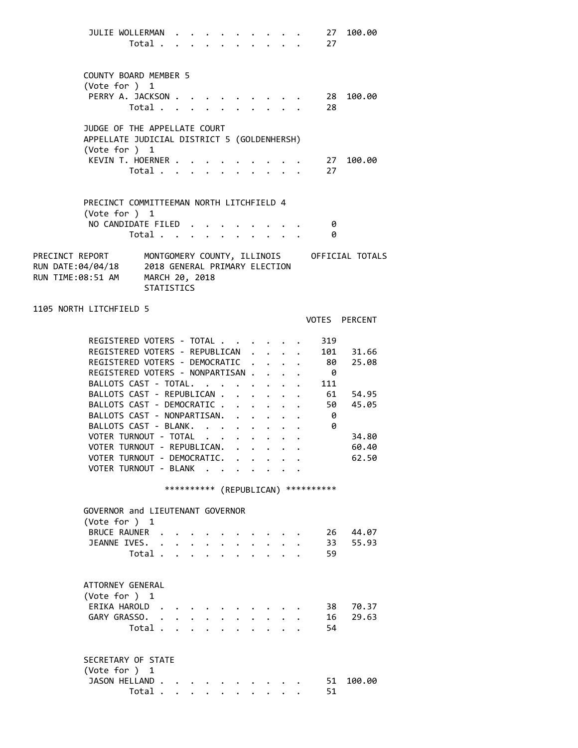| JULIE WOLLERMAN                                                                                       | Total                                                                |              |              |                      |                             | $\mathbf{r}$ , $\mathbf{r}$ , $\mathbf{r}$ , $\mathbf{r}$ , $\mathbf{r}$ |                      |                                                           | 27<br>27                             | 100.00         |  |
|-------------------------------------------------------------------------------------------------------|----------------------------------------------------------------------|--------------|--------------|----------------------|-----------------------------|--------------------------------------------------------------------------|----------------------|-----------------------------------------------------------|--------------------------------------|----------------|--|
| COUNTY BOARD MEMBER 5                                                                                 |                                                                      |              |              |                      |                             |                                                                          |                      |                                                           |                                      |                |  |
| (Vote for ) 1                                                                                         |                                                                      |              |              |                      |                             |                                                                          |                      |                                                           |                                      |                |  |
| PERRY A. JACKSON                                                                                      |                                                                      |              |              |                      |                             |                                                                          |                      |                                                           |                                      | 28 100.00      |  |
|                                                                                                       | Total                                                                |              |              |                      |                             |                                                                          |                      |                                                           | 28                                   |                |  |
| JUDGE OF THE APPELLATE COURT                                                                          |                                                                      |              |              |                      |                             |                                                                          |                      |                                                           |                                      |                |  |
| APPELLATE JUDICIAL DISTRICT 5 (GOLDENHERSH)<br>(Vote for ) 1                                          |                                                                      |              |              |                      |                             |                                                                          |                      |                                                           |                                      |                |  |
| KEVIN T. HOERNER                                                                                      |                                                                      |              |              |                      |                             |                                                                          |                      |                                                           | $\cdot$ $\cdot$ $\cdot$ $\cdot$ 27   | 100.00         |  |
|                                                                                                       | Total $\ldots$ $\ldots$ $\ldots$ $\ldots$                            |              |              |                      |                             |                                                                          |                      |                                                           | 27                                   |                |  |
|                                                                                                       |                                                                      |              |              |                      |                             |                                                                          |                      |                                                           |                                      |                |  |
| PRECINCT COMMITTEEMAN NORTH LITCHFIELD 4                                                              |                                                                      |              |              |                      |                             |                                                                          |                      |                                                           |                                      |                |  |
| (Vote for $)$ 1                                                                                       |                                                                      |              |              |                      |                             |                                                                          |                      |                                                           |                                      |                |  |
| NO CANDIDATE FILED                                                                                    | Total                                                                |              |              | $\ddot{\phantom{0}}$ |                             | $\mathbf{L}$ $\mathbf{L}$                                                |                      | $\cdot$ $\cdot$ $\cdot$ $\cdot$ $\cdot$                   | - 0<br>0                             |                |  |
|                                                                                                       |                                                                      |              |              |                      |                             |                                                                          |                      |                                                           |                                      |                |  |
| PRECINCT REPORT MONTGOMERY COUNTY, ILLINOIS OFFICIAL TOTALS<br>RUN DATE:04/04/18<br>RUN TIME:08:51 AM | 2018 GENERAL PRIMARY ELECTION<br>MARCH 20, 2018<br><b>STATISTICS</b> |              |              |                      |                             |                                                                          |                      |                                                           |                                      |                |  |
| 1105 NORTH LITCHFIELD 5                                                                               |                                                                      |              |              |                      |                             |                                                                          |                      |                                                           |                                      |                |  |
|                                                                                                       |                                                                      |              |              |                      |                             |                                                                          |                      |                                                           |                                      | VOTES PERCENT  |  |
| REGISTERED VOTERS - TOTAL                                                                             |                                                                      |              |              |                      |                             |                                                                          |                      |                                                           | 319                                  |                |  |
| REGISTERED VOTERS - REPUBLICAN                                                                        |                                                                      |              |              |                      |                             |                                                                          |                      | $\ddot{\phantom{0}}$                                      | 101                                  | 31.66          |  |
| REGISTERED VOTERS - DEMOCRATIC                                                                        |                                                                      |              |              |                      |                             |                                                                          | $\ddot{\phantom{0}}$ |                                                           | - 80                                 | 25.08          |  |
| REGISTERED VOTERS - NONPARTISAN                                                                       |                                                                      |              |              |                      |                             |                                                                          |                      |                                                           | - 0                                  |                |  |
| BALLOTS CAST - TOTAL.                                                                                 |                                                                      |              |              |                      |                             |                                                                          |                      |                                                           | $\cdots$ 111                         |                |  |
| BALLOTS CAST - REPUBLICAN 61 54.95                                                                    |                                                                      |              |              |                      |                             |                                                                          |                      |                                                           |                                      |                |  |
| BALLOTS CAST - DEMOCRATIC                                                                             |                                                                      |              |              |                      |                             |                                                                          |                      |                                                           | 50                                   | 45.05          |  |
| BALLOTS CAST - NONPARTISAN. .                                                                         |                                                                      |              |              |                      |                             |                                                                          |                      | $\mathbf{r}$ , $\mathbf{r}$ , $\mathbf{r}$ , $\mathbf{r}$ | - 0                                  |                |  |
| BALLOTS CAST - BLANK.                                                                                 |                                                                      |              |              |                      |                             |                                                                          |                      |                                                           | 0                                    |                |  |
| VOTER TURNOUT - TOTAL                                                                                 |                                                                      |              |              |                      |                             |                                                                          |                      |                                                           |                                      | 34.80          |  |
| VOTER TURNOUT - REPUBLICAN.<br>VOTER TURNOUT - DEMOCRATIC. .                                          |                                                                      |              |              |                      |                             |                                                                          |                      | $\epsilon$ , and $\epsilon$ , and $\epsilon$              |                                      | 60.40<br>62.50 |  |
| VOTER TURNOUT - BLANK .                                                                               |                                                                      |              |              |                      |                             |                                                                          |                      |                                                           |                                      |                |  |
|                                                                                                       |                                                                      |              |              |                      |                             |                                                                          |                      |                                                           |                                      |                |  |
|                                                                                                       |                                                                      |              |              |                      |                             |                                                                          |                      |                                                           | *********** (REPUBLICAN) *********** |                |  |
| GOVERNOR and LIEUTENANT GOVERNOR<br>(Vote for $)$ 1                                                   |                                                                      |              |              |                      |                             |                                                                          |                      |                                                           |                                      |                |  |
| BRUCE RAUNER                                                                                          |                                                                      |              |              |                      |                             |                                                                          |                      |                                                           | 26 -                                 | 44.07          |  |
| JEANNE IVES.                                                                                          | $\ddot{\phantom{a}}$                                                 |              |              |                      |                             |                                                                          |                      |                                                           | 33                                   | 55.93          |  |
|                                                                                                       | Total .                                                              | $\mathbf{r}$ | $\mathbf{r}$ |                      | $\mathbb{R}^{\mathbb{Z}^2}$ |                                                                          |                      |                                                           | 59                                   |                |  |
|                                                                                                       |                                                                      |              |              |                      |                             |                                                                          |                      |                                                           |                                      |                |  |
| ATTORNEY GENERAL                                                                                      |                                                                      |              |              |                      |                             |                                                                          |                      |                                                           |                                      |                |  |
| (Vote for $)$ 1                                                                                       |                                                                      |              |              |                      |                             |                                                                          |                      |                                                           |                                      |                |  |
| ERIKA HAROLD                                                                                          |                                                                      |              |              |                      |                             |                                                                          |                      |                                                           | 38                                   | 70.37          |  |
| GARY GRASSO.                                                                                          |                                                                      |              |              |                      |                             |                                                                          |                      |                                                           | 16                                   | 29.63          |  |
|                                                                                                       | Total .                                                              |              |              |                      |                             |                                                                          |                      |                                                           | 54                                   |                |  |
| SECRETARY OF STATE                                                                                    |                                                                      |              |              |                      |                             |                                                                          |                      |                                                           |                                      |                |  |
| (Vote for ) 1                                                                                         |                                                                      |              |              |                      |                             |                                                                          |                      |                                                           |                                      |                |  |
| JASON HELLAND.                                                                                        |                                                                      |              |              |                      |                             |                                                                          |                      |                                                           | 51                                   | 100.00         |  |
|                                                                                                       | Total .                                                              |              |              |                      |                             |                                                                          |                      |                                                           | 51                                   |                |  |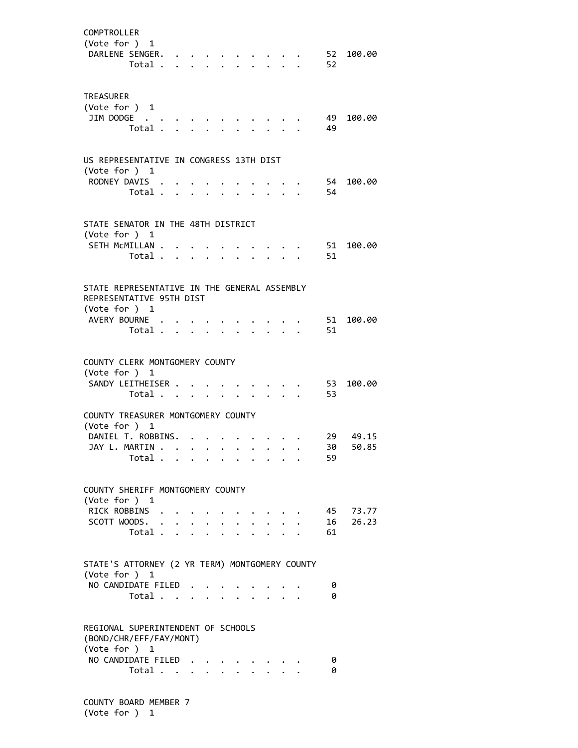| COMPTROLLER<br>(Vote for ) 1<br>DARLENE SENGER.<br>Total .                                                                      |              | $\ddot{\phantom{a}}$                  |                      | $\cdot$ $\cdot$ $\cdot$ |  | $\sim$ $\sim$ $\sim$ $\sim$ $\sim$ $\sim$<br>$\cdot$ $\cdot$ $\cdot$ $\cdot$ |  | 52<br>52   | 100.00            |
|---------------------------------------------------------------------------------------------------------------------------------|--------------|---------------------------------------|----------------------|-------------------------|--|------------------------------------------------------------------------------|--|------------|-------------------|
| <b>TREASURER</b><br>(Vote for ) 1<br>JIM DODGE<br>Total .                                                                       |              | $\sim$ $\sim$ $\sim$<br>$\sim$ $\sim$ |                      |                         |  | $\mathbf{L}$                                                                 |  | - 49<br>49 | 100.00            |
| US REPRESENTATIVE IN CONGRESS 13TH DIST<br>(Vote for ) 1<br>RODNEY DAVIS .<br>Total                                             |              | $\mathcal{L}^{\text{max}}$            |                      |                         |  |                                                                              |  | 54<br>-54  | 100.00            |
| STATE SENATOR IN THE 48TH DISTRICT<br>(Vote for ) 1<br>SETH MCMILLAN .<br>Total .                                               | $\mathbf{r}$ |                                       |                      |                         |  |                                                                              |  | 51<br>51   | 100.00            |
| STATE REPRESENTATIVE IN THE GENERAL ASSEMBLY<br>REPRESENTATIVE 95TH DIST<br>(Vote for ) 1<br>AVERY BOURNE .<br>Total .          |              |                                       |                      |                         |  |                                                                              |  | 51<br>51   | 100.00            |
| COUNTY CLERK MONTGOMERY COUNTY<br>(Vote for ) 1<br>SANDY LEITHEISER<br>Total<br>COUNTY TREASURER MONTGOMERY COUNTY              |              |                                       |                      | $\ddot{\phantom{0}}$    |  | $\cdot$ $\cdot$ $\cdot$ $\cdot$                                              |  | 53<br>53   | 100.00            |
| (Vote for ) 1<br>DANIEL T. ROBBINS.<br>JAY L. MARTIN<br>Total                                                                   |              |                                       |                      |                         |  | $\sim$ $\sim$                                                                |  | 30<br>59   | 29 49.15<br>50.85 |
| COUNTY SHERIFF MONTGOMERY COUNTY<br>(Vote for $)$ 1<br>RICK ROBBINS<br>SCOTT WOODS.<br>Total                                    |              |                                       | $\ddot{\phantom{0}}$ |                         |  | $\mathbf{L}$                                                                 |  | 16<br>61   | 45 73.77<br>26.23 |
| STATE'S ATTORNEY (2 YR TERM) MONTGOMERY COUNTY<br>(Vote for ) 1<br>NO CANDIDATE FILED.<br>Total                                 |              | $\cdot$                               |                      |                         |  |                                                                              |  | 0<br>0     |                   |
| REGIONAL SUPERINTENDENT OF SCHOOLS<br>(BOND/CHR/EFF/FAY/MONT)<br>(Vote for ) 1<br>NO CANDIDATE FILED<br>Total $\cdots$ $\cdots$ |              |                                       |                      |                         |  |                                                                              |  | 0<br>0     |                   |

 COUNTY BOARD MEMBER 7 (Vote for ) 1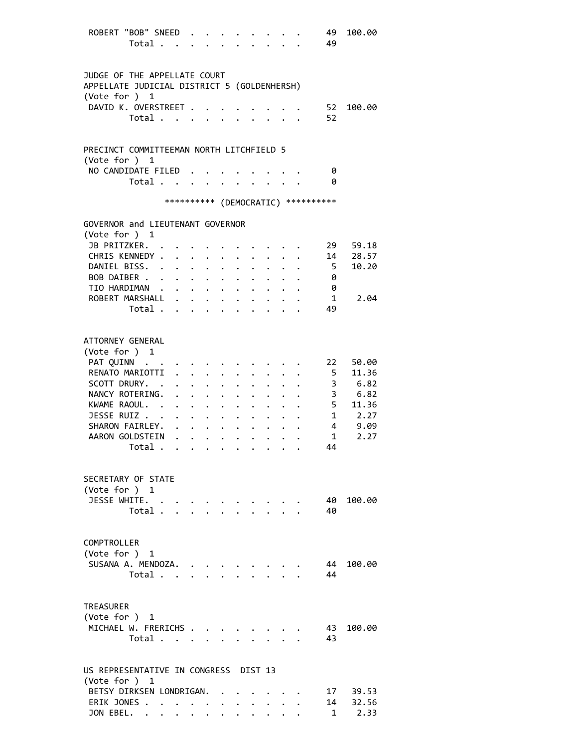| ROBERT "BOB" SNEED                                                          |                      |                                                                    |                      |                      |                                                 |                      |                                             |                                                                       | 49                     | 100.00                |
|-----------------------------------------------------------------------------|----------------------|--------------------------------------------------------------------|----------------------|----------------------|-------------------------------------------------|----------------------|---------------------------------------------|-----------------------------------------------------------------------|------------------------|-----------------------|
| Total                                                                       |                      |                                                                    |                      |                      |                                                 |                      |                                             | 49                                                                    |                        |                       |
|                                                                             |                      |                                                                    |                      |                      |                                                 |                      |                                             |                                                                       |                        |                       |
| JUDGE OF THE APPELLATE COURT<br>APPELLATE JUDICIAL DISTRICT 5 (GOLDENHERSH) |                      |                                                                    |                      |                      |                                                 |                      |                                             |                                                                       |                        |                       |
| (Vote for ) 1                                                               |                      |                                                                    |                      |                      |                                                 |                      |                                             |                                                                       |                        |                       |
| DAVID K. OVERSTREET .                                                       |                      |                                                                    |                      |                      |                                                 |                      |                                             | 52                                                                    |                        | 100.00                |
| Total                                                                       |                      |                                                                    |                      | $\ddot{\phantom{0}}$ |                                                 |                      |                                             | 52                                                                    |                        |                       |
|                                                                             |                      |                                                                    |                      |                      |                                                 |                      |                                             |                                                                       |                        |                       |
| PRECINCT COMMITTEEMAN NORTH LITCHFIELD 5                                    |                      |                                                                    |                      |                      |                                                 |                      |                                             |                                                                       |                        |                       |
| (Vote for ) 1                                                               |                      |                                                                    |                      |                      |                                                 |                      |                                             |                                                                       |                        |                       |
| NO CANDIDATE FILED                                                          |                      |                                                                    |                      |                      |                                                 |                      |                                             |                                                                       | 0                      |                       |
| Total                                                                       |                      |                                                                    |                      |                      |                                                 |                      |                                             |                                                                       | - 0                    |                       |
|                                                                             |                      |                                                                    |                      |                      |                                                 |                      |                                             | *********** (DEMOCRATIC) **********                                   |                        |                       |
| GOVERNOR and LIEUTENANT GOVERNOR                                            |                      |                                                                    |                      |                      |                                                 |                      |                                             |                                                                       |                        |                       |
| (Vote for ) 1                                                               |                      |                                                                    |                      |                      |                                                 |                      |                                             |                                                                       |                        |                       |
| JB PRITZKER.                                                                |                      |                                                                    |                      |                      |                                                 |                      |                                             |                                                                       | 29                     | 59.18                 |
| CHRIS KENNEDY                                                               |                      |                                                                    |                      |                      |                                                 |                      |                                             | $\cdot$ $\cdot$ $\cdot$ $\cdot$ 14                                    |                        | 28.57                 |
| DANIEL BISS. .                                                              |                      | $\ddot{\phantom{0}}$                                               | $\ddotsc$            | $\ddot{\phantom{a}}$ |                                                 | $\ddot{\phantom{0}}$ |                                             |                                                                       | $5^{\circ}$            | 10.20                 |
| BOB DAIBER                                                                  |                      |                                                                    |                      | $\bullet$ .          |                                                 |                      |                                             |                                                                       | - 0                    |                       |
| TIO HARDIMAN                                                                |                      |                                                                    |                      |                      |                                                 |                      |                                             |                                                                       | - 0<br>$\mathbf 1$     | 2.04                  |
| ROBERT MARSHALL<br>Total                                                    |                      |                                                                    |                      |                      |                                                 |                      |                                             |                                                                       | 49                     |                       |
|                                                                             |                      |                                                                    |                      |                      |                                                 |                      |                                             |                                                                       |                        |                       |
|                                                                             |                      |                                                                    |                      |                      |                                                 |                      |                                             |                                                                       |                        |                       |
| ATTORNEY GENERAL                                                            |                      |                                                                    |                      |                      |                                                 |                      |                                             |                                                                       |                        |                       |
| (Vote for ) 1                                                               |                      |                                                                    |                      |                      |                                                 |                      |                                             |                                                                       | 22                     |                       |
| PAT QUINN<br>RENATO MARIOTTI                                                | $\ddot{\phantom{0}}$ | $\mathbf{r} = \mathbf{r} + \mathbf{r}$ , where $\mathbf{r}$        |                      |                      |                                                 |                      |                                             |                                                                       | 5 <sub>5</sub>         | 50.00<br>11.36        |
| SCOTT DRURY. .                                                              |                      | $\mathbf{r} = \mathbf{r} + \mathbf{r} + \mathbf{r} + \mathbf{r}$ . |                      |                      |                                                 |                      |                                             |                                                                       |                        | 3, 6.82               |
| NANCY ROTERING.                                                             |                      |                                                                    |                      |                      |                                                 |                      |                                             |                                                                       |                        | $3 \t 6.82$           |
| KWAME RAOUL.                                                                |                      |                                                                    |                      |                      |                                                 |                      |                                             |                                                                       |                        | $5$ $11.36$<br>1 2.27 |
| JESSE RUIZ                                                                  |                      |                                                                    |                      | $\ddot{\phantom{0}}$ | $\ddot{\phantom{0}}$                            |                      |                                             |                                                                       |                        |                       |
| SHARON FAIRLEY.                                                             |                      |                                                                    |                      |                      |                                                 |                      |                                             | $\mathbf{1}^{\prime}$ , $\mathbf{1}^{\prime}$ , $\mathbf{1}^{\prime}$ |                        | 4 9.09                |
| AARON GOLDSTEIN                                                             |                      |                                                                    |                      |                      |                                                 |                      | $\ddot{\phantom{a}}$ . $\ddot{\phantom{a}}$ |                                                                       | $1 \quad \blacksquare$ | 2.27                  |
| Total                                                                       |                      |                                                                    |                      |                      |                                                 |                      |                                             |                                                                       | 44                     |                       |
|                                                                             |                      |                                                                    |                      |                      |                                                 |                      |                                             |                                                                       |                        |                       |
| SECRETARY OF STATE                                                          |                      |                                                                    |                      |                      |                                                 |                      |                                             |                                                                       |                        |                       |
| (Vote for ) 1<br>JESSE WHITE.                                               |                      |                                                                    |                      |                      |                                                 |                      |                                             |                                                                       | 40                     | 100.00                |
| Total                                                                       |                      |                                                                    |                      |                      | $\cdot$ $\cdot$ $\cdot$ $\cdot$ $\cdot$ $\cdot$ |                      |                                             |                                                                       | 40                     |                       |
|                                                                             |                      |                                                                    |                      |                      |                                                 |                      |                                             |                                                                       |                        |                       |
|                                                                             |                      |                                                                    |                      |                      |                                                 |                      |                                             |                                                                       |                        |                       |
| COMPTROLLER                                                                 |                      |                                                                    |                      |                      |                                                 |                      |                                             |                                                                       |                        |                       |
| (Vote for ) 1<br>SUSANA A. MENDOZA.                                         |                      |                                                                    |                      |                      |                                                 |                      |                                             |                                                                       | 44                     | 100.00                |
| Total                                                                       |                      |                                                                    |                      |                      |                                                 |                      |                                             |                                                                       | 44                     |                       |
|                                                                             |                      |                                                                    |                      |                      |                                                 |                      |                                             |                                                                       |                        |                       |
|                                                                             |                      |                                                                    |                      |                      |                                                 |                      |                                             |                                                                       |                        |                       |
| <b>TREASURER</b><br>(Vote for ) 1                                           |                      |                                                                    |                      |                      |                                                 |                      |                                             |                                                                       |                        |                       |
| MICHAEL W. FRERICHS                                                         |                      |                                                                    |                      |                      |                                                 |                      |                                             |                                                                       | 43                     | 100.00                |
| Total                                                                       |                      |                                                                    |                      |                      |                                                 |                      |                                             |                                                                       | 43                     |                       |
|                                                                             |                      |                                                                    |                      |                      |                                                 |                      |                                             |                                                                       |                        |                       |
|                                                                             |                      |                                                                    |                      |                      |                                                 |                      |                                             |                                                                       |                        |                       |
| US REPRESENTATIVE IN CONGRESS DIST 13<br>(Vote for ) $1$                    |                      |                                                                    |                      |                      |                                                 |                      |                                             |                                                                       |                        |                       |
| BETSY DIRKSEN LONDRIGAN.                                                    |                      |                                                                    |                      |                      |                                                 |                      |                                             |                                                                       | 17                     | 39.53                 |
| ERIK JONES                                                                  |                      |                                                                    | $\ddot{\phantom{a}}$ |                      |                                                 |                      |                                             |                                                                       | 14                     | 32.56                 |
| JON EBEL.                                                                   |                      |                                                                    |                      |                      |                                                 |                      |                                             |                                                                       | $1 \quad$              | 2.33                  |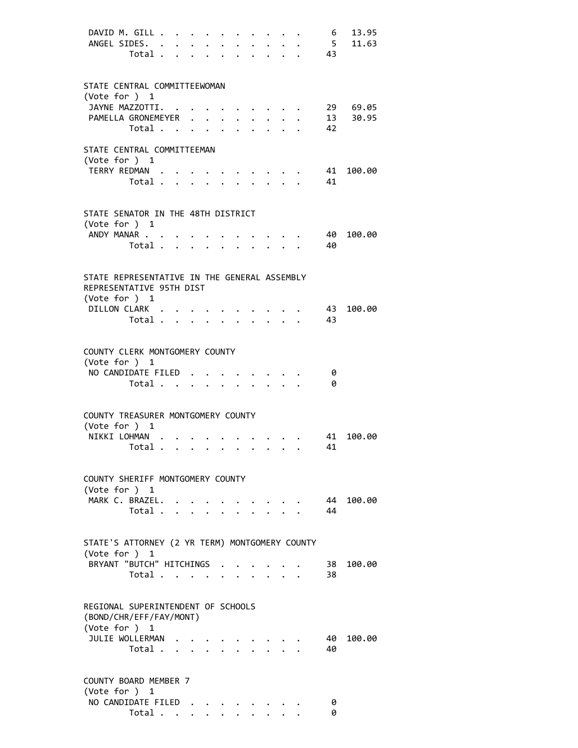| DAVID M. GILL<br>ANGEL SIDES.                                                             | Total $\cdots$ $\cdots$ $\cdots$ |                                                                                                        | $\ddotsc$ . The contract of $\ddotsc$ | $\bullet$ | $\bullet$ |                                                                          |                         | 6<br>5 <sup>5</sup><br>. 43 | 13.95<br>11.63 |
|-------------------------------------------------------------------------------------------|----------------------------------|--------------------------------------------------------------------------------------------------------|---------------------------------------|-----------|-----------|--------------------------------------------------------------------------|-------------------------|-----------------------------|----------------|
| STATE CENTRAL COMMITTEEWOMAN<br>(Vote for $)$ 1<br>JAYNE MAZZOTTI.                        |                                  |                                                                                                        |                                       |           |           | $\cdot$ $\cdot$ $\cdot$ $\cdot$ $\cdot$ $\cdot$                          |                         |                             | 29 69.05       |
| PAMELLA GRONEMEYER<br>Total .                                                             |                                  | $\mathbf{r}$ , $\mathbf{r}$ , $\mathbf{r}$ , $\mathbf{r}$ , $\mathbf{r}$ , $\mathbf{r}$ , $\mathbf{r}$ |                                       |           |           |                                                                          |                         | 13<br>42                    | 30.95          |
| STATE CENTRAL COMMITTEEMAN<br>(Vote for ) 1                                               |                                  |                                                                                                        |                                       |           |           |                                                                          |                         |                             |                |
| TERRY REDMAN .                                                                            | Total                            |                                                                                                        |                                       |           |           | $\mathcal{L}^{\text{max}}$                                               |                         | 41<br>41                    | 100.00         |
| STATE SENATOR IN THE 48TH DISTRICT<br>(Vote for ) 1                                       |                                  |                                                                                                        |                                       |           |           |                                                                          |                         |                             |                |
| ANDY MANAR                                                                                | Total                            |                                                                                                        |                                       |           |           |                                                                          |                         | 40<br>40                    | 100.00         |
| STATE REPRESENTATIVE IN THE GENERAL ASSEMBLY<br>REPRESENTATIVE 95TH DIST<br>(Vote for ) 1 |                                  |                                                                                                        |                                       |           |           |                                                                          |                         |                             |                |
| DILLON CLARK                                                                              | Total $\cdots$ $\cdots$          |                                                                                                        |                                       |           |           | $\ddotsc$                                                                |                         | 43<br>43                    | 100.00         |
| COUNTY CLERK MONTGOMERY COUNTY<br>(Vote for ) 1<br>NO CANDIDATE FILED                     |                                  |                                                                                                        |                                       |           |           |                                                                          |                         |                             |                |
|                                                                                           | Total                            |                                                                                                        |                                       |           |           | $\ddot{\phantom{0}}$                                                     | $\cdot$ $\cdot$ $\cdot$ | 0<br>0                      |                |
| COUNTY TREASURER MONTGOMERY COUNTY<br>(Vote for ) 1                                       |                                  |                                                                                                        |                                       |           |           |                                                                          |                         |                             |                |
| NIKKI LOHMAN                                                                              |                                  |                                                                                                        |                                       |           |           |                                                                          |                         | 41                          | 41 100.00      |
| COUNTY SHERIFF MONTGOMERY COUNTY<br>(Vote for ) 1                                         |                                  |                                                                                                        |                                       |           |           |                                                                          |                         |                             |                |
| MARK C. BRAZEL. .                                                                         | Total                            |                                                                                                        |                                       |           |           | $\mathbf{r} = \mathbf{r} + \mathbf{r}$ , where $\mathbf{r} = \mathbf{r}$ |                         | 44                          | 44 100.00      |
| STATE'S ATTORNEY (2 YR TERM) MONTGOMERY COUNTY<br>(Vote for ) 1                           |                                  |                                                                                                        |                                       |           |           |                                                                          |                         |                             |                |
| BRYANT "BUTCH" HITCHINGS                                                                  | Total                            |                                                                                                        |                                       |           |           |                                                                          |                         | 38                          | 38 100.00      |
| REGIONAL SUPERINTENDENT OF SCHOOLS<br>(BOND/CHR/EFF/FAY/MONT)<br>(Vote for ) 1            |                                  |                                                                                                        |                                       |           |           |                                                                          |                         |                             |                |
| JULIE WOLLERMAN                                                                           | Total                            |                                                                                                        |                                       |           |           |                                                                          |                         | 40<br>40                    | 100.00         |
| COUNTY BOARD MEMBER 7<br>(Vote for ) 1                                                    |                                  |                                                                                                        |                                       |           |           |                                                                          |                         |                             |                |
| NO CANDIDATE FILED                                                                        | Total                            |                                                                                                        |                                       |           |           |                                                                          |                         | 0<br>0                      |                |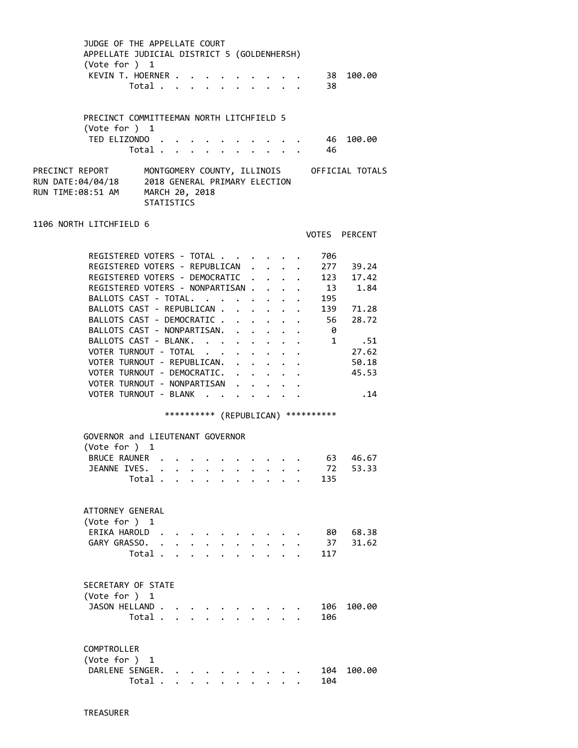| JUDGE OF THE APPELLATE COURT<br>APPELLATE JUDICIAL DISTRICT 5 (GOLDENHERSH)<br>(Vote for ) 1<br>KEVIN T. HOERNER .                                                                                                                                                                                                                                                                                                                                                                                                      | Total                                                                |                      |                      | $\ddot{\phantom{0}}$                 |                                                   |                                                                                                                                                                                                        | $\cdot$ $\cdot$ $\cdot$ $\cdot$ | 38<br>- 38                                                                                                                                 | 100.00                                                                                              |  |
|-------------------------------------------------------------------------------------------------------------------------------------------------------------------------------------------------------------------------------------------------------------------------------------------------------------------------------------------------------------------------------------------------------------------------------------------------------------------------------------------------------------------------|----------------------------------------------------------------------|----------------------|----------------------|--------------------------------------|---------------------------------------------------|--------------------------------------------------------------------------------------------------------------------------------------------------------------------------------------------------------|---------------------------------|--------------------------------------------------------------------------------------------------------------------------------------------|-----------------------------------------------------------------------------------------------------|--|
| PRECINCT COMMITTEEMAN NORTH LITCHFIELD 5<br>(Vote for ) 1<br>TED ELIZONDO.                                                                                                                                                                                                                                                                                                                                                                                                                                              | Total                                                                |                      |                      |                                      | $\ddot{\phantom{0}}$                              |                                                                                                                                                                                                        |                                 | - 46<br>46                                                                                                                                 | 100.00                                                                                              |  |
| PRECINCT REPORT<br>RUN DATE:04/04/18<br>RUN TIME:08:51 AM                                                                                                                                                                                                                                                                                                                                                                                                                                                               | 2018 GENERAL PRIMARY ELECTION<br>MARCH 20, 2018<br><b>STATISTICS</b> |                      |                      |                                      |                                                   |                                                                                                                                                                                                        |                                 |                                                                                                                                            | MONTGOMERY COUNTY, ILLINOIS OFFICIAL TOTALS                                                         |  |
| 1106 NORTH LITCHFIELD 6                                                                                                                                                                                                                                                                                                                                                                                                                                                                                                 |                                                                      |                      |                      |                                      |                                                   |                                                                                                                                                                                                        |                                 |                                                                                                                                            | VOTES PERCENT                                                                                       |  |
| REGISTERED VOTERS - TOTAL<br>REGISTERED VOTERS - REPUBLICAN .<br>REGISTERED VOTERS - DEMOCRATIC .<br>REGISTERED VOTERS - NONPARTISAN<br>BALLOTS CAST - TOTAL.<br>BALLOTS CAST - REPUBLICAN<br>BALLOTS CAST - DEMOCRATIC .<br>BALLOTS CAST - NONPARTISAN.<br>BALLOTS CAST - BLANK.<br>VOTER TURNOUT - TOTAL<br>VOTER TURNOUT - REPUBLICAN.<br>VOTER TURNOUT - DEMOCRATIC. .<br>VOTER TURNOUT - NONPARTISAN<br>VOTER TURNOUT - BLANK<br>GOVERNOR and LIEUTENANT GOVERNOR<br>(Vote for ) 1<br>BRUCE RAUNER<br>JEANNE IVES. | Total.                                                               |                      |                      | $\ddot{\phantom{0}}$<br>$\mathbf{L}$ | $\ddot{\phantom{a}}$<br>$\mathbf{L}^{\text{max}}$ | $\ddot{\phantom{0}}$<br>$\ddot{\phantom{0}}$<br>$\ddot{\phantom{0}}$<br>$\cdot$ $\cdot$ $\cdot$ $\cdot$ $\cdot$<br>$\mathbf{r} = \mathbf{r} + \mathbf{r}$ , where $\mathbf{r}$<br>$\ddot{\phantom{0}}$ |                                 | 706<br>277<br>123<br>13<br>195<br>139<br>56<br>$\mathbf{L}$<br>- 0<br>$1 \quad$<br>*********** (REPUBLICAN) ***********<br>63<br>72<br>135 | 39.24<br>17.42<br>1.84<br>71.28<br>28.72<br>.51<br>27.62<br>50.18<br>45.53<br>.14<br>46.67<br>53.33 |  |
| ATTORNEY GENERAL<br>(Vote for ) 1<br>ERIKA HAROLD.<br>GARY GRASSO.                                                                                                                                                                                                                                                                                                                                                                                                                                                      | Total.                                                               |                      |                      |                                      |                                                   |                                                                                                                                                                                                        |                                 | 80<br>37<br>117                                                                                                                            | 68.38<br>31.62                                                                                      |  |
| SECRETARY OF STATE<br>(Vote for ) 1<br>JASON HELLAND.                                                                                                                                                                                                                                                                                                                                                                                                                                                                   | Total .                                                              |                      |                      |                                      |                                                   |                                                                                                                                                                                                        |                                 | 106<br>106                                                                                                                                 | 100.00                                                                                              |  |
| COMPTROLLER<br>(Vote for ) 1<br>DARLENE SENGER.                                                                                                                                                                                                                                                                                                                                                                                                                                                                         | Total .                                                              | $\ddot{\phantom{1}}$ | $\ddot{\phantom{0}}$ |                                      |                                                   |                                                                                                                                                                                                        |                                 | 104<br>104                                                                                                                                 | 100.00                                                                                              |  |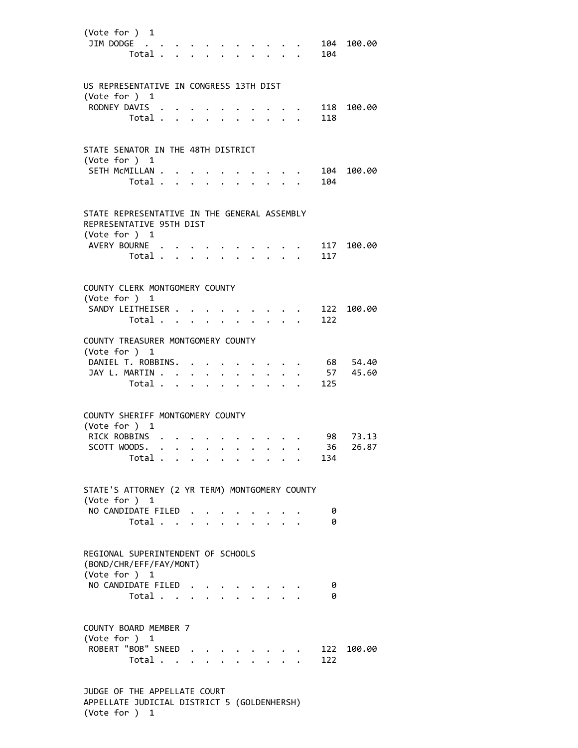| (Vote for $)$ 1<br>JIM DODGE                                                                 | Total         |  |              |             |                                                                                                                                                                                                                                       |                      |                                             | 104       | 104 100.00        |
|----------------------------------------------------------------------------------------------|---------------|--|--------------|-------------|---------------------------------------------------------------------------------------------------------------------------------------------------------------------------------------------------------------------------------------|----------------------|---------------------------------------------|-----------|-------------------|
| US REPRESENTATIVE IN CONGRESS 13TH DIST<br>(Vote for $)$ 1<br>RODNEY DAVIS                   |               |  |              |             |                                                                                                                                                                                                                                       |                      |                                             |           | 118 100.00        |
|                                                                                              | Total         |  |              | $\bullet$   | $\sim$ $\sim$                                                                                                                                                                                                                         | $\ddot{\phantom{0}}$ |                                             | 118       |                   |
| STATE SENATOR IN THE 48TH DISTRICT<br>(Vote for ) 1                                          |               |  |              |             |                                                                                                                                                                                                                                       |                      |                                             |           |                   |
| SETH MCMILLAN                                                                                | Total         |  |              |             | $\ddot{\phantom{0}}$                                                                                                                                                                                                                  |                      | $\mathbf{L} = \mathbf{L} \times \mathbf{L}$ | 104       | 104 100.00        |
| STATE REPRESENTATIVE IN THE GENERAL ASSEMBLY<br>REPRESENTATIVE 95TH DIST<br>(Vote for ) 1    |               |  |              |             |                                                                                                                                                                                                                                       |                      |                                             |           |                   |
| AVERY BOURNE.                                                                                | Total         |  | $\mathbf{r}$ |             | $\ddot{\phantom{a}}$                                                                                                                                                                                                                  |                      |                                             | 117       | 117 100.00        |
| COUNTY CLERK MONTGOMERY COUNTY<br>(Vote for ) 1                                              |               |  |              |             |                                                                                                                                                                                                                                       |                      |                                             |           |                   |
| SANDY LEITHEISER                                                                             | Total         |  |              |             |                                                                                                                                                                                                                                       |                      |                                             | 122       | 122 100.00        |
| COUNTY TREASURER MONTGOMERY COUNTY<br>(Vote for ) 1                                          |               |  |              |             |                                                                                                                                                                                                                                       |                      |                                             |           |                   |
| DANIEL T. ROBBINS.<br>JAY L. MARTIN                                                          | Total         |  | $\bullet$ .  | $\bullet$ . | $\ddot{\bullet}$ . The set of the set of the set of the set of the set of the set of the set of the set of the set of the set of the set of the set of the set of the set of the set of the set of the set of the set of the set of t |                      |                                             | 57<br>125 | 68 54.40<br>45.60 |
| COUNTY SHERIFF MONTGOMERY COUNTY<br>(Vote for $)$ 1                                          |               |  |              |             |                                                                                                                                                                                                                                       |                      |                                             |           |                   |
| RICK ROBBINS<br>SCOTT WOODS.                                                                 |               |  |              |             |                                                                                                                                                                                                                                       | $\cdots$             |                                             | 36        | 98 73.13<br>26.87 |
|                                                                                              | Total $\cdot$ |  |              |             |                                                                                                                                                                                                                                       |                      |                                             | 134       |                   |
| STATE'S ATTORNEY (2 YR TERM) MONTGOMERY COUNTY<br>(Vote for ) 1                              |               |  |              |             |                                                                                                                                                                                                                                       |                      |                                             |           |                   |
| NO CANDIDATE FILED                                                                           | Total         |  |              |             |                                                                                                                                                                                                                                       |                      |                                             | 0<br>0    |                   |
| REGIONAL SUPERINTENDENT OF SCHOOLS<br>(BOND/CHR/EFF/FAY/MONT)<br>(Vote for ) 1               |               |  |              |             |                                                                                                                                                                                                                                       |                      |                                             |           |                   |
| NO CANDIDATE FILED                                                                           | Total         |  |              |             |                                                                                                                                                                                                                                       |                      |                                             | 0<br>0    |                   |
| COUNTY BOARD MEMBER 7<br>(Vote for $)$ 1                                                     |               |  |              |             |                                                                                                                                                                                                                                       |                      |                                             |           |                   |
| ROBERT "BOB" SNEED                                                                           | Total         |  |              |             |                                                                                                                                                                                                                                       |                      |                                             | 122       | 122 100.00        |
| JUDGE OF THE APPELLATE COURT<br>APPELLATE JUDICIAL DISTRICT 5 (GOLDENHERSH)<br>(Vote for ) 1 |               |  |              |             |                                                                                                                                                                                                                                       |                      |                                             |           |                   |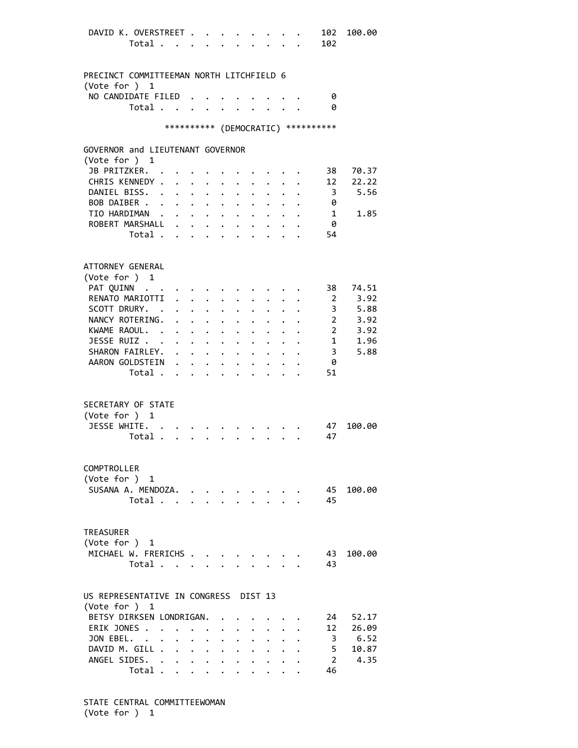| DAVID K. OVERSTREET .                    |         |                      |                      | $\ddot{\phantom{a}}$                                               |                      |                           | $\cdot$ $\cdot$ $\cdot$ $\cdot$ $\cdot$                                                                                                                                                                                               |                      |                      | 102                                 | 100.00              |
|------------------------------------------|---------|----------------------|----------------------|--------------------------------------------------------------------|----------------------|---------------------------|---------------------------------------------------------------------------------------------------------------------------------------------------------------------------------------------------------------------------------------|----------------------|----------------------|-------------------------------------|---------------------|
|                                          | Total   |                      |                      |                                                                    |                      |                           | $\mathbf{r} = \mathbf{r} \cdot \mathbf{r}$                                                                                                                                                                                            |                      |                      | 102                                 |                     |
|                                          |         |                      |                      |                                                                    |                      |                           |                                                                                                                                                                                                                                       |                      |                      |                                     |                     |
|                                          |         |                      |                      |                                                                    |                      |                           |                                                                                                                                                                                                                                       |                      |                      |                                     |                     |
| PRECINCT COMMITTEEMAN NORTH LITCHFIELD 6 |         |                      |                      |                                                                    |                      |                           |                                                                                                                                                                                                                                       |                      |                      |                                     |                     |
|                                          |         |                      |                      |                                                                    |                      |                           |                                                                                                                                                                                                                                       |                      |                      |                                     |                     |
| (Vote for ) $1$                          |         |                      |                      |                                                                    |                      |                           |                                                                                                                                                                                                                                       |                      |                      |                                     |                     |
| NO CANDIDATE FILED                       |         |                      |                      |                                                                    |                      |                           |                                                                                                                                                                                                                                       |                      |                      | 0                                   |                     |
|                                          | Total   |                      | $\bullet$            | $\bullet$ .                                                        |                      |                           |                                                                                                                                                                                                                                       | $\sim$ $\sim$        |                      | 0                                   |                     |
|                                          |         |                      |                      |                                                                    |                      |                           |                                                                                                                                                                                                                                       |                      |                      |                                     |                     |
|                                          |         |                      |                      |                                                                    |                      |                           |                                                                                                                                                                                                                                       |                      |                      | *********** (DEMOCRATIC) ********** |                     |
|                                          |         |                      |                      |                                                                    |                      |                           |                                                                                                                                                                                                                                       |                      |                      |                                     |                     |
| GOVERNOR and LIEUTENANT GOVERNOR         |         |                      |                      |                                                                    |                      |                           |                                                                                                                                                                                                                                       |                      |                      |                                     |                     |
| (Vote for ) 1                            |         |                      |                      |                                                                    |                      |                           |                                                                                                                                                                                                                                       |                      |                      |                                     |                     |
|                                          |         |                      |                      |                                                                    |                      |                           |                                                                                                                                                                                                                                       |                      |                      |                                     |                     |
| JB PRITZKER.                             |         |                      |                      |                                                                    |                      |                           |                                                                                                                                                                                                                                       |                      |                      | 38                                  | 70.37               |
| CHRIS KENNEDY .                          |         | $\ddot{\phantom{0}}$ |                      | $\sim$ 100 $\sim$ 100 $\sim$                                       |                      |                           |                                                                                                                                                                                                                                       |                      |                      | 12                                  | 22.22               |
| DANIEL BISS.                             |         |                      |                      | $\cdot$ $\cdot$ $\cdot$ $\cdot$ $\cdot$                            |                      |                           |                                                                                                                                                                                                                                       |                      |                      | $\overline{\mathbf{3}}$             | 5.56                |
| BOB DAIBER .                             |         |                      |                      | $\mathbf{u} = \mathbf{u} + \mathbf{u} + \mathbf{u} + \mathbf{u}$ . | $\sim$ $-$           |                           | $\ddotsc$ $\ddotsc$                                                                                                                                                                                                                   |                      |                      | 0                                   |                     |
| TIO HARDIMAN                             |         |                      |                      | $\mathbf{r} = \mathbf{r} + \mathbf{r} + \mathbf{r}$ .              | $\sim$               |                           | $\ddot{\phantom{0}}$                                                                                                                                                                                                                  | $\mathbf{L}$         |                      | $\mathbf{1}$                        | 1.85                |
| ROBERT MARSHALL                          |         |                      |                      |                                                                    |                      |                           |                                                                                                                                                                                                                                       |                      |                      | - 0                                 |                     |
|                                          | Total   |                      |                      |                                                                    |                      |                           |                                                                                                                                                                                                                                       |                      |                      | 54                                  |                     |
|                                          |         |                      |                      |                                                                    |                      |                           |                                                                                                                                                                                                                                       |                      |                      |                                     |                     |
|                                          |         |                      |                      |                                                                    |                      |                           |                                                                                                                                                                                                                                       |                      |                      |                                     |                     |
|                                          |         |                      |                      |                                                                    |                      |                           |                                                                                                                                                                                                                                       |                      |                      |                                     |                     |
| ATTORNEY GENERAL                         |         |                      |                      |                                                                    |                      |                           |                                                                                                                                                                                                                                       |                      |                      |                                     |                     |
| (Vote for ) 1                            |         |                      |                      |                                                                    |                      |                           |                                                                                                                                                                                                                                       |                      |                      |                                     |                     |
| PAT QUINN                                |         |                      |                      |                                                                    |                      |                           |                                                                                                                                                                                                                                       |                      |                      | 38                                  | 74.51               |
| RENATO MARIOTTI                          |         |                      |                      | $\ddot{\phantom{a}}$                                               |                      | $\mathbf{L}$ $\mathbf{L}$ | $\sim$                                                                                                                                                                                                                                | $\ddot{\phantom{0}}$ |                      | 2                                   | 3.92                |
| SCOTT DRURY. .                           |         |                      |                      |                                                                    |                      |                           |                                                                                                                                                                                                                                       |                      |                      |                                     | 3 5.88              |
|                                          |         |                      |                      |                                                                    |                      |                           | .                                                                                                                                                                                                                                     |                      | $\ddot{\phantom{a}}$ |                                     |                     |
| NANCY ROTERING.                          |         |                      |                      |                                                                    |                      |                           | $\ddot{\phantom{0}}$                                                                                                                                                                                                                  |                      |                      |                                     | 2, 3.92             |
| KWAME RAOUL.                             |         |                      |                      |                                                                    |                      |                           |                                                                                                                                                                                                                                       |                      |                      |                                     | 2, 3.92             |
| JESSE RUIZ                               |         |                      |                      |                                                                    |                      |                           |                                                                                                                                                                                                                                       |                      |                      |                                     | 1 1.96              |
| SHARON FAIRLEY. .                        |         |                      |                      |                                                                    |                      |                           | $\cdot$ $\cdot$ $\cdot$ $\cdot$ $\cdot$ $\cdot$ $\cdot$                                                                                                                                                                               |                      |                      |                                     | $3^{\circ}$<br>5.88 |
| AARON GOLDSTEIN                          |         |                      |                      | <b>Contract Contract Contract</b>                                  |                      |                           | $\ddot{\bullet}$ . The set of the set of the set of the set of the set of the set of the set of the set of the set of the set of the set of the set of the set of the set of the set of the set of the set of the set of the set of t |                      |                      | 0                                   |                     |
|                                          | Total   |                      |                      | $\ddotsc$                                                          |                      |                           |                                                                                                                                                                                                                                       |                      |                      | 51                                  |                     |
|                                          |         |                      |                      |                                                                    |                      |                           |                                                                                                                                                                                                                                       |                      |                      |                                     |                     |
|                                          |         |                      |                      |                                                                    |                      |                           |                                                                                                                                                                                                                                       |                      |                      |                                     |                     |
|                                          |         |                      |                      |                                                                    |                      |                           |                                                                                                                                                                                                                                       |                      |                      |                                     |                     |
| SECRETARY OF STATE                       |         |                      |                      |                                                                    |                      |                           |                                                                                                                                                                                                                                       |                      |                      |                                     |                     |
| (Vote for ) 1                            |         |                      |                      |                                                                    |                      |                           |                                                                                                                                                                                                                                       |                      |                      |                                     |                     |
| JESSE WHITE. .                           |         |                      |                      |                                                                    |                      |                           |                                                                                                                                                                                                                                       |                      |                      | 47                                  | 100.00              |
| Total .                                  |         |                      |                      |                                                                    |                      |                           |                                                                                                                                                                                                                                       |                      |                      | 47                                  |                     |
|                                          |         |                      |                      |                                                                    |                      |                           |                                                                                                                                                                                                                                       |                      |                      |                                     |                     |
|                                          |         |                      |                      |                                                                    |                      |                           |                                                                                                                                                                                                                                       |                      |                      |                                     |                     |
| COMPTROLLER                              |         |                      |                      |                                                                    |                      |                           |                                                                                                                                                                                                                                       |                      |                      |                                     |                     |
|                                          |         |                      |                      |                                                                    |                      |                           |                                                                                                                                                                                                                                       |                      |                      |                                     |                     |
| (Vote for ) 1                            |         |                      |                      |                                                                    |                      |                           |                                                                                                                                                                                                                                       |                      |                      |                                     |                     |
| SUSANA A. MENDOZA.                       |         |                      |                      |                                                                    |                      |                           |                                                                                                                                                                                                                                       |                      |                      | 45                                  | 100.00              |
|                                          | Total   |                      |                      |                                                                    |                      |                           | $\cdot$ $\cdot$ $\cdot$ $\cdot$                                                                                                                                                                                                       |                      |                      | 45                                  |                     |
|                                          |         |                      |                      |                                                                    |                      |                           |                                                                                                                                                                                                                                       |                      |                      |                                     |                     |
|                                          |         |                      |                      |                                                                    |                      |                           |                                                                                                                                                                                                                                       |                      |                      |                                     |                     |
| <b>TREASURER</b>                         |         |                      |                      |                                                                    |                      |                           |                                                                                                                                                                                                                                       |                      |                      |                                     |                     |
| (Vote for ) 1                            |         |                      |                      |                                                                    |                      |                           |                                                                                                                                                                                                                                       |                      |                      |                                     |                     |
| MICHAEL W. FRERICHS                      |         |                      |                      |                                                                    |                      |                           |                                                                                                                                                                                                                                       |                      |                      |                                     |                     |
|                                          |         |                      |                      |                                                                    |                      |                           |                                                                                                                                                                                                                                       |                      |                      | 43                                  | 100.00              |
|                                          | Total   |                      |                      |                                                                    |                      |                           | $\mathbf{r}$ and $\mathbf{r}$ and $\mathbf{r}$                                                                                                                                                                                        |                      |                      | 43                                  |                     |
|                                          |         |                      |                      |                                                                    |                      |                           |                                                                                                                                                                                                                                       |                      |                      |                                     |                     |
|                                          |         |                      |                      |                                                                    |                      |                           |                                                                                                                                                                                                                                       |                      |                      |                                     |                     |
| US REPRESENTATIVE IN CONGRESS DIST 13    |         |                      |                      |                                                                    |                      |                           |                                                                                                                                                                                                                                       |                      |                      |                                     |                     |
| (Vote for ) 1                            |         |                      |                      |                                                                    |                      |                           |                                                                                                                                                                                                                                       |                      |                      |                                     |                     |
| BETSY DIRKSEN LONDRIGAN.                 |         |                      |                      |                                                                    |                      |                           |                                                                                                                                                                                                                                       |                      |                      | 24                                  | 52.17               |
| ERIK JONES                               |         |                      |                      |                                                                    |                      |                           |                                                                                                                                                                                                                                       |                      |                      | 12                                  | 26.09               |
|                                          |         |                      |                      |                                                                    |                      |                           |                                                                                                                                                                                                                                       |                      |                      |                                     |                     |
| JON EBEL. .                              | $\sim$  | $\mathbf{L}$         | $\ddot{\phantom{0}}$ | $\ddot{\phantom{0}}$                                               |                      | $\ddot{\phantom{0}}$      | $\ddot{\phantom{0}}$                                                                                                                                                                                                                  | $\mathbf{L}$         |                      | $\overline{\mathbf{3}}$             | 6.52                |
| DAVID M. GILL .                          |         |                      |                      |                                                                    |                      |                           | $\mathbf{r}$ , $\mathbf{r}$ , $\mathbf{r}$ , $\mathbf{r}$ , $\mathbf{r}$ , $\mathbf{r}$ , $\mathbf{r}$                                                                                                                                |                      |                      | $5 -$                               | 10.87               |
| ANGEL SIDES. .                           |         |                      |                      | $\cdot$ $\cdot$ $\cdot$ $\cdot$                                    | $\ddot{\phantom{0}}$ | $\ddot{\phantom{0}}$      | $\ddot{\phantom{0}}$                                                                                                                                                                                                                  | $\ddot{\phantom{0}}$ |                      | $\mathbf{2}$                        | 4.35                |
|                                          | Total . |                      |                      | $\mathbf{1}$ $\mathbf{1}$ $\mathbf{1}$ $\mathbf{1}$ $\mathbf{1}$   | $\ddot{\phantom{0}}$ | $\ddot{\phantom{0}}$      |                                                                                                                                                                                                                                       |                      |                      | 46                                  |                     |
|                                          |         |                      |                      |                                                                    |                      |                           |                                                                                                                                                                                                                                       |                      |                      |                                     |                     |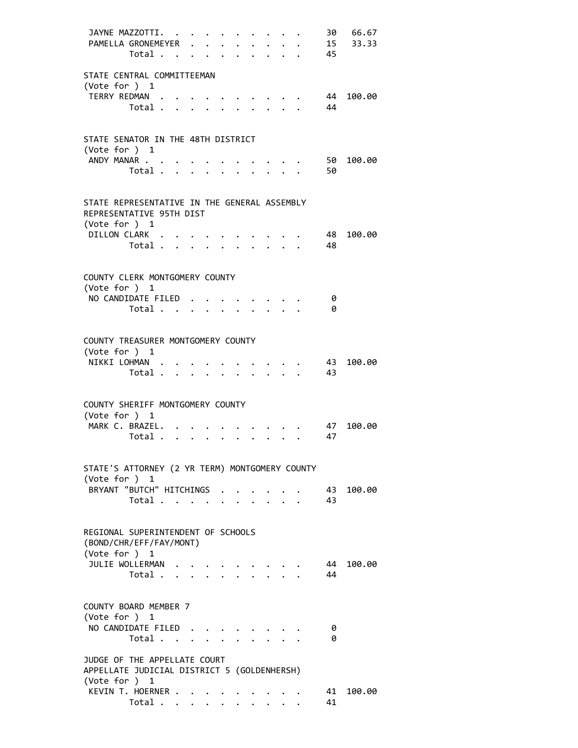|                                                                                              | JAYNE MAZZOTTI.<br>PAMELLA GRONEMEYER<br>Total         |  |              | $\mathbf{L}^{\text{max}}$ |                                                 |                         | 45 |             | 30 66.67<br>15 33.33 |
|----------------------------------------------------------------------------------------------|--------------------------------------------------------|--|--------------|---------------------------|-------------------------------------------------|-------------------------|----|-------------|----------------------|
| STATE CENTRAL COMMITTEEMAN                                                                   |                                                        |  |              |                           |                                                 |                         |    |             |                      |
| (Vote for ) 1                                                                                | TERRY REDMAN<br>Total                                  |  |              |                           |                                                 |                         |    | 44<br>44    | 100.00               |
| STATE SENATOR IN THE 48TH DISTRICT<br>(Vote for ) 1                                          |                                                        |  |              |                           |                                                 |                         |    |             |                      |
|                                                                                              | ANDY MANAR<br>Total                                    |  |              |                           |                                                 |                         |    | 50<br>50    | 100.00               |
| STATE REPRESENTATIVE IN THE GENERAL ASSEMBLY<br>REPRESENTATIVE 95TH DIST<br>(Vote for ) 1    |                                                        |  |              |                           |                                                 |                         |    |             |                      |
|                                                                                              | DILLON CLARK<br>Total                                  |  | $\mathbf{L}$ |                           | $\mathbf{L} = \mathbf{L}$                       |                         |    | - 48<br>-48 | 100.00               |
| COUNTY CLERK MONTGOMERY COUNTY<br>(Vote for ) 1                                              |                                                        |  |              |                           |                                                 |                         |    |             |                      |
|                                                                                              | NO CANDIDATE FILED.<br>Total                           |  |              |                           |                                                 |                         |    | 0<br>0      |                      |
| COUNTY TREASURER MONTGOMERY COUNTY<br>(Vote for ) 1                                          |                                                        |  |              |                           |                                                 |                         |    |             |                      |
|                                                                                              | NIKKI LOHMAN<br>Total 43                               |  |              |                           |                                                 |                         |    | 43          | 100.00               |
| COUNTY SHERIFF MONTGOMERY COUNTY<br>(Vote for $)$ 1                                          |                                                        |  |              |                           |                                                 |                         |    |             |                      |
|                                                                                              | MARK C. BRAZEL.<br>Total $\cdots$                      |  |              |                           | $\cdot$ $\cdot$ $\cdot$ $\cdot$ $\cdot$ $\cdot$ | $\cdot$ $\cdot$ $\cdot$ |    | 47<br>47    | 100.00               |
| STATE'S ATTORNEY (2 YR TERM) MONTGOMERY COUNTY<br>(Vote for ) 1                              |                                                        |  |              |                           |                                                 |                         |    |             |                      |
|                                                                                              | BRYANT "BUTCH" HITCHINGS .<br>Total                    |  |              |                           |                                                 |                         |    | - 43<br>43  | 100.00               |
| REGIONAL SUPERINTENDENT OF SCHOOLS<br>(BOND/CHR/EFF/FAY/MONT)<br>(Vote for ) 1               |                                                        |  |              |                           |                                                 |                         |    |             |                      |
|                                                                                              | JULIE WOLLERMAN<br>Total                               |  |              |                           |                                                 |                         |    | 44<br>44    | 100.00               |
| COUNTY BOARD MEMBER 7<br>(Vote for ) 1                                                       |                                                        |  |              |                           |                                                 |                         |    |             |                      |
|                                                                                              | NO CANDIDATE FILED<br>Total $\cdots$ $\cdots$ $\cdots$ |  |              |                           |                                                 |                         |    | 0<br>0      |                      |
| JUDGE OF THE APPELLATE COURT<br>APPELLATE JUDICIAL DISTRICT 5 (GOLDENHERSH)<br>(Vote for ) 1 |                                                        |  |              |                           |                                                 |                         |    |             |                      |
|                                                                                              | KEVIN T. HOERNER<br>Total $\cdots$ $\cdots$ $\cdots$   |  |              |                           |                                                 |                         |    | 41<br>41    | 100.00               |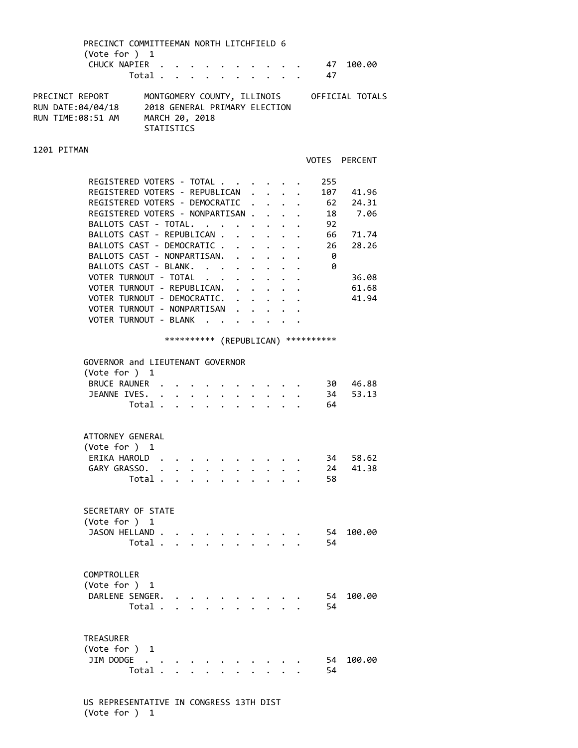| PRECINCT COMMITTEEMAN NORTH LITCHFIELD 6<br>(Note for ) 1<br>CHUCK NAPIER                     |                                                                      |                           |              |                                              |                                                                      |                                                    |                                             |                                      | . 47 100.00                                 |  |
|-----------------------------------------------------------------------------------------------|----------------------------------------------------------------------|---------------------------|--------------|----------------------------------------------|----------------------------------------------------------------------|----------------------------------------------------|---------------------------------------------|--------------------------------------|---------------------------------------------|--|
|                                                                                               | Total .                                                              | $\mathbf{L} = \mathbf{L}$ |              |                                              |                                                                      |                                                    |                                             | 47                                   |                                             |  |
| PRECINCT REPORT<br>RUN DATE:04/04/18<br>RUN TIME:08:51 AM                                     | 2018 GENERAL PRIMARY FLECTION<br>MARCH 20, 2018<br><b>STATISTICS</b> |                           |              |                                              |                                                                      |                                                    |                                             |                                      | MONTGOMERY COUNTY, ILLINOIS OFFICIAL TOTALS |  |
| 1201 PITMAN                                                                                   |                                                                      |                           |              |                                              |                                                                      |                                                    |                                             |                                      |                                             |  |
|                                                                                               |                                                                      |                           |              |                                              |                                                                      |                                                    |                                             |                                      | VOTES PERCENT                               |  |
| REGISTERED VOTERS - TOTAL<br>REGISTERED VOTERS - REPUBLICAN<br>REGISTERED VOTERS - DEMOCRATIC |                                                                      |                           |              |                                              | $\mathbf{L}$                                                         |                                                    | $\mathbf{r}$ . The set of $\mathbf{r}$      | 255                                  | 107 41.96<br>62 24.31                       |  |
| REGISTERED VOTERS - NONPARTISAN.<br>BALLOTS CAST - TOTAL.                                     |                                                                      |                           |              |                                              |                                                                      | $\ddot{\phantom{0}}$                               |                                             | 92                                   | 18 7.06                                     |  |
| BALLOTS CAST - REPUBLICAN .<br>BALLOTS CAST - DEMOCRATIC .<br>BALLOTS CAST - NONPARTISAN.     |                                                                      |                           |              | $\mathbf{L}$                                 | $\ddot{\phantom{0}}$<br>$\ddot{\phantom{0}}$<br>$\ddot{\phantom{a}}$ | $\mathbf{L}$                                       |                                             | 26<br>0                              | 66 71.74<br>28.26                           |  |
| BALLOTS CAST - BLANK.<br>VOTER TURNOUT - TOTAL                                                |                                                                      |                           |              | $\ddot{\phantom{0}}$                         | $\ddot{\phantom{1}}$<br>$\ddot{\phantom{0}}$                         |                                                    | $\mathbf{L} = \mathbf{L} \times \mathbf{L}$ | 0                                    | 36.08                                       |  |
| VOTER TURNOUT - REPUBLICAN.<br>VOTER TURNOUT - DEMOCRATIC.                                    |                                                                      |                           |              | $\ddot{\phantom{0}}$<br>$\ddot{\phantom{0}}$ | $\ddot{\phantom{0}}$                                                 | $\ddot{\phantom{0}}$                               |                                             |                                      | 61.68<br>41.94                              |  |
| VOTER TURNOUT - NONPARTISAN<br>VOTER TURNOUT - BLANK                                          |                                                                      |                           |              | $\ddot{\phantom{a}}$                         |                                                                      | $\cdot$ $\cdot$ $\cdot$ $\cdot$<br>$\cdot$ $\cdot$ |                                             |                                      |                                             |  |
|                                                                                               |                                                                      |                           |              |                                              |                                                                      |                                                    |                                             | *********** (REPUBLICAN) *********** |                                             |  |
| GOVERNOR and LIEUTENANT GOVERNOR                                                              |                                                                      |                           |              |                                              |                                                                      |                                                    |                                             |                                      |                                             |  |
| (Vote for ) 1                                                                                 |                                                                      |                           |              |                                              |                                                                      |                                                    |                                             |                                      |                                             |  |
| <b>BRUCE RAUNER</b><br>JEANNE IVES.                                                           |                                                                      |                           |              |                                              |                                                                      |                                                    |                                             | 34                                   | 30 46.88<br>53.13                           |  |
|                                                                                               | Total.                                                               |                           |              |                                              |                                                                      |                                                    |                                             | 64                                   |                                             |  |
| ATTORNEY GENERAL<br>(Vote for ) 1                                                             |                                                                      |                           |              |                                              |                                                                      |                                                    |                                             |                                      |                                             |  |
| ERIKA HAROLD.                                                                                 |                                                                      |                           |              |                                              |                                                                      |                                                    |                                             | 34                                   | 58.62                                       |  |
| GARY GRASSO. .                                                                                | Total.                                                               |                           |              |                                              |                                                                      |                                                    |                                             | 24<br>58                             | 41.38                                       |  |
| SECRETARY OF STATE<br>(Vote for ) 1<br>JASON HELLAND                                          | Total                                                                | $\mathbf{L}$              | $\mathbf{L}$ |                                              |                                                                      |                                                    |                                             | 54<br>54                             | 100.00                                      |  |
| COMPTROLLER<br>(Vote for ) 1<br>DARLENE SENGER.                                               | Total                                                                |                           |              |                                              |                                                                      |                                                    |                                             | 54<br>54                             | 100.00                                      |  |

| TREASURER     |  |  |  |  |  |     |           |
|---------------|--|--|--|--|--|-----|-----------|
| (Vote for ) 1 |  |  |  |  |  |     |           |
| JIM DODGE.    |  |  |  |  |  |     | 54 100.00 |
| Total         |  |  |  |  |  | -54 |           |

 US REPRESENTATIVE IN CONGRESS 13TH DIST (Vote for ) 1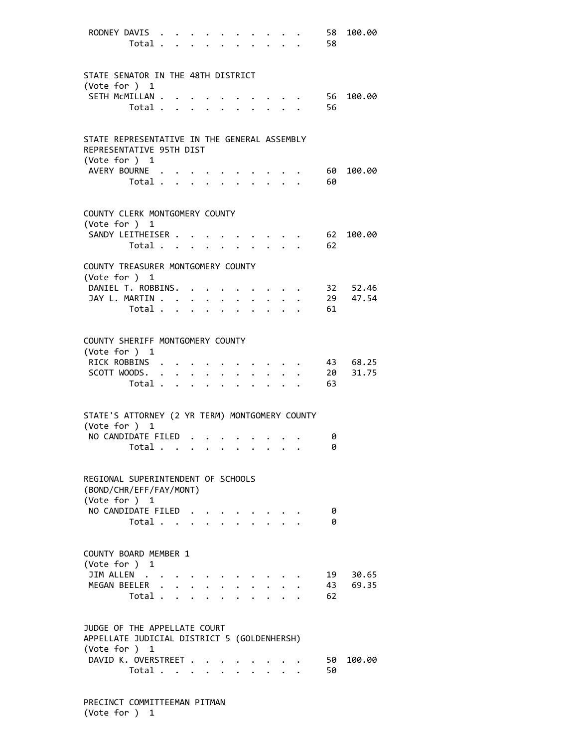| RODNEY DAVIS<br>Total .                                                     |              |                      |                                                                     |                                   |                                  |                                 |                         | 58<br>58 | 100.00   |
|-----------------------------------------------------------------------------|--------------|----------------------|---------------------------------------------------------------------|-----------------------------------|----------------------------------|---------------------------------|-------------------------|----------|----------|
| STATE SENATOR IN THE 48TH DISTRICT                                          |              |                      |                                                                     |                                   |                                  |                                 |                         |          |          |
| (Vote for ) 1<br>SETH MCMILLAN .<br>Total .                                 |              |                      |                                                                     |                                   |                                  |                                 |                         | 56<br>56 | 100.00   |
|                                                                             |              | $\ddot{\phantom{a}}$ |                                                                     |                                   |                                  |                                 |                         |          |          |
| STATE REPRESENTATIVE IN THE GENERAL ASSEMBLY<br>REPRESENTATIVE 95TH DIST    |              |                      |                                                                     |                                   |                                  |                                 |                         |          |          |
| (Vote for ) 1<br>AVERY BOURNE<br>Total                                      |              |                      | $\ddot{\phantom{a}}$                                                |                                   | $\bullet$ . The set of $\bullet$ | $\ddot{\phantom{0}}$            |                         | 60<br>60 | 100.00   |
|                                                                             |              |                      |                                                                     |                                   |                                  |                                 |                         |          |          |
| COUNTY CLERK MONTGOMERY COUNTY<br>(Vote for ) 1                             |              |                      |                                                                     |                                   |                                  |                                 |                         |          |          |
| SANDY LEITHEISER<br>Total                                                   |              |                      |                                                                     |                                   |                                  |                                 |                         | 62<br>62 | 100.00   |
| COUNTY TREASURER MONTGOMERY COUNTY<br>(Vote for ) 1                         |              |                      |                                                                     |                                   |                                  |                                 |                         |          |          |
| DANIEL T. ROBBINS. .                                                        |              |                      |                                                                     |                                   |                                  |                                 |                         |          | 32 52.46 |
| JAY L. MARTIN                                                               |              |                      | $\ddot{\phantom{a}}$                                                |                                   |                                  |                                 |                         |          | 29 47.54 |
| Total .                                                                     |              |                      |                                                                     |                                   |                                  |                                 |                         | 61       |          |
| COUNTY SHERIFF MONTGOMERY COUNTY<br>(Vote for ) 1                           |              |                      |                                                                     |                                   |                                  |                                 |                         |          |          |
| RICK ROBBINS .                                                              |              |                      |                                                                     |                                   |                                  |                                 |                         |          | 43 68.25 |
| SCOTT WOODS. .                                                              |              |                      | $\bullet$ .<br><br><br><br><br><br><br><br><br><br><br><br><br><br> |                                   |                                  |                                 |                         | 20       | 31.75    |
| Total .                                                                     | $\mathbf{r}$ | $\ddot{\phantom{a}}$ | $\sim$                                                              |                                   |                                  |                                 |                         | 63       |          |
| STATE'S ATTORNEY (2 YR TERM) MONTGOMERY COUNTY<br>(Vote for ) 1             |              |                      |                                                                     |                                   |                                  |                                 |                         |          |          |
| NO CANDIDATE FILED                                                          |              |                      |                                                                     | <b>Contract Contract Contract</b> |                                  |                                 |                         | 0        |          |
| Total $\cdots$ $\cdots$ $\cdots$ $\cdots$                                   |              |                      |                                                                     |                                   |                                  |                                 |                         | 0        |          |
| REGIONAL SUPERINTENDENT OF SCHOOLS<br>(BOND/CHR/EFF/FAY/MONT)               |              |                      |                                                                     |                                   |                                  |                                 |                         |          |          |
| (Vote for ) 1<br>NO CANDIDATE FILED                                         |              |                      |                                                                     |                                   |                                  |                                 |                         | 0        |          |
| Total                                                                       |              |                      |                                                                     |                                   |                                  |                                 |                         | 0        |          |
| COUNTY BOARD MEMBER 1<br>(Vote for ) 1                                      |              |                      |                                                                     |                                   |                                  |                                 |                         |          |          |
| JIM ALLEN                                                                   |              |                      |                                                                     |                                   |                                  |                                 |                         |          | 19 30.65 |
| MEGAN BEELER                                                                |              |                      |                                                                     |                                   |                                  |                                 |                         |          | 43 69.35 |
| Total                                                                       |              |                      |                                                                     |                                   | $\sim$                           |                                 | $\cdot$ $\cdot$ $\cdot$ | 62       |          |
| JUDGE OF THE APPELLATE COURT<br>APPELLATE JUDICIAL DISTRICT 5 (GOLDENHERSH) |              |                      |                                                                     |                                   |                                  |                                 |                         |          |          |
| (Vote for ) 1                                                               |              |                      |                                                                     |                                   |                                  |                                 |                         |          |          |
| DAVID K. OVERSTREET<br>Total                                                |              |                      |                                                                     |                                   |                                  | $\cdot$ $\cdot$ $\cdot$ $\cdot$ |                         | 50<br>50 | 100.00   |

 PRECINCT COMMITTEEMAN PITMAN (Vote for ) 1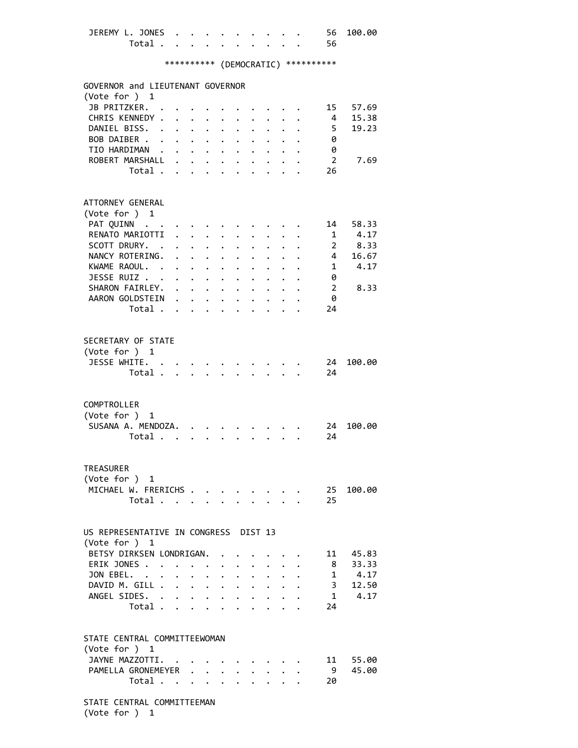| JEREMY L. JONES 56 100.00<br>Total 56 |  |  |  |  |                                    |  |
|---------------------------------------|--|--|--|--|------------------------------------|--|
|                                       |  |  |  |  | ********** (DEMOCRATIC) ********** |  |

| GOVERNOR and LIEUTENANT GOVERNOR<br>(Vote for ) 1 |                                  |                      |                                                       |                           |                                                                                                                                                                                                                                   |                           |                      |                                                     |                |             |
|---------------------------------------------------|----------------------------------|----------------------|-------------------------------------------------------|---------------------------|-----------------------------------------------------------------------------------------------------------------------------------------------------------------------------------------------------------------------------------|---------------------------|----------------------|-----------------------------------------------------|----------------|-------------|
| JB PRITZKER.                                      |                                  |                      |                                                       |                           |                                                                                                                                                                                                                                   |                           |                      |                                                     | 15             | 57.69       |
| CHRIS KENNEDY .                                   |                                  |                      |                                                       |                           |                                                                                                                                                                                                                                   |                           |                      |                                                     | 4              | 15.38       |
| DANIEL BISS.                                      |                                  |                      |                                                       |                           |                                                                                                                                                                                                                                   |                           |                      |                                                     | 5 <sub>1</sub> | 19.23       |
|                                                   | $\mathbf{L}$                     |                      | $\mathbf{L}^{\text{max}}$ , $\mathbf{L}^{\text{max}}$ | $\ddot{\phantom{0}}$      | $\sim$ $-$                                                                                                                                                                                                                        |                           |                      |                                                     |                |             |
| BOB DAIBER                                        |                                  |                      |                                                       |                           |                                                                                                                                                                                                                                   | $\ddot{\phantom{0}}$      |                      |                                                     | 0              |             |
| TIO HARDIMAN                                      |                                  |                      |                                                       |                           | $\mathbf{r}$ and $\mathbf{r}$ and $\mathbf{r}$ and $\mathbf{r}$                                                                                                                                                                   |                           | $\ddot{\phantom{0}}$ | $\mathbf{1}$ $\mathbf{1}$ $\mathbf{1}$ $\mathbf{1}$ | 0              |             |
| ROBERT MARSHALL                                   |                                  |                      |                                                       |                           |                                                                                                                                                                                                                                   |                           |                      |                                                     | -2             | 7.69        |
|                                                   | Total $\cdots$ $\cdots$ $\cdots$ |                      |                                                       |                           |                                                                                                                                                                                                                                   |                           |                      | $\ddot{\phantom{0}}$                                | 26             |             |
|                                                   |                                  |                      |                                                       |                           |                                                                                                                                                                                                                                   |                           |                      |                                                     |                |             |
|                                                   |                                  |                      |                                                       |                           |                                                                                                                                                                                                                                   |                           |                      |                                                     |                |             |
| ATTORNEY GENERAL                                  |                                  |                      |                                                       |                           |                                                                                                                                                                                                                                   |                           |                      |                                                     |                |             |
| (Vote for ) 1                                     |                                  |                      |                                                       |                           |                                                                                                                                                                                                                                   |                           |                      |                                                     |                |             |
| PAT QUINN                                         |                                  |                      |                                                       |                           |                                                                                                                                                                                                                                   |                           |                      |                                                     | 14             | 58.33       |
| RENATO MARIOTTI                                   |                                  |                      | $\mathbf{L}$ $\mathbf{L}$                             |                           | $\ddot{\phantom{a}}$                                                                                                                                                                                                              |                           | $\ddot{\phantom{1}}$ |                                                     | 1              | 4.17        |
|                                                   |                                  |                      |                                                       |                           |                                                                                                                                                                                                                                   |                           |                      |                                                     |                |             |
| SCOTT DRURY. .                                    |                                  |                      |                                                       |                           | $\mathbf{L}$ , $\mathbf{L}$ , $\mathbf{L}$                                                                                                                                                                                        | $\mathbf{L}$              | $\ddot{\phantom{0}}$ |                                                     |                | 2 8.33      |
| NANCY ROTERING.                                   |                                  | $\mathbf{L}$         |                                                       | $\mathbf{L} = \mathbf{L}$ | $\ddot{\phantom{0}}$                                                                                                                                                                                                              |                           | $\ddot{\phantom{0}}$ |                                                     |                | 4 16.67     |
| KWAME RAOUL.                                      |                                  |                      |                                                       |                           | $\mathbf{r} = \mathbf{r} + \mathbf{r}$ , where $\mathbf{r}$                                                                                                                                                                       |                           |                      |                                                     |                | $1 \t 4.17$ |
| JESSE RUIZ                                        |                                  |                      |                                                       |                           |                                                                                                                                                                                                                                   |                           |                      |                                                     | 0              |             |
| SHARON FAIRLEY. .                                 |                                  |                      |                                                       |                           | $\mathbf{r}$ , $\mathbf{r}$ , $\mathbf{r}$ , $\mathbf{r}$ , $\mathbf{r}$                                                                                                                                                          |                           |                      |                                                     | $2^{\circ}$    | 8.33        |
| AARON GOLDSTEIN                                   |                                  |                      | $\cdot$ $\cdot$ $\cdot$                               |                           | $\sim$                                                                                                                                                                                                                            |                           |                      |                                                     | 0              |             |
|                                                   |                                  |                      |                                                       |                           |                                                                                                                                                                                                                                   |                           |                      |                                                     |                |             |
|                                                   | Total .                          | $\mathbf{r}$         | $\mathbf{L}$                                          | $\mathbf{L}$              |                                                                                                                                                                                                                                   |                           |                      |                                                     | 24             |             |
|                                                   |                                  |                      |                                                       |                           |                                                                                                                                                                                                                                   |                           |                      |                                                     |                |             |
|                                                   |                                  |                      |                                                       |                           |                                                                                                                                                                                                                                   |                           |                      |                                                     |                |             |
| SECRETARY OF STATE                                |                                  |                      |                                                       |                           |                                                                                                                                                                                                                                   |                           |                      |                                                     |                |             |
| (Vote for ) 1                                     |                                  |                      |                                                       |                           |                                                                                                                                                                                                                                   |                           |                      |                                                     |                |             |
| JESSE WHITE. .                                    |                                  |                      |                                                       |                           |                                                                                                                                                                                                                                   |                           |                      |                                                     | 24             | 100.00      |
| Total .                                           |                                  |                      |                                                       |                           |                                                                                                                                                                                                                                   |                           |                      |                                                     | 24             |             |
|                                                   |                                  |                      |                                                       |                           |                                                                                                                                                                                                                                   |                           |                      |                                                     |                |             |
|                                                   |                                  |                      |                                                       |                           |                                                                                                                                                                                                                                   |                           |                      |                                                     |                |             |
| COMPTROLLER                                       |                                  |                      |                                                       |                           |                                                                                                                                                                                                                                   |                           |                      |                                                     |                |             |
|                                                   |                                  |                      |                                                       |                           |                                                                                                                                                                                                                                   |                           |                      |                                                     |                |             |
| (Vote for ) 1                                     |                                  |                      |                                                       |                           |                                                                                                                                                                                                                                   |                           |                      |                                                     |                |             |
| SUSANA A. MENDOZA.                                |                                  |                      |                                                       |                           |                                                                                                                                                                                                                                   |                           |                      |                                                     | 24             | 100.00      |
|                                                   | Total                            |                      |                                                       |                           |                                                                                                                                                                                                                                   |                           |                      |                                                     | 24             |             |
|                                                   |                                  |                      |                                                       |                           |                                                                                                                                                                                                                                   |                           |                      |                                                     |                |             |
|                                                   |                                  |                      |                                                       |                           |                                                                                                                                                                                                                                   |                           |                      |                                                     |                |             |
| TREASURER                                         |                                  |                      |                                                       |                           |                                                                                                                                                                                                                                   |                           |                      |                                                     |                |             |
| (Vote for ) 1                                     |                                  |                      |                                                       |                           |                                                                                                                                                                                                                                   |                           |                      |                                                     |                |             |
| MICHAEL W. FRERICHS                               |                                  |                      |                                                       |                           |                                                                                                                                                                                                                                   |                           |                      |                                                     | 25             | 100.00      |
| Total                                             |                                  |                      |                                                       |                           |                                                                                                                                                                                                                                   |                           |                      |                                                     | 25             |             |
|                                                   |                                  |                      |                                                       |                           |                                                                                                                                                                                                                                   |                           |                      |                                                     |                |             |
|                                                   |                                  |                      |                                                       |                           |                                                                                                                                                                                                                                   |                           |                      |                                                     |                |             |
|                                                   |                                  |                      |                                                       |                           |                                                                                                                                                                                                                                   |                           |                      |                                                     |                |             |
| US REPRESENTATIVE IN CONGRESS DIST 13             |                                  |                      |                                                       |                           |                                                                                                                                                                                                                                   |                           |                      |                                                     |                |             |
| (Vote for ) 1                                     |                                  |                      |                                                       |                           |                                                                                                                                                                                                                                   |                           |                      |                                                     |                |             |
| BETSY DIRKSEN LONDRIGAN.                          |                                  |                      |                                                       |                           |                                                                                                                                                                                                                                   |                           |                      |                                                     |                | 11 45.83    |
| ERIK JONES                                        |                                  |                      |                                                       |                           |                                                                                                                                                                                                                                   | $\mathbf{L} = \mathbf{L}$ |                      |                                                     |                | 8 33.33     |
| JON EBEL.                                         |                                  | $\ddot{\phantom{0}}$ | $\mathbf{L}$                                          |                           | $\ddot{\phantom{1}}$                                                                                                                                                                                                              |                           | $\ddot{\phantom{1}}$ | $\mathbf{L} = \mathbf{L}$                           |                | $1 \t 4.17$ |
| DAVID M. GILL .                                   |                                  |                      |                                                       |                           | $\mathbf{r}$ . The set of the set of the set of the set of the set of the set of the set of the set of the set of the set of the set of the set of the set of the set of the set of the set of the set of the set of the set of t |                           |                      |                                                     |                | 3 12.50     |
|                                                   |                                  |                      |                                                       |                           |                                                                                                                                                                                                                                   |                           |                      |                                                     |                |             |
| ANGEL SIDES.                                      |                                  |                      |                                                       |                           |                                                                                                                                                                                                                                   |                           | $\ddot{\phantom{a}}$ | $\ddot{\phantom{0}}$                                |                | 1 4.17      |
|                                                   |                                  |                      |                                                       |                           |                                                                                                                                                                                                                                   |                           | $\ddot{\phantom{0}}$ | $\ddot{\phantom{a}}$                                | 24             |             |
| Total                                             |                                  |                      |                                                       |                           |                                                                                                                                                                                                                                   |                           |                      |                                                     |                |             |
|                                                   |                                  |                      |                                                       |                           |                                                                                                                                                                                                                                   |                           |                      |                                                     |                |             |
|                                                   |                                  |                      |                                                       |                           |                                                                                                                                                                                                                                   |                           |                      |                                                     |                |             |
| STATE CENTRAL COMMITTEEWOMAN                      |                                  |                      |                                                       |                           |                                                                                                                                                                                                                                   |                           |                      |                                                     |                |             |
| (Vote for ) 1                                     |                                  |                      |                                                       |                           |                                                                                                                                                                                                                                   |                           |                      |                                                     |                |             |
|                                                   |                                  |                      |                                                       |                           |                                                                                                                                                                                                                                   |                           |                      |                                                     |                |             |
| JAYNE MAZZOTTI.                                   |                                  |                      |                                                       |                           |                                                                                                                                                                                                                                   |                           |                      |                                                     |                | 11 55.00    |
| PAMELLA GRONEMEYER                                |                                  |                      |                                                       |                           |                                                                                                                                                                                                                                   |                           |                      |                                                     | 9              | 45.00       |
|                                                   | Total $\cdots$ $\cdots$ $\cdots$ |                      |                                                       |                           |                                                                                                                                                                                                                                   |                           |                      |                                                     | 20             |             |

 STATE CENTRAL COMMITTEEMAN (Vote for ) 1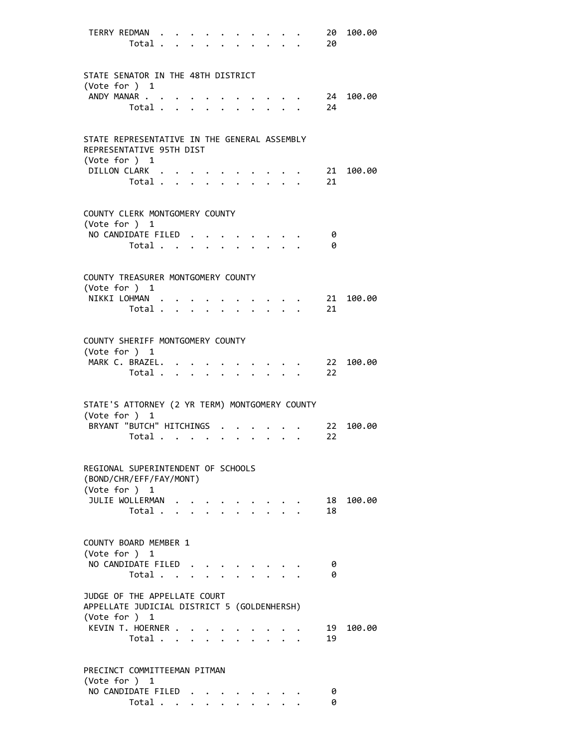|               | TERRY REDMAN<br>Total .                                                                      |                                             |  |  |                                                                       |                               | 20<br>20 | 100.00 |
|---------------|----------------------------------------------------------------------------------------------|---------------------------------------------|--|--|-----------------------------------------------------------------------|-------------------------------|----------|--------|
|               | STATE SENATOR IN THE 48TH DISTRICT<br>(Vote for ) 1                                          |                                             |  |  |                                                                       |                               |          |        |
|               | ANDY MANAR<br>Total                                                                          |                                             |  |  |                                                                       |                               | 24<br>24 | 100.00 |
|               | STATE REPRESENTATIVE IN THE GENERAL ASSEMBLY<br>REPRESENTATIVE 95TH DIST                     |                                             |  |  |                                                                       |                               |          |        |
|               | (Vote for $)$ 1<br>DILLON CLARK<br>Total                                                     |                                             |  |  |                                                                       |                               | 21<br>21 | 100.00 |
|               | COUNTY CLERK MONTGOMERY COUNTY<br>(Vote for ) 1                                              |                                             |  |  |                                                                       |                               |          |        |
|               | NO CANDIDATE FILED<br>$Total \cdot \cdot \cdot \cdot \cdot \cdot$                            |                                             |  |  | $\mathbf{r}$ , and $\mathbf{r}$ , and $\mathbf{r}$ , and $\mathbf{r}$ |                               | 0<br>0   |        |
|               | COUNTY TREASURER MONTGOMERY COUNTY<br>(Vote for ) 1                                          |                                             |  |  |                                                                       |                               |          |        |
|               | NIKKI LOHMAN.<br>Total .                                                                     | $\mathbf{L} = \mathbf{L} \times \mathbf{L}$ |  |  |                                                                       |                               | 21<br>21 | 100.00 |
| (Vote for ) 1 | COUNTY SHERIFF MONTGOMERY COUNTY                                                             |                                             |  |  |                                                                       |                               |          |        |
|               | MARK C. BRAZEL.<br>Total                                                                     |                                             |  |  |                                                                       |                               | 22<br>22 | 100.00 |
|               | STATE'S ATTORNEY (2 YR TERM) MONTGOMERY COUNTY<br>(Vote for ) 1                              |                                             |  |  |                                                                       |                               |          |        |
|               | BRYANT "BUTCH" HITCHINGS<br>Total $\cdots$ $\cdots$                                          |                                             |  |  | $\cdot$ $\cdot$ $\cdot$ $\cdot$ $\cdot$                               |                               | 22<br>22 | 100.00 |
|               | REGIONAL SUPERINTENDENT OF SCHOOLS<br>(BOND/CHR/EFF/FAY/MONT)<br>(Vote for ) 1               |                                             |  |  |                                                                       |                               |          |        |
|               | JULIE WOLLERMAN<br>Total                                                                     |                                             |  |  |                                                                       | $\mathbf{r}$ and $\mathbf{r}$ | 18<br>18 | 100.00 |
|               | COUNTY BOARD MEMBER 1<br>(Vote for ) 1                                                       |                                             |  |  |                                                                       |                               |          |        |
|               | NO CANDIDATE FILED<br>Total                                                                  |                                             |  |  |                                                                       |                               | 0<br>ø   |        |
|               | JUDGE OF THE APPELLATE COURT<br>APPELLATE JUDICIAL DISTRICT 5 (GOLDENHERSH)<br>(Vote for ) 1 |                                             |  |  |                                                                       |                               |          |        |
|               | KEVIN T. HOERNER<br>Total                                                                    | $\mathbf{L}$                                |  |  |                                                                       |                               | 19<br>19 | 100.00 |
| (Vote for ) 1 | PRECINCT COMMITTEEMAN PITMAN                                                                 |                                             |  |  |                                                                       |                               |          |        |
|               | NO CANDIDATE FILED<br>Total                                                                  |                                             |  |  |                                                                       |                               | 0<br>0   |        |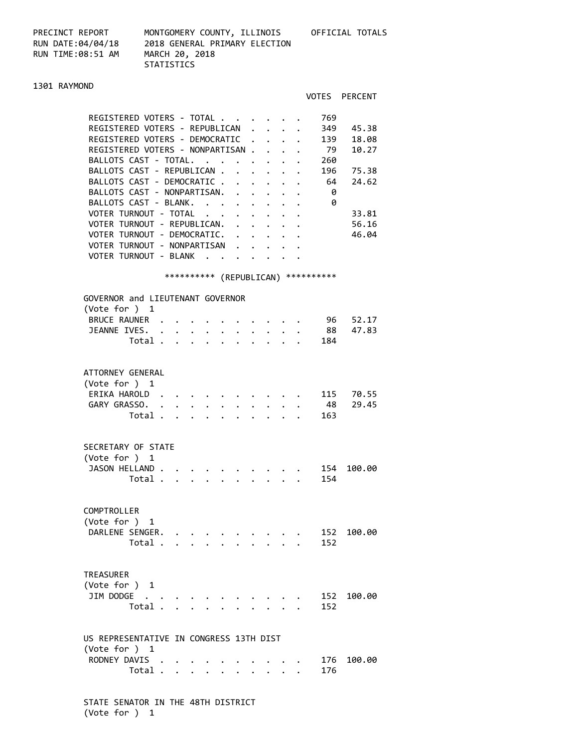PRECINCT REPORT MONTGOMERY COUNTY, ILLINOIS OFFICIAL TOTALS RUN DATE:04/04/18 2018 GENERAL PRIMARY ELECTION RUN TIME:08:51 AM MARCH 20, 2018

STATISTICS

## 1301 RAYMOND

|                                                                                                                                                                                                                                                                                                                                                                                                                                | VOTES PERCENT                                                                                                                                                                                                                                                                                                                                                                                                                    |
|--------------------------------------------------------------------------------------------------------------------------------------------------------------------------------------------------------------------------------------------------------------------------------------------------------------------------------------------------------------------------------------------------------------------------------|----------------------------------------------------------------------------------------------------------------------------------------------------------------------------------------------------------------------------------------------------------------------------------------------------------------------------------------------------------------------------------------------------------------------------------|
| REGISTERED VOTERS - TOTAL<br>REGISTERED VOTERS - REPUBLICAN<br>REGISTERED VOTERS - DEMOCRATIC<br>REGISTERED VOTERS - NONPARTISAN .<br>BALLOTS CAST - TOTAL.<br>BALLOTS CAST - REPUBLICAN<br>BALLOTS CAST - DEMOCRATIC<br>BALLOTS CAST - NONPARTISAN. .<br>BALLOTS CAST - BLANK.<br>VOTER TURNOUT - TOTAL<br>VOTER TURNOUT - REPUBLICAN.<br>VOTER TURNOUT - DEMOCRATIC.<br>VOTER TURNOUT - NONPARTISAN<br>VOTER TURNOUT - BLANK | 769<br>349<br>45.38<br>139<br>18.08<br>$\mathbf{L}^{\text{max}}$<br>79<br>10.27<br>$\mathbf{L}$<br>260<br>$\mathbf{r}$ . The set of $\mathbf{r}$<br>$\cdot$<br>196 75.38<br>$\ddot{\phantom{0}}$<br>64 24.62<br>- 0<br>$\cdot$ $\cdot$ $\cdot$ $\cdot$<br>- 0<br>$\mathbf{r} = \mathbf{r} + \mathbf{r} + \mathbf{r} + \mathbf{r}$<br>33.81<br>$\mathbf{r} = \mathbf{r} + \mathbf{r} + \mathbf{r} + \mathbf{r}$<br>56.16<br>46.04 |
|                                                                                                                                                                                                                                                                                                                                                                                                                                | *********** (REPUBLICAN) ***********                                                                                                                                                                                                                                                                                                                                                                                             |
| GOVERNOR and LIEUTENANT GOVERNOR<br>(Vote for $)$ 1<br>BRUCE RAUNER .<br>JEANNE IVES.<br>Total                                                                                                                                                                                                                                                                                                                                 | 96 52.17<br>88 47.83<br>. 184                                                                                                                                                                                                                                                                                                                                                                                                    |
| ATTORNEY GENERAL<br>(Vote for $)$ 1<br>ERIKA HAROLD.<br>GARY GRASSO. .<br>$\mathbf{z} = \mathbf{z} + \mathbf{z}$ . The $\mathbf{z}$<br>$\ddot{\phantom{0}}$<br>$\mathbf{r} = \mathbf{r} \times \mathbf{r}$<br>$\mathbf{r} = \mathbf{r}$<br>Total .                                                                                                                                                                             | 115 70.55<br>48 29.45<br>163                                                                                                                                                                                                                                                                                                                                                                                                     |
| SECRETARY OF STATE<br>(Vote for ) 1<br>JASON HELLAND<br>Total<br>$\mathbf{r} = \mathbf{r} + \mathbf{r}$                                                                                                                                                                                                                                                                                                                        | 154<br>100.00<br>154                                                                                                                                                                                                                                                                                                                                                                                                             |
| COMPTROLLER<br>(Vote for ) 1<br>DARLENE SENGER.<br>$\mathcal{A}=\mathcal{A}=\mathcal{A}=\mathcal{A}=\mathcal{A}=\mathcal{A}$<br>Total $\cdots$ $\cdots$                                                                                                                                                                                                                                                                        | 152<br>100.00<br>152                                                                                                                                                                                                                                                                                                                                                                                                             |
| <b>TREASURER</b><br>(Vote for ) 1<br>JIM DODGE<br><b>Contract Contract Contract Contract</b><br>Total.<br><b>Contract Contract Contract</b>                                                                                                                                                                                                                                                                                    | 152<br>100.00<br>152<br>$\mathbf{r} = \mathbf{r}$                                                                                                                                                                                                                                                                                                                                                                                |
| US REPRESENTATIVE IN CONGRESS 13TH DIST<br>(Vote for ) 1<br>RODNEY DAVIS .<br>Total .<br>$\mathbf{1}$ and $\mathbf{1}$ and $\mathbf{1}$                                                                                                                                                                                                                                                                                        | 176<br>100.00<br>176                                                                                                                                                                                                                                                                                                                                                                                                             |

 STATE SENATOR IN THE 48TH DISTRICT (Vote for ) 1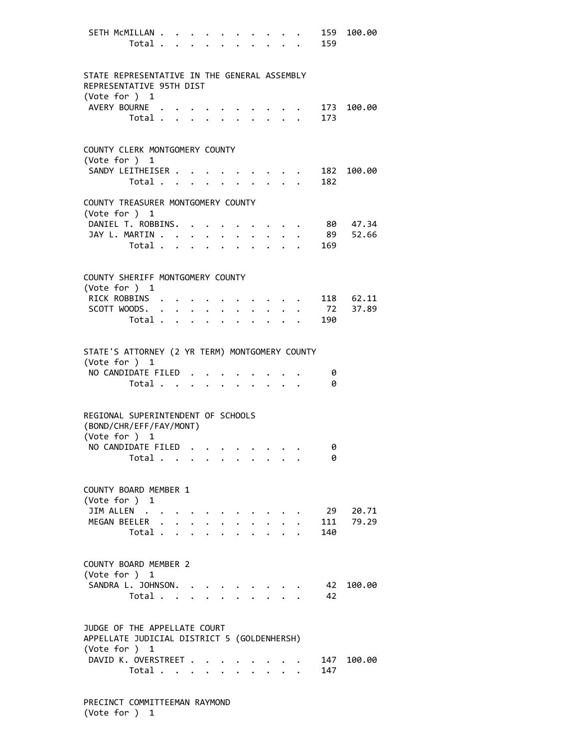| SETH McMILLAN                                                                                | Total . | $\sim$ $\sim$ |                                             | $\mathbf{L} = \mathbf{L}$ |                      |                      |                      |                                         |                                          | 159<br>159 | 100.00            |
|----------------------------------------------------------------------------------------------|---------|---------------|---------------------------------------------|---------------------------|----------------------|----------------------|----------------------|-----------------------------------------|------------------------------------------|------------|-------------------|
| STATE REPRESENTATIVE IN THE GENERAL ASSEMBLY<br>REPRESENTATIVE 95TH DIST<br>(Vote for $)$ 1  |         |               |                                             |                           |                      |                      |                      |                                         |                                          |            |                   |
| AVERY BOURNE .                                                                               | Total . |               | $\mathbf{L} = \mathbf{L} \times \mathbf{L}$ |                           |                      |                      |                      | $\mathbf{L}$                            |                                          | 173        | 173 100.00        |
| COUNTY CLERK MONTGOMERY COUNTY<br>(Vote for ) 1                                              |         |               |                                             |                           |                      |                      |                      |                                         |                                          |            |                   |
| SANDY LEITHEISER .                                                                           | Total   |               |                                             |                           |                      |                      |                      |                                         |                                          | 182        | 182 100.00        |
| COUNTY TREASURER MONTGOMERY COUNTY<br>(Vote for ) 1                                          |         |               |                                             |                           |                      |                      |                      |                                         |                                          |            |                   |
| DANIEL T. ROBBINS. .<br>JAY L. MARTIN                                                        | Total   |               |                                             |                           | $\ddot{\phantom{0}}$ | $\ddot{\phantom{0}}$ | $\bullet$            | $\ddot{\phantom{0}}$                    |                                          | 89<br>169  | 80 47.34<br>52.66 |
| COUNTY SHERIFF MONTGOMERY COUNTY<br>(Vote for ) 1                                            |         |               |                                             |                           |                      |                      |                      |                                         |                                          |            |                   |
| RICK ROBBINS                                                                                 |         |               |                                             |                           |                      |                      |                      |                                         |                                          |            | 118 62.11         |
| SCOTT WOODS.                                                                                 | Total   |               | $\ddot{\phantom{0}}$                        | $\ddot{\phantom{0}}$      |                      | $\ddot{\phantom{0}}$ | $\ddot{\phantom{a}}$ |                                         | $\mathbf{r} = \mathbf{r} + \mathbf{r}$ . | 72<br>190  | 37.89             |
| STATE'S ATTORNEY (2 YR TERM) MONTGOMERY COUNTY<br>(Vote for ) 1<br>NO CANDIDATE FILED        |         |               |                                             |                           |                      |                      |                      |                                         |                                          |            |                   |
|                                                                                              | Total   |               |                                             |                           |                      |                      | $\mathbf{r}$         |                                         | $\cdot$ $\cdot$ $\cdot$                  | 0<br>0     |                   |
| REGIONAL SUPERINTENDENT OF SCHOOLS<br>(BOND/CHR/EFF/FAY/MONT)<br>(Vote for ) 1               |         |               |                                             |                           |                      |                      |                      |                                         |                                          |            |                   |
| NO CANDIDATE FILED                                                                           | Total   |               |                                             |                           |                      |                      |                      |                                         |                                          | 0<br>0     |                   |
| COUNTY BOARD MEMBER 1<br>(Vote for ) 1                                                       |         |               |                                             |                           |                      |                      |                      |                                         |                                          |            |                   |
| JIM ALLEN<br>MEGAN BEELER .                                                                  | Total . | $\mathbf{r}$  | $\mathbf{A}$                                | $\cdot$ $\cdot$ $\cdot$   |                      |                      |                      |                                         |                                          | 111<br>140 | 29 20.71<br>79.29 |
| COUNTY BOARD MEMBER 2<br>(Vote for ) 1                                                       |         |               |                                             |                           |                      |                      |                      |                                         |                                          |            |                   |
| SANDRA L. JOHNSON.                                                                           | Total   |               |                                             |                           |                      |                      |                      |                                         |                                          | 42<br>42   | 100.00            |
| JUDGE OF THE APPELLATE COURT<br>APPELLATE JUDICIAL DISTRICT 5 (GOLDENHERSH)<br>(Vote for ) 1 |         |               |                                             |                           |                      |                      |                      |                                         |                                          |            |                   |
| DAVID K. OVERSTREET .                                                                        | Total   |               |                                             |                           |                      |                      |                      | $\cdot$ $\cdot$ $\cdot$ $\cdot$ $\cdot$ |                                          | 147<br>147 | 100.00            |

 PRECINCT COMMITTEEMAN RAYMOND (Vote for ) 1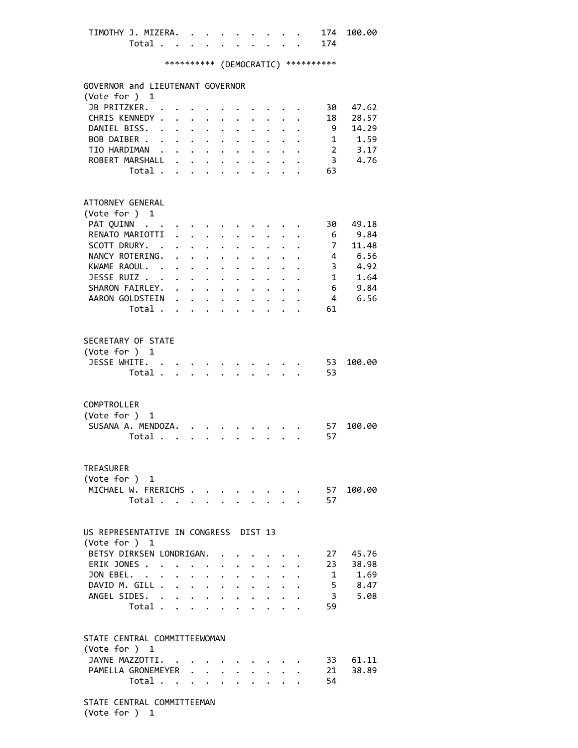| TIMOTHY J. MIZERA. |  |  |  |  |     | 174 100.00 |
|--------------------|--|--|--|--|-----|------------|
| Total              |  |  |  |  | 174 |            |

| GOVERNOR and LIEUTENANT GOVERNOR<br>(Vote for ) 1 |         |                            |                                                |                           |                                                             |                      |                                         |                      |                                                     |                                                                                                                 |                |                  |
|---------------------------------------------------|---------|----------------------------|------------------------------------------------|---------------------------|-------------------------------------------------------------|----------------------|-----------------------------------------|----------------------|-----------------------------------------------------|-----------------------------------------------------------------------------------------------------------------|----------------|------------------|
| JB PRITZKER.                                      |         |                            |                                                |                           |                                                             |                      |                                         |                      |                                                     |                                                                                                                 | 30             | 47.62            |
| CHRIS KENNEDY .                                   |         | $\mathbf{r}$               |                                                |                           |                                                             |                      |                                         |                      |                                                     |                                                                                                                 | 18             | 28.57            |
| DANIEL BISS. .                                    |         |                            | $\mathbf{r}$ and $\mathbf{r}$ and $\mathbf{r}$ |                           |                                                             |                      | $\ddot{\phantom{0}}$                    | $\mathbf{r}$         | $\sim$                                              |                                                                                                                 | 9              | 14.29            |
| BOB DAIBER                                        |         |                            |                                                |                           |                                                             | $\ddot{\phantom{0}}$ | $\ddot{\phantom{0}}$                    |                      | $\mathbf{1}$ $\mathbf{1}$ $\mathbf{1}$ $\mathbf{1}$ |                                                                                                                 |                | $1 \t 1.59$      |
| TIO HARDIMAN                                      |         |                            |                                                |                           | $\mathbf{L} = \mathbf{L} \times \mathbf{L}$                 | $\ddot{\phantom{0}}$ | $\ddot{\phantom{0}}$                    |                      | $\cdot$ $\cdot$ $\cdot$                             |                                                                                                                 |                | 2, 3.17          |
| ROBERT MARSHALL .                                 |         |                            |                                                |                           |                                                             |                      |                                         |                      |                                                     |                                                                                                                 | 3.             | 4.76             |
|                                                   | Total   |                            |                                                |                           |                                                             |                      |                                         |                      |                                                     |                                                                                                                 | 63             |                  |
|                                                   |         |                            |                                                |                           |                                                             |                      |                                         |                      |                                                     |                                                                                                                 |                |                  |
| ATTORNEY GENERAL                                  |         |                            |                                                |                           |                                                             |                      |                                         |                      |                                                     |                                                                                                                 |                |                  |
| (Vote for ) 1                                     |         |                            |                                                |                           |                                                             |                      |                                         |                      |                                                     |                                                                                                                 |                |                  |
| PAT QUINN                                         |         |                            |                                                |                           |                                                             |                      |                                         |                      |                                                     |                                                                                                                 | 30 -           | 49.18            |
| RENATO MARIOTTI                                   |         | $\mathbf{r}$               |                                                | $\ddot{\phantom{0}}$      |                                                             |                      |                                         |                      |                                                     |                                                                                                                 | 6              | 9.84             |
| SCOTT DRURY. .                                    |         |                            |                                                |                           | $\mathbf{r} = \mathbf{r} + \mathbf{r}$ , where $\mathbf{r}$ | $\ddot{\phantom{0}}$ |                                         |                      |                                                     |                                                                                                                 | 7 <sup>7</sup> | 11.48            |
| NANCY ROTERING.                                   |         | $\mathbf{L}$               |                                                |                           | $\mathbf{L} = \mathbf{L} \times \mathbf{L}$                 |                      |                                         |                      |                                                     |                                                                                                                 |                | 4 6.56           |
| KWAME RAOUL.                                      |         |                            |                                                |                           | $\cdot$ $\cdot$ $\cdot$                                     |                      |                                         |                      |                                                     |                                                                                                                 | 3 <sup>7</sup> | $4.92$<br>$1.64$ |
| JESSE RUIZ                                        |         |                            |                                                |                           | $\sim$ $-$                                                  | $\ddot{\phantom{a}}$ |                                         |                      |                                                     |                                                                                                                 | 1              | 1.64             |
| SHARON FAIRLEY.                                   |         |                            |                                                |                           |                                                             | $\ddot{\phantom{0}}$ | $\mathbf{L}^{\text{max}}$               | $\mathbf{L}$         |                                                     |                                                                                                                 |                | $6\qquad 9.84$   |
| AARON GOLDSTEIN                                   |         |                            |                                                |                           |                                                             |                      |                                         |                      |                                                     |                                                                                                                 | $\overline{4}$ | 6.56             |
|                                                   | Total   |                            |                                                |                           |                                                             |                      |                                         |                      |                                                     |                                                                                                                 | 61             |                  |
|                                                   |         |                            |                                                |                           |                                                             |                      |                                         |                      |                                                     |                                                                                                                 |                |                  |
| SECRETARY OF STATE                                |         |                            |                                                |                           |                                                             |                      |                                         |                      |                                                     |                                                                                                                 |                |                  |
| (Vote for ) 1                                     |         |                            |                                                |                           |                                                             |                      |                                         |                      |                                                     |                                                                                                                 |                |                  |
| JESSE WHITE. .                                    |         |                            |                                                |                           |                                                             |                      |                                         |                      |                                                     |                                                                                                                 | 53             | 100.00           |
|                                                   | Total . | $\mathcal{L}^{\text{max}}$ |                                                | $\mathbf{L} = \mathbf{L}$ | $\Delta$ and $\Delta$                                       |                      | $\mathbf{r} = \mathbf{r}$               |                      | $\mathbf{r}$                                        |                                                                                                                 | 53             |                  |
|                                                   |         |                            |                                                |                           |                                                             |                      |                                         |                      |                                                     |                                                                                                                 |                |                  |
| COMPTROLLER                                       |         |                            |                                                |                           |                                                             |                      |                                         |                      |                                                     |                                                                                                                 |                |                  |
| (Vote for )                                       | 1       |                            |                                                |                           |                                                             |                      |                                         |                      |                                                     |                                                                                                                 |                |                  |
| SUSANA A. MENDOZA. .                              |         |                            |                                                |                           |                                                             |                      |                                         |                      |                                                     |                                                                                                                 | 57             | 100.00           |
|                                                   | Total   |                            |                                                |                           |                                                             |                      |                                         |                      |                                                     |                                                                                                                 | 57             |                  |
|                                                   |         |                            |                                                |                           |                                                             |                      |                                         |                      |                                                     |                                                                                                                 |                |                  |
| <b>TREASURER</b>                                  |         |                            |                                                |                           |                                                             |                      |                                         |                      |                                                     |                                                                                                                 |                |                  |
| (Vote for )                                       | 1       |                            |                                                |                           |                                                             |                      |                                         |                      |                                                     |                                                                                                                 |                |                  |
| MICHAEL W. FRERICHS                               |         |                            |                                                |                           |                                                             |                      |                                         |                      |                                                     |                                                                                                                 | 57             | 100.00           |
| Total                                             |         |                            |                                                |                           |                                                             |                      |                                         |                      |                                                     | the contract of the contract of the contract of the contract of the contract of the contract of the contract of | 57             |                  |
|                                                   |         |                            |                                                |                           |                                                             |                      |                                         |                      |                                                     |                                                                                                                 |                |                  |
| US REPRESENTATIVE IN CONGRESS DIST 13             |         |                            |                                                |                           |                                                             |                      |                                         |                      |                                                     |                                                                                                                 |                |                  |
| (Vote for ) 1                                     |         |                            |                                                |                           |                                                             |                      |                                         |                      |                                                     |                                                                                                                 |                |                  |
| BETSY DIRKSEN LONDRIGAN.                          |         |                            |                                                |                           |                                                             |                      |                                         |                      |                                                     |                                                                                                                 | 27             | 45.76            |
| ERIK JONES                                        |         | $\Delta \sim 10^{-11}$     |                                                | $\ddot{\phantom{0}}$      |                                                             | $\cdot$ $\cdot$      | $\ddot{\phantom{0}}$                    |                      | $\mathbf{r}$ $\mathbf{r}$                           |                                                                                                                 | 23             | 38.98            |
| JON EBEL.                                         |         |                            | $\ddot{\phantom{a}}$                           | $\ddot{\phantom{a}}$      | $\ddot{\phantom{0}}$                                        | $\ddot{\phantom{a}}$ | $\ddot{\phantom{a}}$                    | $\ddot{\phantom{0}}$ | $\ddot{\phantom{0}}$                                |                                                                                                                 |                | 1 1.69           |
| DAVID M. GILL.                                    |         | $\ddot{\phantom{0}}$       |                                                |                           | $\mathbf{r} = \mathbf{r} + \mathbf{r}$                      | $\ddot{\phantom{0}}$ | $\ddot{\phantom{0}}$                    | $\ddot{\phantom{0}}$ |                                                     |                                                                                                                 |                | 5 8.47           |
| ANGEL SIDES. .                                    |         | $\ddot{\phantom{0}}$       | $\ddot{\phantom{0}}$                           |                           | $\mathbf{L}^{\text{max}}$ , and $\mathbf{L}^{\text{max}}$   | $\ddot{\phantom{0}}$ |                                         | $\ddot{\phantom{0}}$ |                                                     |                                                                                                                 | 3 <sup>7</sup> | 5.08             |
|                                                   | Total . |                            |                                                |                           |                                                             |                      |                                         |                      |                                                     |                                                                                                                 | 59             |                  |
| STATE CENTRAL COMMITTEEWOMAN<br>(Vote for ) 1     |         |                            |                                                |                           |                                                             |                      |                                         |                      |                                                     |                                                                                                                 |                |                  |
|                                                   |         |                            |                                                |                           |                                                             |                      |                                         |                      |                                                     |                                                                                                                 |                |                  |
| JAYNE MAZZOTTI. .                                 |         |                            |                                                |                           |                                                             |                      |                                         |                      |                                                     |                                                                                                                 | 33             | 61.11            |
| PAMELLA GRONEMEYER .                              |         |                            |                                                |                           | $\ddotsc$                                                   |                      |                                         |                      |                                                     |                                                                                                                 | 21             | 38.89            |
|                                                   | Total   |                            |                                                |                           |                                                             |                      | $\cdot$ $\cdot$ $\cdot$ $\cdot$ $\cdot$ |                      |                                                     |                                                                                                                 | 54             |                  |
| STATE CENTRAL COMMITTEEMAN                        |         |                            |                                                |                           |                                                             |                      |                                         |                      |                                                     |                                                                                                                 |                |                  |

(Vote for ) 1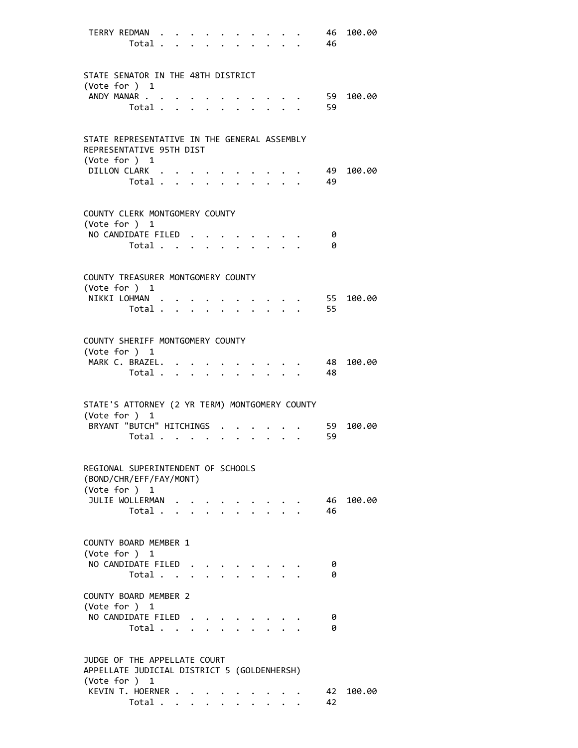|                                                                             | TERRY REDMAN<br>Total                     |  |                      |  |                                                         |                      | 46<br>- 46 | 100.00 |
|-----------------------------------------------------------------------------|-------------------------------------------|--|----------------------|--|---------------------------------------------------------|----------------------|------------|--------|
|                                                                             |                                           |  |                      |  |                                                         |                      |            |        |
| STATE SENATOR IN THE 48TH DISTRICT<br>(Vote for ) 1                         |                                           |  |                      |  |                                                         |                      |            |        |
|                                                                             | ANDY MANAR<br>Total                       |  | $\ddot{\phantom{a}}$ |  |                                                         |                      | 59<br>59   | 100.00 |
|                                                                             |                                           |  |                      |  |                                                         |                      |            |        |
| STATE REPRESENTATIVE IN THE GENERAL ASSEMBLY<br>REPRESENTATIVE 95TH DIST    |                                           |  |                      |  |                                                         |                      |            |        |
| (Vote for ) 1                                                               | DILLON CLARK                              |  |                      |  |                                                         |                      | 49         | 100.00 |
|                                                                             | Total $\cdots$ $\cdots$                   |  |                      |  | $\cdot$ $\cdot$ $\cdot$ $\cdot$ $\cdot$                 | 49                   |            |        |
| COUNTY CLERK MONTGOMERY COUNTY<br>(Vote for $)$ 1                           |                                           |  |                      |  |                                                         |                      |            |        |
|                                                                             | NO CANDIDATE FILED                        |  |                      |  | $\cdot$ $\cdot$ $\cdot$ $\cdot$ $\cdot$ $\cdot$ $\cdot$ |                      | - 0        |        |
|                                                                             | Total $\cdots$ $\cdots$ $\cdots$ $\cdots$ |  |                      |  |                                                         |                      | -0         |        |
| COUNTY TREASURER MONTGOMERY COUNTY                                          |                                           |  |                      |  |                                                         |                      |            |        |
| (Vote for ) 1                                                               | NIKKI LOHMAN                              |  |                      |  |                                                         |                      | 55         | 100.00 |
|                                                                             | Total                                     |  |                      |  | $1 - 1 - 1 = 1$                                         | $\ddot{\phantom{a}}$ | 55         |        |
| COUNTY SHERIFF MONTGOMERY COUNTY                                            |                                           |  |                      |  |                                                         |                      |            |        |
| (Vote for ) 1                                                               | MARK C. BRAZEL.                           |  |                      |  |                                                         |                      | - 48       | 100.00 |
|                                                                             | Total                                     |  |                      |  |                                                         |                      | - 48       |        |
| STATE'S ATTORNEY (2 YR TERM) MONTGOMERY COUNTY                              |                                           |  |                      |  |                                                         |                      |            |        |
| (Vote for ) 1                                                               | BRYANT "BUTCH" HITCHINGS                  |  |                      |  |                                                         |                      | 59         | 100.00 |
|                                                                             | Total $\cdots$ $\cdots$                   |  |                      |  |                                                         |                      | 59         |        |
|                                                                             | REGIONAL SUPERINTENDENT OF SCHOOLS        |  |                      |  |                                                         |                      |            |        |
| (Vote for ) 1                                                               | (BOND/CHR/EFF/FAY/MONT)                   |  |                      |  |                                                         |                      |            |        |
|                                                                             | JULIE WOLLERMAN                           |  |                      |  |                                                         |                      | - 46       | 100.00 |
|                                                                             | Total                                     |  |                      |  |                                                         |                      | 46         |        |
| COUNTY BOARD MEMBER 1<br>(Vote for ) 1                                      |                                           |  |                      |  |                                                         |                      |            |        |
|                                                                             | NO CANDIDATE FILED                        |  |                      |  |                                                         |                      | 0          |        |
|                                                                             | Total                                     |  |                      |  |                                                         |                      | 0          |        |
| COUNTY BOARD MEMBER 2<br>(Vote for ) 1                                      |                                           |  |                      |  |                                                         |                      |            |        |
|                                                                             | NO CANDIDATE FILED                        |  |                      |  |                                                         |                      | 0          |        |
|                                                                             | Total                                     |  |                      |  |                                                         |                      | 0          |        |
| JUDGE OF THE APPELLATE COURT<br>APPELLATE JUDICIAL DISTRICT 5 (GOLDENHERSH) |                                           |  |                      |  |                                                         |                      |            |        |
| (Vote for ) 1                                                               |                                           |  |                      |  |                                                         |                      |            |        |
|                                                                             | KEVIN T. HOERNER                          |  |                      |  |                                                         |                      | 42<br>42   | 100.00 |
|                                                                             | Total                                     |  |                      |  |                                                         |                      |            |        |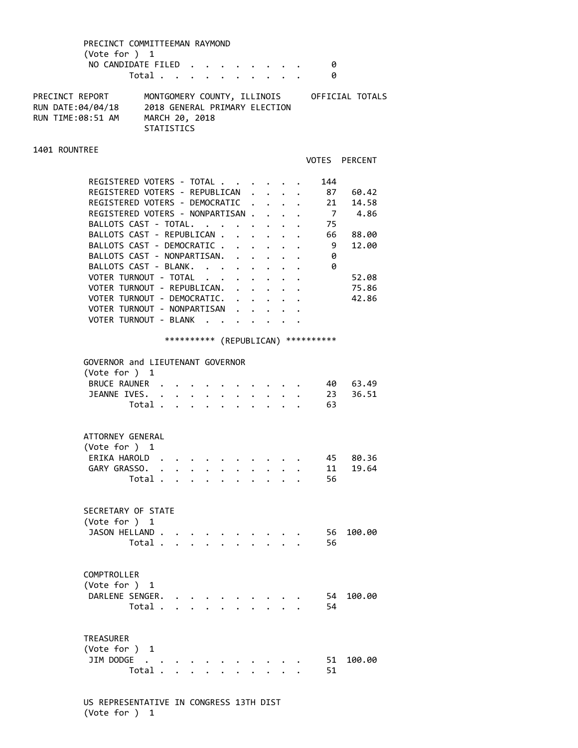|                 | PRECINCT COMMITTEEMAN RAYMOND |                             |  |  |  |  |                 |  |
|-----------------|-------------------------------|-----------------------------|--|--|--|--|-----------------|--|
|                 | (Vote for $)$ 1               |                             |  |  |  |  |                 |  |
|                 | NO CANDIDATE FILED            |                             |  |  |  |  |                 |  |
|                 |                               | Total                       |  |  |  |  |                 |  |
| PRECINCT REPORT |                               | MONTGOMERY COUNTY TILITNOTS |  |  |  |  | OFFICIAL TOTALS |  |

| PRECINCI REPURI   | <b>PUNIQUPERT COUNTY, ILLINUIS</b> | UFFILIAL IUIALD |
|-------------------|------------------------------------|-----------------|
| RUN DATE:04/04/18 | 2018 GENERAL PRIMARY ELECTION      |                 |
| RUN TIME:08:51 AM | MARCH 20, 2018                     |                 |
|                   | <b>STATISTICS</b>                  |                 |

### 1401 ROUNTREE

VOTES PERCENT

| REGISTERED VOTERS - TOTAL        |        |  | 144 |       |
|----------------------------------|--------|--|-----|-------|
| REGISTERED VOTERS - REPUBLICAN.  |        |  | 87  | 60.42 |
| REGISTERED VOTERS - DEMOCRATIC . |        |  | 21  | 14.58 |
| REGISTERED VOTERS - NONPARTISAN. |        |  |     | 4.86  |
| BALLOTS CAST - TOTAL.            |        |  | 75  |       |
| BALLOTS CAST - REPUBLICAN        | $\sim$ |  | 66  | 88.00 |
| BALLOTS CAST - DEMOCRATIC.       |        |  | - 9 | 12.00 |
| BALLOTS CAST - NONPARTISAN.      |        |  | 0   |       |
| BALLOTS CAST - BLANK.            |        |  | 0   |       |
| VOTER TURNOUT - TOTAL            |        |  |     | 52.08 |
| VOTER TURNOUT - REPUBLICAN.      |        |  |     | 75.86 |
| VOTER TURNOUT - DEMOCRATIC. .    |        |  |     | 42.86 |
| VOTER TURNOUT - NONPARTISAN      |        |  |     |       |
| <b>VOTER TURNOUT - BLANK</b>     |        |  |     |       |
|                                  |        |  |     |       |

# \*\*\*\*\*\*\*\*\*\* (REPUBLICAN) \*\*\*\*\*\*\*\*\*\*

| GOVERNOR and LIEUTENANT GOVERNOR<br>(Vote for $)$ 1  |                          |          |  |  |  |  |                |                   |
|------------------------------------------------------|--------------------------|----------|--|--|--|--|----------------|-------------------|
| BRUCE RAUNER .<br>JEANNE IVES.                       |                          | $\cdots$ |  |  |  |  | 23             | 40 63.49<br>36.51 |
|                                                      | Total                    |          |  |  |  |  | 63             |                   |
| ATTORNEY GENERAL<br>(Vote for $)$ 1                  |                          |          |  |  |  |  |                |                   |
| ERIKA HAROLD<br>GARY GRASSO.                         | Total                    |          |  |  |  |  | 45<br>11<br>56 | 80.36<br>19.64    |
| SECRETARY OF STATE<br>(Vote for ) 1<br>JASON HELLAND | Total                    |          |  |  |  |  | 56<br>56       | 100.00            |
| COMPTROLLER<br>(Vote for ) 1<br>DARLENE SENGER.      | Total                    |          |  |  |  |  | 54<br>54       | 100.00            |
| <b>TREASURER</b><br>(Vote for ) 1<br>JIM DODGE       | $\sim$ $\sim$<br>Total . |          |  |  |  |  | 51<br>51       | 100.00            |

 US REPRESENTATIVE IN CONGRESS 13TH DIST (Vote for ) 1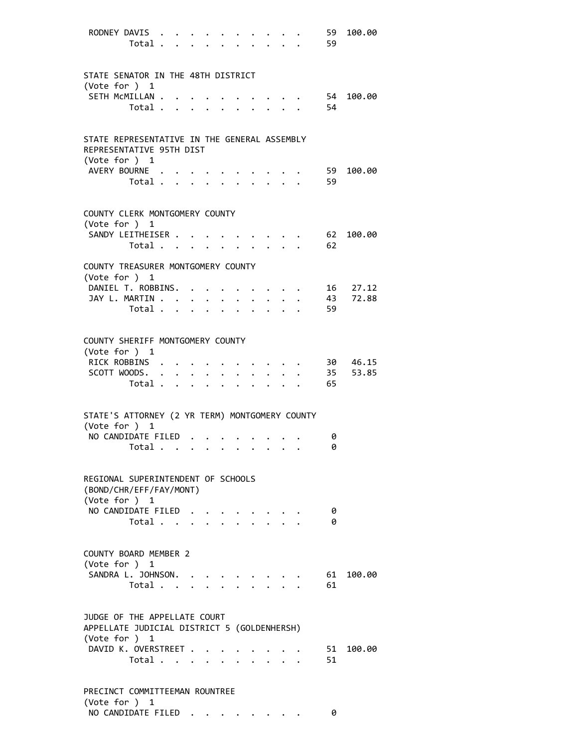| RODNEY DAVIS<br>Total                                                       |                                         |                      |           |                                                                                                                                                                                                                                                                                 |                                                          |                                                 | 59<br>59 | 100.00            |
|-----------------------------------------------------------------------------|-----------------------------------------|----------------------|-----------|---------------------------------------------------------------------------------------------------------------------------------------------------------------------------------------------------------------------------------------------------------------------------------|----------------------------------------------------------|-------------------------------------------------|----------|-------------------|
| STATE SENATOR IN THE 48TH DISTRICT<br>(Vote for $)$ 1                       |                                         |                      |           |                                                                                                                                                                                                                                                                                 |                                                          |                                                 |          |                   |
| SETH MCMILLAN<br>Total                                                      |                                         |                      |           | $\bullet$<br>$\mathbf{r}$                                                                                                                                                                                                                                                       | and the state of the state of<br>$\cdot$ $\cdot$ $\cdot$ |                                                 | 54       | 54 100.00         |
| STATE REPRESENTATIVE IN THE GENERAL ASSEMBLY<br>REPRESENTATIVE 95TH DIST    |                                         |                      |           |                                                                                                                                                                                                                                                                                 |                                                          |                                                 |          |                   |
| (Vote for ) 1<br>AVERY BOURNE<br>Total                                      |                                         |                      |           | $\mathbf{r} = \mathbf{r} \times \mathbf{r}$                                                                                                                                                                                                                                     |                                                          |                                                 | 59<br>59 | 100.00            |
| COUNTY CLERK MONTGOMERY COUNTY<br>(Vote for ) 1                             |                                         |                      |           |                                                                                                                                                                                                                                                                                 |                                                          |                                                 |          |                   |
| SANDY LEITHEISER<br>Total                                                   | $\bullet$ .<br><br><br><br><br><br><br> |                      |           |                                                                                                                                                                                                                                                                                 |                                                          |                                                 | 62       | 62 100.00         |
| COUNTY TREASURER MONTGOMERY COUNTY<br>(Vote for ) 1                         |                                         |                      |           |                                                                                                                                                                                                                                                                                 |                                                          |                                                 |          |                   |
| DANIEL T. ROBBINS. .<br>JAY L. MARTIN<br>Total $\cdots$                     |                                         |                      |           | $\mathbf{r} = \mathbf{r} + \mathbf{r}$<br>$\ddot{\bullet}$ . The contract of the contract of the contract of the contract of the contract of the contract of the contract of the contract of the contract of the contract of the contract of the contract of the contract of th |                                                          |                                                 | 43<br>59 | 16 27.12<br>72.88 |
| COUNTY SHERIFF MONTGOMERY COUNTY<br>(Vote for ) 1                           |                                         |                      |           |                                                                                                                                                                                                                                                                                 |                                                          |                                                 |          |                   |
| RICK ROBBINS<br>SCOTT WOODS.<br>Total                                       |                                         | $\ddot{\phantom{0}}$ | $\bullet$ |                                                                                                                                                                                                                                                                                 |                                                          | $\cdot$ $\cdot$ $\cdot$ $\cdot$ $\cdot$ $\cdot$ | 35<br>65 | 30 46.15<br>53.85 |
| STATE'S ATTORNEY (2 YR TERM) MONTGOMERY COUNTY                              |                                         |                      |           |                                                                                                                                                                                                                                                                                 |                                                          |                                                 |          |                   |
| (Vote for ) 1<br>NO CANDIDATE FILED<br>Total                                |                                         |                      |           |                                                                                                                                                                                                                                                                                 |                                                          |                                                 | 0<br>0   |                   |
| REGIONAL SUPERINTENDENT OF SCHOOLS<br>(BOND/CHR/EFF/FAY/MONT)               |                                         |                      |           |                                                                                                                                                                                                                                                                                 |                                                          |                                                 |          |                   |
| (Vote for ) 1<br>NO CANDIDATE FILED<br>Total                                |                                         |                      |           |                                                                                                                                                                                                                                                                                 |                                                          |                                                 | 0<br>0   |                   |
| COUNTY BOARD MEMBER 2<br>(Vote for ) 1                                      |                                         |                      |           |                                                                                                                                                                                                                                                                                 |                                                          |                                                 |          |                   |
| SANDRA L. JOHNSON.<br>Total                                                 |                                         |                      |           |                                                                                                                                                                                                                                                                                 |                                                          |                                                 | 61       | 61 100.00         |
| JUDGE OF THE APPELLATE COURT<br>APPELLATE JUDICIAL DISTRICT 5 (GOLDENHERSH) |                                         |                      |           |                                                                                                                                                                                                                                                                                 |                                                          |                                                 |          |                   |
| (Vote for $)$ 1<br>DAVID K. OVERSTREET<br>Total                             |                                         |                      |           |                                                                                                                                                                                                                                                                                 | $\cdot$ $\cdot$ $\cdot$ $\cdot$ $\cdot$                  |                                                 | 51       | 51 100.00         |
| PRECINCT COMMITTEEMAN ROUNTREE<br>(Vote for ) 1                             |                                         |                      |           |                                                                                                                                                                                                                                                                                 |                                                          |                                                 |          |                   |

NO CANDIDATE FILED . . . . . . . . 0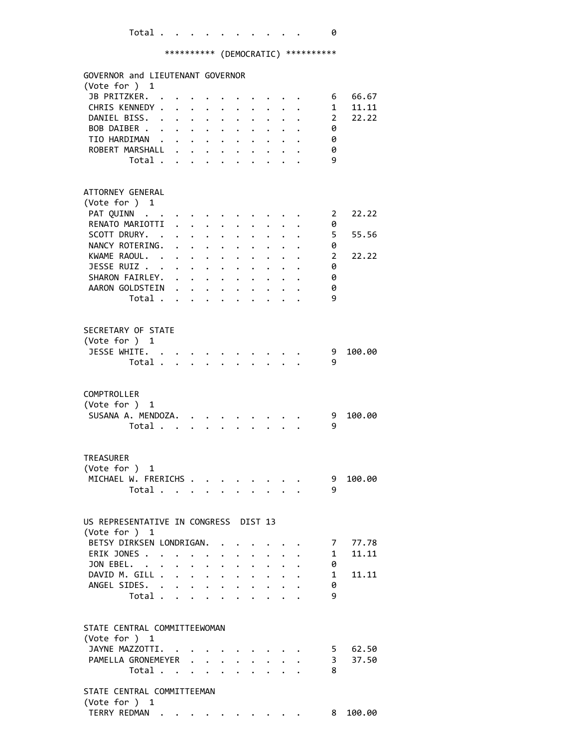| GOVERNOR and LIEUTENANT GOVERNOR                                |                      |                      |                                                           |                                                                                                                                                                                                                                                                                                                                                                                                                               |                      |                                                                       |                      |                                                     |                |                      |
|-----------------------------------------------------------------|----------------------|----------------------|-----------------------------------------------------------|-------------------------------------------------------------------------------------------------------------------------------------------------------------------------------------------------------------------------------------------------------------------------------------------------------------------------------------------------------------------------------------------------------------------------------|----------------------|-----------------------------------------------------------------------|----------------------|-----------------------------------------------------|----------------|----------------------|
| (Vote for ) 1                                                   |                      |                      |                                                           |                                                                                                                                                                                                                                                                                                                                                                                                                               |                      |                                                                       |                      |                                                     |                |                      |
| JB PRITZKER.                                                    |                      |                      |                                                           |                                                                                                                                                                                                                                                                                                                                                                                                                               |                      |                                                                       |                      |                                                     | 6              | 66.67                |
| CHRIS KENNEDY                                                   |                      |                      |                                                           |                                                                                                                                                                                                                                                                                                                                                                                                                               |                      |                                                                       |                      | $\mathbf{r}$ and $\mathbf{r}$                       | 1              | 11.11                |
| DANIEL BISS.                                                    |                      | $\ddot{\phantom{0}}$ |                                                           | $\ddot{\phantom{a}}$                                                                                                                                                                                                                                                                                                                                                                                                          | $\ddot{\phantom{0}}$ | $\ddot{\phantom{0}}$                                                  |                      |                                                     | $2^{\circ}$    | 22.22                |
| BOB DAIBER                                                      |                      |                      |                                                           |                                                                                                                                                                                                                                                                                                                                                                                                                               | $\ddot{\phantom{0}}$ |                                                                       |                      |                                                     | 0              |                      |
| TIO HARDIMAN                                                    |                      |                      |                                                           |                                                                                                                                                                                                                                                                                                                                                                                                                               |                      |                                                                       |                      |                                                     | 0              |                      |
| ROBERT MARSHALL .                                               |                      |                      |                                                           |                                                                                                                                                                                                                                                                                                                                                                                                                               |                      | $\mathbf{r} = \mathbf{r} - \mathbf{r} = \mathbf{r} - \mathbf{r}$ .    |                      |                                                     | 0              |                      |
| Total                                                           |                      |                      |                                                           | $\cdot$ $\cdot$ $\cdot$                                                                                                                                                                                                                                                                                                                                                                                                       |                      |                                                                       |                      |                                                     | 9              |                      |
|                                                                 |                      |                      |                                                           |                                                                                                                                                                                                                                                                                                                                                                                                                               |                      |                                                                       |                      |                                                     |                |                      |
| ATTORNEY GENERAL                                                |                      |                      |                                                           |                                                                                                                                                                                                                                                                                                                                                                                                                               |                      |                                                                       |                      |                                                     |                |                      |
| (Vote for ) 1                                                   |                      |                      |                                                           |                                                                                                                                                                                                                                                                                                                                                                                                                               |                      |                                                                       |                      |                                                     |                |                      |
| PAT QUINN                                                       |                      |                      |                                                           |                                                                                                                                                                                                                                                                                                                                                                                                                               |                      |                                                                       |                      |                                                     | 2              | 22.22                |
| RENATO MARIOTTI                                                 | $\ddot{\phantom{0}}$ |                      |                                                           |                                                                                                                                                                                                                                                                                                                                                                                                                               |                      |                                                                       |                      |                                                     | 0              |                      |
| SCOTT DRURY. .                                                  |                      |                      |                                                           | $\cdots$                                                                                                                                                                                                                                                                                                                                                                                                                      |                      |                                                                       |                      |                                                     | 5              | 55.56                |
| NANCY ROTERING. .                                               |                      |                      | $\mathbf{L}^{\text{max}}$ , and $\mathbf{L}^{\text{max}}$ | $\sim$ $-$                                                                                                                                                                                                                                                                                                                                                                                                                    |                      |                                                                       |                      |                                                     | 0              |                      |
| KWAME RAOUL.                                                    |                      |                      |                                                           |                                                                                                                                                                                                                                                                                                                                                                                                                               | $\ddot{\phantom{0}}$ |                                                                       |                      |                                                     | $\overline{2}$ | 22.22                |
| JESSE RUIZ                                                      |                      |                      |                                                           |                                                                                                                                                                                                                                                                                                                                                                                                                               |                      | $\ddot{\phantom{0}}$                                                  | $\mathbf{r}$         |                                                     | 0              |                      |
| SHARON FAIRLEY.                                                 |                      |                      |                                                           |                                                                                                                                                                                                                                                                                                                                                                                                                               |                      | $\ddot{\phantom{1}}$                                                  |                      | $\mathbf{1}$ $\mathbf{1}$ $\mathbf{1}$ $\mathbf{1}$ | 0              |                      |
| AARON GOLDSTEIN                                                 |                      |                      |                                                           |                                                                                                                                                                                                                                                                                                                                                                                                                               |                      |                                                                       |                      |                                                     | 0              |                      |
| Total $\cdots$ $\cdots$ $\cdots$                                |                      |                      |                                                           |                                                                                                                                                                                                                                                                                                                                                                                                                               |                      |                                                                       |                      |                                                     | 9              |                      |
|                                                                 |                      |                      |                                                           |                                                                                                                                                                                                                                                                                                                                                                                                                               |                      |                                                                       | $\ddot{\phantom{0}}$ | $\ddot{\phantom{1}}$                                |                |                      |
|                                                                 |                      |                      |                                                           |                                                                                                                                                                                                                                                                                                                                                                                                                               |                      |                                                                       |                      |                                                     |                |                      |
| SECRETARY OF STATE                                              |                      |                      |                                                           |                                                                                                                                                                                                                                                                                                                                                                                                                               |                      |                                                                       |                      |                                                     |                |                      |
| (Vote for ) 1                                                   |                      |                      |                                                           |                                                                                                                                                                                                                                                                                                                                                                                                                               |                      |                                                                       |                      |                                                     |                |                      |
| JESSE WHITE.                                                    |                      |                      |                                                           |                                                                                                                                                                                                                                                                                                                                                                                                                               |                      |                                                                       |                      |                                                     | 9              | 100.00               |
| Total                                                           |                      |                      |                                                           |                                                                                                                                                                                                                                                                                                                                                                                                                               |                      |                                                                       |                      |                                                     | 9              |                      |
|                                                                 |                      |                      |                                                           |                                                                                                                                                                                                                                                                                                                                                                                                                               |                      |                                                                       |                      |                                                     |                |                      |
|                                                                 |                      |                      |                                                           |                                                                                                                                                                                                                                                                                                                                                                                                                               |                      |                                                                       |                      |                                                     |                |                      |
| COMPTROLLER                                                     |                      |                      |                                                           |                                                                                                                                                                                                                                                                                                                                                                                                                               |                      |                                                                       |                      |                                                     |                |                      |
| (Vote for ) 1                                                   |                      |                      |                                                           |                                                                                                                                                                                                                                                                                                                                                                                                                               |                      |                                                                       |                      |                                                     |                |                      |
| SUSANA A. MENDOZA.                                              |                      |                      |                                                           |                                                                                                                                                                                                                                                                                                                                                                                                                               |                      |                                                                       |                      |                                                     | 9              | 100.00               |
| Total                                                           |                      |                      | $\mathbf{A}$                                              | $\mathcal{L}^{\mathcal{L}^{\mathcal{L}^{\mathcal{L}^{\mathcal{L}^{\mathcal{L}^{\mathcal{L}^{\mathcal{L}^{\mathcal{L}^{\mathcal{L}^{\mathcal{L}^{\mathcal{L}^{\mathcal{L}^{\mathcal{L}^{\mathcal{L}^{\mathcal{L}^{\mathcal{L}^{\mathcal{L}^{\mathcal{L}^{\mathcal{L}^{\mathcal{L}^{\mathcal{L}^{\mathcal{L}^{\mathcal{L}^{\mathcal{L}^{\mathcal{L}^{\mathcal{L}^{\mathcal{L}^{\mathcal{L}^{\mathcal{L}^{\mathcal{L}^{\mathcal$ |                      |                                                                       |                      |                                                     | 9              |                      |
|                                                                 |                      |                      |                                                           |                                                                                                                                                                                                                                                                                                                                                                                                                               |                      |                                                                       |                      |                                                     |                |                      |
|                                                                 |                      |                      |                                                           |                                                                                                                                                                                                                                                                                                                                                                                                                               |                      |                                                                       |                      |                                                     |                |                      |
| <b>TREASURER</b>                                                |                      |                      |                                                           |                                                                                                                                                                                                                                                                                                                                                                                                                               |                      |                                                                       |                      |                                                     |                |                      |
| (Vote for ) 1                                                   |                      |                      |                                                           |                                                                                                                                                                                                                                                                                                                                                                                                                               |                      |                                                                       |                      |                                                     |                |                      |
| MICHAEL W. FRERICHS                                             |                      |                      |                                                           |                                                                                                                                                                                                                                                                                                                                                                                                                               |                      |                                                                       |                      |                                                     | 9              | 100.00               |
| Total.                                                          |                      |                      |                                                           | $\mathcal{L}(\mathcal{A})$ , and $\mathcal{A}(\mathcal{A})$ , and $\mathcal{A}(\mathcal{A})$                                                                                                                                                                                                                                                                                                                                  | $\bullet$ .          |                                                                       |                      |                                                     | 9              |                      |
|                                                                 |                      |                      |                                                           |                                                                                                                                                                                                                                                                                                                                                                                                                               |                      |                                                                       |                      |                                                     |                |                      |
|                                                                 |                      |                      |                                                           |                                                                                                                                                                                                                                                                                                                                                                                                                               |                      |                                                                       |                      |                                                     |                |                      |
| US REPRESENTATIVE IN CONGRESS DIST 13<br>$(\text{Vote for }) 1$ |                      |                      |                                                           |                                                                                                                                                                                                                                                                                                                                                                                                                               |                      |                                                                       |                      |                                                     |                |                      |
| BETSY DIRKSEN LONDRIGAN.                                        |                      |                      |                                                           |                                                                                                                                                                                                                                                                                                                                                                                                                               |                      |                                                                       |                      |                                                     |                | 77.78                |
| ERIK JONES                                                      |                      |                      |                                                           |                                                                                                                                                                                                                                                                                                                                                                                                                               |                      |                                                                       |                      |                                                     | 7<br>1         | 11.11                |
| JON EBEL.                                                       | $\bullet$            | $\ddot{\phantom{a}}$ | $\bullet$                                                 |                                                                                                                                                                                                                                                                                                                                                                                                                               | $\ddotsc$            |                                                                       |                      |                                                     | 0              |                      |
| DAVID M. GILL .                                                 | $\ddot{\phantom{0}}$ |                      |                                                           | $\cdot$ $\cdot$ $\cdot$                                                                                                                                                                                                                                                                                                                                                                                                       | $\ddot{\bullet}$     | $\ddot{\phantom{0}}$                                                  |                      |                                                     | $1 \quad$      | 11.11                |
| ANGEL SIDES. .                                                  |                      |                      |                                                           |                                                                                                                                                                                                                                                                                                                                                                                                                               |                      | $\mathbf{r}$ , and $\mathbf{r}$ , and $\mathbf{r}$ , and $\mathbf{r}$ |                      |                                                     | 0              |                      |
| Total .                                                         |                      | $\mathbf{L}$         | $\ddot{\phantom{0}}$                                      | $\ddot{\phantom{0}}$                                                                                                                                                                                                                                                                                                                                                                                                          | $\ddot{\phantom{0}}$ |                                                                       |                      |                                                     | 9              |                      |
|                                                                 |                      |                      |                                                           |                                                                                                                                                                                                                                                                                                                                                                                                                               |                      |                                                                       |                      |                                                     |                |                      |
|                                                                 |                      |                      |                                                           |                                                                                                                                                                                                                                                                                                                                                                                                                               |                      |                                                                       |                      |                                                     |                |                      |
| STATE CENTRAL COMMITTEEWOMAN                                    |                      |                      |                                                           |                                                                                                                                                                                                                                                                                                                                                                                                                               |                      |                                                                       |                      |                                                     |                |                      |
| (Vote for ) 1                                                   |                      |                      |                                                           |                                                                                                                                                                                                                                                                                                                                                                                                                               |                      |                                                                       |                      |                                                     |                |                      |
| JAYNE MAZZOTTI. .                                               |                      |                      |                                                           |                                                                                                                                                                                                                                                                                                                                                                                                                               |                      |                                                                       |                      |                                                     | $5 -$          | 62.50                |
| PAMELLA GRONEMEYER                                              |                      | $\mathbf{L}$         |                                                           | $\mathbf{L} = \mathbf{L}$                                                                                                                                                                                                                                                                                                                                                                                                     |                      |                                                                       |                      |                                                     |                | 37.50<br>$3^{\circ}$ |
| Total                                                           |                      | $\ddot{\phantom{0}}$ | $\ddot{\phantom{0}}$                                      | $\mathbf{L}$                                                                                                                                                                                                                                                                                                                                                                                                                  |                      |                                                                       |                      |                                                     | 8              |                      |
|                                                                 |                      |                      |                                                           |                                                                                                                                                                                                                                                                                                                                                                                                                               |                      |                                                                       |                      |                                                     |                |                      |
| STATE CENTRAL COMMITTEEMAN                                      |                      |                      |                                                           |                                                                                                                                                                                                                                                                                                                                                                                                                               |                      |                                                                       |                      |                                                     |                |                      |
| (Vote for ) 1                                                   |                      |                      |                                                           |                                                                                                                                                                                                                                                                                                                                                                                                                               |                      |                                                                       |                      |                                                     |                |                      |
| TERRY REDMAN                                                    |                      |                      |                                                           |                                                                                                                                                                                                                                                                                                                                                                                                                               |                      |                                                                       |                      |                                                     | 8              | 100.00               |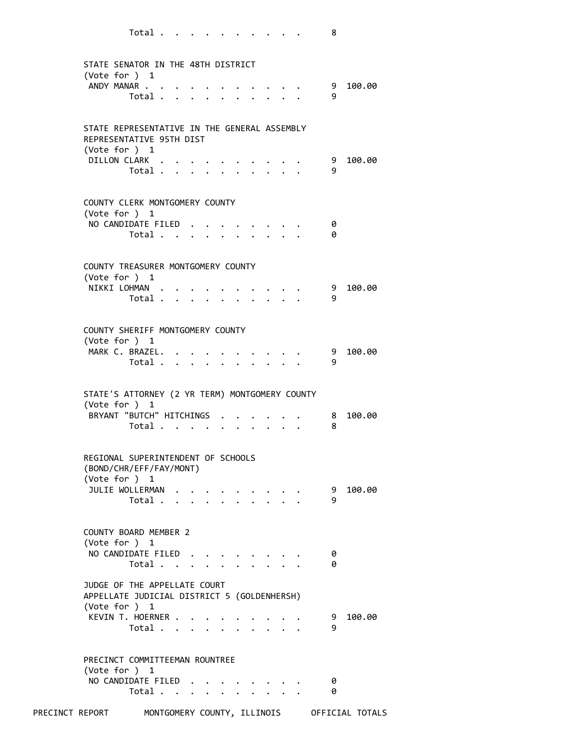| STATE SENATOR IN THE 48TH DISTRICT<br>(Vote for $)$ 1<br>ANDY MANAR                                              | Total $\cdots$ $\cdots$ $\cdots$ $\cdots$               |  |                      |                      | $\cdots$             |  | - 9<br>9                        | 100.00 |
|------------------------------------------------------------------------------------------------------------------|---------------------------------------------------------|--|----------------------|----------------------|----------------------|--|---------------------------------|--------|
| STATE REPRESENTATIVE IN THE GENERAL ASSEMBLY<br>REPRESENTATIVE 95TH DIST<br>(Vote for ) 1<br>DILLON CLARK        | $Total \cdot \cdot \cdot \cdot \cdot \cdot \cdot \cdot$ |  |                      |                      |                      |  | 9<br>9                          | 100.00 |
| COUNTY CLERK MONTGOMERY COUNTY<br>(Vote for $)$ 1<br>NO CANDIDATE FILED                                          | Total                                                   |  |                      |                      |                      |  | 0<br>0                          |        |
| COUNTY TREASURER MONTGOMERY COUNTY<br>(Vote for ) 1<br>NIKKI LOHMAN                                              | Total                                                   |  |                      |                      |                      |  | 9<br>9                          | 100.00 |
| COUNTY SHERIFF MONTGOMERY COUNTY<br>(Vote for ) 1<br>MARK C. BRAZEL.                                             | Total                                                   |  |                      |                      |                      |  | - 9<br>9                        | 100.00 |
| STATE'S ATTORNEY (2 YR TERM) MONTGOMERY COUNTY<br>(Vote for ) 1<br>BRYANT "BUTCH" HITCHINGS                      | Total $\cdots$ $\cdots$ $\cdots$ $\cdots$               |  |                      |                      |                      |  | $\overline{\phantom{1}}$ 8<br>8 | 100.00 |
| REGIONAL SUPERINTENDENT OF SCHOOLS<br>(BOND/CHR/EFF/FAY/MONT)<br>(Vote for ) 1<br>JULIE WOLLERMAN                | Total $\cdots$ $\cdots$ $\cdots$                        |  |                      |                      |                      |  | 9<br>9                          | 100.00 |
| COUNTY BOARD MEMBER 2<br>(Vote for ) 1<br>NO CANDIDATE FILED                                                     | Total                                                   |  | $\ddot{\phantom{1}}$ |                      |                      |  | 0<br>0                          |        |
| JUDGE OF THE APPELLATE COURT<br>APPELLATE JUDICIAL DISTRICT 5 (GOLDENHERSH)<br>(Vote for ) 1<br>KEVIN T. HOERNER | Total $\cdots$ $\cdots$                                 |  |                      |                      |                      |  | 9<br>9                          | 100.00 |
| PRECINCT COMMITTEEMAN ROUNTREE<br>(Vote for ) 1<br>NO CANDIDATE FILED                                            | Total                                                   |  |                      | $\ddot{\phantom{1}}$ | $\ddot{\phantom{0}}$ |  | 0<br>0                          |        |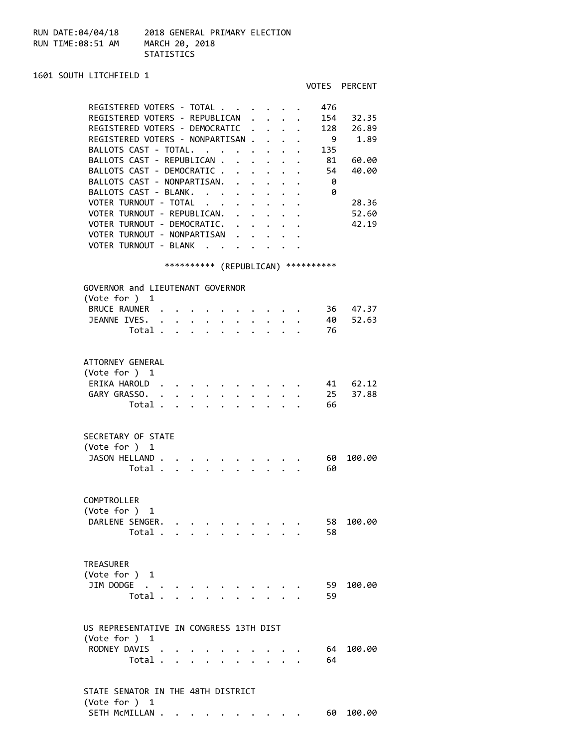RUN DATE:04/04/18 2018 GENERAL PRIMARY ELECTION RUN TIME:08:51 AM MARCH 20, 2018 STATISTICS

1601 SOUTH LITCHFIELD 1 VOTES PERCENT REGISTERED VOTERS - TOTAL . . . . . . 476 REGISTERED VOTERS - REPUBLICAN . . . . 154 32.35 REGISTERED VOTERS - DEMOCRATIC . . . . 128 26.89 REGISTERED VOTERS - NONPARTISAN . . . . 9 1.89 BALLOTS CAST - TOTAL. . . . . . . . 135 BALLOTS CAST - REPUBLICAN . . . . . . 81 60.00 BALLOTS CAST - DEMOCRATIC . . . . . . 54 40.00<br>BALLOTS CAST - NONPARTISAN. . . . . . 0<br>BALLOTS CAST - BLANK. . . . . . . . 0 BALLOTS CAST - NONPARTISAN. . . . . . BALLOTS CAST - BLANK. . . . . . . . . 0<br>VOTER TURNOUT - TOTAL . . . . . . . . 28.36<br>VOTER TURNOUT - REPUBLICAN . . . . . . . . 52.60 VOTER TURNOUT - TOTAL . . . . . . . . 28.36<br>VOTER TURNOUT - REPUBLICAN. . . . . . . 52.60 VOTER TURNOUT - REPUBLICAN. . . . . . 52.60<br>VOTER TURNOUT - DEMOCRATIC. . . . . . 42.19 VOTER TURNOUT - DEMOCRATIC. . . . . . VOTER TURNOUT - NONPARTISAN . . . . . VOTER TURNOUT - BLANK . . . . . . . \*\*\*\*\*\*\*\*\*\* (REPUBLICAN) \*\*\*\*\*\*\*\*\*\* GOVERNOR and LIEUTENANT GOVERNOR (Vote for ) 1 BRUCE RAUNER . . . . . . . . . . 36 47.37 JEANNE IVES. . . . . . . . . . . . 40 52.63 Total . . . . . . . . . . 76 ATTORNEY GENERAL (Vote for ) 1 ERIKA HAROLD . . . . . . . . . . 41 62.12 GARY GRASSO. . . . . . . . . . . 25 37.88 Total . . . . . . . . . . 66 SECRETARY OF STATE (Vote for ) 1 JASON HELLAND . . . . . . . . . . . 60 100.00 Total . . . . . . . . . . 60 COMPTROLLER (Vote for ) 1 DARLENE SENGER. . . . . . . . . . 58 100.00 Total . . . . . . . . . . 58 TREASURER (Vote for ) 1 JIM DODGE . . . . . . . . . . . . 59 100.00 Total . . . . . . . . . . 59 US REPRESENTATIVE IN CONGRESS 13TH DIST (Vote for ) 1 RODNEY DAVIS . . . . . . . . . . . 64 100.00 Total . . . . . . . . . . 64 STATE SENATOR IN THE 48TH DISTRICT (Vote for ) 1

SETH MCMILLAN . . . . . . . . . . . 60 100.00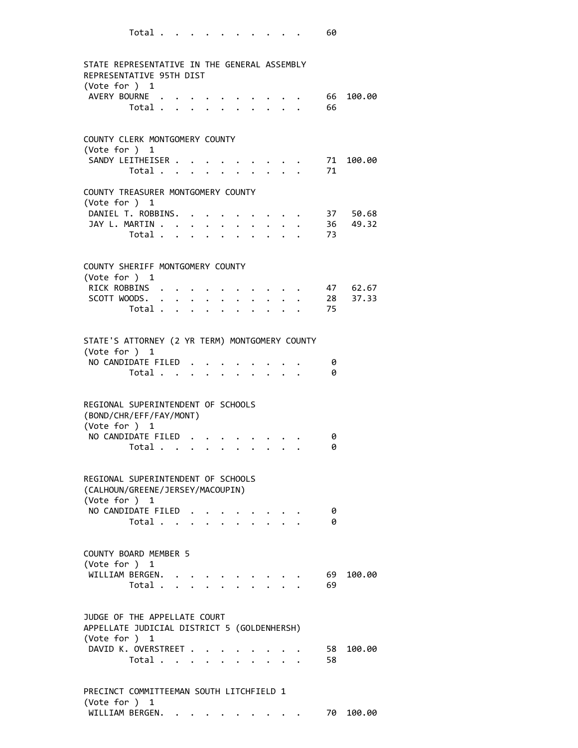| I<br>I<br>۰.<br>۰.<br>× |
|-------------------------|
|-------------------------|

| STATE REPRESENTATIVE IN THE GENERAL ASSEMBLY<br>REPRESENTATIVE 95TH DIST                     |  |                                 |  |                             |                                             |                                                                          |          |                  |
|----------------------------------------------------------------------------------------------|--|---------------------------------|--|-----------------------------|---------------------------------------------|--------------------------------------------------------------------------|----------|------------------|
| (Vote for ) 1                                                                                |  |                                 |  |                             |                                             |                                                                          |          |                  |
| AVERY BOURNE                                                                                 |  |                                 |  |                             |                                             |                                                                          | 66       | 100.00           |
| Total                                                                                        |  |                                 |  |                             | $\mathbf{L} = \mathbf{L}$                   |                                                                          | 66       |                  |
| COUNTY CLERK MONTGOMERY COUNTY                                                               |  |                                 |  |                             |                                             |                                                                          |          |                  |
| (Note for ) 1<br>SANDY LEITHEISER                                                            |  |                                 |  |                             |                                             |                                                                          | 71       | 100.00           |
| Total                                                                                        |  |                                 |  |                             |                                             |                                                                          | 71       |                  |
| COUNTY TREASURER MONTGOMERY COUNTY                                                           |  |                                 |  |                             |                                             |                                                                          |          |                  |
| (Vote for ) 1<br>DANIEL T. ROBBINS.                                                          |  |                                 |  |                             |                                             |                                                                          |          | 37 50.68         |
| JAY L. MARTIN                                                                                |  |                                 |  |                             |                                             |                                                                          |          | $\cdot$ 36 49.32 |
| Total $\cdots$ $\cdots$ $\cdots$                                                             |  |                                 |  |                             |                                             | $\mathbf{r} = \mathbf{r} + \mathbf{r}$ , where $\mathbf{r} = \mathbf{r}$ | 73       |                  |
|                                                                                              |  |                                 |  |                             |                                             |                                                                          |          |                  |
| COUNTY SHERIFF MONTGOMERY COUNTY<br>(Vote for $)$ 1                                          |  |                                 |  |                             |                                             |                                                                          |          |                  |
| RICK ROBBINS                                                                                 |  |                                 |  |                             |                                             |                                                                          |          | 47 62.67         |
| SCOTT WOODS.                                                                                 |  |                                 |  | $\mathbf{r}$ , $\mathbf{r}$ |                                             |                                                                          |          | 28 37.33         |
| Total                                                                                        |  |                                 |  |                             | $\mathbf{L} = \mathbf{L} \times \mathbf{L}$ |                                                                          | 75       |                  |
| STATE'S ATTORNEY (2 YR TERM) MONTGOMERY COUNTY                                               |  |                                 |  |                             |                                             |                                                                          |          |                  |
| (Vote for ) 1                                                                                |  |                                 |  |                             |                                             |                                                                          |          |                  |
| NO CANDIDATE FILED                                                                           |  |                                 |  |                             |                                             |                                                                          | 0        |                  |
| Total                                                                                        |  | $\cdot$ $\cdot$ $\cdot$ $\cdot$ |  |                             | $\mathbf{L} = \mathbf{L}$                   |                                                                          | 0        |                  |
| REGIONAL SUPERINTENDENT OF SCHOOLS<br>(BOND/CHR/EFF/FAY/MONT)<br>(Vote for ) 1               |  |                                 |  |                             |                                             |                                                                          |          |                  |
| NO CANDIDATE FILED                                                                           |  |                                 |  |                             |                                             |                                                                          | 0        |                  |
| Total                                                                                        |  | $\cdot$ $\cdot$ $\cdot$         |  |                             |                                             |                                                                          | 0        |                  |
| REGIONAL SUPERINTENDENT OF SCHOOLS<br>(CALHOUN/GREENE/JERSEY/MACOUPIN)<br>(Vote for ) 1      |  |                                 |  |                             |                                             |                                                                          |          |                  |
| NO CANDIDATE FILED<br>Total                                                                  |  |                                 |  |                             |                                             |                                                                          | 0<br>0   |                  |
|                                                                                              |  |                                 |  |                             |                                             |                                                                          |          |                  |
| <b>COUNTY BOARD MEMBER 5</b>                                                                 |  |                                 |  |                             |                                             |                                                                          |          |                  |
| (Vote for $)$ 1<br>WILLIAM BERGEN.                                                           |  |                                 |  |                             |                                             |                                                                          | 69       | 100.00           |
| Total                                                                                        |  |                                 |  |                             |                                             |                                                                          | 69       |                  |
| JUDGE OF THE APPELLATE COURT<br>APPELLATE JUDICIAL DISTRICT 5 (GOLDENHERSH)<br>(Vote for ) 1 |  |                                 |  |                             |                                             |                                                                          |          |                  |
| DAVID K. OVERSTREET<br>Total                                                                 |  |                                 |  |                             |                                             |                                                                          | 58<br>58 | 100.00           |
|                                                                                              |  |                                 |  |                             |                                             |                                                                          |          |                  |
| PRECINCT COMMITTEEMAN SOUTH LITCHFIELD 1<br>(Vote for ) 1                                    |  |                                 |  |                             |                                             |                                                                          |          |                  |
| WILLIAM BERGEN.                                                                              |  |                                 |  |                             |                                             |                                                                          | 70       | 100.00           |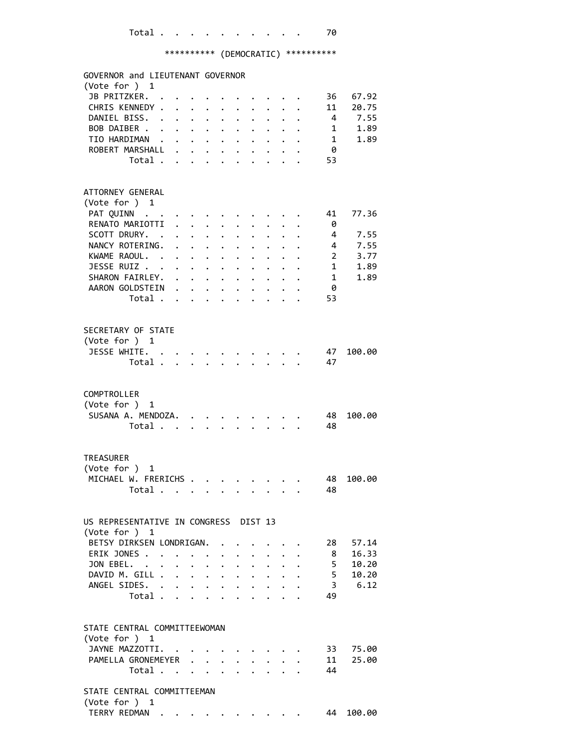| GOVERNOR and LIEUTENANT GOVERNOR<br>(Vote for ) 1 |                                  |                      |        |                           |                                                             |                                                           |                                         |                      |                           |                        |                |
|---------------------------------------------------|----------------------------------|----------------------|--------|---------------------------|-------------------------------------------------------------|-----------------------------------------------------------|-----------------------------------------|----------------------|---------------------------|------------------------|----------------|
| JB PRITZKER.                                      |                                  |                      |        |                           |                                                             |                                                           |                                         |                      |                           | 36                     | 67.92          |
| CHRIS KENNEDY .                                   |                                  | $\mathbf{A}$         |        |                           |                                                             |                                                           |                                         |                      |                           | 11                     | 20.75          |
| DANIEL BISS. .                                    |                                  | $\ddot{\phantom{0}}$ | $\sim$ | $\ddot{\phantom{0}}$      | $\sim$ $-$                                                  | $\ddot{\phantom{0}}$                                      |                                         |                      |                           |                        | 4 7.55         |
| BOB DAIBER                                        |                                  |                      |        |                           |                                                             |                                                           |                                         | $\ddot{\phantom{0}}$ |                           | 1                      | 1.89           |
| TIO HARDIMAN                                      |                                  |                      |        |                           |                                                             |                                                           | $\ddot{\phantom{0}}$                    |                      | $\cdot$ $\cdot$ $\cdot$   | 1                      | 1.89           |
| ROBERT MARSHALL                                   |                                  |                      |        |                           |                                                             |                                                           | $\cdot$ $\cdot$ $\cdot$ $\cdot$ $\cdot$ |                      |                           | - 0                    |                |
|                                                   | Total $\cdots$ $\cdots$ $\cdots$ |                      |        |                           |                                                             |                                                           |                                         |                      | $\cdot$ $\cdot$ $\cdot$   | 53                     |                |
|                                                   |                                  |                      |        |                           |                                                             |                                                           |                                         |                      |                           |                        |                |
| ATTORNEY GENERAL                                  |                                  |                      |        |                           |                                                             |                                                           |                                         |                      |                           |                        |                |
| (Vote for ) 1                                     |                                  |                      |        |                           |                                                             |                                                           |                                         |                      |                           |                        |                |
| PAT QUINN                                         |                                  |                      |        |                           |                                                             |                                                           |                                         |                      |                           | 41                     | 77.36          |
| RENATO MARIOTTI .                                 |                                  |                      |        | $\mathbf{r}$ $\mathbf{r}$ |                                                             |                                                           |                                         |                      |                           | - 0                    |                |
| SCOTT DRURY. .                                    |                                  |                      |        | $\cdot$ $\cdot$ $\cdot$   | $\ddot{\phantom{0}}$                                        |                                                           |                                         |                      |                           | $\overline{4}$         | 7.55           |
| NANCY ROTERING. .                                 |                                  |                      |        |                           | $\mathbf{r} = \mathbf{r} + \mathbf{r}$ , where $\mathbf{r}$ |                                                           |                                         |                      |                           | $4 \quad$              | 7.55           |
| KWAME RAOUL.                                      |                                  |                      |        |                           |                                                             |                                                           |                                         |                      |                           | $2 \overline{ }$       | 3.77           |
| JESSE RUIZ                                        |                                  |                      |        |                           |                                                             |                                                           |                                         |                      |                           | $1 \quad \blacksquare$ | 1.89           |
| SHARON FAIRLEY.                                   |                                  |                      |        |                           |                                                             | $\mathbf{L}^{\text{max}}$ , and $\mathbf{L}^{\text{max}}$ |                                         |                      |                           | $\mathbf{1}$           | 1.89           |
| AARON GOLDSTEIN                                   |                                  |                      |        |                           |                                                             |                                                           |                                         |                      |                           | 0                      |                |
|                                                   | Total                            |                      |        |                           |                                                             |                                                           | $\mathbf{L}$                            |                      |                           | 53                     |                |
| SECRETARY OF STATE                                |                                  |                      |        |                           |                                                             |                                                           |                                         |                      |                           |                        |                |
| (Vote for ) 1                                     |                                  |                      |        |                           |                                                             |                                                           |                                         |                      |                           |                        |                |
| JESSE WHITE. .                                    |                                  |                      |        |                           |                                                             |                                                           |                                         |                      |                           | 47                     | 100.00         |
|                                                   | Total .                          |                      |        |                           |                                                             |                                                           |                                         |                      |                           | 47                     |                |
|                                                   |                                  |                      |        |                           |                                                             |                                                           |                                         |                      |                           |                        |                |
| COMPTROLLER                                       |                                  |                      |        |                           |                                                             |                                                           |                                         |                      |                           |                        |                |
| (Vote for ) 1                                     |                                  |                      |        |                           |                                                             |                                                           |                                         |                      |                           |                        |                |
| SUSANA A. MENDOZA. .                              |                                  |                      |        |                           |                                                             |                                                           |                                         |                      |                           | 48                     | 100.00         |
|                                                   | Total                            |                      |        |                           | $\ddot{\phantom{0}}$                                        |                                                           |                                         |                      |                           | 48                     |                |
|                                                   |                                  |                      |        |                           |                                                             |                                                           |                                         |                      |                           |                        |                |
| <b>TREASURER</b>                                  |                                  |                      |        |                           |                                                             |                                                           |                                         |                      |                           |                        |                |
| (Vote for ) 1                                     |                                  |                      |        |                           |                                                             |                                                           |                                         |                      |                           |                        |                |
| MICHAEL W. FRERICHS                               |                                  |                      |        |                           |                                                             |                                                           |                                         |                      |                           | 48                     | 100.00         |
| Total                                             |                                  | $\cdot$              |        |                           |                                                             |                                                           |                                         |                      |                           | 48                     |                |
| US REPRESENTATIVE IN CONGRESS DIST 13             |                                  |                      |        |                           |                                                             |                                                           |                                         |                      |                           |                        |                |
| (Vote for $)$ 1                                   |                                  |                      |        |                           |                                                             |                                                           |                                         |                      |                           |                        |                |
| BETSY DIRKSEN LONDRIGAN.<br>ERIK JONES            |                                  |                      |        |                           |                                                             |                                                           |                                         |                      |                           | 28<br>8                | 57.14<br>16.33 |
| JON EBEL.                                         |                                  |                      |        |                           |                                                             |                                                           | $\cdot$ $\cdot$ $\cdot$                 |                      | $\cdot$ $\cdot$           | 5 <sup>5</sup>         | 10.20          |
|                                                   |                                  | $\mathbf{L}$         |        | $\mathbf{r}$ $\mathbf{r}$ | $\ddot{\phantom{0}}$                                        |                                                           | $\ddot{\phantom{1}}$                    |                      | $\mathbf{L}$ $\mathbf{L}$ | 5 <sub>1</sub>         | 10.20          |
| DAVID M. GILL<br>ANGEL SIDES. .                   |                                  |                      |        |                           |                                                             |                                                           | $\mathbf{r} = \mathbf{r} + \mathbf{r}$  |                      | $\ddot{\phantom{0}}$      |                        | 3, 6.12        |
|                                                   | Total                            | $\bullet$ .          |        |                           | $\mathbf{L} = \mathbf{L} \times \mathbf{L}$                 | $\ddot{\phantom{0}}$                                      | $\ddot{\phantom{0}}$                    | $\ddot{\phantom{0}}$ |                           | 49                     |                |
|                                                   |                                  |                      |        |                           | $\cdot$ $\cdot$ $\cdot$ $\cdot$                             |                                                           | $\ddot{\phantom{0}}$                    |                      |                           |                        |                |
| STATE CENTRAL COMMITTEEWOMAN                      |                                  |                      |        |                           |                                                             |                                                           |                                         |                      |                           |                        |                |
| (Vote for ) 1                                     |                                  |                      |        |                           |                                                             |                                                           |                                         |                      |                           |                        |                |
| JAYNE MAZZOTTI.                                   |                                  |                      |        |                           |                                                             |                                                           |                                         |                      |                           |                        | 33 75.00       |
| PAMELLA GRONEMEYER                                |                                  |                      |        |                           |                                                             |                                                           | $\cdot$ $\cdot$ $\cdot$ $\cdot$         |                      |                           | 11                     | 25.00          |
|                                                   | Total                            |                      |        |                           |                                                             |                                                           | $\cdot$ $\cdot$ $\cdot$ $\cdot$         |                      |                           | 44                     |                |
| STATE CENTRAL COMMITTEEMAN                        |                                  |                      |        |                           |                                                             |                                                           |                                         |                      |                           |                        |                |
| (Vote for ) 1                                     |                                  |                      |        |                           |                                                             |                                                           |                                         |                      |                           |                        |                |
| TERRY REDMAN .                                    |                                  |                      |        |                           |                                                             |                                                           |                                         |                      |                           | 44                     | 100.00         |
|                                                   |                                  |                      |        |                           |                                                             |                                                           |                                         |                      |                           |                        |                |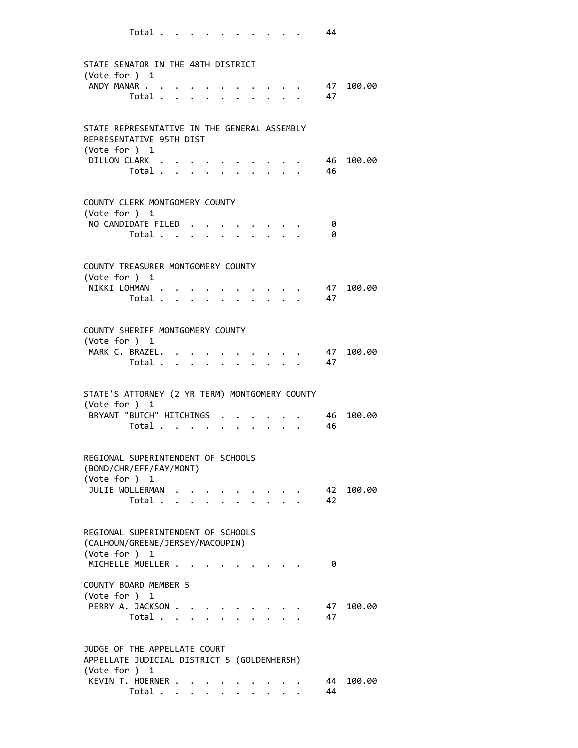| STATE SENATOR IN THE 48TH DISTRICT<br>(Vote for $)$ 1<br>ANDY MANAR                                                | Total 47                                  |  |  |                                                 |  | $\cdot \cdot \cdot \cdot \cdot 47$ |            | 100.00 |
|--------------------------------------------------------------------------------------------------------------------|-------------------------------------------|--|--|-------------------------------------------------|--|------------------------------------|------------|--------|
| STATE REPRESENTATIVE IN THE GENERAL ASSEMBLY<br>REPRESENTATIVE 95TH DIST<br>$(\text{Vote for }) 1$<br>DILLON CLARK | Total 46                                  |  |  |                                                 |  | . 46                               |            | 100.00 |
| COUNTY CLERK MONTGOMERY COUNTY<br>(Vote for $)$ 1<br>NO CANDIDATE FILED                                            | Total                                     |  |  |                                                 |  |                                    | 0<br>0     |        |
| COUNTY TREASURER MONTGOMERY COUNTY<br>(Vote for $)$ 1<br>NIKKI LOHMAN                                              | Total                                     |  |  | $\mathbf{L} = \mathbf{L}$                       |  |                                    | 47<br>- 47 | 100.00 |
| COUNTY SHERIFF MONTGOMERY COUNTY<br>(Vote for $)$ 1<br>MARK C. BRAZEL.                                             | Total                                     |  |  |                                                 |  |                                    | 47<br>47   | 100.00 |
| STATE'S ATTORNEY (2 YR TERM) MONTGOMERY COUNTY<br>(Vote for ) 1<br>BRYANT "BUTCH" HITCHINGS                        | Total $\ldots$ $\ldots$ $\ldots$ $\ldots$ |  |  |                                                 |  | $\cdot$ $\cdot$ $\cdot$ 46         | 46         | 100.00 |
| REGIONAL SUPERINTENDENT OF SCHOOLS<br>(BOND/CHR/EFF/FAY/MONT)<br>(Vote for ) 1<br>JULIE WOLLERMAN                  | Total                                     |  |  | $\cdot$ $\cdot$ $\cdot$ $\cdot$ $\cdot$ $\cdot$ |  |                                    | 42<br>42   | 100.00 |
| REGIONAL SUPERINTENDENT OF SCHOOLS<br>(CALHOUN/GREENE/JERSEY/MACOUPIN)<br>(Vote for ) 1<br>MICHELLE MUELLER        |                                           |  |  |                                                 |  |                                    | 0          |        |
| <b>COUNTY BOARD MEMBER 5</b><br>(Vote for ) 1<br>PERRY A. JACKSON                                                  | Total                                     |  |  |                                                 |  |                                    | 47<br>47   | 100.00 |
| JUDGE OF THE APPELLATE COURT<br>APPELLATE JUDICIAL DISTRICT 5 (GOLDENHERSH)<br>(Vote for ) 1<br>KEVIN T. HOERNER   | Total                                     |  |  |                                                 |  |                                    | 44<br>44   | 100.00 |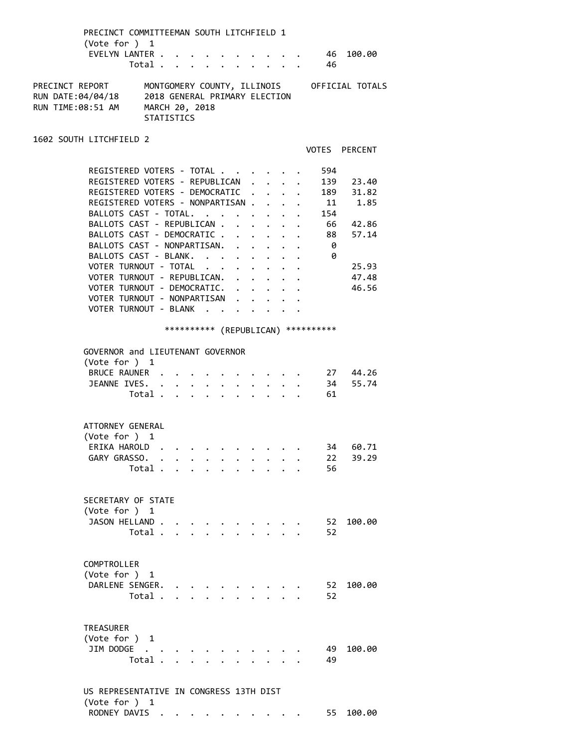| PRECINCT COMMITTEEMAN SOUTH LITCHFIELD 1<br>(Vote for ) 1<br>EVELYN LANTER . |         | Total                                                                |                      |              |                      |                                         |                                                                                               |                                  | - 46                                                            | 46 100.00                                   |  |
|------------------------------------------------------------------------------|---------|----------------------------------------------------------------------|----------------------|--------------|----------------------|-----------------------------------------|-----------------------------------------------------------------------------------------------|----------------------------------|-----------------------------------------------------------------|---------------------------------------------|--|
| PRECINCT REPORT<br>RUN DATE:04/04/18<br>RUN TIME:08:51 AM                    |         | 2018 GENERAL PRIMARY ELECTION<br>MARCH 20, 2018<br><b>STATISTICS</b> |                      |              |                      |                                         |                                                                                               |                                  |                                                                 | MONTGOMERY COUNTY, ILLINOIS OFFICIAL TOTALS |  |
| 1602 SOUTH LITCHFIELD 2                                                      |         |                                                                      |                      |              |                      |                                         |                                                                                               |                                  |                                                                 | VOTES PERCENT                               |  |
| REGISTERED VOTERS - TOTAL                                                    |         |                                                                      |                      |              |                      |                                         |                                                                                               |                                  | 594                                                             |                                             |  |
| REGISTERED VOTERS - REPUBLICAN                                               |         |                                                                      |                      |              |                      |                                         |                                                                                               |                                  |                                                                 | 139 23.40                                   |  |
| REGISTERED VOTERS - DEMOCRATIC .                                             |         |                                                                      |                      |              |                      |                                         | $\ddot{\phantom{0}}$                                                                          |                                  | $\bullet$ .<br><br><br><br><br><br><br><br><br><br><br><br><br> | 189 31.82                                   |  |
| REGISTERED VOTERS - NONPARTISAN                                              |         |                                                                      |                      |              |                      |                                         |                                                                                               |                                  | 11                                                              | 1.85                                        |  |
| BALLOTS CAST - TOTAL.                                                        |         |                                                                      |                      |              |                      | $\cdot$ $\cdot$ $\cdot$                 |                                                                                               |                                  | 154                                                             |                                             |  |
| BALLOTS CAST - REPUBLICAN .                                                  |         |                                                                      |                      |              |                      |                                         |                                                                                               |                                  |                                                                 | 66 42.86                                    |  |
| BALLOTS CAST - DEMOCRATIC                                                    |         |                                                                      |                      |              |                      |                                         |                                                                                               | $\ddot{\phantom{0}}$             |                                                                 | 88 57.14                                    |  |
| BALLOTS CAST - NONPARTISAN.                                                  |         |                                                                      |                      | $\mathbf{r}$ | $\mathbf{A}$         |                                         | $\cdot$ $\cdot$ $\cdot$                                                                       |                                  | - 0                                                             |                                             |  |
| BALLOTS CAST - BLANK.                                                        |         |                                                                      |                      |              |                      | $\cdot$ $\cdot$ $\cdot$ $\cdot$ $\cdot$ |                                                                                               |                                  | 0                                                               |                                             |  |
| VOTER TURNOUT - TOTAL                                                        |         |                                                                      |                      |              | $\ddot{\phantom{0}}$ |                                         |                                                                                               | $\ddot{\phantom{0}}$             |                                                                 | 25.93                                       |  |
| VOTER TURNOUT - REPUBLICAN. .                                                |         |                                                                      |                      |              | $\ddot{\phantom{0}}$ |                                         |                                                                                               | $\bullet$ . The set of $\bullet$ |                                                                 | 47.48                                       |  |
| VOTER TURNOUT - DEMOCRATIC. .                                                |         |                                                                      |                      |              | $\ddot{\phantom{0}}$ |                                         | $\mathbf{a}^{\prime}$ , $\mathbf{a}^{\prime}$ , $\mathbf{a}^{\prime}$ , $\mathbf{a}^{\prime}$ |                                  |                                                                 | 46.56                                       |  |
| VOTER TURNOUT - NONPARTISAN                                                  |         |                                                                      |                      |              |                      |                                         |                                                                                               |                                  |                                                                 |                                             |  |
| VOTER TURNOUT - BLANK                                                        |         |                                                                      |                      |              |                      |                                         |                                                                                               |                                  |                                                                 |                                             |  |
|                                                                              |         |                                                                      |                      |              |                      |                                         |                                                                                               |                                  | *********** (REPUBLICAN) **********                             |                                             |  |
| GOVERNOR and LIEUTENANT GOVERNOR                                             |         |                                                                      |                      |              |                      |                                         |                                                                                               |                                  |                                                                 |                                             |  |
| (Vote for ) 1                                                                |         |                                                                      |                      |              |                      |                                         |                                                                                               |                                  |                                                                 |                                             |  |
| BRUCE RAUNER                                                                 |         |                                                                      |                      |              |                      |                                         |                                                                                               |                                  |                                                                 | $\cdot$ . 27 44.26                          |  |
| JEANNE IVES.                                                                 |         | $\cdot$ $\cdot$ $\cdot$ $\cdot$ $\cdot$ $\cdot$                      |                      |              |                      |                                         |                                                                                               |                                  |                                                                 | 34 55.74                                    |  |
|                                                                              |         | Total                                                                | $\ddot{\phantom{0}}$ |              |                      |                                         |                                                                                               |                                  | 61                                                              |                                             |  |
| ATTORNEY GENERAL                                                             |         |                                                                      |                      |              |                      |                                         |                                                                                               |                                  |                                                                 |                                             |  |
| (Vote for ) 1                                                                |         |                                                                      |                      |              |                      |                                         |                                                                                               |                                  |                                                                 |                                             |  |
| ERIKA HAROLD                                                                 |         |                                                                      |                      |              |                      |                                         |                                                                                               |                                  | 34                                                              | 60.71                                       |  |
| GARY GRASSO. .                                                               |         |                                                                      |                      |              |                      |                                         |                                                                                               |                                  | 22                                                              | 39.29                                       |  |
|                                                                              |         | Total                                                                |                      |              |                      |                                         |                                                                                               |                                  | 56                                                              |                                             |  |
|                                                                              |         |                                                                      |                      |              |                      |                                         |                                                                                               |                                  |                                                                 |                                             |  |
| SECRETARY OF STATE<br>(Vote for ) 1                                          |         |                                                                      |                      |              |                      |                                         |                                                                                               |                                  |                                                                 |                                             |  |
| JASON HELLAND                                                                |         |                                                                      |                      |              |                      |                                         |                                                                                               |                                  | 52                                                              | 100.00                                      |  |
|                                                                              |         | Total                                                                |                      |              |                      |                                         |                                                                                               |                                  | 52                                                              |                                             |  |
| COMPTROLLER                                                                  |         |                                                                      |                      |              |                      |                                         |                                                                                               |                                  |                                                                 |                                             |  |
| (Vote for ) 1                                                                |         |                                                                      |                      |              |                      |                                         |                                                                                               |                                  |                                                                 |                                             |  |
| DARLENE SENGER.                                                              |         |                                                                      |                      |              |                      |                                         |                                                                                               |                                  | 52.                                                             | 100.00                                      |  |
|                                                                              |         | Total                                                                |                      |              |                      |                                         |                                                                                               |                                  | 52                                                              |                                             |  |
|                                                                              |         |                                                                      |                      |              |                      |                                         |                                                                                               |                                  |                                                                 |                                             |  |
| TREASURER                                                                    |         |                                                                      |                      |              |                      |                                         |                                                                                               |                                  |                                                                 |                                             |  |
| (Vote for ) 1                                                                |         |                                                                      |                      |              |                      |                                         |                                                                                               |                                  |                                                                 |                                             |  |
| JIM DODGE                                                                    |         |                                                                      |                      |              |                      |                                         |                                                                                               |                                  | 49 -                                                            | 100.00                                      |  |
|                                                                              | Total . |                                                                      |                      |              |                      |                                         |                                                                                               |                                  | 49                                                              |                                             |  |
|                                                                              |         |                                                                      |                      |              |                      |                                         |                                                                                               |                                  |                                                                 |                                             |  |
| US REPRESENTATIVE IN CONGRESS 13TH DIST<br>(Vote for ) 1                     |         |                                                                      |                      |              |                      |                                         |                                                                                               |                                  |                                                                 |                                             |  |
| RODNEY DAVIS                                                                 |         |                                                                      |                      |              |                      | $\cdots$                                |                                                                                               |                                  | 55                                                              | 100.00                                      |  |
|                                                                              |         |                                                                      |                      |              |                      |                                         |                                                                                               |                                  |                                                                 |                                             |  |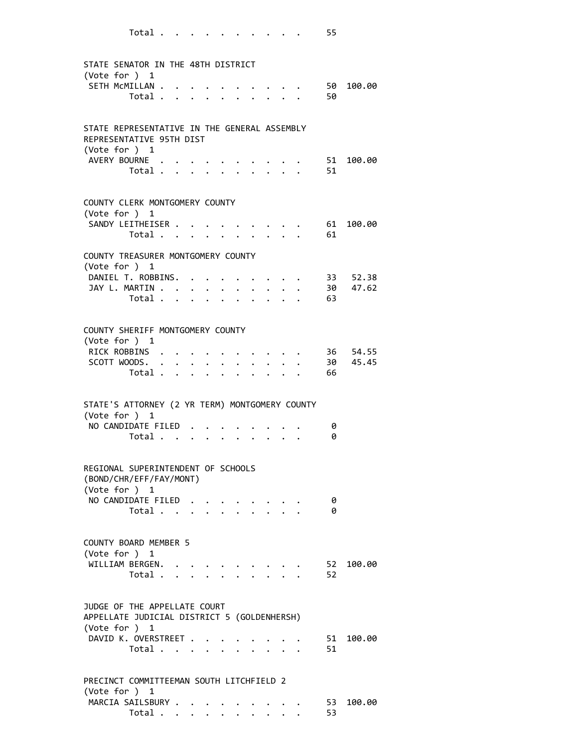| STATE SENATOR IN THE 48TH DISTRICT<br>(Vote for ) 1                                          |              |                                                                 |                         |                           |                      |                                      |              |                           |                            |                 |                                            |
|----------------------------------------------------------------------------------------------|--------------|-----------------------------------------------------------------|-------------------------|---------------------------|----------------------|--------------------------------------|--------------|---------------------------|----------------------------|-----------------|--------------------------------------------|
| SETH MCMILLAN .<br>Total .                                                                   | $\mathbf{A}$ |                                                                 | $\sim$                  |                           |                      | $\sim$                               |              |                           |                            | 50              | 50 100.00                                  |
| STATE REPRESENTATIVE IN THE GENERAL ASSEMBLY<br>REPRESENTATIVE 95TH DIST<br>(Vote for ) 1    |              |                                                                 |                         |                           |                      |                                      |              |                           |                            |                 |                                            |
| AVERY BOURNE<br>Total                                                                        |              |                                                                 | $\ddot{\phantom{1}}$    |                           |                      |                                      |              |                           |                            | $\sim$ 51<br>51 | 100.00                                     |
| COUNTY CLERK MONTGOMERY COUNTY<br>(Vote for ) 1                                              |              |                                                                 |                         |                           |                      |                                      |              |                           |                            |                 |                                            |
| SANDY LEITHEISER<br>Total                                                                    |              |                                                                 |                         |                           |                      |                                      |              |                           | $\cdot$ $\cdot$ $\cdot$ 61 | $\cdot$ 61      | 100.00                                     |
| COUNTY TREASURER MONTGOMERY COUNTY<br>(Vote for ) 1                                          |              |                                                                 |                         |                           |                      |                                      |              |                           |                            |                 |                                            |
| DANIEL T. ROBBINS.<br>JAY L. MARTIN<br>Total $\cdots$ $\cdots$                               |              |                                                                 |                         |                           |                      | $\mathbf{L}$<br>$\ddot{\phantom{0}}$ | $\mathbf{L}$ | $\sim$                    | $\cdot$ $\cdot$ $\cdot$ 63 |                 | $\cdot \cdot \cdot$ 33 52.38<br>. 30 47.62 |
| COUNTY SHERIFF MONTGOMERY COUNTY<br>(Vote for ) 1                                            |              |                                                                 |                         |                           |                      |                                      |              |                           |                            |                 |                                            |
| RICK ROBBINS<br>SCOTT WOODS.<br>Total                                                        |              |                                                                 |                         |                           | $\sim$ $\sim$ $\sim$ |                                      | $\mathbf{L}$ | $\mathbf{r} = \mathbf{r}$ | $\mathbf{L}^{\text{max}}$  | 66              | 36 54.55<br>30 45.45                       |
| STATE'S ATTORNEY (2 YR TERM) MONTGOMERY COUNTY<br>(Vote for ) 1                              |              |                                                                 |                         |                           |                      |                                      |              |                           |                            |                 |                                            |
| NO CANDIDATE FILED<br>Total                                                                  |              |                                                                 |                         | $\mathbf{L} = \mathbf{L}$ |                      |                                      |              |                           |                            | 0<br>0          |                                            |
| REGIONAL SUPERINTENDENT OF SCHOOLS<br>(BOND/CHR/EFF/FAY/MONT)<br>(Vote for ) 1               |              |                                                                 |                         |                           |                      |                                      |              |                           |                            |                 |                                            |
| NO CANDIDATE FILED<br>Total                                                                  |              |                                                                 | $\cdot$ $\cdot$ $\cdot$ |                           |                      |                                      |              |                           |                            | 0<br>0          |                                            |
| COUNTY BOARD MEMBER 5<br>(Vote for ) 1                                                       |              |                                                                 |                         |                           |                      |                                      |              |                           |                            |                 |                                            |
| WILLIAM BERGEN.<br>Total                                                                     |              | $\mathcal{A}=\mathcal{A}=\mathcal{A}=\mathcal{A}=\mathcal{A}$ . |                         |                           |                      |                                      |              |                           |                            | 52<br>52        | 100.00                                     |
| JUDGE OF THE APPELLATE COURT<br>APPELLATE JUDICIAL DISTRICT 5 (GOLDENHERSH)<br>(Vote for ) 1 |              |                                                                 |                         |                           |                      |                                      |              |                           |                            |                 |                                            |
| DAVID K. OVERSTREET<br>Total $\ldots$ $\ldots$ $\ldots$ $\ldots$                             |              |                                                                 |                         |                           |                      |                                      |              |                           |                            | 51<br>51        | 100.00                                     |
| PRECINCT COMMITTEEMAN SOUTH LITCHFIELD 2<br>(Vote for ) 1                                    |              |                                                                 |                         |                           |                      |                                      |              |                           |                            |                 |                                            |
| MARCIA SAILSBURY<br>Total $\cdots$ $\cdots$ $\cdots$                                         |              |                                                                 |                         |                           |                      |                                      |              |                           |                            | 53<br>53        | 100.00                                     |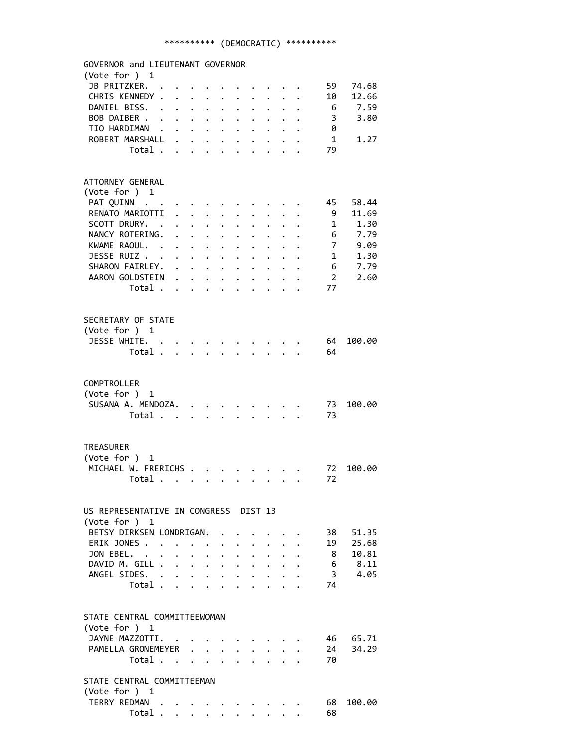| GOVERNOR and LIEUTENANT GOVERNOR      |                      |                                                                                   |                      |                                                           |                      |                      |                                                                                                                                                                                                                                       |                                         |                         |                 |                |        |
|---------------------------------------|----------------------|-----------------------------------------------------------------------------------|----------------------|-----------------------------------------------------------|----------------------|----------------------|---------------------------------------------------------------------------------------------------------------------------------------------------------------------------------------------------------------------------------------|-----------------------------------------|-------------------------|-----------------|----------------|--------|
| (Vote for ) 1                         |                      |                                                                                   |                      |                                                           |                      |                      |                                                                                                                                                                                                                                       |                                         |                         |                 |                |        |
| JB PRITZKER.                          |                      |                                                                                   |                      |                                                           |                      |                      |                                                                                                                                                                                                                                       |                                         |                         |                 | 59             | 74.68  |
| CHRIS KENNEDY .                       |                      | $\ddot{\phantom{a}}$                                                              |                      | $\ddot{\phantom{0}}$                                      | $\ddot{\phantom{0}}$ | $\ddot{\phantom{a}}$ |                                                                                                                                                                                                                                       |                                         | $\ddotsc$               |                 | 10             | 12.66  |
| DANIEL BISS.                          | $\ddot{\phantom{a}}$ | $\ddot{\phantom{0}}$                                                              | $\ddot{\phantom{0}}$ | $\bullet$ .                                               | $\ddot{\phantom{0}}$ | $\ddot{\phantom{0}}$ |                                                                                                                                                                                                                                       | $\ddot{\phantom{0}}$                    |                         |                 | - 6            | 7.59   |
| BOB DAIBER                            |                      |                                                                                   |                      |                                                           | $\ddot{\phantom{0}}$ | $\bullet$            | $\bullet$ . $\bullet$                                                                                                                                                                                                                 |                                         |                         |                 | 3              | 3.80   |
| TIO HARDIMAN                          |                      |                                                                                   |                      |                                                           |                      |                      | $\cdot$ $\cdot$ $\cdot$ $\cdot$ $\cdot$ $\cdot$                                                                                                                                                                                       |                                         |                         |                 | 0              |        |
| ROBERT MARSHALL .                     |                      |                                                                                   |                      | $\ddot{\phantom{a}}$                                      | $\ddot{\phantom{0}}$ |                      |                                                                                                                                                                                                                                       |                                         |                         |                 | 1              | 1.27   |
| Total .                               |                      | $\mathbf{L}$                                                                      | $\ddot{\phantom{a}}$ | $\mathbf{L}$                                              | $\ddot{\phantom{0}}$ |                      |                                                                                                                                                                                                                                       |                                         |                         |                 | 79             |        |
|                                       |                      |                                                                                   |                      |                                                           |                      |                      |                                                                                                                                                                                                                                       |                                         |                         |                 |                |        |
|                                       |                      |                                                                                   |                      |                                                           |                      |                      |                                                                                                                                                                                                                                       |                                         |                         |                 |                |        |
| ATTORNEY GENERAL                      |                      |                                                                                   |                      |                                                           |                      |                      |                                                                                                                                                                                                                                       |                                         |                         |                 |                |        |
| (Vote for ) 1                         |                      |                                                                                   |                      |                                                           |                      |                      |                                                                                                                                                                                                                                       |                                         |                         |                 |                |        |
| PAT QUINN                             |                      |                                                                                   |                      |                                                           |                      |                      |                                                                                                                                                                                                                                       |                                         |                         |                 | 45             | 58.44  |
| RENATO MARIOTTI                       |                      |                                                                                   | $\ddot{\phantom{0}}$ |                                                           |                      |                      |                                                                                                                                                                                                                                       |                                         |                         |                 | 9              | 11.69  |
| SCOTT DRURY. .                        |                      |                                                                                   |                      | $\ddot{\phantom{0}}$                                      |                      |                      |                                                                                                                                                                                                                                       |                                         |                         |                 | 1              | 1.30   |
| NANCY ROTERING.                       |                      | $\mathbf{r}$                                                                      |                      | $\ddot{\phantom{a}}$                                      | $\ddot{\phantom{0}}$ | $\ddot{\phantom{0}}$ |                                                                                                                                                                                                                                       |                                         |                         |                 | 6              | 7.79   |
| KWAME RAOUL. .                        |                      | $\ddot{\phantom{0}}$                                                              |                      | $\ddot{\phantom{a}}$                                      | $\ddot{\phantom{0}}$ | $\ddot{\phantom{0}}$ | $\ddot{\phantom{0}}$                                                                                                                                                                                                                  |                                         |                         |                 | 7              | 9.09   |
| JESSE RUIZ                            |                      |                                                                                   |                      |                                                           |                      | $\ddot{\phantom{a}}$ | $\ddot{\phantom{0}}$                                                                                                                                                                                                                  | $\ddot{\phantom{0}}$                    |                         | $\cdot$ $\cdot$ | 1              | 1.30   |
| SHARON FAIRLEY.                       |                      |                                                                                   |                      |                                                           | $\ddot{\phantom{0}}$ | $\ddot{\phantom{a}}$ | $\ddot{\phantom{0}}$                                                                                                                                                                                                                  |                                         | $\cdot$ $\cdot$ $\cdot$ |                 | 6              | 7.79   |
| AARON GOLDSTEIN                       |                      |                                                                                   |                      |                                                           | $\ddot{\phantom{0}}$ | $\ddot{\phantom{0}}$ | $\bullet$ .                                                                                                                                                                                                                           |                                         | $\ddotsc$ $\ddotsc$     |                 | $\overline{2}$ | 2.60   |
| Total                                 |                      |                                                                                   |                      |                                                           |                      |                      | $\ddot{\bullet}$ . The contract of the contract of the contract of the contract of the contract of the contract of the contract of the contract of the contract of the contract of the contract of the contract of the contract of th |                                         | $\ddotsc$               |                 | 77             |        |
|                                       |                      |                                                                                   |                      |                                                           |                      |                      |                                                                                                                                                                                                                                       |                                         |                         |                 |                |        |
|                                       |                      |                                                                                   |                      |                                                           |                      |                      |                                                                                                                                                                                                                                       |                                         |                         |                 |                |        |
| SECRETARY OF STATE                    |                      |                                                                                   |                      |                                                           |                      |                      |                                                                                                                                                                                                                                       |                                         |                         |                 |                |        |
| (Vote for ) 1                         |                      |                                                                                   |                      |                                                           |                      |                      |                                                                                                                                                                                                                                       |                                         |                         |                 |                |        |
| JESSE WHITE.                          |                      |                                                                                   |                      |                                                           |                      |                      |                                                                                                                                                                                                                                       | $\cdot$ $\cdot$ $\cdot$ $\cdot$ $\cdot$ |                         |                 | 64             | 100.00 |
| Total                                 |                      |                                                                                   |                      |                                                           |                      |                      |                                                                                                                                                                                                                                       |                                         |                         |                 | 64             |        |
|                                       |                      |                                                                                   |                      |                                                           |                      |                      |                                                                                                                                                                                                                                       |                                         |                         |                 |                |        |
|                                       |                      |                                                                                   |                      |                                                           |                      |                      |                                                                                                                                                                                                                                       |                                         |                         |                 |                |        |
| COMPTROLLER                           |                      |                                                                                   |                      |                                                           |                      |                      |                                                                                                                                                                                                                                       |                                         |                         |                 |                |        |
| (Vote for ) 1                         |                      |                                                                                   |                      |                                                           |                      |                      |                                                                                                                                                                                                                                       |                                         |                         |                 |                |        |
| SUSANA A. MENDOZA.                    |                      |                                                                                   |                      |                                                           |                      |                      |                                                                                                                                                                                                                                       |                                         |                         |                 | 73             | 100.00 |
| Total                                 |                      |                                                                                   |                      |                                                           |                      |                      |                                                                                                                                                                                                                                       |                                         |                         |                 | 73             |        |
|                                       |                      |                                                                                   |                      |                                                           |                      |                      |                                                                                                                                                                                                                                       |                                         |                         |                 |                |        |
|                                       |                      |                                                                                   |                      |                                                           |                      |                      |                                                                                                                                                                                                                                       |                                         |                         |                 |                |        |
| <b>TREASURER</b>                      |                      |                                                                                   |                      |                                                           |                      |                      |                                                                                                                                                                                                                                       |                                         |                         |                 |                |        |
| (Vote for ) 1                         |                      |                                                                                   |                      |                                                           |                      |                      |                                                                                                                                                                                                                                       |                                         |                         |                 |                |        |
| MICHAEL W. FRERICHS                   |                      |                                                                                   |                      |                                                           |                      |                      |                                                                                                                                                                                                                                       |                                         |                         |                 | 72             | 100.00 |
| Total .                               |                      |                                                                                   |                      |                                                           |                      |                      |                                                                                                                                                                                                                                       |                                         |                         |                 | 72             |        |
|                                       |                      | $\mathcal{L}(\mathbf{z})$ , $\mathcal{L}(\mathbf{z})$ , $\mathcal{L}(\mathbf{z})$ |                      |                                                           |                      |                      |                                                                                                                                                                                                                                       |                                         |                         |                 |                |        |
|                                       |                      |                                                                                   |                      |                                                           |                      |                      |                                                                                                                                                                                                                                       |                                         |                         |                 |                |        |
| US REPRESENTATIVE IN CONGRESS DIST 13 |                      |                                                                                   |                      |                                                           |                      |                      |                                                                                                                                                                                                                                       |                                         |                         |                 |                |        |
| (Vote for ) $1$                       |                      |                                                                                   |                      |                                                           |                      |                      |                                                                                                                                                                                                                                       |                                         |                         |                 |                |        |
| BETSY DIRKSEN LONDRIGAN.              |                      |                                                                                   |                      |                                                           |                      |                      |                                                                                                                                                                                                                                       |                                         |                         |                 | 38 -           | 51.35  |
| ERIK JONES .                          | $\ddot{\phantom{a}}$ |                                                                                   |                      |                                                           |                      |                      |                                                                                                                                                                                                                                       |                                         |                         |                 | 19             | 25.68  |
| JON EBEL. .                           |                      |                                                                                   |                      |                                                           | $\ddot{\phantom{a}}$ | $\ddot{\phantom{0}}$ |                                                                                                                                                                                                                                       |                                         |                         |                 | 8              | 10.81  |
| DAVID M. GILL .                       | $\ddot{\phantom{0}}$ |                                                                                   | $\ddot{\phantom{0}}$ | $\bullet$ .                                               | $\ddot{\phantom{0}}$ |                      |                                                                                                                                                                                                                                       |                                         |                         |                 |                | 8.11   |
|                                       |                      | $\ddot{\phantom{a}}$                                                              |                      | $\mathbf{L}^{\text{max}}$ , and $\mathbf{L}^{\text{max}}$ | $\ddot{\phantom{0}}$ |                      |                                                                                                                                                                                                                                       |                                         |                         |                 | 6              |        |
| ANGEL SIDES. .                        |                      |                                                                                   |                      | $\ddot{\phantom{0}}$<br>$\mathbf{r}$                      | $\ddot{\phantom{0}}$ | $\ddot{\phantom{0}}$ |                                                                                                                                                                                                                                       |                                         |                         |                 | $\overline{3}$ | 4.05   |
| Total .                               |                      | $\mathbf{r}$                                                                      |                      |                                                           |                      |                      |                                                                                                                                                                                                                                       |                                         |                         |                 | 74             |        |
|                                       |                      |                                                                                   |                      |                                                           |                      |                      |                                                                                                                                                                                                                                       |                                         |                         |                 |                |        |
|                                       |                      |                                                                                   |                      |                                                           |                      |                      |                                                                                                                                                                                                                                       |                                         |                         |                 |                |        |
| STATE CENTRAL COMMITTEEWOMAN          |                      |                                                                                   |                      |                                                           |                      |                      |                                                                                                                                                                                                                                       |                                         |                         |                 |                |        |
| (Vote for ) 1                         |                      |                                                                                   |                      |                                                           |                      |                      |                                                                                                                                                                                                                                       |                                         |                         |                 |                |        |
| JAYNE MAZZOTTI.                       |                      |                                                                                   |                      |                                                           |                      |                      |                                                                                                                                                                                                                                       |                                         |                         |                 | 46 —           | 65.71  |
| PAMELLA GRONEMEYER                    |                      |                                                                                   | $\mathbf{r}$         |                                                           |                      |                      |                                                                                                                                                                                                                                       |                                         |                         |                 | 24             | 34.29  |
| Total                                 |                      |                                                                                   |                      | $\ddot{\phantom{0}}$                                      | $\mathbf{r}$         |                      |                                                                                                                                                                                                                                       |                                         |                         |                 | 70             |        |
|                                       |                      |                                                                                   |                      |                                                           |                      |                      |                                                                                                                                                                                                                                       |                                         |                         |                 |                |        |
| STATE CENTRAL COMMITTEEMAN            |                      |                                                                                   |                      |                                                           |                      |                      |                                                                                                                                                                                                                                       |                                         |                         |                 |                |        |
| (Vote for ) 1                         |                      |                                                                                   |                      |                                                           |                      |                      |                                                                                                                                                                                                                                       |                                         |                         |                 |                |        |
| TERRY REDMAN                          |                      |                                                                                   |                      |                                                           |                      |                      |                                                                                                                                                                                                                                       |                                         |                         |                 | 68             | 100.00 |
| Total                                 |                      |                                                                                   |                      |                                                           |                      |                      |                                                                                                                                                                                                                                       |                                         |                         |                 | 68             |        |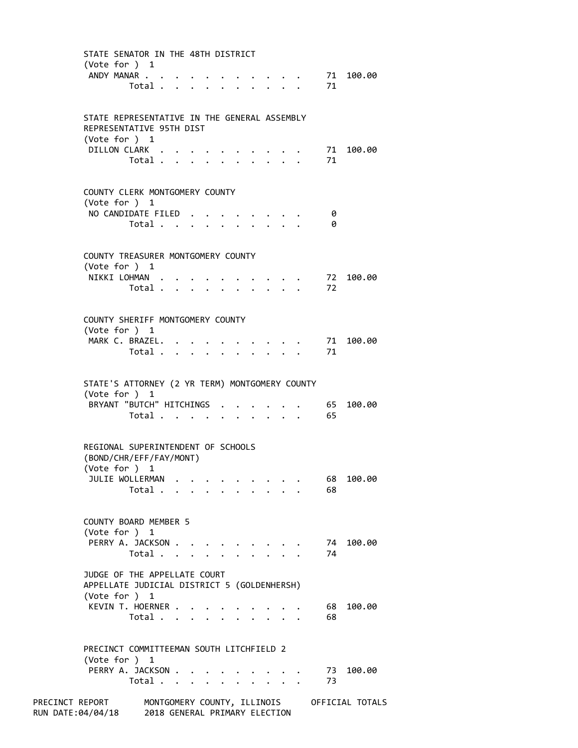|                                                                    | STATE SENATOR IN THE 48TH DISTRICT<br>(Vote for $)$ 1                                        |                                                                       |                                                           |                                     |                      |                                            |                                            |                                                |                                             |
|--------------------------------------------------------------------|----------------------------------------------------------------------------------------------|-----------------------------------------------------------------------|-----------------------------------------------------------|-------------------------------------|----------------------|--------------------------------------------|--------------------------------------------|------------------------------------------------|---------------------------------------------|
|                                                                    |                                                                                              | ANDY MANAR<br>Total $\ldots$ $\ldots$ $\ldots$ $\ldots$               |                                                           |                                     |                      |                                            |                                            | $\cdot \cdot \cdot \cdot \cdot \cdot 71$<br>71 | 100.00                                      |
|                                                                    | STATE REPRESENTATIVE IN THE GENERAL ASSEMBLY<br>REPRESENTATIVE 95TH DIST<br>(Vote for ) 1    |                                                                       |                                                           |                                     |                      |                                            |                                            |                                                |                                             |
|                                                                    |                                                                                              | DILLON CLARK<br>Total $\ldots$ $\ldots$ $\ldots$ $\ldots$             |                                                           |                                     |                      |                                            |                                            | 71<br>71                                       | 100.00                                      |
|                                                                    | COUNTY CLERK MONTGOMERY COUNTY<br>(Vote for ) 1                                              |                                                                       |                                                           |                                     |                      |                                            |                                            |                                                |                                             |
|                                                                    |                                                                                              | NO CANDIDATE FILED<br>Total                                           |                                                           |                                     |                      | $\mathbf{r}$ , $\mathbf{r}$ , $\mathbf{r}$ |                                            | 0<br>0                                         |                                             |
|                                                                    | COUNTY TREASURER MONTGOMERY COUNTY<br>(Vote for ) 1                                          |                                                                       |                                                           |                                     |                      |                                            |                                            |                                                |                                             |
|                                                                    |                                                                                              | NIKKI LOHMAN<br>Total                                                 |                                                           |                                     |                      |                                            |                                            | 72<br>72                                       | 100.00                                      |
|                                                                    | COUNTY SHERIFF MONTGOMERY COUNTY<br>(Vote for ) 1                                            |                                                                       |                                                           |                                     |                      |                                            |                                            |                                                |                                             |
|                                                                    |                                                                                              | MARK C. BRAZEL. .<br>Total $\cdots$ $\cdots$                          |                                                           |                                     |                      |                                            | $\mathbf{r}$ , $\mathbf{r}$ , $\mathbf{r}$ | 71<br>71                                       | 100.00                                      |
|                                                                    | STATE'S ATTORNEY (2 YR TERM) MONTGOMERY COUNTY<br>(Vote for ) 1                              |                                                                       |                                                           |                                     |                      |                                            |                                            |                                                |                                             |
|                                                                    |                                                                                              | BRYANT "BUTCH" HITCHINGS<br>Total $\ldots$ $\ldots$ $\ldots$ $\ldots$ |                                                           |                                     |                      |                                            |                                            | . 65<br>65                                     | 100.00                                      |
|                                                                    | REGIONAL SUPERINTENDENT OF SCHOOLS<br>(BOND/CHR/EFF/FAY/MONT)<br>(Vote for ) 1               |                                                                       |                                                           |                                     |                      |                                            |                                            |                                                |                                             |
|                                                                    |                                                                                              | JULIE WOLLERMAN<br>Total                                              |                                                           |                                     |                      |                                            |                                            | 68<br>68                                       | 100.00                                      |
|                                                                    | COUNTY BOARD MEMBER 5<br>(Vote for ) 1                                                       |                                                                       |                                                           |                                     |                      |                                            |                                            |                                                |                                             |
|                                                                    |                                                                                              | PERRY A. JACKSON<br>Total $\cdots$ $\cdots$ $\cdots$                  |                                                           | $\bullet$ .<br><br><br><br><br><br> | $\ddot{\phantom{0}}$ | $\cdot$ $\cdot$                            | $\mathbf{r}$ and $\mathbf{r}$              | 74<br>74                                       | 100.00                                      |
|                                                                    | JUDGE OF THE APPELLATE COURT<br>APPELLATE JUDICIAL DISTRICT 5 (GOLDENHERSH)<br>(Vote for ) 1 |                                                                       |                                                           |                                     |                      |                                            |                                            |                                                |                                             |
|                                                                    |                                                                                              | KEVIN T. HOERNER<br>Total                                             |                                                           |                                     |                      |                                            |                                            | 68 -<br>68                                     | 100.00                                      |
|                                                                    | PRECINCT COMMITTEEMAN SOUTH LITCHFIELD 2<br>(Vote for ) $1$                                  |                                                                       |                                                           |                                     |                      |                                            |                                            |                                                |                                             |
|                                                                    |                                                                                              | PERRY A. JACKSON .<br>Total $\cdots$ $\cdots$ $\cdots$ $\cdots$       | $\mathcal{L}(\mathbf{z})$ , and $\mathcal{L}(\mathbf{z})$ |                                     |                      |                                            |                                            | 73<br>73                                       | 100.00                                      |
| PRECINCT REPORT<br>RUN DATE:04/04/18 2018 GENERAL PRIMARY ELECTION |                                                                                              |                                                                       |                                                           |                                     |                      |                                            |                                            |                                                | MONTGOMERY COUNTY, ILLINOIS OFFICIAL TOTALS |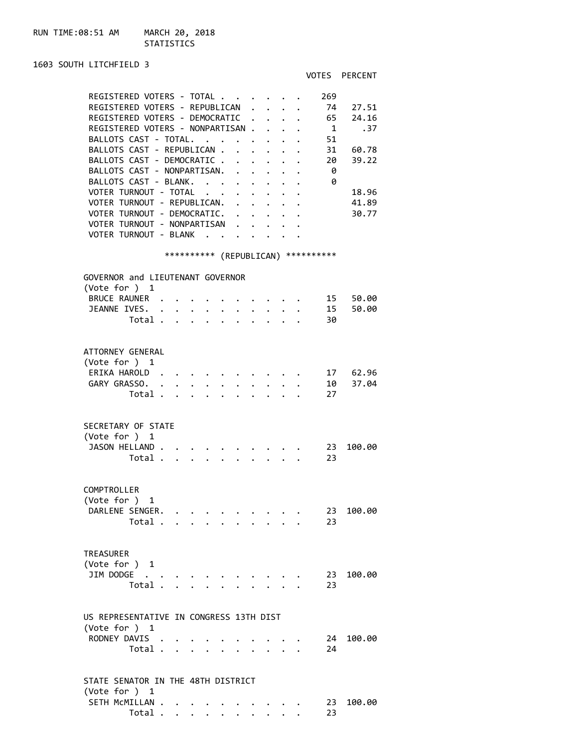# STATISTICS

## 1603 SOUTH LITCHFIELD 3

# VOTES PERCENT

| REGISTERED VOTERS - TOTAL               |         |                   |                      |                      |                           |                      |                                                             |                                                                                                                                                                                                                                       |        | 269                                 |        |
|-----------------------------------------|---------|-------------------|----------------------|----------------------|---------------------------|----------------------|-------------------------------------------------------------|---------------------------------------------------------------------------------------------------------------------------------------------------------------------------------------------------------------------------------------|--------|-------------------------------------|--------|
| REGISTERED VOTERS - REPUBLICAN          |         |                   |                      |                      |                           |                      | $\mathbf{r}$                                                | $\cdot$ $\cdot$ $\cdot$                                                                                                                                                                                                               |        | 74                                  | 27.51  |
| REGISTERED VOTERS - DEMOCRATIC .        |         |                   |                      |                      |                           |                      |                                                             | $\cdot$ $\cdot$ $\cdot$                                                                                                                                                                                                               |        | - 65                                | 24.16  |
| REGISTERED VOTERS - NONPARTISAN         |         |                   |                      |                      |                           |                      |                                                             |                                                                                                                                                                                                                                       |        | -1                                  | . 37   |
| BALLOTS CAST - TOTAL.                   |         |                   |                      |                      |                           | $\ddot{\phantom{0}}$ | $\bullet$ .<br><br><br><br><br><br><br><br><br><br><br><br> |                                                                                                                                                                                                                                       |        | 51                                  |        |
| BALLOTS CAST - REPUBLICAN .             |         |                   |                      |                      |                           |                      |                                                             |                                                                                                                                                                                                                                       |        | 31                                  | 60.78  |
| BALLOTS CAST - DEMOCRATIC.              |         |                   |                      |                      |                           |                      |                                                             |                                                                                                                                                                                                                                       |        | 20                                  | 39.22  |
| BALLOTS CAST - NONPARTISAN.             |         |                   |                      |                      |                           | $\mathbf{r}$         | $\sim$                                                      |                                                                                                                                                                                                                                       |        | - 0                                 |        |
| BALLOTS CAST - BLANK.                   |         |                   |                      |                      |                           | $\ddot{\phantom{a}}$ | $\mathbf{L}$                                                | $\mathbf{L}$                                                                                                                                                                                                                          | $\sim$ | 0                                   |        |
| VOTER TURNOUT - TOTAL                   |         |                   |                      |                      | $\mathbf{L} = \mathbf{L}$ |                      | $\ddot{\phantom{0}}$                                        |                                                                                                                                                                                                                                       |        |                                     | 18.96  |
| VOTER TURNOUT - REPUBLICAN. .           |         |                   |                      |                      |                           |                      | $\ddot{\phantom{0}}$                                        | $\ddot{\phantom{0}}$                                                                                                                                                                                                                  |        |                                     | 41.89  |
| VOTER TURNOUT - DEMOCRATIC.             |         |                   |                      |                      |                           |                      |                                                             | $\ddot{\bullet}$ . The set of the set of the set of the set of the set of the set of the set of the set of the set of the set of the set of the set of the set of the set of the set of the set of the set of the set of the set of t |        |                                     | 30.77  |
| VOTER TURNOUT - NONPARTISAN .           |         |                   |                      |                      |                           |                      |                                                             | $\mathbf{r} = \mathbf{r} + \mathbf{r}$ , where $\mathbf{r} = \mathbf{r}$                                                                                                                                                              |        |                                     |        |
| VOTER TURNOUT - BLANK                   |         |                   |                      |                      |                           |                      |                                                             | $\sim$                                                                                                                                                                                                                                |        |                                     |        |
|                                         |         |                   |                      |                      |                           |                      |                                                             |                                                                                                                                                                                                                                       |        |                                     |        |
|                                         |         |                   |                      |                      |                           |                      |                                                             |                                                                                                                                                                                                                                       |        | *********** (REPUBLICAN) ********** |        |
|                                         |         |                   |                      |                      |                           |                      |                                                             |                                                                                                                                                                                                                                       |        |                                     |        |
| GOVERNOR and LIEUTENANT GOVERNOR        |         |                   |                      |                      |                           |                      |                                                             |                                                                                                                                                                                                                                       |        |                                     |        |
| (Vote for ) 1                           |         |                   |                      |                      |                           |                      |                                                             |                                                                                                                                                                                                                                       |        |                                     |        |
| BRUCE RAUNER .                          |         |                   |                      |                      |                           |                      |                                                             |                                                                                                                                                                                                                                       |        | 15                                  | 50.00  |
| JEANNE IVES. .                          |         | $\bullet$ .       | $\bullet$ .          | $\ddot{\phantom{a}}$ |                           |                      |                                                             |                                                                                                                                                                                                                                       |        | 15                                  | 50.00  |
|                                         | Total . |                   |                      |                      |                           |                      |                                                             |                                                                                                                                                                                                                                       |        | 30                                  |        |
|                                         |         |                   |                      |                      |                           |                      |                                                             |                                                                                                                                                                                                                                       |        |                                     |        |
|                                         |         |                   |                      |                      |                           |                      |                                                             |                                                                                                                                                                                                                                       |        |                                     |        |
| ATTORNEY GENERAL                        |         |                   |                      |                      |                           |                      |                                                             |                                                                                                                                                                                                                                       |        |                                     |        |
| (Vote for ) 1                           |         |                   |                      |                      |                           |                      |                                                             |                                                                                                                                                                                                                                       |        |                                     |        |
| ERIKA HAROLD.                           |         |                   |                      |                      |                           |                      |                                                             |                                                                                                                                                                                                                                       |        | 17                                  | 62.96  |
| GARY GRASSO. .                          |         |                   |                      |                      |                           |                      |                                                             |                                                                                                                                                                                                                                       |        | 10                                  | 37.04  |
|                                         | Total   |                   | $\ddot{\phantom{0}}$ | $\ddot{\phantom{a}}$ |                           |                      | $\ddot{\phantom{a}}$                                        |                                                                                                                                                                                                                                       |        | 27                                  |        |
|                                         |         |                   |                      |                      |                           |                      |                                                             |                                                                                                                                                                                                                                       |        |                                     |        |
| SECRETARY OF STATE                      |         |                   |                      |                      |                           |                      |                                                             |                                                                                                                                                                                                                                       |        |                                     |        |
|                                         |         |                   |                      |                      |                           |                      |                                                             |                                                                                                                                                                                                                                       |        |                                     |        |
| (Vote for ) 1                           |         |                   |                      |                      |                           |                      |                                                             |                                                                                                                                                                                                                                       |        |                                     |        |
| JASON HELLAND.                          |         |                   |                      |                      |                           |                      |                                                             |                                                                                                                                                                                                                                       |        | -23                                 | 100.00 |
|                                         | Total . | $\cdots$ $\cdots$ |                      |                      | $\ddot{\phantom{0}}$      |                      | $\ddot{\phantom{0}}$                                        | $\cdot$ $\cdot$ $\cdot$                                                                                                                                                                                                               |        | 23                                  |        |
|                                         |         |                   |                      |                      |                           |                      |                                                             |                                                                                                                                                                                                                                       |        |                                     |        |
| COMPTROLLER                             |         |                   |                      |                      |                           |                      |                                                             |                                                                                                                                                                                                                                       |        |                                     |        |
| (Vote for ) 1                           |         |                   |                      |                      |                           |                      |                                                             |                                                                                                                                                                                                                                       |        |                                     |        |
|                                         |         |                   |                      |                      |                           |                      |                                                             |                                                                                                                                                                                                                                       |        |                                     |        |
| DARLENE SENGER.                         |         |                   |                      |                      |                           |                      |                                                             | $\mathbf{r}_i$ , $\mathbf{r}_i$ , $\mathbf{r}_i$ , $\mathbf{r}_i$ , $\mathbf{r}_i$ , $\mathbf{r}_i$ , $\mathbf{r}_i$ , $\mathbf{r}_i$                                                                                                 |        | 23                                  | 100.00 |
|                                         | Total   |                   |                      |                      |                           |                      |                                                             |                                                                                                                                                                                                                                       |        | 23                                  |        |
|                                         |         |                   |                      |                      |                           |                      |                                                             |                                                                                                                                                                                                                                       |        |                                     |        |
| <b>TREASURER</b>                        |         |                   |                      |                      |                           |                      |                                                             |                                                                                                                                                                                                                                       |        |                                     |        |
| (Vote for ) 1                           |         |                   |                      |                      |                           |                      |                                                             |                                                                                                                                                                                                                                       |        |                                     |        |
| JIM DODGE                               |         |                   |                      |                      |                           |                      |                                                             |                                                                                                                                                                                                                                       |        |                                     | 100.00 |
|                                         | Total . |                   |                      |                      |                           |                      |                                                             |                                                                                                                                                                                                                                       |        | 23<br>23                            |        |
|                                         |         |                   |                      |                      |                           |                      |                                                             |                                                                                                                                                                                                                                       |        |                                     |        |
|                                         |         |                   |                      |                      |                           |                      |                                                             |                                                                                                                                                                                                                                       |        |                                     |        |
| US REPRESENTATIVE IN CONGRESS 13TH DIST |         |                   |                      |                      |                           |                      |                                                             |                                                                                                                                                                                                                                       |        |                                     |        |
| (Vote for ) 1                           |         |                   |                      |                      |                           |                      |                                                             |                                                                                                                                                                                                                                       |        |                                     |        |
| RODNEY DAVIS .                          |         |                   |                      |                      |                           |                      |                                                             |                                                                                                                                                                                                                                       |        | 24                                  | 100.00 |
|                                         | Total   |                   |                      |                      |                           |                      |                                                             |                                                                                                                                                                                                                                       |        | 24                                  |        |
|                                         |         |                   |                      |                      |                           |                      |                                                             |                                                                                                                                                                                                                                       |        |                                     |        |
|                                         |         |                   |                      |                      |                           |                      |                                                             |                                                                                                                                                                                                                                       |        |                                     |        |
| STATE SENATOR IN THE 48TH DISTRICT      |         |                   |                      |                      |                           |                      |                                                             |                                                                                                                                                                                                                                       |        |                                     |        |
| (Vote for ) 1                           |         |                   |                      |                      |                           |                      |                                                             |                                                                                                                                                                                                                                       |        |                                     |        |
| SETH MCMILLAN                           |         |                   |                      |                      |                           |                      |                                                             |                                                                                                                                                                                                                                       |        | 23                                  | 100.00 |
|                                         | Total   |                   |                      |                      |                           |                      |                                                             |                                                                                                                                                                                                                                       |        | 23                                  |        |
|                                         |         |                   |                      |                      |                           |                      |                                                             |                                                                                                                                                                                                                                       |        |                                     |        |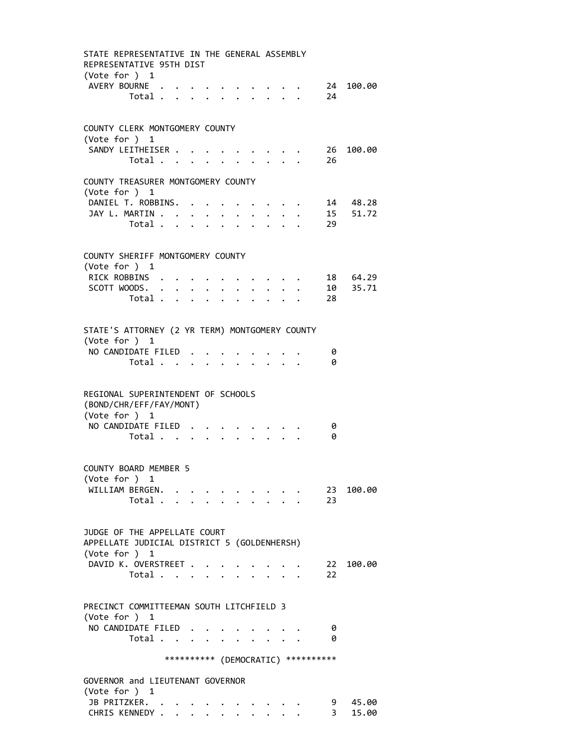| STATE REPRESENTATIVE IN THE GENERAL ASSEMBLY<br>REPRESENTATIVE 95TH DIST<br>(Vote for ) 1            |                                  |                                         |                      |  |                                     |           |
|------------------------------------------------------------------------------------------------------|----------------------------------|-----------------------------------------|----------------------|--|-------------------------------------|-----------|
| AVERY BOURNE                                                                                         | Total                            |                                         |                      |  | 24                                  | 24 100.00 |
| COUNTY CLERK MONTGOMERY COUNTY<br>(Vote for $)$ 1                                                    |                                  |                                         |                      |  |                                     |           |
| SANDY LEITHEISER                                                                                     | Total                            |                                         | $\ddot{\phantom{a}}$ |  | 26                                  | 26 100.00 |
| COUNTY TREASURER MONTGOMERY COUNTY<br>(Vote for ) 1                                                  |                                  |                                         |                      |  |                                     |           |
| DANIEL T. ROBBINS.                                                                                   |                                  |                                         |                      |  |                                     | 14 48.28  |
| JAY L. MARTIN                                                                                        |                                  |                                         |                      |  |                                     | 15 51.72  |
|                                                                                                      | Total                            | $\cdot$ $\cdot$ $\cdot$ $\cdot$ $\cdot$ |                      |  | 29                                  |           |
| COUNTY SHERIFF MONTGOMERY COUNTY<br>(Vote for ) 1                                                    |                                  |                                         |                      |  |                                     |           |
| RICK ROBBINS                                                                                         |                                  |                                         |                      |  |                                     | 18 64.29  |
| SCOTT WOODS.                                                                                         |                                  |                                         |                      |  |                                     | 10 35.71  |
|                                                                                                      | Total $\cdots$ $\cdots$ $\cdots$ |                                         |                      |  | 28                                  |           |
|                                                                                                      |                                  |                                         |                      |  |                                     |           |
| STATE'S ATTORNEY (2 YR TERM) MONTGOMERY COUNTY<br>(Vote for ) 1                                      |                                  |                                         |                      |  |                                     |           |
| NO CANDIDATE FILED                                                                                   |                                  |                                         |                      |  | 0                                   |           |
|                                                                                                      | Total                            |                                         |                      |  | 0                                   |           |
| REGIONAL SUPERINTENDENT OF SCHOOLS<br>(BOND/CHR/EFF/FAY/MONT)<br>(Vote for ) 1<br>NO CANDIDATE FILED | Total                            |                                         |                      |  | 0<br>0                              |           |
| COUNTY BOARD MEMBER 5                                                                                |                                  |                                         |                      |  |                                     |           |
| (Vote for ) 1                                                                                        |                                  |                                         |                      |  |                                     |           |
| WILLIAM BERGEN.                                                                                      |                                  |                                         |                      |  |                                     | 23 100.00 |
|                                                                                                      | Total                            |                                         |                      |  | 23                                  |           |
|                                                                                                      |                                  |                                         |                      |  |                                     |           |
| JUDGE OF THE APPELLATE COURT<br>APPELLATE JUDICIAL DISTRICT 5 (GOLDENHERSH)                          |                                  |                                         |                      |  |                                     |           |
| (Vote for ) 1                                                                                        |                                  |                                         |                      |  |                                     |           |
| DAVID K. OVERSTREET .                                                                                | Total                            |                                         |                      |  | 22<br>22                            | 100.00    |
|                                                                                                      |                                  |                                         |                      |  |                                     |           |
| PRECINCT COMMITTEEMAN SOUTH LITCHFIELD 3<br>(Vote for ) $1$                                          |                                  |                                         |                      |  |                                     |           |
| NO CANDIDATE FILED                                                                                   |                                  |                                         |                      |  | 0                                   |           |
|                                                                                                      | Total $\cdots$ $\cdots$          |                                         |                      |  | 0                                   |           |
|                                                                                                      |                                  |                                         |                      |  | *********** (DEMOCRATIC) ********** |           |
| GOVERNOR and LIEUTENANT GOVERNOR<br>(Vote for ) $1$                                                  |                                  |                                         |                      |  |                                     |           |
|                                                                                                      |                                  |                                         |                      |  |                                     |           |
| JB PRITZKER.                                                                                         |                                  |                                         |                      |  | 9                                   | 45.00     |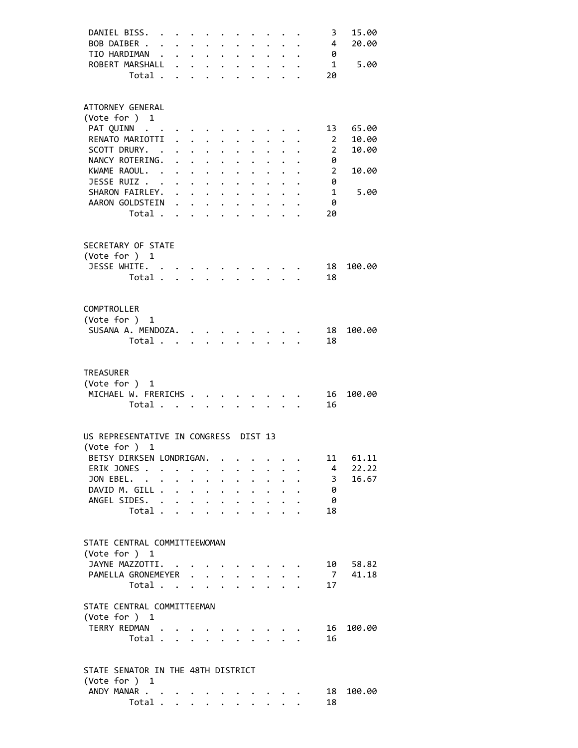| DANIEL BISS.                          |         |                           |                                                                          |                               |                      |                           |                                                           |                               |                                          | 3              | 15.00  |
|---------------------------------------|---------|---------------------------|--------------------------------------------------------------------------|-------------------------------|----------------------|---------------------------|-----------------------------------------------------------|-------------------------------|------------------------------------------|----------------|--------|
| BOB DAIBER                            |         |                           | $\mathbf{r} = \mathbf{r} + \mathbf{r}$ , where $\mathbf{r} = \mathbf{r}$ |                               |                      |                           |                                                           |                               |                                          | 4              | 20.00  |
| TIO HARDIMAN                          |         |                           |                                                                          |                               |                      |                           |                                                           |                               |                                          | 0              |        |
| ROBERT MARSHALL                       |         | $\mathbf{A}^{\text{max}}$ |                                                                          |                               |                      |                           |                                                           |                               |                                          | $\mathbf{1}$   |        |
|                                       |         |                           |                                                                          |                               |                      |                           |                                                           |                               |                                          |                | 5.00   |
|                                       | Total . |                           |                                                                          |                               |                      |                           |                                                           |                               |                                          | 20             |        |
|                                       |         |                           |                                                                          |                               |                      |                           |                                                           |                               |                                          |                |        |
| ATTORNEY GENERAL                      |         |                           |                                                                          |                               |                      |                           |                                                           |                               |                                          |                |        |
| (Vote for ) 1                         |         |                           |                                                                          |                               |                      |                           |                                                           |                               |                                          |                |        |
| PAT QUINN                             |         |                           |                                                                          |                               |                      |                           |                                                           |                               |                                          | 13             | 65.00  |
| RENATO MARIOTTI .                     |         |                           | $\ddot{\phantom{0}}$                                                     |                               |                      |                           |                                                           |                               |                                          | 2              | 10.00  |
| SCOTT DRURY. .                        |         |                           |                                                                          | $\ddot{\phantom{0}}$          |                      |                           |                                                           |                               |                                          | $\overline{2}$ | 10.00  |
| NANCY ROTERING.                       |         | $\mathbf{r}$              | $\mathbf{z} = \mathbf{z} + \mathbf{z}$                                   |                               | $\ddot{\phantom{0}}$ |                           |                                                           |                               |                                          | 0              |        |
| KWAME RAOUL. .                        |         |                           |                                                                          |                               |                      |                           |                                                           |                               |                                          | $\overline{2}$ | 10.00  |
|                                       |         |                           | $\cdot$ $\cdot$ $\cdot$ $\cdot$                                          |                               | $\ddot{\phantom{0}}$ | $\ddot{\phantom{0}}$      | $\ddot{\phantom{0}}$                                      |                               |                                          |                |        |
| JESSE RUIZ                            |         |                           |                                                                          |                               |                      | $\ddot{\phantom{0}}$      | $\ddot{\phantom{0}}$                                      | $\ddot{\phantom{0}}$          |                                          | 0              |        |
| SHARON FAIRLEY.                       |         |                           |                                                                          |                               |                      |                           | $\ddot{\phantom{a}}$                                      |                               | $\cdot$ $\cdot$ $\cdot$                  | $\mathbf{1}$   | 5.00   |
| AARON GOLDSTEIN                       |         |                           |                                                                          |                               |                      |                           |                                                           |                               | $\ddotsc$ $\ddotsc$                      | 0              |        |
|                                       | Total   |                           |                                                                          |                               |                      |                           |                                                           |                               |                                          | 20             |        |
|                                       |         |                           |                                                                          |                               |                      |                           |                                                           |                               |                                          |                |        |
| SECRETARY OF STATE                    |         |                           |                                                                          |                               |                      |                           |                                                           |                               |                                          |                |        |
| (Vote for ) 1                         |         |                           |                                                                          |                               |                      |                           |                                                           |                               |                                          |                |        |
| JESSE WHITE.                          |         |                           |                                                                          |                               |                      |                           | $\cdots$                                                  |                               |                                          | 18             | 100.00 |
|                                       | Total   |                           |                                                                          |                               |                      |                           | $\ddot{\phantom{0}}$                                      | $\mathbf{L}$ and $\mathbf{L}$ |                                          | 18             |        |
|                                       |         |                           |                                                                          |                               |                      |                           |                                                           |                               |                                          |                |        |
|                                       |         |                           |                                                                          |                               |                      |                           |                                                           |                               |                                          |                |        |
| COMPTROLLER                           |         |                           |                                                                          |                               |                      |                           |                                                           |                               |                                          |                |        |
| (Vote for ) 1                         |         |                           |                                                                          |                               |                      |                           |                                                           |                               |                                          |                |        |
| SUSANA A. MENDOZA.                    |         |                           |                                                                          |                               |                      |                           |                                                           |                               |                                          | 18             | 100.00 |
|                                       | Total   |                           |                                                                          | $\mathbf{L} = \mathbf{L}$     |                      | $\mathbf{L} = \mathbf{L}$ | $\mathcal{L}^{\text{max}}$                                | $\mathbf{L}^{\text{max}}$     |                                          | 18             |        |
|                                       |         |                           |                                                                          |                               |                      |                           |                                                           |                               |                                          |                |        |
|                                       |         |                           |                                                                          |                               |                      |                           |                                                           |                               |                                          |                |        |
| <b>TREASURER</b>                      |         |                           |                                                                          |                               |                      |                           |                                                           |                               |                                          |                |        |
| (Vote for ) 1                         |         |                           |                                                                          |                               |                      |                           |                                                           |                               |                                          |                |        |
| MICHAEL W. FRERICHS                   |         |                           |                                                                          |                               |                      |                           |                                                           |                               |                                          | 16             | 100.00 |
|                                       | Total   |                           |                                                                          | $\ddot{\phantom{a}}$          |                      |                           |                                                           |                               |                                          | 16             |        |
|                                       |         |                           |                                                                          |                               |                      |                           |                                                           |                               |                                          |                |        |
| US REPRESENTATIVE IN CONGRESS DIST 13 |         |                           |                                                                          |                               |                      |                           |                                                           |                               |                                          |                |        |
| (Vote for ) 1                         |         |                           |                                                                          |                               |                      |                           |                                                           |                               |                                          |                |        |
| BETSY DIRKSEN LONDRIGAN.              |         |                           |                                                                          |                               |                      |                           |                                                           |                               |                                          | 11             | 61.11  |
|                                       |         |                           |                                                                          |                               |                      |                           |                                                           |                               |                                          |                |        |
| ERIK JONES.                           |         |                           | $\cdot$ $\cdot$ $\cdot$ $\cdot$ $\cdot$                                  |                               |                      |                           |                                                           |                               |                                          | 4              | 22.22  |
| JON EBEL.                             |         | $\bullet$ .               |                                                                          | $\bullet$ $\bullet$ $\bullet$ |                      |                           | $\bullet$ , $\bullet$ , $\bullet$ , $\bullet$ , $\bullet$ |                               |                                          | 3              | 16.67  |
| DAVID M. GILL                         |         |                           |                                                                          |                               |                      |                           |                                                           |                               |                                          | 0              |        |
| ANGEL SIDES. .                        |         | $\ddot{\phantom{0}}$      | $\mathbf{z} = \mathbf{z} + \mathbf{z}$ , where $\mathbf{z}$              |                               |                      |                           |                                                           |                               |                                          | 0              |        |
|                                       | Total   |                           |                                                                          | $\ddot{\phantom{0}}$          | $\mathbf{A}$         | $\ddot{\phantom{a}}$      |                                                           |                               |                                          | 18             |        |
|                                       |         |                           |                                                                          |                               |                      |                           |                                                           |                               |                                          |                |        |
| STATE CENTRAL COMMITTEEWOMAN          |         |                           |                                                                          |                               |                      |                           |                                                           |                               |                                          |                |        |
| (Vote for ) 1                         |         |                           |                                                                          |                               |                      |                           |                                                           |                               |                                          |                |        |
| JAYNE MAZZOTTI. .                     |         |                           |                                                                          |                               |                      |                           |                                                           |                               |                                          | 10             | 58.82  |
|                                       |         |                           |                                                                          |                               |                      |                           |                                                           |                               |                                          |                |        |
| PAMELLA GRONEMEYER                    |         |                           |                                                                          |                               |                      | $\bullet$ .               |                                                           |                               |                                          | <sup>7</sup>   | 41.18  |
|                                       | Total   |                           | $\ddot{\phantom{a}}$                                                     | $\sim$ $\sim$                 | $\mathbf{L}$         | $\sim$                    |                                                           | $\mathbf{L}^{\text{max}}$     |                                          | 17             |        |
| STATE CENTRAL COMMITTEEMAN            |         |                           |                                                                          |                               |                      |                           |                                                           |                               |                                          |                |        |
| (Vote for ) 1                         |         |                           |                                                                          |                               |                      |                           |                                                           |                               |                                          |                |        |
| TERRY REDMAN                          |         |                           |                                                                          |                               |                      |                           |                                                           |                               |                                          | 16             | 100.00 |
|                                       |         |                           |                                                                          |                               |                      |                           |                                                           |                               |                                          | 16             |        |
|                                       | Total   |                           |                                                                          |                               |                      |                           | $\sim$ $\sim$ $\sim$ $\sim$ $\sim$                        |                               |                                          |                |        |
|                                       |         |                           |                                                                          |                               |                      |                           |                                                           |                               |                                          |                |        |
| STATE SENATOR IN THE 48TH DISTRICT    |         |                           |                                                                          |                               |                      |                           |                                                           |                               |                                          |                |        |
| (Vote for ) 1                         |         |                           |                                                                          |                               |                      |                           |                                                           |                               |                                          |                |        |
| ANDY MANAR                            |         |                           |                                                                          |                               |                      |                           | $\cdot$ $\cdot$ $\cdot$ $\cdot$ $\cdot$                   |                               |                                          | 18             | 100.00 |
|                                       |         |                           |                                                                          |                               |                      |                           |                                                           |                               |                                          | 18             |        |
|                                       | Total   |                           |                                                                          |                               |                      |                           |                                                           |                               | $\mathbf{r} = \mathbf{r} + \mathbf{r}$ . |                |        |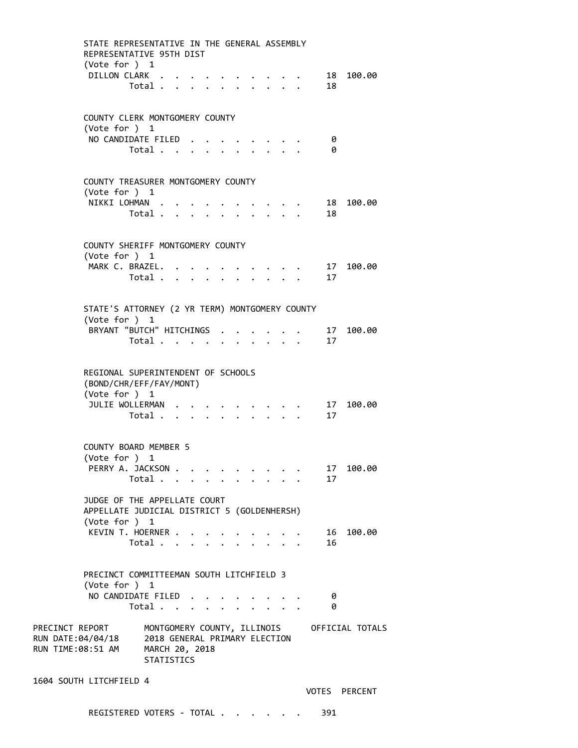| STATE REPRESENTATIVE IN THE GENERAL ASSEMBLY<br>REPRESENTATIVE 95TH DIST<br>(Vote for $)$ 1  |                                                               |                                                                                                                                                                                                                                                                                                                                                                                                                              |  |                                                                  |  |                                                                                                                     |          |                                             |
|----------------------------------------------------------------------------------------------|---------------------------------------------------------------|------------------------------------------------------------------------------------------------------------------------------------------------------------------------------------------------------------------------------------------------------------------------------------------------------------------------------------------------------------------------------------------------------------------------------|--|------------------------------------------------------------------|--|---------------------------------------------------------------------------------------------------------------------|----------|---------------------------------------------|
| DILLON CLARK                                                                                 | Total                                                         |                                                                                                                                                                                                                                                                                                                                                                                                                              |  |                                                                  |  |                                                                                                                     | 18       | 18 100.00                                   |
| COUNTY CLERK MONTGOMERY COUNTY<br>(Vote for $)$ 1                                            |                                                               |                                                                                                                                                                                                                                                                                                                                                                                                                              |  |                                                                  |  |                                                                                                                     |          |                                             |
| NO CANDIDATE FILED                                                                           | Total $\cdots$ $\cdots$                                       |                                                                                                                                                                                                                                                                                                                                                                                                                              |  | $\cdot$ $\cdot$ $\cdot$ $\cdot$                                  |  |                                                                                                                     | 0<br>0   |                                             |
| COUNTY TREASURER MONTGOMERY COUNTY<br>(Vote for ) 1                                          |                                                               |                                                                                                                                                                                                                                                                                                                                                                                                                              |  |                                                                  |  |                                                                                                                     |          |                                             |
| NIKKI LOHMAN                                                                                 | Total                                                         |                                                                                                                                                                                                                                                                                                                                                                                                                              |  |                                                                  |  | $\cdot$ $\cdot$ $\cdot$ $\cdot$ $\cdot$<br>$\mathbf{r}$ , $\mathbf{r}$ , $\mathbf{r}$ , $\mathbf{r}$ , $\mathbf{r}$ | 18       | 18 100.00                                   |
| COUNTY SHERIFF MONTGOMERY COUNTY<br>(Vote for $)$ 1                                          |                                                               |                                                                                                                                                                                                                                                                                                                                                                                                                              |  |                                                                  |  |                                                                                                                     |          |                                             |
| MARK C. BRAZEL.                                                                              | Total                                                         |                                                                                                                                                                                                                                                                                                                                                                                                                              |  | $\mathbf{r} = \mathbf{r} + \mathbf{r} + \mathbf{r} + \mathbf{r}$ |  |                                                                                                                     | -17      | 17 100.00                                   |
| STATE'S ATTORNEY (2 YR TERM) MONTGOMERY COUNTY<br>(Vote for ) 1                              |                                                               |                                                                                                                                                                                                                                                                                                                                                                                                                              |  |                                                                  |  |                                                                                                                     |          |                                             |
| BRYANT "BUTCH" HITCHINGS .                                                                   | Total                                                         |                                                                                                                                                                                                                                                                                                                                                                                                                              |  |                                                                  |  | $\mathbf{r} = \mathbf{r} + \mathbf{r}$                                                                              | 17<br>17 | 100.00                                      |
| REGIONAL SUPERINTENDENT OF SCHOOLS<br>(BOND/CHR/EFF/FAY/MONT)<br>(Vote for ) 1               |                                                               |                                                                                                                                                                                                                                                                                                                                                                                                                              |  |                                                                  |  |                                                                                                                     |          |                                             |
| JULIE WOLLERMAN                                                                              | Total $\cdots$ $\cdots$ $\cdots$                              | $\mathbf{a} = \mathbf{a} + \mathbf{a} + \mathbf{a} + \mathbf{a} + \mathbf{a} + \mathbf{a} + \mathbf{a} + \mathbf{a} + \mathbf{a} + \mathbf{a} + \mathbf{a} + \mathbf{a} + \mathbf{a} + \mathbf{a} + \mathbf{a} + \mathbf{a} + \mathbf{a} + \mathbf{a} + \mathbf{a} + \mathbf{a} + \mathbf{a} + \mathbf{a} + \mathbf{a} + \mathbf{a} + \mathbf{a} + \mathbf{a} + \mathbf{a} + \mathbf{a} + \mathbf{a} + \mathbf{a} + \mathbf$ |  |                                                                  |  |                                                                                                                     | 17<br>17 | 100.00                                      |
| <b>COUNTY BOARD MEMBER 5</b><br>(Vote for ) 1                                                |                                                               |                                                                                                                                                                                                                                                                                                                                                                                                                              |  |                                                                  |  |                                                                                                                     |          |                                             |
| PERRY A. JACKSON                                                                             | Total $\cdot$                                                 |                                                                                                                                                                                                                                                                                                                                                                                                                              |  |                                                                  |  |                                                                                                                     | 17<br>17 | 100.00                                      |
| JUDGE OF THE APPELLATE COURT<br>APPELLATE JUDICIAL DISTRICT 5 (GOLDENHERSH)<br>(Vote for ) 1 |                                                               |                                                                                                                                                                                                                                                                                                                                                                                                                              |  |                                                                  |  |                                                                                                                     |          |                                             |
| KEVIN T. HOERNER                                                                             | Total                                                         |                                                                                                                                                                                                                                                                                                                                                                                                                              |  | $\ddot{\phantom{1}}$                                             |  |                                                                                                                     | 16<br>16 | 100.00                                      |
| PRECINCT COMMITTEEMAN SOUTH LITCHFIELD 3<br>(Vote for ) 1                                    |                                                               |                                                                                                                                                                                                                                                                                                                                                                                                                              |  |                                                                  |  |                                                                                                                     |          |                                             |
| NO CANDIDATE FILED                                                                           | Total $\cdots$ $\cdots$                                       |                                                                                                                                                                                                                                                                                                                                                                                                                              |  |                                                                  |  |                                                                                                                     | 0<br>0   |                                             |
| PRECINCT REPORT<br>RUN DATE:04/04/18<br>RUN TIME:08:51 AM                                    | 2018 GENERAL PRIMARY ELECTION<br>MARCH 20, 2018<br>STATISTICS |                                                                                                                                                                                                                                                                                                                                                                                                                              |  |                                                                  |  |                                                                                                                     |          | MONTGOMERY COUNTY, ILLINOIS OFFICIAL TOTALS |
| 1604 SOUTH LITCHFIELD 4                                                                      |                                                               |                                                                                                                                                                                                                                                                                                                                                                                                                              |  |                                                                  |  |                                                                                                                     |          |                                             |

VOTES PERCENT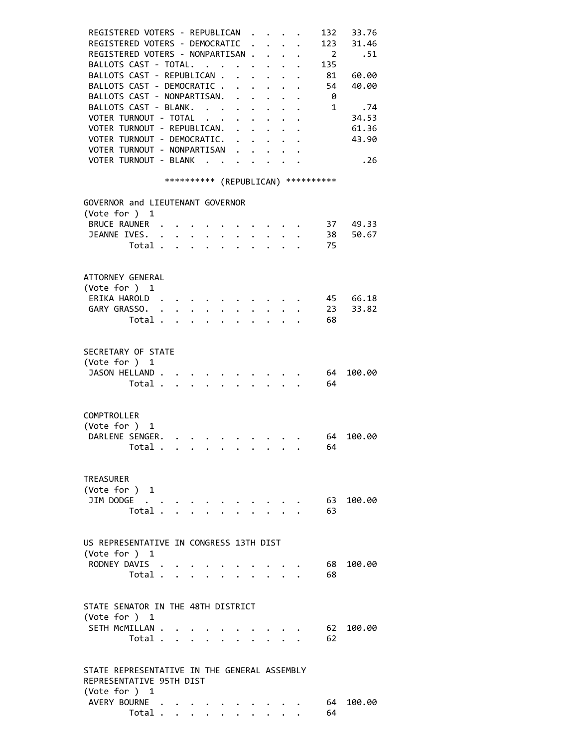| REGISTERED VOTERS - REPUBLICAN<br>REGISTERED VOTERS - DEMOCRATIC<br>REGISTERED VOTERS - NONPARTISAN .<br>BALLOTS CAST - TOTAL.<br>BALLOTS CAST - REPUBLICAN .<br>$\mathbf{r}$ $\mathbf{r}$<br>BALLOTS CAST - DEMOCRATIC<br>BALLOTS CAST - NONPARTISAN. .<br>$\sim$ $\sim$<br>BALLOTS CAST - BLANK.<br>$\ddot{\phantom{a}}$<br>$\sim 10^{-10}$ km s $^{-1}$<br>VOTER TURNOUT - TOTAL<br><b>Contract Contract Contract</b><br>$\ddot{\phantom{0}}$<br>VOTER TURNOUT - REPUBLICAN.<br>VOTER TURNOUT - DEMOCRATIC.<br>VOTER TURNOUT - NONPARTISAN<br>VOTER TURNOUT - BLANK | 132<br>$\overline{\phantom{0}}$<br>$\ddot{\phantom{a}}$<br>135<br>$\sim$<br>81<br>$\mathbf{r}$<br>$\sim$<br>$\mathbf{A}$<br>54<br>$\overline{\mathbf{0}}$<br>$\ddot{\phantom{a}}$<br>$\ddot{\phantom{a}}$<br>$\overline{\phantom{a}}$ 1<br>$\ddot{\phantom{0}}$ | 33.76<br>123<br>31.46<br>.51<br>60.00<br>40.00<br>.74<br>34.53<br>61.36<br>43.90<br>.26 |
|------------------------------------------------------------------------------------------------------------------------------------------------------------------------------------------------------------------------------------------------------------------------------------------------------------------------------------------------------------------------------------------------------------------------------------------------------------------------------------------------------------------------------------------------------------------------|-----------------------------------------------------------------------------------------------------------------------------------------------------------------------------------------------------------------------------------------------------------------|-----------------------------------------------------------------------------------------|
| *********** (REPUBLICAN) ***********                                                                                                                                                                                                                                                                                                                                                                                                                                                                                                                                   |                                                                                                                                                                                                                                                                 |                                                                                         |
| GOVERNOR and LIEUTENANT GOVERNOR<br>(Vote for ) 1<br>BRUCE RAUNER .<br>JEANNE IVES.<br>$\sim$ $\sim$<br>Total<br>$\mathbf{r}$ and $\mathbf{r}$                                                                                                                                                                                                                                                                                                                                                                                                                         | $\mathbf{r} = \mathbf{r} \cdot \mathbf{r}$<br>75                                                                                                                                                                                                                | 49.33<br>37<br>38<br>50.67                                                              |
|                                                                                                                                                                                                                                                                                                                                                                                                                                                                                                                                                                        |                                                                                                                                                                                                                                                                 |                                                                                         |
| ATTORNEY GENERAL<br>(Vote for ) 1<br>ERIKA HAROLD.<br>$\mathbf{L}^{\text{max}}$ , and $\mathbf{L}^{\text{max}}$<br>GARY GRASSO.<br>$\ddot{\phantom{0}}$<br>$\ddot{\phantom{a}}$<br>Total .<br>$\Delta$ and $\Delta$<br>$\mathbf{L}$<br>$\ddot{\phantom{a}}$                                                                                                                                                                                                                                                                                                            | 23<br>68                                                                                                                                                                                                                                                        | 45<br>66.18<br>33.82                                                                    |
| SECRETARY OF STATE<br>(Vote for ) 1<br>JASON HELLAND<br>Total<br>$\ddot{\phantom{1}}$                                                                                                                                                                                                                                                                                                                                                                                                                                                                                  | 64<br>64                                                                                                                                                                                                                                                        | 100.00                                                                                  |
| COMPTROLLER<br>(Vote for )<br>1<br>DARLENE SENGER.<br>Total<br>$\mathbf{r}$ , and the set of the set of the set of the set of the set of the set of the set of the set of the set of the set of the set of the set of the set of the set of the set of the set of the set of the set of the set                                                                                                                                                                                                                                                                        | 64<br>64                                                                                                                                                                                                                                                        | 100.00                                                                                  |
| TREASURER<br>(Vote for ) 1<br>JIM DODGE $\cdot \cdot \cdot \cdot \cdot \cdot \cdot \cdot \cdot \cdot$<br>Total                                                                                                                                                                                                                                                                                                                                                                                                                                                         | 63                                                                                                                                                                                                                                                              | 63 100.00                                                                               |
| US REPRESENTATIVE IN CONGRESS 13TH DIST<br>(Vote for ) 1<br>RODNEY DAVIS<br>Total<br>$\sim$                                                                                                                                                                                                                                                                                                                                                                                                                                                                            | 68                                                                                                                                                                                                                                                              | 100.00<br>68                                                                            |
| STATE SENATOR IN THE 48TH DISTRICT<br>(Vote for ) 1<br>SETH McMILLAN<br>Total $\cdots$ $\cdots$ $\cdots$                                                                                                                                                                                                                                                                                                                                                                                                                                                               | 62                                                                                                                                                                                                                                                              | 100.00<br>62                                                                            |
| STATE REPRESENTATIVE IN THE GENERAL ASSEMBLY<br>REPRESENTATIVE 95TH DIST<br>(Vote for ) 1<br>AVERY BOURNE<br>Total .<br>$\bullet$ , $\bullet$ , $\bullet$ , $\bullet$ , $\bullet$ , $\bullet$<br>$\bullet$ .<br><br><br><br><br><br><br><br><br><br><br><br><br>                                                                                                                                                                                                                                                                                                       | 64                                                                                                                                                                                                                                                              | 100.00<br>64 -                                                                          |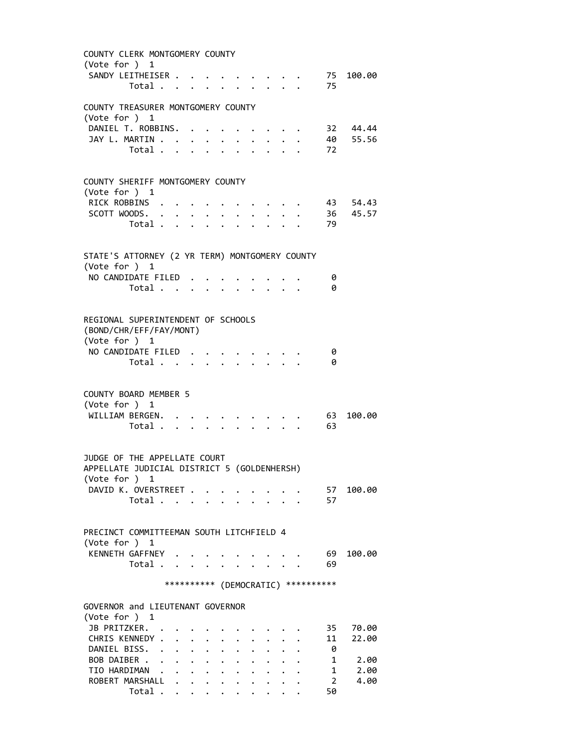| COUNTY CLERK MONTGOMERY COUNTY                 |                      |                      |                      |              |              |                      |                                         |  |                                     |              |
|------------------------------------------------|----------------------|----------------------|----------------------|--------------|--------------|----------------------|-----------------------------------------|--|-------------------------------------|--------------|
| (Vote for $)$ 1                                |                      |                      |                      |              |              |                      |                                         |  |                                     |              |
| SANDY LEITHEISER                               |                      |                      |                      |              |              |                      | $\ddotsc$                               |  |                                     | 75 100.00    |
| Total                                          |                      |                      |                      |              |              |                      | $1 - 1 - 1$                             |  | 75                                  |              |
| COUNTY TREASURER MONTGOMERY COUNTY             |                      |                      |                      |              |              |                      |                                         |  |                                     |              |
| (Vote for ) 1                                  |                      |                      |                      |              |              |                      |                                         |  |                                     |              |
| DANIEL T. ROBBINS. .                           |                      |                      | $\ddot{\phantom{0}}$ |              |              |                      |                                         |  |                                     | 32 44.44     |
| JAY L. MARTIN                                  |                      |                      |                      |              |              |                      |                                         |  |                                     | 40 55.56     |
| Total .                                        | $\sim$               | $\mathbf{L}$         |                      |              |              |                      |                                         |  | 72                                  |              |
|                                                |                      |                      |                      |              |              |                      |                                         |  |                                     |              |
|                                                |                      |                      |                      |              |              |                      |                                         |  |                                     |              |
| COUNTY SHERIFF MONTGOMERY COUNTY               |                      |                      |                      |              |              |                      |                                         |  |                                     |              |
| (Vote for ) 1                                  |                      |                      |                      |              |              |                      |                                         |  |                                     |              |
| RICK ROBBINS                                   |                      |                      |                      |              |              |                      |                                         |  |                                     | 43 54.43     |
| SCOTT WOODS.<br>Total                          |                      |                      |                      |              |              |                      |                                         |  | 79                                  | 36 45.57     |
|                                                |                      |                      |                      |              |              |                      |                                         |  |                                     |              |
|                                                |                      |                      |                      |              |              |                      |                                         |  |                                     |              |
| STATE'S ATTORNEY (2 YR TERM) MONTGOMERY COUNTY |                      |                      |                      |              |              |                      |                                         |  |                                     |              |
| (Vote for ) 1                                  |                      |                      |                      |              |              |                      |                                         |  |                                     |              |
| NO CANDIDATE FILED                             |                      |                      |                      |              |              |                      |                                         |  | 0                                   |              |
| Total $\cdots$ $\cdots$                        |                      |                      |                      |              |              |                      | $\cdot$ $\cdot$ $\cdot$ $\cdot$ $\cdot$ |  | 0                                   |              |
|                                                |                      |                      |                      |              |              |                      |                                         |  |                                     |              |
|                                                |                      |                      |                      |              |              |                      |                                         |  |                                     |              |
| REGIONAL SUPERINTENDENT OF SCHOOLS             |                      |                      |                      |              |              |                      |                                         |  |                                     |              |
| (BOND/CHR/EFF/FAY/MONT)                        |                      |                      |                      |              |              |                      |                                         |  |                                     |              |
| (Vote for ) 1                                  |                      |                      |                      |              |              |                      |                                         |  |                                     |              |
| NO CANDIDATE FILED                             |                      |                      |                      |              |              |                      |                                         |  | 0                                   |              |
| Total                                          |                      |                      |                      |              |              |                      |                                         |  | 0                                   |              |
|                                                |                      |                      |                      |              |              |                      |                                         |  |                                     |              |
| COUNTY BOARD MEMBER 5                          |                      |                      |                      |              |              |                      |                                         |  |                                     |              |
| (Vote for ) 1                                  |                      |                      |                      |              |              |                      |                                         |  |                                     |              |
| WILLIAM BERGEN.                                |                      |                      |                      |              |              |                      |                                         |  | 63                                  | 100.00       |
| Total                                          |                      |                      |                      | $\sim$       |              |                      |                                         |  | 63                                  |              |
|                                                |                      |                      |                      |              |              |                      |                                         |  |                                     |              |
|                                                |                      |                      |                      |              |              |                      |                                         |  |                                     |              |
| JUDGE OF THE APPELLATE COURT                   |                      |                      |                      |              |              |                      |                                         |  |                                     |              |
| APPELLATE JUDICIAL DISTRICT 5 (GOLDENHERSH)    |                      |                      |                      |              |              |                      |                                         |  |                                     |              |
| (Vote for ) 1                                  |                      |                      |                      |              |              |                      |                                         |  |                                     |              |
| DAVID K. OVERSTREET                            |                      |                      |                      |              |              |                      | $\mathbf{L} = \mathbf{L} \mathbf{L}$ .  |  | 57                                  | 100.00       |
| Total                                          |                      |                      |                      |              |              |                      |                                         |  | 57                                  |              |
|                                                |                      |                      |                      |              |              |                      |                                         |  |                                     |              |
| PRECINCT COMMITTEEMAN SOUTH LITCHFIELD 4       |                      |                      |                      |              |              |                      |                                         |  |                                     |              |
| (Vote for ) 1                                  |                      |                      |                      |              |              |                      |                                         |  |                                     |              |
| KENNETH GAFFNEY .                              |                      |                      |                      |              |              |                      |                                         |  | 69                                  | 100.00       |
| Total .                                        |                      | $\sim$ $\sim$        | $\bullet$ .          |              |              |                      |                                         |  | 69                                  |              |
|                                                |                      |                      |                      |              |              |                      |                                         |  |                                     |              |
|                                                |                      |                      |                      |              |              |                      |                                         |  | *********** (DEMOCRATIC) ********** |              |
|                                                |                      |                      |                      |              |              |                      |                                         |  |                                     |              |
| GOVERNOR and LIEUTENANT GOVERNOR               |                      |                      |                      |              |              |                      |                                         |  |                                     |              |
| (Vote for ) 1                                  |                      |                      |                      |              |              |                      |                                         |  |                                     |              |
| JB PRITZKER.                                   |                      |                      |                      |              |              |                      |                                         |  | 35                                  | 70.00        |
| CHRIS KENNEDY .                                | $\ddot{\phantom{a}}$ |                      |                      |              |              |                      |                                         |  | 11                                  | 22.00        |
| DANIEL BISS.                                   |                      |                      | $\ddot{\phantom{0}}$ |              |              |                      |                                         |  | 0                                   |              |
| BOB DAIBER .<br>TIO HARDIMAN                   |                      | $\ddot{\phantom{0}}$ |                      |              |              |                      |                                         |  | $\mathbf{1}$<br>$\mathbf{1}$        | 2.00<br>2.00 |
| ROBERT MARSHALL                                | $\ddot{\phantom{a}}$ |                      | $\mathbf{L}$         | $\mathbf{r}$ | $\mathbf{r}$ | $\ddot{\phantom{a}}$ |                                         |  | $\overline{2}$                      | 4.00         |
| Total $\cdots$                                 |                      |                      |                      |              |              |                      |                                         |  | 50                                  |              |
|                                                |                      |                      |                      |              |              |                      |                                         |  |                                     |              |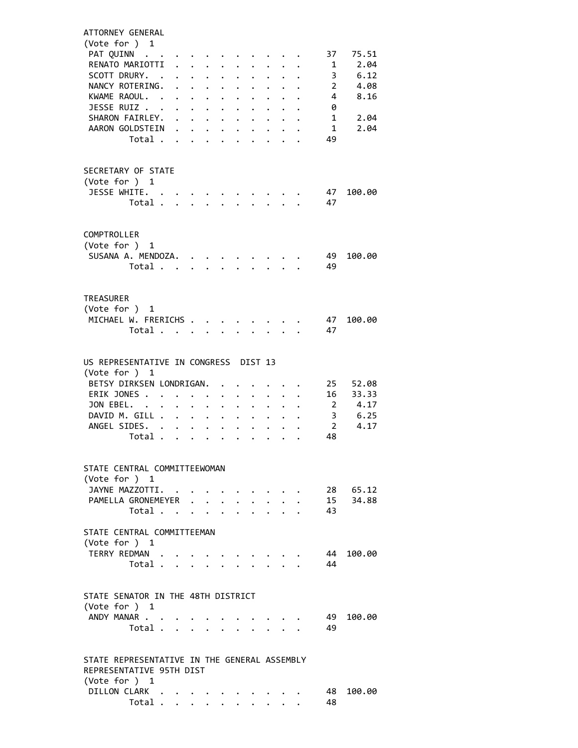| ATTORNEY GENERAL                             |                         |                      |                      |                                                                          |                      |                      |                                                 |                           |                         |                |                |  |
|----------------------------------------------|-------------------------|----------------------|----------------------|--------------------------------------------------------------------------|----------------------|----------------------|-------------------------------------------------|---------------------------|-------------------------|----------------|----------------|--|
| (Vote for $)$ 1                              |                         |                      |                      |                                                                          |                      |                      |                                                 |                           |                         |                |                |  |
| PAT QUINN<br>RENATO MARIOTTI                 |                         |                      |                      | $\mathbf{1}$ , $\mathbf{1}$ , $\mathbf{1}$ , $\mathbf{1}$                | $\ddot{\phantom{0}}$ |                      | $\sim$                                          |                           |                         | 37<br>1        | 75.51<br>2.04  |  |
| SCOTT DRURY. .                               |                         |                      |                      | $\mathbf{r}$ , $\mathbf{r}$ , $\mathbf{r}$ , $\mathbf{r}$ , $\mathbf{r}$ |                      | $\ddot{\phantom{0}}$ |                                                 |                           | $\cdot$ $\cdot$ $\cdot$ |                | 3, 6.12        |  |
| NANCY ROTERING.                              |                         |                      |                      | $\cdot$ $\cdot$ $\cdot$ $\cdot$ $\cdot$                                  | $\ddot{\phantom{0}}$ | $\ddot{\phantom{0}}$ |                                                 |                           |                         | $\cdots$ $2$   | 4.08           |  |
| KWAME RAOUL.                                 |                         |                      |                      | $\ddot{\phantom{0}}$                                                     | $\ddot{\phantom{0}}$ | $\bullet$            | $\ddot{\phantom{0}}$                            |                           |                         | $\overline{4}$ | 8.16           |  |
| JESSE RUIZ                                   |                         |                      |                      |                                                                          |                      |                      |                                                 |                           |                         | 0              |                |  |
| SHARON FAIRLEY.                              |                         |                      |                      |                                                                          |                      |                      |                                                 |                           |                         | 1              | 2.04           |  |
| AARON GOLDSTEIN                              | Total                   |                      | $\ddot{\phantom{0}}$ |                                                                          |                      |                      |                                                 |                           |                         | 1<br>49        | 2.04           |  |
|                                              |                         | $\mathbf{L}^{(1)}$ . |                      | $\mathbf{L}$                                                             | $\mathbf{L}$         |                      |                                                 |                           |                         |                |                |  |
|                                              |                         |                      |                      |                                                                          |                      |                      |                                                 |                           |                         |                |                |  |
| SECRETARY OF STATE                           |                         |                      |                      |                                                                          |                      |                      |                                                 |                           |                         |                |                |  |
| (Vote for ) 1                                |                         |                      |                      |                                                                          |                      |                      |                                                 |                           |                         |                |                |  |
| JESSE WHITE.                                 |                         |                      |                      |                                                                          |                      |                      |                                                 |                           |                         | 47             | 100.00         |  |
|                                              | Total                   |                      |                      |                                                                          |                      |                      | $\ddot{\phantom{a}}$                            |                           |                         | 47             |                |  |
|                                              |                         |                      |                      |                                                                          |                      |                      |                                                 |                           |                         |                |                |  |
| COMPTROLLER                                  |                         |                      |                      |                                                                          |                      |                      |                                                 |                           |                         |                |                |  |
| (Vote for ) 1                                |                         |                      |                      |                                                                          |                      |                      |                                                 |                           |                         |                |                |  |
| SUSANA A. MENDOZA.                           |                         |                      |                      |                                                                          |                      |                      |                                                 |                           |                         | 49             | 100.00         |  |
|                                              | Total                   |                      |                      |                                                                          |                      |                      |                                                 |                           |                         | 49             |                |  |
|                                              |                         |                      |                      |                                                                          |                      |                      |                                                 |                           |                         |                |                |  |
| TREASURER                                    |                         |                      |                      |                                                                          |                      |                      |                                                 |                           |                         |                |                |  |
| (Vote for $)$ 1                              |                         |                      |                      |                                                                          |                      |                      |                                                 |                           |                         |                |                |  |
| MICHAEL W. FRERICHS                          |                         |                      |                      |                                                                          |                      |                      |                                                 |                           |                         | 47             | 100.00         |  |
|                                              | Total                   |                      |                      |                                                                          |                      |                      |                                                 |                           |                         | 47             |                |  |
|                                              |                         |                      |                      |                                                                          |                      |                      |                                                 |                           |                         |                |                |  |
| US REPRESENTATIVE IN CONGRESS DIST 13        |                         |                      |                      |                                                                          |                      |                      |                                                 |                           |                         |                |                |  |
| (Vote for ) 1                                |                         |                      |                      |                                                                          |                      |                      |                                                 |                           |                         |                |                |  |
| BETSY DIRKSEN LONDRIGAN.                     |                         |                      |                      | $\ddot{\phantom{a}}$                                                     |                      |                      |                                                 |                           |                         | 25             | 52.08          |  |
| ERIK JONES                                   |                         |                      |                      |                                                                          |                      |                      |                                                 |                           |                         | 16             | 33.33          |  |
| JON EBEL.                                    |                         |                      |                      |                                                                          | $\ddot{\phantom{0}}$ | $\ddot{\phantom{0}}$ | $\ddot{\phantom{0}}$                            |                           |                         | $\overline{2}$ | 4.17           |  |
| DAVID M. GILL<br>ANGEL SIDES.                |                         |                      |                      |                                                                          |                      | $\ddot{\phantom{0}}$ |                                                 | $\ddotsc$                 | $\cdot$ $\cdot$ $\cdot$ | $\overline{2}$ | 3 6.25<br>4.17 |  |
|                                              | Total                   |                      |                      |                                                                          |                      | $\ddot{\bullet}$     |                                                 | $\ddot{\phantom{a}}$      |                         | 48             |                |  |
|                                              |                         |                      |                      |                                                                          |                      |                      |                                                 |                           |                         |                |                |  |
|                                              |                         |                      |                      |                                                                          |                      |                      |                                                 |                           |                         |                |                |  |
| STATE CENTRAL COMMITTEEWOMAN                 |                         |                      |                      |                                                                          |                      |                      |                                                 |                           |                         |                |                |  |
| (Vote for ) 1<br>JAYNE MAZZOTTI.             |                         |                      |                      |                                                                          |                      |                      |                                                 |                           |                         |                | 28 65.12       |  |
| PAMELLA GRONEMEYER                           |                         |                      |                      |                                                                          |                      |                      | $\cdot$ $\cdot$ $\cdot$ $\cdot$ $\cdot$ $\cdot$ |                           |                         |                | 15 34.88       |  |
|                                              | Total $\cdots$          |                      |                      |                                                                          |                      |                      |                                                 | $\mathbf{r} = \mathbf{r}$ |                         | 43             |                |  |
|                                              |                         |                      |                      |                                                                          |                      |                      |                                                 |                           |                         |                |                |  |
| STATE CENTRAL COMMITTEEMAN                   |                         |                      |                      |                                                                          |                      |                      |                                                 |                           |                         |                |                |  |
| (Vote for ) 1                                |                         |                      |                      |                                                                          |                      |                      |                                                 |                           |                         |                |                |  |
| TERRY REDMAN                                 | Total                   |                      |                      |                                                                          |                      |                      |                                                 |                           |                         | 44<br>44       | 100.00         |  |
|                                              |                         |                      |                      |                                                                          |                      |                      |                                                 |                           |                         |                |                |  |
|                                              |                         |                      |                      |                                                                          |                      |                      |                                                 |                           |                         |                |                |  |
| STATE SENATOR IN THE 48TH DISTRICT           |                         |                      |                      |                                                                          |                      |                      |                                                 |                           |                         |                |                |  |
| (Vote for ) 1                                |                         |                      |                      |                                                                          |                      |                      |                                                 |                           |                         |                |                |  |
| ANDY MANAR                                   |                         |                      |                      |                                                                          |                      |                      |                                                 |                           |                         | 49<br>49       | 100.00         |  |
|                                              | Total $\cdots$ $\cdots$ |                      |                      |                                                                          |                      |                      |                                                 |                           |                         |                |                |  |
|                                              |                         |                      |                      |                                                                          |                      |                      |                                                 |                           |                         |                |                |  |
| STATE REPRESENTATIVE IN THE GENERAL ASSEMBLY |                         |                      |                      |                                                                          |                      |                      |                                                 |                           |                         |                |                |  |
| REPRESENTATIVE 95TH DIST                     |                         |                      |                      |                                                                          |                      |                      |                                                 |                           |                         |                |                |  |
| (Vote for $)$ 1                              |                         |                      |                      |                                                                          |                      |                      |                                                 |                           |                         |                |                |  |
| DILLON CLARK                                 |                         |                      |                      |                                                                          |                      |                      |                                                 |                           |                         | 48.<br>48      | 100.00         |  |
|                                              | Total                   |                      |                      |                                                                          |                      |                      |                                                 |                           |                         |                |                |  |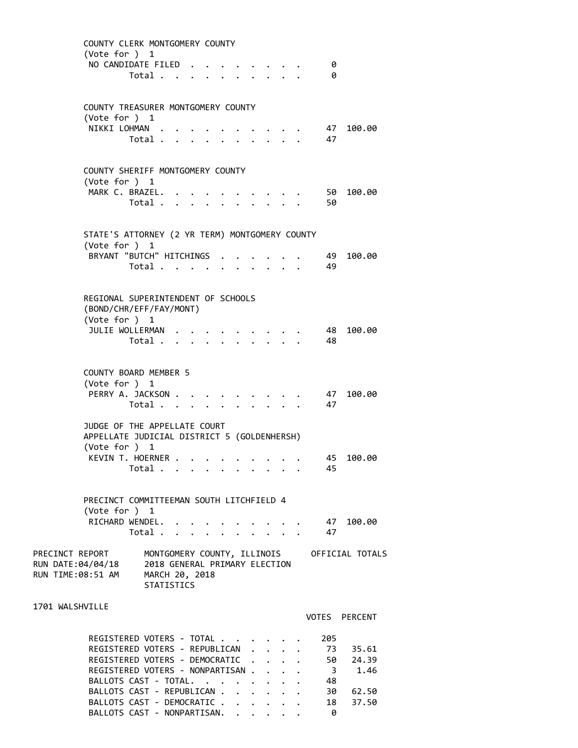|                                                           | (Vote for ) 1   | COUNTY CLERK MONTGOMERY COUNTY                                       |  |  |              |                                                                    |                                          |                                             |
|-----------------------------------------------------------|-----------------|----------------------------------------------------------------------|--|--|--------------|--------------------------------------------------------------------|------------------------------------------|---------------------------------------------|
|                                                           |                 | NO CANDIDATE FILED.<br>Total                                         |  |  |              |                                                                    | 0<br>0                                   |                                             |
|                                                           |                 |                                                                      |  |  |              |                                                                    |                                          |                                             |
|                                                           | (Vote for ) $1$ | COUNTY TREASURER MONTGOMERY COUNTY                                   |  |  |              |                                                                    |                                          |                                             |
|                                                           |                 | NIKKI LOHMAN<br>Total $\cdots$ $\cdots$                              |  |  |              |                                                                    | 47<br>47                                 | 100.00                                      |
|                                                           |                 |                                                                      |  |  |              |                                                                    |                                          |                                             |
|                                                           | (Vote for ) 1   | COUNTY SHERIFF MONTGOMERY COUNTY                                     |  |  |              |                                                                    |                                          |                                             |
|                                                           |                 | MARK C. BRAZEL.                                                      |  |  |              |                                                                    | 50                                       | 100.00                                      |
|                                                           |                 | Total                                                                |  |  |              | $\cdot$ $\cdot$ $\cdot$                                            | 50                                       |                                             |
|                                                           | (Vote for ) 1   | STATE'S ATTORNEY (2 YR TERM) MONTGOMERY COUNTY                       |  |  |              |                                                                    |                                          |                                             |
|                                                           |                 | BRYANT "BUTCH" HITCHINGS                                             |  |  |              |                                                                    | - 49                                     | 100.00                                      |
|                                                           |                 | Total                                                                |  |  |              |                                                                    | 49                                       |                                             |
|                                                           |                 | REGIONAL SUPERINTENDENT OF SCHOOLS<br>(BOND/CHR/EFF/FAY/MONT)        |  |  |              |                                                                    |                                          |                                             |
|                                                           | (Vote for ) 1   | JULIE WOLLERMAN .                                                    |  |  |              |                                                                    | 48                                       | 100.00                                      |
|                                                           |                 | Total                                                                |  |  | $\mathbf{L}$ |                                                                    | 48                                       |                                             |
|                                                           |                 |                                                                      |  |  |              |                                                                    |                                          |                                             |
|                                                           | (Vote for ) 1   | COUNTY BOARD MEMBER 5                                                |  |  |              |                                                                    |                                          |                                             |
|                                                           |                 | PERRY A. JACKSON<br>Total                                            |  |  |              |                                                                    | 47<br>47                                 | 100.00                                      |
|                                                           |                 | JUDGE OF THE APPELLATE COURT                                         |  |  |              |                                                                    |                                          |                                             |
|                                                           | (Vote for ) 1   | APPELLATE JUDICIAL DISTRICT 5 (GOLDENHERSH)                          |  |  |              |                                                                    |                                          |                                             |
|                                                           |                 | KEVIN T. HOERNER                                                     |  |  |              |                                                                    | 45                                       | 100.00                                      |
|                                                           |                 | Total                                                                |  |  |              |                                                                    | 45                                       |                                             |
|                                                           |                 | PRECINCT COMMITTEEMAN SOUTH LITCHFIELD 4                             |  |  |              |                                                                    |                                          |                                             |
|                                                           | (Vote for ) 1   |                                                                      |  |  |              |                                                                    |                                          |                                             |
|                                                           |                 | RICHARD WENDEL.<br>Total                                             |  |  |              | $\mathbf{1}$ $\mathbf{1}$ $\mathbf{1}$ $\mathbf{1}$ $\mathbf{1}$   | $\cdot$ $\cdot$ $\cdot$ $\cdot$ 47<br>47 | 100.00                                      |
| PRECINCT REPORT<br>RUN DATE:04/04/18<br>RUN TIME:08:51 AM |                 | 2018 GENERAL PRIMARY ELECTION<br>MARCH 20, 2018<br><b>STATISTICS</b> |  |  |              |                                                                    |                                          | MONTGOMERY COUNTY, ILLINOIS OFFICIAL TOTALS |
|                                                           |                 |                                                                      |  |  |              |                                                                    |                                          |                                             |
| 1701 WALSHVILLE                                           |                 |                                                                      |  |  |              |                                                                    | VOTES PERCENT                            |                                             |
|                                                           |                 | REGISTERED VOTERS - TOTAL                                            |  |  |              |                                                                    | 205                                      |                                             |
|                                                           |                 | REGISTERED VOTERS - REPUBLICAN<br>REGISTERED VOTERS - DEMOCRATIC     |  |  |              |                                                                    | 73<br>50                                 | 35.61<br>24.39                              |
|                                                           |                 | REGISTERED VOTERS - NONPARTISAN<br>BALLOTS CAST - TOTAL.             |  |  |              | $\ddot{\phantom{0}}$                                               | $\overline{\mathbf{3}}$<br>48            | 1.46                                        |
|                                                           |                 | BALLOTS CAST - REPUBLICAN                                            |  |  |              |                                                                    | 30                                       | 62.50                                       |
|                                                           |                 | BALLOTS CAST - DEMOCRATIC<br>BALLOTS CAST - NONPARTISAN.             |  |  |              | $\mathbf{r} = \mathbf{r} + \mathbf{r} + \mathbf{r} + \mathbf{r}$ . | 18<br>0                                  | 37.50                                       |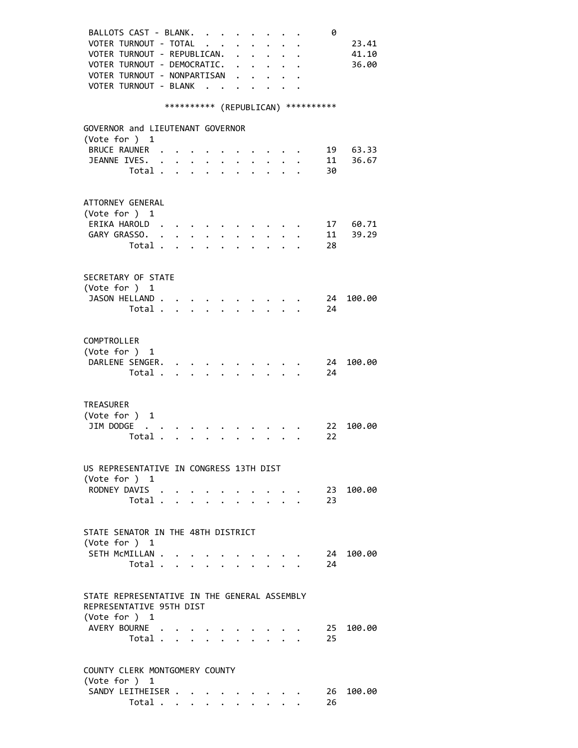| BALLOTS CAST - BLANK.                        |                                  |                      |                           | $\sim$ $\sim$ $\sim$                        |                           |                      |              |                                                           |                           | 0                                    |        |
|----------------------------------------------|----------------------------------|----------------------|---------------------------|---------------------------------------------|---------------------------|----------------------|--------------|-----------------------------------------------------------|---------------------------|--------------------------------------|--------|
| VOTER TURNOUT - TOTAL                        |                                  |                      |                           |                                             | $\mathbf{L} = \mathbf{L}$ |                      |              |                                                           |                           |                                      | 23.41  |
| VOTER TURNOUT - REPUBLICAN.                  |                                  |                      |                           |                                             |                           |                      |              |                                                           |                           |                                      | 41.10  |
| VOTER TURNOUT - DEMOCRATIC. .                |                                  |                      |                           |                                             |                           |                      |              | $\ddot{\phantom{0}}$                                      |                           |                                      | 36.00  |
| VOTER TURNOUT - NONPARTISAN                  |                                  |                      |                           |                                             |                           |                      |              |                                                           |                           |                                      |        |
| VOTER TURNOUT - BLANK                        |                                  |                      |                           | $\overline{\phantom{a}}$                    |                           |                      |              |                                                           |                           |                                      |        |
|                                              |                                  |                      |                           |                                             |                           |                      |              |                                                           |                           |                                      |        |
|                                              |                                  |                      |                           |                                             |                           |                      |              |                                                           |                           | *********** (REPUBLICAN) *********** |        |
|                                              |                                  |                      |                           |                                             |                           |                      |              |                                                           |                           |                                      |        |
| GOVERNOR and LIEUTENANT GOVERNOR             |                                  |                      |                           |                                             |                           |                      |              |                                                           |                           |                                      |        |
| (Vote for ) 1                                |                                  |                      |                           |                                             |                           |                      |              |                                                           |                           |                                      |        |
| BRUCE RAUNER .                               |                                  |                      |                           |                                             |                           |                      |              |                                                           |                           | 19                                   | 63.33  |
| JEANNE IVES.                                 |                                  |                      |                           |                                             |                           |                      |              |                                                           |                           | 11                                   | 36.67  |
|                                              | Total                            |                      |                           | $\mathbf{L} = \mathbf{L} \times \mathbf{L}$ |                           | $\ddot{\phantom{a}}$ |              |                                                           |                           | 30                                   |        |
|                                              |                                  |                      |                           |                                             |                           |                      |              |                                                           |                           |                                      |        |
|                                              |                                  |                      |                           |                                             |                           |                      |              |                                                           |                           |                                      |        |
| ATTORNEY GENERAL                             |                                  |                      |                           |                                             |                           |                      |              |                                                           |                           |                                      |        |
| (Vote for ) $1$                              |                                  |                      |                           |                                             |                           |                      |              |                                                           |                           |                                      |        |
| ERIKA HAROLD.                                |                                  |                      |                           |                                             |                           |                      |              |                                                           |                           | 17                                   | 60.71  |
| GARY GRASSO. .                               |                                  | $\ddot{\phantom{0}}$ | $\ddot{\phantom{0}}$      | $\ddot{\phantom{0}}$                        |                           |                      |              |                                                           |                           | 11                                   | 39.29  |
|                                              | Total                            |                      |                           | $\cdot$ $\cdot$ $\cdot$ $\cdot$             |                           |                      |              |                                                           |                           | 28                                   |        |
|                                              |                                  |                      |                           |                                             |                           |                      |              |                                                           |                           |                                      |        |
|                                              |                                  |                      |                           |                                             |                           |                      |              |                                                           |                           |                                      |        |
| SECRETARY OF STATE                           |                                  |                      |                           |                                             |                           |                      |              |                                                           |                           |                                      |        |
| (Vote for ) 1                                |                                  |                      |                           |                                             |                           |                      |              |                                                           |                           |                                      |        |
| JASON HELLAND                                |                                  |                      |                           |                                             |                           |                      |              |                                                           |                           | 24                                   | 100.00 |
|                                              | Total                            |                      |                           |                                             | $\mathbf{A}$              |                      | $\mathbf{A}$ |                                                           | $\mathbf{r} = \mathbf{r}$ | 24                                   |        |
|                                              |                                  |                      |                           |                                             |                           |                      |              |                                                           |                           |                                      |        |
|                                              |                                  |                      |                           |                                             |                           |                      |              |                                                           |                           |                                      |        |
| COMPTROLLER                                  |                                  |                      |                           |                                             |                           |                      |              |                                                           |                           |                                      |        |
| (Vote for ) 1                                |                                  |                      |                           |                                             |                           |                      |              |                                                           |                           |                                      |        |
| DARLENE SENGER.                              |                                  |                      |                           |                                             |                           |                      |              |                                                           |                           | 24                                   | 100.00 |
|                                              | Total .                          |                      | $\mathbf{r} = \mathbf{r}$ |                                             |                           |                      |              |                                                           |                           | 24                                   |        |
|                                              |                                  |                      |                           |                                             |                           |                      |              |                                                           |                           |                                      |        |
|                                              |                                  |                      |                           |                                             |                           |                      |              |                                                           |                           |                                      |        |
| <b>TREASURER</b>                             |                                  |                      |                           |                                             |                           |                      |              |                                                           |                           |                                      |        |
| (Vote for )                                  | 1                                |                      |                           |                                             |                           |                      |              |                                                           |                           |                                      |        |
| JIM DODGE                                    |                                  |                      |                           |                                             |                           |                      |              |                                                           |                           | 22                                   | 100.00 |
| Total .                                      |                                  |                      |                           |                                             |                           |                      |              |                                                           |                           | 22                                   |        |
|                                              |                                  |                      |                           |                                             |                           |                      |              |                                                           |                           |                                      |        |
|                                              |                                  |                      |                           |                                             |                           |                      |              |                                                           |                           |                                      |        |
| US REPRESENTATIVE IN CONGRESS 13TH DIST      |                                  |                      |                           |                                             |                           |                      |              |                                                           |                           |                                      |        |
| (Vote for ) $1$                              |                                  |                      |                           |                                             |                           |                      |              |                                                           |                           |                                      |        |
| RODNEY DAVIS                                 |                                  |                      |                           |                                             |                           |                      |              |                                                           |                           | 23                                   | 100.00 |
|                                              | Total $\cdots$ $\cdots$ $\cdots$ |                      |                           |                                             |                           |                      |              |                                                           |                           | 23                                   |        |
|                                              |                                  |                      |                           |                                             |                           |                      |              |                                                           |                           |                                      |        |
|                                              |                                  |                      |                           |                                             |                           |                      |              |                                                           |                           |                                      |        |
| STATE SENATOR IN THE 48TH DISTRICT           |                                  |                      |                           |                                             |                           |                      |              |                                                           |                           |                                      |        |
| (Vote for ) 1                                |                                  |                      |                           |                                             |                           |                      |              |                                                           |                           |                                      |        |
| SETH MCMILLAN                                |                                  |                      |                           |                                             |                           |                      |              | $\sim$ $\sim$ $\sim$ $\sim$                               |                           | 24                                   | 100.00 |
|                                              | Total                            |                      |                           |                                             |                           |                      |              | $\mathbf{r}$ , $\mathbf{r}$ , $\mathbf{r}$ , $\mathbf{r}$ |                           | 24                                   |        |
|                                              |                                  |                      |                           |                                             |                           |                      |              |                                                           |                           |                                      |        |
|                                              |                                  |                      |                           |                                             |                           |                      |              |                                                           |                           |                                      |        |
| STATE REPRESENTATIVE IN THE GENERAL ASSEMBLY |                                  |                      |                           |                                             |                           |                      |              |                                                           |                           |                                      |        |
| REPRESENTATIVE 95TH DIST                     |                                  |                      |                           |                                             |                           |                      |              |                                                           |                           |                                      |        |
| (Vote for ) 1                                |                                  |                      |                           |                                             |                           |                      |              |                                                           |                           |                                      |        |
| AVERY BOURNE                                 |                                  |                      |                           |                                             |                           |                      |              |                                                           |                           | 25                                   | 100.00 |
|                                              | Total                            |                      |                           |                                             |                           |                      |              |                                                           |                           | 25                                   |        |
|                                              |                                  |                      |                           |                                             |                           |                      |              |                                                           |                           |                                      |        |
|                                              |                                  |                      |                           |                                             |                           |                      |              |                                                           |                           |                                      |        |
| COUNTY CLERK MONTGOMERY COUNTY               |                                  |                      |                           |                                             |                           |                      |              |                                                           |                           |                                      |        |
| (Vote for ) 1                                |                                  |                      |                           |                                             |                           |                      |              |                                                           |                           |                                      |        |
| SANDY LEITHEISER                             |                                  |                      |                           |                                             |                           |                      |              |                                                           |                           | 26                                   | 100.00 |
|                                              | Total                            |                      | $\mathbf{L}$              | $\mathbf{r}$                                |                           |                      |              |                                                           |                           | 26                                   |        |
|                                              |                                  |                      |                           |                                             |                           |                      |              |                                                           |                           |                                      |        |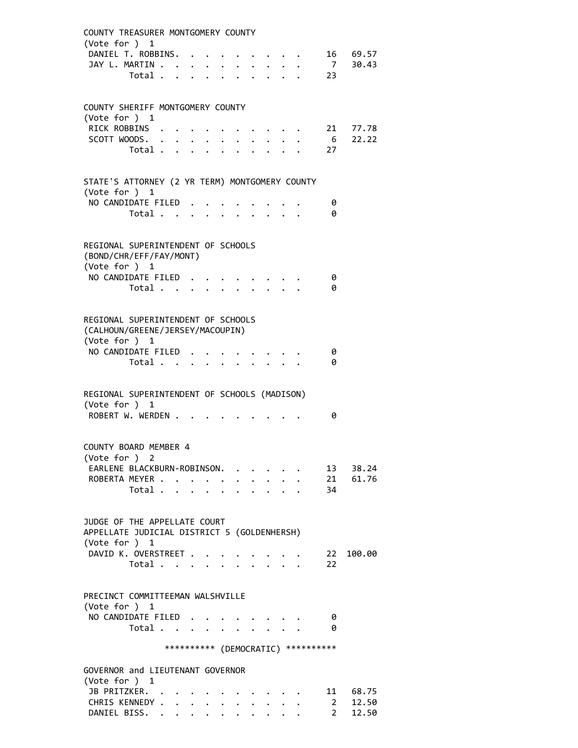| COUNTY TREASURER MONTGOMERY COUNTY                                                      |              |                                                             |             |                           |                             |  |                                     |                                    |
|-----------------------------------------------------------------------------------------|--------------|-------------------------------------------------------------|-------------|---------------------------|-----------------------------|--|-------------------------------------|------------------------------------|
| (Vote for $)$ 1                                                                         |              |                                                             |             |                           |                             |  |                                     |                                    |
| DANIEL T. ROBBINS.<br>JAY L. MARTIN                                                     |              |                                                             |             |                           | $\cdot$ $\cdot$ $\cdot$     |  |                                     | 16 69.57<br>09.57<br>7 30.43<br>23 |
| Total                                                                                   |              | $\bullet$ .<br><br><br><br><br><br><br><br><br><br><br><br> | $\sim$      | $\mathbf{r} = \mathbf{r}$ | $\mathbf{z} = \mathbf{z}$ . |  |                                     |                                    |
|                                                                                         |              |                                                             |             |                           |                             |  |                                     |                                    |
| COUNTY SHERIFF MONTGOMERY COUNTY                                                        |              |                                                             |             |                           |                             |  |                                     |                                    |
| (Vote for ) 1                                                                           |              |                                                             |             |                           |                             |  |                                     |                                    |
| RICK ROBBINS                                                                            |              |                                                             |             |                           |                             |  |                                     | 21 77.78                           |
| SCOTT WOODS.<br>Total                                                                   |              | $\bullet$ .                                                 |             |                           |                             |  | - 27                                | $6\quad 22.22$                     |
|                                                                                         |              |                                                             |             |                           |                             |  |                                     |                                    |
| STATE'S ATTORNEY (2 YR TERM) MONTGOMERY COUNTY                                          |              |                                                             |             |                           |                             |  |                                     |                                    |
| (Vote for $)$ 1<br>NO CANDIDATE FILED                                                   |              |                                                             |             |                           |                             |  |                                     |                                    |
| Total $\ldots$ $\ldots$ $\ldots$ $\ldots$                                               |              |                                                             |             |                           |                             |  | 0<br>0                              |                                    |
|                                                                                         |              |                                                             |             |                           |                             |  |                                     |                                    |
| REGIONAL SUPERINTENDENT OF SCHOOLS                                                      |              |                                                             |             |                           |                             |  |                                     |                                    |
| (BOND/CHR/EFF/FAY/MONT)                                                                 |              |                                                             |             |                           |                             |  |                                     |                                    |
| (Vote for ) 1<br>NO CANDIDATE FILED                                                     |              |                                                             |             |                           |                             |  | 0                                   |                                    |
| Total                                                                                   |              |                                                             |             |                           |                             |  | 0                                   |                                    |
|                                                                                         |              |                                                             |             |                           |                             |  |                                     |                                    |
| REGIONAL SUPERINTENDENT OF SCHOOLS<br>(CALHOUN/GREENE/JERSEY/MACOUPIN)<br>(Vote for ) 1 |              |                                                             |             |                           |                             |  |                                     |                                    |
| NO CANDIDATE FILED                                                                      |              |                                                             |             |                           |                             |  | 0                                   |                                    |
| Total                                                                                   |              |                                                             |             |                           |                             |  | 0                                   |                                    |
| REGIONAL SUPERINTENDENT OF SCHOOLS (MADISON)<br>(Vote for ) 1                           |              |                                                             |             |                           |                             |  |                                     |                                    |
| ROBERT W. WERDEN                                                                        |              |                                                             |             |                           |                             |  | 0                                   |                                    |
| COUNTY BOARD MEMBER 4                                                                   |              |                                                             |             |                           |                             |  |                                     |                                    |
| (Vote for ) 2                                                                           |              |                                                             |             |                           |                             |  |                                     |                                    |
| EARLENE BLACKBURN-ROBINSON.                                                             |              |                                                             |             |                           | $\sim$ $\sim$ $\sim$ $\sim$ |  |                                     | 13 38.24                           |
| ROBERTA MEYER                                                                           | $\mathbf{L}$ |                                                             |             |                           |                             |  |                                     | 21 61.76                           |
| Total .                                                                                 |              |                                                             |             |                           |                             |  | 34                                  |                                    |
| JUDGE OF THE APPELLATE COURT<br>APPELLATE JUDICIAL DISTRICT 5 (GOLDENHERSH)             |              |                                                             |             |                           |                             |  |                                     |                                    |
| (Vote for ) 1<br>DAVID K. OVERSTREET                                                    |              |                                                             |             |                           |                             |  | 22                                  | 100.00                             |
| Total                                                                                   |              |                                                             |             |                           |                             |  | 22                                  |                                    |
|                                                                                         |              |                                                             |             |                           |                             |  |                                     |                                    |
| PRECINCT COMMITTEEMAN WALSHVILLE                                                        |              |                                                             |             |                           |                             |  |                                     |                                    |
| (Vote for ) 1                                                                           |              |                                                             |             |                           |                             |  |                                     |                                    |
| NO CANDIDATE FILED                                                                      |              |                                                             |             |                           |                             |  | - 0<br>ø                            |                                    |
| Total                                                                                   |              |                                                             |             |                           |                             |  |                                     |                                    |
|                                                                                         |              |                                                             |             |                           |                             |  | *********** (DEMOCRATIC) ********** |                                    |
| GOVERNOR and LIEUTENANT GOVERNOR<br>(Vote for ) $1$                                     |              |                                                             |             |                           |                             |  |                                     |                                    |
| JB PRITZKER. .                                                                          |              |                                                             |             |                           |                             |  |                                     | 11 68.75                           |
| CHRIS KENNEDY                                                                           |              |                                                             | $\bullet$ . |                           |                             |  | $\overline{\mathbf{2}}$             | 12.50                              |
| DANIEL BISS.                                                                            |              |                                                             |             |                           |                             |  | $2^{\circ}$                         | 12.50                              |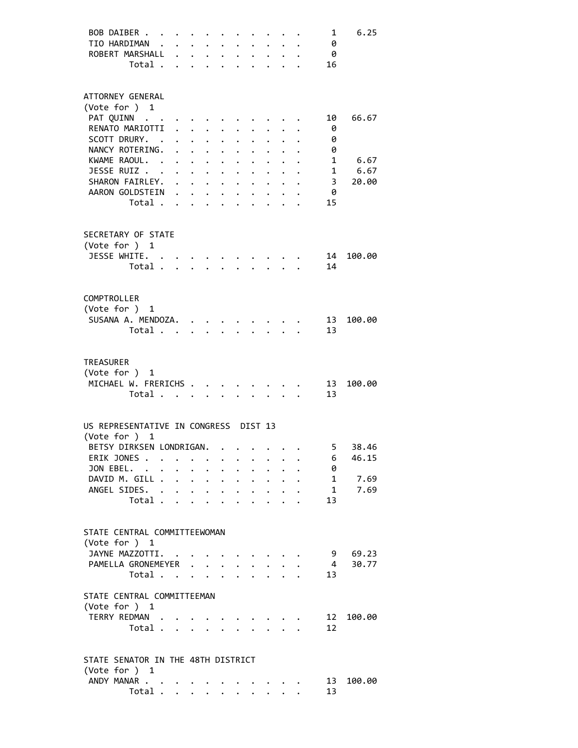| BOB DAIBER                            |                      |                                                           |                                                   |                                                         |                      |                      |                      |                                        | 1                 | 6.25   |
|---------------------------------------|----------------------|-----------------------------------------------------------|---------------------------------------------------|---------------------------------------------------------|----------------------|----------------------|----------------------|----------------------------------------|-------------------|--------|
| TIO HARDIMAN                          |                      | $\mathbf{r} = \mathbf{r} + \mathbf{r} + \mathbf{r}$       |                                                   |                                                         |                      |                      |                      |                                        | 0                 |        |
| ROBERT MARSHALL                       | $\ddot{\phantom{0}}$ |                                                           |                                                   | $\mathbf{r} = \mathbf{r} + \mathbf{r}$ .                |                      |                      |                      |                                        | - 0               |        |
| Total .                               |                      |                                                           |                                                   |                                                         |                      |                      |                      |                                        | 16                |        |
|                                       |                      |                                                           |                                                   |                                                         |                      |                      |                      |                                        |                   |        |
| ATTORNEY GENERAL<br>(Vote for ) 1     |                      |                                                           |                                                   |                                                         |                      |                      |                      |                                        |                   |        |
| PAT QUINN                             |                      |                                                           |                                                   |                                                         |                      |                      |                      |                                        | 10                | 66.67  |
| RENATO MARIOTTI                       | $\ddot{\phantom{0}}$ | $\ddot{\phantom{a}}$                                      |                                                   |                                                         |                      |                      |                      |                                        | 0                 |        |
| SCOTT DRURY. .                        |                      |                                                           | $\bullet$ .                                       |                                                         |                      |                      |                      |                                        | 0                 |        |
| NANCY ROTERING.                       |                      | $\mathbf{L} = \mathbf{L}$                                 | $\sim$                                            | $\ddot{\phantom{0}}$                                    |                      |                      |                      |                                        | 0                 |        |
| KWAME RAOUL. .                        |                      | $\mathbf{L}$                                              |                                                   | $\cdot$ $\cdot$ $\cdot$                                 | $\mathbf{L}$         | $\mathbf{L}$         | $\mathbf{L}$         |                                        | 1                 | 6.67   |
| JESSE RUIZ                            |                      | $\mathbf{1}$ , $\mathbf{1}$ , $\mathbf{1}$ , $\mathbf{1}$ |                                                   |                                                         | $\ddot{\phantom{a}}$ | $\ddot{\phantom{0}}$ | $\mathbf{L}$         |                                        | 1                 | 6.67   |
| SHARON FAIRLEY.                       |                      | $\ddot{\phantom{0}}$                                      |                                                   | $\cdot$ $\cdot$ $\cdot$ $\cdot$                         | $\ddot{\phantom{a}}$ | $\bullet$ .          | $\ddot{\phantom{0}}$ | $\ddot{\phantom{0}}$                   | 3                 | 20.00  |
| AARON GOLDSTEIN                       |                      |                                                           |                                                   |                                                         |                      |                      |                      |                                        | 0                 |        |
| Total                                 |                      |                                                           |                                                   |                                                         |                      |                      |                      |                                        | 15                |        |
| SECRETARY OF STATE                    |                      |                                                           |                                                   |                                                         |                      |                      |                      |                                        |                   |        |
| (Vote for ) 1                         |                      |                                                           |                                                   |                                                         |                      |                      |                      |                                        |                   |        |
| JESSE WHITE. .                        |                      | $\cdots$                                                  |                                                   |                                                         |                      |                      |                      |                                        | 14                | 100.00 |
| Total                                 |                      |                                                           |                                                   |                                                         |                      | $\ddot{\phantom{1}}$ |                      | $\mathbf{1}$ $\mathbf{1}$ $\mathbf{1}$ | 14                |        |
|                                       |                      |                                                           |                                                   |                                                         |                      |                      |                      |                                        |                   |        |
| <b>COMPTROLLER</b>                    |                      |                                                           |                                                   |                                                         |                      |                      |                      |                                        |                   |        |
| (Vote for ) 1                         |                      |                                                           |                                                   |                                                         |                      |                      |                      |                                        |                   |        |
| SUSANA A. MENDOZA.                    |                      |                                                           |                                                   |                                                         |                      |                      |                      |                                        | 13                | 100.00 |
| Total                                 |                      |                                                           |                                                   | $\cdot$ $\cdot$ $\cdot$ $\cdot$ $\cdot$ $\cdot$ $\cdot$ |                      |                      |                      |                                        | 13                |        |
|                                       |                      |                                                           |                                                   |                                                         |                      |                      |                      |                                        |                   |        |
| <b>TREASURER</b>                      |                      |                                                           |                                                   |                                                         |                      |                      |                      |                                        |                   |        |
| (Vote for ) 1<br>MICHAEL W. FRERICHS  |                      |                                                           |                                                   |                                                         |                      |                      |                      |                                        |                   |        |
| Total                                 |                      |                                                           |                                                   |                                                         |                      |                      |                      |                                        | 13<br>13          | 100.00 |
|                                       |                      |                                                           |                                                   |                                                         |                      |                      |                      |                                        |                   |        |
| US REPRESENTATIVE IN CONGRESS DIST 13 |                      |                                                           |                                                   |                                                         |                      |                      |                      |                                        |                   |        |
| (Vote for ) 1                         |                      |                                                           |                                                   |                                                         |                      |                      |                      |                                        |                   |        |
| BETSY DIRKSEN LONDRIGAN.              |                      |                                                           |                                                   |                                                         |                      |                      |                      |                                        | 5                 | 38.46  |
| ERIK JONES                            |                      |                                                           |                                                   |                                                         |                      |                      |                      |                                        | 6                 | 46.15  |
| JON EBEL. .                           |                      |                                                           |                                                   |                                                         |                      |                      |                      |                                        | 0                 |        |
| DAVID M. GILL .<br>ANGEL SIDES. .     |                      | $\mathbf{A}$<br>$\ddot{\phantom{0}}$                      | $\ddot{\phantom{0}}$                              | $\ddot{\phantom{a}}$                                    | $\ddot{\phantom{0}}$ |                      |                      |                                        | 1<br>$\mathbf{1}$ | 7.69   |
| Total                                 |                      | $\mathbf{L}$                                              | $\ddot{\phantom{0}}$<br>$\mathbf{r} = \mathbf{r}$ | $\ddot{\phantom{0}}$<br>$\mathbf{L}^{\text{max}}$       | $\ddot{\phantom{0}}$ | $\ddot{\phantom{0}}$ | $\mathbf{r}$         |                                        | 13                | 7.69   |
|                                       |                      |                                                           |                                                   |                                                         |                      |                      |                      |                                        |                   |        |
| STATE CENTRAL COMMITTEEWOMAN          |                      |                                                           |                                                   |                                                         |                      |                      |                      |                                        |                   |        |
| (Vote for ) 1                         |                      |                                                           |                                                   |                                                         |                      |                      |                      |                                        |                   |        |
| JAYNE MAZZOTTI. .                     |                      |                                                           |                                                   |                                                         |                      |                      |                      |                                        | 9                 | 69.23  |
| PAMELLA GRONEMEYER                    |                      | $\mathbf{r}$                                              | $\mathcal{L}^{\text{max}}$                        | $\ddot{\phantom{a}}$                                    |                      |                      |                      |                                        | $\overline{4}$    | 30.77  |
| Total                                 |                      |                                                           | $\mathbf{L}$                                      | $\mathbf{A}$                                            |                      |                      |                      |                                        | 13                |        |
|                                       |                      |                                                           |                                                   |                                                         |                      |                      |                      |                                        |                   |        |
| STATE CENTRAL COMMITTEEMAN            |                      |                                                           |                                                   |                                                         |                      |                      |                      |                                        |                   |        |
| (Vote for ) 1<br>TERRY REDMAN         |                      |                                                           |                                                   |                                                         |                      |                      |                      |                                        | 12                | 100.00 |
| Total                                 |                      |                                                           |                                                   |                                                         |                      |                      |                      |                                        | 12                |        |
|                                       |                      |                                                           |                                                   |                                                         |                      |                      |                      |                                        |                   |        |
| STATE SENATOR IN THE 48TH DISTRICT    |                      |                                                           |                                                   |                                                         |                      |                      |                      |                                        |                   |        |
| (Vote for ) 1                         |                      |                                                           |                                                   |                                                         |                      |                      |                      |                                        |                   |        |
| ANDY MANAR                            |                      |                                                           |                                                   |                                                         |                      | $\cdots$             |                      |                                        | 13                | 100.00 |
| Total $\cdots$ $\cdots$ $\cdots$      |                      |                                                           |                                                   |                                                         |                      |                      |                      | $\ddot{\phantom{a}}$                   | 13                |        |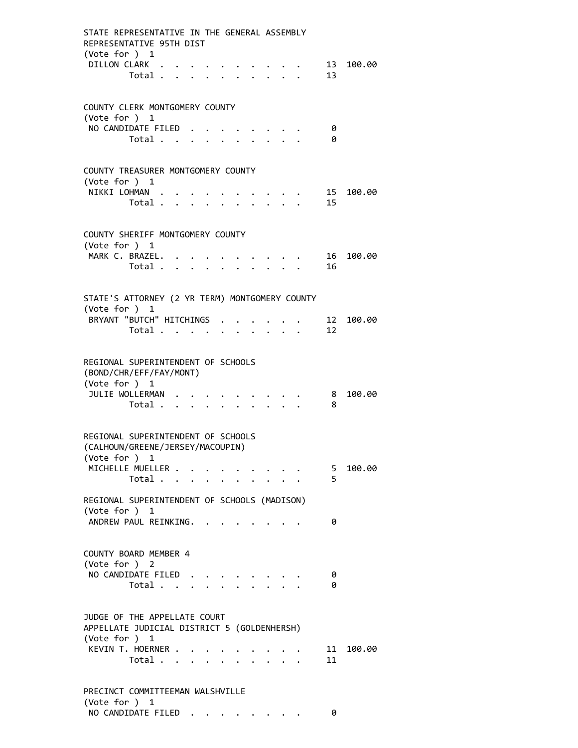| STATE REPRESENTATIVE IN THE GENERAL ASSEMBLY<br>REPRESENTATIVE 95TH DIST                       |  |                           |                                                                  |                                                                          |                     |           |
|------------------------------------------------------------------------------------------------|--|---------------------------|------------------------------------------------------------------|--------------------------------------------------------------------------|---------------------|-----------|
| (Vote for $)$ 1<br>DILLON CLARK<br>Total                                                       |  |                           |                                                                  |                                                                          | 13                  | 13 100.00 |
| COUNTY CLERK MONTGOMERY COUNTY                                                                 |  |                           |                                                                  |                                                                          |                     |           |
| (Vote for ) 1                                                                                  |  |                           |                                                                  |                                                                          |                     |           |
| NO CANDIDATE FILED.<br>Total                                                                   |  |                           |                                                                  |                                                                          | 0<br>0              |           |
| COUNTY TREASURER MONTGOMERY COUNTY                                                             |  |                           |                                                                  |                                                                          |                     |           |
| (Vote for ) $1$<br>NIKKI LOHMAN                                                                |  |                           |                                                                  |                                                                          |                     | 15 100.00 |
| Total $\cdots$ $\cdots$ $\cdots$                                                               |  |                           | $\mathbf{r} = \mathbf{r} + \mathbf{r} + \mathbf{r} + \mathbf{r}$ |                                                                          | 15                  |           |
| COUNTY SHERIFF MONTGOMERY COUNTY                                                               |  |                           |                                                                  |                                                                          |                     |           |
| (Vote for ) 1<br>MARK C. BRAZEL.                                                               |  |                           |                                                                  |                                                                          |                     | 16 100.00 |
| Total $\ldots$ $\ldots$ $\ldots$ $\ldots$                                                      |  |                           |                                                                  | $\mathbf{r}$ , $\mathbf{r}$ , $\mathbf{r}$ , $\mathbf{r}$ , $\mathbf{r}$ | 16                  |           |
| STATE'S ATTORNEY (2 YR TERM) MONTGOMERY COUNTY                                                 |  |                           |                                                                  |                                                                          |                     |           |
| (Vote for ) 1<br>BRYANT "BUTCH" HITCHINGS .                                                    |  |                           |                                                                  |                                                                          |                     | 12 100.00 |
| Total                                                                                          |  |                           |                                                                  |                                                                          | 12                  |           |
| REGIONAL SUPERINTENDENT OF SCHOOLS<br>(BOND/CHR/EFF/FAY/MONT)<br>(Vote for ) 1                 |  |                           |                                                                  |                                                                          |                     |           |
| JULIE WOLLERMAN                                                                                |  |                           |                                                                  |                                                                          | 8                   | 100.00    |
| Total                                                                                          |  | $\mathbf{r} = \mathbf{r}$ |                                                                  |                                                                          | 8                   |           |
| REGIONAL SUPERINTENDENT OF SCHOOLS<br>(CALHOUN/GREENE/JERSEY/MACOUPIN)                         |  |                           |                                                                  |                                                                          |                     |           |
| (Vote for ) 1<br>MICHELLE MUELLER                                                              |  |                           |                                                                  |                                                                          |                     | 100.00    |
| Total                                                                                          |  |                           |                                                                  |                                                                          | 5 <sup>5</sup><br>5 |           |
| REGIONAL SUPERINTENDENT OF SCHOOLS (MADISON)                                                   |  |                           |                                                                  |                                                                          |                     |           |
| (Vote for ) 1<br>ANDREW PAUL REINKING.                                                         |  |                           |                                                                  |                                                                          | 0                   |           |
| COUNTY BOARD MEMBER 4<br>(Vote for ) 2                                                         |  |                           |                                                                  |                                                                          |                     |           |
| NO CANDIDATE FILED<br>Total                                                                    |  |                           |                                                                  |                                                                          | 0<br>0              |           |
| JUDGE OF THE APPELLATE COURT<br>APPELLATE JUDICIAL DISTRICT 5 (GOLDENHERSH)<br>(Vote for $)$ 1 |  |                           |                                                                  |                                                                          |                     |           |
| KEVIN T. HOERNER<br>Total                                                                      |  |                           |                                                                  |                                                                          | 11<br>11            | 100.00    |
| PRECINCT COMMITTEEMAN WALSHVILLE                                                               |  |                           |                                                                  |                                                                          |                     |           |
| (Vote for ) 1<br>NO CANDIDATE FILED                                                            |  |                           |                                                                  |                                                                          | 0                   |           |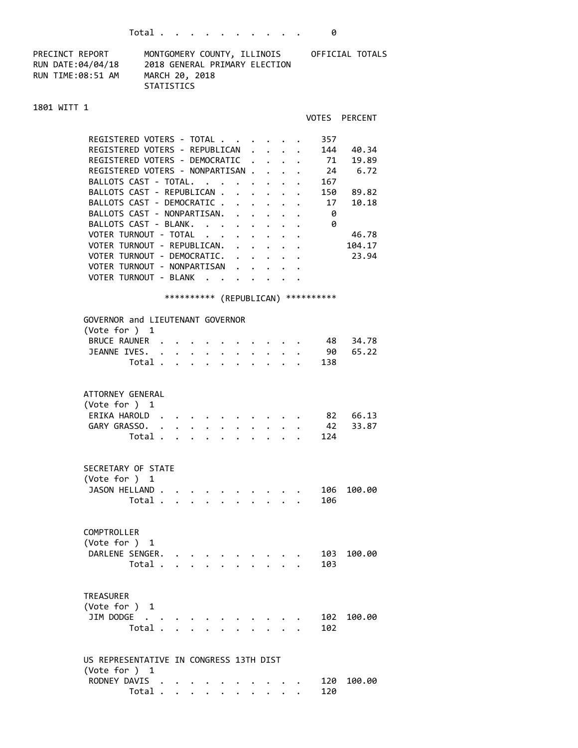| PRECINCT REPORT   | MONTGOMERY COUNTY, ILLINOIS   | OFFICIAL TOTALS |
|-------------------|-------------------------------|-----------------|
| RUN DATE:04/04/18 | 2018 GENERAL PRIMARY ELECTION |                 |
| RUN TIME:08:51 AM | MARCH 20, 2018                |                 |
|                   | STATISTICS                    |                 |

## 1801 WITT 1

|                                                                              |                                    |                                                                          |                                                                  |      | VOTES PERCENT |
|------------------------------------------------------------------------------|------------------------------------|--------------------------------------------------------------------------|------------------------------------------------------------------|------|---------------|
| REGISTERED VOTERS - TOTAL                                                    |                                    |                                                                          |                                                                  | 357  |               |
| REGISTERED VOTERS - REPUBLICAN                                               |                                    | $\mathbf{r}$ , $\mathbf{r}$ , $\mathbf{r}$                               |                                                                  | 144  | 40.34         |
| REGISTERED VOTERS - DEMOCRATIC                                               | $\ddot{\phantom{0}}$               |                                                                          | $\ddot{\phantom{0}}$                                             | 71   | 19.89         |
| REGISTERED VOTERS - NONPARTISAN.                                             |                                    | $\mathbf{r}$ , $\mathbf{r}$                                              |                                                                  |      | 24 6.72       |
| BALLOTS CAST - TOTAL.                                                        |                                    |                                                                          |                                                                  | 167  |               |
|                                                                              |                                    | $\mathbf{r}$ , and $\mathbf{r}$ , and $\mathbf{r}$                       |                                                                  |      |               |
| BALLOTS CAST - REPUBLICAN .<br>$\ddot{\phantom{0}}$                          |                                    | $\mathbf{r} = \mathbf{r} + \mathbf{r}$ , where $\mathbf{r} = \mathbf{r}$ |                                                                  | 150  | 89.82         |
| BALLOTS CAST - DEMOCRATIC .                                                  |                                    |                                                                          |                                                                  | 17   | 10.18         |
| BALLOTS CAST - NONPARTISAN. .                                                | $\mathbb{Z}^{\mathbb{Z}^{\times}}$ |                                                                          |                                                                  | - 0  |               |
| BALLOTS CAST - BLANK.<br>$\mathbf{L}^{\text{max}}$                           | $\ddot{\phantom{0}}$               | $\mathbf{L}$                                                             | $\ddot{\phantom{0}}$                                             | - 0  |               |
| VOTER TURNOUT - TOTAL                                                        |                                    | $\cdot$ $\cdot$ $\cdot$                                                  | $\ddot{\phantom{0}}$                                             |      | 46.78         |
| VOTER TURNOUT - REPUBLICAN. .                                                |                                    | $\ddot{\phantom{0}}$                                                     | $\ddot{\phantom{0}}$                                             |      | 104.17        |
| VOTER TURNOUT - DEMOCRATIC.                                                  |                                    | $\mathbf{r} = \mathbf{r} + \mathbf{r}$                                   |                                                                  |      | 23.94         |
| VOTER TURNOUT - NONPARTISAN                                                  |                                    |                                                                          |                                                                  |      |               |
| VOTER TURNOUT - BLANK                                                        |                                    |                                                                          |                                                                  |      |               |
|                                                                              |                                    |                                                                          |                                                                  |      |               |
| *********** (REPUBLICAN) **********                                          |                                    |                                                                          |                                                                  |      |               |
|                                                                              |                                    |                                                                          |                                                                  |      |               |
| GOVERNOR and LIEUTENANT GOVERNOR<br>(Vote for $)$ 1                          |                                    |                                                                          |                                                                  |      |               |
| BRUCE RAUNER .                                                               |                                    |                                                                          |                                                                  | - 48 | 34.78         |
| JEANNE IVES.                                                                 |                                    |                                                                          |                                                                  | - 90 | 65.22         |
|                                                                              |                                    |                                                                          |                                                                  |      |               |
| Total .                                                                      |                                    |                                                                          |                                                                  | 138  |               |
|                                                                              |                                    |                                                                          |                                                                  |      |               |
| ATTORNEY GENERAL                                                             |                                    |                                                                          |                                                                  |      |               |
| (Vote for $)$ 1                                                              |                                    |                                                                          |                                                                  |      |               |
| ERIKA HAROLD.                                                                |                                    |                                                                          |                                                                  |      | 82 66.13      |
| GARY GRASSO. .                                                               |                                    |                                                                          |                                                                  | 42   | 33.87         |
| Total                                                                        |                                    |                                                                          |                                                                  | 124  |               |
|                                                                              |                                    |                                                                          |                                                                  |      |               |
|                                                                              |                                    |                                                                          |                                                                  |      |               |
| SECRETARY OF STATE                                                           |                                    |                                                                          |                                                                  |      |               |
| (Vote for ) 1                                                                |                                    |                                                                          |                                                                  |      |               |
| JASON HELLAND                                                                |                                    |                                                                          |                                                                  | 106  | 100.00        |
| Total                                                                        |                                    |                                                                          | $\mathbf{1}$ $\mathbf{1}$ $\mathbf{1}$ $\mathbf{1}$ $\mathbf{1}$ | 106  |               |
|                                                                              |                                    |                                                                          |                                                                  |      |               |
|                                                                              |                                    |                                                                          |                                                                  |      |               |
| COMPTROLLER                                                                  |                                    |                                                                          |                                                                  |      |               |
| (Vote for ) 1                                                                |                                    |                                                                          |                                                                  |      |               |
| DARLENE SENGER.<br>$\bullet$ , $\bullet$ , $\bullet$ , $\bullet$ , $\bullet$ |                                    |                                                                          |                                                                  | 103  | 100.00        |
| Total .<br>$\mathbf{L} = \mathbf{L}$                                         |                                    |                                                                          |                                                                  | 103  |               |
|                                                                              |                                    |                                                                          |                                                                  |      |               |
|                                                                              |                                    |                                                                          |                                                                  |      |               |
| <b>TREASURER</b>                                                             |                                    |                                                                          |                                                                  |      |               |
| (Vote for ) 1                                                                |                                    |                                                                          |                                                                  |      |               |
| JIM DODGE .                                                                  |                                    |                                                                          |                                                                  | 102  | 100.00        |
| Total.                                                                       |                                    |                                                                          |                                                                  | 102  |               |
|                                                                              |                                    |                                                                          |                                                                  |      |               |
|                                                                              |                                    |                                                                          |                                                                  |      |               |
| US REPRESENTATIVE IN CONGRESS 13TH DIST                                      |                                    |                                                                          |                                                                  |      |               |
| (Vote for $)$ 1                                                              |                                    |                                                                          |                                                                  |      |               |
| RODNEY DAVIS                                                                 |                                    |                                                                          |                                                                  | 120  | 100.00        |

Total . . . . . . . . . . 120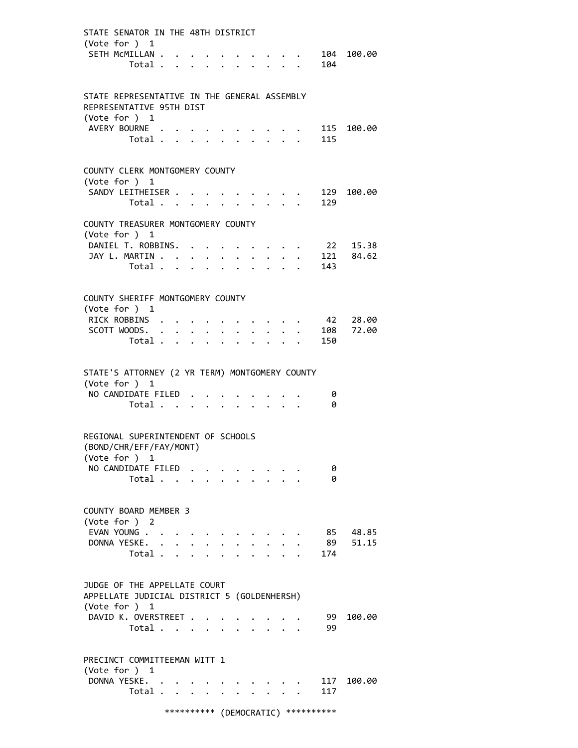| STATE SENATOR IN THE 48TH DISTRICT<br>(Vote for $)$ 1                          |                         |  |                                                                          |             |                                                                                                                                                                                                                                 |                      |                                                           |  |            |             |
|--------------------------------------------------------------------------------|-------------------------|--|--------------------------------------------------------------------------|-------------|---------------------------------------------------------------------------------------------------------------------------------------------------------------------------------------------------------------------------------|----------------------|-----------------------------------------------------------|--|------------|-------------|
| SETH MCMILLAN                                                                  | Total                   |  |                                                                          |             |                                                                                                                                                                                                                                 |                      | $\bullet$ , $\bullet$ , $\bullet$ , $\bullet$             |  | 104        | 104 100.00  |
|                                                                                |                         |  |                                                                          |             |                                                                                                                                                                                                                                 |                      |                                                           |  |            |             |
| STATE REPRESENTATIVE IN THE GENERAL ASSEMBLY<br>REPRESENTATIVE 95TH DIST       |                         |  |                                                                          |             |                                                                                                                                                                                                                                 |                      |                                                           |  |            |             |
| (Vote for ) 1<br>AVERY BOURNE                                                  |                         |  |                                                                          |             |                                                                                                                                                                                                                                 |                      |                                                           |  |            |             |
|                                                                                | Total                   |  |                                                                          |             |                                                                                                                                                                                                                                 |                      | $\cdot$ $\cdot$ $\cdot$ $\cdot$                           |  | 115        | 115 100.00  |
|                                                                                |                         |  |                                                                          |             |                                                                                                                                                                                                                                 |                      |                                                           |  |            |             |
| COUNTY CLERK MONTGOMERY COUNTY                                                 |                         |  |                                                                          |             |                                                                                                                                                                                                                                 |                      |                                                           |  |            |             |
| (Vote for ) 1<br>SANDY LEITHEISER                                              |                         |  |                                                                          |             |                                                                                                                                                                                                                                 |                      |                                                           |  |            | 129 100.00  |
|                                                                                | Total 129               |  |                                                                          |             |                                                                                                                                                                                                                                 |                      |                                                           |  |            |             |
| COUNTY TREASURER MONTGOMERY COUNTY                                             |                         |  |                                                                          |             |                                                                                                                                                                                                                                 |                      |                                                           |  |            |             |
| (Vote for ) 1                                                                  |                         |  |                                                                          |             |                                                                                                                                                                                                                                 |                      |                                                           |  |            |             |
| DANIEL T. ROBBINS.                                                             |                         |  |                                                                          |             |                                                                                                                                                                                                                                 |                      | $\mathbf{z} = \mathbf{z} + \mathbf{z}$ .                  |  |            | 22 15.38    |
| JAY L. MARTIN                                                                  |                         |  |                                                                          |             |                                                                                                                                                                                                                                 |                      | $\mathbf{L} = \mathbf{L} \times \mathbf{L}$               |  |            | . 121 84.62 |
|                                                                                | Total                   |  |                                                                          |             |                                                                                                                                                                                                                                 |                      |                                                           |  | 143        |             |
| COUNTY SHERIFF MONTGOMERY COUNTY                                               |                         |  |                                                                          |             |                                                                                                                                                                                                                                 |                      |                                                           |  |            |             |
| (Vote for ) 1                                                                  |                         |  |                                                                          |             |                                                                                                                                                                                                                                 |                      |                                                           |  |            |             |
| RICK ROBBINS                                                                   |                         |  |                                                                          |             |                                                                                                                                                                                                                                 |                      |                                                           |  |            | 42 28.00    |
| SCOTT WOODS.                                                                   |                         |  | $\mathbf{z} = \mathbf{z} + \mathbf{z}$                                   | $\bullet$ . | $\bullet$                                                                                                                                                                                                                       |                      |                                                           |  |            | 108 72.00   |
|                                                                                | Total                   |  |                                                                          |             | $\mathbf{r}$                                                                                                                                                                                                                    |                      | $\mathbf{r} = \mathbf{r} + \mathbf{r} + \mathbf{r}$       |  | 150        |             |
| STATE'S ATTORNEY (2 YR TERM) MONTGOMERY COUNTY                                 |                         |  |                                                                          |             |                                                                                                                                                                                                                                 |                      |                                                           |  |            |             |
| (Vote for ) 1                                                                  |                         |  |                                                                          |             |                                                                                                                                                                                                                                 |                      |                                                           |  |            |             |
| NO CANDIDATE FILED                                                             |                         |  |                                                                          |             |                                                                                                                                                                                                                                 |                      |                                                           |  | 0          |             |
|                                                                                | Total                   |  | $\mathbf{r} = \mathbf{r} + \mathbf{r}$ , where $\mathbf{r} = \mathbf{r}$ |             |                                                                                                                                                                                                                                 |                      |                                                           |  | 0          |             |
|                                                                                |                         |  |                                                                          |             |                                                                                                                                                                                                                                 |                      |                                                           |  |            |             |
| REGIONAL SUPERINTENDENT OF SCHOOLS<br>(BOND/CHR/EFF/FAY/MONT)<br>(Vote for ) 1 |                         |  |                                                                          |             |                                                                                                                                                                                                                                 |                      |                                                           |  |            |             |
| NO CANDIDATE FILED                                                             |                         |  |                                                                          |             |                                                                                                                                                                                                                                 |                      |                                                           |  | 0          |             |
|                                                                                | Total $\cdots$ $\cdots$ |  |                                                                          |             |                                                                                                                                                                                                                                 |                      |                                                           |  | 0          |             |
|                                                                                |                         |  |                                                                          |             |                                                                                                                                                                                                                                 |                      |                                                           |  |            |             |
| COUNTY BOARD MEMBER 3                                                          |                         |  |                                                                          |             |                                                                                                                                                                                                                                 |                      |                                                           |  |            |             |
| (Vote for ) 2<br>EVAN YOUNG                                                    |                         |  |                                                                          |             |                                                                                                                                                                                                                                 |                      |                                                           |  |            | 85 48.85    |
| DONNA YESKE.                                                                   |                         |  |                                                                          |             | $\ddotsc$ . The contract of the contract of the contract of the contract of the contract of the contract of the contract of the contract of the contract of the contract of the contract of the contract of the contract of the | $\ddot{\phantom{0}}$ |                                                           |  | 89         | 51.15       |
|                                                                                | Total $\cdots$ $\cdots$ |  |                                                                          |             |                                                                                                                                                                                                                                 |                      | $\cdot$ $\cdot$ $\cdot$ $\cdot$                           |  | 174        |             |
|                                                                                |                         |  |                                                                          |             |                                                                                                                                                                                                                                 |                      |                                                           |  |            |             |
| JUDGE OF THE APPELLATE COURT<br>APPELLATE JUDICIAL DISTRICT 5 (GOLDENHERSH)    |                         |  |                                                                          |             |                                                                                                                                                                                                                                 |                      |                                                           |  |            |             |
| (Vote for $)$ 1                                                                |                         |  |                                                                          |             |                                                                                                                                                                                                                                 |                      |                                                           |  |            |             |
| DAVID K. OVERSTREET                                                            | Total                   |  |                                                                          |             |                                                                                                                                                                                                                                 |                      |                                                           |  | 99<br>99   | 100.00      |
|                                                                                |                         |  |                                                                          |             |                                                                                                                                                                                                                                 |                      |                                                           |  |            |             |
| PRECINCT COMMITTEEMAN WITT 1                                                   |                         |  |                                                                          |             |                                                                                                                                                                                                                                 |                      |                                                           |  |            |             |
| (Vote for ) 1                                                                  |                         |  |                                                                          |             |                                                                                                                                                                                                                                 |                      |                                                           |  |            |             |
| DONNA YESKE.                                                                   | Total                   |  |                                                                          |             |                                                                                                                                                                                                                                 | $\ddot{\phantom{0}}$ | $\cdot$ $\cdot$ $\cdot$ $\cdot$ $\cdot$ $\cdot$<br>$\sim$ |  | 117<br>117 | 100.00      |
|                                                                                |                         |  |                                                                          |             |                                                                                                                                                                                                                                 |                      |                                                           |  |            |             |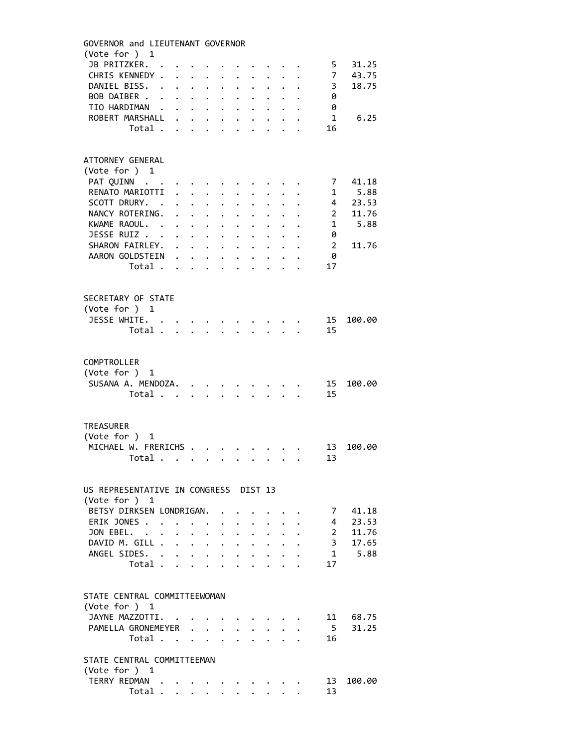| GOVERNOR and LIEUTENANT GOVERNOR      |                |                      |                      |                                             |                                                                                                                                                                                                                                 |                      |                           |                                                                  |                      |                                        |              |                 |        |
|---------------------------------------|----------------|----------------------|----------------------|---------------------------------------------|---------------------------------------------------------------------------------------------------------------------------------------------------------------------------------------------------------------------------------|----------------------|---------------------------|------------------------------------------------------------------|----------------------|----------------------------------------|--------------|-----------------|--------|
| (Vote for ) 1                         |                |                      |                      |                                             |                                                                                                                                                                                                                                 |                      |                           |                                                                  |                      |                                        |              |                 |        |
| JB PRITZKER.                          |                |                      |                      |                                             |                                                                                                                                                                                                                                 |                      |                           |                                                                  |                      |                                        |              | 5.              | 31.25  |
| CHRIS KENNEDY .                       |                |                      | $\ddot{\phantom{a}}$ |                                             | $\ddotsc$ . The contract of the contract of the contract of the contract of the contract of the contract of the contract of the contract of the contract of the contract of the contract of the contract of the contract of the | $\ddot{\phantom{0}}$ |                           | $\ddotsc$ $\ddotsc$                                              |                      |                                        |              | $\overline{7}$  | 43.75  |
| DANIEL BISS. .                        |                |                      | $\ddot{\phantom{0}}$ | $\bullet$ .                                 | $\ddot{\phantom{0}}$                                                                                                                                                                                                            | $\ddot{\phantom{0}}$ |                           | $\ddot{\bullet}$ $\ddot{\bullet}$                                |                      |                                        |              | 3               | 18.75  |
| BOB DAIBER                            |                |                      |                      |                                             |                                                                                                                                                                                                                                 | $\ddot{\phantom{0}}$ |                           | $\mathbf{z} = \mathbf{z}$ . The set of $\mathbf{z}$              |                      |                                        |              | 0               |        |
| TIO HARDIMAN .                        |                |                      |                      |                                             | $\mathbf{z} = \mathbf{z} + \mathbf{z}$                                                                                                                                                                                          |                      |                           | $\bullet$ , $\bullet$ , $\bullet$ , $\bullet$ , $\bullet$        |                      |                                        |              | 0               |        |
| ROBERT MARSHALL                       |                |                      | $\mathbf{r}$         |                                             | $\ddot{\phantom{0}}$                                                                                                                                                                                                            | $\ddot{\phantom{0}}$ |                           | $\mathbf{r} = \mathbf{r} \cdot \mathbf{r}$                       |                      |                                        |              | $\mathbf{1}$    | 6.25   |
|                                       | Total          |                      |                      |                                             | $\mathbf{L} = \mathbf{L}$                                                                                                                                                                                                       | $\mathbf{L}$         | $\sim$                    | $\mathbb{R}^{\mathbb{Z}^{\times}}$                               |                      |                                        |              | 16              |        |
|                                       |                |                      |                      |                                             |                                                                                                                                                                                                                                 |                      |                           |                                                                  |                      |                                        |              |                 |        |
|                                       |                |                      |                      |                                             |                                                                                                                                                                                                                                 |                      |                           |                                                                  |                      |                                        |              |                 |        |
| ATTORNEY GENERAL                      |                |                      |                      |                                             |                                                                                                                                                                                                                                 |                      |                           |                                                                  |                      |                                        |              |                 |        |
| (Vote for ) 1                         |                |                      |                      |                                             |                                                                                                                                                                                                                                 |                      |                           |                                                                  |                      |                                        |              |                 |        |
| PAT QUINN                             |                |                      |                      |                                             |                                                                                                                                                                                                                                 |                      |                           |                                                                  |                      |                                        |              | 7               | 41.18  |
| RENATO MARIOTTI                       |                |                      |                      |                                             |                                                                                                                                                                                                                                 |                      |                           |                                                                  |                      |                                        |              | 1               | 5.88   |
| SCOTT DRURY. .                        |                |                      |                      | $\ddot{\phantom{0}}$                        | $\sim$                                                                                                                                                                                                                          | $\ddot{\phantom{0}}$ |                           |                                                                  |                      |                                        |              | $\overline{4}$  | 23.53  |
| NANCY ROTERING.                       |                |                      |                      | $\mathbf{L} = \mathbf{L} \times \mathbf{L}$ |                                                                                                                                                                                                                                 | $\ddot{\phantom{0}}$ | $\ddot{\phantom{0}}$      | $\ddot{\phantom{0}}$                                             | $\mathbf{L}$         |                                        |              | $\overline{2}$  | 11.76  |
| KWAME RAOUL. .                        |                |                      |                      |                                             |                                                                                                                                                                                                                                 | $\ddot{\phantom{0}}$ | $\ddot{\phantom{0}}$      | $\ddot{\phantom{0}}$                                             | $\ddot{\phantom{0}}$ |                                        |              | $\mathbf{1}$    | 5.88   |
| JESSE RUIZ                            |                |                      |                      | $\mathbf{L} = \mathbf{L} \times \mathbf{L}$ |                                                                                                                                                                                                                                 | $\ddot{\phantom{0}}$ | $\ddot{\phantom{a}}$      | $\ddot{\phantom{0}}$                                             | $\ddot{\phantom{0}}$ |                                        | $\mathbf{L}$ | 0               |        |
| SHARON FAIRLEY.                       |                |                      |                      |                                             |                                                                                                                                                                                                                                 |                      |                           | $\cdot$ $\cdot$ $\cdot$ $\cdot$ $\cdot$                          |                      | $\ddotsc$                              |              | 2               | 11.76  |
| AARON GOLDSTEIN                       |                |                      |                      |                                             |                                                                                                                                                                                                                                 |                      |                           | $\cdot$ $\cdot$ $\cdot$ $\cdot$                                  |                      |                                        |              | 0               |        |
|                                       | Total          |                      |                      |                                             |                                                                                                                                                                                                                                 |                      |                           |                                                                  |                      |                                        |              | 17              |        |
|                                       |                |                      |                      |                                             | $\cdot$ $\cdot$ $\cdot$                                                                                                                                                                                                         | $\ddot{\phantom{0}}$ | $\ddot{\phantom{a}}$      | $\sim$                                                           |                      |                                        |              |                 |        |
|                                       |                |                      |                      |                                             |                                                                                                                                                                                                                                 |                      |                           |                                                                  |                      |                                        |              |                 |        |
| SECRETARY OF STATE                    |                |                      |                      |                                             |                                                                                                                                                                                                                                 |                      |                           |                                                                  |                      |                                        |              |                 |        |
|                                       |                |                      |                      |                                             |                                                                                                                                                                                                                                 |                      |                           |                                                                  |                      |                                        |              |                 |        |
| (Vote for ) 1                         |                |                      |                      |                                             |                                                                                                                                                                                                                                 |                      |                           |                                                                  |                      |                                        |              |                 |        |
| JESSE WHITE.                          |                |                      |                      |                                             |                                                                                                                                                                                                                                 |                      |                           |                                                                  |                      |                                        |              | 15              | 100.00 |
|                                       | Total          |                      |                      |                                             |                                                                                                                                                                                                                                 |                      |                           |                                                                  |                      |                                        |              | 15              |        |
|                                       |                |                      |                      |                                             |                                                                                                                                                                                                                                 |                      |                           |                                                                  |                      |                                        |              |                 |        |
|                                       |                |                      |                      |                                             |                                                                                                                                                                                                                                 |                      |                           |                                                                  |                      |                                        |              |                 |        |
| COMPTROLLER                           |                |                      |                      |                                             |                                                                                                                                                                                                                                 |                      |                           |                                                                  |                      |                                        |              |                 |        |
| (Vote for ) 1                         |                |                      |                      |                                             |                                                                                                                                                                                                                                 |                      |                           |                                                                  |                      |                                        |              |                 |        |
| SUSANA A. MENDOZA.                    |                |                      |                      |                                             |                                                                                                                                                                                                                                 |                      |                           |                                                                  |                      |                                        |              | 15 <sub>1</sub> | 100.00 |
|                                       | Total          |                      |                      |                                             |                                                                                                                                                                                                                                 |                      |                           |                                                                  |                      | $\mathbf{r} = \mathbf{r} - \mathbf{r}$ |              | 15              |        |
|                                       |                |                      |                      |                                             |                                                                                                                                                                                                                                 |                      |                           |                                                                  |                      |                                        |              |                 |        |
|                                       |                |                      |                      |                                             |                                                                                                                                                                                                                                 |                      |                           |                                                                  |                      |                                        |              |                 |        |
| <b>TREASURER</b>                      |                |                      |                      |                                             |                                                                                                                                                                                                                                 |                      |                           |                                                                  |                      |                                        |              |                 |        |
| (Vote for ) 1                         |                |                      |                      |                                             |                                                                                                                                                                                                                                 |                      |                           |                                                                  |                      |                                        |              |                 |        |
| MICHAEL W. FRERICHS                   |                |                      |                      |                                             |                                                                                                                                                                                                                                 |                      |                           |                                                                  |                      |                                        |              | 13              | 100.00 |
|                                       | Total $\cdots$ |                      |                      |                                             |                                                                                                                                                                                                                                 |                      |                           |                                                                  |                      |                                        |              | 13              |        |
|                                       |                |                      |                      |                                             |                                                                                                                                                                                                                                 |                      |                           |                                                                  |                      |                                        |              |                 |        |
|                                       |                |                      |                      |                                             |                                                                                                                                                                                                                                 |                      |                           |                                                                  |                      |                                        |              |                 |        |
| US REPRESENTATIVE IN CONGRESS DIST 13 |                |                      |                      |                                             |                                                                                                                                                                                                                                 |                      |                           |                                                                  |                      |                                        |              |                 |        |
| (Vote for ) 1                         |                |                      |                      |                                             |                                                                                                                                                                                                                                 |                      |                           |                                                                  |                      |                                        |              |                 |        |
| BETSY DIRKSEN LONDRIGAN.              |                |                      |                      |                                             |                                                                                                                                                                                                                                 |                      |                           |                                                                  |                      |                                        |              | 7               | 41.18  |
| ERIK JONES.                           |                | $\ddot{\phantom{a}}$ |                      |                                             |                                                                                                                                                                                                                                 |                      |                           |                                                                  |                      |                                        |              | 4               | 23.53  |
| JON EBEL.                             |                |                      |                      | $\ddot{\phantom{a}}$                        | $\ddot{\phantom{0}}$                                                                                                                                                                                                            |                      |                           |                                                                  |                      |                                        |              | $2^{\circ}$     | 11.76  |
| DAVID M. GILL .                       |                |                      | $\ddot{\phantom{0}}$ |                                             |                                                                                                                                                                                                                                 |                      |                           | $\mathbf{z} = \mathbf{z} + \mathbf{z}$ . The $\mathbf{z}$        |                      |                                        |              | $\overline{3}$  | 17.65  |
| ANGEL SIDES. .                        |                |                      |                      | $\bullet$ .                                 | $\sim$ $-$<br>$\ddot{\phantom{a}}$                                                                                                                                                                                              | $\ddot{\phantom{0}}$ |                           | $\mathbf{1}$ $\mathbf{1}$ $\mathbf{1}$ $\mathbf{1}$ $\mathbf{1}$ | $\ddot{\phantom{0}}$ |                                        |              | 1               | 5.88   |
|                                       | Total .        |                      | $\ddot{\phantom{0}}$ |                                             | $\mathbf{r} = \mathbf{r}$                                                                                                                                                                                                       |                      | $\mathbf{r} = \mathbf{r}$ |                                                                  |                      |                                        |              | 17              |        |
|                                       |                |                      | $\ddot{\phantom{a}}$ |                                             |                                                                                                                                                                                                                                 |                      |                           |                                                                  |                      |                                        |              |                 |        |
|                                       |                |                      |                      |                                             |                                                                                                                                                                                                                                 |                      |                           |                                                                  |                      |                                        |              |                 |        |
|                                       |                |                      |                      |                                             |                                                                                                                                                                                                                                 |                      |                           |                                                                  |                      |                                        |              |                 |        |
| STATE CENTRAL COMMITTEEWOMAN          |                |                      |                      |                                             |                                                                                                                                                                                                                                 |                      |                           |                                                                  |                      |                                        |              |                 |        |
| (Vote for ) 1                         |                |                      |                      |                                             |                                                                                                                                                                                                                                 |                      |                           |                                                                  |                      |                                        |              |                 |        |
| JAYNE MAZZOTTI.                       |                |                      |                      |                                             |                                                                                                                                                                                                                                 |                      |                           |                                                                  |                      |                                        |              | 11              | 68.75  |
| PAMELLA GRONEMEYER                    |                |                      |                      |                                             |                                                                                                                                                                                                                                 | $\mathbf{L}$         |                           | $\cdot$ $\cdot$                                                  |                      |                                        |              | 5 <sup>7</sup>  | 31.25  |
|                                       | Total          |                      |                      |                                             | $\mathbf{L}^{\text{max}}$                                                                                                                                                                                                       |                      | $\mathbf{L}^{\text{max}}$ |                                                                  |                      |                                        |              | 16              |        |
|                                       |                |                      |                      |                                             |                                                                                                                                                                                                                                 |                      |                           |                                                                  |                      |                                        |              |                 |        |
| STATE CENTRAL COMMITTEEMAN            |                |                      |                      |                                             |                                                                                                                                                                                                                                 |                      |                           |                                                                  |                      |                                        |              |                 |        |
| (Vote for ) 1                         |                |                      |                      |                                             |                                                                                                                                                                                                                                 |                      |                           |                                                                  |                      |                                        |              |                 |        |
| TERRY REDMAN .                        |                |                      |                      |                                             |                                                                                                                                                                                                                                 |                      |                           |                                                                  |                      |                                        |              | 13              | 100.00 |
|                                       | Total          |                      |                      |                                             |                                                                                                                                                                                                                                 |                      |                           |                                                                  |                      |                                        |              | 13              |        |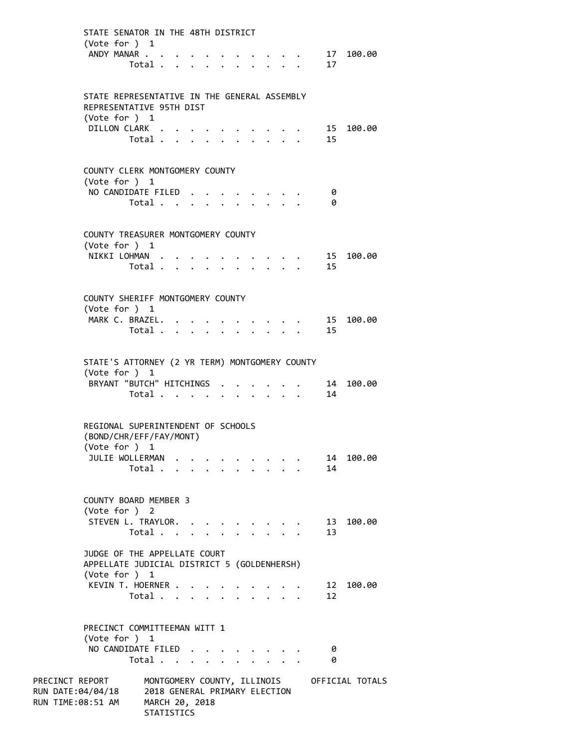|                   | STATE SENATOR IN THE 48TH DISTRICT                                       |  |                                           |  |  |                      |  |          |  |                                 |                           |  |                                                                          |          |    |                                             |
|-------------------|--------------------------------------------------------------------------|--|-------------------------------------------|--|--|----------------------|--|----------|--|---------------------------------|---------------------------|--|--------------------------------------------------------------------------|----------|----|---------------------------------------------|
|                   | (Vote for ) 1                                                            |  |                                           |  |  |                      |  |          |  |                                 |                           |  |                                                                          |          |    |                                             |
|                   | ANDY MANAR                                                               |  |                                           |  |  |                      |  |          |  |                                 |                           |  |                                                                          |          |    | 17 100.00                                   |
|                   |                                                                          |  |                                           |  |  |                      |  |          |  |                                 |                           |  |                                                                          | Total 17 |    |                                             |
|                   |                                                                          |  |                                           |  |  |                      |  |          |  |                                 |                           |  |                                                                          |          |    |                                             |
|                   |                                                                          |  |                                           |  |  |                      |  |          |  |                                 |                           |  |                                                                          |          |    |                                             |
|                   | STATE REPRESENTATIVE IN THE GENERAL ASSEMBLY<br>REPRESENTATIVE 95TH DIST |  |                                           |  |  |                      |  |          |  |                                 |                           |  |                                                                          |          |    |                                             |
|                   | (Vote for $)$ 1                                                          |  |                                           |  |  |                      |  |          |  |                                 |                           |  |                                                                          |          |    |                                             |
|                   | DILLON CLARK                                                             |  |                                           |  |  |                      |  |          |  |                                 |                           |  |                                                                          |          |    | 15 100.00                                   |
|                   |                                                                          |  | $Total \cdot \cdot \cdot \cdot \cdot$     |  |  |                      |  |          |  |                                 | $\mathbf{L} = \mathbf{L}$ |  |                                                                          | 15       |    |                                             |
|                   |                                                                          |  |                                           |  |  |                      |  |          |  |                                 |                           |  |                                                                          |          |    |                                             |
|                   |                                                                          |  |                                           |  |  |                      |  |          |  |                                 |                           |  |                                                                          |          |    |                                             |
|                   | COUNTY CLERK MONTGOMERY COUNTY                                           |  |                                           |  |  |                      |  |          |  |                                 |                           |  |                                                                          |          |    |                                             |
|                   | (Vote for ) 1<br>NO CANDIDATE FILED                                      |  |                                           |  |  |                      |  |          |  |                                 |                           |  |                                                                          |          | 0  |                                             |
|                   |                                                                          |  | Total $\cdots$ $\cdots$                   |  |  |                      |  |          |  |                                 |                           |  |                                                                          |          | 0  |                                             |
|                   |                                                                          |  |                                           |  |  |                      |  |          |  |                                 |                           |  |                                                                          |          |    |                                             |
|                   |                                                                          |  |                                           |  |  |                      |  |          |  |                                 |                           |  |                                                                          |          |    |                                             |
|                   | COUNTY TREASURER MONTGOMERY COUNTY                                       |  |                                           |  |  |                      |  |          |  |                                 |                           |  |                                                                          |          |    |                                             |
|                   | (Vote for $)$ 1                                                          |  |                                           |  |  |                      |  |          |  |                                 |                           |  |                                                                          |          |    |                                             |
|                   | NIKKI LOHMAN                                                             |  |                                           |  |  |                      |  |          |  |                                 |                           |  |                                                                          |          |    | . 15 100.00                                 |
|                   |                                                                          |  |                                           |  |  |                      |  |          |  |                                 |                           |  |                                                                          | Total 15 |    |                                             |
|                   |                                                                          |  |                                           |  |  |                      |  |          |  |                                 |                           |  |                                                                          |          |    |                                             |
|                   | COUNTY SHERIFF MONTGOMERY COUNTY                                         |  |                                           |  |  |                      |  |          |  |                                 |                           |  |                                                                          |          |    |                                             |
|                   | (Vote for ) 1                                                            |  |                                           |  |  |                      |  |          |  |                                 |                           |  |                                                                          |          |    |                                             |
|                   | MARK C. BRAZEL.                                                          |  |                                           |  |  |                      |  |          |  |                                 |                           |  |                                                                          |          |    |                                             |
|                   |                                                                          |  |                                           |  |  |                      |  |          |  |                                 |                           |  |                                                                          | Total 15 |    |                                             |
|                   |                                                                          |  |                                           |  |  |                      |  |          |  |                                 |                           |  |                                                                          |          |    |                                             |
|                   |                                                                          |  |                                           |  |  |                      |  |          |  |                                 |                           |  |                                                                          |          |    |                                             |
|                   | STATE'S ATTORNEY (2 YR TERM) MONTGOMERY COUNTY                           |  |                                           |  |  |                      |  |          |  |                                 |                           |  |                                                                          |          |    |                                             |
|                   | (Vote for $)$ 1<br>BRYANT "BUTCH" HITCHINGS                              |  |                                           |  |  |                      |  |          |  |                                 |                           |  |                                                                          |          |    | 14 100.00                                   |
|                   |                                                                          |  | Total                                     |  |  |                      |  | $\cdots$ |  |                                 |                           |  | $\mathbf{r}$ , $\mathbf{r}$ , $\mathbf{r}$ , $\mathbf{r}$ , $\mathbf{r}$ | 14       |    |                                             |
|                   |                                                                          |  |                                           |  |  |                      |  |          |  |                                 |                           |  |                                                                          |          |    |                                             |
|                   |                                                                          |  |                                           |  |  |                      |  |          |  |                                 |                           |  |                                                                          |          |    |                                             |
|                   | REGIONAL SUPERINTENDENT OF SCHOOLS                                       |  |                                           |  |  |                      |  |          |  |                                 |                           |  |                                                                          |          |    |                                             |
|                   | (BOND/CHR/EFF/FAY/MONT)                                                  |  |                                           |  |  |                      |  |          |  |                                 |                           |  |                                                                          |          |    |                                             |
|                   | (Vote for ) 1                                                            |  |                                           |  |  |                      |  |          |  |                                 |                           |  |                                                                          |          |    |                                             |
|                   | JULIE WOLLERMAN                                                          |  |                                           |  |  |                      |  |          |  |                                 |                           |  |                                                                          |          | 14 | 100.00                                      |
|                   |                                                                          |  | Total                                     |  |  | $\ddot{\phantom{0}}$ |  |          |  |                                 |                           |  |                                                                          | 14       |    |                                             |
|                   |                                                                          |  |                                           |  |  |                      |  |          |  |                                 |                           |  |                                                                          |          |    |                                             |
|                   | <b>COUNTY BOARD MEMBER 3</b>                                             |  |                                           |  |  |                      |  |          |  |                                 |                           |  |                                                                          |          |    |                                             |
|                   | (Vote for ) 2                                                            |  |                                           |  |  |                      |  |          |  |                                 |                           |  |                                                                          |          |    |                                             |
|                   | STEVEN L. TRAYLOR.                                                       |  |                                           |  |  |                      |  |          |  |                                 |                           |  |                                                                          |          | 13 | 100.00                                      |
|                   |                                                                          |  | Total                                     |  |  |                      |  |          |  |                                 |                           |  |                                                                          | 13       |    |                                             |
|                   |                                                                          |  |                                           |  |  |                      |  |          |  |                                 |                           |  |                                                                          |          |    |                                             |
|                   | JUDGE OF THE APPELLATE COURT                                             |  |                                           |  |  |                      |  |          |  |                                 |                           |  |                                                                          |          |    |                                             |
|                   | APPELLATE JUDICIAL DISTRICT 5 (GOLDENHERSH)<br>(Vote for ) 1             |  |                                           |  |  |                      |  |          |  |                                 |                           |  |                                                                          |          |    |                                             |
|                   | KEVIN T. HOERNER                                                         |  |                                           |  |  |                      |  |          |  |                                 |                           |  |                                                                          |          | 12 | 100.00                                      |
|                   |                                                                          |  | Total $\ldots$ $\ldots$ $\ldots$ $\ldots$ |  |  |                      |  |          |  |                                 |                           |  |                                                                          | 12       |    |                                             |
|                   |                                                                          |  |                                           |  |  |                      |  |          |  |                                 |                           |  |                                                                          |          |    |                                             |
|                   |                                                                          |  |                                           |  |  |                      |  |          |  |                                 |                           |  |                                                                          |          |    |                                             |
|                   | PRECINCT COMMITTEEMAN WITT 1                                             |  |                                           |  |  |                      |  |          |  |                                 |                           |  |                                                                          |          |    |                                             |
|                   | (Vote for $)$ 1                                                          |  |                                           |  |  |                      |  |          |  |                                 |                           |  |                                                                          |          |    |                                             |
|                   | NO CANDIDATE FILED                                                       |  |                                           |  |  |                      |  |          |  | $\cdot$ $\cdot$ $\cdot$ $\cdot$ |                           |  |                                                                          |          | 0  |                                             |
|                   |                                                                          |  | Total                                     |  |  |                      |  |          |  |                                 |                           |  |                                                                          |          | 0  |                                             |
| PRECINCT REPORT   |                                                                          |  |                                           |  |  |                      |  |          |  |                                 |                           |  |                                                                          |          |    | MONTGOMERY COUNTY, ILLINOIS OFFICIAL TOTALS |
| RUN DATE:04/04/18 |                                                                          |  | 2018 GENERAL PRIMARY ELECTION             |  |  |                      |  |          |  |                                 |                           |  |                                                                          |          |    |                                             |
| RUN TIME:08:51 AM |                                                                          |  | MARCH 20, 2018                            |  |  |                      |  |          |  |                                 |                           |  |                                                                          |          |    |                                             |
|                   |                                                                          |  |                                           |  |  |                      |  |          |  |                                 |                           |  |                                                                          |          |    |                                             |

**STATISTICS**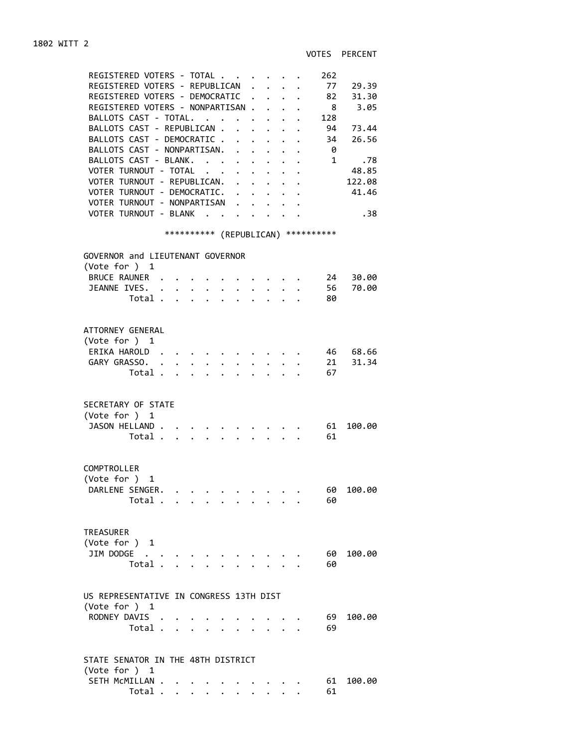VOTES PERCENT

| REGISTERED VOTERS - TOTAL<br>REGISTERED VOTERS - REPUBLICAN<br>REGISTERED VOTERS - DEMOCRATIC<br>REGISTERED VOTERS - NONPARTISAN .<br>BALLOTS CAST - TOTAL.<br>BALLOTS CAST - REPUBLICAN .<br>BALLOTS CAST - DEMOCRATIC .<br>$\ddot{\phantom{0}}$<br>BALLOTS CAST - NONPARTISAN.<br>$\ddot{\phantom{0}}$<br>BALLOTS CAST - BLANK.<br>VOTER TURNOUT - TOTAL<br>VOTER TURNOUT - REPUBLICAN.<br>$\mathbf{A}$<br>VOTER TURNOUT - DEMOCRATIC.<br>VOTER TURNOUT - NONPARTISAN<br>VOTER TURNOUT - BLANK | $\mathbf{r}$<br>$\sim$<br>$\mathbf{L}$<br>$\mathbf{L}$<br>$\ddot{\phantom{0}}$<br>$\sim$<br>$\ddot{\phantom{0}}$<br>$\mathbf{L}$<br>$\ddot{\phantom{0}}$<br>$\mathbb{Z}^{\mathbb{Z}^{\times}}$<br>$\ddot{\phantom{a}}$<br>$\mathbf{1}$ $\mathbf{1}$ $\mathbf{1}$ $\mathbf{1}$ | $\mathbf{L}^{\text{max}}$<br>$\mathbf{A}$<br>$\mathbf{r}$<br>$\sim$<br>$\mathbf{L} = \mathbf{L}$ | 262<br>77<br>29.39<br>82 31.30<br>$\overline{\mathbf{8}}$<br>3.05<br>128<br>94<br>73.44<br>34<br>26.56<br>- 0<br>1<br>.78<br>48.85<br>122.08<br>41.46<br>.38 |
|--------------------------------------------------------------------------------------------------------------------------------------------------------------------------------------------------------------------------------------------------------------------------------------------------------------------------------------------------------------------------------------------------------------------------------------------------------------------------------------------------|-------------------------------------------------------------------------------------------------------------------------------------------------------------------------------------------------------------------------------------------------------------------------------|--------------------------------------------------------------------------------------------------|--------------------------------------------------------------------------------------------------------------------------------------------------------------|
| *********** (REPUBLICAN) ***********                                                                                                                                                                                                                                                                                                                                                                                                                                                             |                                                                                                                                                                                                                                                                               |                                                                                                  |                                                                                                                                                              |
| GOVERNOR and LIEUTENANT GOVERNOR                                                                                                                                                                                                                                                                                                                                                                                                                                                                 |                                                                                                                                                                                                                                                                               |                                                                                                  |                                                                                                                                                              |
| (Vote for ) 1                                                                                                                                                                                                                                                                                                                                                                                                                                                                                    |                                                                                                                                                                                                                                                                               |                                                                                                  |                                                                                                                                                              |
| BRUCE RAUNER                                                                                                                                                                                                                                                                                                                                                                                                                                                                                     |                                                                                                                                                                                                                                                                               |                                                                                                  | 24 30.00                                                                                                                                                     |
| JEANNE IVES.                                                                                                                                                                                                                                                                                                                                                                                                                                                                                     | $\cdot$ $\cdot$ $\cdot$ $\cdot$ $\cdot$                                                                                                                                                                                                                                       |                                                                                                  | 56 70.00                                                                                                                                                     |
| Total                                                                                                                                                                                                                                                                                                                                                                                                                                                                                            | $\cdot$ $\cdot$ $\cdot$ $\cdot$ $\cdot$ $\cdot$ $\cdot$                                                                                                                                                                                                                       |                                                                                                  | 80                                                                                                                                                           |
|                                                                                                                                                                                                                                                                                                                                                                                                                                                                                                  |                                                                                                                                                                                                                                                                               |                                                                                                  |                                                                                                                                                              |
| ATTORNEY GENERAL<br>(Vote for $)$ 1<br>ERIKA HAROLD.<br>GARY GRASSO.<br>$\sim$<br>$\ddot{\phantom{a}}$<br>Total<br>$\ddot{\phantom{0}}$<br>$\mathbf{r}$                                                                                                                                                                                                                                                                                                                                          | $\mathbf{L} = \mathbf{L} \mathbf{L}$                                                                                                                                                                                                                                          | $\mathbf{r} = \mathbf{r}$ , $\mathbf{r} = \mathbf{r}$                                            | 46 68.66<br>21 31.34<br>67                                                                                                                                   |
|                                                                                                                                                                                                                                                                                                                                                                                                                                                                                                  |                                                                                                                                                                                                                                                                               |                                                                                                  |                                                                                                                                                              |
| SECRETARY OF STATE<br>(Vote for ) 1<br>JASON HELLAND.<br>Total .<br>$\mathbf{r} = \mathbf{r} \cdot \mathbf{r}$ and $\mathbf{r} = \mathbf{r} \cdot \mathbf{r}$<br>$\mathbf{L}^{\text{max}}$                                                                                                                                                                                                                                                                                                       | $\mathbf{L} = \mathbf{L}$                                                                                                                                                                                                                                                     |                                                                                                  | 61<br>100.00<br>61                                                                                                                                           |
| COMPTROLLER<br>(Vote for ) 1<br>DARLENE SENGER.<br>Total .                                                                                                                                                                                                                                                                                                                                                                                                                                       |                                                                                                                                                                                                                                                                               |                                                                                                  | 60<br>100.00<br>60                                                                                                                                           |
| <b>TREASURER</b><br>(Vote for ) 1<br>JIM DODGE<br>Total .                                                                                                                                                                                                                                                                                                                                                                                                                                        | $\bullet$ . The set of $\bullet$                                                                                                                                                                                                                                              |                                                                                                  | 60<br>100.00<br>60                                                                                                                                           |
|                                                                                                                                                                                                                                                                                                                                                                                                                                                                                                  |                                                                                                                                                                                                                                                                               |                                                                                                  |                                                                                                                                                              |
| US REPRESENTATIVE IN CONGRESS 13TH DIST<br>(Vote for ) 1<br>RODNEY DAVIS .<br>Total                                                                                                                                                                                                                                                                                                                                                                                                              | $1 - 1 - 1 = 1$                                                                                                                                                                                                                                                               |                                                                                                  | 69<br>100.00<br>69                                                                                                                                           |
| STATE SENATOR IN THE 48TH DISTRICT<br>(Vote for ) 1                                                                                                                                                                                                                                                                                                                                                                                                                                              |                                                                                                                                                                                                                                                                               |                                                                                                  |                                                                                                                                                              |
| SETH MCMILLAN .                                                                                                                                                                                                                                                                                                                                                                                                                                                                                  |                                                                                                                                                                                                                                                                               |                                                                                                  | 61<br>100.00                                                                                                                                                 |
| Total                                                                                                                                                                                                                                                                                                                                                                                                                                                                                            |                                                                                                                                                                                                                                                                               |                                                                                                  | 61                                                                                                                                                           |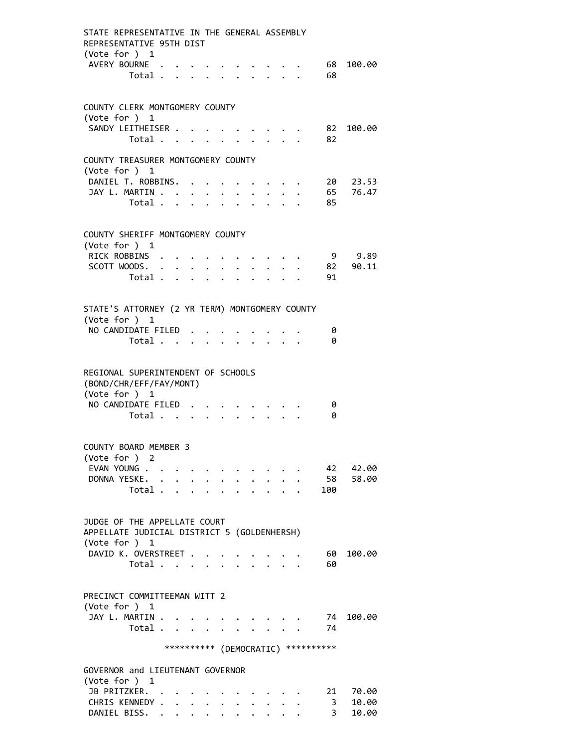| STATE REPRESENTATIVE IN THE GENERAL ASSEMBLY<br>REPRESENTATIVE 95TH DIST<br>(Vote for ) 1    |                                                                          |        |                           |        |                                             |              |                                                |                                                                                                                                 |                                     |           |
|----------------------------------------------------------------------------------------------|--------------------------------------------------------------------------|--------|---------------------------|--------|---------------------------------------------|--------------|------------------------------------------------|---------------------------------------------------------------------------------------------------------------------------------|-------------------------------------|-----------|
| AVERY BOURNE<br>Total 68                                                                     |                                                                          |        |                           |        |                                             |              |                                                |                                                                                                                                 | . 68                                | 100.00    |
| COUNTY CLERK MONTGOMERY COUNTY<br>(Vote for ) 1                                              |                                                                          |        |                           |        |                                             |              |                                                |                                                                                                                                 |                                     |           |
| SANDY LEITHEISER<br>Total                                                                    |                                                                          |        | $\ddot{\phantom{0}}$      | $\sim$ |                                             |              |                                                | $\mathbf{r}$ , $\mathbf{r}$ , $\mathbf{r}$ , $\mathbf{r}$ , $\mathbf{r}$<br>$\mathbf{r} = \mathbf{r} + \mathbf{r} + \mathbf{r}$ | 82                                  | 82 100.00 |
| COUNTY TREASURER MONTGOMERY COUNTY                                                           |                                                                          |        |                           |        |                                             |              |                                                |                                                                                                                                 |                                     |           |
| (Vote for ) 1<br>DANIEL T. ROBBINS.                                                          |                                                                          |        |                           |        |                                             |              |                                                |                                                                                                                                 | 20                                  | 23.53     |
| JAY L. MARTIN                                                                                |                                                                          | $\sim$ |                           |        | $\bullet$ .                                 |              |                                                |                                                                                                                                 |                                     | 65 76.47  |
| Total                                                                                        |                                                                          |        |                           |        | $\mathbf{r} = \mathbf{r} \times \mathbf{r}$ | $\mathbf{L}$ |                                                |                                                                                                                                 | 85                                  |           |
| COUNTY SHERIFF MONTGOMERY COUNTY<br>(Vote for ) 1                                            |                                                                          |        |                           |        |                                             |              |                                                |                                                                                                                                 |                                     |           |
| RICK ROBBINS                                                                                 |                                                                          |        |                           |        |                                             |              |                                                |                                                                                                                                 |                                     | 9 9.89    |
| SCOTT WOODS. .                                                                               | $\mathbf{r} = \mathbf{r} + \mathbf{r}$ , where $\mathbf{r} = \mathbf{r}$ |        |                           |        |                                             |              |                                                |                                                                                                                                 |                                     | 82 90.11  |
| Total                                                                                        |                                                                          |        | $\mathbf{r}$              |        |                                             |              |                                                |                                                                                                                                 | 91                                  |           |
| STATE'S ATTORNEY (2 YR TERM) MONTGOMERY COUNTY                                               |                                                                          |        |                           |        |                                             |              |                                                |                                                                                                                                 |                                     |           |
| (Vote for ) 1                                                                                |                                                                          |        |                           |        |                                             |              |                                                |                                                                                                                                 |                                     |           |
| NO CANDIDATE FILED<br>Total                                                                  |                                                                          |        |                           |        |                                             |              |                                                |                                                                                                                                 | 0<br>0                              |           |
|                                                                                              |                                                                          |        |                           |        |                                             |              |                                                |                                                                                                                                 |                                     |           |
| REGIONAL SUPERINTENDENT OF SCHOOLS<br>(BOND/CHR/EFF/FAY/MONT)<br>(Vote for ) 1               |                                                                          |        |                           |        |                                             |              |                                                |                                                                                                                                 |                                     |           |
| NO CANDIDATE FILED                                                                           |                                                                          |        |                           |        |                                             |              |                                                |                                                                                                                                 | 0                                   |           |
| Total                                                                                        |                                                                          |        |                           |        |                                             |              |                                                |                                                                                                                                 | 0                                   |           |
| COUNTY BOARD MEMBER 3<br>(Vote for ) 2                                                       |                                                                          |        |                           |        |                                             |              |                                                |                                                                                                                                 |                                     |           |
| EVAN YOUNG                                                                                   |                                                                          |        |                           |        |                                             |              |                                                |                                                                                                                                 | 42                                  | 42.00     |
| DONNA YESKE.                                                                                 |                                                                          |        |                           |        |                                             |              |                                                |                                                                                                                                 | 58                                  | 58.00     |
| Total $\ldots$ $\ldots$ $\ldots$ $\ldots$                                                    |                                                                          |        |                           |        |                                             |              |                                                |                                                                                                                                 | 100                                 |           |
| JUDGE OF THE APPELLATE COURT<br>APPELLATE JUDICIAL DISTRICT 5 (GOLDENHERSH)<br>(Vote for ) 1 |                                                                          |        |                           |        |                                             |              |                                                |                                                                                                                                 |                                     |           |
| DAVID K. OVERSTREET                                                                          |                                                                          |        |                           |        |                                             |              |                                                |                                                                                                                                 | 60                                  | 100.00    |
| Total                                                                                        |                                                                          |        |                           |        |                                             |              |                                                |                                                                                                                                 | 60                                  |           |
| PRECINCT COMMITTEEMAN WITT 2<br>(Vote for ) 1                                                |                                                                          |        |                           |        |                                             |              |                                                |                                                                                                                                 |                                     |           |
| JAY L. MARTIN<br>Total                                                                       |                                                                          |        | $\mathbf{L}^{\text{max}}$ |        |                                             |              | $\mathbf{r}$ and $\mathbf{r}$ and $\mathbf{r}$ |                                                                                                                                 | 74<br>74                            | 100.00    |
|                                                                                              |                                                                          |        |                           |        |                                             |              |                                                |                                                                                                                                 | *********** (DEMOCRATIC) ********** |           |
| GOVERNOR and LIEUTENANT GOVERNOR                                                             |                                                                          |        |                           |        |                                             |              |                                                |                                                                                                                                 |                                     |           |
| (Vote for ) 1<br>JB PRITZKER.                                                                |                                                                          |        |                           |        |                                             |              |                                                |                                                                                                                                 | 21                                  | 70.00     |
| CHRIS KENNEDY .                                                                              | $\sim$ $\sim$ $\sim$                                                     |        |                           |        |                                             |              |                                                |                                                                                                                                 | 3                                   | 10.00     |
| DANIEL BISS.                                                                                 |                                                                          |        |                           |        |                                             |              |                                                |                                                                                                                                 | 3                                   | 10.00     |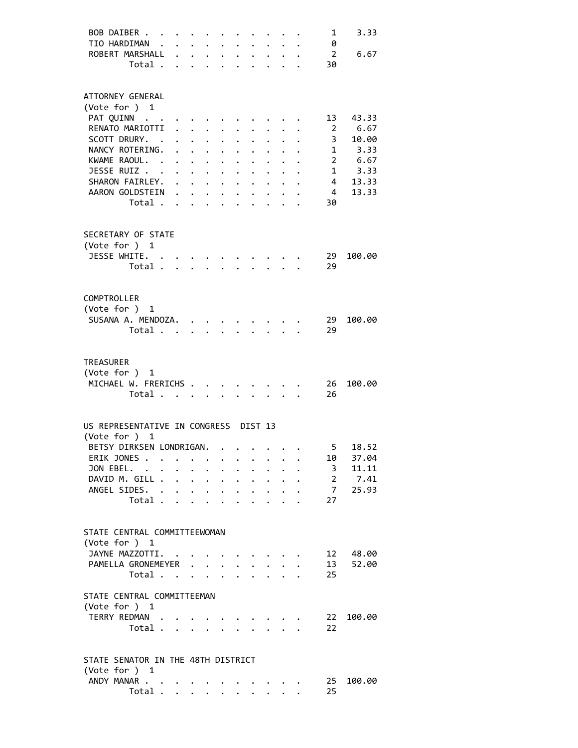| BOB DAIBER                            |                      |                      |                                                                                                                                                                                                                                 |                                                             |                      |                                                                          |                      |                                        | 1               | 3.33   |
|---------------------------------------|----------------------|----------------------|---------------------------------------------------------------------------------------------------------------------------------------------------------------------------------------------------------------------------------|-------------------------------------------------------------|----------------------|--------------------------------------------------------------------------|----------------------|----------------------------------------|-----------------|--------|
| TIO HARDIMAN .                        |                      |                      | $\mathbf{1}$ , $\mathbf{1}$ , $\mathbf{1}$ , $\mathbf{1}$                                                                                                                                                                       |                                                             |                      |                                                                          |                      |                                        | 0               |        |
| ROBERT MARSHALL                       | $\mathbf{L}$         |                      |                                                                                                                                                                                                                                 | $\mathbf{r} = \mathbf{r} + \mathbf{r}$ , where $\mathbf{r}$ |                      |                                                                          |                      |                                        | $\overline{2}$  | 6.67   |
| Total .                               |                      |                      |                                                                                                                                                                                                                                 |                                                             |                      |                                                                          |                      |                                        | 30              |        |
|                                       |                      |                      |                                                                                                                                                                                                                                 |                                                             |                      |                                                                          |                      |                                        |                 |        |
|                                       |                      |                      |                                                                                                                                                                                                                                 |                                                             |                      |                                                                          |                      |                                        |                 |        |
| ATTORNEY GENERAL                      |                      |                      |                                                                                                                                                                                                                                 |                                                             |                      |                                                                          |                      |                                        |                 |        |
| (Vote for ) 1                         |                      |                      |                                                                                                                                                                                                                                 |                                                             |                      |                                                                          |                      |                                        |                 |        |
| PAT QUINN                             |                      |                      |                                                                                                                                                                                                                                 |                                                             |                      |                                                                          |                      |                                        | 13              | 43.33  |
| RENATO MARIOTTI                       | $\ddot{\phantom{0}}$ |                      |                                                                                                                                                                                                                                 |                                                             |                      |                                                                          |                      |                                        | -2              | 6.67   |
| SCOTT DRURY. .                        |                      |                      | $\ddotsc$ . The contract of the contract of the contract of the contract of the contract of the contract of the contract of the contract of the contract of the contract of the contract of the contract of the contract of the |                                                             |                      |                                                                          |                      |                                        | $\mathbf{3}$    | 10.00  |
| NANCY ROTERING.                       |                      |                      | $\mathbf{L} = \mathbf{L} \times \mathbf{L}$                                                                                                                                                                                     | $\ddot{\phantom{0}}$                                        |                      |                                                                          |                      |                                        | 1               | 3.33   |
| KWAME RAOUL. .                        |                      |                      |                                                                                                                                                                                                                                 | $\ddot{\phantom{0}}$                                        |                      | $\cdot$ $\cdot$                                                          | $\mathbf{L}$         |                                        | $\overline{2}$  | 6.67   |
| JESSE RUIZ                            |                      |                      | $\mathbf{L} = \mathbf{L} \times \mathbf{L}$                                                                                                                                                                                     | $\ddot{\phantom{0}}$                                        |                      | $\sim$ $\sim$                                                            | $\ddot{\phantom{0}}$ |                                        | $\mathbf{1}$    | 3.33   |
| SHARON FAIRLEY.                       |                      |                      | $\mathbf{L} = \mathbf{L} \times \mathbf{L}$                                                                                                                                                                                     |                                                             |                      | $\cdot$ $\cdot$ $\cdot$ $\cdot$ $\cdot$ $\cdot$ $\cdot$                  |                      |                                        | 4               | 13.33  |
| AARON GOLDSTEIN                       |                      |                      |                                                                                                                                                                                                                                 |                                                             |                      |                                                                          |                      |                                        | $\overline{4}$  | 13.33  |
| Total                                 |                      |                      |                                                                                                                                                                                                                                 |                                                             |                      |                                                                          |                      |                                        | 30              |        |
|                                       |                      |                      |                                                                                                                                                                                                                                 |                                                             |                      |                                                                          |                      |                                        |                 |        |
|                                       |                      |                      |                                                                                                                                                                                                                                 |                                                             |                      |                                                                          |                      |                                        |                 |        |
| SECRETARY OF STATE                    |                      |                      |                                                                                                                                                                                                                                 |                                                             |                      |                                                                          |                      |                                        |                 |        |
| (Vote for ) 1                         |                      |                      |                                                                                                                                                                                                                                 |                                                             |                      |                                                                          |                      |                                        |                 |        |
| JESSE WHITE. .                        |                      |                      |                                                                                                                                                                                                                                 |                                                             |                      | $\cdots$                                                                 |                      |                                        | -29             | 100.00 |
| Total                                 |                      |                      |                                                                                                                                                                                                                                 |                                                             |                      | $\ddot{\phantom{1}}$                                                     |                      | $\mathbf{r}$ . The set of $\mathbf{r}$ | 29              |        |
|                                       |                      |                      |                                                                                                                                                                                                                                 |                                                             |                      |                                                                          |                      |                                        |                 |        |
| COMPTROLLER                           |                      |                      |                                                                                                                                                                                                                                 |                                                             |                      |                                                                          |                      |                                        |                 |        |
| (Vote for ) 1                         |                      |                      |                                                                                                                                                                                                                                 |                                                             |                      |                                                                          |                      |                                        |                 |        |
|                                       |                      |                      |                                                                                                                                                                                                                                 |                                                             |                      |                                                                          |                      |                                        |                 |        |
| SUSANA A. MENDOZA.                    |                      |                      |                                                                                                                                                                                                                                 |                                                             |                      |                                                                          |                      |                                        | 29              | 100.00 |
| Total                                 |                      |                      |                                                                                                                                                                                                                                 |                                                             |                      | $\mathbf{r}$ , $\mathbf{r}$ , $\mathbf{r}$ , $\mathbf{r}$ , $\mathbf{r}$ |                      |                                        | 29              |        |
|                                       |                      |                      |                                                                                                                                                                                                                                 |                                                             |                      |                                                                          |                      |                                        |                 |        |
| <b>TREASURER</b>                      |                      |                      |                                                                                                                                                                                                                                 |                                                             |                      |                                                                          |                      |                                        |                 |        |
| (Vote for ) 1                         |                      |                      |                                                                                                                                                                                                                                 |                                                             |                      |                                                                          |                      |                                        |                 |        |
| MICHAEL W. FRERICHS                   |                      |                      |                                                                                                                                                                                                                                 |                                                             |                      |                                                                          |                      |                                        | 26              | 100.00 |
| Total                                 |                      |                      |                                                                                                                                                                                                                                 |                                                             |                      |                                                                          |                      |                                        | 26              |        |
|                                       |                      |                      |                                                                                                                                                                                                                                 |                                                             |                      |                                                                          |                      |                                        |                 |        |
|                                       |                      |                      |                                                                                                                                                                                                                                 |                                                             |                      |                                                                          |                      |                                        |                 |        |
| US REPRESENTATIVE IN CONGRESS DIST 13 |                      |                      |                                                                                                                                                                                                                                 |                                                             |                      |                                                                          |                      |                                        |                 |        |
| (Vote for ) 1                         |                      |                      |                                                                                                                                                                                                                                 |                                                             |                      |                                                                          |                      |                                        |                 |        |
| BETSY DIRKSEN LONDRIGAN.              |                      |                      |                                                                                                                                                                                                                                 |                                                             |                      |                                                                          |                      |                                        | 5               | 18.52  |
| ERIK JONES                            |                      |                      |                                                                                                                                                                                                                                 |                                                             |                      |                                                                          |                      |                                        | 10              | 37.04  |
| JON EBEL. .                           |                      |                      |                                                                                                                                                                                                                                 |                                                             |                      |                                                                          |                      |                                        | 3               | 11.11  |
| DAVID M. GILL .                       | $\mathbf{A}$         | $\ddot{\phantom{0}}$ | $\ddot{\phantom{0}}$                                                                                                                                                                                                            | $\ddot{\phantom{a}}$                                        | $\ddot{\phantom{a}}$ | $\ddot{\phantom{0}}$                                                     |                      |                                        | $2^{\circ}$     | 7.41   |
| ANGEL SIDES. .                        |                      | $\ddot{\phantom{0}}$ | $\ddot{\phantom{0}}$                                                                                                                                                                                                            | $\ddot{\phantom{0}}$                                        | $\ddot{\phantom{a}}$ | $\mathbf{L}$                                                             | $\sim$               |                                        | 7 <sup>7</sup>  | 25.93  |
| Total                                 |                      |                      | $\mathbf{r}$ $\mathbf{r}$                                                                                                                                                                                                       | $\mathbf{A}$                                                |                      |                                                                          |                      |                                        | 27              |        |
|                                       |                      |                      |                                                                                                                                                                                                                                 |                                                             |                      |                                                                          |                      |                                        |                 |        |
|                                       |                      |                      |                                                                                                                                                                                                                                 |                                                             |                      |                                                                          |                      |                                        |                 |        |
| STATE CENTRAL COMMITTEEWOMAN          |                      |                      |                                                                                                                                                                                                                                 |                                                             |                      |                                                                          |                      |                                        |                 |        |
| (Vote for ) 1                         |                      |                      |                                                                                                                                                                                                                                 |                                                             |                      |                                                                          |                      |                                        |                 |        |
| JAYNE MAZZOTTI. .                     |                      |                      |                                                                                                                                                                                                                                 |                                                             |                      |                                                                          |                      |                                        | 12              | 48.00  |
| PAMELLA GRONEMEYER .                  |                      |                      | $\mathcal{L}^{\text{max}}$                                                                                                                                                                                                      |                                                             |                      | $\ddot{\phantom{a}}$                                                     |                      |                                        | 13              | 52.00  |
| Total                                 |                      |                      | $\mathbf{r}$                                                                                                                                                                                                                    | $\mathbf{r}$                                                |                      |                                                                          |                      |                                        | 25              |        |
|                                       |                      |                      |                                                                                                                                                                                                                                 |                                                             |                      |                                                                          |                      |                                        |                 |        |
| STATE CENTRAL COMMITTEEMAN            |                      |                      |                                                                                                                                                                                                                                 |                                                             |                      |                                                                          |                      |                                        |                 |        |
| (Vote for ) 1                         |                      |                      |                                                                                                                                                                                                                                 |                                                             |                      |                                                                          |                      |                                        |                 |        |
| TERRY REDMAN                          |                      |                      |                                                                                                                                                                                                                                 |                                                             |                      |                                                                          |                      |                                        | 22 <sub>2</sub> | 100.00 |
| Total                                 |                      |                      |                                                                                                                                                                                                                                 |                                                             |                      |                                                                          |                      |                                        | 22              |        |
|                                       |                      |                      |                                                                                                                                                                                                                                 |                                                             |                      |                                                                          |                      |                                        |                 |        |
|                                       |                      |                      |                                                                                                                                                                                                                                 |                                                             |                      |                                                                          |                      |                                        |                 |        |
| STATE SENATOR IN THE 48TH DISTRICT    |                      |                      |                                                                                                                                                                                                                                 |                                                             |                      |                                                                          |                      |                                        |                 |        |
| (Vote for ) 1                         |                      |                      |                                                                                                                                                                                                                                 |                                                             |                      |                                                                          |                      |                                        |                 |        |
| ANDY MANAR                            |                      |                      |                                                                                                                                                                                                                                 |                                                             |                      | $\cdots$                                                                 |                      |                                        | 25              | 100.00 |
| Total $\cdots$ $\cdots$ $\cdots$      |                      |                      |                                                                                                                                                                                                                                 |                                                             |                      |                                                                          |                      | $\cdot$ $\cdot$ $\cdot$                | 25              |        |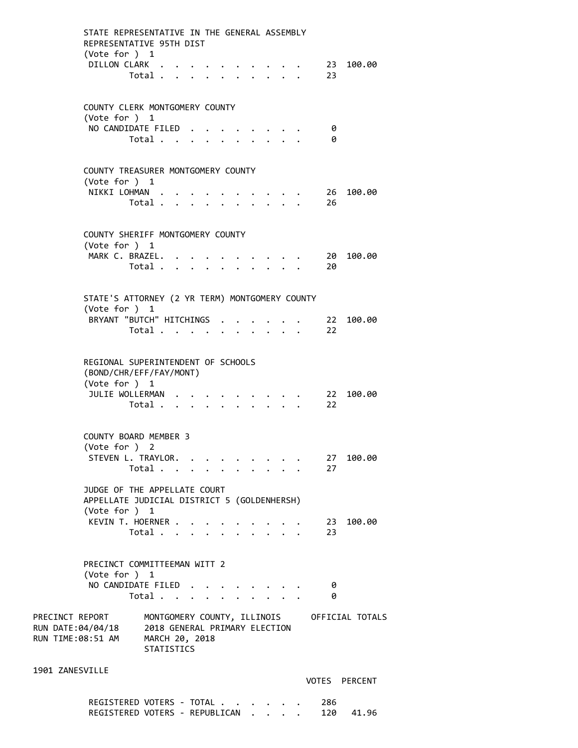| STATE REPRESENTATIVE IN THE GENERAL ASSEMBLY<br>REPRESENTATIVE 95TH DIST<br>(Vote for ) 1              |                                           |  |                           |  |                                             |                           |                                                                 |                                             |
|--------------------------------------------------------------------------------------------------------|-------------------------------------------|--|---------------------------|--|---------------------------------------------|---------------------------|-----------------------------------------------------------------|---------------------------------------------|
| DILLON CLARK                                                                                           | Total                                     |  | $\mathbf{L}^{\text{max}}$ |  | <b>Contract Contract</b>                    |                           | 23                                                              | 23 100.00                                   |
| COUNTY CLERK MONTGOMERY COUNTY<br>(Vote for ) 1                                                        |                                           |  |                           |  |                                             |                           |                                                                 |                                             |
| NO CANDIDATE FILED.                                                                                    | Total                                     |  |                           |  |                                             |                           | 0<br>0                                                          |                                             |
| COUNTY TREASURER MONTGOMERY COUNTY                                                                     |                                           |  |                           |  |                                             |                           |                                                                 |                                             |
| (Vote for $)$ 1                                                                                        |                                           |  |                           |  |                                             |                           |                                                                 |                                             |
| NIKKI LOHMAN                                                                                           |                                           |  |                           |  | $\sim$ $\sim$ $\sim$ $\sim$                 |                           | $\cdot$ 26                                                      | 100.00                                      |
|                                                                                                        | Total                                     |  |                           |  |                                             |                           | 26<br>$\mathbf{r}$ , $\mathbf{r}$ , $\mathbf{r}$ , $\mathbf{r}$ |                                             |
| COUNTY SHERIFF MONTGOMERY COUNTY<br>(Vote for ) 1                                                      |                                           |  |                           |  |                                             |                           |                                                                 |                                             |
| MARK C. BRAZEL.                                                                                        |                                           |  |                           |  |                                             |                           | . 20                                                            | 100.00                                      |
|                                                                                                        | Total                                     |  | $\ddot{\phantom{0}}$      |  |                                             |                           | 20<br>$\cdot$ $\cdot$ $\cdot$ $\cdot$ $\cdot$ $\cdot$           |                                             |
| STATE'S ATTORNEY (2 YR TERM) MONTGOMERY COUNTY                                                         |                                           |  |                           |  |                                             |                           |                                                                 |                                             |
| (Vote for ) 1                                                                                          |                                           |  |                           |  |                                             |                           |                                                                 |                                             |
| BRYANT "BUTCH" HITCHINGS                                                                               | Total                                     |  | $\sim$                    |  | $\mathbf{r} = \mathbf{r} \times \mathbf{r}$ | $\mathbf{r} = \mathbf{r}$ | $\sim 22$<br>22                                                 | 100.00                                      |
|                                                                                                        |                                           |  |                           |  |                                             |                           |                                                                 |                                             |
| REGIONAL SUPERINTENDENT OF SCHOOLS<br>(BOND/CHR/EFF/FAY/MONT)<br>(Vote for ) 1                         |                                           |  |                           |  |                                             |                           |                                                                 |                                             |
| JULIE WOLLERMAN                                                                                        |                                           |  |                           |  |                                             |                           |                                                                 | 100.00                                      |
|                                                                                                        | Total                                     |  |                           |  |                                             |                           | $\frac{22}{22}$                                                 |                                             |
| <b>COUNTY BOARD MEMBER 3</b>                                                                           |                                           |  |                           |  |                                             |                           |                                                                 |                                             |
| (Vote for ) 2<br>STEVEN L. TRAYLOR.                                                                    |                                           |  |                           |  |                                             |                           |                                                                 | 27 100.00                                   |
|                                                                                                        | Total $\cdot$                             |  |                           |  | <b>Contract Contract Contract</b>           |                           | 27                                                              |                                             |
| JUDGE OF THE APPELLATE COURT                                                                           |                                           |  |                           |  |                                             |                           |                                                                 |                                             |
| APPELLATE JUDICIAL DISTRICT 5 (GOLDENHERSH)<br>(Vote for ) 1                                           |                                           |  |                           |  |                                             |                           |                                                                 |                                             |
| KEVIN T. HOERNER                                                                                       |                                           |  |                           |  |                                             |                           | . 23                                                            | 100.00                                      |
|                                                                                                        | Total $\ldots$ $\ldots$ $\ldots$ $\ldots$ |  |                           |  |                                             |                           | 23                                                              |                                             |
| PRECINCT COMMITTEEMAN WITT 2<br>(Vote for ) 1                                                          |                                           |  |                           |  |                                             |                           |                                                                 |                                             |
| NO CANDIDATE FILED                                                                                     | Total                                     |  |                           |  |                                             |                           | 0<br>-0                                                         |                                             |
| PRECINCT REPORT<br>RUN DATE:04/04/18 2018 GENERAL PRIMARY ELECTION<br>RUN TIME:08:51 AM MARCH 20, 2018 | <b>STATISTICS</b>                         |  |                           |  |                                             |                           |                                                                 | MONTGOMERY COUNTY, ILLINOIS OFFICIAL TOTALS |
| 1901 ZANESVILLE                                                                                        |                                           |  |                           |  |                                             |                           |                                                                 | VOTES PERCENT                               |

REGISTERED VOTERS - TOTAL . . . . . . 286 REGISTERED VOTERS - REPUBLICAN . . . . 120 41.96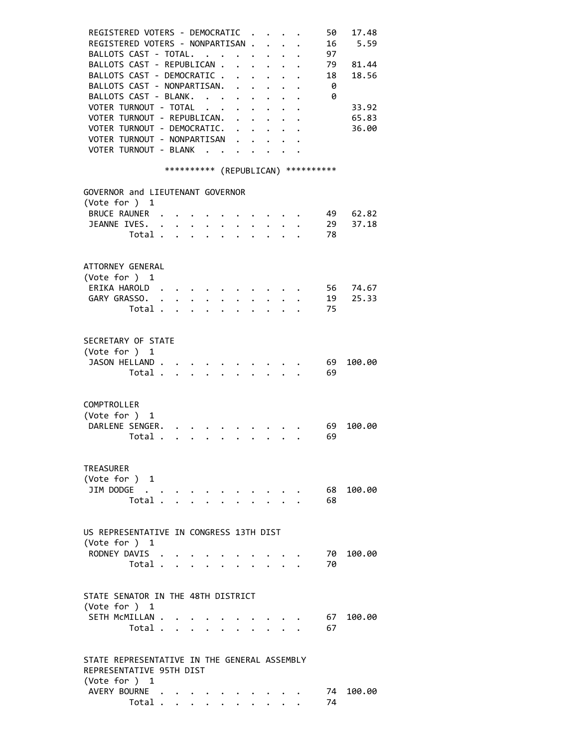| REGISTERED VOTERS - DEMOCRATIC .<br>REGISTERED VOTERS - NONPARTISAN .<br>BALLOTS CAST - TOTAL. |  |  |                              |                                      |                                                                                                                                                                                                                                        |                                     | 50<br>16<br>97  | 17.48<br>5.59  |
|------------------------------------------------------------------------------------------------|--|--|------------------------------|--------------------------------------|----------------------------------------------------------------------------------------------------------------------------------------------------------------------------------------------------------------------------------------|-------------------------------------|-----------------|----------------|
| BALLOTS CAST - REPUBLICAN .<br>BALLOTS CAST - DEMOCRATIC .<br>BALLOTS CAST - NONPARTISAN.      |  |  | $\mathbf{L}$<br>$\mathbf{A}$ | $\sim$                               |                                                                                                                                                                                                                                        |                                     | 79<br>18<br>- 0 | 81.44<br>18.56 |
| BALLOTS CAST - BLANK.<br>VOTER TURNOUT - TOTAL<br>VOTER TURNOUT - REPUBLICAN. .                |  |  | $\ddot{\phantom{0}}$         | $\ddot{\phantom{0}}$<br>$\mathbf{L}$ | $\mathbf{L}$                                                                                                                                                                                                                           | $\cdot$                             | - 0             | 33.92<br>65.83 |
| VOTER TURNOUT - DEMOCRATIC. .<br>VOTER TURNOUT - NONPARTISAN .                                 |  |  |                              |                                      | $\ddot{\phantom{a}}$ . The contract of the contract of the contract of the contract of the contract of the contract of the contract of the contract of the contract of the contract of the contract of the contract of the contract of |                                     |                 | 36.00          |
| VOTER TURNOUT - BLANK                                                                          |  |  |                              | $\ddot{\phantom{a}}$                 |                                                                                                                                                                                                                                        | *********** (REPUBLICAN) ********** |                 |                |
| GOVERNOR and LIEUTENANT GOVERNOR                                                               |  |  |                              |                                      |                                                                                                                                                                                                                                        |                                     |                 |                |
| (Vote for ) 1<br>BRUCE RAUNER .                                                                |  |  |                              |                                      |                                                                                                                                                                                                                                        |                                     | 49              | 62.82          |
| JEANNE IVES. .                                                                                 |  |  |                              |                                      |                                                                                                                                                                                                                                        |                                     | 29              | 37.18          |
| Total                                                                                          |  |  |                              |                                      |                                                                                                                                                                                                                                        |                                     | 78              |                |
| ATTORNEY GENERAL<br>(Vote for ) 1                                                              |  |  |                              |                                      |                                                                                                                                                                                                                                        |                                     |                 |                |
| ERIKA HAROLD.                                                                                  |  |  |                              |                                      |                                                                                                                                                                                                                                        |                                     | 56              | 74.67          |
| GARY GRASSO. .<br>Total                                                                        |  |  |                              |                                      |                                                                                                                                                                                                                                        |                                     | 19<br>75        | 25.33          |
|                                                                                                |  |  |                              |                                      |                                                                                                                                                                                                                                        |                                     |                 |                |
| SECRETARY OF STATE<br>(Vote for ) 1                                                            |  |  |                              |                                      |                                                                                                                                                                                                                                        |                                     |                 |                |
| JASON HELLAND                                                                                  |  |  |                              |                                      |                                                                                                                                                                                                                                        |                                     | 69              | 100.00         |
| Total                                                                                          |  |  |                              |                                      | $\cdot$ $\cdot$ $\cdot$                                                                                                                                                                                                                |                                     | - 69            |                |
| COMPTROLLER<br>(Vote for ) 1                                                                   |  |  |                              |                                      |                                                                                                                                                                                                                                        |                                     |                 |                |
| DARLENE SENGER.<br>Total                                                                       |  |  |                              | $\mathbf{r}$                         |                                                                                                                                                                                                                                        |                                     | 69<br>69        | 100.00         |
|                                                                                                |  |  |                              |                                      |                                                                                                                                                                                                                                        |                                     |                 |                |
| TREASURER<br>(Vote for ) 1                                                                     |  |  |                              |                                      |                                                                                                                                                                                                                                        |                                     |                 |                |
| JIM DODGE                                                                                      |  |  |                              |                                      |                                                                                                                                                                                                                                        |                                     | 68              | 100.00         |
| Total .                                                                                        |  |  |                              |                                      |                                                                                                                                                                                                                                        |                                     | 68              |                |
| US REPRESENTATIVE IN CONGRESS 13TH DIST                                                        |  |  |                              |                                      |                                                                                                                                                                                                                                        |                                     |                 |                |
| (Vote for ) 1                                                                                  |  |  |                              |                                      |                                                                                                                                                                                                                                        |                                     |                 |                |
| RODNEY DAVIS<br>Total $\cdots$ $\cdots$ $\cdots$                                               |  |  |                              |                                      |                                                                                                                                                                                                                                        |                                     | 70<br>70        | 100.00         |
|                                                                                                |  |  |                              |                                      |                                                                                                                                                                                                                                        |                                     |                 |                |
| STATE SENATOR IN THE 48TH DISTRICT<br>(Vote for ) 1                                            |  |  |                              |                                      |                                                                                                                                                                                                                                        |                                     |                 |                |
| SETH MCMILLAN                                                                                  |  |  |                              |                                      |                                                                                                                                                                                                                                        |                                     | 67              | 100.00         |
| Total                                                                                          |  |  |                              |                                      |                                                                                                                                                                                                                                        |                                     | 67              |                |
| STATE REPRESENTATIVE IN THE GENERAL ASSEMBLY<br>REPRESENTATIVE 95TH DIST                       |  |  |                              |                                      |                                                                                                                                                                                                                                        |                                     |                 |                |
| (Vote for ) 1                                                                                  |  |  |                              |                                      |                                                                                                                                                                                                                                        |                                     |                 |                |
| AVERY BOURNE<br>Total                                                                          |  |  |                              |                                      |                                                                                                                                                                                                                                        |                                     | 74<br>74        | 100.00         |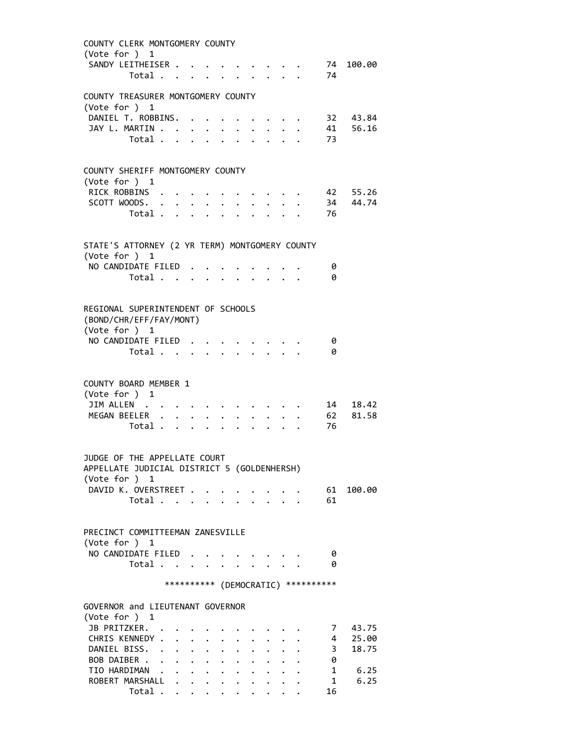| COUNTY CLERK MONTGOMERY COUNTY                      |                                              |                         |                           |              |                      |                            |  |                                     |                      |
|-----------------------------------------------------|----------------------------------------------|-------------------------|---------------------------|--------------|----------------------|----------------------------|--|-------------------------------------|----------------------|
| (Vote for ) 1                                       |                                              |                         |                           |              |                      |                            |  |                                     |                      |
| SANDY LEITHEISER<br>Total                           |                                              |                         | $\mathbf{r} = \mathbf{r}$ |              |                      |                            |  | - 74                                | 74 100.00            |
|                                                     |                                              |                         |                           |              |                      |                            |  |                                     |                      |
| COUNTY TREASURER MONTGOMERY COUNTY                  |                                              |                         |                           |              |                      |                            |  |                                     |                      |
| (Vote for ) 1                                       |                                              |                         |                           |              |                      |                            |  |                                     |                      |
| DANIEL T. ROBBINS. .<br>JAY L. MARTIN               |                                              |                         |                           |              |                      |                            |  |                                     | 32 43.84<br>41 56.16 |
| Total .<br>$\mathbf{r}$                             |                                              | $\bullet$ .             | $\bullet$ .               |              |                      |                            |  | 73                                  |                      |
|                                                     |                                              |                         |                           |              |                      |                            |  |                                     |                      |
|                                                     |                                              |                         |                           |              |                      |                            |  |                                     |                      |
| COUNTY SHERIFF MONTGOMERY COUNTY<br>(Vote for $)$ 1 |                                              |                         |                           |              |                      |                            |  |                                     |                      |
| RICK ROBBINS                                        |                                              |                         |                           |              |                      |                            |  |                                     | 42 55.26             |
| SCOTT WOODS.                                        |                                              |                         |                           |              |                      |                            |  |                                     | 34 44.74             |
| Total                                               |                                              | $\cdot$ $\cdot$ $\cdot$ |                           |              |                      |                            |  | 76                                  |                      |
|                                                     |                                              |                         |                           |              |                      |                            |  |                                     |                      |
| STATE'S ATTORNEY (2 YR TERM) MONTGOMERY COUNTY      |                                              |                         |                           |              |                      |                            |  |                                     |                      |
| (Vote for ) 1                                       |                                              |                         |                           |              |                      |                            |  |                                     |                      |
| NO CANDIDATE FILED.                                 |                                              |                         |                           |              |                      |                            |  | 0                                   |                      |
| Total                                               |                                              |                         |                           |              |                      |                            |  | 0                                   |                      |
|                                                     |                                              |                         |                           |              |                      |                            |  |                                     |                      |
| REGIONAL SUPERINTENDENT OF SCHOOLS                  |                                              |                         |                           |              |                      |                            |  |                                     |                      |
| (BOND/CHR/EFF/FAY/MONT)                             |                                              |                         |                           |              |                      |                            |  |                                     |                      |
| (Vote for ) 1                                       |                                              |                         |                           |              |                      |                            |  |                                     |                      |
| NO CANDIDATE FILED                                  |                                              |                         |                           |              |                      |                            |  | 0                                   |                      |
| Total                                               |                                              |                         |                           |              |                      |                            |  | 0                                   |                      |
|                                                     |                                              |                         |                           |              |                      |                            |  |                                     |                      |
| COUNTY BOARD MEMBER 1                               |                                              |                         |                           |              |                      |                            |  |                                     |                      |
| (Vote for ) 1                                       |                                              |                         |                           |              |                      |                            |  |                                     |                      |
| JIM ALLEN                                           |                                              |                         |                           |              |                      |                            |  |                                     | 14 18.42             |
| MEGAN BEELER                                        |                                              |                         | $\mathbf{r}$ $\mathbf{r}$ | $\mathbf{A}$ | $\mathbf{L}$         | $\mathbf{L}$               |  | 62                                  | 81.58                |
| Total                                               |                                              |                         |                           |              |                      | $\mathbf{L}$               |  | 76                                  |                      |
|                                                     |                                              |                         |                           |              |                      |                            |  |                                     |                      |
| JUDGE OF THE APPELLATE COURT                        |                                              |                         |                           |              |                      |                            |  |                                     |                      |
| APPELLATE JUDICIAL DISTRICT 5 (GOLDENHERSH)         |                                              |                         |                           |              |                      |                            |  |                                     |                      |
| (Vote for ) 1                                       |                                              |                         |                           |              |                      |                            |  |                                     |                      |
| DAVID K. OVERSTREET<br>Total                        |                                              |                         |                           |              |                      | $\mathcal{L}^{\text{max}}$ |  | 61<br>61                            | 100.00               |
|                                                     |                                              |                         |                           |              |                      |                            |  |                                     |                      |
|                                                     |                                              |                         |                           |              |                      |                            |  |                                     |                      |
| PRECINCT COMMITTEEMAN ZANESVILLE                    |                                              |                         |                           |              |                      |                            |  |                                     |                      |
| (Vote for ) 1                                       |                                              |                         |                           |              |                      |                            |  |                                     |                      |
| NO CANDIDATE FILED.                                 |                                              |                         |                           |              |                      |                            |  | 0                                   |                      |
| Total                                               | $\ddot{\phantom{a}}$                         |                         |                           |              |                      |                            |  | 0                                   |                      |
|                                                     |                                              |                         |                           |              |                      |                            |  | *********** (DEMOCRATIC) ********** |                      |
|                                                     |                                              |                         |                           |              |                      |                            |  |                                     |                      |
| GOVERNOR and LIEUTENANT GOVERNOR                    |                                              |                         |                           |              |                      |                            |  |                                     |                      |
| (Vote for ) 1<br>JB PRITZKER.                       |                                              |                         |                           |              |                      |                            |  |                                     |                      |
| CHRIS KENNEDY .<br>$\ddot{\phantom{a}}$             |                                              |                         |                           |              |                      |                            |  | 7<br>4                              | 43.75<br>25.00       |
| DANIEL BISS.<br>$\ddot{\phantom{0}}$                | $\ddot{\phantom{0}}$<br>$\mathbf{L}$         | $\ddot{\phantom{0}}$    |                           |              |                      |                            |  | $\overline{\mathbf{3}}$             | 18.75                |
| BOB DAIBER .                                        | $\ddot{\phantom{0}}$<br>$\ddot{\phantom{0}}$ | $\ddot{\phantom{0}}$    |                           |              |                      |                            |  | 0                                   |                      |
| TIO HARDIMAN                                        |                                              |                         |                           | $\mathbf{L}$ | $\ddot{\phantom{0}}$ |                            |  | 1                                   | 6.25                 |
| ROBERT MARSHALL                                     |                                              |                         |                           |              |                      | $\sim$                     |  | 1                                   | 6.25                 |
| Total                                               |                                              |                         |                           |              |                      |                            |  | 16                                  |                      |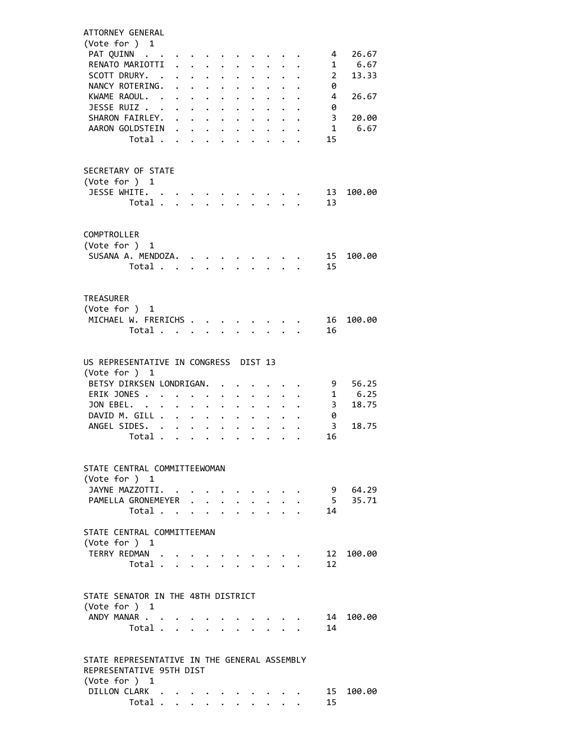| ATTORNEY GENERAL                                                         |                                  |  |                                                 |                                                           |                      |                                                                               |                                      |                           |                         |                            |                    |  |
|--------------------------------------------------------------------------|----------------------------------|--|-------------------------------------------------|-----------------------------------------------------------|----------------------|-------------------------------------------------------------------------------|--------------------------------------|---------------------------|-------------------------|----------------------------|--------------------|--|
| (Vote for ) 1<br>PAT QUINN                                               |                                  |  |                                                 |                                                           |                      |                                                                               |                                      |                           |                         | 4                          | 26.67              |  |
| RENATO MARIOTTI                                                          |                                  |  |                                                 |                                                           |                      |                                                                               |                                      |                           |                         |                            | 1 6.67             |  |
| SCOTT DRURY. .                                                           |                                  |  | $\cdot$ $\cdot$ $\cdot$ $\cdot$ $\cdot$ $\cdot$ |                                                           |                      | $\mathbf{r}$                                                                  |                                      |                           | $\cdot$ $\cdot$ $\cdot$ | $\overline{\phantom{a}}$ 2 | 13.33              |  |
| NANCY ROTERING.                                                          |                                  |  |                                                 |                                                           | $\ddot{\phantom{0}}$ | $\ddot{\phantom{0}}$                                                          |                                      | $\ddot{\phantom{a}}$      |                         | 0                          |                    |  |
| KWAME RAOUL.                                                             |                                  |  |                                                 | $\ddot{\phantom{0}}$                                      | $\ddot{\phantom{0}}$ | $\ddotsc$                                                                     | $\ddot{\phantom{0}}$                 |                           |                         | 4                          | 26.67              |  |
| JESSE RUIZ                                                               |                                  |  |                                                 |                                                           |                      | $\cdot$ $\cdot$ $\cdot$ $\cdot$                                               |                                      |                           |                         | 0<br>3                     | 20.00              |  |
| SHARON FAIRLEY.<br>AARON GOLDSTEIN                                       |                                  |  |                                                 | $\mathbf{L}^{\text{max}}$ , and $\mathbf{L}^{\text{max}}$ | $\bullet$ .          |                                                                               | $\mathbf{L} = \mathbf{L} \mathbf{L}$ |                           |                         | $\mathbf{1}$               | 6.67               |  |
|                                                                          | Total                            |  |                                                 |                                                           | $\mathbf{L}$         | $\sim$                                                                        | $\mathbf{A}$                         |                           |                         | 15                         |                    |  |
|                                                                          |                                  |  |                                                 |                                                           |                      |                                                                               |                                      |                           |                         |                            |                    |  |
| SECRETARY OF STATE                                                       |                                  |  |                                                 |                                                           |                      |                                                                               |                                      |                           |                         |                            |                    |  |
| (Vote for ) 1                                                            |                                  |  |                                                 |                                                           |                      |                                                                               |                                      |                           |                         |                            |                    |  |
| JESSE WHITE.                                                             |                                  |  |                                                 |                                                           |                      |                                                                               |                                      |                           |                         | 13                         | 100.00             |  |
|                                                                          | Total                            |  |                                                 |                                                           |                      | $\mathbf{1}$ $\mathbf{1}$ $\mathbf{1}$ $\mathbf{1}$ $\mathbf{1}$ $\mathbf{1}$ |                                      |                           |                         | 13                         |                    |  |
|                                                                          |                                  |  |                                                 |                                                           |                      |                                                                               |                                      |                           |                         |                            |                    |  |
| COMPTROLLER                                                              |                                  |  |                                                 |                                                           |                      |                                                                               |                                      |                           |                         |                            |                    |  |
| (Vote for ) 1                                                            |                                  |  |                                                 |                                                           |                      |                                                                               |                                      |                           |                         |                            |                    |  |
| SUSANA A. MENDOZA.                                                       |                                  |  |                                                 |                                                           |                      |                                                                               |                                      |                           |                         | 15                         | 100.00             |  |
|                                                                          | Total                            |  |                                                 |                                                           |                      |                                                                               |                                      |                           |                         | 15                         |                    |  |
|                                                                          |                                  |  |                                                 |                                                           |                      |                                                                               |                                      |                           |                         |                            |                    |  |
| TREASURER                                                                |                                  |  |                                                 |                                                           |                      |                                                                               |                                      |                           |                         |                            |                    |  |
| (Vote for ) 1                                                            |                                  |  |                                                 |                                                           |                      |                                                                               |                                      |                           |                         |                            |                    |  |
| MICHAEL W. FRERICHS                                                      |                                  |  |                                                 |                                                           |                      |                                                                               |                                      |                           |                         | 16                         | 100.00             |  |
|                                                                          | Total                            |  |                                                 |                                                           |                      |                                                                               |                                      |                           |                         | 16                         |                    |  |
|                                                                          |                                  |  |                                                 |                                                           |                      |                                                                               |                                      |                           |                         |                            |                    |  |
| US REPRESENTATIVE IN CONGRESS DIST 13                                    |                                  |  |                                                 |                                                           |                      |                                                                               |                                      |                           |                         |                            |                    |  |
| (Vote for ) 1                                                            |                                  |  |                                                 |                                                           |                      |                                                                               |                                      |                           |                         |                            |                    |  |
| BETSY DIRKSEN LONDRIGAN.<br>ERIK JONES                                   |                                  |  |                                                 |                                                           | $\ddot{\phantom{0}}$ |                                                                               | $\cdot$ $\cdot$ $\cdot$ $\cdot$      |                           |                         | 9<br>1                     | 56.25<br>6.25      |  |
| JON EBEL.                                                                |                                  |  |                                                 | $\ddot{\phantom{0}}$                                      |                      | $\mathbf{r} = \mathbf{r} + \mathbf{r} + \mathbf{r}$ .                         |                                      |                           |                         | $\overline{\mathbf{3}}$    | 18.75              |  |
| DAVID M. GILL                                                            |                                  |  |                                                 |                                                           |                      |                                                                               |                                      |                           |                         | 0                          |                    |  |
| ANGEL SIDES.                                                             |                                  |  |                                                 |                                                           |                      |                                                                               |                                      |                           |                         | 3                          | 18.75              |  |
|                                                                          | Total                            |  |                                                 |                                                           |                      |                                                                               |                                      |                           |                         | 16                         |                    |  |
|                                                                          |                                  |  |                                                 |                                                           |                      |                                                                               |                                      |                           |                         |                            |                    |  |
| STATE CENTRAL COMMITTEEWOMAN                                             |                                  |  |                                                 |                                                           |                      |                                                                               |                                      |                           |                         |                            |                    |  |
| (Vote for ) 1                                                            |                                  |  |                                                 |                                                           |                      |                                                                               |                                      |                           |                         |                            |                    |  |
| JAYNE MAZZOTTI.<br>PAMELLA GRONEMEYER                                    |                                  |  |                                                 |                                                           |                      |                                                                               |                                      |                           |                         |                            | 9 64.29<br>5 35.71 |  |
|                                                                          | Total $\cdots$ $\cdots$ $\cdots$ |  |                                                 |                                                           |                      |                                                                               |                                      | $\mathbf{r} = \mathbf{r}$ |                         | 14                         |                    |  |
|                                                                          |                                  |  |                                                 |                                                           |                      |                                                                               |                                      |                           |                         |                            |                    |  |
| STATE CENTRAL COMMITTEEMAN                                               |                                  |  |                                                 |                                                           |                      |                                                                               |                                      |                           |                         |                            |                    |  |
| (Vote for ) 1                                                            |                                  |  |                                                 |                                                           |                      |                                                                               |                                      |                           |                         |                            |                    |  |
| TERRY REDMAN .                                                           | Total                            |  |                                                 |                                                           |                      |                                                                               |                                      |                           |                         | 12<br>12                   | 100.00             |  |
|                                                                          |                                  |  |                                                 |                                                           |                      |                                                                               |                                      |                           |                         |                            |                    |  |
|                                                                          |                                  |  |                                                 |                                                           |                      |                                                                               |                                      |                           |                         |                            |                    |  |
| STATE SENATOR IN THE 48TH DISTRICT                                       |                                  |  |                                                 |                                                           |                      |                                                                               |                                      |                           |                         |                            |                    |  |
| (Vote for ) 1<br>ANDY MANAR                                              |                                  |  |                                                 |                                                           |                      |                                                                               |                                      |                           |                         | 14                         | 100.00             |  |
|                                                                          | Total                            |  |                                                 |                                                           |                      |                                                                               |                                      |                           |                         | 14                         |                    |  |
|                                                                          |                                  |  |                                                 |                                                           |                      |                                                                               |                                      |                           |                         |                            |                    |  |
|                                                                          |                                  |  |                                                 |                                                           |                      |                                                                               |                                      |                           |                         |                            |                    |  |
| STATE REPRESENTATIVE IN THE GENERAL ASSEMBLY<br>REPRESENTATIVE 95TH DIST |                                  |  |                                                 |                                                           |                      |                                                                               |                                      |                           |                         |                            |                    |  |
| (Vote for ) 1                                                            |                                  |  |                                                 |                                                           |                      |                                                                               |                                      |                           |                         |                            |                    |  |
| DILLON CLARK                                                             |                                  |  |                                                 |                                                           |                      |                                                                               |                                      |                           |                         |                            | 15 100.00          |  |
|                                                                          | Total                            |  |                                                 |                                                           |                      |                                                                               |                                      |                           |                         | 15                         |                    |  |